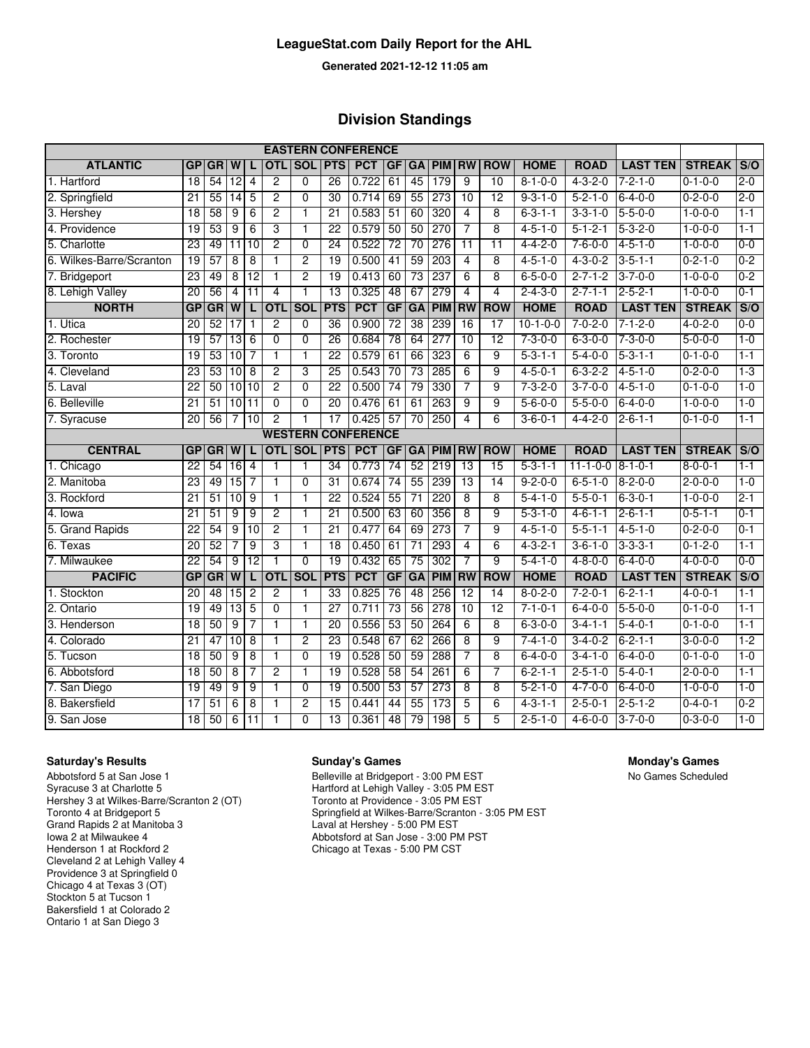#### **LeagueStat.com Daily Report for the AHL**

**Generated 2021-12-12 11:05 am**

#### **Division Standings**

| <b>EASTERN CONFERENCE</b> |                 |                 |                 |                 |                |                |                 |                           |                 |                 |               |                 |                 |                 |                  |                 |                 |         |
|---------------------------|-----------------|-----------------|-----------------|-----------------|----------------|----------------|-----------------|---------------------------|-----------------|-----------------|---------------|-----------------|-----------------|-----------------|------------------|-----------------|-----------------|---------|
| <b>ATLANTIC</b>           | GP              | <b>GR</b>       | W               |                 | OTL            | <b>SOL</b>     | <b>PTS</b>      | <b>PCT</b>                | GF              | <b>GA</b>       | <b>PIM</b>    | <b>RW</b>       | <b>ROW</b>      | <b>HOME</b>     | <b>ROAD</b>      | <b>LAST TEN</b> | <b>STREAK</b>   | S/O     |
| 1. Hartford               | 18              | 54              | 12              | 4               | $\overline{2}$ | $\Omega$       | $\overline{26}$ | 0.722                     | 61              | 45              | 179           | 9               | 10              | $8 - 1 - 0 - 0$ | $4 - 3 - 2 - 0$  | $7 - 2 - 1 - 0$ | $0 - 1 - 0 - 0$ | $2 - 0$ |
| 2. Springfield            | $\overline{21}$ | 55              | $\overline{14}$ | 5               | $\overline{2}$ | $\Omega$       | 30              | 0.714                     | 69              | 55              | 273           | 10              | 12              | $9 - 3 - 1 - 0$ | $5 - 2 - 1 - 0$  | $6 - 4 - 0 - 0$ | $0 - 2 - 0 - 0$ | $2 - 0$ |
| 3. Hershey                | 18              | 58              | 9               | 6               | 2              | 1              | 21              | 0.583                     | 51              | 60              | 320           | 4               | 8               | $6 - 3 - 1 - 1$ | $3 - 3 - 1 - 0$  | $5 - 5 - 0 - 0$ | $1 - 0 - 0 - 0$ | $1 - 1$ |
| 4. Providence             | 19              | 53              | 9               | 6               | 3              | 1              | 22              | 0.579                     | 50              | 50              | 270           | 7               | $\overline{8}$  | $4 - 5 - 1 - 0$ | $5 - 1 - 2 - 1$  | $5 - 3 - 2 - 0$ | $1 - 0 - 0 - 0$ | $1 - 1$ |
| 5. Charlotte              | 23              | 49              | 11              | 10              | 2              | $\overline{0}$ | 24              | 0.522                     | $\overline{72}$ | 70              | 276           | $\overline{11}$ | $\overline{11}$ | $4 - 4 - 2 - 0$ | $7 - 6 - 0 - 0$  | $4 - 5 - 1 - 0$ | $1 - 0 - 0 - 0$ | $0 - 0$ |
| 6. Wilkes-Barre/Scranton  | 19              | $\overline{57}$ | 8               | 8               | $\mathbf{1}$   | $\overline{c}$ | 19              | 0.500                     | $\overline{41}$ | 59              | 203           | 4               | 8               | $4 - 5 - 1 - 0$ | $4 - 3 - 0 - 2$  | $3 - 5 - 1 - 1$ | $0 - 2 - 1 - 0$ | $0 - 2$ |
| 7. Bridgeport             | 23              | 49              | 8               | 12              | $\mathbf{1}$   | $\overline{2}$ | 19              | 0.413                     | 60              | $\overline{73}$ | 237           | 6               | 8               | $6 - 5 - 0 - 0$ | $2 - 7 - 1 - 2$  | $3 - 7 - 0 - 0$ | $1 - 0 - 0 - 0$ | $0 - 2$ |
| 8. Lehigh Valley          | 20              | 56              | 4               | 11              | $\overline{4}$ | $\mathbf{1}$   | 13              | 0.325                     | 48              | 67              | 279           | $\overline{4}$  | 4               | $2 - 4 - 3 - 0$ | $2 - 7 - 1 - 1$  | $2 - 5 - 2 - 1$ | $1 - 0 - 0 - 0$ | $0 - 1$ |
| <b>NORTH</b>              | GP              | GR              | $\overline{w}$  |                 | <b>OTL</b>     | SOL            | <b>PTS</b>      | <b>PCT</b>                | GF              | <b>GA</b>       | <b>PIM</b>    | <b>RW</b>       | <b>ROW</b>      | <b>HOME</b>     | <b>ROAD</b>      | <b>LAST TEN</b> | <b>STREAK</b>   | S/O     |
| 1. Utica                  | 20              | 52              | $\overline{17}$ | $\mathbf{1}$    | $\overline{2}$ | $\overline{0}$ | 36              | 0.900                     | $\overline{72}$ | 38              | 239           | 16              | 17              | $10-1-0-0$      | $7 - 0 - 2 - 0$  | $7 - 1 - 2 - 0$ | $4 - 0 - 2 - 0$ | $0 - 0$ |
| 2. Rochester              | 19              | 57              | $\overline{13}$ | 6               | $\overline{0}$ | $\overline{0}$ | 26              | 0.684                     | 78              | 64              | 277           | $\overline{10}$ | 12              | $7 - 3 - 0 - 0$ | $6 - 3 - 0 - 0$  | $7 - 3 - 0 - 0$ | $5 - 0 - 0 - 0$ | $1 - 0$ |
| 3. Toronto                | 19              | 53              | 10              | 7               | T              | T              | $\overline{22}$ | 0.579                     | 61              | 66              | 323           | $\overline{6}$  | 9               | $5 - 3 - 1 - 1$ | $5 - 4 - 0 - 0$  | $5 - 3 - 1 - 1$ | $0 - 1 - 0 - 0$ | $1 - 1$ |
| 4. Cleveland              | 23              | 53              | 10              | $\overline{8}$  | 2              | 3              | 25              | 0.543                     | 70              | 73              | 285           | $\overline{6}$  | 9               | $4 - 5 - 0 - 1$ | $6 - 3 - 2 - 2$  | $4 - 5 - 1 - 0$ | $0 - 2 - 0 - 0$ | $1 - 3$ |
| 5. Laval                  | 22              | 50              |                 | 10 10           | $\overline{2}$ | $\Omega$       | $\overline{22}$ | 0.500                     | 74              | 79              | 330           | $\overline{7}$  | $\overline{9}$  | $7 - 3 - 2 - 0$ | $3 - 7 - 0 - 0$  | $4 - 5 - 1 - 0$ | $0 - 1 - 0 - 0$ | $1 - 0$ |
| 6. Belleville             | $\overline{21}$ | 51              |                 | 10 11           | $\overline{0}$ | $\overline{0}$ | $\overline{20}$ | 0.476                     | 61              | 61              | 263           | 9               | 9               | $5 - 6 - 0 - 0$ | $5 - 5 - 0 - 0$  | $6 - 4 - 0 - 0$ | $1 - 0 - 0 - 0$ | $1 - 0$ |
| 7. Syracuse               | $\overline{20}$ | 56              | 7               | 10              | $\overline{2}$ | $\overline{1}$ | 17              | 0.425                     | 57              | 70              | 250           | $\overline{4}$  | 6               | $3 - 6 - 0 - 1$ | $4 - 4 - 2 - 0$  | $2 - 6 - 1 - 1$ | $0 - 1 - 0 - 0$ | $1 - 1$ |
|                           |                 |                 |                 |                 |                |                |                 | <b>WESTERN CONFERENCE</b> |                 |                 |               |                 |                 |                 |                  |                 |                 |         |
| <b>CENTRAL</b>            | <b>GP</b>       | <b>GR</b>       | $\overline{w}$  |                 | <b>OTL</b>     | <b>SOL</b>     | <b>PTS</b>      | <b>PCT</b>                | GF              |                 | <b>GA PIM</b> | <b>RW</b>       | <b>ROW</b>      | <b>HOME</b>     | <b>ROAD</b>      | <b>LAST TEN</b> | <b>STREAK</b>   | S/O     |
| 1. Chicago                | $\overline{22}$ | 54              | $\overline{16}$ | 4               | 1              | 1              | 34              | 0.773                     | 74              | 52              | 219           | 13              | $\overline{15}$ | $5 - 3 - 1 - 1$ | $11 - 1 - 0 - 0$ | $8 - 1 - 0 - 1$ | $8 - 0 - 0 - 1$ | $1 - 1$ |
| 2. Manitoba               | 23              | 49              | 15              | 7               | $\overline{1}$ | $\overline{0}$ | 31              | 0.674                     | 74              | 55              | 239           | 13              | 14              | $9 - 2 - 0 - 0$ | $6 - 5 - 1 - 0$  | $8 - 2 - 0 - 0$ | $2 - 0 - 0 - 0$ | $1 - 0$ |
| 3. Rockford               | $\overline{21}$ | 51              | 10              | 9               | $\mathbf{1}$   | 1              | $\overline{22}$ | 0.524                     | 55              | $\overline{71}$ | 220           | $\overline{8}$  | 8               | $5 - 4 - 1 - 0$ | $5 - 5 - 0 - 1$  | $6 - 3 - 0 - 1$ | $1 - 0 - 0 - 0$ | $2 - 1$ |
| 4. lowa                   | $\overline{21}$ | 51              | 9               | 9               | $\overline{2}$ | 1              | $\overline{21}$ | 0.500                     | 63              | 60              | 356           | 8               | 9               | $5 - 3 - 1 - 0$ | $4 - 6 - 1 - 1$  | $2 - 6 - 1 - 1$ | $0 - 5 - 1 - 1$ | $0 - 1$ |
| 5. Grand Rapids           | 22              | 54              | 9               | 10              | $\overline{2}$ | $\mathbf{1}$   | 21              | 0.477                     | 64              | 69              | 273           | $\overline{7}$  | 9               | $4 - 5 - 1 - 0$ | $5 - 5 - 1 - 1$  | $4 - 5 - 1 - 0$ | $0 - 2 - 0 - 0$ | $0 - 1$ |
| 6. Texas                  | $\overline{20}$ | 52              | 7               | 9               | 3              | $\mathbf{1}$   | $\overline{18}$ | 0.450                     | 61              | $\overline{71}$ | 293           | 4               | 6               | $4 - 3 - 2 - 1$ | $3 - 6 - 1 - 0$  | $3 - 3 - 3 - 1$ | $0 - 1 - 2 - 0$ | $1 - 1$ |
| 7. Milwaukee              | $\overline{22}$ | $\overline{54}$ | 9               | $\overline{12}$ | $\mathbf{1}$   | $\Omega$       | $\overline{19}$ | 0.432                     | 65              | $\overline{75}$ | 302           | 7               | 9               | $5 - 4 - 1 - 0$ | $4 - 8 - 0 - 0$  | $6 - 4 - 0 - 0$ | $4 - 0 - 0 - 0$ | $0 - 0$ |
| <b>PACIFIC</b>            | GP              | GR              | $\overline{W}$  |                 | <b>OTL</b>     | SOL            | <b>PTS</b>      | <b>PCT</b>                | <b>GF</b>       | GA              | <b>PIM</b>    | <b>RW</b>       | <b>ROW</b>      | <b>HOME</b>     | <b>ROAD</b>      | <b>LAST TEN</b> | <b>STREAK</b>   | S/O     |
| 1. Stockton               | $\overline{20}$ | 48              | $\overline{15}$ | $\overline{2}$  | $\overline{2}$ | $\mathbf{1}$   | $\overline{33}$ | 0.825                     | 76              | 48              | 256           | 12              | $\overline{14}$ | $8 - 0 - 2 - 0$ | $7 - 2 - 0 - 1$  | $6 - 2 - 1 - 1$ | $4 - 0 - 0 - 1$ | $1 - 1$ |
| 2. Ontario                | 19              | 49              | 13              | $\overline{5}$  | $\overline{0}$ | $\mathbf{1}$   | $\overline{27}$ | 0.711                     | 73              | 56              | 278           | 10              | 12              | $7 - 1 - 0 - 1$ | $6 - 4 - 0 - 0$  | $5 - 5 - 0 - 0$ | $0 - 1 - 0 - 0$ | $1 - 1$ |
| 3. Henderson              | 18              | 50              | 9               | 7               | $\overline{1}$ | 1              | 20              | 0.556                     | 53              | 50              | 264           | $\overline{6}$  | $\overline{8}$  | $6 - 3 - 0 - 0$ | $3 - 4 - 1 - 1$  | $5 - 4 - 0 - 1$ | $0 - 1 - 0 - 0$ | $1 - 1$ |
| 4. Colorado               | $\overline{21}$ | 47              | 10              | 8               | 1              | $\overline{2}$ | 23              | 0.548                     | 67              | 62              | 266           | 8               | 9               | $7 - 4 - 1 - 0$ | $3 - 4 - 0 - 2$  | $6 - 2 - 1 - 1$ | $3-0-0-0$       | $1-2$   |
| 5. Tucson                 | 18              | 50              | 9               | $\overline{8}$  | $\mathbf{1}$   | $\overline{0}$ | 19              | 0.528                     | 50              | 59              | 288           | 7               | 8               | $6 - 4 - 0 - 0$ | $3-4-1-0$        | $6 - 4 - 0 - 0$ | $0 - 1 - 0 - 0$ | $1 - 0$ |
| 6. Abbotsford             | $\overline{18}$ | 50              | 8               | 7               | $\overline{2}$ | 1              | 19              | 0.528                     | 58              | 54              | 261           | 6               | 7               | $6 - 2 - 1 - 1$ | $2 - 5 - 1 - 0$  | $5 - 4 - 0 - 1$ | $2 - 0 - 0 - 0$ | $1-1$   |
| 7. San Diego              | 19              | 49              | 9               | 9               | $\mathbf{1}$   | $\Omega$       | $\overline{19}$ | 0.500                     | 53              | 57              | 273           | 8               | 8               | $5 - 2 - 1 - 0$ | $4 - 7 - 0 - 0$  | $6 - 4 - 0 - 0$ | $1 - 0 - 0 - 0$ | $1 - 0$ |
| 8. Bakersfield            | 17              | 51              | 6               | 8               | 1              | $\overline{2}$ | 15              | 0.441                     | 44              | 55              | 173           | 5               | 6               | $4 - 3 - 1 - 1$ | $2 - 5 - 0 - 1$  | $2 - 5 - 1 - 2$ | $0 - 4 - 0 - 1$ | $0 - 2$ |
| 9. San Jose               | $\overline{18}$ | 50              | 6               | 11              | 1              | $\mathbf{0}$   | 13              | 0.361                     | 48              | 79              | 198           | 5               | 5               | $2 - 5 - 1 - 0$ | $4 - 6 - 0 - 0$  | $3 - 7 - 0 - 0$ | $0 - 3 - 0 - 0$ | $1 - 0$ |

#### **Saturday's Results Sunday's Games Monday's Games**

Abbotsford 5 at San Jose 1 Syracuse 3 at Charlotte 5 Hershey 3 at Wilkes-Barre/Scranton 2 (OT) Toronto 4 at Bridgeport 5 Grand Rapids 2 at Manitoba 3 Iowa 2 at Milwaukee 4 Henderson 1 at Rockford 2 Cleveland 2 at Lehigh Valley 4 Providence 3 at Springfield 0 Chicago 4 at Texas 3 (OT) Stockton 5 at Tucson 1 Bakersfield 1 at Colorado 2 Ontario 1 at San Diego 3

Belleville at Bridgeport - 3:00 PM EST Hartford at Lehigh Valley - 3:05 PM EST Toronto at Providence - 3:05 PM EST Springfield at Wilkes-Barre/Scranton - 3:05 PM EST Laval at Hershey - 5:00 PM EST Abbotsford at San Jose - 3:00 PM PST Chicago at Texas - 5:00 PM CST

No Games Scheduled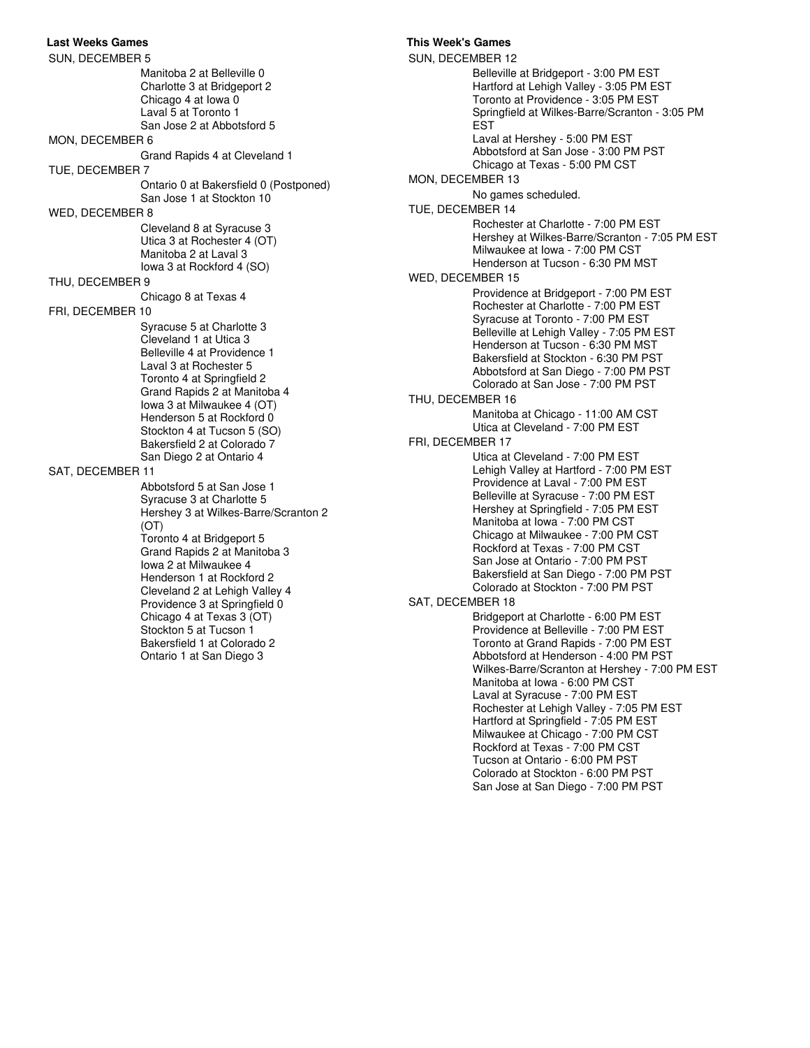**Last Weeks Games This Week's Games** SUN, DECEMBER 5 Manitoba 2 at Belleville 0 Charlotte 3 at Bridgeport 2 Chicago 4 at Iowa 0 Laval 5 at Toronto 1 San Jose 2 at Abbotsford 5 MON, DECEMBER 6 Grand Rapids 4 at Cleveland 1 TUE, DECEMBER 7 Ontario 0 at Bakersfield 0 (Postponed) San Jose 1 at Stockton 10 WED, DECEMBER 8 Cleveland 8 at Syracuse 3 Utica 3 at Rochester 4 (OT) Manitoba 2 at Laval 3 Iowa 3 at Rockford 4 (SO) THU, DECEMBER 9 Chicago 8 at Texas 4 FRI, DECEMBER 10 Syracuse 5 at Charlotte 3 Cleveland 1 at Utica 3 Belleville 4 at Providence 1 Laval 3 at Rochester 5 Toronto 4 at Springfield 2 Grand Rapids 2 at Manitoba 4 Iowa 3 at Milwaukee 4 (OT) Henderson 5 at Rockford 0 Stockton 4 at Tucson 5 (SO) Bakersfield 2 at Colorado 7 San Diego 2 at Ontario 4 SAT, DECEMBER 11 Abbotsford 5 at San Jose 1 Syracuse 3 at Charlotte 5 Hershey 3 at Wilkes-Barre/Scranton 2 (OT) Toronto 4 at Bridgeport 5 Grand Rapids 2 at Manitoba 3 Iowa 2 at Milwaukee 4 Henderson 1 at Rockford 2 Cleveland 2 at Lehigh Valley 4 Providence 3 at Springfield 0 Chicago 4 at Texas 3 (OT) Stockton 5 at Tucson 1 Bakersfield 1 at Colorado 2 Ontario 1 at San Diego 3

SUN, DECEMBER 12 Belleville at Bridgeport - 3:00 PM EST Hartford at Lehigh Valley - 3:05 PM EST Toronto at Providence - 3:05 PM EST Springfield at Wilkes-Barre/Scranton - 3:05 PM EST Laval at Hershey - 5:00 PM EST Abbotsford at San Jose - 3:00 PM PST Chicago at Texas - 5:00 PM CST MON, DECEMBER 13 No games scheduled. TUE, DECEMBER 14 Rochester at Charlotte - 7:00 PM EST Hershey at Wilkes-Barre/Scranton - 7:05 PM EST Milwaukee at Iowa - 7:00 PM CST Henderson at Tucson - 6:30 PM MST WED, DECEMBER 15 Providence at Bridgeport - 7:00 PM EST Rochester at Charlotte - 7:00 PM EST Syracuse at Toronto - 7:00 PM EST Belleville at Lehigh Valley - 7:05 PM EST Henderson at Tucson - 6:30 PM MST Bakersfield at Stockton - 6:30 PM PST Abbotsford at San Diego - 7:00 PM PST Colorado at San Jose - 7:00 PM PST THU, DECEMBER 16 Manitoba at Chicago - 11:00 AM CST Utica at Cleveland - 7:00 PM EST FRI, DECEMBER 17 Utica at Cleveland - 7:00 PM EST Lehigh Valley at Hartford - 7:00 PM EST Providence at Laval - 7:00 PM EST Belleville at Syracuse - 7:00 PM EST Hershey at Springfield - 7:05 PM EST Manitoba at Iowa - 7:00 PM CST Chicago at Milwaukee - 7:00 PM CST Rockford at Texas - 7:00 PM CST San Jose at Ontario - 7:00 PM PST Bakersfield at San Diego - 7:00 PM PST Colorado at Stockton - 7:00 PM PST SAT, DECEMBER 18 Bridgeport at Charlotte - 6:00 PM EST Providence at Belleville - 7:00 PM EST Toronto at Grand Rapids - 7:00 PM EST Abbotsford at Henderson - 4:00 PM PST Wilkes-Barre/Scranton at Hershey - 7:00 PM EST Manitoba at Iowa - 6:00 PM CST Laval at Syracuse - 7:00 PM EST Rochester at Lehigh Valley - 7:05 PM EST Hartford at Springfield - 7:05 PM EST Milwaukee at Chicago - 7:00 PM CST Rockford at Texas - 7:00 PM CST Tucson at Ontario - 6:00 PM PST Colorado at Stockton - 6:00 PM PST San Jose at San Diego - 7:00 PM PST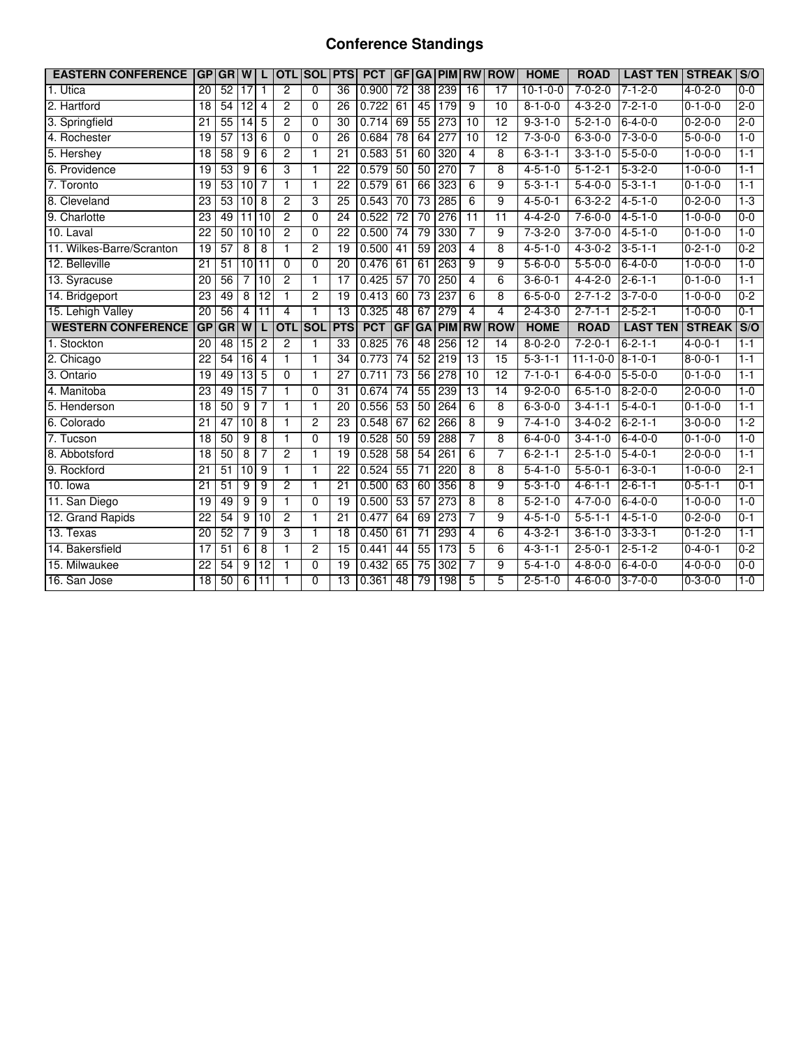## **Conference Standings**

| <b>EASTERN CONFERENCE</b> |                 | <b>GPIGRIW</b>  |                 |                 | <b>OTL</b>     | <b>SOL</b>     | <b>PTS</b>      | <b>PCT</b> | GF              | <b>GA</b>       | <b>PIM</b>       | <b>RW</b>       | <b>ROW</b>      | <b>HOME</b>     | <b>ROAD</b>      | <b>LAST TEN</b>  | <b>STREAK</b>   | S/O                                |
|---------------------------|-----------------|-----------------|-----------------|-----------------|----------------|----------------|-----------------|------------|-----------------|-----------------|------------------|-----------------|-----------------|-----------------|------------------|------------------|-----------------|------------------------------------|
| 1. Utica                  | $\overline{20}$ | 52              | $\overline{17}$ | $\mathbf{1}$    | $\overline{2}$ | $\Omega$       | $\overline{36}$ | 0.900      | $\overline{72}$ | 38              | 239              | 16              | $\overline{17}$ | $10-1-0-0$      | $7 - 0 - 2 - 0$  | $7 - 1 - 2 - 0$  | $4 - 0 - 2 - 0$ | $0 - 0$                            |
| 2. Hartford               | $\overline{18}$ | 54              | $\overline{12}$ | 4               | $\overline{2}$ | $\Omega$       | $\overline{26}$ | 0.722      | 61              | 45              | 179              | 9               | 10              | $8 - 1 - 0 - 0$ | $4 - 3 - 2 - 0$  | $7 - 2 - 1 - 0$  | $0 - 1 - 0 - 0$ | $2 - 0$                            |
| 3. Springfield            | 21              | 55              | 14              | 5               | $\overline{2}$ | $\Omega$       | 30              | 0.714      | 69              | 55              | $\overline{273}$ | $\overline{10}$ | $\overline{12}$ | $9 - 3 - 1 - 0$ | $5 - 2 - 1 - 0$  | $6 - 4 - 0 - 0$  | $0 - 2 - 0 - 0$ | $2 - 0$                            |
| 4. Rochester              | 19              | 57              | 13              | 6               | 0              | 0              | 26              | 0.684      | $\overline{78}$ | 64              | $\overline{277}$ | 10              | 12              | $7 - 3 - 0 - 0$ | $6 - 3 - 0 - 0$  | $7 - 3 - 0 - 0$  | $5-0-0-0$       | $1 - 0$                            |
| 5. Hershey                | $\overline{18}$ | 58              | 9               | 6               | $\overline{2}$ | $\overline{1}$ | 21              | 0.583      | 51              | 60              | 320              | $\overline{4}$  | 8               | $6 - 3 - 1 - 1$ | $3 - 3 - 1 - 0$  | $5 - 5 - 0 - 0$  | $1 - 0 - 0 - 0$ | $1 - 1$                            |
| 6. Providence             | $\overline{19}$ | 53              | 9               | 6               | 3              | $\overline{1}$ | 22              | 0.579      | 50              | 50              | 270              | 7               | 8               | $4 - 5 - 1 - 0$ | $5 - 1 - 2 - 1$  | $5 - 3 - 2 - 0$  | $1 - 0 - 0 - 0$ | $1 - 1$                            |
| 7. Toronto                | 19              | 53              | $\overline{10}$ | 7               | 1              | $\mathbf{1}$   | 22              | 0.579      | 61              | 66              | 323              | 6               | 9               | $5 - 3 - 1 - 1$ | $5 - 4 - 0 - 0$  | $5 - 3 - 1 - 1$  | $0 - 1 - 0 - 0$ | $1 - 1$                            |
| 8. Cleveland              | 23              | $\overline{53}$ | 10              | 8               | $\overline{c}$ | 3              | $\overline{25}$ | 0.543      | $\overline{70}$ | $\overline{73}$ | 285              | 6               | 9               | $4 - 5 - 0 - 1$ | $6 - 3 - 2 - 2$  | $4 - 5 - 1 - 0$  | $0 - 2 - 0 - 0$ | $1-3$                              |
| 9. Charlotte              | $\overline{23}$ | 49              |                 | 11110           | $\overline{2}$ | $\Omega$       | $\overline{24}$ | 0.522      | $\overline{72}$ | $\overline{70}$ | 276              | $\overline{11}$ | $\overline{11}$ | $4 - 4 - 2 - 0$ | $7 - 6 - 0 - 0$  | $4 - 5 - 1 - 0$  | $1 - 0 - 0 - 0$ | $0 - 0$                            |
| 10. Laval                 | 22              | 50              |                 | 10 10           | $\overline{2}$ | 0              | $\overline{22}$ | 0.500      | $\overline{74}$ | $\overline{79}$ | 330              | 7               | 9               | $7 - 3 - 2 - 0$ | $3 - 7 - 0 - 0$  | $4 - 5 - 1 - 0$  | $0 - 1 - 0 - 0$ | $1 - 0$                            |
| 11. Wilkes-Barre/Scranton | 19              | 57              | 8               | 8               | 1              | $\overline{2}$ | $\overline{19}$ | 0.500      | $\overline{41}$ | 59              | 203              | 4               | 8               | $4 - 5 - 1 - 0$ | $4 - 3 - 0 - 2$  | $3 - 5 - 1 - 1$  | $0 - 2 - 1 - 0$ | $0 - 2$                            |
| 12. Belleville            | 21              | 51              | 10111           |                 | 0              | 0              | 20              | 0.476      | 61              | 61              | 263              | 9               | 9               | $5 - 6 - 0 - 0$ | $5 - 5 - 0 - 0$  | $6 - 4 - 0 - 0$  | $1 - 0 - 0 - 0$ | $1 - 0$                            |
| 13. Syracuse              | $\overline{20}$ | 56              | 7               | 10              | $\overline{2}$ | $\overline{1}$ | 17              | 0.425      | 57              | 70              | 250              | $\overline{4}$  | 6               | $3 - 6 - 0 - 1$ | $4 - 4 - 2 - 0$  | $2 - 6 - 1 - 1$  | $0 - 1 - 0 - 0$ | $1 - 1$                            |
| 14. Bridgeport            | 23              | 49              | 8               | 12              | 1              | $\overline{2}$ | 19              | 0.413      | 60              | 73              | 237              | 6               | 8               | $6 - 5 - 0 - 0$ | $2 - 7 - 1 - 2$  | $3 - 7 - 0 - 0$  | $1 - 0 - 0 - 0$ | $0-2$                              |
| 15. Lehigh Valley         | $\overline{20}$ | 56              | 4               | $\overline{11}$ | 4              | 1              | $\overline{13}$ | 0.325      | 48              | 67              | 279              | $\overline{4}$  | 4               | $2 - 4 - 3 - 0$ | $2 - 7 - 1 - 1$  | $2 - 5 - 2 - 1$  | $1 - 0 - 0 - 0$ | $0 - 1$                            |
| <b>WESTERN CONFERENCE</b> |                 | GP GR           | $\overline{w}$  |                 | <b>OTL</b>     | <b>SOL</b>     | <b>PTS</b>      | <b>PCT</b> | GF              | GA              | <b>PIM</b>       | <b>RW</b>       | <b>ROW</b>      | <b>HOME</b>     | <b>ROAD</b>      | <b>LAST TEN</b>  | <b>STREAK</b>   | $\overline{\mathsf{S}/\mathsf{O}}$ |
| 1. Stockton               | 20              | 48              | 15              | $\overline{c}$  | $\overline{2}$ | 1              | $\overline{33}$ | 0.825      | 76              | 48              | 256              | 12              | $\overline{14}$ | $8 - 0 - 2 - 0$ | $7 - 2 - 0 - 1$  | $6 - 2 - 1 - 1$  | $4 - 0 - 0 - 1$ | $1 - 1$                            |
| 2. Chicago                | 22              | 54              | 16              | $\overline{4}$  | $\mathbf{1}$   | 1              | $\overline{34}$ | 0.773      | 74              | 52              | 219              | 13              | $\overline{15}$ | $5 - 3 - 1 - 1$ | $11 - 1 - 0 - 0$ | $8 - 1 - 0 - 1$  | $8 - 0 - 0 - 1$ | $1 - 1$                            |
| $3.$ Ontario              | 19              | 49              | 13              | 5               | $\mathbf 0$    | 1              | 27              | 0.711      | $\overline{73}$ | $\overline{56}$ | 278              | 10              | $\overline{12}$ | $7 - 1 - 0 - 1$ | $6 - 4 - 0 - 0$  | $5 - 5 - 0 - 0$  | $0 - 1 - 0 - 0$ | $1 - 1$                            |
| 4. Manitoba               | 23              | 49              | $\overline{15}$ | 7               | 1              | 0              | $\overline{31}$ | 0.674      | $\overline{74}$ | $\overline{55}$ | 239              | $\overline{13}$ | 14              | $9 - 2 - 0 - 0$ | $6 - 5 - 1 - 0$  | $8 - 2 - 0 - 0$  | $2 - 0 - 0 - 0$ | $1 - 0$                            |
| 5. Henderson              | 18              | 50              | 9               | 7               | $\mathbf{1}$   | $\mathbf{1}$   | 20              | 0.556      | 53              | 50              | 264              | 6               | 8               | $6 - 3 - 0 - 0$ | $3-4-1-1$        | $5 - 4 - 0 - 1$  | $0 - 1 - 0 - 0$ | $1-1$                              |
| 6. Colorado               | $\overline{21}$ | 47              | 10              | $\overline{8}$  | 1              | $\overline{2}$ | 23              | 0.548      | 67              | 62              | 266              | $\overline{8}$  | 9               | $7 - 4 - 1 - 0$ | $3-4-0-2$        | $6 - 2 - 1 - 1$  | $3 - 0 - 0 - 0$ | $1-2$                              |
| 7. Tucson                 | $\overline{18}$ | 50              | 9               | 8               | 1              | $\overline{0}$ | 19              | 0.528      | 50              | 59              | 288              | 7               | $\overline{8}$  | $6 - 4 - 0 - 0$ | $3 - 4 - 1 - 0$  | $6 - 4 - 0 - 0$  | $0 - 1 - 0 - 0$ | $1 - 0$                            |
| 8. Abbotsford             | 18              | 50              | 8               |                 | $\overline{2}$ | 1              | $\overline{19}$ | 0.528      | 58              | 54              | 261              | 6               | 7               | $6 - 2 - 1 - 1$ | $2 - 5 - 1 - 0$  | $5 - 4 - 0 - 1$  | $2 - 0 - 0 - 0$ | $1 - 1$                            |
| 9. Rockford               | $\overline{21}$ | 51              | 10              | 9               | $\mathbf{1}$   | $\mathbf{1}$   | $\overline{22}$ | 0.524      | 55              | $\overline{71}$ | 220              | 8               | 8               | $5 - 4 - 1 - 0$ | $5 - 5 - 0 - 1$  | $6 - 3 - 0 - 1$  | $1 - 0 - 0 - 0$ | $2 - 1$                            |
| 10. lowa                  | 21              | 51              | $\overline{9}$  | 9               | $\overline{2}$ | 1              | $\overline{21}$ | 0.500      | 63              | 60              | 356              | 8               | 9               | $5 - 3 - 1 - 0$ | $4 - 6 - 1 - 1$  | $2 - 6 - 1 - 1$  | $0 - 5 - 1 - 1$ | $0 - 1$                            |
| 11. San Diego             | 19              | 49              | $\overline{9}$  | 9               | $\mathbf{1}$   | 0              | 19              | 0.500      | 53              | 57              | 273              | 8               | 8               | $5 - 2 - 1 - 0$ | $4 - 7 - 0 - 0$  | $6 - 4 - 0 - 0$  | $1 - 0 - 0 - 0$ | $1 - 0$                            |
| 12. Grand Rapids          | $\overline{22}$ | 54              | $\overline{9}$  | $\overline{10}$ | $\overline{2}$ | 1              | $\overline{21}$ | 0.477      | 64              | 69              | 273              | 7               | 9               | $4 - 5 - 1 - 0$ | $5 - 5 - 1 - 1$  | $4 - 5 - 1 - 0$  | $0 - 2 - 0 - 0$ | $0 - 1$                            |
| 13. Texas                 | $\overline{20}$ | 52              | 7               | $\overline{9}$  | 3              | $\mathbf{1}$   | 18              | 0.450      | 61              | $\overline{71}$ | 293              | $\overline{4}$  | $\overline{6}$  | $4 - 3 - 2 - 1$ | $3 - 6 - 1 - 0$  | $3 - 3 - 3 - 1$  | $0 - 1 - 2 - 0$ | $1 - 1$                            |
| 14. Bakersfield           | 17              | 51              | $6\overline{6}$ | 8               | 1              | 2              | 15              | 0.441      | 44              | 55              | 173              | 5               | 6               | $4 - 3 - 1 - 1$ | $2 - 5 - 0 - 1$  | $2 - 5 - 1 - 2$  | $0 - 4 - 0 - 1$ | $0-2$                              |
| 15. Milwaukee             | $\overline{22}$ | 54              | 9               | 12              | 1              | $\overline{0}$ | $\overline{19}$ | 0.432      | 65              | 75              | 302              | 7               | 9               | $5 - 4 - 1 - 0$ | $4 - 8 - 0 - 0$  | $6 - 4 - 0 - 0$  | $4 - 0 - 0 - 0$ | $0 - 0$                            |
| 16. San Jose              | 18              | 50              | 6               | 11              | 1              | 0              | $\overline{13}$ | 0.361      | 48              | 79              | 198              | 5               | 5               | $2 - 5 - 1 - 0$ | $4 - 6 - 0 - 0$  | $13 - 7 - 0 - 0$ | $0 - 3 - 0 - 0$ | $1 - 0$                            |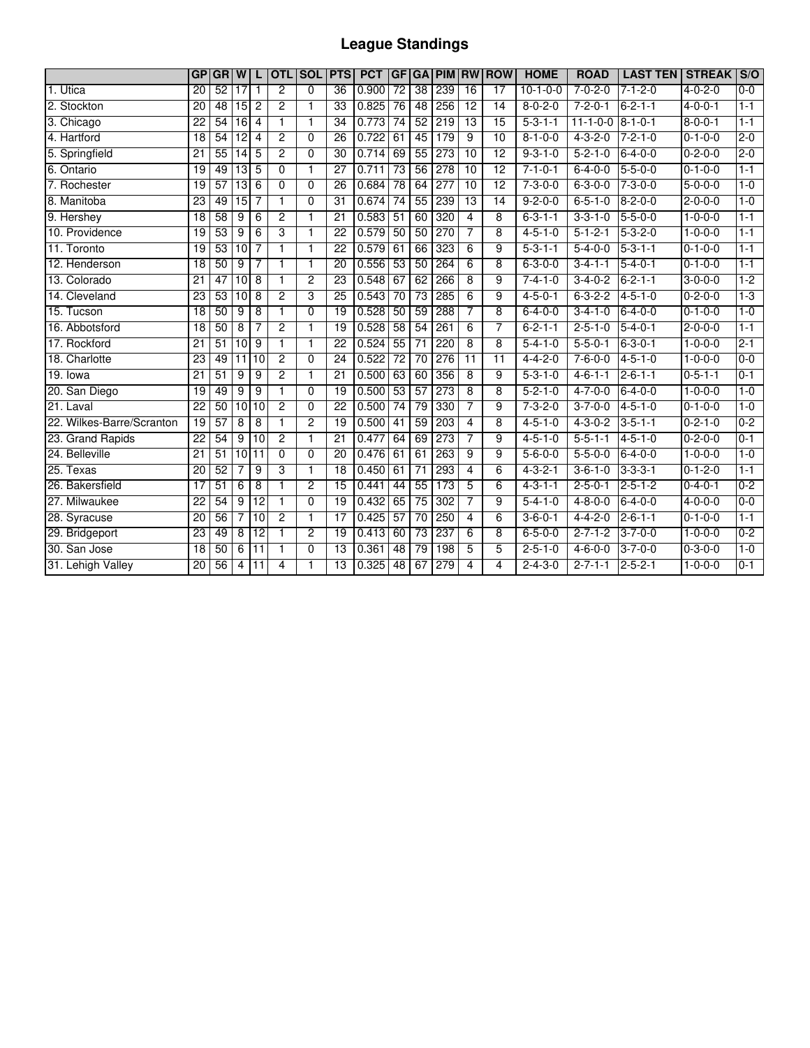# **League Standings**

|                           | <b>GP</b>       | <b>GRIW</b> |                 | L               | <b>OTL</b>     | <b>SOL</b>     | <b>PTS</b>      | <b>PCT</b> | <b>GF</b>       | <b>GA</b>       | <b>PIM RW</b>    |                 | <b>ROW</b>      | <b>HOME</b>     | <b>ROAD</b>      | <b>LAST TEN</b> | <b>STREAK</b>   | S/O     |
|---------------------------|-----------------|-------------|-----------------|-----------------|----------------|----------------|-----------------|------------|-----------------|-----------------|------------------|-----------------|-----------------|-----------------|------------------|-----------------|-----------------|---------|
| 1. Utica                  | 20              | 52          | $\overline{17}$ | 1               | $\overline{2}$ | $\Omega$       | $\overline{36}$ | 0.900      | $\overline{72}$ | $\overline{38}$ | 239              | $\overline{16}$ | $\overline{17}$ | $10-1-0-0$      | $7 - 0 - 2 - 0$  | $7 - 1 - 2 - 0$ | $4 - 0 - 2 - 0$ | $0 - 0$ |
| 2. Stockton               | $\overline{20}$ | 48          | $\overline{15}$ | $\overline{c}$  | $\overline{2}$ | 1              | $\overline{33}$ | 0.825      | $\overline{76}$ | 48              | 256              | $\overline{12}$ | $\overline{14}$ | $8 - 0 - 2 - 0$ | $7 - 2 - 0 - 1$  | $6 - 2 - 1 - 1$ | $4 - 0 - 0 - 1$ | $1 - 1$ |
| 3. Chicago                | 22              | 54          | 16              | $\overline{4}$  | 1              | 1              | 34              | 0.773      | $\overline{74}$ | 52              | 219              | $\overline{13}$ | 15              | $5 - 3 - 1 - 1$ | $11 - 1 - 0 - 0$ | $8 - 1 - 0 - 1$ | $8 - 0 - 0 - 1$ | $1 - 1$ |
| 4. Hartford               | 18              | 54          | $\overline{12}$ | $\overline{4}$  | $\overline{c}$ | $\mathbf 0$    | $\overline{26}$ | 0.722      | 61              | 45              | 179              | 9               | $\overline{10}$ | $8 - 1 - 0 - 0$ | $4 - 3 - 2 - 0$  | $7 - 2 - 1 - 0$ | $0 - 1 - 0 - 0$ | $2 - 0$ |
| 5. Springfield            | $\overline{21}$ | 55          | 14              | 5               | $\overline{2}$ | $\Omega$       | 30              | 0.714      | 69              | 55              | 273              | 10              | $\overline{12}$ | $9 - 3 - 1 - 0$ | $5 - 2 - 1 - 0$  | $6 - 4 - 0 - 0$ | $0 - 2 - 0 - 0$ | $2 - 0$ |
| 6. Ontario                | 19              | 49          | $\overline{13}$ | 5               | $\Omega$       | 1              | 27              | 0.711      | 73              | 56              | 278              | 10              | $\overline{12}$ | $7 - 1 - 0 - 1$ | $6 - 4 - 0 - 0$  | $5 - 5 - 0 - 0$ | $0 - 1 - 0 - 0$ | $1 - 1$ |
| 7. Rochester              | $\overline{19}$ | 57          | $\overline{13}$ | 6               | $\overline{0}$ | $\overline{0}$ | $\overline{26}$ | 0.684      | $\overline{78}$ | 64              | 277              | 10              | 12              | $7 - 3 - 0 - 0$ | $6 - 3 - 0 - 0$  | $7 - 3 - 0 - 0$ | $5 - 0 - 0 - 0$ | $1 - 0$ |
| 8. Manitoba               | $\overline{23}$ | 49          | 15              | 7               | 1              | $\Omega$       | 31              | 0.674      | 74              | 55              | 239              | 13              | 14              | $9 - 2 - 0 - 0$ | $6 - 5 - 1 - 0$  | $8 - 2 - 0 - 0$ | $2 - 0 - 0 - 0$ | $1 - 0$ |
| 9. Hershey                | 18              | 58          | 9               | 6               | $\overline{2}$ | 1              | 21              | 0.583      | 51              | 60              | 320              | 4               | 8               | $6 - 3 - 1 - 1$ | $3 - 3 - 1 - 0$  | $5 - 5 - 0 - 0$ | $1 - 0 - 0 - 0$ | $1 - 1$ |
| 10. Providence            | 19              | 53          | 9               | 6               | 3              | 1              | $\overline{22}$ | 0.579      | 50              | 50              | 270              | 7               | 8               | $4 - 5 - 1 - 0$ | $5 - 1 - 2 - 1$  | $5 - 3 - 2 - 0$ | $1 - 0 - 0 - 0$ | $1 - 1$ |
| 11. Toronto               | 19              | 53          | 10              | $\overline{7}$  | $\mathbf{1}$   | 1              | 22              | 0.579      | 61              | 66              | 323              | 6               | 9               | $5 - 3 - 1 - 1$ | $5 - 4 - 0 - 0$  | $5 - 3 - 1 - 1$ | $0 - 1 - 0 - 0$ | $1 - 1$ |
| 12. Henderson             | 18              | 50          | 9               | 7               | $\mathbf{1}$   | 1              | 20              | 0.556      | 53              | 50              | 264              | 6               | 8               | $6 - 3 - 0 - 0$ | $3-4-1-1$        | $5 - 4 - 0 - 1$ | $0 - 1 - 0 - 0$ | $1 - 1$ |
| 13. Colorado              | $\overline{21}$ | 47          | 10              | 8               | $\mathbf{1}$   | $\overline{2}$ | 23              | 0.548      | 67              | 62              | 266              | 8               | 9               | $7 - 4 - 1 - 0$ | $3-4-0-2$        | $6 - 2 - 1 - 1$ | $3-0-0-0$       | $1-2$   |
| 14. Cleveland             | 23              | 53          | 10              | 8               | $\overline{2}$ | 3              | 25              | 0.543      | 70              | 73              | 285              | 6               | 9               | $4 - 5 - 0 - 1$ | $6 - 3 - 2 - 2$  | $4 - 5 - 1 - 0$ | $0 - 2 - 0 - 0$ | $1-3$   |
| 15. Tucson                | $\overline{18}$ | 50          | 9               | 8               | 1              | $\overline{0}$ | $\overline{19}$ | 0.528      | 50              | 59              | 288              | 7               | 8               | $6 - 4 - 0 - 0$ | $3 - 4 - 1 - 0$  | $6 - 4 - 0 - 0$ | $0 - 1 - 0 - 0$ | $1 - 0$ |
| 16. Abbotsford            | 18              | 50          | 8               | 7               | $\overline{2}$ | 1              | $\overline{19}$ | 0.528      | 58              | 54              | 261              | 6               | $\overline{7}$  | $6 - 2 - 1 - 1$ | $2 - 5 - 1 - 0$  | $5 - 4 - 0 - 1$ | $2 - 0 - 0 - 0$ | $1 - 1$ |
| 17. Rockford              | $\overline{21}$ | 51          | $\overline{10}$ | 9               | $\mathbf{1}$   | 1              | $\overline{22}$ | 0.524      | 55              | $\overline{71}$ | 220              | 8               | 8               | $5 - 4 - 1 - 0$ | $5 - 5 - 0 - 1$  | $6 - 3 - 0 - 1$ | $1 - 0 - 0 - 0$ | $2 - 1$ |
| 18. Charlotte             | $\overline{23}$ | 49          | $\overline{11}$ | $\overline{10}$ | $\overline{2}$ | $\Omega$       | $\overline{24}$ | 0.522      | $\overline{72}$ | $\overline{70}$ | $\overline{276}$ | $\overline{11}$ | $\overline{11}$ | $4 - 4 - 2 - 0$ | $7 - 6 - 0 - 0$  | $4 - 5 - 1 - 0$ | $1 - 0 - 0 - 0$ | $0 - 0$ |
| 19. lowa                  | $\overline{21}$ | 51          | 9               | 9               | $\overline{2}$ | 1              | $\overline{21}$ | 0.500      | 63              | 60              | 356              | 8               | 9               | $5 - 3 - 1 - 0$ | $4 - 6 - 1 - 1$  | $2 - 6 - 1 - 1$ | $0 - 5 - 1 - 1$ | $0 - 1$ |
| 20. San Diego             | 19              | 49          | 9               | 9               | 1              | $\mathbf 0$    | $\overline{19}$ | 0.500      | 53              | 57              | 273              | 8               | 8               | $5 - 2 - 1 - 0$ | $4 - 7 - 0 - 0$  | $6 - 4 - 0 - 0$ | $1 - 0 - 0 - 0$ | $1 - 0$ |
| $21.$ Laval               | $\overline{22}$ | 50          | $\overline{10}$ | 10              | $\overline{2}$ | $\Omega$       | $\overline{22}$ | 0.500      | 74              | 79              | 330              | 7               | 9               | $7 - 3 - 2 - 0$ | $3 - 7 - 0 - 0$  | $4 - 5 - 1 - 0$ | $0 - 1 - 0 - 0$ | $1 - 0$ |
| 22. Wilkes-Barre/Scranton | $\overline{19}$ | 57          | 8               | 8               | 1              | $\overline{2}$ | 19              | 0.500      | 41              | 59              | 203              | 4               | 8               | $4 - 5 - 1 - 0$ | $4 - 3 - 0 - 2$  | $3 - 5 - 1 - 1$ | $0 - 2 - 1 - 0$ | $0 - 2$ |
| 23. Grand Rapids          | $\overline{22}$ | 54          | 9               | 10              | $\overline{2}$ | 1              | $\overline{21}$ | 0.477      | 64              | 69              | 273              | 7               | 9               | $4 - 5 - 1 - 0$ | $5 - 5 - 1 - 1$  | $4 - 5 - 1 - 0$ | $0 - 2 - 0 - 0$ | $0 - 1$ |
| 24. Belleville            | 21              | 51          | 10              | $\overline{11}$ | $\overline{0}$ | $\Omega$       | 20              | 0.476      | 61              | 61              | 263              | 9               | 9               | $5 - 6 - 0 - 0$ | $5 - 5 - 0 - 0$  | $6 - 4 - 0 - 0$ | $1 - 0 - 0 - 0$ | $1 - 0$ |
| 25. Texas                 | 20              | 52          |                 | 9               | 3              | 1              | 18              | 0.450      | 61              | $\overline{71}$ | 293              | 4               | 6               | $4 - 3 - 2 - 1$ | $3 - 6 - 1 - 0$  | $3 - 3 - 3 - 1$ | $0 - 1 - 2 - 0$ | $1 - 1$ |
| 26. Bakersfield           | 17              | 51          | 6               | 8               | $\mathbf{1}$   | 2              | $\overline{15}$ | 0.441      | 44              | 55              | 173              | 5               | 6               | $4 - 3 - 1 - 1$ | $2 - 5 - 0 - 1$  | $2 - 5 - 1 - 2$ | $0 - 4 - 0 - 1$ | $0 - 2$ |
| 27. Milwaukee             | $\overline{22}$ | 54          | 9               | $\overline{12}$ | $\mathbf{1}$   | $\Omega$       | 19              | 0.432      | 65              | $\overline{75}$ | 302              | 7               | 9               | $5 - 4 - 1 - 0$ | $4 - 8 - 0 - 0$  | $6 - 4 - 0 - 0$ | $4 - 0 - 0 - 0$ | $0 - 0$ |
| 28. Syracuse              | 20              | 56          | 7               | 10              | $\overline{c}$ | 1              | 17              | 0.425      | 57              | $\overline{70}$ | 250              | 4               | 6               | $3 - 6 - 0 - 1$ | $4 - 4 - 2 - 0$  | $2 - 6 - 1 - 1$ | $0 - 1 - 0 - 0$ | $1 - 1$ |
| 29. Bridgeport            | $\overline{23}$ | 49          | $\overline{8}$  | 12              | $\mathbf{1}$   | $\overline{2}$ | $\overline{19}$ | 0.413      | 60              | $\overline{73}$ | $\overline{237}$ | 6               | 8               | $6 - 5 - 0 - 0$ | $2 - 7 - 1 - 2$  | $3 - 7 - 0 - 0$ | $1 - 0 - 0 - 0$ | $0 - 2$ |
| 30. San Jose              | 18              | 50          | 6               | $\overline{11}$ | $\mathbf{1}$   | $\Omega$       | $\overline{13}$ | 0.361      | 48              | 79              | 198              | 5               | 5               | $2 - 5 - 1 - 0$ | $4 - 6 - 0 - 0$  | $3 - 7 - 0 - 0$ | $0 - 3 - 0 - 0$ | $1 - 0$ |
| 31. Lehigh Valley         | $\overline{20}$ | 56          | 4               | $\overline{11}$ | 4              |                | $\overline{13}$ | 0.325      | 48              | 67              | 279              | 4               | 4               | $2 - 4 - 3 - 0$ | $2 - 7 - 1 - 1$  | $2 - 5 - 2 - 1$ | $1 - 0 - 0 - 0$ | $0 - 1$ |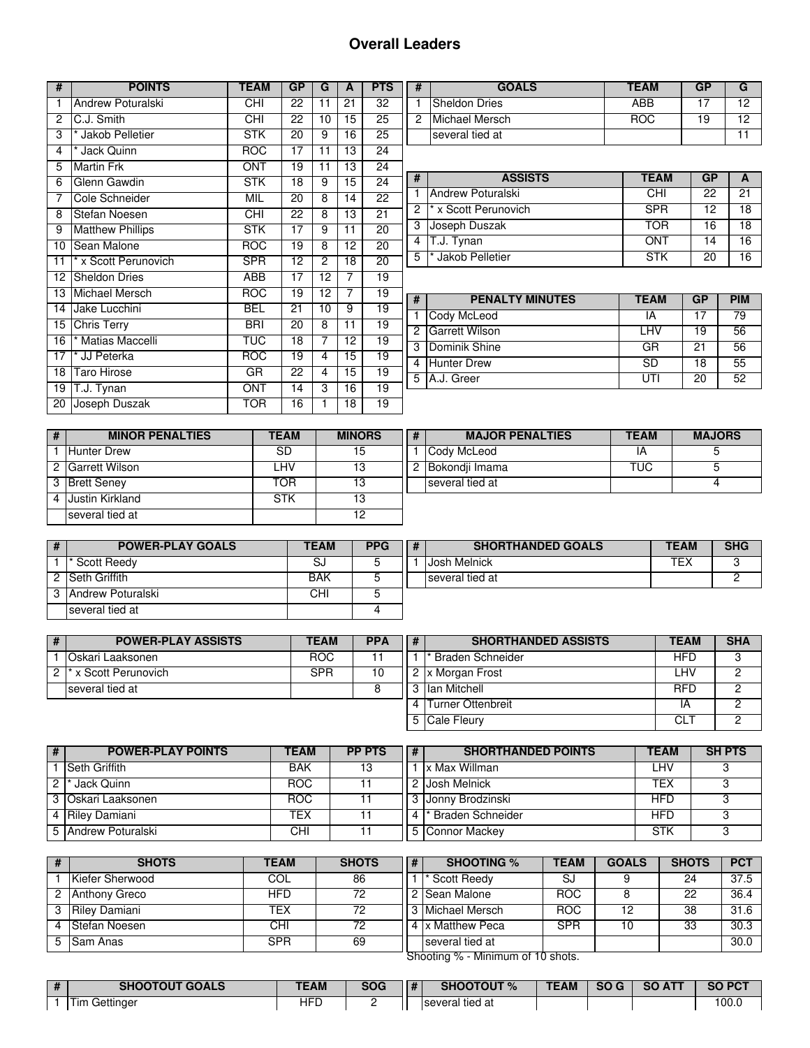## **Overall Leaders**

| #               | <b>POINTS</b>           | <b>TEAM</b> | GP              | G              | A               | <b>PTS</b>      |
|-----------------|-------------------------|-------------|-----------------|----------------|-----------------|-----------------|
| 1               | Andrew Poturalski       | <b>CHI</b>  | 22              | 11             | 21              | 32              |
| $\overline{c}$  | C.J. Smith              | <b>CHI</b>  | 22              | 10             | 15              | $\overline{25}$ |
| 3               | * Jakob Pelletier       | <b>STK</b>  | 20              | 9              | 16              | 25              |
| 4               | * Jack Quinn            | <b>ROC</b>  | 17              | 11             | 13              | 24              |
| 5               | <b>Martin Frk</b>       | ONT         | 19              | 11             | 13              | $\overline{2}4$ |
| 6               | Glenn Gawdin            | <b>STK</b>  | 18              | 9              | 15              | $\overline{24}$ |
| 7               | Cole Schneider          | MIL         | $\overline{20}$ | 8              | $\overline{14}$ | $\overline{22}$ |
| 8               | Stefan Noesen           | CHI         | $\overline{22}$ | 8              | $\overline{13}$ | 21              |
| 9               | <b>Matthew Phillips</b> | <b>STK</b>  | $\overline{17}$ | 9              | 11              | $\overline{20}$ |
| 10              | Sean Malone             | <b>ROC</b>  | 19              | 8              | 12              | $\overline{20}$ |
| 11              | * x Scott Perunovich    | <b>SPR</b>  | 12              | $\overline{c}$ | 18              | 20              |
| 12 <sup>°</sup> | <b>Sheldon Dries</b>    | ABB         | 17              | 12             | 7               | 19              |
| 13              | Michael Mersch          | <b>ROC</b>  | 19              | 12             | 7               | 19              |
| 14              | Jake Lucchini           | <b>BEL</b>  | 21              | 10             | 9               | 19              |
| 15              | <b>Chris Terry</b>      | <b>BRI</b>  | 20              | 8              | 11              | 19              |
| $\overline{16}$ | * Matias Maccelli       | TUC         | $\overline{18}$ | 7              | $\overline{12}$ | $\overline{19}$ |
| $\overline{17}$ | * JJ Peterka            | <b>ROC</b>  | $\overline{19}$ | 4              | $\overline{15}$ | $\overline{19}$ |
| 18              | <b>Taro Hirose</b>      | GR          | 22              | 4              | 15              | 19              |
| 19              | T.J. Tynan              | <b>ONT</b>  | 14              | 3              | 16              | 19              |
| 20              | Joseph Duszak           | TOR         | 16              | 1              | 18              | 19              |

| <b>GOALS</b>    | TEAM | GP |    |
|-----------------|------|----|----|
| Sheldon Dries   | ABB  | 17 | 12 |
| Michael Mersch  | ROC. | 19 | 10 |
| several tied at |      |    |    |

| # | <b>ASSISTS</b>                                  | <b>TEAM</b> | GP |    |
|---|-------------------------------------------------|-------------|----|----|
|   | Andrew Poturalski                               | CHI         | 22 | 21 |
|   | $2$ $\overline{\phantom{a}}$ x Scott Perunovich | <b>SPR</b>  | 12 | 18 |
| 3 | Joseph Duszak                                   | TOR         | 16 | 18 |
| 4 | T.J. Tynan                                      | ONT         | 14 | 16 |
| 5 | * Jakob Pelletier                               | <b>STK</b>  | 20 |    |

| # | <b>PENALTY MINUTES</b> | <b>TEAM</b> | GP | <b>PIM</b> |
|---|------------------------|-------------|----|------------|
|   | Cody McLeod            | ΙA          |    | 79         |
|   | 2 Garrett Wilson       | I HV        | 19 | 56         |
|   | 3 Dominik Shine        | GR          | 21 | 56         |
|   | 4 Hunter Drew          | SD          | 18 | 55         |
|   | 5 IA.J. Greer          |             | 20 | 52         |

|    | <b>MINOR PENALTIES</b> | TEAM      | <b>MINORS</b> | # |  |
|----|------------------------|-----------|---------------|---|--|
|    | <b>Hunter Drew</b>     | <b>SD</b> | 15            |   |  |
| 2  | Garrett Wilson         | I HV      | 13            |   |  |
| -3 | <b>Brett Seney</b>     | TOR       | ף ו           |   |  |
|    | <b>Justin Kirkland</b> | STK       | ף ∣           |   |  |
|    | several tied at        |           |               |   |  |

| # | <b>MAJOR PENALTIES</b> | <b>TEAM</b> | <b>MAJORS</b> |
|---|------------------------|-------------|---------------|
|   | Cody McLeod            |             |               |
|   | 2  Bokondii Imama      | TUC.        |               |
|   | several tied at        |             |               |

| <b>POWER-PLAY GOALS</b> | <b>TEAM</b> | <b>PPG</b> | <b>SHORTHANDED GOALS</b> | <b>TEAM</b> | <b>SHG</b> |
|-------------------------|-------------|------------|--------------------------|-------------|------------|
| Scott Reedy             | S.          |            | Josh Melnick             | TEX         |            |
| 2 Seth Griffith         | BAK         |            | several tied at          |             |            |
| 3 Andrew Poturalski     | CHI         |            |                          |             |            |
| several tied at         |             |            |                          |             |            |

| # | <b>POWER-PLAY ASSISTS</b>         | <b>TEAM</b> | <b>PPA</b> | # | <b>SHORTHANDED ASSISTS</b> | <b>TEAM</b> | <b>SHA</b> |
|---|-----------------------------------|-------------|------------|---|----------------------------|-------------|------------|
|   | <b>Oskari Laaksonen</b>           | <b>ROC</b>  |            |   | Braden Schneider           | HFD         |            |
|   | 2 <sup>*</sup> x Scott Perunovich | SPR         |            |   | x Morgan Frost             | ∟HV         |            |
|   | several tied at                   |             |            |   | lan Mitchell               | <b>RFD</b>  |            |
|   |                                   |             |            |   | Turner Ottenbreit          | IΑ          |            |
|   |                                   |             |            |   | Cale Fleury                | CL.         |            |

| # | <b>POWER-PLAY POINTS</b> | <b>TEAM</b> | <b>PP PTS</b> | # | <b>SHORTHANDED POINTS</b> | <b>TEAM</b> | <b>SH PTS</b> |
|---|--------------------------|-------------|---------------|---|---------------------------|-------------|---------------|
|   | <b>Seth Griffith</b>     | BAK         | 13            |   | <b>x Max Willman</b>      | LHV         |               |
|   | Jack Quinn               | <b>ROC</b>  |               |   | Josh Melnick              | TEX         |               |
|   | 3   Oskari Laaksonen     | <b>ROC</b>  |               |   | 3 Jonny Brodzinski        | HFD         |               |
|   | 4 Riley Damiani          | TEX         |               | 4 | Braden Schneider          | <b>HFD</b>  |               |
|   | 5 Andrew Poturalski      | CHI         |               |   | Connor Mackey             | <b>STK</b>  |               |

| # | <b>SHOTS</b>                      | TEAM       | <b>SHOTS</b> | # | <b>SHOOTING %</b> | <b>TEAM</b> | <b>GOALS</b> | <b>SHOTS</b> | <b>PCT</b> |  |  |
|---|-----------------------------------|------------|--------------|---|-------------------|-------------|--------------|--------------|------------|--|--|
|   | Kiefer Sherwood                   | COL        | 86           |   | Scott Reedy       | SJ          |              | 24           | 37.5       |  |  |
|   | 2 Anthony Greco                   | <b>HFD</b> | 72           |   | 2 Sean Malone     | <b>ROC</b>  |              | 22           | 36.4       |  |  |
|   | 3 Riley Damiani                   | TEX        | 72           |   | 3 Michael Mersch  | <b>ROC</b>  | 12           | 38           | 31.6       |  |  |
|   | Stefan Noesen                     | CHI        | 72           |   | 4 x Matthew Peca  | <b>SPR</b>  |              | 33           | 30.3       |  |  |
|   | 5 Sam Anas                        | <b>SPR</b> | 69           |   | several tied at   |             |              |              | 30.0       |  |  |
|   | Shooting % - Minimum of 10 shots. |            |              |   |                   |             |              |              |            |  |  |

| <b>SHOOTOUT GOALS</b> | TEAM | SOG | # | <b>SHOOTOUT %</b> | <b>TEAM</b> | <b>SO</b> | $50 \text{ A}T$ | SO PC <sup>T</sup> |
|-----------------------|------|-----|---|-------------------|-------------|-----------|-----------------|--------------------|
| Tim Gettinger         | ⊣FΓ  |     |   | several tied at   |             |           |                 | 100.1              |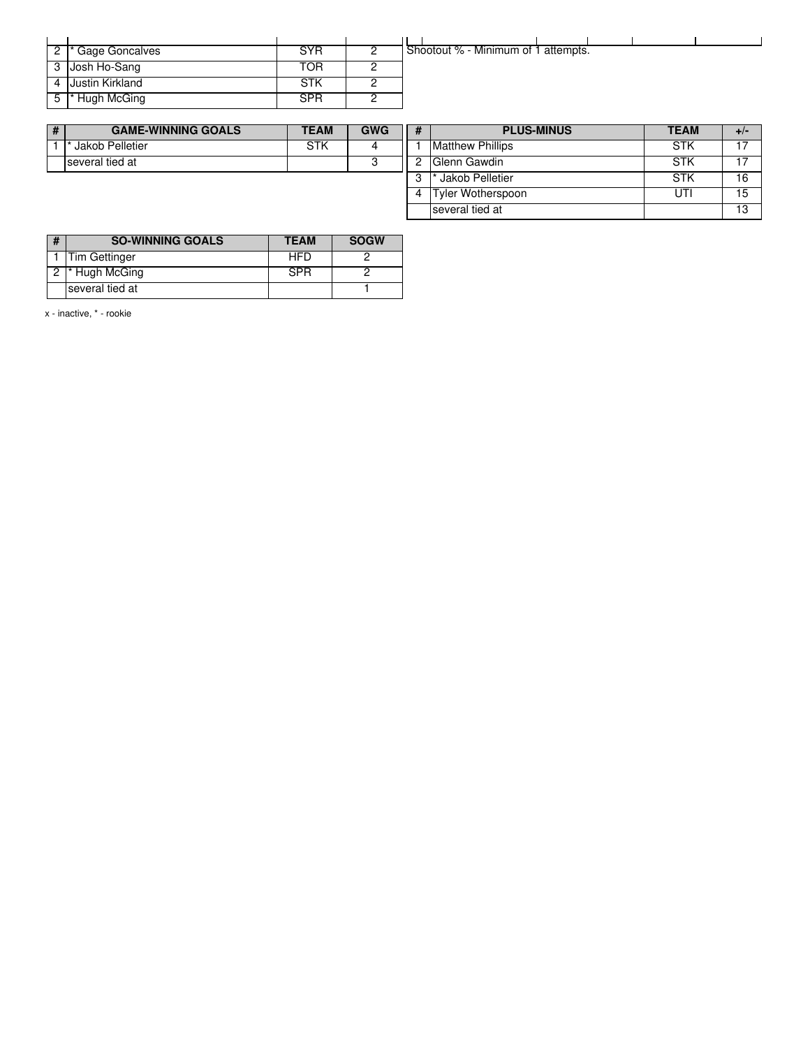| 2  * Gage Goncalves | SYR | Shootout % - Minimum of 1 attempts. |
|---------------------|-----|-------------------------------------|
| 3 Josh Ho-Sang      | TOR |                                     |
| 4 Justin Kirkland   | STK |                                     |
| 5 * Hugh McGing     | SPR |                                     |

| <b>GAME-WINNING GOALS</b> | <b>TEAM</b> | <b>GWG</b> | # | <b>PLUS-MINUS</b>        |
|---------------------------|-------------|------------|---|--------------------------|
| Jakob Pelletier           |             |            |   | <b>IMatthew Phillips</b> |
| Iseveral tied at          |             |            |   | Glenn Gawdin             |
|                           |             |            |   | Jakob Pelletier          |

|    | <b>PLUS-MINUS</b>       | <b>TEAM</b> | +/ |
|----|-------------------------|-------------|----|
|    | <b>Matthew Phillips</b> | STK         | 17 |
| 2  | Glenn Gawdin            | STK         | 17 |
| -3 | * Jakob Pelletier       | STK         | 16 |
|    | Tyler Wotherspoon       | ITI         | 15 |
|    | several tied at         |             | 13 |

| # | <b>SO-WINNING GOALS</b> | <b>TEAM</b> | <b>SOGW</b> |
|---|-------------------------|-------------|-------------|
|   | Tim Gettinger           | <b>HFD</b>  |             |
|   | * Hugh McGing           | <b>SPR</b>  |             |
|   | several tied at         |             |             |

x - inactive, \* - rookie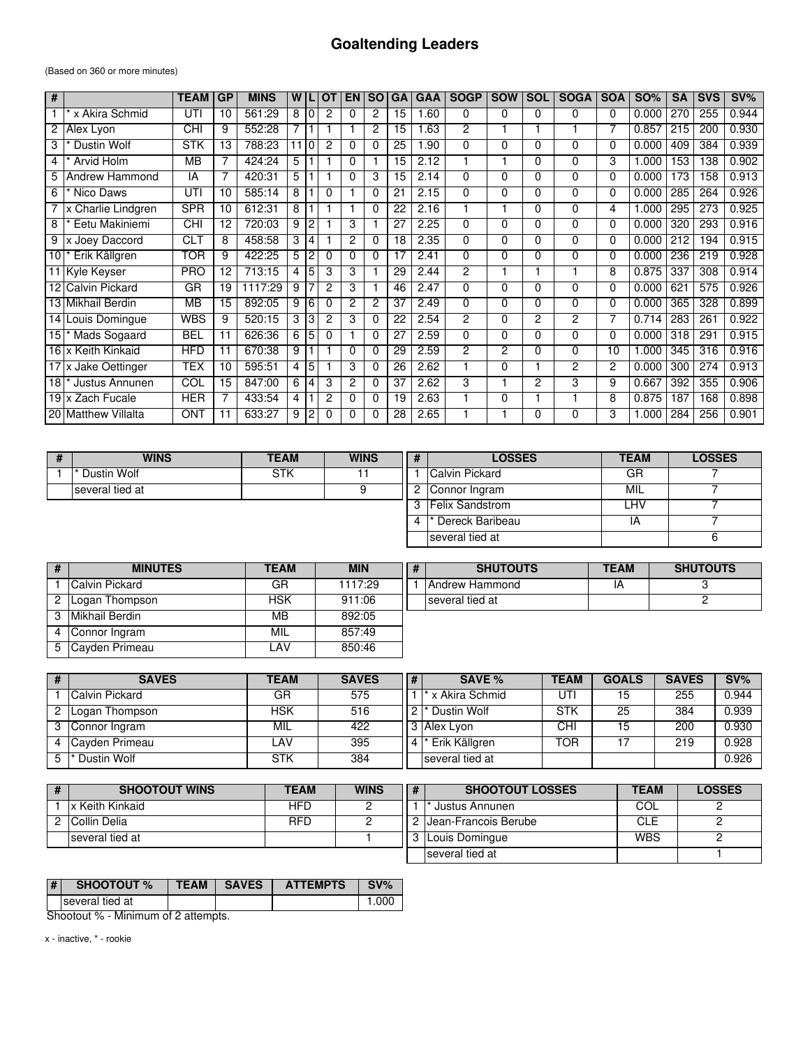### **Goaltending Leaders**

(Based on 360 or more minutes)

| #  |                         | <b>TEAM</b>              | <b>GP</b> | <b>MINS</b> | W  |          | O1             | EN | <b>SO</b>      | <b>GA</b> | <b>GAA</b> | <b>SOGP</b>    | <b>SOW</b> | <b>SOL</b>     | <b>SOGA</b> | <b>SOA</b> | <b>SO%</b> | <b>SA</b> | <b>SVS</b> | $SV\%$ |
|----|-------------------------|--------------------------|-----------|-------------|----|----------|----------------|----|----------------|-----------|------------|----------------|------------|----------------|-------------|------------|------------|-----------|------------|--------|
|    | x Akira Schmid          | UTI                      | 10        | 561:29      | 8  |          | 2              | 0  | $\overline{c}$ | 15        | 1.60       | 0              | 0          | 0              | 0           | 0          | 0.000      | 270       | 255        | 0.944  |
| 2  | Alex Lyon               | <b>CHI</b>               | 9         | 552:28      | 7  |          |                |    | $\overline{c}$ | 15        | 1.63       | 2              |            |                |             | 7          | 0.857      | 215       | 200        | 0.930  |
| 3  | Dustin Wolf             | <b>STK</b>               | 13        | 788:23      | 11 | $\Omega$ | 2              | 0  | $\Omega$       | 25        | 1.90       | $\Omega$       | 0          | $\Omega$       | 0           | 0          | 0.000      | 409       | 384        | 0.939  |
| 4  | Arvid Holm              | $\overline{\mathsf{MB}}$ |           | 424:24      | 5  |          |                | 0  |                | 15        | 2.12       |                |            | 0              | 0           | 3          | .000       | 153       | 138        | 0.902  |
| 5  | Andrew Hammond          | IA                       |           | 420:31      | 5  |          |                | 0  | 3              | 15        | 2.14       | $\Omega$       | 0          | 0              | 0           | 0          | 0.000      | 173       | 158        | 0.913  |
| 6  | Nico Daws               | UTI                      | 10        | 585:14      | 8  |          | $\Omega$       |    | 0              | 21        | 2.15       | $\Omega$       | 0          | 0              | 0           | 0          | 0.000      | 285       | 264        | 0.926  |
|    | x Charlie Lindgren      | <b>SPR</b>               | 10        | 612:31      | 8  |          |                |    | $\Omega$       | 22        | 2.16       |                |            | $\Omega$       | 0           | 4          | .000       | 295       | 273        | 0.925  |
| 8  | Eetu Makiniemi          | CHI                      | 12        | 720:03      | 9  | 2        |                | 3  |                | 27        | 2.25       | $\Omega$       | 0          | $\Omega$       | 0           | 0          | 0.000      | 320       | 293        | 0.916  |
| 9  | x Joey Daccord          | <b>CLT</b>               | 8         | 458:58      | 3  | 4        |                | 2  | $\Omega$       | 18        | 2.35       | $\Omega$       | 0          | $\Omega$       | 0           | 0          | 0.000      | 212       | 194        | 0.915  |
| 10 | Erik Källgren           | <b>TOR</b>               | 9         | 422:25      | 5  |          | $\Omega$       | 0  | $\Omega$       | 17        | 2.41       | $\Omega$       | 0          | 0              | 0           | 0          | 0.000      | 236       | 219        | 0.928  |
|    | 11 Kyle Keyser          | <b>PRO</b>               | 12        | 713:15      | 4  | 5        | 3              | 3  |                | 29        | 2.44       | 2              |            |                |             | 8          | 0.875      | 337       | 308        | 0.914  |
| 12 | <b>Calvin Pickard</b>   | GR                       | 19        | 1117:29     | 9  |          | $\overline{c}$ | 3  |                | 46        | 2.47       | $\Omega$       | $\Omega$   | $\Omega$       | 0           | 0          | 0.000      | 621       | 575        | 0.926  |
|    | 13 Mikhail Berdin       | $\overline{\mathsf{MB}}$ | 15        | 892:05      | 9  | 6        | $\Omega$       | 2  | $\overline{c}$ | 37        | 2.49       | $\Omega$       | $\Omega$   | $\Omega$       | 0           | 0          | 0.000      | 365       | 328        | 0.899  |
|    | 14 Louis Domingue       | <b>WBS</b>               | 9         | 520:15      | 3  | 3        | $\overline{c}$ | 3  | 0              | 22        | 2.54       | 2              | 0          | 2              | 2           |            | 0.714      | 283       | 261        | 0.922  |
| 15 | Mads Sogaard            | <b>BEL</b>               | 11        | 626:36      | 6  | 5        | $\Omega$       |    | 0              | 27        | 2.59       | $\Omega$       | $\Omega$   | 0              | 0           | 0          | 0.000      | 318       | 291        | 0.915  |
|    | 16 x Keith Kinkaid      | <b>HFD</b>               | 11        | 670:38      | 9  |          |                | 0  | 0              | 29        | 2.59       | $\overline{c}$ | 2          | 0              | 0           | 10         | .000       | 345       | 316        | 0.916  |
|    | 17 x Jake Oettinger     | <b>TEX</b>               | 10        | 595:51      | 4  | 5        |                | 3  | $\Omega$       | 26        | 2.62       |                | 0          |                | 2           | 2          | 0.000      | 300       | 274        | 0.913  |
| 18 | Justus Annunen          | COL                      | 15        | 847:00      | 6  | 4        | 3              | 2  | 0              | 37        | 2.62       | 3              |            | $\overline{c}$ | 3           | 9          | 0.667      | 392       | 355        | 0.906  |
|    | 19 x Zach Fucale        | <b>HER</b>               |           | 433:54      | 4  |          | 2              | 0  | 0              | 19        | 2.63       |                | 0          |                |             | 8          | 0.875      | 187       | 168        | 0.898  |
| 20 | <b>Matthew Villalta</b> | <b>ONT</b>               |           | 633:27      | 9  | 2        | $\Omega$       | 0  | 0              | 28        | 2.65       |                |            | 0              | 0           | 3          | 1.000      | 284       | 256        | 0.901  |

| <b>WINS</b>     | <b>TEAM</b> | <b>WINS</b> | # | <b>LOSSES</b>           | <b>TEAM</b> | <b>LOSSES</b> |
|-----------------|-------------|-------------|---|-------------------------|-------------|---------------|
| Dustin Wolf     | STK         |             |   | Calvin Pickard          | GR          |               |
| several tied at |             |             | റ | Connor Ingram           | MIL         |               |
|                 |             |             |   | <b>IFelix Sandstrom</b> | ∟HV         |               |
|                 |             |             |   | Dereck Baribeau         | ΙA          |               |
|                 |             |             |   | several tied at         |             |               |

| # | <b>MINUTES</b>         | <b>TEAM</b> | <b>MIN</b> | <b>SHUTOUTS</b> | <b>TEAM</b> | <b>SHUTOUTS</b> |
|---|------------------------|-------------|------------|-----------------|-------------|-----------------|
|   | <b>ICalvin Pickard</b> | GR          | 1117:29    | Andrew Hammond  | ΙA          |                 |
|   | 2 Logan Thompson       | HSK         | 911:06     | several tied at |             |                 |
|   | 3 Mikhail Berdin       | MВ          | 892:05     |                 |             |                 |
|   | Connor Ingram          | MIL         | 857:49     |                 |             |                 |
|   | 5 Cayden Primeau       | LAV         | 850:46     |                 |             |                 |

|    | <b>SAVES</b>               | TEAM | <b>SAVES</b> | # | SAVE %          | <b>TEAM</b> | <b>GOALS</b> | <b>SAVES</b> | $SV\%$ |
|----|----------------------------|------|--------------|---|-----------------|-------------|--------------|--------------|--------|
|    | Calvin Pickard             | GR   | 575          |   | x Akira Schmid  | UT          | 15           | 255          | 0.944  |
| 2  | Logan Thompson             | HSK  | 516          |   | Dustin Wolf     | STK         | 25           | 384          | 0.939  |
|    | 3 Connor Ingram            | MIL  | 422          |   | l Alex Lvon     | CНI         | 15           | 200          | 0.930  |
|    | 4 Cayden Primeau           | ∟AV  | 395          |   | Erik Källgren   | TOR         | 17           | 219          | 0.928  |
| 5. | <sup>1</sup> * Dustin Wolf | STK  | 384          |   | several tied at |             |              |              | 0.926  |

| <b>SHOOTOUT WINS</b> | <b>TEAM</b> | <b>WINS</b> | # | <b>SHOOTOUT LOSSES</b> | <b>TEAM</b> | <b>LOSSES</b> |
|----------------------|-------------|-------------|---|------------------------|-------------|---------------|
| x Keith Kinkaid      | HFD         |             |   | Justus Annunen         | COL         |               |
| Collin Delia         | <b>RFD</b>  |             |   | IJean-Francois Berube  | CLE         |               |
| several tied at      |             |             |   | Louis Domingue         | WBS         |               |
|                      |             |             |   | Iseveral tied at       |             |               |

| # | <b>SHOOTOUT %</b> | <b>TEAM SAVES</b> | <b>ATTEMPTS</b> | SV% |
|---|-------------------|-------------------|-----------------|-----|
|   | Iseveral tied at  |                   |                 |     |

Shootout % - Minimum of 2 attempts.

x - inactive, \* - rookie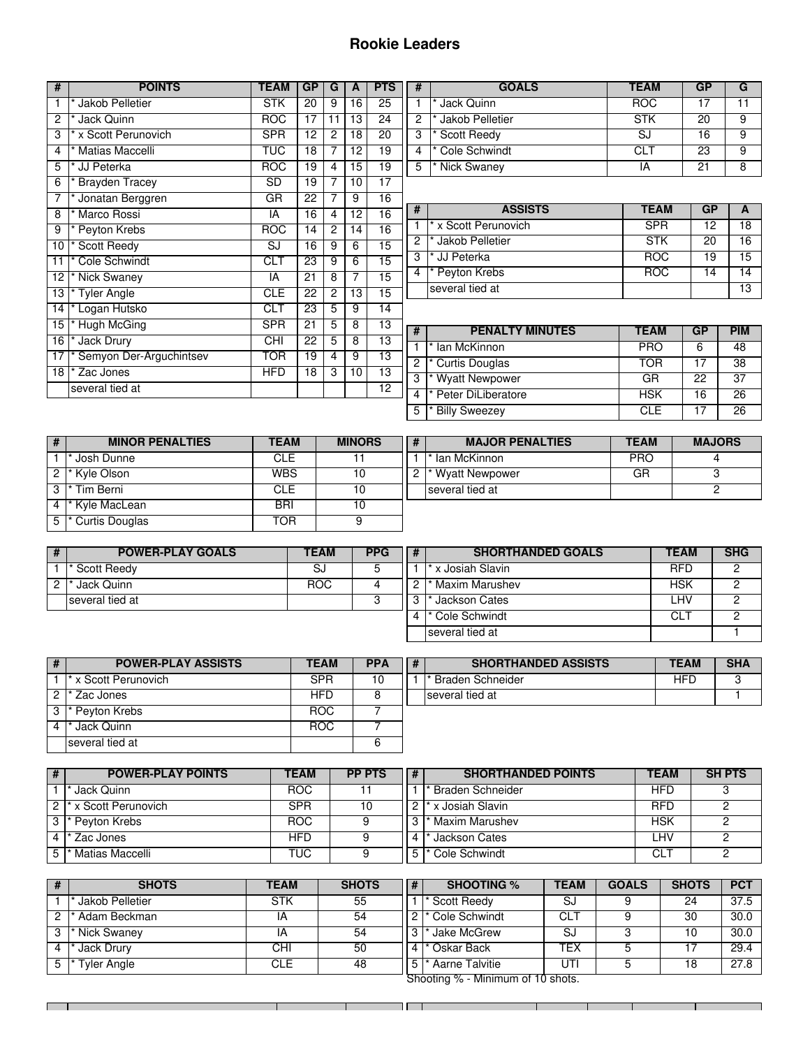## **Rookie Leaders**

| #               | <b>POINTS</b>             | <b>TEAM</b> | <b>GP</b>       | G  | A               | <b>PTS</b>      |
|-----------------|---------------------------|-------------|-----------------|----|-----------------|-----------------|
| $\mathbf{1}$    | * Jakob Pelletier         | <b>STK</b>  | 20              | 9  | 16              | 25              |
| $\overline{c}$  | * Jack Quinn              | <b>ROC</b>  | 17              | 11 | 13              | 24              |
| 3               | x Scott Perunovich        | <b>SPR</b>  | 12              | 2  | 18              | 20              |
| 4               | * Matias Maccelli         | <b>TUC</b>  | 18              | 7  | 12              | 19              |
| 5               | * JJ Peterka              | <b>ROC</b>  | 19              | 4  | 15              | 19              |
| 6               | * Brayden Tracey          | SD          | 19              | 7  | 10              | $\overline{17}$ |
| 7               | Jonatan Berggren          | $G$ R       | $\overline{22}$ | 7  | 9               | $\overline{16}$ |
| 8               | Marco Rossi               | IA          | 16              | 4  | 12              | 16              |
| 9               | Peyton Krebs              | <b>ROC</b>  | 14              | 2  | $\overline{14}$ | 16              |
| 10              | * Scott Reedy             | SJ          | 16              | 9  | 6               | 15              |
| 11              | * Cole Schwindt           | CLT         | 23              | 9  | 6               | $\overline{15}$ |
| 12              | * Nick Swaney             | IA          | 21              | 8  | 7               | 15              |
| 13              | * Tyler Angle             | <b>CLE</b>  | 22              | 2  | 13              | $\overline{15}$ |
| 14              | * Logan Hutsko            | CLT         | 23              | 5  | 9               | $\overline{14}$ |
| 15              | * Hugh McGing             | <b>SPR</b>  | 21              | 5  | 8               | 13              |
| 16              | * Jack Drury              | CHI         | 22              | 5  | 8               | $\overline{13}$ |
| $\overline{17}$ | * Semyon Der-Arguchintsev | TOR         | 19              | 4  | 9               | $\overline{13}$ |
| 18 I            | * Zac Jones               | <b>HFD</b>  | 18              | 3  | 10              | 13              |
|                 | several tied at           |             |                 |    |                 | 12              |
|                 |                           |             |                 |    |                 |                 |

| # | <b>GOALS</b>            | <b>TEAM</b> | GP |   |
|---|-------------------------|-------------|----|---|
|   | <sup>'</sup> Jack Quinn | <b>ROC</b>  |    |   |
| 2 | * Jakob Pelletier       | <b>STK</b>  | 20 | g |
| 3 | * Scott Reedy           | SJ          | 16 |   |
|   | * Cole Schwindt         | CI T        | 23 |   |
| 5 | * Nick Swaney           | A           | 21 |   |

| #              | <b>ASSISTS</b>       | <b>TEAM</b> | GP |    |
|----------------|----------------------|-------------|----|----|
|                | * x Scott Perunovich | <b>SPR</b>  | 12 | 18 |
| $\overline{c}$ | * Jakob Pelletier    | <b>STK</b>  | 20 | 16 |
| 3              | * JJ Peterka         | <b>ROC</b>  | 19 | 15 |
| 4              | * Peyton Krebs       | BOG.        | 4  |    |
|                | several tied at      |             |    |    |

| # | <b>PENALTY MINUTES</b>          | <b>TEAM</b> | GP | <b>PIM</b>      |
|---|---------------------------------|-------------|----|-----------------|
|   | * Ian McKinnon                  | <b>PRO</b>  |    | 48              |
| 2 | * Curtis Douglas                | TOR         |    | $\overline{38}$ |
| 3 | * Wyatt Newpower                | GR          | 22 | 37              |
| 4 | * Peter DiLiberatore            | <b>HSK</b>  | 16 | 26              |
| 5 | <b>Billy Sweezey</b><br>$\star$ | CI F        |    | 26              |

| <b>MINOR PENALTIES</b>        | TEAM       | <b>MINORS</b> | # | <b>MAJOR PENALTIES</b>      | <b>TEAM</b> | <b>MAJORS</b> |
|-------------------------------|------------|---------------|---|-----------------------------|-------------|---------------|
| Josh Dunne                    | CLE        |               |   | lan McKinnon                | <b>PRO</b>  |               |
| 2 <sup>*</sup> Kyle Olson     | <b>WBS</b> | 10            |   | <sup>*</sup> Wyatt Newpower | GR          |               |
| 3 <sup>*</sup> Tim Berni      | CLE        | 10            |   | several tied at             |             |               |
| 4  * Kyle MacLean             | <b>BRI</b> |               |   |                             |             |               |
| 5 <sup>*</sup> Curtis Douglas | TOR        |               |   |                             |             |               |

| # | <b>POWER-PLAY GOALS</b> | <b>TEAM</b> | <b>PPG</b> | # |  |
|---|-------------------------|-------------|------------|---|--|
|   | * Scott Reedy           | SJ          |            |   |  |
|   | Jack Quinn              | <b>ROC</b>  |            |   |  |
|   | several tied at         |             |            | ◠ |  |
|   |                         |             |            |   |  |

<u> Tanzania de la pro</u>

| # | <b>SHORTHANDED GOALS</b>    | <b>TEAM</b> | <b>SHG</b> |
|---|-----------------------------|-------------|------------|
|   | * x Josiah Slavin           | <b>RFD</b>  |            |
|   | <sup>*</sup> Maxim Marushev | <b>HSK</b>  |            |
| 3 | * Jackson Cates             | I HV        |            |
|   | <sup>*</sup> Cole Schwindt  | CL T        |            |
|   | several tied at             |             |            |

| # | <b>POWER-PLAY ASSISTS</b> | <b>TEAM</b> | <b>PPA</b> | <b>SHOI</b>              |
|---|---------------------------|-------------|------------|--------------------------|
|   | * x Scott Perunovich      | <b>SPR</b>  | 10         | <sup>*</sup> Braden Schn |
| າ | Zac Jones                 | <b>HFD</b>  |            | several tied at          |
| 3 | * Peyton Krebs            | <b>ROC</b>  |            |                          |
|   | Jack Quinn                | <b>ROC</b>  |            |                          |
|   | several tied at           |             |            |                          |

| PA | <b>SHORTHANDED ASSISTS</b> | <b>TEAM</b> | <b>SHA</b> |
|----|----------------------------|-------------|------------|
| 10 | l* Braden Schneider        |             |            |
| 8  | several tied at            |             |            |
| -  |                            |             |            |

| # | <b>POWER-PLAY POINTS</b>          | <b>TEAM</b> | <b>PP PTS</b> | # | <b>SHORTHANDED POINTS</b> | <b>TEAM</b> | <b>SH PTS</b> |
|---|-----------------------------------|-------------|---------------|---|---------------------------|-------------|---------------|
|   | Jack Quinn                        | <b>ROC</b>  |               |   | <b>Braden Schneider</b>   | HFD         |               |
|   | 2 <sup>*</sup> x Scott Perunovich | SPR         |               |   | x Josiah Slavin           | <b>RFD</b>  |               |
|   | 3 <sup>*</sup> Peyton Krebs       | <b>ROC</b>  |               | 3 | Maxim Marushev            | HSK         |               |
|   | Zac Jones                         | HFD         |               | 4 | Jackson Cates             | _HV         |               |
|   | Matias Maccelli                   | TUC         |               | 5 | Cole Schwindt             | CL          |               |

|                | <b>SHOTS</b>                      | <b>TEAM</b> | <b>SHOTS</b> | #      | <b>SHOOTING %</b>    | <b>TEAM</b> | <b>GOALS</b> | <b>SHOTS</b> | <b>PCT</b> |  |  |
|----------------|-----------------------------------|-------------|--------------|--------|----------------------|-------------|--------------|--------------|------------|--|--|
|                | Jakob Pelletier                   | STK         | 55           |        | Scott Reedy          | SJ          |              | 24           | 37.5       |  |  |
| $2^+$          | Adam Beckman                      | ΙA          | 54           | $\sim$ | <b>Cole Schwindt</b> | CL.         |              | 30           | 30.0       |  |  |
| 3 <sup>1</sup> | Nick Swaney                       | ΙA          | 54           |        | Jake McGrew          | SJ          |              | 10           | 30.0       |  |  |
| 4 I*           | Jack Drury                        | СHІ         | 50           | 4      | Oskar Back           | TEX         |              |              | 29.4       |  |  |
| 5              | Tyler Angle                       | CLE         | 48           | ა      | Aarne Talvitie       | UTI         |              | 18           | 27.8       |  |  |
|                | Shooting % - Minimum of 10 shots. |             |              |        |                      |             |              |              |            |  |  |

 $\mathbf{H}$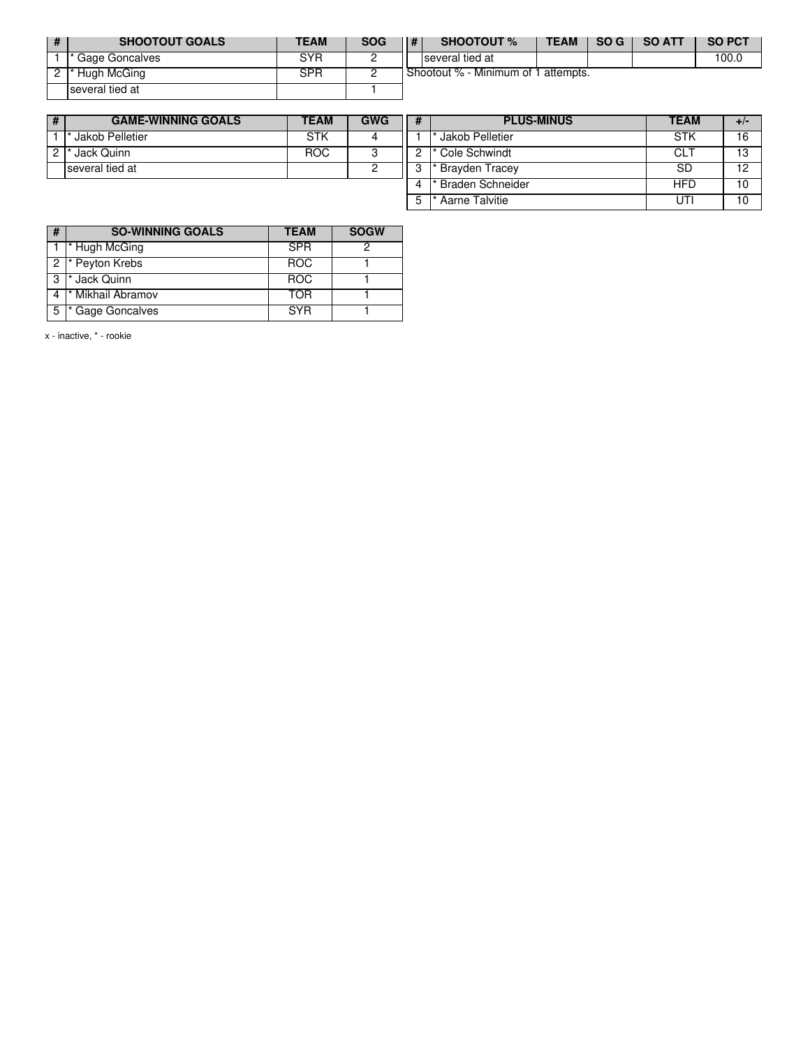| # | <b>SHOOTOUT GOALS</b> | TEAM | <b>SOG</b> | # | <b>SHOOTOUT %</b>                   | TEAM | SO G | <b>SO ATT</b> | <b>SO PCT</b> |
|---|-----------------------|------|------------|---|-------------------------------------|------|------|---------------|---------------|
|   | Gage Goncalves        | SYR  |            |   | several tied at                     |      |      |               | 100.0         |
|   | Hugh McGing           | SPR  |            |   | Shootout % - Minimum of 1 attempts. |      |      |               |               |
|   | several tied at       |      |            |   |                                     |      |      |               |               |

| # | <b>GAME-WINNING GOALS</b> | <b>TEAM</b> | <b>GWG</b> |
|---|---------------------------|-------------|------------|
|   | Jakob Pelletier           | STK         |            |
|   | Jack Quinn                | BOG.        |            |
|   | several tied at           |             |            |
|   |                           |             |            |

| # | <b>PLUS-MINUS</b>  | <b>TEAM</b> | +/· |
|---|--------------------|-------------|-----|
|   | Jakob Pelletier    | <b>STK</b>  | 16  |
|   | * Cole Schwindt    | CI T        | 13  |
| 3 | * Brayden Tracey   | SD.         | 12  |
|   | * Braden Schneider | HFD         | 10  |
| 5 | Aarne Talvitie     |             | 10  |

| # | <b>SO-WINNING GOALS</b>      | <b>TEAM</b> | <b>SOGW</b> |
|---|------------------------------|-------------|-------------|
|   | * Hugh McGing                | <b>SPR</b>  |             |
|   | 2 * Peyton Krebs             | <b>ROC</b>  |             |
| 3 | * Jack Quinn                 | <b>ROC</b>  |             |
|   | <sup>*</sup> Mikhail Abramov | <b>TOR</b>  |             |
| 5 | Gage Goncalves               | <b>SYR</b>  |             |

x - inactive, \* - rookie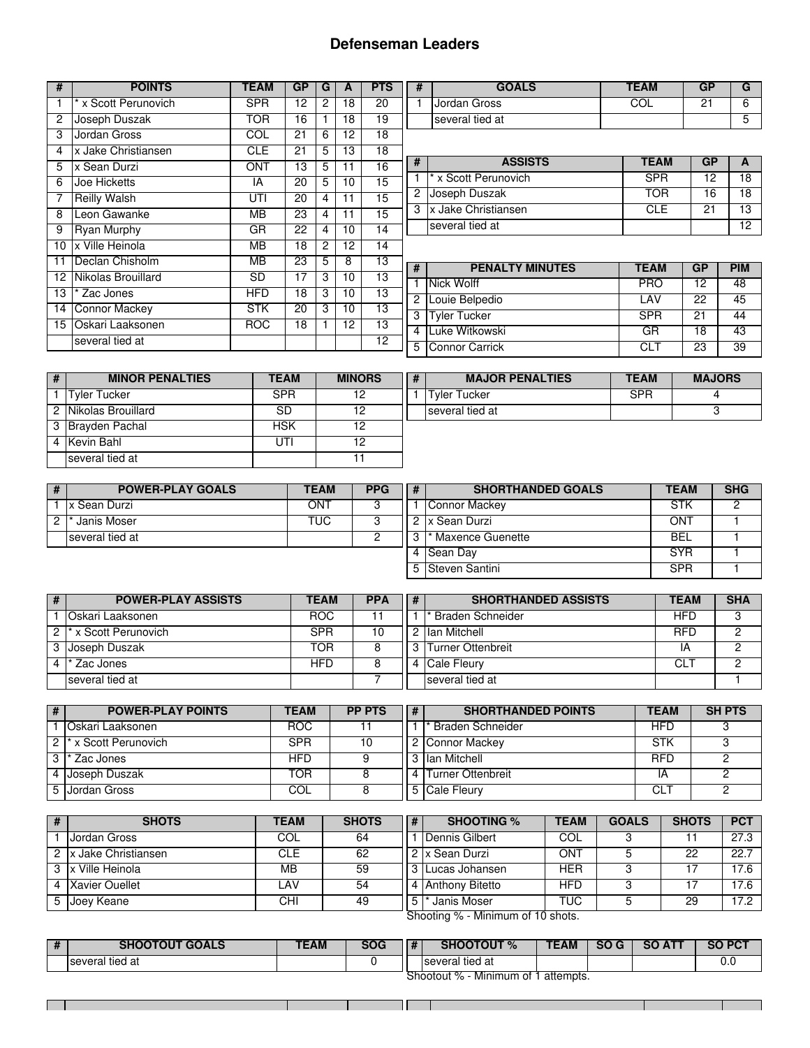### **Defenseman Leaders**

| #  | <b>POINTS</b>        | <b>TEAM</b> | <b>GP</b> | G | A  | <b>PTS</b>      |  |
|----|----------------------|-------------|-----------|---|----|-----------------|--|
| 1  | * x Scott Perunovich | <b>SPR</b>  | 12        | 2 | 18 | 20              |  |
| 2  | Joseph Duszak        | <b>TOR</b>  | 16        | 1 | 18 | 19              |  |
| 3  | Jordan Gross         | <b>COL</b>  | 21        | 6 | 12 | $\overline{18}$ |  |
| 4  | x Jake Christiansen  | <b>CLE</b>  | 21        | 5 | 13 | 18              |  |
| 5  | x Sean Durzi         | <b>ONT</b>  | 13        | 5 | 11 | 16              |  |
| 6  | Joe Hicketts         | IA          | 20        | 5 | 10 | 15              |  |
| 7  | <b>Reilly Walsh</b>  | UTI         | 20        | 4 | 11 | $\overline{15}$ |  |
| 8  | Leon Gawanke         | MВ          | 23        | 4 | 11 | 15              |  |
| 9  | <b>Ryan Murphy</b>   | GR          | 22        | 4 | 10 | $\overline{14}$ |  |
| 10 | x Ville Heinola      | <b>MB</b>   | 18        | 2 | 12 | 14              |  |
| 11 | Declan Chisholm      | MВ          | 23        | 5 | 8  | 13              |  |
| 12 | Nikolas Brouillard   | SD          | 17        | 3 | 10 | 13              |  |
| 13 | * Zac Jones          | <b>HFD</b>  | 18        | 3 | 10 | 13              |  |
| 14 | Connor Mackey        | <b>STK</b>  | 20        | 3 | 10 | $\overline{13}$ |  |
| 15 | Oskari Laaksonen     | <b>ROC</b>  | 18        | 1 | 12 | $\overline{13}$ |  |
|    | several tied at      |             |           |   |    | $\overline{12}$ |  |

| <b>GOALS</b>    | EAM | GP |  |
|-----------------|-----|----|--|
| Jordan Gross    |     |    |  |
| several tied at |     |    |  |

| #              | <b>ASSISTS</b>       | <b>TEAM</b> | GP |    |
|----------------|----------------------|-------------|----|----|
|                | * x Scott Perunovich | SPR         | 12 |    |
| $\overline{c}$ | Joseph Duszak        | TOR         | 16 |    |
| 3              | x Jake Christiansen  | CLE.        | 21 | 13 |
|                | several tied at      |             |    |    |

| #   | <b>PENALTY MINUTES</b> | <b>TEAM</b> | GP | <b>PIM</b>      |
|-----|------------------------|-------------|----|-----------------|
|     | Nick Wolff             | <b>PRO</b>  | 12 | 48              |
|     | 2 Louie Belpedio       | I AV        | 22 | 45              |
| 3 । | <b>Tyler Tucker</b>    | <b>SPR</b>  | 21 | 44              |
|     | 4 Luke Witkowski       | GR          | 18 | 43              |
|     | 5 Connor Carrick       | CL T        | 23 | $\overline{39}$ |

| # | <b>MINOR PENALTIES</b> | <b>TEAM</b> | <b>MINORS</b> | # | <b>MAJOR PENALTIES</b> | <b>TEAM</b> | <b>MAJORS</b> |
|---|------------------------|-------------|---------------|---|------------------------|-------------|---------------|
|   | Tyler Tucker           | <b>SPR</b>  |               |   | Tvler Tucker           | <b>SPR</b>  |               |
|   | 2 Nikolas Brouillard   | SD          |               |   | Iseveral tied at       |             |               |
|   | 3 Brayden Pachal       | HSK         |               |   |                        |             |               |
|   | 4 Kevin Bahl           | UTI         |               |   |                        |             |               |
|   | several tied at        |             |               |   |                        |             |               |

| # | <b>POWER-PLAY GOALS</b> | <b>TEAM</b> | <b>PPG</b> | # | <b>SHORTHANDED GOALS</b> | <b>TEAM</b> | <b>SHG</b> |
|---|-------------------------|-------------|------------|---|--------------------------|-------------|------------|
|   | lx Sean Durzi           | ONT         |            |   | Connor Mackey            | <b>STK</b>  |            |
|   | Janis Moser             | TUC.        |            |   | Ix Sean Durzi            | ONT         |            |
|   | Iseveral tied at        |             |            |   | Maxence Guenette         | BEL         |            |
|   |                         |             |            |   | Sean Day                 | <b>SYR</b>  |            |
|   |                         |             |            |   | 5 Steven Santini         | <b>SPR</b>  |            |

| #           | <b>POWER-PLAY ASSISTS</b>         | <b>TEAM</b> | <b>PPA</b> | l # | <b>SHORTHANDED ASSISTS</b> | <b>TEAM</b> | <b>SHA</b> |
|-------------|-----------------------------------|-------------|------------|-----|----------------------------|-------------|------------|
|             | Oskari Laaksonen                  | <b>ROC</b>  |            |     | <b>Braden Schneider</b>    | HFD         |            |
|             | 2 <sup>*</sup> x Scott Perunovich | SPR         |            |     | llan Mitchell              | RFD         |            |
|             | 3 IJoseph Duszak                  | TOR         |            | ્વ  | <b>ITurner Ottenbreit</b>  |             |            |
| $4^{\circ}$ | Zac Jones                         | HFD         |            | Δ   | <b>Cale Fleury</b>         | CL          |            |
|             | several tied at                   |             |            |     | several tied at            |             |            |

| # | <b>POWER-PLAY POINTS</b> | <b>TEAM</b> | <b>PP PTS</b> | $\mathbf{H}$ | <b>SHORTHANDED POINTS</b> | <b>TEAM</b> | <b>SH PTS</b> |
|---|--------------------------|-------------|---------------|--------------|---------------------------|-------------|---------------|
|   | lOskari Laaksonen        | <b>ROC</b>  |               |              | Braden Schneider          | HFD         |               |
|   | 2 l* x Scott Perunovich  | SPR         | 10            |              | Connor Mackey             | <b>STK</b>  |               |
|   | 3 l* Zac Jones           | HFD         |               |              | 3 Ilan Mitchell           | <b>RFD</b>  |               |
|   | 4 IJoseph Duszak         | TOR         |               |              | Turner Ottenbreit         | ΙA          |               |
|   | 5 IJordan Gross          | COL         |               |              | 5 Cale Fleury             | СĽ          |               |

|    | <b>SHOTS</b>           | <b>TEAM</b> | <b>SHOTS</b> | #      | <b>SHOOTING %</b>      | <b>TEAM</b> | <b>GOALS</b> | <b>SHOTS</b> | <b>PCT</b> |
|----|------------------------|-------------|--------------|--------|------------------------|-------------|--------------|--------------|------------|
|    | Jordan Gross           | COL         | 64           |        | Dennis Gilbert         | COL         |              |              | 27.3       |
|    | 2 Ix Jake Christiansen | CLE         | 62           |        | . Ix Sean Durzi        | ON1         |              | 22           | 22.7       |
|    | 3 Lx Ville Heinola     | MВ          | 59           | $\sim$ | Lucas Johansen         | HER         |              |              | 17.6       |
|    | 4 Xavier Ouellet       | LAV         | 54           |        | <b>Anthony Bitetto</b> | HFD         |              |              | 17.6       |
| 5. | Joey Keane             | CНI         | 49           | 片      | Janis Moser            | TUC.        |              | 29           | 17.2       |

|  |  | Shooting % - Minimum of 10 shots. |  |  |  |
|--|--|-----------------------------------|--|--|--|
|--|--|-----------------------------------|--|--|--|

| # | <b>SHOOTOUT GOALS</b> | <b>TEAM</b> | <b>SOG</b> | $\mathbf{H}$ | <b>SHOOTOUT %</b>              | <b>TEAM</b> | <b>SO</b> | SO<br>AT <sub>1</sub> | SO PCT |
|---|-----------------------|-------------|------------|--------------|--------------------------------|-------------|-----------|-----------------------|--------|
|   | several tied at       |             |            |              | several tied at                |             |           |                       | v.u    |
|   |                       |             |            |              | Shootout %<br>Minimum of<br>"⊘ | ` attempts. |           |                       |        |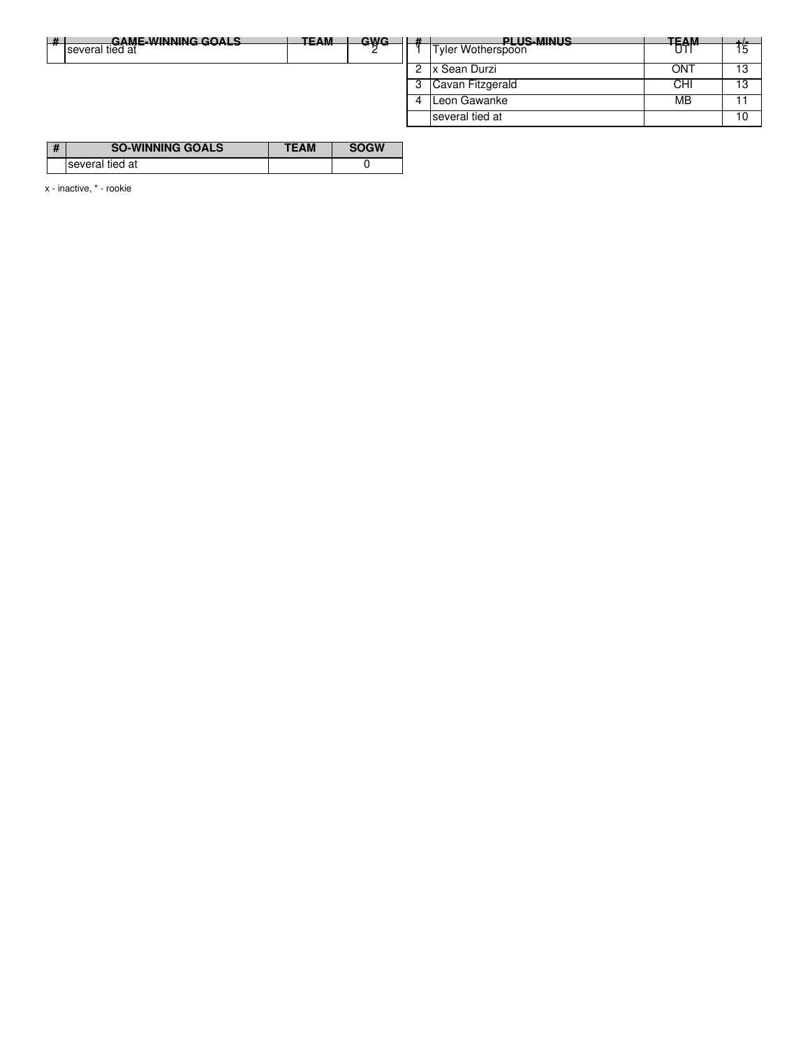| $+$<br>GAME-WINNING GOALS<br>. | <b>TEAM</b> | <u>GWG.</u> |   | <b>PI LIS-MINILS</b>            | <b>TEAM</b> | ᅩ୵  |
|--------------------------------|-------------|-------------|---|---------------------------------|-------------|-----|
| -------<br>several tied at     | ----        |             |   | ----------<br>Tyler Wotherspoon | ----<br>UI  | 5   |
|                                |             |             |   | Sean Durzi                      | ONT         | 13  |
|                                |             |             |   | Cavan Fitzgerald                | CHI         | 13  |
|                                |             |             | 4 | Leon Gawanke                    | MB          | - 1 |
|                                |             |             |   | several tied at                 |             | 10  |

| $\overline{u}$ | <b>SO-WINNING GOALS</b> | .W |
|----------------|-------------------------|----|
|                | several tied at         |    |

x - inactive, \* - rookie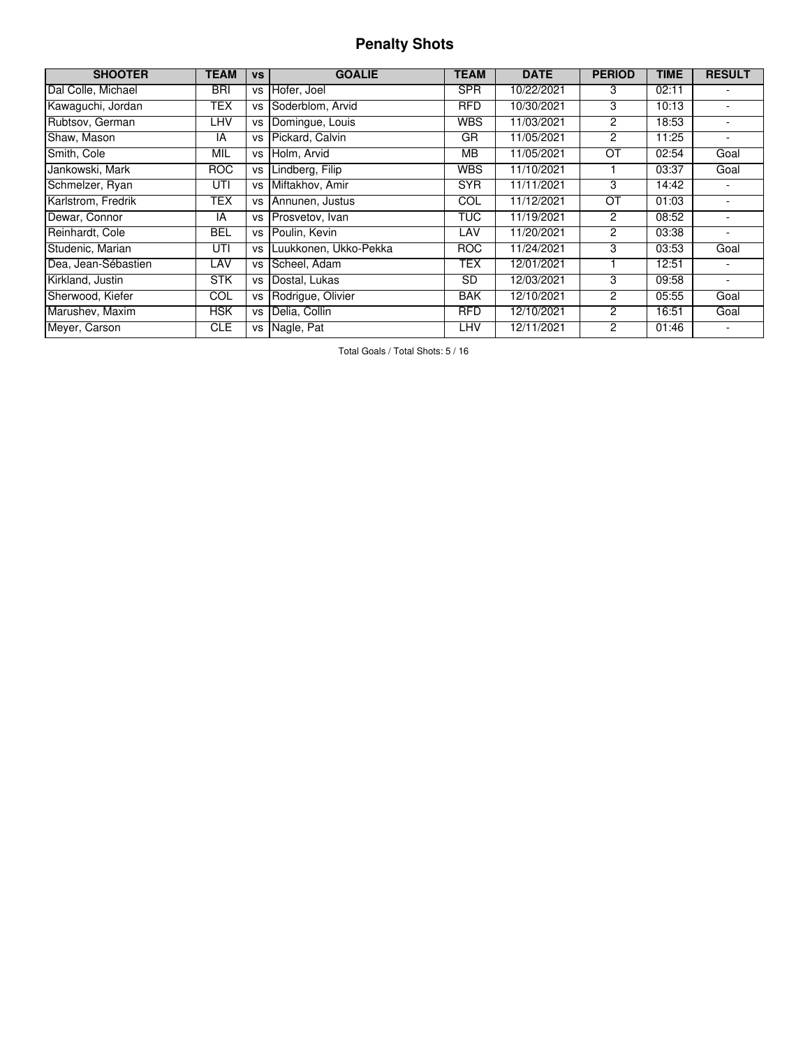## **Penalty Shots**

| <b>SHOOTER</b>      | <b>TEAM</b> | <b>VS</b> | <b>GOALIE</b>         | TEAM       | <b>DATE</b> | <b>PERIOD</b>  | <b>TIME</b> | <b>RESULT</b>            |
|---------------------|-------------|-----------|-----------------------|------------|-------------|----------------|-------------|--------------------------|
| Dal Colle, Michael  | <b>BRI</b>  | <b>VS</b> | Hofer, Joel           | <b>SPR</b> | 10/22/2021  | 3              | 02:11       |                          |
| Kawaguchi, Jordan   | TEX         | vs        | Soderblom, Arvid      | <b>RFD</b> | 10/30/2021  | 3              | 10:13       |                          |
| Rubtsov, German     | LHV         | <b>VS</b> | Domingue, Louis       | <b>WBS</b> | 11/03/2021  | $\overline{c}$ | 18:53       | $\overline{\phantom{a}}$ |
| Shaw, Mason         | IA          | VS        | Pickard, Calvin       | GR         | 11/05/2021  | 2              | 11:25       | ٠                        |
| Smith, Cole         | MIL         | VS        | Holm, Arvid           | MВ         | 11/05/2021  | ŌТ             | 02:54       | Goal                     |
| Jankowski, Mark     | <b>ROC</b>  | <b>VS</b> | Lindberg, Filip       | <b>WBS</b> | 11/10/2021  |                | 03:37       | Goal                     |
| Schmelzer, Ryan     | UTI         | VS        | Miftakhov, Amir       | <b>SYR</b> | 11/11/2021  | 3              | 14:42       |                          |
| Karlstrom, Fredrik  | <b>TEX</b>  | VS        | Annunen, Justus       | COL        | 11/12/2021  | OT             | 01:03       |                          |
| Dewar, Connor       | IA          | VS        | Prosvetov, Ivan       | <b>TUC</b> | 11/19/2021  | 2              | 08:52       |                          |
| Reinhardt, Cole     | BEL         | VS        | Poulin, Kevin         | LAV        | 11/20/2021  | $\overline{c}$ | 03:38       | $\overline{\phantom{0}}$ |
| Studenic, Marian    | UTI         | VS        | Luukkonen, Ukko-Pekka | <b>ROC</b> | 11/24/2021  | 3              | 03:53       | Goal                     |
| Dea, Jean-Sébastien | LAV         | VS        | Scheel, Adam          | TEX        | 12/01/2021  |                | 12:51       |                          |
| Kirkland, Justin    | <b>STK</b>  | vs        | Dostal. Lukas         | SD.        | 12/03/2021  | 3              | 09:58       | ٠                        |
| Sherwood, Kiefer    | COL         | vs        | Rodrigue, Olivier     | <b>BAK</b> | 12/10/2021  | 2              | 05:55       | Goal                     |
| Marushev, Maxim     | <b>HSK</b>  | <b>VS</b> | Delia, Collin         | <b>RFD</b> | 12/10/2021  | 2              | 16:51       | Goal                     |
| Meyer, Carson       | <b>CLE</b>  | vs        | Nagle, Pat            | LHV        | 12/11/2021  | 2              | 01:46       |                          |

Total Goals / Total Shots: 5 / 16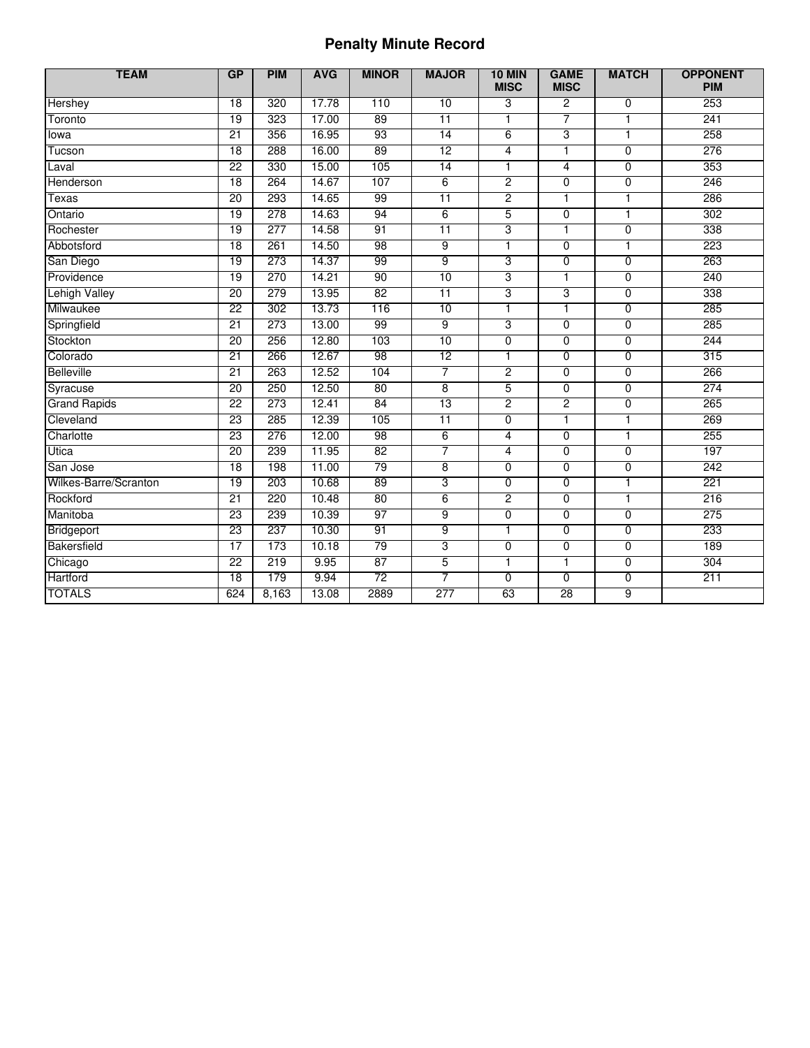## **Penalty Minute Record**

| <b>TEAM</b>           | GP<br><b>PIM</b><br><b>AVG</b> |       | <b>MINOR</b> | <b>MAJOR</b>    | <b>10 MIN</b><br><b>MISC</b> | <b>GAME</b><br><b>MISC</b> | <b>MATCH</b>   | <b>OPPONENT</b><br><b>PIM</b> |     |
|-----------------------|--------------------------------|-------|--------------|-----------------|------------------------------|----------------------------|----------------|-------------------------------|-----|
| Hershey               | $\overline{18}$                | 320   | 17.78        | 110             | 10                           | 3                          | $\overline{c}$ | $\overline{0}$                | 253 |
| Toronto               | 19                             | 323   | 17.00        | 89              | $\overline{11}$              | 1                          | 7              | $\mathbf{1}$                  | 241 |
| lowa                  | $\overline{21}$                | 356   | 16.95        | 93              | 14                           | 6                          | $\overline{3}$ | $\overline{1}$                | 258 |
| Tucson                | 18                             | 288   | 16.00        | 89              | 12                           | 4                          | $\overline{1}$ | $\overline{0}$                | 276 |
| Laval                 | $\overline{22}$                | 330   | 15.00        | 105             | 14                           | ī                          | $\overline{4}$ | $\overline{0}$                | 353 |
| Henderson             | 18                             | 264   | 14.67        | 107             | 6                            | $\overline{2}$             | $\overline{0}$ | $\overline{0}$                | 246 |
| Texas                 | 20                             | 293   | 14.65        | 99              | $\overline{11}$              | $\overline{2}$             | 1              | $\mathbf{1}$                  | 286 |
| Ontario               | 19                             | 278   | 14.63        | 94              | $6\overline{6}$              | 5                          | $\overline{0}$ | ī                             | 302 |
| Rochester             | 19                             | 277   | 14.58        | 91              | 11                           | $\overline{3}$             | T              | $\overline{0}$                | 338 |
| Abbotsford            | 18                             | 261   | 14.50        | 98              | 9                            | $\overline{1}$             | $\overline{0}$ | $\overline{1}$                | 223 |
| San Diego             | 19                             | 273   | 14.37        | 99              | $\overline{9}$               | 3                          | 0              | $\overline{0}$                | 263 |
| Providence            | $\overline{19}$                | 270   | 14.21        | 90              | 10                           | 3                          | $\mathbf{1}$   | $\mathbf 0$                   | 240 |
| <b>Lehigh Valley</b>  | 20                             | 279   | 13.95        | 82              | $\overline{11}$              | 3                          | 3              | $\mathbf 0$                   | 338 |
| Milwaukee             | $\overline{22}$                | 302   | 13.73        | 116             | 10                           | T                          | T              | $\overline{0}$                | 285 |
| Springfield           | 21                             | 273   | 13.00        | 99              | 9                            | 3                          | $\overline{0}$ | $\mathbf 0$                   | 285 |
| Stockton              | 20                             | 256   | 12.80        | 103             | 10                           | $\overline{0}$             | $\overline{0}$ | $\overline{0}$                | 244 |
| Colorado              | $\overline{21}$                | 266   | 12.67        | 98              | 12                           | 1                          | 0              | $\overline{0}$                | 315 |
| <b>Belleville</b>     | $\overline{21}$                | 263   | 12.52        | 104             | $\overline{7}$               | 2                          | $\overline{0}$ | $\overline{0}$                | 266 |
| Syracuse              | 20                             | 250   | 12.50        | 80              | $\overline{8}$               | 5                          | $\overline{0}$ | $\overline{0}$                | 274 |
| <b>Grand Rapids</b>   | 22                             | 273   | 12.41        | 84              | 13                           | $\overline{2}$             | $\overline{2}$ | $\mathbf 0$                   | 265 |
| Cleveland             | 23                             | 285   | 12.39        | 105             | $\overline{11}$              | $\overline{0}$             | T              | $\overline{1}$                | 269 |
| Charlotte             | 23                             | 276   | 12.00        | 98              | $6\overline{6}$              | 4                          | $\overline{0}$ | $\overline{1}$                | 255 |
| Utica                 | 20                             | 239   | 11.95        | 82              | $\overline{7}$               | 4                          | $\overline{0}$ | $\mathbf 0$                   | 197 |
| San Jose              | 18                             | 198   | 11.00        | 79              | $\overline{8}$               | $\overline{0}$             | $\overline{0}$ | $\overline{0}$                | 242 |
| Wilkes-Barre/Scranton | 19                             | 203   | 10.68        | 89              | 3                            | $\overline{0}$             | 0              | $\mathbf{1}$                  | 221 |
| Rockford              | $\overline{21}$                | 220   | 10.48        | 80              | 6                            | $\overline{2}$             | 0              | $\overline{1}$                | 216 |
| Manitoba              | 23                             | 239   | 10.39        | 97              | $\overline{9}$               | 0                          | $\overline{0}$ | $\overline{0}$                | 275 |
| Bridgeport            | 23                             | 237   | 10.30        | 91              | $\overline{9}$               | $\overline{1}$             | $\overline{0}$ | $\mathbf 0$                   | 233 |
| Bakersfield           | 17                             | 173   | 10.18        | 79              | 3                            | $\overline{0}$             | 0              | $\overline{0}$                | 189 |
| Chicago               | 22                             | 219   | 9.95         | 87              | 5                            | 1                          | $\mathbf{1}$   | $\mathbf 0$                   | 304 |
| Hartford              | 18                             | 179   | 9.94         | $\overline{72}$ | 7                            | $\overline{0}$             | $\overline{0}$ | $\overline{0}$                | 211 |
| <b>TOTALS</b>         | 624                            | 8,163 | 13.08        | 2889            | 277                          | 63                         | 28             | $\overline{9}$                |     |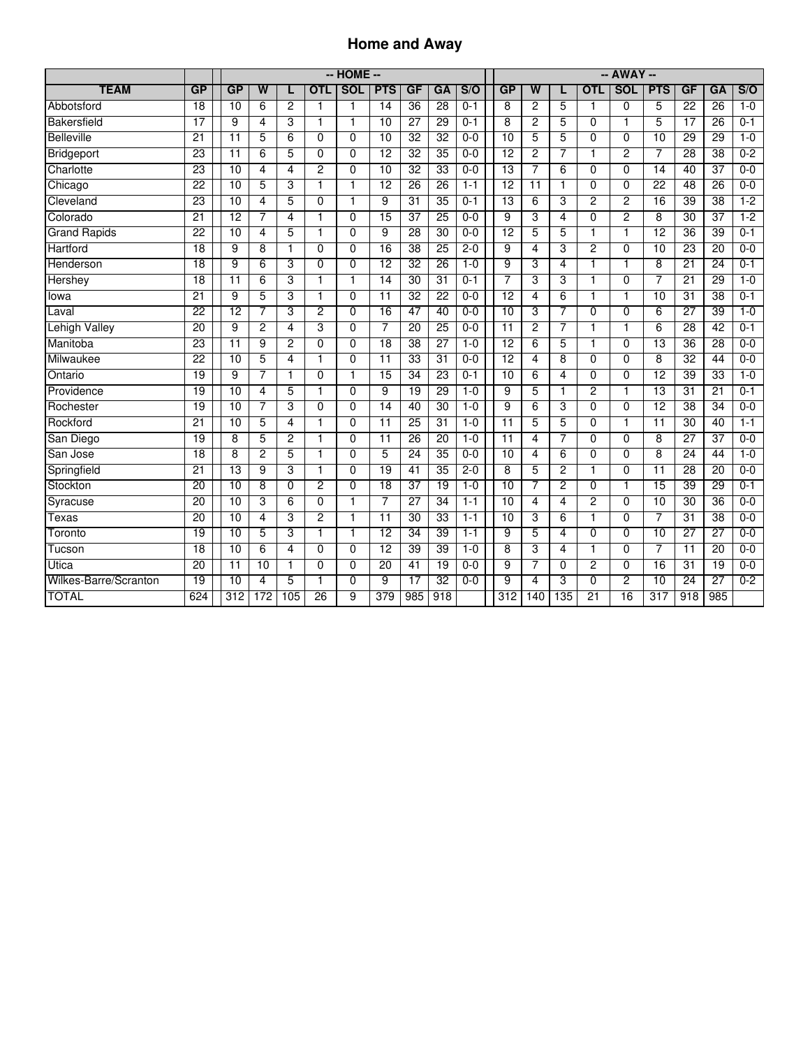### **Home and Away**

|                       |                 |                 | -- HOME --              |                |                         |                |                 |                 |                 |         | $-$ AWAY $-$     |                         |                |                 |                 |                  |                  |                 |         |
|-----------------------|-----------------|-----------------|-------------------------|----------------|-------------------------|----------------|-----------------|-----------------|-----------------|---------|------------------|-------------------------|----------------|-----------------|-----------------|------------------|------------------|-----------------|---------|
| <b>TEAM</b>           | GP              | GP              | $\overline{\mathsf{w}}$ |                | <b>OTL</b>              | <b>SOL</b>     | <b>PTS</b>      | GF              | GA              | S/O     | GP               | $\overline{\mathsf{w}}$ |                | <b>OTL</b>      | <b>SOL</b>      | <b>PTS</b>       | GF               | GA              | S/O     |
| Abbotsford            | $\overline{18}$ | 10              | 6                       | $\overline{c}$ | 1                       | 1              | 14              | $\overline{36}$ | $\overline{28}$ | $0 - 1$ | 8                | $\overline{c}$          | 5              | 1               | $\mathbf 0$     | 5                | $\overline{22}$  | $\overline{26}$ | $1 - 0$ |
| Bakersfield           | $\overline{17}$ | 9               | 4                       | 3              | $\mathbf{1}$            | $\overline{1}$ | $\overline{10}$ | $\overline{27}$ | $\overline{29}$ | $0 - 1$ | 8                | $\overline{2}$          | 5              | $\Omega$        | $\mathbf{1}$    | 5                | $\overline{17}$  | $\overline{26}$ | $0 - 1$ |
| <b>Belleville</b>     | 21              | $\overline{11}$ | 5                       | 6              | $\Omega$                | $\Omega$       | $\overline{10}$ | 32              | $\overline{32}$ | $0 - 0$ | 10               | 5                       | 5              | $\Omega$        | $\mathbf{0}$    | $\overline{10}$  | 29               | 29              | $1 - 0$ |
| Bridgeport            | 23              | $\overline{11}$ | 6                       | 5              | $\Omega$                | $\overline{0}$ | $\overline{12}$ | 32              | 35              | $0 - 0$ | $\overline{12}$  | 2                       | 7              | 1               | 2               | 7                | 28               | 38              | $0 - 2$ |
| Charlotte             | 23              | 10              | $\overline{4}$          | $\overline{4}$ | $\overline{2}$          | $\overline{0}$ | $\overline{10}$ | 32              | 33              | $0 - 0$ | 13               | 7                       | 6              | $\overline{0}$  | $\overline{0}$  | 14               | 40               | 37              | $0 - 0$ |
| Chicago               | $\overline{22}$ | 10              | 5                       | 3              | 1                       | 1              | $\overline{12}$ | 26              | 26              | $1 - 1$ | 12               | 11                      |                | 0               | $\overline{0}$  | 22               | 48               | 26              | $0 - 0$ |
| Cleveland             | 23              | 10              | 4                       | 5              | $\Omega$                | 1              | $\overline{9}$  | 31              | 35              | $0 - 1$ | 13               | 6                       | 3              | $\overline{2}$  | $\overline{2}$  | 16               | 39               | 38              | $1-2$   |
| Colorado              | 21              | 12              | 7                       | 4              | $\mathbf{1}$            | $\Omega$       | 15              | $\overline{37}$ | 25              | $0-0$   | $\overline{9}$   | 3                       | 4              | $\Omega$        | $\overline{2}$  | $\overline{8}$   | $\overline{30}$  | 37              | $1 - 2$ |
| <b>Grand Rapids</b>   | $\overline{22}$ | 10              | 4                       | 5              | $\overline{\mathbf{1}}$ | 0              | 9               | $\overline{28}$ | $\overline{30}$ | $0 - 0$ | $\overline{12}$  | 5                       | 5              | 1               | 1               | 12               | $\overline{36}$  | 39              | $0 - 1$ |
| Hartford              | 18              | 9               | 8                       | $\mathbf{1}$   | $\Omega$                | 0              | 16              | 38              | $\overline{25}$ | $2 - 0$ | $\overline{9}$   | 4                       | 3              | $\overline{c}$  | $\mathbf 0$     | 10               | $\overline{23}$  | $\overline{20}$ | $0 - 0$ |
| Henderson             | 18              | 9               | 6                       | 3              | $\mathbf 0$             | 0              | $\overline{12}$ | 32              | $\overline{26}$ | $1 - 0$ | $\overline{9}$   | 3                       | 4              | 1               | 1               | 8                | $\overline{21}$  | $\overline{24}$ | $0 - 1$ |
| Hershey               | 18              | $\overline{11}$ | 6                       | 3              | $\mathbf{1}$            | $\overline{1}$ | $\overline{14}$ | 30              | $\overline{31}$ | $0 - 1$ | 7                | $\overline{3}$          | 3              | 1               | $\overline{0}$  | 7                | $\overline{21}$  | 29              | $1 - 0$ |
| lowa                  | 21              | 9               | 5                       | 3              | 1                       | $\overline{0}$ | $\overline{11}$ | 32              | 22              | $0 - 0$ | 12               | 4                       | 6              | 1               | 1               | 10               | 31               | 38              | $0 - 1$ |
| Laval                 | $\overline{22}$ | $\overline{12}$ | 7                       | 3              | $\overline{2}$          | 0              | $\overline{16}$ | 47              | 40              | $0 - 0$ | 10               | 3                       | 7              | $\Omega$        | $\Omega$        | 6                | 27               | 39              | $1 - 0$ |
| Lehigh Valley         | $\overline{20}$ | 9               | 2                       | 4              | 3                       | 0              | $\overline{7}$  | $\overline{20}$ | 25              | $0 - 0$ | 11               | $\overline{c}$          | 7              | $\mathbf{1}$    | $\mathbf{1}$    | 6                | 28               | $\overline{42}$ | $0 - 1$ |
| Manitoba              | 23              | $\overline{11}$ | 9                       | 2              | $\Omega$                | $\Omega$       | $\overline{18}$ | 38              | $\overline{27}$ | $1 - 0$ | 12               | 6                       | 5              | 1               | $\mathbf{0}$    | $\overline{13}$  | $\overline{36}$  | 28              | $0 - 0$ |
| Milwaukee             | $\overline{22}$ | 10              | 5                       | 4              | $\mathbf{1}$            | 0              | $\overline{11}$ | $\overline{33}$ | $\overline{31}$ | $0-0$   | $\overline{12}$  | 4                       | 8              | $\Omega$        | $\mathbf 0$     | 8                | $\overline{32}$  | 44              | $0 - 0$ |
| Ontario               | 19              | 9               | 7                       | $\mathbf{1}$   | $\overline{0}$          | $\overline{1}$ | 15              | 34              | 23              | $0 - 1$ | 10               | 6                       | 4              | $\Omega$        | $\overline{0}$  | 12               | 39               | 33              | $1 - 0$ |
| Providence            | 19              | 10              | 4                       | 5              | $\overline{\mathbf{1}}$ | 0              | 9               | 19              | 29              | $1 - 0$ | 9                | 5                       | 1              | $\overline{2}$  | $\mathbf{1}$    | 13               | $\overline{31}$  | $\overline{21}$ | $0 - 1$ |
| Rochester             | 19              | $\overline{10}$ | 7                       | 3              | $\Omega$                | $\overline{0}$ | 14              | 40              | 30              | $1 - 0$ | $\overline{9}$   | 6                       | 3              | $\mathbf 0$     | $\overline{0}$  | $\overline{12}$  | $\overline{38}$  | 34              | $0 - 0$ |
| Rockford              | $\overline{21}$ | 10              | 5                       | 4              | 1                       | $\overline{0}$ | $\overline{11}$ | 25              | $\overline{31}$ | $1 - 0$ | $\overline{11}$  | 5                       | 5              | 0               | 1               | $\overline{11}$  | 30               | 40              | $1 - 1$ |
| San Diego             | 19              | 8               | 5                       | 2              | 1                       | $\overline{0}$ | $\overline{11}$ | 26              | 20              | $1 - 0$ | $\overline{11}$  | 4                       | 7              | 0               | $\mathbf 0$     | 8                | 27               | 37              | $0 - 0$ |
| San Jose              | 18              | 8               | $\overline{2}$          | 5              | $\mathbf{1}$            | $\overline{0}$ | 5               | 24              | 35              | $0 - 0$ | 10               | $\overline{4}$          | 6              | $\overline{0}$  | $\overline{0}$  | $\overline{8}$   | 24               | 44              | $1 - 0$ |
| Springfield           | $\overline{21}$ | $\overline{13}$ | 9                       | 3              | $\mathbf{1}$            | 0              | 19              | 41              | $\overline{35}$ | $2-0$   | 8                | 5                       | 2              | 1               | $\mathbf 0$     | 11               | $\overline{28}$  | $\overline{20}$ | $0 - 0$ |
| Stockton              | 20              | 10              | $\overline{8}$          | $\mathbf 0$    | $\overline{2}$          | $\overline{0}$ | $\overline{18}$ | $\overline{37}$ | 19              | $1 - 0$ | 10               | 7                       | $\overline{2}$ | $\mathbf 0$     | $\mathbf{1}$    | 15               | 39               | 29              | $0 - 1$ |
| Syracuse              | 20              | 10              | 3                       | 6              | $\Omega$                | 1              | $\overline{7}$  | $\overline{27}$ | $\overline{34}$ | $1 - 1$ | $\overline{10}$  | 4                       | 4              | $\overline{2}$  | $\Omega$        | 10               | $\overline{30}$  | $\overline{36}$ | $0 - 0$ |
| Texas                 | $\overline{20}$ | 10              | 4                       | 3              | 2                       | $\mathbf{1}$   | $\overline{11}$ | 30              | $\overline{33}$ | $1 - 1$ | 10               | 3                       | 6              | 1               | $\mathbf 0$     | 7                | $\overline{31}$  | 38              | $0 - 0$ |
| Toronto               | 19              | 10              | 5                       | 3              | $\mathbf{1}$            | $\mathbf{1}$   | $\overline{12}$ | 34              | 39              | $1 - 1$ | $\overline{9}$   | 5                       | 4              | $\mathbf 0$     | $\overline{0}$  | 10               | 27               | $\overline{27}$ | $0 - 0$ |
| Tucson                | 18              | 10              | 6                       | $\overline{4}$ | $\overline{0}$          | $\overline{0}$ | $\overline{12}$ | 39              | 39              | $1 - 0$ | 8                | 3                       | 4              | 1               | $\overline{0}$  | 7                | $\overline{11}$  | 20              | $0 - 0$ |
| Utica                 | $\overline{20}$ | $\overline{11}$ | 10                      | 1              | $\overline{0}$          | $\overline{0}$ | 20              | 41              | 19              | $0 - 0$ | 9                | 7                       | 0              | $\overline{2}$  | $\overline{0}$  | 16               | 31               | 19              | $0 - 0$ |
| Wilkes-Barre/Scranton | 19              | 10              | 4                       | 5              | 1                       | $\overline{0}$ | 9               | 17              | 32              | $0 - 0$ | 9                | 4                       | 3              | $\overline{0}$  | 2               | 10               | 24               | 27              | $0 - 2$ |
| <b>TOTAL</b>          | 624             | 312             | 172                     | 105            | 26                      | 9              | 379             | 985             | 918             |         | $\overline{312}$ | 140                     | 135            | $\overline{21}$ | $\overline{16}$ | $\overline{317}$ | $\overline{918}$ | 985             |         |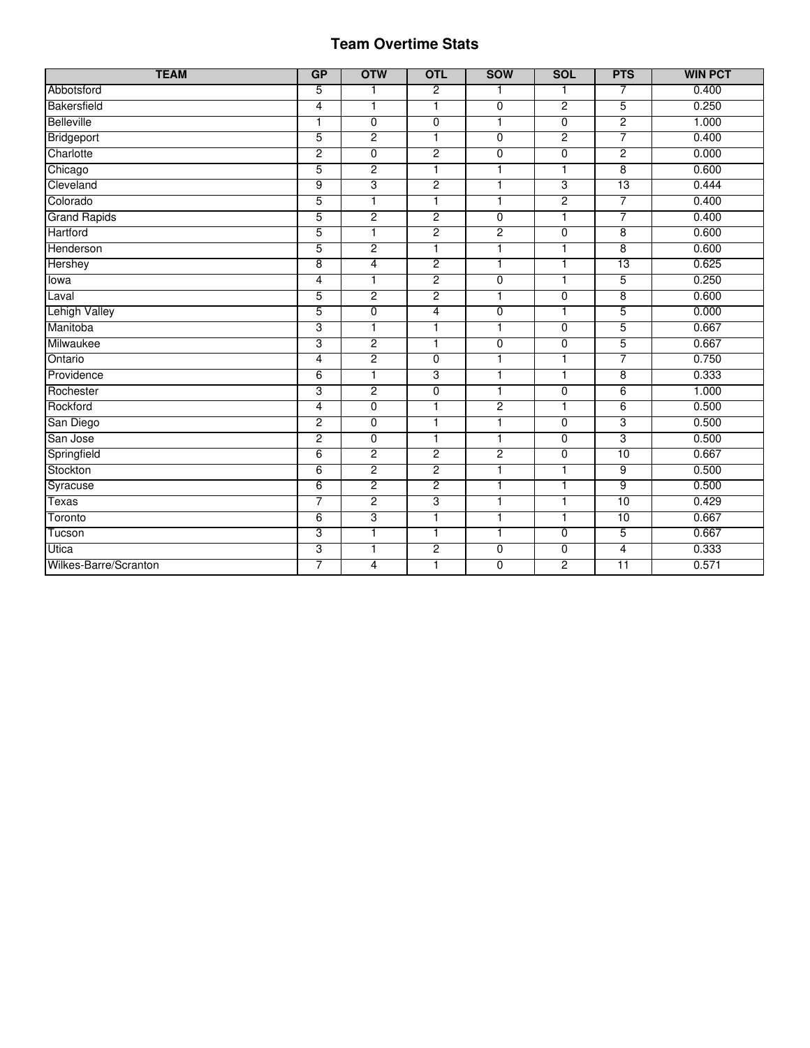#### Team Overtime Stats

| <b>TEAM</b>           | GP              | <b>OTW</b>     | <b>OTL</b>     | <b>SOW</b>     | <b>SOL</b>               | <b>PTS</b>      | <b>WIN PCT</b> |
|-----------------------|-----------------|----------------|----------------|----------------|--------------------------|-----------------|----------------|
| Abbotsford            | 5               | 1              | $\overline{2}$ | 1              | 1                        | 7               | 0.400          |
| Bakersfield           | $\overline{4}$  | $\overline{1}$ | 1              | $\overline{0}$ | $\overline{2}$           | 5               | 0.250          |
| <b>Belleville</b>     | $\mathbf{1}$    | $\overline{0}$ | 0              | $\mathbf{1}$   | $\overline{0}$           | $\overline{2}$  | 1.000          |
| Bridgeport            | 5               | $\overline{2}$ | $\overline{1}$ | $\overline{0}$ | $\overline{2}$           | 7               | 0.400          |
| Charlotte             | $\overline{2}$  | $\overline{0}$ | $\overline{c}$ | $\overline{0}$ | $\overline{0}$           | 2               | 0.000          |
| Chicago               | 5               | $\overline{2}$ | 1              | $\overline{1}$ | $\mathbf{1}$             | $\overline{8}$  | 0.600          |
| Cleveland             | 9               | 3              | $\overline{2}$ | 1              | 3                        | 13              | 0.444          |
| Colorado              | 5               | $\mathbf{1}$   | 1              | $\mathbf{1}$   | $\overline{2}$           | 7               | 0.400          |
| <b>Grand Rapids</b>   | $\overline{5}$  | $\overline{2}$ | $\overline{2}$ | $\overline{0}$ | $\overline{1}$           | 7               | 0.400          |
| Hartford              | 5               | $\overline{1}$ | $\overline{2}$ | $\overline{2}$ | $\overline{0}$           | 8               | 0.600          |
| Henderson             | 5               | $\overline{2}$ | $\overline{1}$ | 1              | $\overline{\phantom{a}}$ | $\overline{8}$  | 0.600          |
| Hershey               | $\overline{8}$  | $\overline{4}$ | $\overline{2}$ | $\mathbf{1}$   | $\mathbf{1}$             | 13              | 0.625          |
| lowa                  | $\overline{4}$  | $\overline{1}$ | $\overline{2}$ | $\overline{0}$ | $\mathbf{1}$             | 5               | 0.250          |
| Laval                 | 5               | $\overline{2}$ | $\overline{c}$ | $\overline{1}$ | $\overline{0}$           | 8               | 0.600          |
| <b>Lehigh Valley</b>  | 5               | $\overline{0}$ | 4              | $\overline{0}$ | $\mathbf{1}$             | 5               | 0.000          |
| Manitoba              | 3               | $\overline{1}$ | 1              | $\mathbf{1}$   | $\overline{0}$           | 5               | 0.667          |
| Milwaukee             | 3               | $\overline{c}$ | 1              | 0              | 0                        | 5               | 0.667          |
| Ontario               | $\overline{4}$  | $\overline{2}$ | $\overline{0}$ | $\overline{1}$ | $\mathbf{1}$             | 7               | 0.750          |
| Providence            | 6               | $\overline{1}$ | 3              | $\mathbf{1}$   | $\mathbf{1}$             | $\overline{8}$  | 0.333          |
| Rochester             | 3               | $\overline{2}$ | $\overline{0}$ | $\mathbf{1}$   | $\overline{0}$           | $6\overline{6}$ | 1.000          |
| Rockford              | $\overline{4}$  | $\overline{0}$ | 1              | $\overline{c}$ | 1                        | $6\overline{6}$ | 0.500          |
| San Diego             | $\overline{2}$  | $\overline{0}$ | 1              | 1              | $\overline{0}$           | 3               | 0.500          |
| San Jose              | $\overline{c}$  | $\overline{0}$ | 1              | $\overline{1}$ | $\overline{0}$           | 3               | 0.500          |
| Springfield           | 6               | $\overline{2}$ | $\overline{2}$ | $\overline{2}$ | $\overline{0}$           | 10              | 0.667          |
| Stockton              | $\overline{6}$  | $\overline{2}$ | $\overline{2}$ | $\overline{1}$ | $\mathbf{1}$             | $\overline{9}$  | 0.500          |
| Syracuse              | $6\overline{6}$ | $\overline{2}$ | $\overline{2}$ | $\mathbf{1}$   | 1                        | 9               | 0.500          |
| <b>Texas</b>          | 7               | $\overline{2}$ | 3              | $\overline{1}$ | 1                        | 10              | 0.429          |
| Toronto               | $\overline{6}$  | 3              | $\overline{1}$ | $\mathbf{1}$   | $\mathbf{1}$             | 10              | 0.667          |
| Tucson                | 3               | $\overline{1}$ | 1              | $\overline{1}$ | $\overline{0}$           | 5               | 0.667          |
| Utica                 | 3               | 1              | $\overline{2}$ | $\overline{0}$ | 0                        | $\overline{4}$  | 0.333          |
| Wilkes-Barre/Scranton | 7               | 4              | 1              | $\overline{0}$ | $\overline{2}$           | $\overline{11}$ | 0.571          |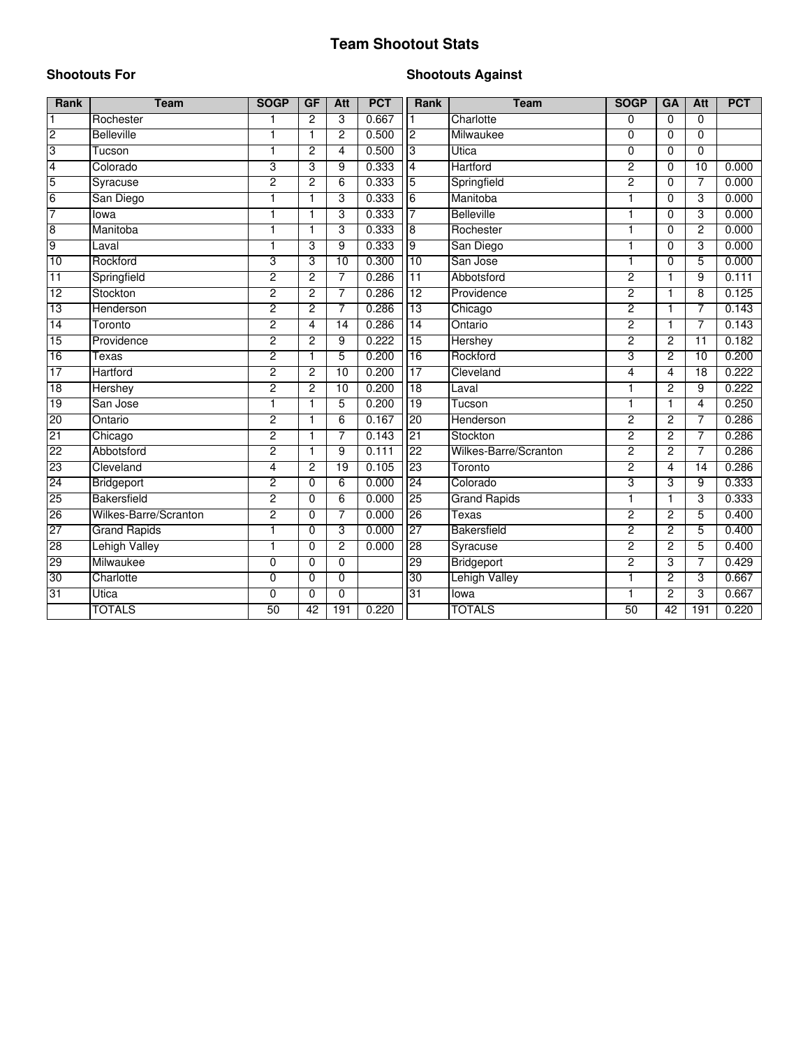## **Team Shootout Stats**

#### **Shootouts For**

#### **Shootouts Against**

| <b>Rank</b>     | <b>Team</b>           | <b>SOGP</b>    | GF             | <b>Att</b>      | <b>PCT</b> | <b>Rank</b>     | <b>Team</b>           | <b>SOGP</b>    | GA             | <b>Att</b>      | <b>PCT</b> |
|-----------------|-----------------------|----------------|----------------|-----------------|------------|-----------------|-----------------------|----------------|----------------|-----------------|------------|
| $\mathbf{1}$    | Rochester             | $\overline{1}$ | $\overline{c}$ | 3               | 0.667      |                 | Charlotte             | $\Omega$       | $\Omega$       | 0               |            |
| $\overline{c}$  | <b>Belleville</b>     | $\mathbf{1}$   | 1              | $\overline{2}$  | 0.500      | $\overline{2}$  | Milwaukee             | $\Omega$       | $\Omega$       | $\Omega$        |            |
| 3               | Tucson                | $\mathbf{1}$   | $\overline{c}$ | 4               | 0.500      | $\overline{3}$  | <b>Utica</b>          | 0              | 0              | $\mathbf 0$     |            |
| 4               | Colorado              | 3              | 3              | 9               | 0.333      | $\overline{4}$  | Hartford              | 2              | 0              | $\overline{10}$ | 0.000      |
| 5               | Syracuse              | $\overline{2}$ | 2              | 6               | 0.333      | 5               | Springfield           | $\overline{2}$ | 0              | 7               | 0.000      |
| $6\overline{6}$ | San Diego             | 1              | 1              | 3               | 0.333      | $6\overline{6}$ | Manitoba              | 1              | 0              | 3               | 0.000      |
| 7               | lowa                  | 1              | 1              | 3               | 0.333      | 7               | <b>Belleville</b>     | 1              | 0              | 3               | 0.000      |
| $\overline{8}$  | Manitoba              |                | 1              | 3               | 0.333      | ø               | Rochester             | 1              | 0              | 2               | 0.000      |
| $\overline{9}$  | Laval                 | $\mathbf{1}$   | 3              | 9               | 0.333      | 9               | San Diego             | 1              | 0              | 3               | 0.000      |
| 10              | Rockford              | 3              | 3              | 10              | 0.300      | 10              | San Jose              | 1              | 0              | 5               | 0.000      |
| 11              | Springfield           | $\overline{2}$ | $\overline{c}$ | 7               | 0.286      | 11              | Abbotsford            | $\overline{c}$ | 1              | 9               | 0.111      |
| 12              | Stockton              | $\overline{2}$ | 2              | 7               | 0.286      | 12              | Providence            | $\overline{2}$ | 1              | 8               | 0.125      |
| 13              | Henderson             | $\overline{2}$ | 2              | 7               | 0.286      | 13              | Chicago               | $\overline{2}$ | $\mathbf{1}$   | 7               | 0.143      |
| 14              | Toronto               | $\overline{2}$ | 4              | $\overline{14}$ | 0.286      | 14              | Ontario               | $\overline{2}$ | $\mathbf{1}$   | 7               | 0.143      |
| 15              | Providence            | 2              | $\overline{2}$ | 9               | 0.222      | 15              | Hershey               | $\overline{2}$ | $\overline{2}$ | $\overline{11}$ | 0.182      |
| 16              | Texas                 | 2              | 1              | 5               | 0.200      | 16              | Rockford              | 3              | 2              | 10              | 0.200      |
| 17              | Hartford              | $\overline{2}$ | $\overline{c}$ | 10              | 0.200      | 17              | Cleveland             | 4              | 4              | $\overline{18}$ | 0.222      |
| 18              | Hershey               | $\overline{2}$ | $\overline{2}$ | 10              | 0.200      | 18              | Laval                 | 1              | $\overline{2}$ | $\overline{9}$  | 0.222      |
| 19              | San Jose              | 1              | 1              | 5               | 0.200      | 19              | Tucson                | 1              | 1              | 4               | 0.250      |
| 20              | Ontario               | $\overline{2}$ | 1              | 6               | 0.167      | 20              | Henderson             | $\overline{2}$ | $\overline{2}$ | 7               | 0.286      |
| 21              | Chicago               | $\overline{2}$ | 1              | 7               | 0.143      | 21              | Stockton              | $\overline{2}$ | $\overline{c}$ | 7               | 0.286      |
| 22              | Abbotsford            | $\overline{2}$ | $\mathbf{1}$   | 9               | 0.111      | 22              | Wilkes-Barre/Scranton | $\overline{2}$ | $\overline{2}$ | 7               | 0.286      |
| 23              | Cleveland             | $\overline{4}$ | $\overline{2}$ | 19              | 0.105      | 23              | Toronto               | $\overline{2}$ | 4              | $\overline{14}$ | 0.286      |
| 24              | Bridgeport            | 2              | $\Omega$       | 6               | 0.000      | 24              | Colorado              | 3              | 3              | 9               | 0.333      |
| 25              | <b>Bakersfield</b>    | 2              | $\Omega$       | 6               | 0.000      | 25              | <b>Grand Rapids</b>   | 1              | 1              | 3               | 0.333      |
| 26              | Wilkes-Barre/Scranton | $\overline{2}$ | $\Omega$       | 7               | 0.000      | 26              | Texas                 | $\overline{2}$ | $\overline{2}$ | 5               | 0.400      |
| 27              | <b>Grand Rapids</b>   | $\mathbf{1}$   | 0              | 3               | 0.000      | 27              | <b>Bakersfield</b>    | $\overline{2}$ | $\overline{2}$ | 5               | 0.400      |
| 28              | <b>Lehigh Valley</b>  | $\mathbf{1}$   | $\Omega$       | $\overline{2}$  | 0.000      | 28              | Syracuse              | $\overline{2}$ | $\overline{2}$ | 5               | 0.400      |
| 29              | Milwaukee             | 0              | 0              | 0               |            | 29              | Bridgeport            | 2              | 3              | $\overline{7}$  | 0.429      |
| 30              | Charlotte             | $\overline{0}$ | $\Omega$       | 0               |            | 30              | <b>Lehigh Valley</b>  | 1              | $\overline{2}$ | 3               | 0.667      |
| 31              | Utica                 | $\mathbf 0$    | 0              | 0               |            | 31              | lowa                  | 1              | $\overline{2}$ | 3               | 0.667      |
|                 | <b>TOTALS</b>         | 50             | 42             | 191             | 0.220      |                 | <b>TOTALS</b>         | 50             | 42             | 191             | 0.220      |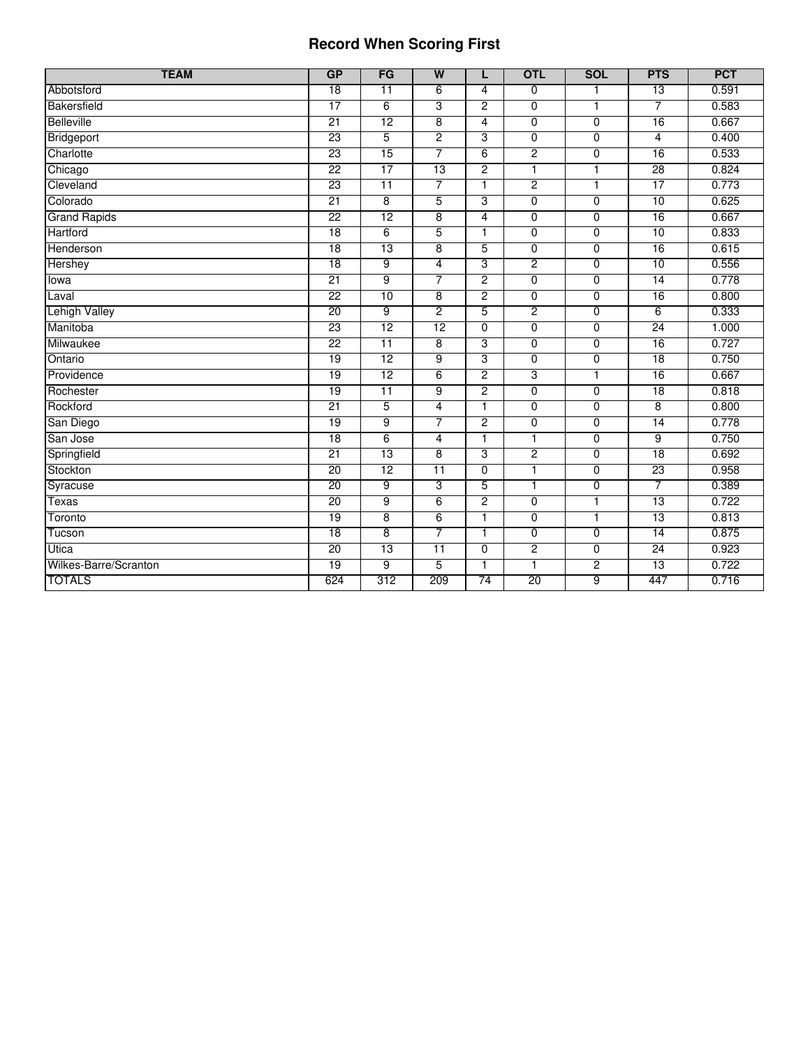#### **Record When Scoring First**

| <b>TEAM</b>           | GP              | FG              | $\overline{W}$  | L                       | <b>OTL</b>     | <b>SOL</b>     | <b>PTS</b>      | <b>PCT</b> |
|-----------------------|-----------------|-----------------|-----------------|-------------------------|----------------|----------------|-----------------|------------|
| Abbotsford            | $\overline{18}$ | 11              | 6               | $\overline{\mathbf{4}}$ | 0              | 1              | $\overline{13}$ | 0.591      |
| Bakersfield           | 17              | 6               | 3               | $\overline{2}$          | $\overline{0}$ | 1              | 7               | 0.583      |
| Belleville            | 21              | 12              | 8               | 4                       | 0              | 0              | 16              | 0.667      |
| Bridgeport            | 23              | 5               | $\overline{2}$  | 3                       | $\overline{0}$ | $\overline{0}$ | 4               | 0.400      |
| Charlotte             | 23              | 15              | 7               | 6                       | $\overline{2}$ | 0              | 16              | 0.533      |
| Chicago               | 22              | 17              | 13              | $\overline{2}$          | $\overline{1}$ | $\overline{1}$ | 28              | 0.824      |
| Cleveland             | 23              | $\overline{11}$ | 7               | 1                       | 2              | 1              | 17              | 0.773      |
| Colorado              | $\overline{21}$ | $\overline{8}$  | 5               | 3                       | $\overline{0}$ | $\overline{0}$ | 10              | 0.625      |
| <b>Grand Rapids</b>   | $\overline{22}$ | 12              | 8               | $\overline{\mathbf{4}}$ | 0              | $\mathbf 0$    | 16              | 0.667      |
| Hartford              | 18              | 6               | $\overline{5}$  | $\overline{1}$          | $\overline{0}$ | $\overline{0}$ | 10              | 0.833      |
| Henderson             | 18              | 13              | 8               | 5                       | $\overline{0}$ | $\overline{0}$ | 16              | 0.615      |
| Hershey               | 18              | $\overline{9}$  | $\overline{4}$  | 3                       | $\overline{2}$ | $\overline{0}$ | 10              | 0.556      |
| lowa                  | $\overline{21}$ | $\overline{9}$  | 7               | $\overline{2}$          | 0              | 0              | $\overline{14}$ | 0.778      |
| Laval                 | 22              | 10              | $\overline{8}$  | $\overline{2}$          | $\overline{0}$ | $\overline{0}$ | 16              | 0.800      |
| <b>Lehigh Valley</b>  | 20              | 9               | $\overline{2}$  | 5                       | 2              | $\overline{0}$ | $\overline{6}$  | 0.333      |
| Manitoba              | 23              | 12              | 12              | $\overline{0}$          | $\overline{0}$ | $\overline{0}$ | 24              | 1.000      |
| Milwaukee             | $\overline{22}$ | $\overline{11}$ | 8               | 3                       | 0              | 0              | 16              | 0.727      |
| Ontario               | 19              | 12              | $\overline{9}$  | 3                       | $\overline{0}$ | $\overline{0}$ | 18              | 0.750      |
| Providence            | 19              | 12              | 6               | $\overline{2}$          | 3              | $\mathbf{1}$   | 16              | 0.667      |
| Rochester             | 19              | $\overline{11}$ | $\overline{9}$  | $\overline{2}$          | $\overline{0}$ | $\overline{0}$ | $\overline{18}$ | 0.818      |
| Rockford              | 21              | 5               | $\overline{4}$  | $\mathbf{1}$            | 0              | $\mathbf 0$    | 8               | 0.800      |
| San Diego             | 19              | 9               | 7               | $\overline{2}$          | $\overline{0}$ | $\overline{0}$ | 14              | 0.778      |
| San Jose              | 18              | $6\overline{6}$ | 4               | 1                       | 1              | $\overline{0}$ | 9               | 0.750      |
| Springfield           | 21              | 13              | $\overline{8}$  | 3                       | $\overline{2}$ | $\overline{0}$ | 18              | 0.692      |
| Stockton              | 20              | 12              | $\overline{11}$ | $\Omega$                | 1              | 0              | 23              | 0.958      |
| Syracuse              | 20              | $\overline{9}$  | 3               | 5                       | 1              | $\overline{0}$ | 7               | 0.389      |
| <b>Texas</b>          | $\overline{20}$ | 9               | 6               | $\overline{2}$          | 0              | $\mathbf{1}$   | 13              | 0.722      |
| Toronto               | $\overline{19}$ | $\overline{8}$  | 6               | 1                       | 0              | 1              | 13              | 0.813      |
| Tucson                | 18              | $\overline{8}$  | 7               | $\mathbf{1}$            | 0              | 0              | $\overline{14}$ | 0.875      |
| Utica                 | 20              | 13              | $\overline{11}$ | $\overline{0}$          | $\overline{2}$ | $\overline{0}$ | 24              | 0.923      |
| Wilkes-Barre/Scranton | 19              | 9               | 5               | $\mathbf 1$             |                | 2              | 13              | 0.722      |
| <b>TOTALS</b>         | 624             | 312             | 209             | 74                      | 20             | 9              | 447             | 0.716      |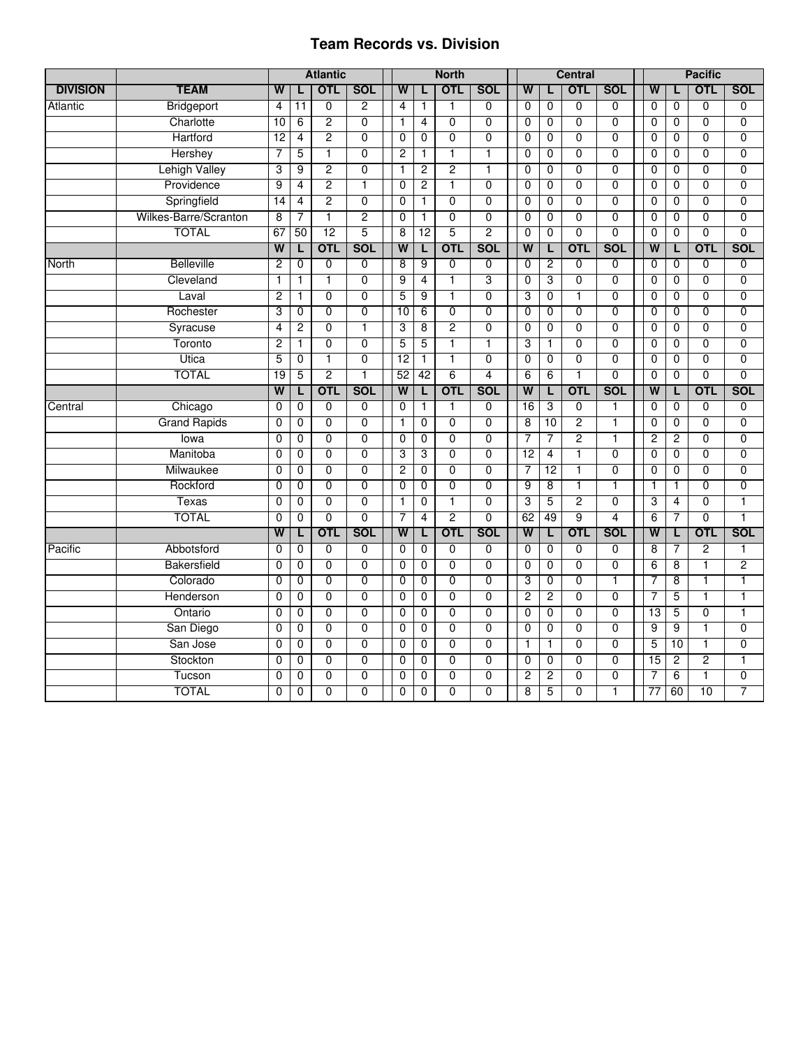#### **Team Records vs. Division**

|                 |                       | <b>Atlantic</b>         |                |                | <b>North</b>   |                         |                |                |                |  |                         | <b>Central</b> |                | <b>Pacific</b> |                |    |                |                |                |
|-----------------|-----------------------|-------------------------|----------------|----------------|----------------|-------------------------|----------------|----------------|----------------|--|-------------------------|----------------|----------------|----------------|----------------|----|----------------|----------------|----------------|
| <b>DIVISION</b> | <b>TEAM</b>           | W                       | L              | <b>OTL</b>     | <b>SOL</b>     | W                       |                | <b>OTL</b>     | <b>SOL</b>     |  | W                       | L              | <b>OTL</b>     | <b>SOL</b>     | W              |    |                | <b>OTL</b>     | <b>SOL</b>     |
| Atlantic        | Bridgeport            | 4                       | 11             | $\overline{0}$ | $\overline{2}$ | 4                       | $\mathbf{1}$   | 1              | 0              |  | $\mathbf 0$             | $\mathbf 0$    | $\overline{0}$ | $\overline{0}$ | $\Omega$       |    | $\mathbf 0$    | $\overline{0}$ | $\mathbf 0$    |
|                 | Charlotte             | 10                      | 6              | $\overline{2}$ | $\overline{0}$ | 1                       | $\overline{4}$ | $\overline{0}$ | $\overline{0}$ |  | $\mathbf 0$             | $\overline{0}$ | $\overline{0}$ | $\overline{0}$ | $\Omega$       |    | $\mathbf 0$    | $\overline{0}$ | $\overline{0}$ |
|                 | Hartford              | 12                      | 4              | $\overline{2}$ | $\overline{0}$ | $\overline{0}$          | 0              | $\overline{0}$ | $\overline{0}$ |  | $\mathbf 0$             | $\overline{0}$ | $\overline{0}$ | $\overline{0}$ | $\Omega$       |    | $\mathbf 0$    | $\overline{0}$ | $\overline{0}$ |
|                 | Hershey               | 7                       | 5              | ī              | $\overline{0}$ | $\overline{2}$          | $\overline{1}$ | 1              | T              |  | $\overline{0}$          | $\overline{0}$ | $\overline{0}$ | $\overline{0}$ | $\overline{0}$ |    | $\overline{0}$ | $\overline{0}$ | $\overline{0}$ |
|                 | Lehigh Valley         | 3                       | 9              | 2              | $\overline{0}$ | 1                       | $\overline{2}$ | $\overline{2}$ | 1              |  | $\overline{0}$          | $\overline{0}$ | $\overline{0}$ | $\overline{0}$ | $\overline{0}$ |    | 0              | $\overline{0}$ | $\overline{0}$ |
|                 | Providence            | 9                       | 4              | 2              | 1              | $\overline{0}$          | $\overline{2}$ | 1              | $\overline{0}$ |  | 0                       | $\overline{0}$ | $\overline{0}$ | $\overline{0}$ | $\mathbf 0$    |    | 0              | $\overline{0}$ | $\overline{0}$ |
|                 | Springfield           | 14                      | 4              | $\overline{2}$ | $\mathbf 0$    | 0                       | 1              | $\overline{0}$ | $\overline{0}$ |  | 0                       | $\mathbf 0$    | $\overline{0}$ | $\mathbf 0$    | $\Omega$       |    | $\mathbf 0$    | $\mathbf{0}$   | $\overline{0}$ |
|                 | Wilkes-Barre/Scranton | 8                       | 7              | 1              | $\overline{2}$ | 0                       | $\mathbf{1}$   | $\overline{0}$ | $\overline{0}$ |  | $\overline{0}$          | $\overline{0}$ | $\overline{0}$ | $\overline{0}$ | $\mathbf 0$    |    | $\mathbf 0$    | $\overline{0}$ | $\overline{0}$ |
|                 | <b>TOTAL</b>          | 67                      | 50             | 12             | $\overline{5}$ | 8                       | 12             | 5              | $\overline{2}$ |  | $\mathbf 0$             | $\mathbf 0$    | $\overline{0}$ | $\overline{0}$ | $\Omega$       |    | $\mathbf 0$    | $\overline{0}$ | $\overline{0}$ |
|                 |                       | $\overline{W}$          | L              | <b>OTL</b>     | <b>SOL</b>     | W                       | L              | <b>OTL</b>     | <b>SOL</b>     |  | W                       | L              | <b>OTL</b>     | <b>SOL</b>     | W              |    | L              | <b>OTL</b>     | <b>SOL</b>     |
| North           | <b>Belleville</b>     | $\overline{c}$          | $\mathbf 0$    | $\overline{0}$ | $\overline{0}$ | 8                       | 9              | $\overline{0}$ | $\overline{0}$ |  | $\mathbf 0$             | $\overline{2}$ | $\overline{0}$ | $\overline{0}$ | $\mathbf 0$    |    | 0              | 0              | $\mathbf 0$    |
|                 | Cleveland             | $\mathbf{1}$            | $\mathbf{1}$   | $\overline{1}$ | $\overline{0}$ | 9                       | 4              | $\overline{1}$ | 3              |  | $\overline{0}$          | 3              | $\overline{0}$ | $\overline{0}$ | $\overline{0}$ |    | $\overline{0}$ | $\overline{0}$ | $\overline{0}$ |
|                 | Laval                 | 2                       | 1              | $\overline{0}$ | $\overline{0}$ | 5                       | 9              | $\overline{1}$ | $\overline{0}$ |  | 3                       | $\overline{0}$ | $\mathbf{1}$   | $\overline{0}$ | $\mathbf 0$    |    | 0              | $\overline{0}$ | $\overline{0}$ |
|                 | Rochester             | 3                       | $\overline{0}$ | $\overline{0}$ | $\overline{0}$ | $\overline{10}$         | 6              | $\overline{0}$ | $\overline{0}$ |  | $\overline{0}$          | $\overline{0}$ | $\overline{0}$ | $\overline{0}$ | $\overline{0}$ |    | 0              | $\overline{0}$ | $\overline{0}$ |
|                 | Syracuse              | 4                       | 2              | $\overline{0}$ | $\mathbf{1}$   | 3                       | $\overline{8}$ | $\overline{2}$ | $\overline{0}$ |  | 0                       | $\mathbf 0$    | $\overline{0}$ | $\overline{0}$ | $\Omega$       |    | $\mathbf 0$    | $\overline{0}$ | $\overline{0}$ |
|                 | Toronto               | $\overline{c}$          | 1              | $\overline{0}$ | $\overline{0}$ | 5                       | 5              | $\overline{1}$ | 1              |  | 3                       | $\mathbf{1}$   | $\overline{0}$ | $\overline{0}$ | $\Omega$       |    | $\mathbf 0$    | $\overline{0}$ | $\overline{0}$ |
|                 | Utica                 | 5                       | 0              | $\mathbf{1}$   | $\overline{0}$ | 12                      | $\mathbf{1}$   | $\mathbf{1}$   | $\overline{0}$ |  | $\mathbf 0$             | $\mathbf 0$    | $\overline{0}$ | $\overline{0}$ | $\Omega$       |    | 0              | $\overline{0}$ | $\overline{0}$ |
|                 | <b>TOTAL</b>          | 19                      | 5              | $\overline{2}$ | $\mathbf{1}$   | 52                      | 42             | $\overline{6}$ | 4              |  | 6                       | 6              | $\mathbf{1}$   | $\overline{0}$ | $\Omega$       |    | $\mathbf 0$    | $\overline{0}$ | $\overline{0}$ |
|                 |                       | $\overline{\mathsf{w}}$ | L              | <b>OTL</b>     | <b>SOL</b>     | $\overline{\mathsf{w}}$ | L              | <b>OTL</b>     | <b>SOL</b>     |  | $\overline{\mathsf{w}}$ | L              | <b>OTL</b>     | <b>SOL</b>     | $\overline{w}$ |    | L              | <b>OTL</b>     | <b>SOL</b>     |
| Central         | Chicago               | $\mathbf 0$             | 0              | $\mathbf 0$    | $\mathbf 0$    | 0                       | $\mathbf{1}$   | 1              | 0              |  | 16                      | 3              | $\overline{0}$ | $\mathbf{1}$   | $\mathbf 0$    |    | $\mathbf 0$    | $\mathbf 0$    | $\mathbf 0$    |
|                 | <b>Grand Rapids</b>   | 0                       | 0              | $\overline{0}$ | $\overline{0}$ | 1                       | $\overline{0}$ | $\overline{0}$ | $\overline{0}$ |  | 8                       | 10             | $\overline{2}$ | 1              | $\overline{0}$ |    | 0              | $\overline{0}$ | $\overline{0}$ |
|                 | lowa                  | $\mathbf 0$             | 0              | $\overline{0}$ | $\overline{0}$ | $\overline{0}$          | $\overline{0}$ | $\overline{0}$ | $\overline{0}$ |  | 7                       | 7              | 2              | 1              | $\overline{2}$ |    | $\overline{2}$ | $\overline{0}$ | $\overline{0}$ |
|                 | Manitoba              | 0                       | $\overline{0}$ | $\overline{0}$ | $\overline{0}$ | 3                       | 3              | $\overline{0}$ | $\overline{0}$ |  | 12                      | $\overline{4}$ | 7              | $\overline{0}$ | $\overline{0}$ |    | $\overline{0}$ | $\overline{0}$ | $\overline{0}$ |
|                 | Milwaukee             | 0                       | $\mathbf{0}$   | $\overline{0}$ | $\mathbf 0$    | $\overline{2}$          | $\mathbf 0$    | $\overline{0}$ | $\overline{0}$ |  | 7                       | 12             | $\mathbf{1}$   | $\mathbf 0$    | $\Omega$       |    | $\mathbf 0$    | $\Omega$       | $\overline{0}$ |
|                 | Rockford              | $\mathbf{0}$            | $\overline{0}$ | $\overline{0}$ | $\overline{0}$ | $\overline{0}$          | $\mathbf 0$    | $\overline{0}$ | $\overline{0}$ |  | $\overline{9}$          | 8              | $\mathbf{1}$   | $\mathbf{1}$   | $\mathbf{1}$   |    | 1              | $\overline{0}$ | $\overline{0}$ |
|                 | Texas                 | 0                       | 0              | $\mathbf 0$    | $\mathbf 0$    | 1                       | 0              | 1              | $\overline{0}$ |  | 3                       | 5              | $\overline{2}$ | $\mathbf 0$    | 3              |    | 4              | $\mathbf{0}$   | $\mathbf{1}$   |
|                 | <b>TOTAL</b>          | $\mathbf 0$             | $\overline{0}$ | $\overline{0}$ | $\overline{0}$ | 7                       | 4              | $\overline{2}$ | $\overline{0}$ |  | 62                      | 49             | $\overline{9}$ | $\overline{4}$ | 6              |    | 7              | $\overline{0}$ | $\overline{1}$ |
|                 |                       | W                       | L              | <b>OTL</b>     | SOL            | $\overline{W}$          | L              | <b>OTL</b>     | <b>SOL</b>     |  | $\overline{w}$          | L              | <b>OTL</b>     | SOL            | W              |    | L              | <b>OTL</b>     | <b>SOL</b>     |
| Pacific         | Abbotsford            | 0                       | $\overline{0}$ | $\overline{0}$ | $\overline{0}$ | $\overline{0}$          | $\overline{0}$ | $\overline{0}$ | $\overline{0}$ |  | 0                       | $\overline{0}$ | $\overline{0}$ | $\overline{0}$ | $\overline{8}$ |    | 7              | 2              | 1              |
|                 | Bakersfield           | 0                       | 0              | $\overline{0}$ | $\overline{0}$ | 0                       | $\overline{0}$ | $\overline{0}$ | $\overline{0}$ |  | 0                       | $\overline{0}$ | $\overline{0}$ | $\overline{0}$ | 6              |    | $\overline{8}$ | $\mathbf{1}$   | $\overline{2}$ |
|                 | Colorado              | $\mathbf 0$             | $\overline{0}$ | $\overline{0}$ | $\overline{0}$ | $\overline{0}$          | $\overline{0}$ | $\overline{0}$ | $\overline{0}$ |  | 3                       | $\overline{0}$ | $\overline{0}$ | 1              | 7              |    | $\overline{8}$ | 1              | 1              |
|                 | Henderson             | 0                       | 0              | $\Omega$       | $\mathbf 0$    | 0                       | 0              | $\mathbf 0$    | $\overline{0}$ |  | $\overline{2}$          | $\overline{2}$ | $\overline{0}$ | $\Omega$       | $\overline{7}$ |    | 5              | 1              | 1              |
|                 | Ontario               | $\mathbf{0}$            | 0              | $\overline{0}$ | $\overline{0}$ | 0                       | $\mathbf 0$    | $\overline{0}$ | $\overline{0}$ |  | $\mathbf 0$             | $\overline{0}$ | $\overline{0}$ | $\overline{0}$ |                | 13 | 5              | $\overline{0}$ | $\mathbf{1}$   |
|                 | San Diego             | $\overline{0}$          | 0              | $\overline{0}$ | $\overline{0}$ | $\overline{0}$          | 0              | $\overline{0}$ | $\overline{0}$ |  | 0                       | $\overline{0}$ | $\overline{0}$ | $\overline{0}$ | $\overline{9}$ |    | $\overline{9}$ | $\overline{1}$ | $\overline{0}$ |
|                 | San Jose              | 0                       | 0              | $\overline{0}$ | $\overline{0}$ | 0                       | 0              | $\overline{0}$ | 0              |  | $\mathbf{1}$            | $\mathbf{1}$   | $\overline{0}$ | $\overline{0}$ | 5              |    | 10             | 1              | $\overline{0}$ |
|                 | Stockton              | $\mathbf 0$             | 0              | $\mathbf 0$    | $\mathbf 0$    | 0                       | 0              | 0              | $\overline{0}$ |  | 0                       | 0              | $\mathbf 0$    | $\mathbf 0$    |                | 15 | 2              | $\overline{2}$ | $\mathbf{1}$   |
|                 | Tucson                | $\mathbf 0$             | 0              | $\overline{0}$ | $\overline{0}$ | 0                       | 0              | $\overline{0}$ | $\overline{0}$ |  | $\overline{2}$          | $\overline{2}$ | $\overline{0}$ | $\mathbf 0$    | 7              |    | 6              | 1              | $\overline{0}$ |
|                 | <b>TOTAL</b>          | $\overline{0}$          | $\overline{0}$ | $\overline{0}$ | $\overline{0}$ | $\overline{0}$          | $\overline{0}$ | $\overline{0}$ | $\overline{0}$ |  | 8                       | 5              | $\overline{0}$ | 1              |                | 77 | 60             | 10             | 7              |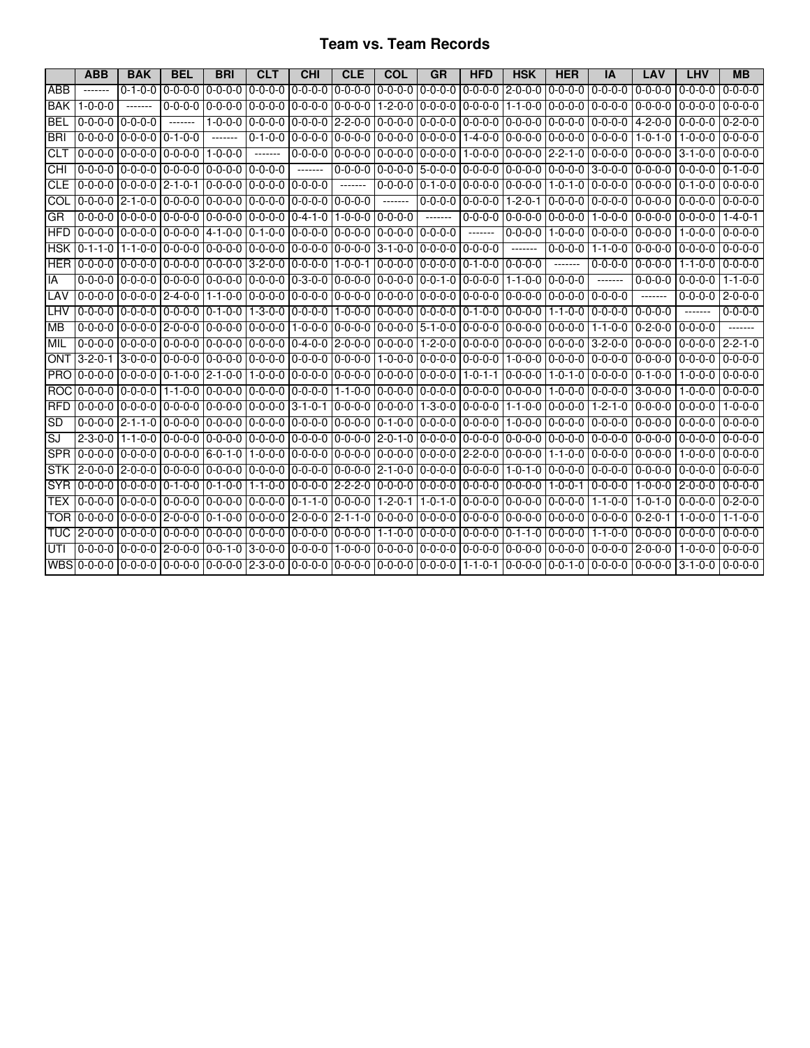### **Team vs. Team Records**

|            | <b>ABB</b>                     | <b>BAK</b>                    | <b>BEL</b>                                                     | <b>BRI</b>                                                                                            | <b>CLT</b>                                                                                                                                                                                                                                                                                                                                                                                                                                                                             | <b>CHI</b>                              | CLE                       | COL                 | <b>GR</b>       | <b>HFD</b>                                          | <b>HSK</b>      | <b>HER</b>                                  | IA                                                                                                                                                                  | LAV             | LHV                           | <b>MB</b>       |
|------------|--------------------------------|-------------------------------|----------------------------------------------------------------|-------------------------------------------------------------------------------------------------------|----------------------------------------------------------------------------------------------------------------------------------------------------------------------------------------------------------------------------------------------------------------------------------------------------------------------------------------------------------------------------------------------------------------------------------------------------------------------------------------|-----------------------------------------|---------------------------|---------------------|-----------------|-----------------------------------------------------|-----------------|---------------------------------------------|---------------------------------------------------------------------------------------------------------------------------------------------------------------------|-----------------|-------------------------------|-----------------|
| ABB        | -------                        | $0 - 1 - 0 - 0$               | $0 - 0 - 0 - 0$                                                | $0 - 0 - 0 - 0$                                                                                       | $0 - 0 - 0 - 0$                                                                                                                                                                                                                                                                                                                                                                                                                                                                        | $0 - 0 - 0 - 0 10 - 0 - 0 - 0$          |                           | $0 - 0 - 0 - 0$     | $0 - 0 - 0 - 0$ | 0-0-0-0 2-0-0-0                                     |                 | $0 - 0 - 0 - 0$                             | $0 - 0 - 0 - 0$                                                                                                                                                     | $0 - 0 - 0 - 0$ | $0 - 0 - 0 - 0$               | $0 - 0 - 0 - 0$ |
| <b>BAK</b> | $1 - 0 - 0 - 0$                |                               | $0 - 0 - 0 - 0$                                                | $0 - 0 - 0 - 0$                                                                                       | $0 - 0 - 0 - 0$                                                                                                                                                                                                                                                                                                                                                                                                                                                                        | 0-0-0-0 0-0-0-0-0                       |                           | 1-2-0-0 0-0-0-0     |                 | $0 - 0 - 0 - 0$                                     |                 | $1 - 1 - 0 - 0 0 - 0 - 0 - 0 0 - 0 - 0 - 0$ |                                                                                                                                                                     | $0 - 0 - 0 - 0$ | $0 - 0 - 0 - 0$               | $0 - 0 - 0 - 0$ |
| <b>BEI</b> | $0 - 0 - 0 - 0$                | $0 - 0 - 0 - 0$               | -------                                                        | $1 - 0 - 0 - 0$                                                                                       | I0-0-0-0 I0-0-0-0 I2-2-0-0                                                                                                                                                                                                                                                                                                                                                                                                                                                             |                                         |                           |                     |                 |                                                     |                 |                                             | 10-0-0-0 10-0-0-0 10-0-0-0 10-0-0-0 10-0-0-0 10-0-0-0                                                                                                               | -4-2-0-0        | $0 - 0 - 0 - 0$               | $0 - 2 - 0 - 0$ |
| <b>BRI</b> | $0 - 0 - 0 - 0$                | $0 - 0 - 0 - 0$               | $0 - 1 - 0 - 0$                                                | $- - - - - - -$                                                                                       | 0-1-0-0 0-0-0-0 0-0-0-0                                                                                                                                                                                                                                                                                                                                                                                                                                                                |                                         |                           | $0 - 0 - 0 - 0$     | $0 - 0 - 0 - 0$ | $1 - 4 - 0 - 0$                                     |                 | $0-0-0-0$ $0-0-0-0$ $0-0-0-0$               |                                                                                                                                                                     | $1 - 0 - 1 - 0$ | 1-0-0-0                       | $0 - 0 - 0 - 0$ |
| <b>CLT</b> | 0-0-0-0 10-0-0-0 1             |                               | 0-0-0-0                                                        | $1 - 0 - 0 - 0$                                                                                       | $\begin{array}{cccccccccc} \multicolumn{2}{c}{} & \multicolumn{2}{c}{} & \multicolumn{2}{c}{} & \multicolumn{2}{c}{} & \multicolumn{2}{c}{} & \multicolumn{2}{c}{} & \multicolumn{2}{c}{} & \multicolumn{2}{c}{} & \multicolumn{2}{c}{} & \multicolumn{2}{c}{} & \multicolumn{2}{c}{} & \multicolumn{2}{c}{} & \multicolumn{2}{c}{} & \multicolumn{2}{c}{} & \multicolumn{2}{c}{} & \multicolumn{2}{c}{} & \multicolumn{2}{c}{} & \multicolumn{2}{c}{} & \multicolumn{2}{c}{} & \mult$ | l 0-0-0-0 l 0-0-0-0 l 0-0-0-0           |                           |                     | 0-0-0-0         |                                                     |                 |                                             |                                                                                                                                                                     | $0 - 0 - 0 - 0$ | $3 - 1 - 0 - 0$               | $0 - 0 - 0 - 0$ |
| CHI        | $0 - 0 - 0 - 0 10 - 0 - 0$     |                               | 0-0-0-0                                                        |                                                                                                       | $0 - 0 - 0 - 0 10 - 0 - 0$                                                                                                                                                                                                                                                                                                                                                                                                                                                             | $- - - - - - -$                         | $0 - 0 - 0 - 0 0 - 0 - 0$ |                     |                 |                                                     |                 |                                             | 15-0-0-0 10-0-0-0 10-0-0-0 10-0-0-0 13-0-0-0                                                                                                                        | $0 - 0 - 0 - 0$ | $0 - 0 - 0 - 0$               | $0 - 1 - 0 - 0$ |
| <b>CLE</b> |                                |                               | l 0-0-0-0 l 0-0-0-0 l 2-1-0-1 l 0-0-0-0                        |                                                                                                       | 0-0-0-0 0-0-0-0                                                                                                                                                                                                                                                                                                                                                                                                                                                                        |                                         | -------                   | l0-0-0-0 l0-1-0-0   |                 | l0-0-0-0 l0-0-0-0 l1-0-1-0 l0-0-0-0                 |                 |                                             |                                                                                                                                                                     | $0 - 0 - 0 - 0$ | $0 - 1 - 0 - 0$               | $0 - 0 - 0 - 0$ |
| COL        |                                |                               | 10-0-0-0 l2-1-0-0 l0-0-0-0 l0-0-0-0 l0-0-0-0 l0-0-0-0 l0-0-0-0 |                                                                                                       |                                                                                                                                                                                                                                                                                                                                                                                                                                                                                        |                                         |                           | --------            |                 | 0-0-0-0 0-0-0-0 0                                   |                 |                                             | 1-2-0-1 0-0-0-0 0-0-0-0                                                                                                                                             |                 | $10-0-0-010-0-0-010-0-0-0$    |                 |
| GR         | 0-0-0-0 0-0-0-0                |                               | $0 - 0 - 0 - 0$                                                |                                                                                                       | $0 - 0 - 0 - 0$ $0 - 0 - 0 - 0$ $0 - 4 - 1 - 0$                                                                                                                                                                                                                                                                                                                                                                                                                                        |                                         | $1 - 0 - 0 - 0$           | $0 - 0 - 0 - 0$     | $- - - - - - -$ | $0 - 0 - 0 - 0$                                     | $0 - 0 - 0 - 0$ | $0 - 0 - 0 - 0$                             | $1 - 0 - 0 - 0$                                                                                                                                                     | $0 - 0 - 0 - 0$ | 0-0-0-0                       | $1 - 4 - 0 - 1$ |
| <b>HFD</b> | 0-0-0-0 0-0-0-0                |                               |                                                                | $0 - 0 - 0$ $14 - 1 - 0 - 0$ $10 - 1 - 0 - 0$ $10 - 0 - 0$ $10 - 0 - 0 - 0$                           |                                                                                                                                                                                                                                                                                                                                                                                                                                                                                        |                                         |                           | l 0-0-0-0 l 0-0-0-0 |                 | --------                                            | $0 - 0 - 0 - 0$ | $1 - 0 - 0 - 0$                             | $0 - 0 - 0 - 0$                                                                                                                                                     | $0 - 0 - 0 - 0$ | 1-0-0-0                       | $0 - 0 - 0 - 0$ |
|            | HSK 10-1-1-0 11-1-0-0 I        |                               |                                                                | l0-0-0-0 l0-0-0-0 l0-0-0-0 l0-0-0-0 l0-0-0-0 l3-1-0-0 l0-0-0-0 l0-0-0-0 l                             |                                                                                                                                                                                                                                                                                                                                                                                                                                                                                        |                                         |                           |                     |                 |                                                     | $- - - - - - -$ | 0-0-0-0 l 1-1-0-0                           |                                                                                                                                                                     |                 | 0-0-0-0 0-0-0-0 0-0-0-0       |                 |
|            | HER 10-0-0-0 10-0-0-0          |                               |                                                                | 0-0-0-0 0-0-0-0 3-2-0-0 0-0-0-0 11-0-0-1 0-0-0-0                                                      |                                                                                                                                                                                                                                                                                                                                                                                                                                                                                        |                                         |                           |                     | $0 - 0 - 0 - 0$ | l0-1-0-0 l0-0-0-0                                   |                 |                                             | $0 - 0 - 0 - 0$                                                                                                                                                     | $0 - 0 - 0 - 0$ | $1 - 1 - 0 - 0$               | $0 - 0 - 0 - 0$ |
| IA         | $0 - 0 - 0 - 0 10 - 0 - 0$     |                               |                                                                | 0-0-0-0 0-0-0-0 0-0-0-0 0-3-0-0 0-0-0-0 0-0-0-0 0-0-0-1 0-0-1 0-0-0-0                                 |                                                                                                                                                                                                                                                                                                                                                                                                                                                                                        |                                         |                           |                     |                 |                                                     | 1-1-0-0         | $0 - 0 - 0 - 0$                             | $- - - - - - -$                                                                                                                                                     | $0 - 0 - 0 - 0$ | $0 - 0 - 0 - 0$               | $1 - 1 - 0 - 0$ |
| LAV        | l 0-0-0-0 l 0-0-0-0 l          |                               | $2 - 4 - 0 - 0$                                                |                                                                                                       | <u>1-1-0-0   0-0-0-0   0-0-0-0   0-0-0-0   0-0-0-0   0-0-0-0   0-0-0-0   0-0-0-0   0-0-0-0   0-0-0-0   </u>                                                                                                                                                                                                                                                                                                                                                                            |                                         |                           |                     |                 |                                                     |                 |                                             |                                                                                                                                                                     | --------        | $0 - 0 - 0 - 0$               | $2 - 0 - 0 - 0$ |
| LHV        |                                | $0 - 0 - 0 - 0 1 0 - 0 - 0 1$ |                                                                | <u>0-0-0-0 0 0-1-0-0 0 1-3-0-0 0 0-0-0 0 11-0-0-0 0 0-0-0 0 0-0-0-0 0 0-1-0-0 0 0-0-0 0 0-0-0 0 0</u> |                                                                                                                                                                                                                                                                                                                                                                                                                                                                                        |                                         |                           |                     |                 |                                                     |                 | l 1-1-0-0 l 0-0-0-0                         |                                                                                                                                                                     | $0 - 0 - 0 - 0$ |                               | $0 - 0 - 0 - 0$ |
| MВ         | $0 - 0 - 0 - 0$                |                               | 0-0-0-0 2-0-0-0                                                | 0-0-0-0                                                                                               | $0 - 0 - 0 - 0$                                                                                                                                                                                                                                                                                                                                                                                                                                                                        | l 1-0-0-0 l 0-0-0-0 l 0-0-0-0 l 5-1-0-0 |                           |                     |                 | $0 - 0 - 0 - 0$                                     | $0 - 0 - 0 - 0$ | $0 - 0 - 0 - 0$                             | $1 - 1 - 0 - 0$                                                                                                                                                     | $0 - 2 - 0 - 0$ | $0 - 0 - 0 - 0$               |                 |
| <b>MIL</b> | $0 - 0 - 0 - 0 10 - 0 - 0$     |                               |                                                                |                                                                                                       |                                                                                                                                                                                                                                                                                                                                                                                                                                                                                        |                                         |                           |                     |                 |                                                     |                 |                                             | 0-0-0-0   0-0-0-0   0-0-0-0   0-4-0-0   2-0-0-0   0-0-0-0   1-2-0-0   0-0-0-0   0-0-0-0   0-0-0-0   0-0-0-0   0-0-0-0   0-0-0-0   0-0-0-0                           |                 |                               | $2 - 2 - 1 - 0$ |
| ONT        | $3 - 2 - 0 - 1$                | $13-0-0-0$                    | $0 - 0 - 0 - 0$                                                |                                                                                                       | 0-0-0-0 10-0-0-0 10-0-0-0 10-0-0-0 11-0-0-0 10-0-0-0 10-0-0-0 1                                                                                                                                                                                                                                                                                                                                                                                                                        |                                         |                           |                     |                 |                                                     | $1 - 0 - 0 - 0$ | 0-0-0-0 0-0-0-0                             |                                                                                                                                                                     | $0 - 0 - 0 - 0$ | 0-0-0-0                       | $0 - 0 - 0 - 0$ |
| <b>PRO</b> | 0-0-0-0                        | $0 - 0 - 0 - 0$               |                                                                | 0-1-0-0   2-1-0-0   1-0-0-0   0-0-0-0   0-0-0-0   0-0-0-0   0-0-0-0                                   |                                                                                                                                                                                                                                                                                                                                                                                                                                                                                        |                                         |                           |                     |                 | 1-0-1-1                                             | $10-0-0-0$      | $1 - 0 - 1 - 0$                             | 0-0-0-0                                                                                                                                                             | $0 - 1 - 0 - 0$ | 1-0-0-0                       | $0 - 0 - 0 - 0$ |
|            | ROC 0-0-0-0 0-0-0-0            |                               |                                                                |                                                                                                       |                                                                                                                                                                                                                                                                                                                                                                                                                                                                                        |                                         |                           |                     |                 |                                                     |                 |                                             | ا 2-0-0-0 ا 2-0-0-0 ا 2-0-0 ا 2-0-0 ا 2-0-0 ا 2-0-0 ا 2-0-0-0 ا 2-0-0-0 ا 2-0-0-0 ا 2-0-0-0 ا 2-0-0-0 ا 2-0-0-                                                      |                 | $1 - 0 - 0 - 0$ 0 - 0 - 0 - 0 |                 |
| <b>RFD</b> | 0-0-0-0 0-0-0-0                |                               | 0-0-0-0                                                        |                                                                                                       | 0-0-0-0 10-0-0-0 13-1-0-1 10-0-0-0 10-0-0-0 11-3-0-0 10-0-0-0                                                                                                                                                                                                                                                                                                                                                                                                                          |                                         |                           |                     |                 |                                                     | $1 - 1 - 0 - 0$ | 0-0-0-0                                     | $1 - 2 - 1 - 0$                                                                                                                                                     | $0 - 0 - 0 - 0$ | $0 - 0 - 0 - 0$               | $1 - 0 - 0 - 0$ |
| <b>SD</b>  | $0 - 0 - 0 - 0 12 - 1 - 1 - 0$ |                               | $0 - 0 - 0 - 0$                                                | $0 - 0 - 0 - 0$                                                                                       | 0-0-0-0                                                                                                                                                                                                                                                                                                                                                                                                                                                                                | 0-0-0-0 0-0-0-0 0-1-0-0 0-0-0-0         |                           |                     |                 | $0 - 0 - 0 - 0$                                     | 1-0-0-0         | 0-0-0-0                                     | 0-0-0-0                                                                                                                                                             | 0-0-0-0         | $0 - 0 - 0 - 0$               | $0 - 0 - 0 - 0$ |
| SJ         | $2 - 3 - 0 - 0$ 1 - 1 - 0 - 0  |                               | $0 - 0 - 0 - 0$                                                |                                                                                                       |                                                                                                                                                                                                                                                                                                                                                                                                                                                                                        |                                         |                           |                     |                 |                                                     |                 |                                             | 0-0-0-0  0-0-0-0  0-0-0-0  0-0-0-0  2-0-1-0  0-0-0-0  0-0-0-0  0-0-0-0  0-0-0-0  0-0-0-0  0-0-0-0  0-0-0-0  0-0-0-0                                                 |                 |                               |                 |
| <b>SPR</b> | LO-0-0-0 LO-0-0-0 L            |                               |                                                                | 0-0-0-0 6-0-1-0 11-0-0-0 10-0-0-0 10-0-0-0 10-0-0-0 10-0-0-0 12-2-0-0 10-0-0-0 11-1-0-0 10-0-0-0 10-0 |                                                                                                                                                                                                                                                                                                                                                                                                                                                                                        |                                         |                           |                     |                 |                                                     |                 |                                             |                                                                                                                                                                     | 0-0-0-0         | 1-0-0-0                       | $0 - 0 - 0 - 0$ |
| STK        | l 2-0-0-0 l 2-0-0-0            |                               | $0 - 0 - 0 - 0$                                                |                                                                                                       | $0 - 0 - 0 - 0 10 - 0 - 0 - 0$                                                                                                                                                                                                                                                                                                                                                                                                                                                         |                                         |                           |                     |                 | l 0-0-0-0 l 0-0-0-0 l 2-1-0-0 l 0-0-0-0 l 0-0-0-0 l | 1-0-1-0         | 0-0-0-0 0-0-0-0                             |                                                                                                                                                                     | $0 - 0 - 0 - 0$ | $0 - 0 - 0 - 0$               | $0 - 0 - 0 - 0$ |
|            |                                |                               |                                                                |                                                                                                       |                                                                                                                                                                                                                                                                                                                                                                                                                                                                                        |                                         |                           |                     |                 |                                                     |                 |                                             | SYR 10-0-0-0 10-0-0-0 10-1-0-0 10-1-0-0 11-1-0-0 10-0-0-0 12-2-2-0 10-0-0-0 10-0-0-0 10-0-0-0 10-0-0-0 11-0-0-1 10-0-0-0 11-0-0-0 12-0-0-0 10-0-0-0                 |                 |                               |                 |
| TEX        | I 0-0-0-0 I 0-0-0-0 I          |                               |                                                                |                                                                                                       |                                                                                                                                                                                                                                                                                                                                                                                                                                                                                        |                                         |                           |                     |                 | 11-0-1-0 10-0-0-0 10-0-0-0 10-0-0-0 11-1-0-0        |                 |                                             |                                                                                                                                                                     | 1-0-1-0         | $0 - 0 - 0 - 0$               | $0 - 2 - 0 - 0$ |
|            | TOR 10-0-0-0                   | $0 - 0 - 0 - 0$               | $2 - 0 - 0 - 0$                                                | 0-1-0-0                                                                                               | l0-0-0-0 l2-0-0-0 l2-1-1-0 l0-0-0-0 l0-0-0-0                                                                                                                                                                                                                                                                                                                                                                                                                                           |                                         |                           |                     |                 | $0 - 0 - 0 - 0$                                     | $0 - 0 - 0 - 0$ | 0-0-0-0 0-0-0-0                             |                                                                                                                                                                     | $0 - 2 - 0 - 1$ | 1-0-0-0                       | $1 - 1 - 0 - 0$ |
|            |                                |                               |                                                                |                                                                                                       |                                                                                                                                                                                                                                                                                                                                                                                                                                                                                        |                                         |                           |                     |                 |                                                     |                 |                                             | <u>TUC  2-0-0-0  0-0-0-0  0-0-0-0  0-0-0-0  0-0-0-0  0-0-0-0  0-0-0-0  1-1-0-0  0-0-0-0  0-0-0-0  0-1-1-0  0-0-0-0  1-1-0-0  0-0-0-0  0-0-0-0  0-0-0-0  0-0-0-0</u> |                 |                               |                 |
| UTI        |                                |                               |                                                                |                                                                                                       |                                                                                                                                                                                                                                                                                                                                                                                                                                                                                        |                                         |                           |                     |                 |                                                     |                 |                                             | l 0-0-0-0 l0-0-0-0 l2-0-0-0 l0-0-1-0 l3-0-0-0 l0-0-0-0 l1-0-0-0 l0-0-0-0 l0-0-0-0 l0-0-0-0 l0-0-0-0 l0-0-0-0 l0-0-0-0 l2-0-0-0 l2                                   |                 | 1-0-0-0                       | $0 - 0 - 0 - 0$ |
|            | WBS 0-0-0-0  0-0-0-0           |                               |                                                                | 0-0-0-0 0-0-0-0 2-3-0-0 0-0-0-0 0-0-0-0 0-0-0-0 0-0-0-0                                               |                                                                                                                                                                                                                                                                                                                                                                                                                                                                                        |                                         |                           |                     |                 |                                                     |                 | 1-1-0-1 0-0-0-0 0-0-1-0 0-0-0-0             |                                                                                                                                                                     | $0 - 0 - 0 - 0$ | $3 - 1 - 0 - 0$               | $0 - 0 - 0 - 0$ |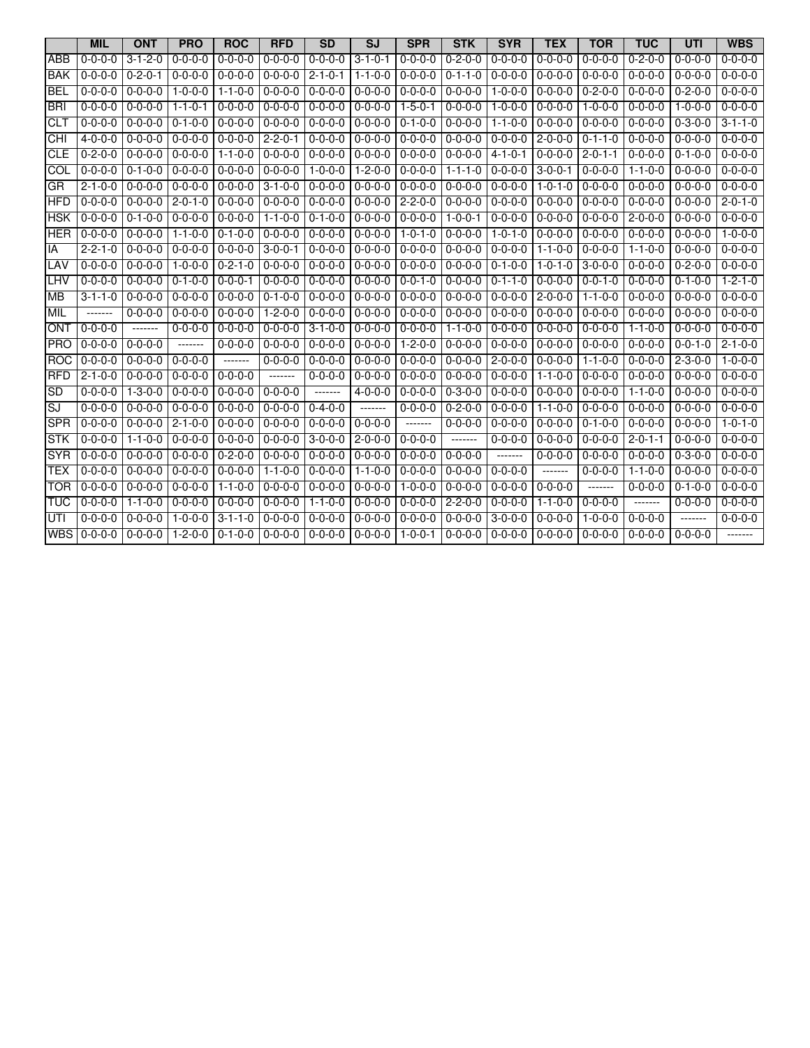|            | <b>MIL</b>      | <b>ONT</b>                      | <b>PRO</b>       | <b>ROC</b>      | <b>RFD</b>              | <b>SD</b>       | <b>SJ</b>       | <b>SPR</b>      | <b>STK</b>      | <b>SYR</b>      | <b>TEX</b>      | <b>TOR</b>      | <b>TUC</b>      | UTI             | <b>WBS</b>      |
|------------|-----------------|---------------------------------|------------------|-----------------|-------------------------|-----------------|-----------------|-----------------|-----------------|-----------------|-----------------|-----------------|-----------------|-----------------|-----------------|
| ABB        | $0 - 0 - 0 - 0$ | $3 - 1 - 2 - 0$                 | $0 - 0 - 0 - 0$  | $0 - 0 - 0 - 0$ | $0 - 0 - 0 - 0$         | $0 - 0 - 0 - 0$ | $3 - 1 - 0 - 1$ | $0 - 0 - 0 - 0$ | $0 - 2 - 0 - 0$ | $0 - 0 - 0 - 0$ | $0 - 0 - 0 - 0$ | $0 - 0 - 0 - 0$ | $0 - 2 - 0 - 0$ | $0 - 0 - 0 - 0$ | $0 - 0 - 0 - 0$ |
| <b>BAK</b> | $0 - 0 - 0 - 0$ | $0 - 2 - 0 - 1$                 | $0 - 0 - 0 - 0$  | $0 - 0 - 0 - 0$ | $0 - 0 - 0 - 0$         | $2 - 1 - 0 - 1$ | $1 - 1 - 0 - 0$ | $0 - 0 - 0 - 0$ | $0 - 1 - 1 - 0$ | $0 - 0 - 0 - 0$ | $0 - 0 - 0 - 0$ | $0 - 0 - 0 - 0$ | $0 - 0 - 0 - 0$ | $0 - 0 - 0 - 0$ | $0 - 0 - 0 - 0$ |
| <b>BEL</b> | $0 - 0 - 0 - 0$ | $0 - 0 - 0 - 0$                 | $1 - 0 - 0 - 0$  | $1 - 1 - 0 - 0$ | $0 - 0 - 0 - 0$         | $0 - 0 - 0 - 0$ | $0 - 0 - 0 - 0$ | $0 - 0 - 0 - 0$ | $0 - 0 - 0 - 0$ | $1 - 0 - 0 - 0$ | $0 - 0 - 0 - 0$ | $0 - 2 - 0 - 0$ | $0 - 0 - 0 - 0$ | $0 - 2 - 0 - 0$ | $0 - 0 - 0 - 0$ |
| <b>BRI</b> | $0 - 0 - 0 - 0$ | $0 - 0 - 0 - 0$                 | $1 - 1 - 0 - 1$  | $0 - 0 - 0 - 0$ | $0 - 0 - 0 - 0$         | $0 - 0 - 0 - 0$ | $0 - 0 - 0 - 0$ | $1 - 5 - 0 - 1$ | $0 - 0 - 0 - 0$ | $1 - 0 - 0 - 0$ | $0 - 0 - 0 - 0$ | $1 - 0 - 0 - 0$ | $0 - 0 - 0 - 0$ | $1 - 0 - 0 - 0$ | $0 - 0 - 0 - 0$ |
| <b>CLT</b> | $0 - 0 - 0 - 0$ | $0 - 0 - 0 - 0$                 | $0 - 1 - 0 - 0$  | $0 - 0 - 0 - 0$ | $0 - 0 - 0 - 0$         | $0 - 0 - 0 - 0$ | $0 - 0 - 0 - 0$ | $0 - 1 - 0 - 0$ | $0 - 0 - 0 - 0$ | $1 - 1 - 0 - 0$ | $0 - 0 - 0 - 0$ | $0 - 0 - 0 - 0$ | $0 - 0 - 0 - 0$ | $0 - 3 - 0 - 0$ | $3 - 1 - 1 - 0$ |
| Я          | $4 - 0 - 0 - 0$ | $0 - 0 - 0 - 0$                 | $0 - 0 - 0 - 0$  | $0 - 0 - 0 - 0$ | $2 - 2 - 0 - 1$ 0-0-0-0 |                 | $0 - 0 - 0 - 0$ | $0 - 0 - 0 - 0$ | $0 - 0 - 0 - 0$ | $0 - 0 - 0 - 0$ | $2 - 0 - 0 - 0$ | $0 - 1 - 1 - 0$ | $0 - 0 - 0 - 0$ | $0 - 0 - 0 - 0$ | $0 - 0 - 0 - 0$ |
| <b>CLE</b> | $0 - 2 - 0 - 0$ | $0 - 0 - 0 - 0$                 | $0 - 0 - 0 - 0$  | $1 - 1 - 0 - 0$ | $0 - 0 - 0 - 0$         | $0 - 0 - 0 - 0$ | $0 - 0 - 0 - 0$ | $0 - 0 - 0 - 0$ | $0 - 0 - 0 - 0$ | $4 - 1 - 0 - 1$ | $0 - 0 - 0 - 0$ | $2 - 0 - 1 - 1$ | $0 - 0 - 0 - 0$ | $0 - 1 - 0 - 0$ | $0 - 0 - 0 - 0$ |
| <b>COL</b> | $0 - 0 - 0 - 0$ | $0 - 1 - 0 - 0$                 | $0 - 0 - 0 - 0$  | $0 - 0 - 0 - 0$ | $0 - 0 - 0 - 0$         | $1 - 0 - 0 - 0$ | $1 - 2 - 0 - 0$ | $0 - 0 - 0 - 0$ | $1 - 1 - 1 - 0$ | $0 - 0 - 0 - 0$ | $3 - 0 - 0 - 1$ | $0 - 0 - 0 - 0$ | $1 - 1 - 0 - 0$ | $0 - 0 - 0 - 0$ | $0 - 0 - 0 - 0$ |
| <b>GR</b>  | $2 - 1 - 0 - 0$ | $0 - 0 - 0 - 0$                 | $0 - 0 - 0 - 0$  | $0 - 0 - 0 - 0$ | $3 - 1 - 0 - 0$         | $0 - 0 - 0 - 0$ | $0 - 0 - 0 - 0$ | $0 - 0 - 0 - 0$ | 0-0-0-0         | $0 - 0 - 0 - 0$ | $1 - 0 - 1 - 0$ | $0 - 0 - 0 - 0$ | $0 - 0 - 0 - 0$ | $0 - 0 - 0 - 0$ | $0 - 0 - 0 - 0$ |
| <b>HFD</b> | $0 - 0 - 0 - 0$ | $0 - 0 - 0 - 0$                 | $2 - 0 - 1 - 0$  | $0 - 0 - 0 - 0$ | $0 - 0 - 0 - 0$         | $0 - 0 - 0 - 0$ | $0 - 0 - 0 - 0$ | $2 - 2 - 0 - 0$ | $0 - 0 - 0 - 0$ | $0 - 0 - 0 - 0$ | $0 - 0 - 0 - 0$ | $0 - 0 - 0 - 0$ | $0 - 0 - 0 - 0$ | $0 - 0 - 0 - 0$ | $2 - 0 - 1 - 0$ |
| <b>HSK</b> | $0 - 0 - 0 - 0$ | $0 - 1 - 0 - 0$                 | $0 - 0 - 0 - 0$  | $0 - 0 - 0 - 0$ | $1 - 1 - 0 - 0$         | $0 - 1 - 0 - 0$ | $0 - 0 - 0 - 0$ | $0 - 0 - 0 - 0$ | $1 - 0 - 0 - 1$ | $0 - 0 - 0 - 0$ | $0 - 0 - 0 - 0$ | $0 - 0 - 0 - 0$ | $2 - 0 - 0 - 0$ | $0 - 0 - 0 - 0$ | $0 - 0 - 0 - 0$ |
| <b>HER</b> | 0-0-0-0         | $0 - 0 - 0 - 0$   1-1-0-0       |                  | $0 - 1 - 0 - 0$ | $0 - 0 - 0 - 0$         | $0 - 0 - 0 - 0$ | $0 - 0 - 0 - 0$ | $1 - 0 - 1 - 0$ | $0 - 0 - 0 - 0$ | $1 - 0 - 1 - 0$ | $0 - 0 - 0 - 0$ | $0 - 0 - 0 - 0$ | $0 - 0 - 0 - 0$ | $0 - 0 - 0 - 0$ | $1 - 0 - 0 - 0$ |
| IA         | $2 - 2 - 1 - 0$ | $0 - 0 - 0 - 0$                 | $0 - 0 - 0 - 0$  | $0 - 0 - 0 - 0$ | $3 - 0 - 0 - 1$         | $0 - 0 - 0 - 0$ | $0 - 0 - 0 - 0$ | $0 - 0 - 0 - 0$ | $0 - 0 - 0 - 0$ | $0 - 0 - 0 - 0$ | $1 - 1 - 0 - 0$ | $0 - 0 - 0 - 0$ | $1 - 1 - 0 - 0$ | $0 - 0 - 0 - 0$ | $0 - 0 - 0 - 0$ |
| LAV        | $0 - 0 - 0 - 0$ | $0 - 0 - 0 - 0$   1 - 0 - 0 - 0 |                  | $0 - 2 - 1 - 0$ | $0 - 0 - 0 - 0$         | $0 - 0 - 0 - 0$ | $0 - 0 - 0 - 0$ | $0 - 0 - 0 - 0$ | $0 - 0 - 0 - 0$ | $0 - 1 - 0 - 0$ | $1 - 0 - 1 - 0$ | $3 - 0 - 0 - 0$ | $0 - 0 - 0 - 0$ | $0 - 2 - 0 - 0$ | $0 - 0 - 0 - 0$ |
| <b>LHV</b> | 0-0-0-0         | $0 - 0 - 0 - 0 0 - 1 - 0 - 0$   |                  | $0 - 0 - 0 - 1$ | $0 - 0 - 0 - 0$         | $0 - 0 - 0 - 0$ | $0 - 0 - 0 - 0$ | $0 - 0 - 1 - 0$ | $0 - 0 - 0 - 0$ | $0 - 1 - 1 - 0$ | $0 - 0 - 0 - 0$ | $0 - 0 - 1 - 0$ | $0 - 0 - 0 - 0$ | $0 - 1 - 0 - 0$ | $1 - 2 - 1 - 0$ |
| <b>MB</b>  | $3 - 1 - 1 - 0$ | $0 - 0 - 0 - 0$                 | $0 - 0 - 0 - 0$  | $0 - 0 - 0 - 0$ | $0 - 1 - 0 - 0$         | $0 - 0 - 0 - 0$ | $0 - 0 - 0 - 0$ | $0 - 0 - 0 - 0$ | $0 - 0 - 0 - 0$ | $0 - 0 - 0 - 0$ | $2 - 0 - 0 - 0$ | $1 - 1 - 0 - 0$ | $0 - 0 - 0 - 0$ | $0 - 0 - 0 - 0$ | $0 - 0 - 0 - 0$ |
| <b>MIL</b> | $- - - - - - -$ | $0 - 0 - 0 - 0$                 | $0 - 0 - 0 - 0$  | $0 - 0 - 0 - 0$ | $1 - 2 - 0 - 0$         | $0 - 0 - 0 - 0$ | $0 - 0 - 0 - 0$ | $0 - 0 - 0 - 0$ | $0 - 0 - 0 - 0$ | $0 - 0 - 0 - 0$ | $0 - 0 - 0 - 0$ | $0 - 0 - 0 - 0$ | $0 - 0 - 0 - 0$ | $0 - 0 - 0 - 0$ | $0 - 0 - 0 - 0$ |
| <b>ONT</b> | $0 - 0 - 0 - 0$ | $- - - - - - -$                 | $0 - 0 - 0 - 0$  | $0 - 0 - 0 - 0$ | $0 - 0 - 0 - 0$         | $3 - 1 - 0 - 0$ | $0 - 0 - 0 - 0$ | $0 - 0 - 0 - 0$ | 1-1-0-0         | $0 - 0 - 0 - 0$ | $0 - 0 - 0 - 0$ | $0 - 0 - 0 - 0$ | $1 - 1 - 0 - 0$ | $0 - 0 - 0 - 0$ | $0 - 0 - 0 - 0$ |
| PRO        | $0 - 0 - 0 - 0$ | $0 - 0 - 0 - 0$                 | $- - - - - - -$  | $0 - 0 - 0 - 0$ | $0 - 0 - 0 - 0$         | $0 - 0 - 0 - 0$ | $0 - 0 - 0 - 0$ | $1 - 2 - 0 - 0$ | $0 - 0 - 0 - 0$ | $0 - 0 - 0 - 0$ | $0 - 0 - 0 - 0$ | $0 - 0 - 0 - 0$ | $0 - 0 - 0 - 0$ | $0 - 0 - 1 - 0$ | $2 - 1 - 0 - 0$ |
| <b>ROC</b> | 0-0-0-0         | $0 - 0 - 0 - 0$                 | $0 - 0 - 0 - 0$  | -------         | $0 - 0 - 0 - 0$         | $0 - 0 - 0 - 0$ | $0 - 0 - 0 - 0$ | $0 - 0 - 0 - 0$ | $0 - 0 - 0 - 0$ | $2 - 0 - 0 - 0$ | $0 - 0 - 0 - 0$ | $1 - 1 - 0 - 0$ | $0 - 0 - 0 - 0$ | $2 - 3 - 0 - 0$ | $1 - 0 - 0 - 0$ |
| <b>RFD</b> | $2 - 1 - 0 - 0$ | $0 - 0 - 0 - 0$                 | $0 - 0 - 0 - 0$  | $0 - 0 - 0 - 0$ | $-----$                 | $0 - 0 - 0 - 0$ | $0 - 0 - 0 - 0$ | $0 - 0 - 0 - 0$ | $0 - 0 - 0 - 0$ | $0 - 0 - 0 - 0$ | $1 - 1 - 0 - 0$ | $0 - 0 - 0 - 0$ | $0 - 0 - 0 - 0$ | $0 - 0 - 0 - 0$ | $0 - 0 - 0 - 0$ |
| <b>SD</b>  | $0 - 0 - 0 - 0$ | $1 - 3 - 0 - 0$                 | $0 - 0 - 0 - 0$  | $0 - 0 - 0 - 0$ | $0 - 0 - 0 - 0$         | -------         | $4 - 0 - 0 - 0$ | $0 - 0 - 0 - 0$ | $0 - 3 - 0 - 0$ | $0 - 0 - 0 - 0$ | $0 - 0 - 0 - 0$ | $0 - 0 - 0 - 0$ | $1 - 1 - 0 - 0$ | $0 - 0 - 0 - 0$ | $0 - 0 - 0 - 0$ |
| SJ         | $0 - 0 - 0 - 0$ | $0 - 0 - 0 - 0 0 - 0 - 0 - 0$   |                  | $0 - 0 - 0 - 0$ | $0 - 0 - 0 - 0$         | $0 - 4 - 0 - 0$ | -------         | $0 - 0 - 0 - 0$ | $0 - 2 - 0 - 0$ | $0 - 0 - 0 - 0$ | $1 - 1 - 0 - 0$ | $0 - 0 - 0 - 0$ | $0 - 0 - 0 - 0$ | $0 - 0 - 0 - 0$ | $0 - 0 - 0 - 0$ |
| <b>SPR</b> | $0 - 0 - 0 - 0$ | $0 - 0 - 0 - 0$                 | $12 - 1 - 0 - 0$ | $0 - 0 - 0 - 0$ | $0 - 0 - 0 - 0$         | $0 - 0 - 0 - 0$ | $0 - 0 - 0 - 0$ | $- - - - - - -$ | $0 - 0 - 0 - 0$ | $0 - 0 - 0 - 0$ | $0 - 0 - 0 - 0$ | $0 - 1 - 0 - 0$ | $0 - 0 - 0 - 0$ | $0 - 0 - 0 - 0$ | $1 - 0 - 1 - 0$ |
| ISTK       | $0 - 0 - 0 - 0$ | $1 - 1 - 0 - 0$                 | $0 - 0 - 0 - 0$  | $0 - 0 - 0 - 0$ | $0 - 0 - 0 - 0$         | $3 - 0 - 0 - 0$ | $2 - 0 - 0 - 0$ | $0 - 0 - 0 - 0$ |                 | $0 - 0 - 0 - 0$ | $0 - 0 - 0 - 0$ | $0 - 0 - 0 - 0$ | $2 - 0 - 1 - 1$ | $0 - 0 - 0 - 0$ | $0 - 0 - 0 - 0$ |
| <b>SYR</b> | 0-0-0-0         | $0 - 0 - 0 - 0$                 | $0 - 0 - 0 - 0$  | $0 - 2 - 0 - 0$ | $0 - 0 - 0 - 0$         | $0 - 0 - 0 - 0$ | $0 - 0 - 0 - 0$ | $0 - 0 - 0 - 0$ | $0 - 0 - 0 - 0$ | $------$        | $0 - 0 - 0 - 0$ | $0 - 0 - 0 - 0$ | $0 - 0 - 0 - 0$ | $0 - 3 - 0 - 0$ | $0 - 0 - 0 - 0$ |
| <b>TEX</b> | $0 - 0 - 0 - 0$ | $0 - 0 - 0 - 0$                 | $0 - 0 - 0 - 0$  | $0 - 0 - 0 - 0$ | $1 - 1 - 0 - 0$         | $0 - 0 - 0 - 0$ | $1 - 1 - 0 - 0$ | $0 - 0 - 0 - 0$ | $0 - 0 - 0 - 0$ | $0 - 0 - 0 - 0$ | $- - - - - - -$ | $0 - 0 - 0 - 0$ | $1 - 1 - 0 - 0$ | $0 - 0 - 0 - 0$ | $0 - 0 - 0 - 0$ |
| <b>TOR</b> | $0 - 0 - 0 - 0$ | $0 - 0 - 0 - 0$                 | $0 - 0 - 0 - 0$  | $1 - 1 - 0 - 0$ | $0 - 0 - 0 - 0$         | $0 - 0 - 0 - 0$ | $0 - 0 - 0 - 0$ | $1 - 0 - 0 - 0$ | $0 - 0 - 0 - 0$ | $0 - 0 - 0 - 0$ | $0 - 0 - 0 - 0$ | $- - - - - - -$ | $0 - 0 - 0 - 0$ | $0 - 1 - 0 - 0$ | $0 - 0 - 0 - 0$ |
| <b>TUC</b> | $0 - 0 - 0 - 0$ | $1 - 1 - 0 - 0$ 0 - 0 - 0 - 0   |                  | $0 - 0 - 0 - 0$ | $0 - 0 - 0 - 0$         | $1 - 1 - 0 - 0$ | $0 - 0 - 0 - 0$ | $0 - 0 - 0 - 0$ | $2 - 2 - 0 - 0$ | $0 - 0 - 0 - 0$ | $1 - 1 - 0 - 0$ | $0 - 0 - 0 - 0$ | $- - - - - - -$ | $0 - 0 - 0 - 0$ | $0 - 0 - 0 - 0$ |
| UTI        | $0 - 0 - 0 - 0$ | $0 - 0 - 0 - 0$                 | $1 - 0 - 0 - 0$  | $3 - 1 - 1 - 0$ | $0 - 0 - 0 - 0$         | $0 - 0 - 0 - 0$ | $0 - 0 - 0 - 0$ | $0 - 0 - 0 - 0$ | $0 - 0 - 0 - 0$ | $3 - 0 - 0 - 0$ | $0 - 0 - 0 - 0$ | $1 - 0 - 0 - 0$ | $0 - 0 - 0 - 0$ | $- - - - - - -$ | $0 - 0 - 0 - 0$ |
|            | WBS 0-0-0-0     | $0 - 0 - 0 - 0$   1-2-0-0       |                  | $0 - 1 - 0 - 0$ | $0 - 0 - 0 - 0$         | $0 - 0 - 0 - 0$ | $0 - 0 - 0 - 0$ | $1 - 0 - 0 - 1$ | $0 - 0 - 0 - 0$ | $0 - 0 - 0 - 0$ | $0 - 0 - 0 - 0$ | $0 - 0 - 0 - 0$ | $0 - 0 - 0 - 0$ | $0 - 0 - 0 - 0$ | -------         |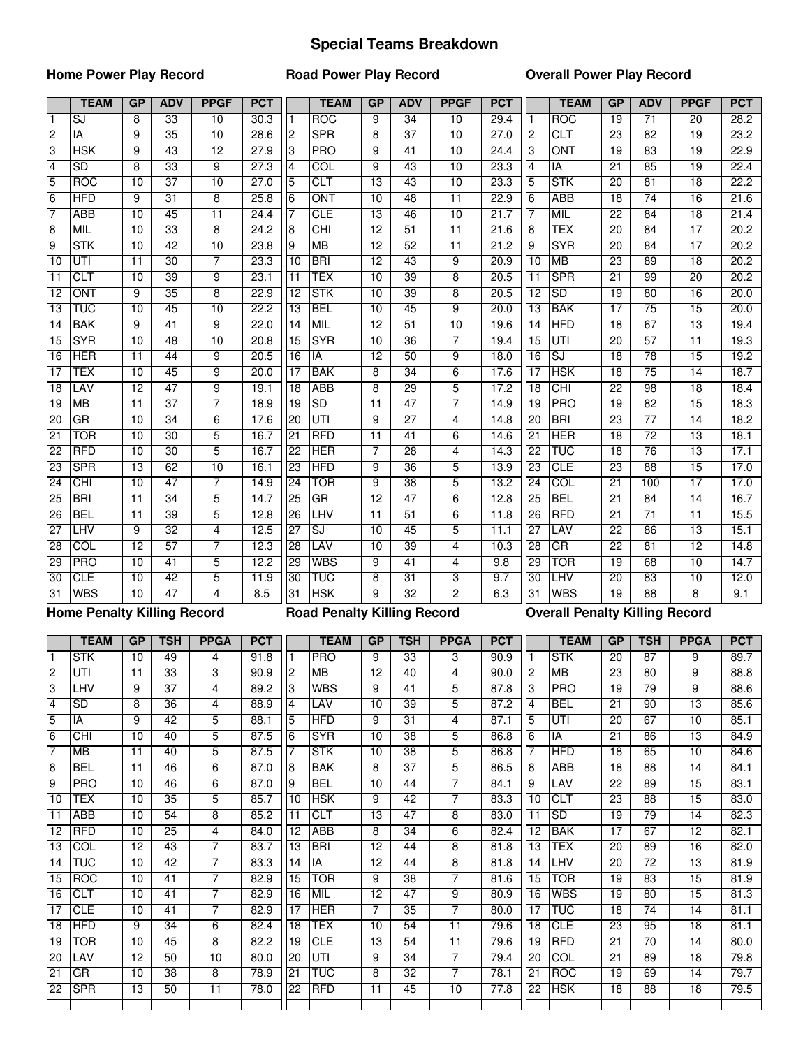## **Special Teams Breakdown**

### **Home Power Play Record**

**Road Power Play Record**

### **Overall Power Play Record**

|                 | <b>TEAM</b>                        | GP              | <b>ADV</b>            | <b>PPGF</b>                   | <b>PCT</b> |                                                                                                                                                                                                                                                                                                                                                                                                                                                                        | <b>TEAM</b>                        | GP              | <b>ADV</b>      | <b>PPGF</b>     | <b>PCT</b> |                 | <b>TEAM</b>                           | GP              | <b>ADV</b>      | <b>PPGF</b>     | <b>PCT</b> |
|-----------------|------------------------------------|-----------------|-----------------------|-------------------------------|------------|------------------------------------------------------------------------------------------------------------------------------------------------------------------------------------------------------------------------------------------------------------------------------------------------------------------------------------------------------------------------------------------------------------------------------------------------------------------------|------------------------------------|-----------------|-----------------|-----------------|------------|-----------------|---------------------------------------|-----------------|-----------------|-----------------|------------|
| $\mathbf{1}$    | SJ                                 | 8               | 33                    | 10                            | 30.3       | $\mathbf{1}$                                                                                                                                                                                                                                                                                                                                                                                                                                                           | <b>ROC</b>                         | 9               | $\overline{34}$ | 10              | 29.4       | l 1             | <b>ROC</b>                            | 19              | $\overline{71}$ | $\overline{20}$ | 28.2       |
| $\overline{2}$  | IA                                 | 9               | 35                    | 10                            | 28.6       | $\overline{2}$                                                                                                                                                                                                                                                                                                                                                                                                                                                         | <b>SPR</b>                         | 8               | $\overline{37}$ | 10              | 27.0       | $\overline{2}$  | <b>CLT</b>                            | $\overline{23}$ | 82              | 19              | 23.2       |
| 3               | <b>HSK</b>                         | 9               | 43                    | 12                            | 27.9       | 3                                                                                                                                                                                                                                                                                                                                                                                                                                                                      | <b>PRO</b>                         | 9               | $\overline{41}$ | 10              | 24.4       | Ι3              | ONT                                   | 19              | 83              | 19              | 22.9       |
| 4               | SD                                 | 8               | 33                    | $\overline{9}$                | 27.3       | $\overline{4}$                                                                                                                                                                                                                                                                                                                                                                                                                                                         | $\overline{COL}$                   | 9               | 43              | 10              | 23.3       | <b>4</b>        | ĪĀ                                    | 21              | 85              | 19              | 22.4       |
| 5               | <b>ROC</b>                         | 10              | 37                    | 10                            | 27.0       | 5                                                                                                                                                                                                                                                                                                                                                                                                                                                                      | CLT                                | 13              | 43              | 10              | 23.3       | 5               | <b>STK</b>                            | 20              | 81              | 18              | 22.2       |
| $6\overline{6}$ | <b>HFD</b>                         | 9               | 31                    | 8                             | 25.8       | $6\overline{6}$                                                                                                                                                                                                                                                                                                                                                                                                                                                        | ONT                                | 10              | 48              | $\overline{11}$ | 22.9       | 6               | ABB                                   | 18              | 74              | 16              | 21.6       |
| 7               | ABB                                | 10              | 45                    | $\overline{11}$               | 24.4       | 7                                                                                                                                                                                                                                                                                                                                                                                                                                                                      | CLE                                | 13              | 46              | 10              | 21.7       | 17              | MIL                                   | 22              | 84              | 18              | 21.4       |
| 8               | <b>MIL</b>                         | 10              | 33                    | 8                             | 24.2       | $\overline{8}$                                                                                                                                                                                                                                                                                                                                                                                                                                                         | CHI                                | 12              | 51              | $\overline{11}$ | 21.6       | 8               | TEX                                   | 20              | 84              | 17              | 20.2       |
| $\overline{9}$  | <b>STK</b>                         | 10              | 42                    | 10                            | 23.8       | 9                                                                                                                                                                                                                                                                                                                                                                                                                                                                      | <b>MB</b>                          | $\overline{12}$ | 52              | $\overline{11}$ | 21.2       | Ι9              | <b>SYR</b>                            | $\overline{20}$ | 84              | $\overline{17}$ | 20.2       |
| 10              | UTI                                | $\overline{11}$ | 30                    | 7                             | 23.3       | 10                                                                                                                                                                                                                                                                                                                                                                                                                                                                     | <b>BRI</b>                         | $\overline{12}$ | 43              | 9               | 20.9       | $\overline{10}$ | <b>MB</b>                             | 23              | 89              | $\overline{18}$ | 20.2       |
| 11              | <b>CLT</b>                         | 10              | 39                    | 9                             | 23.1       | $\overline{11}$                                                                                                                                                                                                                                                                                                                                                                                                                                                        | TEX                                | 10              | 39              | 8               | 20.5       | 11              | <b>SPR</b>                            | $\overline{21}$ | 99              | 20              | 20.2       |
| $\overline{12}$ | ONT                                | 9               | 35                    | 8                             | 22.9       | $\overline{12}$                                                                                                                                                                                                                                                                                                                                                                                                                                                        | <b>STK</b>                         | 10              | 39              | 8               | 20.5       | 12              | <b>SD</b>                             | 19              | 80              | 16              | 20.0       |
| $\overline{13}$ | TUC                                | 10              | 45                    | 10                            | 22.2       | $\overline{13}$                                                                                                                                                                                                                                                                                                                                                                                                                                                        | <b>BEL</b>                         | 10              | 45              | 9               | 20.0       | 13              | <b>BAK</b>                            | $\overline{17}$ | 75              | 15              | 20.0       |
| 14              | <b>BAK</b>                         | 9               | $\overline{41}$       | 9                             | 22.0       | $\overline{14}$                                                                                                                                                                                                                                                                                                                                                                                                                                                        | <b>MIL</b>                         | 12              | 51              | 10              | 19.6       | 14              | <b>HFD</b>                            | $\overline{18}$ | 67              | 13              | 19.4       |
| $\overline{15}$ | <b>SYR</b>                         | 10              | 48                    | 10                            | 20.8       | 15                                                                                                                                                                                                                                                                                                                                                                                                                                                                     | <b>SYR</b>                         | 10              | 36              | 7               | 19.4       | 15              | UTI                                   | 20              | 57              | $\overline{11}$ | 19.3       |
| 16              | <b>HER</b>                         | 11              | 44                    | 9                             | 20.5       | 16                                                                                                                                                                                                                                                                                                                                                                                                                                                                     | IA                                 | 12              | 50              | 9               | 18.0       | 16              | SJ                                    | $\overline{18}$ | 78              | 15              | 19.2       |
| 17              | <b>TEX</b>                         | $\overline{10}$ | 45                    | $\overline{9}$                | 20.0       | $\overline{17}$                                                                                                                                                                                                                                                                                                                                                                                                                                                        | <b>BAK</b>                         | 8               | $\overline{34}$ | 6               | 17.6       | 17              | <b>HSK</b>                            | $\overline{18}$ | 75              | 14              | 18.7       |
| 18              | LAV                                | $\overline{12}$ | 47                    | 9                             | 19.1       | $\overline{18}$                                                                                                                                                                                                                                                                                                                                                                                                                                                        | <b>ABB</b>                         | 8               | 29              | 5               | 17.2       | $\overline{18}$ | <b>CHI</b>                            | $\overline{22}$ | 98              | $\overline{18}$ | 18.4       |
| 19              | <b>MB</b>                          | 11              | $\overline{37}$       | 7                             | 18.9       | 19                                                                                                                                                                                                                                                                                                                                                                                                                                                                     | <b>SD</b>                          | $\overline{11}$ | 47              | 7               | 14.9       | $\overline{19}$ | <b>PRO</b>                            | $\overline{19}$ | 82              | 15              | 18.3       |
| 20              | <b>GR</b>                          | 10              | 34                    | 6                             | 17.6       | 20                                                                                                                                                                                                                                                                                                                                                                                                                                                                     | UTI                                | 9               | $\overline{27}$ | 4               | 14.8       | 20              | <b>BRI</b>                            | 23              | $\overline{77}$ | $\overline{14}$ | 18.2       |
| 21              | <b>TOR</b>                         | 10              | 30                    | 5                             | 16.7       | 21                                                                                                                                                                                                                                                                                                                                                                                                                                                                     | <b>RFD</b>                         | $\overline{11}$ | 41              | 6               | 14.6       | 21              | <b>HER</b>                            | $\overline{18}$ | $\overline{72}$ | $\overline{13}$ | 18.1       |
| $\overline{22}$ | <b>RFD</b>                         | $\overline{10}$ | 30                    | 5                             | 16.7       | 22                                                                                                                                                                                                                                                                                                                                                                                                                                                                     | <b>HER</b>                         | 7               | 28              | 4               | 14.3       | 22              | <b>TUC</b>                            | $\overline{18}$ | 76              | 13              | 17.1       |
| 23              | <b>SPR</b>                         | 13              | 62                    | 10                            | 16.1       | 23                                                                                                                                                                                                                                                                                                                                                                                                                                                                     | <b>HFD</b>                         | 9               | 36              | 5               | 13.9       | 23              | <b>CLE</b>                            | 23              | 88              | 15              | 17.0       |
| 24              | <b>CHI</b>                         | 10              | 47                    | 7                             | 14.9       | 24                                                                                                                                                                                                                                                                                                                                                                                                                                                                     | TOR                                | 9               | 38              | 5               | 13.2       | 24              | COL                                   | 21              | 100             | $\overline{17}$ | 17.0       |
| 25              | <b>BRI</b>                         | 11              | 34                    | 5                             | 14.7       | 25                                                                                                                                                                                                                                                                                                                                                                                                                                                                     | GR                                 | 12              | 47              | 6               | 12.8       | 25              | <b>BEL</b>                            | 21              | 84              | 14              | 16.7       |
| 26              | <b>BEL</b>                         | 11              | 39                    | 5                             | 12.8       | 26                                                                                                                                                                                                                                                                                                                                                                                                                                                                     | <b>LHV</b>                         | $\overline{11}$ | 51              | 6               | 11.8       | 26              | <b>RFD</b>                            | $\overline{21}$ | $\overline{71}$ | $\overline{11}$ | 15.5       |
| 27              | <b>LHV</b>                         | 9               | $\overline{32}$       | 4                             | 12.5       | 27                                                                                                                                                                                                                                                                                                                                                                                                                                                                     | SJ                                 | 10              | 45              | 5               | 11.1       | 27              | LAV                                   | $\overline{22}$ | 86              | 13              | 15.1       |
| 28              | <b>COL</b>                         | $\overline{12}$ | 57                    | 7                             | 12.3       | 28                                                                                                                                                                                                                                                                                                                                                                                                                                                                     | LAV                                | 10              | $\overline{39}$ | 4               | 10.3       | 28              | GR                                    | $\overline{22}$ | 81              | $\overline{12}$ | 14.8       |
| 29              | <b>PRO</b>                         | 10              | 41                    | 5                             | 12.2       | 29                                                                                                                                                                                                                                                                                                                                                                                                                                                                     | <b>WBS</b>                         | 9               | 41              | 4               | 9.8        | 29              | <b>TOR</b>                            | 19              | 68              | 10              | 14.7       |
| 30              | <b>CLE</b>                         | 10              | 42                    | 5                             | 11.9       | 30                                                                                                                                                                                                                                                                                                                                                                                                                                                                     | TUC                                | 8               | $\overline{31}$ | 3               | 9.7        | 30              | LHV                                   | $\overline{20}$ | 83              | 10              | 12.0       |
| 31              | <b>WBS</b>                         | 10              | 47                    | 4                             | 8.5        | $\overline{31}$                                                                                                                                                                                                                                                                                                                                                                                                                                                        | <b>HSK</b>                         | 9               | 32              | $\overline{2}$  | 6.3        | 31              | <b>WBS</b>                            | $\overline{19}$ | 88              | 8               | 9.1        |
|                 | <b>Home Penalty Killing Record</b> |                 |                       |                               |            |                                                                                                                                                                                                                                                                                                                                                                                                                                                                        | <b>Road Penalty Killing Record</b> |                 |                 |                 |            |                 | <b>Overall Penalty Killing Record</b> |                 |                 |                 |            |
|                 |                                    |                 |                       |                               |            |                                                                                                                                                                                                                                                                                                                                                                                                                                                                        |                                    |                 |                 |                 |            |                 |                                       |                 |                 |                 |            |
|                 | <b>TEAM</b>                        | GP              | <b>TSH</b>            | <b>PPGA</b>                   | <b>PCT</b> |                                                                                                                                                                                                                                                                                                                                                                                                                                                                        | <b>TEAM</b>                        | GP              | <b>TSH</b>      | <b>PPGA</b>     | <b>PCT</b> |                 | <b>TEAM</b>                           | GP              | <b>TSH</b>      | <b>PPGA</b>     | <b>PCT</b> |
| 1               | <b>STK</b>                         | 10              | 49                    | 4                             | 91.8       |                                                                                                                                                                                                                                                                                                                                                                                                                                                                        | <b>PRO</b>                         | 9               | 33              | 3               | 90.9       | $\vert$ 1       | <b>STK</b>                            | $\overline{20}$ | $\overline{87}$ | 9               | 89.7       |
| $\overline{c}$  | UTI                                | 11              | 33                    | 3                             | 90.9       | $\overline{c}$                                                                                                                                                                                                                                                                                                                                                                                                                                                         | MB                                 | $\overline{12}$ | 40              | 4               | 90.0       | $\overline{2}$  | <b>MB</b>                             | $\overline{23}$ | 80              | 9               | 88.8       |
| 13              | ILHV                               | 9               | 37                    | 4                             | 89.2       | -13                                                                                                                                                                                                                                                                                                                                                                                                                                                                    | <b>WBS</b>                         | 9               | 41              | 5               | 87.8       | 3               | PRO                                   | 19              | 79              | 9               | 88.6       |
| $\overline{4}$  | <b>SD</b>                          | 8               | 36                    | 4                             | 88.9       | $\overline{4}$                                                                                                                                                                                                                                                                                                                                                                                                                                                         | LAV                                | 10              | 39              | 5               | 87.2       | $\overline{4}$  | <b>BEL</b>                            | 21              | 90              | 13              | 85.6       |
| $\overline{5}$  | IA                                 | 9               | 42                    | 5                             | 88.1       | $\overline{5}$                                                                                                                                                                                                                                                                                                                                                                                                                                                         | <b>HFD</b>                         | 9               | 31              | 4               | 87.1       | $\overline{5}$  | UTI                                   | 20              | 67              | 10              | 85.1       |
| 6               | <b>CHI</b>                         | 10              | 40                    | 5                             | 87.5       | 6                                                                                                                                                                                                                                                                                                                                                                                                                                                                      | <b>SYR</b>                         | 10              | 38              | 5               | 86.8       | $\sqrt{6}$      | <b>IA</b>                             | 21              | 86              | 13              | 84.9       |
| 17              | <b>MB</b>                          | 11              | 40                    | 5                             | 87.5       | 17                                                                                                                                                                                                                                                                                                                                                                                                                                                                     | <b>STK</b>                         | 10              | 38              | 5               | 86.8       | 17              | <b>HFD</b>                            | 18              | 65              | 10              | 84.6       |
| $\overline{8}$  | <b>BEL</b>                         | 11              | 46                    | 6                             | 87.0       | $\overline{8}$                                                                                                                                                                                                                                                                                                                                                                                                                                                         | <b>BAK</b>                         | 8               | 37              | 5               | 86.5       | $\overline{8}$  | ABB                                   | 18              | 88              | 14              | 84.1       |
| 9               | <b>PRO</b>                         | 10              | 46                    | 6                             | 87.0       | $\overline{9}$                                                                                                                                                                                                                                                                                                                                                                                                                                                         | <b>BEL</b>                         | 10              | 44              | 7               | 84.1       | $\overline{9}$  | LAV                                   | 22              | 89              | 15              | 83.1       |
| 10              | <b>TEX</b>                         | 10              | 35                    | 5                             | 85.7       | 10                                                                                                                                                                                                                                                                                                                                                                                                                                                                     | <b>HSK</b>                         | 9               | 42              | 7               | 83.3       | $\overline{10}$ | <b>CLT</b>                            | 23              | 88              | 15              | 83.0       |
| 11              | <b>ABB</b>                         | 10              | 54                    | 8                             | 85.2       | 11                                                                                                                                                                                                                                                                                                                                                                                                                                                                     | <b>CLT</b>                         | 13              | 47              | 8               | 83.0       | 11              | <b>SD</b>                             | 19              | 79              | 14              | 82.3       |
| 12              | <b>RFD</b>                         | 10              | $\overline{25}$       | 4                             | 84.0       | 12                                                                                                                                                                                                                                                                                                                                                                                                                                                                     | <b>ABB</b>                         | 8               | 34              | 6               | 82.4       | 12              | <b>BAK</b>                            | 17              | 67              | 12              | 82.1       |
| 13              | <b>COL</b>                         | 12              | 43                    | 7                             | 83.7       | 13                                                                                                                                                                                                                                                                                                                                                                                                                                                                     | <b>BRI</b>                         | 12              | 44              | 8               | 81.8       | 13              | <b>TEX</b>                            | 20              | 89              | 16              | 82.0       |
|                 | 14 TUC                             | 10              | 42                    | 7                             | 83.3       | $14$ $\overline{\phantom{1}}$ $\overline{\phantom{1}}$ $\overline{\phantom{1}}$ $\overline{\phantom{1}}$ $\overline{\phantom{1}}$ $\overline{\phantom{1}}$ $\overline{\phantom{1}}$ $\overline{\phantom{1}}$ $\overline{\phantom{1}}$ $\overline{\phantom{1}}$ $\overline{\phantom{1}}$ $\overline{\phantom{1}}$ $\overline{\phantom{1}}$ $\overline{\phantom{1}}$ $\overline{\phantom{1}}$ $\overline{\phantom{1}}$ $\overline{\phantom{1}}$ $\overline{\phantom{1}}$ |                                    | $\overline{12}$ | 44              | 8               | 81.8       | $\sqrt{14}$     | <b>LHV</b>                            | 20              | 72              | 13              | 81.9       |
| 15              | ROC                                | 10              | 41                    | 7                             | 82.9       | 15                                                                                                                                                                                                                                                                                                                                                                                                                                                                     | <b>TOR</b>                         | 9               | 38              | 7               | 81.6       | 15              | <b>TOR</b>                            | 19              | 83              | 15              | 81.9       |
| 16              | <b>CLT</b>                         | 10              | 41                    | 7                             | 82.9       | 16                                                                                                                                                                                                                                                                                                                                                                                                                                                                     | <b>MIL</b>                         | $\overline{12}$ | 47              | 9               | 80.9       | 16              | <b>WBS</b>                            | 19              | 80              | 15              | 81.3       |
| 17              | <b>CLE</b>                         | 10              | 41                    | 7                             | 82.9       | 17                                                                                                                                                                                                                                                                                                                                                                                                                                                                     | <b>HER</b>                         | 7               | 35              | $\overline{7}$  | 80.0       | 17              | <b>TUC</b>                            | 18              | 74              | 14              | 81.1       |
| 18              | <b>HFD</b>                         | 9               | $\overline{34}$       | 6                             | 82.4       | 18                                                                                                                                                                                                                                                                                                                                                                                                                                                                     | <b>TEX</b>                         | 10              | 54              | $\overline{11}$ | 79.6       | 18              | <b>CLE</b>                            | 23              | 95              | 18              | 81.1       |
| 19              | <b>TOR</b>                         | 10              | 45                    | 8                             | 82.2       | 19                                                                                                                                                                                                                                                                                                                                                                                                                                                                     | <b>CLE</b>                         | 13              | 54              | $\overline{11}$ | 79.6       | 19              | <b>RFD</b>                            | 21              | 70              | 14              | 80.0       |
| 20 <sup>2</sup> | LAV                                | 12              | 50                    | 10                            | 80.0       | 20                                                                                                                                                                                                                                                                                                                                                                                                                                                                     | UTI                                | $\overline{9}$  | 34              | $\overline{7}$  | 79.4       | 20              | COL                                   | 21              | 89              | 18              | 79.8       |
| 21              | <b>GR</b>                          | 10              | $\overline{38}$<br>50 | $\overline{\mathbf{8}}$<br>11 | 78.9       | 21                                                                                                                                                                                                                                                                                                                                                                                                                                                                     | <b>TUC</b>                         | $\overline{8}$  | $\overline{32}$ | $\overline{7}$  | 78.1       | 21              | <b>ROC</b>                            | 19              | 69              | 14              | 79.7       |
|                 |                                    |                 |                       |                               |            |                                                                                                                                                                                                                                                                                                                                                                                                                                                                        |                                    |                 |                 |                 |            |                 |                                       |                 |                 |                 |            |
|                 | 22 SPR                             | 13              |                       |                               | 78.0       | 22                                                                                                                                                                                                                                                                                                                                                                                                                                                                     | <b>RFD</b>                         | 11              | 45              | 10              | 77.8       | 22              | <b>HSK</b>                            | 18              | $\overline{88}$ | 18              | 79.5       |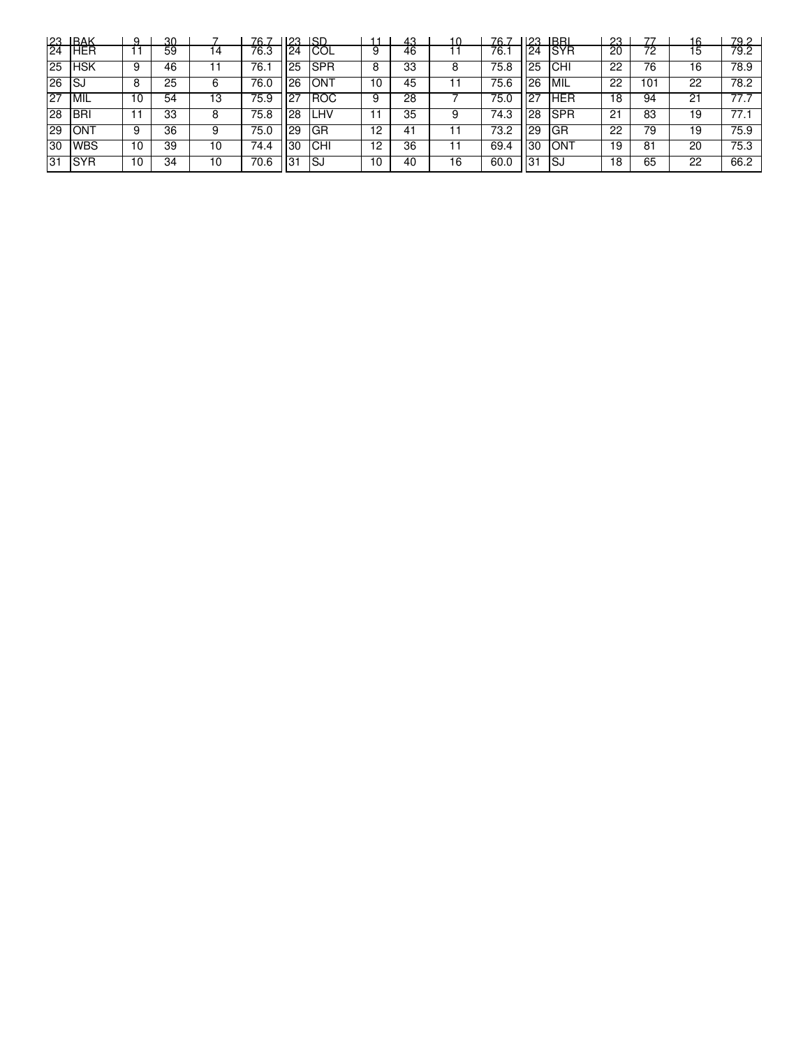|                 | 23 BAK     | Q   | 30. |    | 76 7 | 123 | ISD        | -11 | 43 | 10 | 76 : | 123 | <b>IRRI</b> | 23 | 77  | 16 | 79.2 |
|-----------------|------------|-----|-----|----|------|-----|------------|-----|----|----|------|-----|-------------|----|-----|----|------|
| $\overline{24}$ | <b>HER</b> |     | 59  | 14 | 76.3 | 24  | <b>COL</b> | 9   | 46 |    | 76.1 | 24  | <b>SYR</b>  | 20 | 72  | 15 | 79.2 |
| 25              | <b>HSK</b> | 9   | 46  |    | 76.1 | 25  | <b>SPR</b> | 8   | 33 |    | 75.8 | 25  | CHI         | 22 | 76  | 16 | 78.9 |
| 26              | 'SJ        | 8   | 25  | 6  | 76.0 | 26  | <b>ONT</b> | 10  | 45 |    | 75.6 | 26  | MIL         | 22 | 101 | 22 | 78.2 |
| 27              | MIL        | 1 C | 54  | 13 | 75.9 |     | <b>ROC</b> | 9   | 28 |    | 75.0 | 127 | <b>HER</b>  | 18 | 94  | 21 | 77.7 |
| 28              | <b>BRI</b> |     | 33  | 8  | 75.8 | 28  | LHV        | 11  | 35 |    | 74.3 | 28  | <b>SPR</b>  | 21 | 83  | 19 | 77.1 |
| 29              | IONT       | 9   | 36  | 9  | 75.0 | 29  | GR         | 12  | 41 |    | 73.2 | 29  | GR          | 22 | 79  | 19 | 75.9 |
| 30              | <b>WBS</b> | 10  | 39  | 10 | 74.4 | l30 | ICHI       | 12  | 36 |    | 69.4 | 30  | ON1         | 19 | 81  | 20 | 75.3 |
| 31              | <b>SYR</b> | 10  | 34  | 10 | 70.6 | .31 | ۱SJ        | 10  | 40 | 16 | 60.0 | 31  | ISJ         | 18 | 65  | 22 | 66.2 |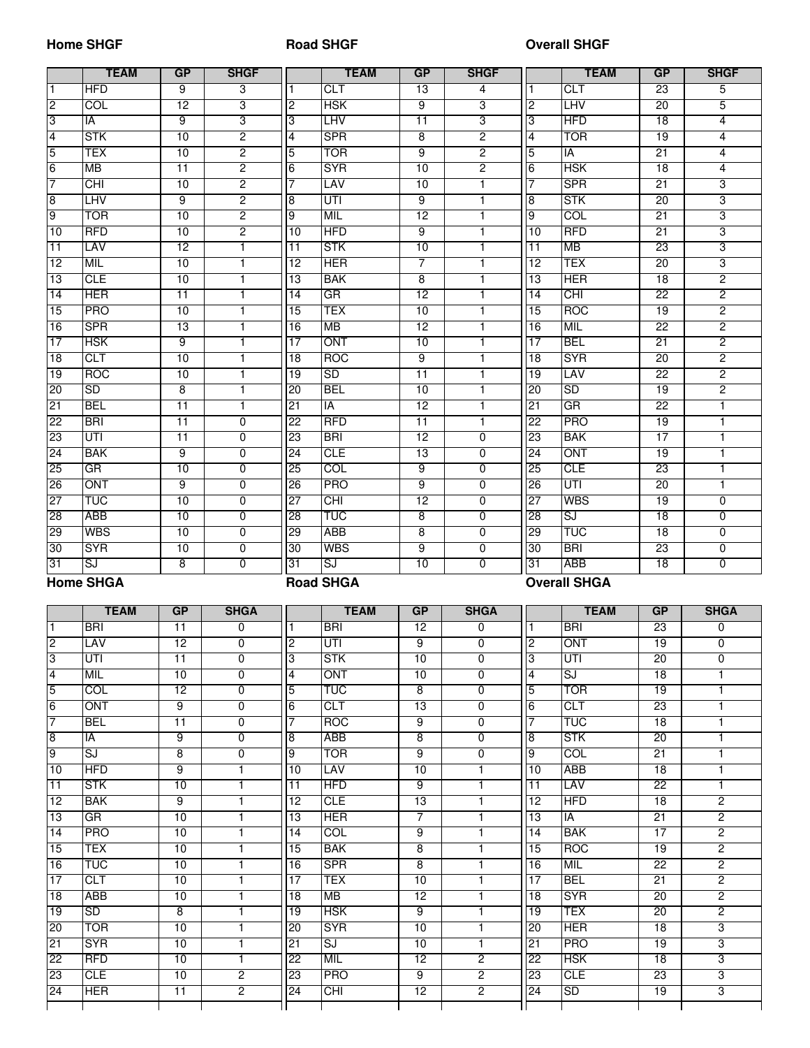#### **Home SHGF**

#### **Road SHGF**

#### **Overall SHGF**

|                 | <b>TEAM</b>      | GP              | <b>SHGF</b>    |                 | <b>TEAM</b>      | GP                      | <b>SHGF</b>    |                 | <b>TEAM</b>              | GP              | <b>SHGF</b>    |
|-----------------|------------------|-----------------|----------------|-----------------|------------------|-------------------------|----------------|-----------------|--------------------------|-----------------|----------------|
|                 | <b>HFD</b>       | 9               | 3              |                 | <b>CLT</b>       | $\overline{13}$         | 4              | 1               | CLT                      | 23              | 5              |
| $\overline{2}$  | COL              | 12              | 3              | $\overline{c}$  | <b>HSK</b>       | 9                       | 3              | $\overline{2}$  | LHV                      | 20              | 5              |
| c)              | IA               | $\overline{9}$  | $\overline{3}$ | 3               | LHV              | 11                      | 3              | 3               | <b>HFD</b>               | 18              | $\overline{4}$ |
| 4               | <b>STK</b>       | 10              | $\overline{2}$ | 4               | <b>SPR</b>       | 8                       | 2              | 4               | <b>TOR</b>               | 19              | $\overline{4}$ |
| $\overline{5}$  | <b>TEX</b>       | 10              | $\overline{2}$ | 5               | <b>TOR</b>       | 9                       | $\overline{2}$ | 5               | IA                       | $\overline{21}$ | $\overline{4}$ |
| 6               | <b>MB</b>        | 11              | 2              | 6               | <b>SYR</b>       | 10                      | $\overline{2}$ | 6               | <b>HSK</b>               | 18              | $\overline{4}$ |
|                 | <b>CHI</b>       | 10              | 2              |                 | LAV              | 10                      | $\overline{1}$ | 7               | <b>SPR</b>               | 21              | 3              |
|                 |                  |                 |                |                 |                  |                         |                |                 |                          |                 |                |
| 8               | <b>LHV</b>       | 9               | $\overline{2}$ | 8               | UTI              | 9                       | 1              | 8               | <b>STK</b>               | 20              | 3              |
| 9               | <b>TOR</b>       | 10              | $\overline{2}$ | 9               | <b>MIL</b>       | 12                      | 1              | 9               | COT                      | $\overline{21}$ | 3              |
| 10              | <b>RFD</b>       | 10              | 2              | 10              | <b>HFD</b>       | 9                       | 1              | 10              | <b>RFD</b>               | $\overline{21}$ | 3              |
| 11              | LAV              | 12              | 1              | $\overline{11}$ | <b>STK</b>       | 10                      | 1              | 11              | <b>MB</b>                | 23              | 3              |
| 12              | <b>MIL</b>       | 10              | $\mathbf{1}$   | 12              | <b>HER</b>       | $\overline{7}$          | 1              | $\overline{12}$ | <b>TEX</b>               | $\overline{20}$ | 3              |
| 13              | <b>CLE</b>       | 10              | 1              | 13              | <b>BAK</b>       | 8                       | 1              | $\overline{13}$ | <b>HER</b>               | 18              | $\overline{2}$ |
| 14              | <b>HER</b>       | $\overline{11}$ | 1              | $\overline{14}$ | GR               | 12                      | 1              | 14              | CHI                      | 22              | $\overline{2}$ |
| $\overline{15}$ | <b>PRO</b>       | 10              | 1              | 15              | TEX              | 10                      | 1              | 15              | <b>ROC</b>               | 19              | $\overline{2}$ |
| 16              | <b>SPR</b>       | 13              | 1              | 16              | <b>MB</b>        | 12                      | 1              | 16              | MIL                      | 22              | $\overline{2}$ |
| 17              | <b>HSK</b>       | 9               | $\mathbf{1}$   | $\overline{17}$ | ONT              | $\overline{10}$         | $\mathbf{1}$   | $\overline{17}$ | <b>BEL</b>               | $\overline{21}$ | $\overline{2}$ |
| 18              | <b>CLT</b>       | 10              | $\mathbf{1}$   | $\overline{18}$ | <b>ROC</b>       | $\overline{9}$          | $\mathbf{1}$   | $\overline{18}$ | <b>SYR</b>               | $\overline{20}$ | $\overline{2}$ |
| 19              | <b>ROC</b>       | 10              | $\mathbf{1}$   | $\overline{19}$ | SD               | $\overline{11}$         | $\mathbf{1}$   | $\overline{19}$ | <b>LAV</b>               | $\overline{22}$ | $\overline{2}$ |
| 20              | SD               | 8               | $\mathbf{1}$   | <b>OZ</b>       | <b>BEL</b>       | $\overline{10}$         | $\mathbf{1}$   | òQ              | <b>SD</b>                | $\overline{19}$ | $\overline{2}$ |
| 21              | <b>BEL</b>       | $\overline{11}$ | $\mathbf{1}$   | 21              | IA               | $\overline{12}$         | $\mathbf{1}$   | 21              | $G$ R                    | $\overline{22}$ | $\mathbf{1}$   |
| 22              | <b>BRI</b>       | $\overline{11}$ | $\overline{0}$ | 22              | <b>RFD</b>       | $\overline{11}$         | $\mathbf{1}$   | $\overline{22}$ | <b>PRO</b>               | 19              | $\mathbf{1}$   |
| 23              | UTI              | 11              | $\overline{0}$ | 23              | <b>BRI</b>       | 12                      | 0              | 23              | <b>BAK</b>               | 17              | 1              |
| 24              | <b>BAK</b>       | 9               | $\overline{0}$ | 24              | <b>CLE</b>       | $\overline{13}$         | 0              | 24              | ONT                      | 19              | 1              |
| 25              | <b>GR</b>        | 10              | $\overline{0}$ | 25              | COL              | 9                       | $\Omega$       | 25              | <b>CLE</b>               | 23              | 1              |
| 26              | ONT              | 9               | 0              | 26              | <b>PRO</b>       | 9                       | $\Omega$       | 26              | UTI                      | $\overline{20}$ | 1              |
| 27              | <b>TUC</b>       | 10              | 0              | 27              | CHI              | $\overline{12}$         | 0              | $\overline{27}$ | <b>WBS</b>               | 19              | 0              |
| 28              | <b>ABB</b>       | 10              | 0              | 28              | <b>TUC</b>       | 8                       | 0              | 28              | $\overline{\mathsf{SJ}}$ | 18              | 0              |
| 29              | <b>WBS</b>       | 10              | 0              | 29              | <b>ABB</b>       | 8                       | $\Omega$       | 29              | TUC                      | 18              | $\mathbf 0$    |
| 30              | <b>SYR</b>       | 10              | 0              | 30              | <b>WBS</b>       | $\overline{9}$          | 0              | $\overline{30}$ | <b>BRI</b>               | 23              | $\overline{0}$ |
| 31              | SJ               | 8               | $\Omega$       | 31              | SJ               | 10                      | 0              | 31              | <b>ABB</b>               | 18              | $\overline{0}$ |
|                 |                  |                 |                |                 |                  |                         |                |                 |                          |                 |                |
|                 |                  |                 |                |                 |                  |                         |                |                 |                          |                 |                |
|                 | <b>Home SHGA</b> |                 |                |                 | <b>Road SHGA</b> |                         |                |                 | <b>Overall SHGA</b>      |                 |                |
|                 |                  |                 |                |                 |                  |                         |                |                 |                          |                 |                |
|                 | <b>TEAM</b>      | GP              | <b>SHGA</b>    |                 | <b>TEAM</b>      | GP                      | <b>SHGA</b>    |                 | <b>TEAM</b>              | GP              | <b>SHGA</b>    |
| l 1             | <b>BRI</b>       | $\overline{11}$ | 0              | $\vert$ 1       | <b>BRI</b>       | 12                      | 0              | $\mathbf{1}$    | <b>BRI</b>               | 23              | 0              |
| S               | LAV              | 12              | 0              | $\overline{2}$  | UTI              | 9                       | 0              | $\overline{c}$  | ONT                      | 19              | 0              |
| $\overline{3}$  | UTI              | 11              | $\overline{0}$ | $\overline{3}$  | <b>STK</b>       | 10                      | 0              | $\overline{3}$  | UTI                      | 20              | 0              |
| 4               | <b>MIL</b>       | 10              | $\mathbf 0$    | $\overline{4}$  | ONT              | 10                      | 0              | $\overline{4}$  | SJ                       | 18              | $\mathbf{1}$   |
| $5\,$           | COL              | 12              | $\mathbf 0$    | $\overline{5}$  | <b>TUC</b>       | $\overline{\mathbf{8}}$ | 0              | 5               | <b>TOR</b>               | 19              | $\mathbf{1}$   |
| 6               | ONT              | 9               | $\overline{0}$ | 6               | <b>CLT</b>       | 13                      | $\overline{0}$ | 6               | <b>CLT</b>               | 23              | 1.             |
| 17              | <b>BEL</b>       | 11              | $\overline{0}$ | 7               | <b>ROC</b>       | 9                       | $\overline{0}$ | 7               | <b>TUC</b>               | $\overline{18}$ | 1.             |
| 8               | IA               | 9               | 0              | $\overline{8}$  | <b>ABB</b>       | 8                       | 0              | 8               | <b>STK</b>               | 20              | 1.             |
| 9               | SJ               | $\overline{8}$  | 0              | 9               | <b>TOR</b>       | $\overline{9}$          | 0              | o               | COL                      | 21              | 1.             |
| 10              | <b>HFD</b>       | 9               | $\mathbf{1}$   | 10              | LAV              | 10                      | 1              | 10              | <b>ABB</b>               | 18              | 1.             |
| 11              | <b>STK</b>       | 10              | $\mathbf{1}$   | 11              | <b>HFD</b>       | $\overline{9}$          | 1              | 11              | <b>LAV</b>               | 22              | 1.             |
| 12              | <b>BAK</b>       | 9               | 1              | 12              | <b>CLE</b>       | 13                      | 1              | 12              | <b>HFD</b>               | $\overline{18}$ | $\overline{c}$ |
| 13              | GR               | 10              | 1              | 13              | <b>HER</b>       | $\overline{7}$          | $\mathbf{1}$   | 13              | $\overline{A}$           | 21              | 2              |
| 14              | <b>PRO</b>       | 10              | 1              | 14              | COL              | 9                       | 1              | 14              | <b>BAK</b>               | 17              | 2              |
| 15              | <b>TEX</b>       | 10              | 1              | 15              | <b>BAK</b>       | $\overline{8}$          | 1              | 15              | ROC                      | 19              | 2              |
| 16              | <b>TUC</b>       | 10              | 1              | 16              | <b>SPR</b>       | 8                       | 1              | 16              | MIL                      | 22              | 2              |
| 17              | <b>CLT</b>       | 10              | $\mathbf{1}$   | 17              | <b>TEX</b>       | 10                      | $\mathbf{1}$   | 17              | <b>BEL</b>               | 21              | $\overline{2}$ |
| 18              | <b>ABB</b>       |                 | $\mathbf{1}$   |                 |                  |                         | $\mathbf{1}$   | 18              |                          | 20              |                |
|                 |                  | 10 <sub>1</sub> |                | 18              | MB               | 12                      |                |                 | <b>SYR</b>               |                 | $\overline{2}$ |
| 19              | SD               | 8               | $\mathbf{1}$   | 19              | <b>HSK</b>       | 9                       | $\mathbf{1}$   | 19              | <b>TEX</b>               | 20              | $\overline{c}$ |
| 20              | <b>TOR</b>       | 10              | $\mathbf{1}$   | 20              | <b>SYR</b>       | 10                      | $\mathbf{1}$   | 20              | <b>HER</b>               | 18              | 3              |
| 21              | <b>SYR</b>       | 10              | $\mathbf{1}$   | 21              | SJ               | 10                      | $\mathbf{1}$   | 21              | <b>PRO</b>               | 19              | 3              |
| 22              | <b>RFD</b>       | 10              | $\mathbf{1}$   | 22              | MIL              | 12                      | $\overline{2}$ | 22              | <b>HSK</b>               | $\overline{18}$ | 3              |
| $\overline{23}$ | <b>CLE</b>       | 10              | $\overline{2}$ | 23              | <b>PRO</b>       | 9                       | $\overline{2}$ | 23              | <b>CLE</b>               | 23              | 3              |
| 24              | <b>HER</b>       | 11              | $\overline{2}$ | 24              | <b>CHI</b>       | 12 <sup>2</sup>         | $\overline{2}$ | 24              | SD                       | 19              | 3              |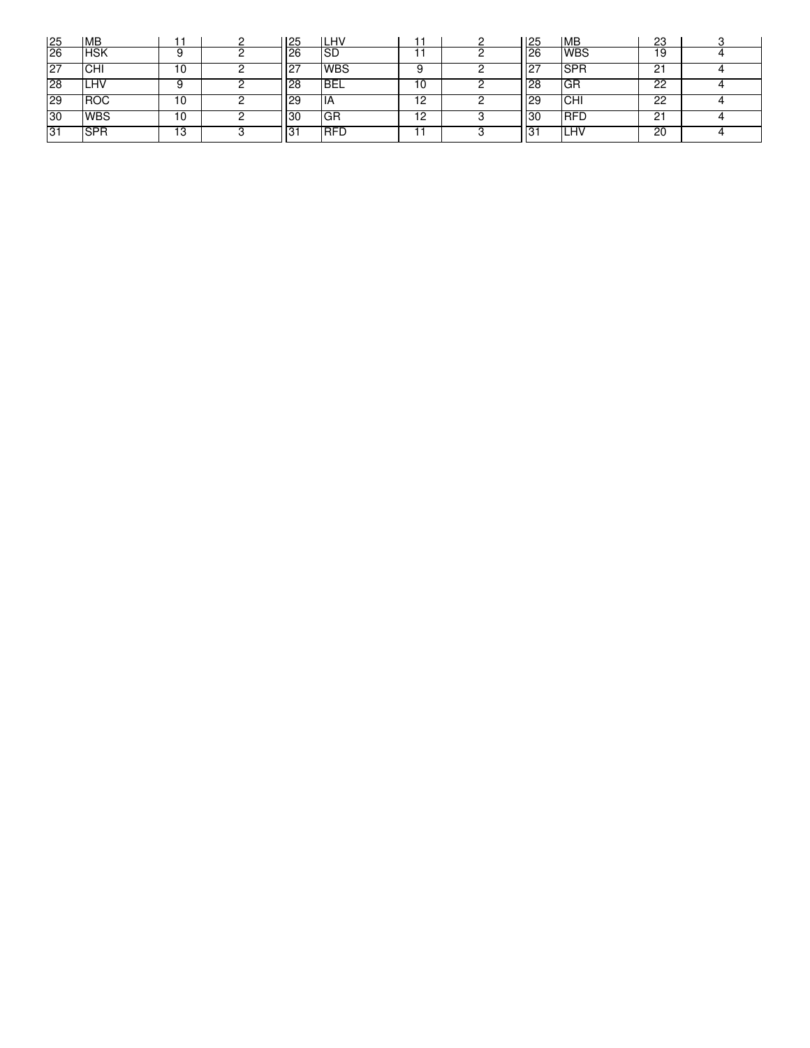| 25  | <b>MB</b>  |    | 125              | LHV        |    | 125       | <b>IMB</b> | 23 |  |
|-----|------------|----|------------------|------------|----|-----------|------------|----|--|
| 26  | <b>HSK</b> |    | 26               | SD         |    | <b>26</b> | <b>WBS</b> | 19 |  |
| 127 | <b>CHI</b> | ۱0 | - 27<br><u>_</u> | WBS        |    |           | <b>SPR</b> | 21 |  |
| 28  | <b>LHV</b> |    | 128              | <b>BEL</b> | 10 | 28        | GR         | 22 |  |
| 29  | <b>ROC</b> | 10 | 29               | ΙA         | 12 | <b>29</b> | <b>CHI</b> | 22 |  |
| 30  | <b>WBS</b> | 10 | 30               | GR         | 12 | 30        | <b>RFD</b> | 21 |  |
| 31  | <b>SPR</b> | 13 | 131              | <b>RFD</b> |    | . ט       | LHV        | 20 |  |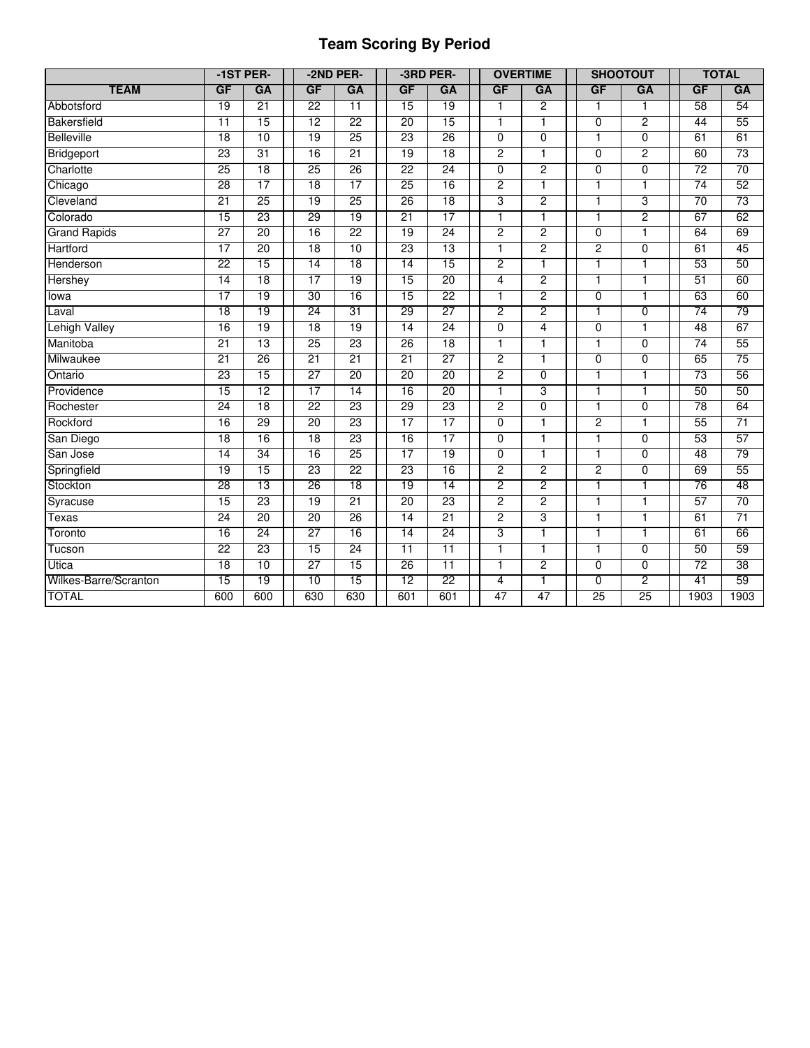# **Team Scoring By Period**

|                       |                 | -1ST PER- |                 | -2ND PER-       |                 | -3RD PER-       |                | <b>OVERTIME</b> |                | <b>SHOOTOUT</b> |                 | <b>TOTAL</b>    |
|-----------------------|-----------------|-----------|-----------------|-----------------|-----------------|-----------------|----------------|-----------------|----------------|-----------------|-----------------|-----------------|
| <b>TEAM</b>           | GF              | GA        | GF              | GA              | GF              | GA              | GF             | GA              | GF             | GA              | GF              | GA              |
| Abbotsford            | 19              | 21        | $\overline{22}$ | $\overline{11}$ | $\overline{15}$ | 19              | 1              | $\overline{2}$  | $\mathbf{1}$   | 1               | 58              | 54              |
| Bakersfield           | $\overline{11}$ | 15        | 12              | 22              | 20              | 15              | $\overline{1}$ | $\mathbf{1}$    | $\overline{0}$ | $\overline{2}$  | 44              | 55              |
| <b>Belleville</b>     | 18              | 10        | 19              | 25              | 23              | 26              | $\overline{0}$ | $\overline{0}$  | $\overline{1}$ | $\overline{0}$  | 61              | 61              |
| Bridgeport            | 23              | 31        | 16              | $\overline{21}$ | 19              | 18              | $\overline{2}$ |                 | $\overline{0}$ | $\overline{2}$  | 60              | 73              |
| Charlotte             | 25              | 18        | 25              | 26              | $\overline{22}$ | 24              | $\overline{0}$ | $\overline{2}$  | $\overline{0}$ | $\overline{0}$  | 72              | $\overline{70}$ |
| Chicago               | 28              | 17        | 18              | $\overline{17}$ | 25              | 16              | 2              | 1               | ī              | T               | $\overline{74}$ | 52              |
| Cleveland             | 21              | 25        | 19              | 25              | 26              | 18              | 3              | $\overline{2}$  | $\mathbf{1}$   | 3               | 70              | 73              |
| Colorado              | 15              | 23        | 29              | 19              | 21              | 17              | 1              | 1               | $\mathbf{1}$   | $\overline{2}$  | 67              | 62              |
| <b>Grand Rapids</b>   | $\overline{27}$ | 20        | 16              | 22              | 19              | 24              | $\overline{2}$ | $\overline{2}$  | $\overline{0}$ | $\overline{1}$  | 64              | 69              |
| Hartford              | $\overline{17}$ | 20        | 18              | 10              | 23              | 13              | 1              | $\overline{2}$  | $\overline{c}$ | $\overline{0}$  | 61              | 45              |
| Henderson             | 22              | 15        | 14              | 18              | 14              | 15              | $\overline{2}$ | 1               | $\overline{1}$ | $\mathbf{1}$    | 53              | 50              |
| Hershey               | 14              | 18        | 17              | 19              | 15              | 20              | 4              | $\overline{2}$  | $\mathbf{1}$   | $\mathbf{1}$    | 51              | 60              |
| lowa                  | 17              | 19        | 30              | 16              | 15              | $\overline{22}$ | 1              | $\overline{2}$  | $\overline{0}$ | $\overline{1}$  | 63              | 60              |
| Laval                 | 18              | 19        | 24              | 31              | 29              | 27              | $\overline{2}$ | $\overline{2}$  | $\overline{1}$ | $\overline{0}$  | 74              | 79              |
| <b>Lehigh Valley</b>  | 16              | 19        | 18              | 19              | $\overline{14}$ | 24              | $\mathbf 0$    | 4               | 0              | 1               | 48              | 67              |
| Manitoba              | 21              | 13        | 25              | $\overline{23}$ | 26              | 18              | $\mathbf{1}$   | 1               | $\mathbf{1}$   | $\overline{0}$  | $\overline{74}$ | 55              |
| Milwaukee             | 21              | 26        | 21              | 21              | 21              | $\overline{27}$ | $\overline{2}$ | 1               | $\overline{0}$ | $\overline{0}$  | 65              | 75              |
| Ontario               | 23              | 15        | 27              | $\overline{20}$ | $\overline{20}$ | $\overline{20}$ | $\overline{2}$ | $\overline{0}$  | $\overline{1}$ | $\overline{1}$  | 73              | 56              |
| Providence            | 15              | 12        | 17              | 14              | 16              | $\overline{20}$ | 1              | 3               | $\overline{1}$ | $\overline{1}$  | 50              | 50              |
| Rochester             | 24              | 18        | 22              | 23              | 29              | 23              | $\overline{2}$ | $\overline{0}$  | $\overline{1}$ | $\overline{0}$  | 78              | 64              |
| Rockford              | 16              | 29        | 20              | 23              | 17              | 17              | $\overline{0}$ | 1               | $\overline{c}$ | 1               | 55              | 71              |
| San Diego             | 18              | 16        | 18              | $\overline{23}$ | 16              | 17              | $\overline{0}$ | $\overline{1}$  | $\overline{1}$ | $\overline{0}$  | 53              | 57              |
| San Jose              | 14              | 34        | 16              | 25              | $\overline{17}$ | 19              | $\overline{0}$ |                 | 1              | $\overline{0}$  | 48              | 79              |
| Springfield           | 19              | 15        | 23              | $\overline{22}$ | 23              | 16              | $\overline{2}$ | $\overline{2}$  | $\overline{2}$ | $\overline{0}$  | 69              | 55              |
| Stockton              | 28              | 13        | 26              | 18              | 19              | 14              | $\overline{2}$ | $\overline{2}$  | $\overline{1}$ | $\mathbf{1}$    | 76              | 48              |
| Syracuse              | 15              | 23        | 19              | 21              | 20              | 23              | 2              | $\overline{2}$  | $\mathbf{1}$   | 1               | 57              | 70              |
| Texas                 | 24              | 20        | 20              | 26              | 14              | 21              | 2              | $\overline{3}$  | $\mathbf{1}$   | 1               | 61              | $\overline{71}$ |
| Toronto               | 16              | 24        | 27              | 16              | 14              | 24              | 3              | $\overline{1}$  | $\overline{1}$ | $\overline{1}$  | 61              | 66              |
| Tucson                | 22              | 23        | 15              | 24              | $\overline{11}$ | $\overline{11}$ | $\overline{1}$ | 1               | $\overline{1}$ | $\overline{0}$  | 50              | 59              |
| Utica                 | 18              | 10        | 27              | 15              | 26              | 11              | 1              | $\overline{2}$  | $\overline{0}$ | $\overline{0}$  | 72              | 38              |
| Wilkes-Barre/Scranton | 15              | 19        | 10              | 15              | 12              | 22              | 4              | 1               | $\overline{0}$ | $\overline{2}$  | 41              | 59              |
| <b>TOTAL</b>          | 600             | 600       | 630             | 630             | 601             | 601             | 47             | 47              | 25             | 25              | 1903            | 1903            |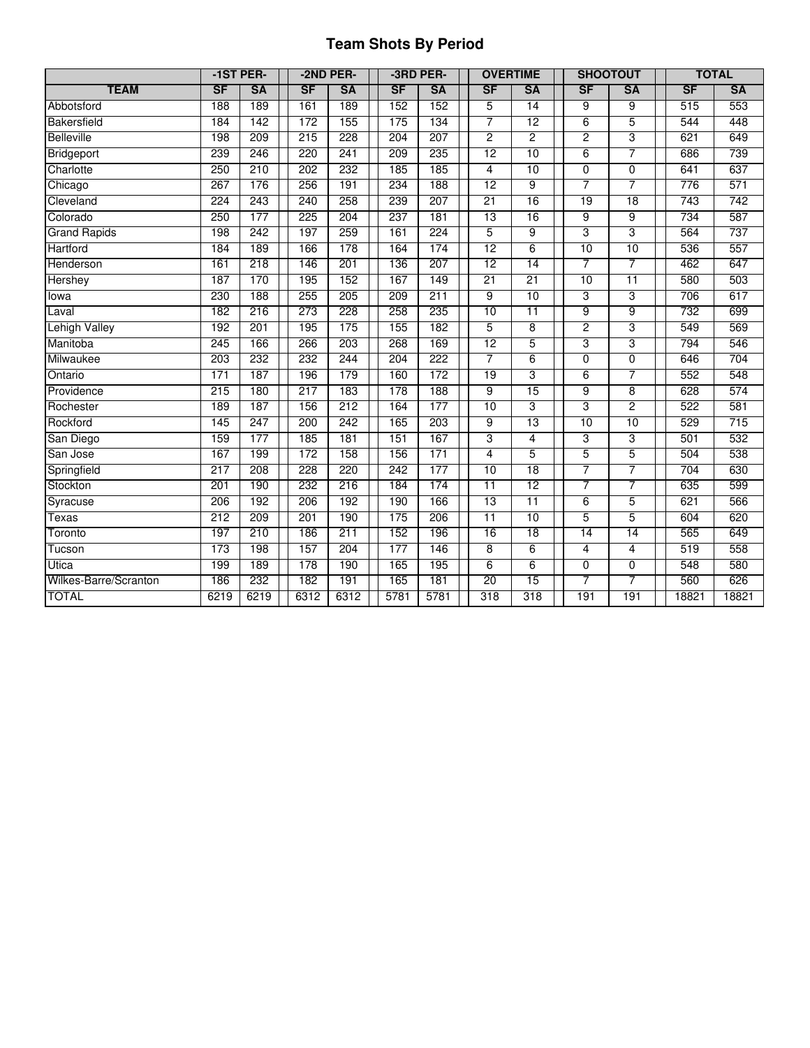# **Team Shots By Period**

|                       |           | -1ST PER- |           | -2ND PER- |           | -3RD PER- |                 | <b>OVERTIME</b> | <b>SHOOTOUT</b> |                |       | <b>TOTAL</b> |
|-----------------------|-----------|-----------|-----------|-----------|-----------|-----------|-----------------|-----------------|-----------------|----------------|-------|--------------|
| <b>TEAM</b>           | <b>SF</b> | <b>SA</b> | <b>SF</b> | <b>SA</b> | <b>SF</b> | <b>SA</b> | <b>SF</b>       | <b>SA</b>       | <b>SF</b>       | <b>SA</b>      | SF    | <b>SA</b>    |
| Abbotsford            | 188       | 189       | 161       | 189       | 152       | 152       | 5               | 14              | 9               | 9              | 515   | 553          |
| Bakersfield           | 184       | 142       | 172       | 155       | 175       | 134       | $\overline{7}$  | $\overline{12}$ | $6\overline{6}$ | 5              | 544   | 448          |
| <b>Belleville</b>     | 198       | 209       | 215       | 228       | 204       | 207       | $\overline{2}$  | $\overline{2}$  | $\overline{2}$  | 3              | 621   | 649          |
| Bridgeport            | 239       | 246       | 220       | 241       | 209       | 235       | 12              | 10              | $6\overline{6}$ | 7              | 686   | 739          |
| Charlotte             | 250       | 210       | 202       | 232       | 185       | 185       | 4               | 10              | $\overline{0}$  | $\overline{0}$ | 641   | 637          |
| Chicago               | 267       | 176       | 256       | 191       | 234       | 188       | 12              | $\overline{9}$  | 7               | 7              | 776   | 571          |
| Cleveland             | 224       | 243       | 240       | 258       | 239       | 207       | 21              | 16              | 19              | 18             | 743   | 742          |
| Colorado              | 250       | 177       | 225       | 204       | 237       | 181       | 13              | 16              | $\overline{9}$  | $\overline{9}$ | 734   | 587          |
| <b>Grand Rapids</b>   | 198       | 242       | 197       | 259       | 161       | 224       | 5               | $\overline{9}$  | $\overline{3}$  | $\overline{3}$ | 564   | 737          |
| Hartford              | 184       | 189       | 166       | 178       | 164       | 174       | 12              | 6               | 10              | 10             | 536   | 557          |
| Henderson             | 161       | 218       | 146       | 201       | 136       | 207       | 12              | 14              | 7               | $\overline{7}$ | 462   | 647          |
| Hershey               | 187       | 170       | 195       | 152       | 167       | 149       | 21              | 21              | 10              | 11             | 580   | 503          |
| lowa                  | 230       | 188       | 255       | 205       | 209       | 211       | 9               | 10              | 3               | 3              | 706   | 617          |
| Laval                 | 182       | 216       | 273       | 228       | 258       | 235       | 10              | 11              | 9               | 9              | 732   | 699          |
| Lehigh Valley         | 192       | 201       | 195       | 175       | 155       | 182       | 5               | $\overline{8}$  | $\overline{2}$  | 3              | 549   | 569          |
| Manitoba              | 245       | 166       | 266       | 203       | 268       | 169       | 12              | 5               | 3               | 3              | 794   | 546          |
| Milwaukee             | 203       | 232       | 232       | 244       | 204       | 222       | $\overline{7}$  | 6               | $\overline{0}$  | $\overline{0}$ | 646   | 704          |
| Ontario               | 171       | 187       | 196       | 179       | 160       | 172       | 19              | 3               | 6               | 7              | 552   | 548          |
| Providence            | 215       | 180       | 217       | 183       | 178       | 188       | 9               | 15              | 9               | 8              | 628   | 574          |
| Rochester             | 189       | 187       | 156       | 212       | 164       | 177       | 10              | 3               | 3               | 2              | 522   | 581          |
| Rockford              | 145       | 247       | 200       | 242       | 165       | 203       | 9               | 13              | 10              | 10             | 529   | 715          |
| San Diego             | 159       | 177       | 185       | 181       | 151       | 167       | 3               | $\overline{4}$  | 3               | 3              | 501   | 532          |
| San Jose              | 167       | 199       | 172       | 158       | 156       | 171       | 4               | 5               | 5               | 5              | 504   | 538          |
| Springfield           | 217       | 208       | 228       | 220       | 242       | 177       | 10              | $\overline{18}$ | 7               | 7              | 704   | 630          |
| Stockton              | 201       | 190       | 232       | 216       | 184       | 174       | $\overline{11}$ | 12              | 7               | 7              | 635   | 599          |
| Syracuse              | 206       | 192       | 206       | 192       | 190       | 166       | 13              | $\overline{11}$ | $6\overline{6}$ | 5              | 621   | 566          |
| Texas                 | 212       | 209       | 201       | 190       | 175       | 206       | $\overline{11}$ | 10              | 5               | 5              | 604   | 620          |
| Toronto               | 197       | 210       | 186       | 211       | 152       | 196       | 16              | $\overline{18}$ | 14              | 14             | 565   | 649          |
| Tucson                | 173       | 198       | 157       | 204       | 177       | 146       | $\overline{8}$  | $\overline{6}$  | 4               | 4              | 519   | 558          |
| Utica                 | 199       | 189       | 178       | 190       | 165       | 195       | 6               | $6\overline{6}$ | $\overline{0}$  | $\overline{0}$ | 548   | 580          |
| Wilkes-Barre/Scranton | 186       | 232       | 182       | 191       | 165       | 181       | 20              | 15              | 7               | 7              | 560   | 626          |
| <b>TOTAL</b>          | 6219      | 6219      | 6312      | 6312      | 5781      | 5781      | 318             | 318             | 191             | 191            | 18821 | 18821        |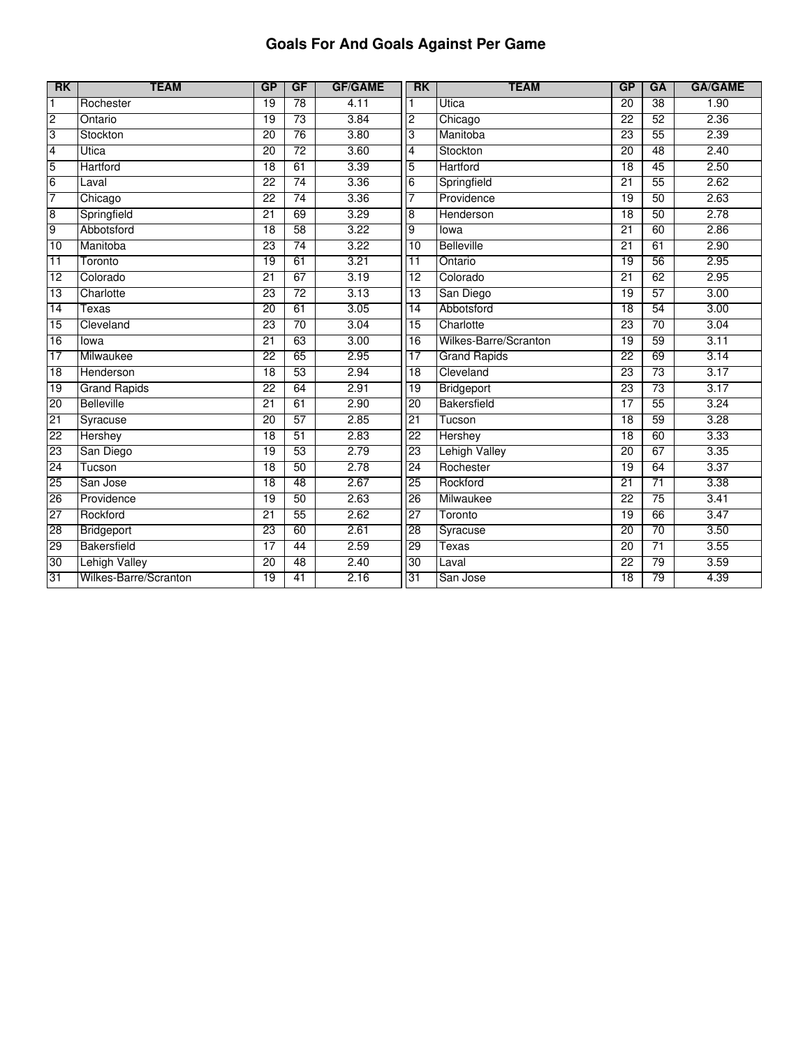# **Goals For And Goals Against Per Game**

| RK              | <b>TEAM</b>           | <b>GP</b>       | <b>GF</b>       | <b>GF/GAME</b> | <b>RK</b>       | <b>TEAM</b>           | <b>GP</b>       | GA              | <b>GA/GAME</b> |
|-----------------|-----------------------|-----------------|-----------------|----------------|-----------------|-----------------------|-----------------|-----------------|----------------|
| $\mathbf{1}$    | Rochester             | $\overline{19}$ | $\overline{78}$ | 4.11           |                 | Utica                 | $\overline{20}$ | $\overline{38}$ | 1.90           |
| $\overline{c}$  | Ontario               | 19              | 73              | 3.84           | $\overline{2}$  | Chicago               | 22              | 52              | 2.36           |
| 3               | Stockton              | $\overline{20}$ | $\overline{76}$ | 3.80           | 3               | Manitoba              | $\overline{23}$ | 55              | 2.39           |
| 4               | Utica                 | $\overline{20}$ | $\overline{72}$ | 3.60           | $\overline{4}$  | Stockton              | 20              | 48              | 2.40           |
| 5               | Hartford              | 18              | 61              | 3.39           | 5               | Hartford              | 18              | 45              | 2.50           |
| $6\overline{6}$ | Laval                 | $\overline{22}$ | 74              | 3.36           | $\overline{6}$  | Springfield           | $\overline{21}$ | 55              | 2.62           |
| 7               | Chicago               | 22              | 74              | 3.36           | 7               | Providence            | 19              | 50              | 2.63           |
| 8               | Springfield           | 21              | 69              | 3.29           | $\overline{8}$  | Henderson             | 18              | 50              | 2.78           |
| 9               | Abbotsford            | 18              | 58              | 3.22           | Θ.              | lowa                  | 21              | 60              | 2.86           |
| 10              | Manitoba              | 23              | $\overline{74}$ | 3.22           | $\overline{10}$ | Belleville            | $\overline{21}$ | 61              | 2.90           |
| $\overline{11}$ | Toronto               | 19              | 61              | 3.21           | $\overline{11}$ | Ontario               | 19              | 56              | 2.95           |
| 12              | Colorado              | $\overline{21}$ | 67              | 3.19           | $\overline{12}$ | Colorado              | $\overline{21}$ | 62              | 2.95           |
| 13              | Charlotte             | 23              | 72              | 3.13           | 13              | San Diego             | 19              | 57              | 3.00           |
| 14              | Texas                 | 20              | 61              | 3.05           | 14              | Abbotsford            | 18              | 54              | 3.00           |
| 15              | Cleveland             | 23              | 70              | 3.04           | 15              | Charlotte             | $\overline{23}$ | 70              | 3.04           |
| 16              | lowa                  | 21              | 63              | 3.00           | 16              | Wilkes-Barre/Scranton | 19              | 59              | 3.11           |
| 17              | Milwaukee             | 22              | 65              | 2.95           | 17              | <b>Grand Rapids</b>   | 22              | 69              | 3.14           |
| 18              | Henderson             | $\overline{18}$ | 53              | 2.94           | $\overline{18}$ | Cleveland             | 23              | 73              | 3.17           |
| 19              | <b>Grand Rapids</b>   | $\overline{22}$ | 64              | 2.91           | 19              | Bridgeport            | $\overline{23}$ | $\overline{73}$ | 3.17           |
| 20              | <b>Belleville</b>     | 21              | 61              | 2.90           | 20              | <b>Bakersfield</b>    | 17              | 55              | 3.24           |
| 21              | Syracuse              | $\overline{20}$ | 57              | 2.85           | $\overline{21}$ | Tucson                | $\overline{18}$ | 59              | 3.28           |
| 22              | Hershey               | $\overline{18}$ | 51              | 2.83           | 22              | Hershey               | $\overline{18}$ | 60              | 3.33           |
| 23              | San Diego             | 19              | 53              | 2.79           | 23              | <b>Lehigh Valley</b>  | 20              | 67              | 3.35           |
| 24              | Tucson                | 18              | 50              | 2.78           | 24              | Rochester             | 19              | 64              | 3.37           |
| 25              | San Jose              | $\overline{18}$ | 48              | 2.67           | 25              | Rockford              | 21              | 71              | 3.38           |
| 26              | Providence            | 19              | 50              | 2.63           | 26              | Milwaukee             | 22              | 75              | 3.41           |
| 27              | Rockford              | $\overline{21}$ | 55              | 2.62           | 27              | Toronto               | 19              | 66              | 3.47           |
| 28              | <b>Bridgeport</b>     | 23              | 60              | 2.61           | 28              | Syracuse              | $\overline{20}$ | $\overline{70}$ | 3.50           |
| 29              | <b>Bakersfield</b>    | 17              | 44              | 2.59           | 29              | <b>Texas</b>          | 20              | 71              | 3.55           |
| 30              | <b>Lehigh Valley</b>  | $\overline{20}$ | 48              | 2.40           | 30              | Laval                 | $\overline{22}$ | 79              | 3.59           |
| 31              | Wilkes-Barre/Scranton | $\overline{19}$ | $\overline{41}$ | 2.16           | 31              | San Jose              | 18              | 79              | 4.39           |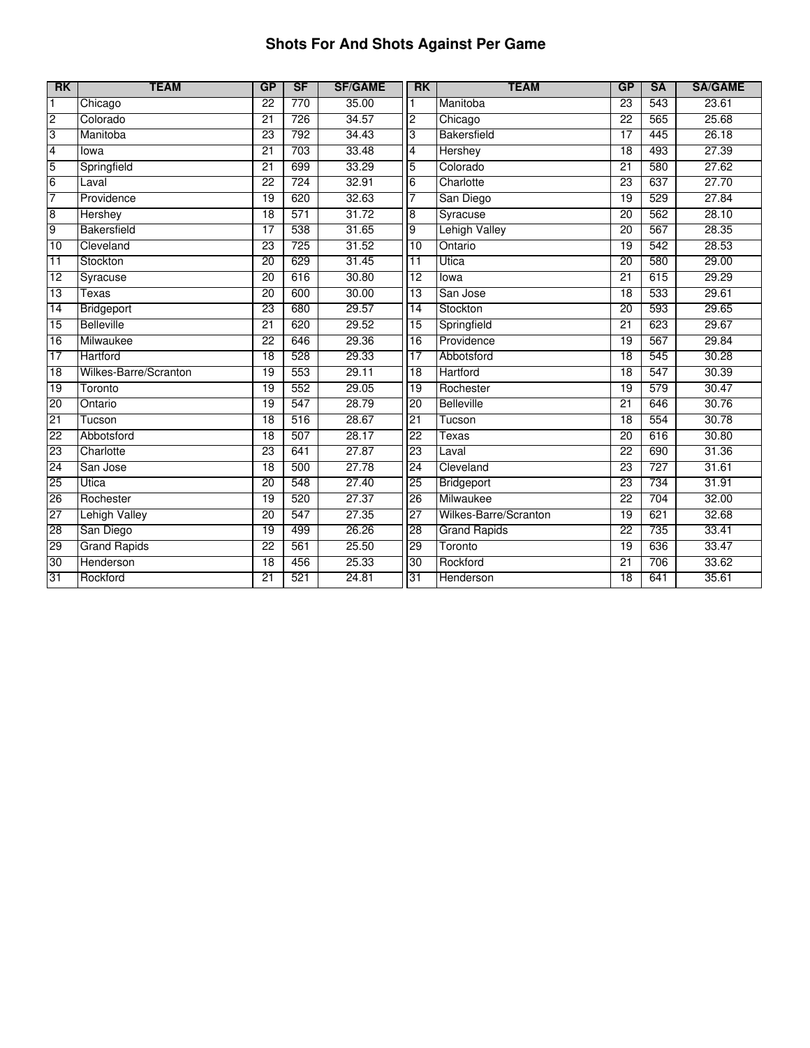# **Shots For And Shots Against Per Game**

| <b>RK</b>               | <b>TEAM</b>           | <b>GP</b>       | <b>SF</b> | <b>SF/GAME</b> | <b>RK</b>       | <b>TEAM</b>           | <b>GP</b>       | <b>SA</b> | <b>SA/GAME</b> |
|-------------------------|-----------------------|-----------------|-----------|----------------|-----------------|-----------------------|-----------------|-----------|----------------|
| $\mathbf{1}$            | Chicago               | $\overline{22}$ | 770       | 35.00          | $\mathbf{1}$    | Manitoba              | $\overline{23}$ | 543       | 23.61          |
| $\overline{2}$          | Colorado              | 21              | 726       | 34.57          | $\overline{2}$  | Chicago               | $\overline{22}$ | 565       | 25.68          |
| 3                       | Manitoba              | 23              | 792       | 34.43          | 3               | Bakersfield           | $\overline{17}$ | 445       | 26.18          |
| $\overline{\mathbf{4}}$ | lowa                  | $\overline{21}$ | 703       | 33.48          | 4               | <b>Hershey</b>        | 18              | 493       | 27.39          |
| 5                       | Springfield           | $\overline{21}$ | 699       | 33.29          | 5               | Colorado              | 21              | 580       | 27.62          |
| $\overline{6}$          | Laval                 | $\overline{22}$ | 724       | 32.91          | $6\overline{6}$ | Charlotte             | $\overline{23}$ | 637       | 27.70          |
| 7                       | Providence            | 19              | 620       | 32.63          | 7               | San Diego             | 19              | 529       | 27.84          |
| $\overline{8}$          | Hershey               | 18              | 571       | 31.72          | 8               | Syracuse              | 20              | 562       | 28.10          |
| 9                       | <b>Bakersfield</b>    | 17              | 538       | 31.65          | 9               | <b>Lehigh Valley</b>  | 20              | 567       | 28.35          |
| 10                      | Cleveland             | $\overline{23}$ | 725       | 31.52          | 10              | Ontario               | 19              | 542       | 28.53          |
| 11                      | Stockton              | 20              | 629       | 31.45          | 11              | Utica                 | 20              | 580       | 29.00          |
| 12                      | Syracuse              | $\overline{20}$ | 616       | 30.80          | 12              | lowa                  | $\overline{21}$ | 615       | 29.29          |
| 13                      | Texas                 | $\overline{20}$ | 600       | 30.00          | 13              | San Jose              | $\overline{18}$ | 533       | 29.61          |
| 14                      | Bridgeport            | 23              | 680       | 29.57          | 14              | Stockton              | 20              | 593       | 29.65          |
| 15                      | <b>Belleville</b>     | $\overline{21}$ | 620       | 29.52          | 15              | Springfield           | $\overline{21}$ | 623       | 29.67          |
| 16                      | Milwaukee             | 22              | 646       | 29.36          | 16              | Providence            | 19              | 567       | 29.84          |
| 17                      | Hartford              | 18              | 528       | 29.33          | 17              | Abbotsford            | 18              | 545       | 30.28          |
| $\overline{18}$         | Wilkes-Barre/Scranton | 19              | 553       | 29.11          | 18              | Hartford              | $\overline{18}$ | 547       | 30.39          |
| 19                      | Toronto               | 19              | 552       | 29.05          | 19              | Rochester             | 19              | 579       | 30.47          |
| 20                      | Ontario               | 19              | 547       | 28.79          | 20              | <b>Belleville</b>     | 21              | 646       | 30.76          |
| 21                      | Tucson                | $\overline{18}$ | 516       | 28.67          | 21              | Tucson                | $\overline{18}$ | 554       | 30.78          |
| 22                      | Abbotsford            | $\overline{18}$ | 507       | 28.17          | $\overline{22}$ | Texas                 | 20              | 616       | 30.80          |
| 23                      | Charlotte             | 23              | 641       | 27.87          | 23              | Laval                 | $\overline{22}$ | 690       | 31.36          |
| 24                      | San Jose              | 18              | 500       | 27.78          | 24              | Cleveland             | 23              | 727       | 31.61          |
| 25                      | <b>Utica</b>          | $\overline{20}$ | 548       | 27.40          | 25              | Bridgeport            | 23              | 734       | 31.91          |
| 26                      | Rochester             | 19              | 520       | 27.37          | 26              | Milwaukee             | 22              | 704       | 32.00          |
| 27                      | <b>Lehigh Valley</b>  | $\overline{20}$ | 547       | 27.35          | $\overline{27}$ | Wilkes-Barre/Scranton | 19              | 621       | 32.68          |
| 28                      | San Diego             | 19              | 499       | 26.26          | 28              | <b>Grand Rapids</b>   | $\overline{22}$ | 735       | 33.41          |
| 29                      | <b>Grand Rapids</b>   | $\overline{22}$ | 561       | 25.50          | 29              | Toronto               | 19              | 636       | 33.47          |
| 30                      | Henderson             | $\overline{18}$ | 456       | 25.33          | 30              | Rockford              | $\overline{21}$ | 706       | 33.62          |
| 31                      | Rockford              | $\overline{21}$ | 521       | 24.81          | 31              | Henderson             | $\overline{18}$ | 641       | 35.61          |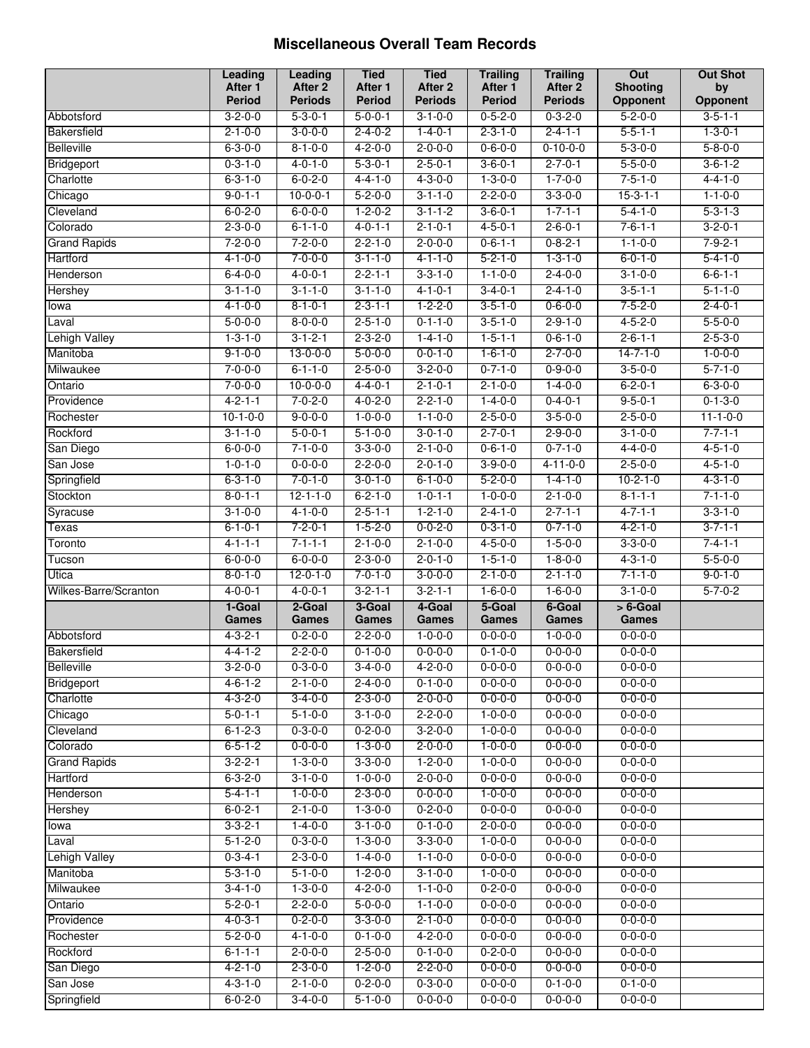#### **Miscellaneous Overall Team Records**

|                       | Leading                            | Leading                           | <b>Tied</b>                        | <b>Tied</b>                        | <b>Trailing</b>                  | <b>Trailing</b>                   | Out                         | <b>Out Shot</b>             |
|-----------------------|------------------------------------|-----------------------------------|------------------------------------|------------------------------------|----------------------------------|-----------------------------------|-----------------------------|-----------------------------|
|                       | After 1                            | After 2                           | After 1                            | After 2                            | After 1                          | After 2                           | <b>Shooting</b>             | by                          |
|                       | Period                             | <b>Periods</b><br>$5 - 3 - 0 - 1$ | <b>Period</b>                      | <b>Periods</b>                     | <b>Period</b><br>$0 - 5 - 2 - 0$ | <b>Periods</b><br>$0 - 3 - 2 - 0$ | Opponent<br>$5 - 2 - 0 - 0$ | Opponent<br>$3 - 5 - 1 - 1$ |
| Abbotsford            | $3 - 2 - 0 - 0$                    | $3 - 0 - 0 - 0$                   | $5 - 0 - 0 - 1$<br>$2 - 4 - 0 - 2$ | $3 - 1 - 0 - 0$                    | $2 - 3 - 1 - 0$                  |                                   | $5 - 5 - 1 - 1$             | $1 - 3 - 0 - 1$             |
| Bakersfield           | $2 - 1 - 0 - 0$<br>$6 - 3 - 0 - 0$ | $8 - 1 - 0 - 0$                   | $4 - 2 - 0 - 0$                    | $1 - 4 - 0 - 1$<br>$2 - 0 - 0 - 0$ | $0 - 6 - 0 - 0$                  | $2 - 4 - 1 - 1$                   | $5 - 3 - 0 - 0$             | $5 - 8 - 0 - 0$             |
| <b>Belleville</b>     |                                    |                                   |                                    |                                    |                                  | $0 - 10 - 0 - 0$                  |                             |                             |
| Bridgeport            | $0 - 3 - 1 - 0$                    | $4 - 0 - 1 - 0$                   | $5 - 3 - 0 - 1$                    | $2 - 5 - 0 - 1$                    | $3 - 6 - 0 - 1$                  | $2 - 7 - 0 - 1$                   | $5 - 5 - 0 - 0$             | $3 - 6 - 1 - 2$             |
| Charlotte             | $6 - 3 - 1 - 0$                    | $6 - 0 - 2 - 0$                   | $4 - 4 - 1 - 0$                    | $4 - 3 - 0 - 0$                    | $1 - 3 - 0 - 0$                  | $1 - 7 - 0 - 0$                   | $7 - 5 - 1 - 0$             | $4 - 4 - 1 - 0$             |
| Chicago               | $9 - 0 - 1 - 1$                    | $10-0-0-1$                        | $5 - 2 - 0 - 0$                    | $3 - 1 - 1 - 0$                    | $2 - 2 - 0 - 0$                  | $3 - 3 - 0 - 0$                   | $15 - 3 - 1 - 1$            | $1 - 1 - 0 - 0$             |
| Cleveland             | $6 - 0 - 2 - 0$                    | $6 - 0 - 0 - 0$                   | $1 - 2 - 0 - 2$                    | $3 - 1 - 1 - 2$                    | $3 - 6 - 0 - 1$                  | $1 - 7 - 1 - 1$                   | $5 - 4 - 1 - 0$             | $5 - 3 - 1 - 3$             |
| Colorado              | $2 - 3 - 0 - 0$                    | $6 - 1 - 1 - 0$                   | $4 - 0 - 1 - 1$                    | $2 - 1 - 0 - 1$                    | $4 - 5 - 0 - 1$                  | $2 - 6 - 0 - 1$                   | $7 - 6 - 1 - 1$             | $3 - 2 - 0 - 1$             |
| <b>Grand Rapids</b>   | $7 - 2 - 0 - 0$                    | $7 - 2 - 0 - 0$                   | $2 - 2 - 1 - 0$                    | $2 - 0 - 0 - 0$                    | $0 - 6 - 1 - 1$                  | $0 - 8 - 2 - 1$                   | $1 - 1 - 0 - 0$             | $7 - 9 - 2 - 1$             |
| Hartford              | $4 - 1 - 0 - 0$                    | $7 - 0 - 0 - 0$                   | $3 - 1 - 1 - 0$                    | $4 - 1 - 1 - 0$                    | $5 - 2 - 1 - 0$                  | $1 - 3 - 1 - 0$                   | $6 - 0 - 1 - 0$             | $5 - 4 - 1 - 0$             |
| Henderson             | $6 - 4 - 0 - 0$                    | $4 - 0 - 0 - 1$                   | $2 - 2 - 1 - 1$                    | $3 - 3 - 1 - 0$                    | $1 - 1 - 0 - 0$                  | $2 - 4 - 0 - 0$                   | $3 - 1 - 0 - 0$             | $6 - 6 - 1 - 1$             |
| Hershey               | $3 - 1 - 1 - 0$                    | $3 - 1 - 1 - 0$                   | $3 - 1 - 1 - 0$                    | $4 - 1 - 0 - 1$                    | $3 - 4 - 0 - 1$                  | $2 - 4 - 1 - 0$                   | $3 - 5 - 1 - 1$             | $5 - 1 - 1 - 0$             |
| lowa                  | $4 - 1 - 0 - 0$                    | $8 - 1 - 0 - 1$                   | $2 - 3 - 1 - 1$                    | $1 - 2 - 2 - 0$                    | $3 - 5 - 1 - 0$                  | $0 - 6 - 0 - 0$                   | $7 - 5 - 2 - 0$             | $2 - 4 - 0 - 1$             |
| Laval                 | $5 - 0 - 0 - 0$                    | $8 - 0 - 0 - 0$                   | $2 - 5 - 1 - 0$                    | $0 - 1 - 1 - 0$                    | $3 - 5 - 1 - 0$                  | $2 - 9 - 1 - 0$                   | $4 - 5 - 2 - 0$             | $5 - 5 - 0 - 0$             |
| <b>Lehigh Valley</b>  | $1 - 3 - 1 - 0$                    | $3 - 1 - 2 - 1$                   | $2 - 3 - 2 - 0$                    | $1 - 4 - 1 - 0$                    | $1 - 5 - 1 - 1$                  | $0 - 6 - 1 - 0$                   | $2 - 6 - 1 - 1$             | $2 - 5 - 3 - 0$             |
| Manitoba              | $9 - 1 - 0 - 0$                    | $13 - 0 - 0 - 0$                  | $5 - 0 - 0 - 0$                    | $0 - 0 - 1 - 0$                    | $1 - 6 - 1 - 0$                  | $2 - 7 - 0 - 0$                   | $14 - 7 - 1 - 0$            | $1 - 0 - 0 - 0$             |
| Milwaukee             | $7 - 0 - 0 - 0$                    | $6 - 1 - 1 - 0$                   | $2 - 5 - 0 - 0$                    | $3 - 2 - 0 - 0$                    | $0 - 7 - 1 - 0$                  | $0 - 9 - 0 - 0$                   | $3 - 5 - 0 - 0$             | $5 - 7 - 1 - 0$             |
| Ontario               | $7 - 0 - 0 - 0$                    | $10-0-0-0$                        | $4 - 4 - 0 - 1$                    | $2 - 1 - 0 - 1$                    | $2 - 1 - 0 - 0$                  | $1 - 4 - 0 - 0$                   | $6 - 2 - 0 - 1$             | $6 - 3 - 0 - 0$             |
| Providence            | $4 - 2 - 1 - 1$                    | $7 - 0 - 2 - 0$                   | $4 - 0 - 2 - 0$                    | $2 - 2 - 1 - 0$                    | $1 - 4 - 0 - 0$                  | $0 - 4 - 0 - 1$                   | $9 - 5 - 0 - 1$             | $0 - 1 - 3 - 0$             |
| Rochester             | $10 - 1 - 0 - 0$                   | $9 - 0 - 0 - 0$                   | $1 - 0 - 0 - 0$                    | $1 - 1 - 0 - 0$                    | $2 - 5 - 0 - 0$                  | $3 - 5 - 0 - 0$                   | $2 - 5 - 0 - 0$             | $11 - 1 - 0 - 0$            |
| Rockford              | $3 - 1 - 1 - 0$                    | $5 - 0 - 0 - 1$                   | $5 - 1 - 0 - 0$                    | $3 - 0 - 1 - 0$                    | $2 - 7 - 0 - 1$                  | $2 - 9 - 0 - 0$                   | $3 - 1 - 0 - 0$             | $7 - 7 - 1 - 1$             |
| San Diego             | $6 - 0 - 0 - 0$                    | $7 - 1 - 0 - 0$                   | $3 - 3 - 0 - 0$                    | $2 - 1 - 0 - 0$                    | $0 - 6 - 1 - 0$                  | $0 - 7 - 1 - 0$                   | $4 - 4 - 0 - 0$             | $4 - 5 - 1 - 0$             |
| San Jose              | $1 - 0 - 1 - 0$                    | $0 - 0 - 0 - 0$                   | $2 - 2 - 0 - 0$                    | $2 - 0 - 1 - 0$                    | $3 - 9 - 0 - 0$                  | $4 - 11 - 0 - 0$                  | $2 - 5 - 0 - 0$             | $4 - 5 - 1 - 0$             |
| Springfield           | $6 - 3 - 1 - 0$                    | $7 - 0 - 1 - 0$                   | $3 - 0 - 1 - 0$                    | $6 - 1 - 0 - 0$                    | $5 - 2 - 0 - 0$                  | $1 - 4 - 1 - 0$                   | $10 - 2 - 1 - 0$            | $4 - 3 - 1 - 0$             |
| Stockton              | $8 - 0 - 1 - 1$                    | $12 - 1 - 1 - 0$                  | $6 - 2 - 1 - 0$                    | $1 - 0 - 1 - 1$                    | $1 - 0 - 0 - 0$                  | $2 - 1 - 0 - 0$                   | $8 - 1 - 1 - 1$             | $7 - 1 - 1 - 0$             |
| Syracuse              | $3 - 1 - 0 - 0$                    | $4 - 1 - 0 - 0$                   | $2 - 5 - 1 - 1$                    | $1 - 2 - 1 - 0$                    | $2 - 4 - 1 - 0$                  | $2 - 7 - 1 - 1$                   | $4 - 7 - 1 - 1$             | $3 - 3 - 1 - 0$             |
| Texas                 | $6 - 1 - 0 - 1$                    | $7 - 2 - 0 - 1$                   | $1 - 5 - 2 - 0$                    | $0 - 0 - 2 - 0$                    | $0 - 3 - 1 - 0$                  | $0 - 7 - 1 - 0$                   | $4 - 2 - 1 - 0$             | $3 - 7 - 1 - 1$             |
| Toronto               | $4 - 1 - 1 - 1$                    | $7 - 1 - 1 - 1$                   | $2 - 1 - 0 - 0$                    | $2 - 1 - 0 - 0$                    | $4 - 5 - 0 - 0$                  | $1 - 5 - 0 - 0$                   | $3 - 3 - 0 - 0$             | $7 - 4 - 1 - 1$             |
| Tucson                | $6 - 0 - 0 - 0$                    | $6 - 0 - 0 - 0$                   | $2 - 3 - 0 - 0$                    | $2 - 0 - 1 - 0$                    | $1 - 5 - 1 - 0$                  | $1 - 8 - 0 - 0$                   | $4 - 3 - 1 - 0$             | $5 - 5 - 0 - 0$             |
| Utica                 | $8 - 0 - 1 - 0$                    | $12 - 0 - 1 - 0$                  | $7 - 0 - 1 - 0$                    | $3 - 0 - 0 - 0$                    | $2 - 1 - 0 - 0$                  | $2 - 1 - 1 - 0$                   | $7 - 1 - 1 - 0$             | $9 - 0 - 1 - 0$             |
| Wilkes-Barre/Scranton | $4 - 0 - 0 - 1$                    | $4 - 0 - 0 - 1$                   | $3 - 2 - 1 - 1$                    | $3 - 2 - 1 - 1$                    | $1 - 6 - 0 - 0$                  | $1 - 6 - 0 - 0$                   | $3 - 1 - 0 - 0$             | $5 - 7 - 0 - 2$             |
|                       | 1-Goal                             | 2-Goal                            | 3-Goal                             | 4-Goal                             | 5-Goal                           | 6-Goal                            | $> 6$ -Goal                 |                             |
|                       | Games                              | Games                             | Games                              | <b>Games</b>                       | Games                            | Games                             | <b>Games</b>                |                             |
| Abbotsford            | $4 - 3 - 2 - 1$                    | $0 - 2 - 0 - 0$                   | $2 - 2 - 0 - 0$                    | $1 - 0 - 0 - 0$                    | $0 - 0 - 0 - 0$                  | $1 - 0 - 0 - 0$                   | $0 - 0 - 0 - 0$             |                             |
| Bakersfield           | $4 - 4 - 1 - 2$                    | $2 - 2 - 0 - 0$                   | $0 - 1 - 0 - 0$                    | $0 - 0 - 0 - 0$                    | $0 - 1 - 0 - 0$                  | $0 - 0 - 0 - 0$                   | $0 - 0 - 0 - 0$             |                             |
| Belleville            | $3 - 2 - 0 - 0$                    | $0 - 3 - 0 - 0$                   | $3-4-0-0$                          | $4 - 2 - 0 - 0$                    | $0 - 0 - 0 - 0$                  | $0 - 0 - 0 - 0$                   | $0 - 0 - 0 - 0$             |                             |
| Bridgeport            | $4 - 6 - 1 - 2$                    | $2 - 1 - 0 - 0$                   | $2 - 4 - 0 - 0$                    | $0 - 1 - 0 - 0$                    | $0 - 0 - 0 - 0$                  | $0 - 0 - 0 - 0$                   | $0 - 0 - 0 - 0$             |                             |
| Charlotte             | $4 - 3 - 2 - 0$                    | $3 - 4 - 0 - 0$                   | $2 - 3 - 0 - 0$                    | $2 - 0 - 0 - 0$                    | $0 - 0 - 0 - 0$                  | $0 - 0 - 0 - 0$                   | $0 - 0 - 0 - 0$             |                             |
| Chicago               | $5 - 0 - 1 - 1$                    | $5 - 1 - 0 - 0$                   | $3 - 1 - 0 - 0$                    | $2 - 2 - 0 - 0$                    | $1 - 0 - 0 - 0$                  | $0 - 0 - 0 - 0$                   | $0 - 0 - 0 - 0$             |                             |
| Cleveland             | $6 - 1 - 2 - 3$                    | $0 - 3 - 0 - 0$                   | $0 - 2 - 0 - 0$                    | $3 - 2 - 0 - 0$                    | $1 - 0 - 0 - 0$                  | $0 - 0 - 0 - 0$                   | $0 - 0 - 0 - 0$             |                             |
| Colorado              | $6 - 5 - 1 - 2$                    | $0 - 0 - 0 - 0$                   | $1 - 3 - 0 - 0$                    | $2 - 0 - 0 - 0$                    | $1 - 0 - 0 - 0$                  | $0 - 0 - 0 - 0$                   | $0 - 0 - 0 - 0$             |                             |
| <b>Grand Rapids</b>   | $3 - 2 - 2 - 1$                    | $1 - 3 - 0 - 0$                   | $3 - 3 - 0 - 0$                    | $1 - 2 - 0 - 0$                    | $1 - 0 - 0 - 0$                  | $0 - 0 - 0 - 0$                   | $0 - 0 - 0 - 0$             |                             |
| Hartford              | $6 - 3 - 2 - 0$                    | $3 - 1 - 0 - 0$                   | $1 - 0 - 0 - 0$                    | $2 - 0 - 0 - 0$                    | $0 - 0 - 0 - 0$                  | $0 - 0 - 0 - 0$                   | $0 - 0 - 0 - 0$             |                             |
| Henderson             | $5 - 4 - 1 - 1$                    | $1 - 0 - 0 - 0$                   | $2 - 3 - 0 - 0$                    | $0 - 0 - 0 - 0$                    | $1 - 0 - 0 - 0$                  | $0 - 0 - 0 - 0$                   | $0 - 0 - 0 - 0$             |                             |
| Hershey               | $6 - 0 - 2 - 1$                    | $2 - 1 - 0 - 0$                   | $1 - 3 - 0 - 0$                    | $0 - 2 - 0 - 0$                    | $0 - 0 - 0 - 0$                  | $0 - 0 - 0 - 0$                   | $0 - 0 - 0 - 0$             |                             |
| lowa                  | $3 - 3 - 2 - 1$                    | $1 - 4 - 0 - 0$                   | $3 - 1 - 0 - 0$                    | $0 - 1 - 0 - 0$                    | $2 - 0 - 0 - 0$                  | $0 - 0 - 0 - 0$                   | $0 - 0 - 0 - 0$             |                             |
| Laval                 | $5 - 1 - 2 - 0$                    | $0 - 3 - 0 - 0$                   | $1 - 3 - 0 - 0$                    | $3 - 3 - 0 - 0$                    | $1 - 0 - 0 - 0$                  | $0 - 0 - 0 - 0$                   | $0 - 0 - 0 - 0$             |                             |
| <b>Lehigh Valley</b>  | $0 - 3 - 4 - 1$                    | $2 - 3 - 0 - 0$                   | $1 - 4 - 0 - 0$                    | $1 - 1 - 0 - 0$                    | $0 - 0 - 0 - 0$                  | $0 - 0 - 0 - 0$                   | $0 - 0 - 0 - 0$             |                             |
| Manitoba              | $5 - 3 - 1 - 0$                    | $5 - 1 - 0 - 0$                   | $1 - 2 - 0 - 0$                    | $3 - 1 - 0 - 0$                    | $1 - 0 - 0 - 0$                  | $0 - 0 - 0 - 0$                   | $0 - 0 - 0 - 0$             |                             |
| Milwaukee             | $3 - 4 - 1 - 0$                    | $1 - 3 - 0 - 0$                   | $4 - 2 - 0 - 0$                    | $1 - 1 - 0 - 0$                    | $0 - 2 - 0 - 0$                  | $0 - 0 - 0 - 0$                   | $0 - 0 - 0 - 0$             |                             |
| Ontario               | $5 - 2 - 0 - 1$                    | $2 - 2 - 0 - 0$                   | $5 - 0 - 0 - 0$                    | $1 - 1 - 0 - 0$                    | $0 - 0 - 0 - 0$                  | $0 - 0 - 0 - 0$                   | $0 - 0 - 0 - 0$             |                             |
| Providence            | $4 - 0 - 3 - 1$                    | $0 - 2 - 0 - 0$                   | $3 - 3 - 0 - 0$                    | $2 - 1 - 0 - 0$                    | $0 - 0 - 0 - 0$                  | $0 - 0 - 0 - 0$                   | $0 - 0 - 0 - 0$             |                             |
| Rochester             | $5 - 2 - 0 - 0$                    | $4 - 1 - 0 - 0$                   | $0 - 1 - 0 - 0$                    | $4 - 2 - 0 - 0$                    | $0 - 0 - 0 - 0$                  | $0 - 0 - 0 - 0$                   | $0 - 0 - 0 - 0$             |                             |
| Rockford              | $6 - 1 - 1 - 1$                    | $2 - 0 - 0 - 0$                   | $2 - 5 - 0 - 0$                    | $0 - 1 - 0 - 0$                    | $0 - 2 - 0 - 0$                  | $0 - 0 - 0 - 0$                   | $0 - 0 - 0 - 0$             |                             |
| San Diego             | $4 - 2 - 1 - 0$                    | $2 - 3 - 0 - 0$                   | $1 - 2 - 0 - 0$                    | $2 - 2 - 0 - 0$                    | $0 - 0 - 0 - 0$                  | $0 - 0 - 0 - 0$                   | $0 - 0 - 0 - 0$             |                             |
| San Jose              | $4 - 3 - 1 - 0$                    | $2 - 1 - 0 - 0$                   | $0 - 2 - 0 - 0$                    | $0 - 3 - 0 - 0$                    | $0 - 0 - 0 - 0$                  | $0 - 1 - 0 - 0$                   | $0 - 1 - 0 - 0$             |                             |
| Springfield           | $6 - 0 - 2 - 0$                    | $3-4-0-0$                         | $5 - 1 - 0 - 0$                    | $0 - 0 - 0 - 0$                    | $0 - 0 - 0 - 0$                  | $0 - 0 - 0 - 0$                   | $0 - 0 - 0 - 0$             |                             |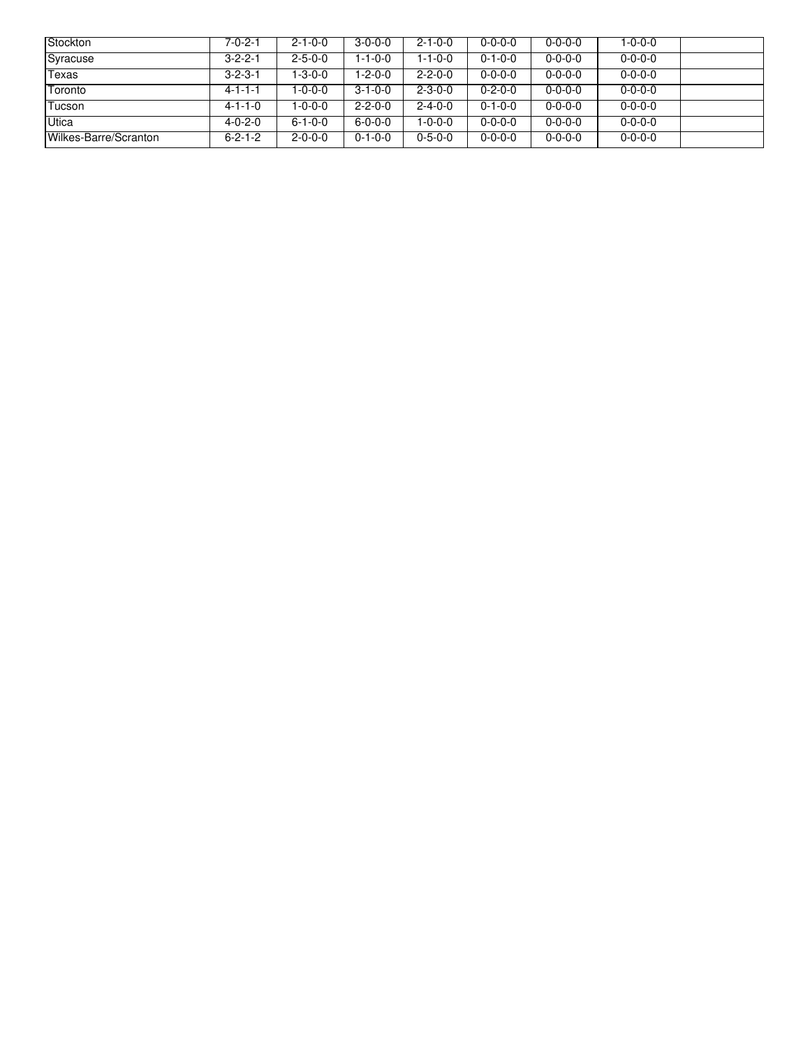| <b>Stockton</b>       | 7-0-2-1         | $2 - 1 - 0 - 0$ | $3 - 0 - 0 - 0$ | $2 - 1 - 0 - 0$ | $0 - 0 - 0 - 0$ | $0 - 0 - 0 - 0$ | 1-0-0-0         |  |
|-----------------------|-----------------|-----------------|-----------------|-----------------|-----------------|-----------------|-----------------|--|
| Syracuse              | $3 - 2 - 2 - 1$ | $2 - 5 - 0 - 0$ | 1-1-0-0         | $1 - 1 - 0 - 0$ | $0 - 1 - 0 - 0$ | $0 - 0 - 0 - 0$ | $0 - 0 - 0 - 0$ |  |
| Texas                 | $3 - 2 - 3 - 1$ | l-3-0-0         | 1-2-0-0         | $2 - 2 - 0 - 0$ | $0 - 0 - 0 - 0$ | $0 - 0 - 0 - 0$ | $0 - 0 - 0 - 0$ |  |
| Toronto               | 4-1-1-1         | -0-0-0          | $3 - 1 - 0 - 0$ | $2 - 3 - 0 - 0$ | $0 - 2 - 0 - 0$ | $0 - 0 - 0 - 0$ | $0 - 0 - 0 - 0$ |  |
| Tucson                | $4 - 1 - 1 - 0$ | l-0-0-0         | $2 - 2 - 0 - 0$ | $2 - 4 - 0 - 0$ | $0 - 1 - 0 - 0$ | $0 - 0 - 0 - 0$ | $0 - 0 - 0 - 0$ |  |
| <b>Utica</b>          | $4 - 0 - 2 - 0$ | $6 - 1 - 0 - 0$ | $6 - 0 - 0 - 0$ | 1-0-0-0         | $0 - 0 - 0 - 0$ | $0 - 0 - 0 - 0$ | $0 - 0 - 0 - 0$ |  |
| Wilkes-Barre/Scranton | $6 - 2 - 1 - 2$ | $2 - 0 - 0 - 0$ | $0 - 1 - 0 - 0$ | $0 - 5 - 0 - 0$ | $0 - 0 - 0 - 0$ | $0 - 0 - 0 - 0$ | $0 - 0 - 0 - 0$ |  |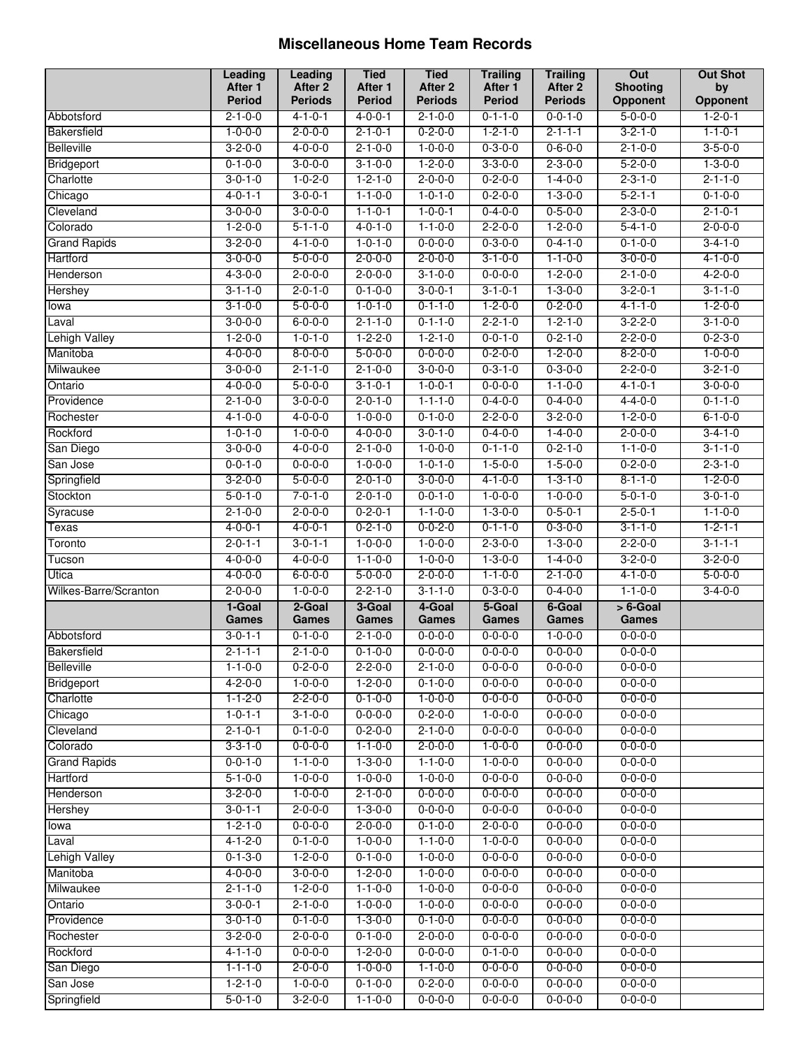#### **Miscellaneous Home Team Records**

|                       | Leading         | <b>Leading</b>  | <b>Tied</b>     | <b>Tied</b>     | <b>Trailing</b> | <b>Trailing</b>    | Out             | <b>Out Shot</b> |
|-----------------------|-----------------|-----------------|-----------------|-----------------|-----------------|--------------------|-----------------|-----------------|
|                       | After 1         | After 2         | After 1         | After 2         | After 1         | After <sub>2</sub> | <b>Shooting</b> | by              |
|                       | <b>Period</b>   | <b>Periods</b>  | <b>Period</b>   | <b>Periods</b>  | Period          | <b>Periods</b>     | Opponent        | Opponent        |
| Abbotsford            | $2 - 1 - 0 - 0$ | $4 - 1 - 0 - 1$ | $4 - 0 - 0 - 1$ | $2 - 1 - 0 - 0$ | $0 - 1 - 1 - 0$ | $0 - 0 - 1 - 0$    | $5 - 0 - 0 - 0$ | $1 - 2 - 0 - 1$ |
| <b>Bakersfield</b>    | $1 - 0 - 0 - 0$ | $2 - 0 - 0 - 0$ | $2 - 1 - 0 - 1$ | $0 - 2 - 0 - 0$ | $1 - 2 - 1 - 0$ | $2 - 1 - 1 - 1$    | $3 - 2 - 1 - 0$ | $1 - 1 - 0 - 1$ |
| <b>Belleville</b>     | $3 - 2 - 0 - 0$ | $4 - 0 - 0 - 0$ | $2 - 1 - 0 - 0$ | $1 - 0 - 0 - 0$ | $0 - 3 - 0 - 0$ | $0 - 6 - 0 - 0$    | $2 - 1 - 0 - 0$ | $3 - 5 - 0 - 0$ |
| Bridgeport            | $0 - 1 - 0 - 0$ | $3 - 0 - 0 - 0$ | $3 - 1 - 0 - 0$ | $1 - 2 - 0 - 0$ | $3 - 3 - 0 - 0$ | $2 - 3 - 0 - 0$    | $5 - 2 - 0 - 0$ | $1 - 3 - 0 - 0$ |
| Charlotte             | $3 - 0 - 1 - 0$ | $1 - 0 - 2 - 0$ | $1 - 2 - 1 - 0$ | $2 - 0 - 0 - 0$ | $0 - 2 - 0 - 0$ | $1 - 4 - 0 - 0$    | $2 - 3 - 1 - 0$ | $2 - 1 - 1 - 0$ |
| Chicago               | $4 - 0 - 1 - 1$ | $3 - 0 - 0 - 1$ | $1 - 1 - 0 - 0$ | $1 - 0 - 1 - 0$ | $0 - 2 - 0 - 0$ | $1 - 3 - 0 - 0$    | $5 - 2 - 1 - 1$ | $0 - 1 - 0 - 0$ |
| Cleveland             | $3 - 0 - 0 - 0$ | $3 - 0 - 0 - 0$ | $1 - 1 - 0 - 1$ | $1 - 0 - 0 - 1$ | $0 - 4 - 0 - 0$ | $0 - 5 - 0 - 0$    | $2 - 3 - 0 - 0$ | $2 - 1 - 0 - 1$ |
| Colorado              | $1 - 2 - 0 - 0$ | $5 - 1 - 1 - 0$ | $4 - 0 - 1 - 0$ | $1 - 1 - 0 - 0$ | $2 - 2 - 0 - 0$ | $1 - 2 - 0 - 0$    | $5 - 4 - 1 - 0$ | $2 - 0 - 0 - 0$ |
| <b>Grand Rapids</b>   | $3 - 2 - 0 - 0$ | $4 - 1 - 0 - 0$ | $1 - 0 - 1 - 0$ | $0 - 0 - 0 - 0$ | $0 - 3 - 0 - 0$ | $0 - 4 - 1 - 0$    | $0 - 1 - 0 - 0$ | $3 - 4 - 1 - 0$ |
| Hartford              | $3 - 0 - 0 - 0$ | $5 - 0 - 0 - 0$ | $2 - 0 - 0 - 0$ | $2 - 0 - 0 - 0$ | $3 - 1 - 0 - 0$ | $1 - 1 - 0 - 0$    | $3 - 0 - 0 - 0$ | $4 - 1 - 0 - 0$ |
| Henderson             | $4 - 3 - 0 - 0$ | $2 - 0 - 0 - 0$ | $2 - 0 - 0 - 0$ | $3 - 1 - 0 - 0$ | $0 - 0 - 0 - 0$ | $1 - 2 - 0 - 0$    | $2 - 1 - 0 - 0$ | $4 - 2 - 0 - 0$ |
| <b>Hershey</b>        | $3 - 1 - 1 - 0$ | $2 - 0 - 1 - 0$ | $0 - 1 - 0 - 0$ | $3 - 0 - 0 - 1$ | $3 - 1 - 0 - 1$ | $1 - 3 - 0 - 0$    | $3 - 2 - 0 - 1$ | $3 - 1 - 1 - 0$ |
| lowa                  | $3 - 1 - 0 - 0$ | $5 - 0 - 0 - 0$ | $1 - 0 - 1 - 0$ | $0 - 1 - 1 - 0$ | $1 - 2 - 0 - 0$ | $0 - 2 - 0 - 0$    | $4 - 1 - 1 - 0$ | $1 - 2 - 0 - 0$ |
| Laval                 | $3 - 0 - 0 - 0$ | $6 - 0 - 0$     | $2 - 1 - 1 - 0$ | $0 - 1 - 1 - 0$ | $2 - 2 - 1 - 0$ | $1 - 2 - 1 - 0$    | $3 - 2 - 2 - 0$ | $3 - 1 - 0 - 0$ |
| <b>Lehigh Valley</b>  | $1 - 2 - 0 - 0$ | $1 - 0 - 1 - 0$ | $1 - 2 - 2 - 0$ | $1 - 2 - 1 - 0$ | $0 - 0 - 1 - 0$ | $0 - 2 - 1 - 0$    | $2 - 2 - 0 - 0$ | $0 - 2 - 3 - 0$ |
| Manitoba              | $4 - 0 - 0 - 0$ | $8 - 0 - 0 - 0$ | $5 - 0 - 0 - 0$ | $0 - 0 - 0 - 0$ | $0 - 2 - 0 - 0$ | $1 - 2 - 0 - 0$    | $8 - 2 - 0 - 0$ | $1 - 0 - 0 - 0$ |
| Milwaukee             | $3 - 0 - 0 - 0$ | $2 - 1 - 1 - 0$ | $2 - 1 - 0 - 0$ | $3 - 0 - 0 - 0$ | $0 - 3 - 1 - 0$ | $0 - 3 - 0 - 0$    | $2 - 2 - 0 - 0$ | $3 - 2 - 1 - 0$ |
| Ontario               | $4 - 0 - 0 - 0$ | $5 - 0 - 0 - 0$ | $3 - 1 - 0 - 1$ | $1 - 0 - 0 - 1$ | $0 - 0 - 0 - 0$ | $1 - 1 - 0 - 0$    | $4 - 1 - 0 - 1$ | $3 - 0 - 0 - 0$ |
| Providence            | $2 - 1 - 0 - 0$ | $3 - 0 - 0 - 0$ | $2 - 0 - 1 - 0$ | $1 - 1 - 1 - 0$ | $0 - 4 - 0 - 0$ | $0 - 4 - 0 - 0$    | $4 - 4 - 0 - 0$ | $0 - 1 - 1 - 0$ |
| Rochester             | $4 - 1 - 0 - 0$ | $4 - 0 - 0 - 0$ | $1 - 0 - 0 - 0$ | $0 - 1 - 0 - 0$ | $2 - 2 - 0 - 0$ | $3 - 2 - 0 - 0$    | $1 - 2 - 0 - 0$ | $6 - 1 - 0 - 0$ |
| Rockford              | $1 - 0 - 1 - 0$ | $1 - 0 - 0 - 0$ | $4 - 0 - 0 - 0$ | $3 - 0 - 1 - 0$ | $0 - 4 - 0 - 0$ | $1 - 4 - 0 - 0$    | $2 - 0 - 0 - 0$ | $3 - 4 - 1 - 0$ |
| San Diego             | $3 - 0 - 0 - 0$ | $4 - 0 - 0 - 0$ | $2 - 1 - 0 - 0$ | $1 - 0 - 0 - 0$ | $0 - 1 - 1 - 0$ | $0 - 2 - 1 - 0$    | $1 - 1 - 0 - 0$ | $3 - 1 - 1 - 0$ |
| San Jose              | $0 - 0 - 1 - 0$ | $0 - 0 - 0 - 0$ | $1 - 0 - 0 - 0$ | $1 - 0 - 1 - 0$ | $1 - 5 - 0 - 0$ | $1 - 5 - 0 - 0$    | $0 - 2 - 0 - 0$ | $2 - 3 - 1 - 0$ |
| Springfield           | $3 - 2 - 0 - 0$ | $5 - 0 - 0 - 0$ | $2 - 0 - 1 - 0$ | $3 - 0 - 0 - 0$ | $4 - 1 - 0 - 0$ | $1 - 3 - 1 - 0$    | $8 - 1 - 1 - 0$ | $1 - 2 - 0 - 0$ |
| Stockton              | $5 - 0 - 1 - 0$ | $7 - 0 - 1 - 0$ | $2 - 0 - 1 - 0$ | $0 - 0 - 1 - 0$ | $1 - 0 - 0 - 0$ | $1 - 0 - 0 - 0$    | $5 - 0 - 1 - 0$ | $3 - 0 - 1 - 0$ |
| Syracuse              | $2 - 1 - 0 - 0$ | $2 - 0 - 0 - 0$ | $0 - 2 - 0 - 1$ | $1 - 1 - 0 - 0$ | $1 - 3 - 0 - 0$ | $0 - 5 - 0 - 1$    | $2 - 5 - 0 - 1$ | $1 - 1 - 0 - 0$ |
| Texas                 | $4 - 0 - 0 - 1$ | $4 - 0 - 0 - 1$ | $0 - 2 - 1 - 0$ | $0 - 0 - 2 - 0$ | $0 - 1 - 1 - 0$ | $0 - 3 - 0 - 0$    | $3 - 1 - 1 - 0$ | $1 - 2 - 1 - 1$ |
| Toronto               | $2 - 0 - 1 - 1$ | $3 - 0 - 1 - 1$ | $1 - 0 - 0 - 0$ | $1 - 0 - 0 - 0$ | $2 - 3 - 0 - 0$ | $1 - 3 - 0 - 0$    | $2 - 2 - 0 - 0$ | $3 - 1 - 1 - 1$ |
| Tucson                | $4 - 0 - 0 - 0$ | $4 - 0 - 0 - 0$ | $1 - 1 - 0 - 0$ | $1 - 0 - 0 - 0$ | $1 - 3 - 0 - 0$ | $1 - 4 - 0 - 0$    | $3 - 2 - 0 - 0$ | $3 - 2 - 0 - 0$ |
| Utica                 | $4 - 0 - 0 - 0$ | $6 - 0 - 0$     | $5 - 0 - 0 - 0$ | $2 - 0 - 0 - 0$ | $1 - 1 - 0 - 0$ | $2 - 1 - 0 - 0$    | $4 - 1 - 0 - 0$ | $5 - 0 - 0 - 0$ |
| Wilkes-Barre/Scranton | $2 - 0 - 0 - 0$ | $1 - 0 - 0 - 0$ | $2 - 2 - 1 - 0$ | $3 - 1 - 1 - 0$ | $0 - 3 - 0 - 0$ | $0 - 4 - 0 - 0$    | $1 - 1 - 0 - 0$ | $3-4-0-0$       |
|                       | 1-Goal          | 2-Goal          | 3-Goal          | 4-Goal          | 5-Goal          | 6-Goal             | $> 6$ -Goal     |                 |
|                       | <b>Games</b>    | Games           | Games           | Games           | Games           | Games              | Games           |                 |
| Abbotsford            | $3 - 0 - 1 - 1$ | $0 - 1 - 0 - 0$ | $2 - 1 - 0 - 0$ | $0 - 0 - 0 - 0$ | $0 - 0 - 0 - 0$ | $1 - 0 - 0 - 0$    | $0 - 0 - 0 - 0$ |                 |
| Bakersfield           | $2 - 1 - 1 - 1$ | $2 - 1 - 0 - 0$ | $0 - 1 - 0 - 0$ | $0 - 0 - 0 - 0$ | $0 - 0 - 0 - 0$ | $0 - 0 - 0 - 0$    | $0 - 0 - 0 - 0$ |                 |
| <b>Belleville</b>     | $1 - 1 - 0 - 0$ | $0 - 2 - 0 - 0$ | $2 - 2 - 0 - 0$ | $2 - 1 - 0 - 0$ | $0 - 0 - 0 - 0$ | $0 - 0 - 0 - 0$    | $0 - 0 - 0 - 0$ |                 |
| Bridgeport            | $4 - 2 - 0 - 0$ | $1 - 0 - 0 - 0$ | $1 - 2 - 0 - 0$ | $0 - 1 - 0 - 0$ | $0 - 0 - 0 - 0$ | $0 - 0 - 0 - 0$    | $0 - 0 - 0 - 0$ |                 |
| Charlotte             | $1 - 1 - 2 - 0$ | $2 - 2 - 0 - 0$ | $0 - 1 - 0 - 0$ | $1 - 0 - 0 - 0$ | $0 - 0 - 0 - 0$ | $0 - 0 - 0 - 0$    | $0 - 0 - 0 - 0$ |                 |
| Chicago               | $1 - 0 - 1 - 1$ | $3 - 1 - 0 - 0$ | $0 - 0 - 0 - 0$ | $0 - 2 - 0 - 0$ | $1 - 0 - 0 - 0$ | $0 - 0 - 0 - 0$    | $0 - 0 - 0 - 0$ |                 |
| Cleveland             | $2 - 1 - 0 - 1$ | $0 - 1 - 0 - 0$ | $0 - 2 - 0 - 0$ | $2 - 1 - 0 - 0$ | $0 - 0 - 0 - 0$ | $0 - 0 - 0 - 0$    | $0 - 0 - 0 - 0$ |                 |
| Colorado              | $3 - 3 - 1 - 0$ | $0 - 0 - 0 - 0$ | $1 - 1 - 0 - 0$ | $2 - 0 - 0 - 0$ | $1 - 0 - 0 - 0$ | $0 - 0 - 0 - 0$    | $0 - 0 - 0 - 0$ |                 |
| <b>Grand Rapids</b>   | $0 - 0 - 1 - 0$ | $1 - 1 - 0 - 0$ | $1 - 3 - 0 - 0$ | $1 - 1 - 0 - 0$ | $1 - 0 - 0 - 0$ | $0 - 0 - 0 - 0$    | $0 - 0 - 0 - 0$ |                 |
| Hartford              | $5 - 1 - 0 - 0$ | $1 - 0 - 0 - 0$ | $1 - 0 - 0 - 0$ | $1 - 0 - 0 - 0$ | $0 - 0 - 0 - 0$ | $0 - 0 - 0 - 0$    | $0 - 0 - 0 - 0$ |                 |
| Henderson             | $3 - 2 - 0 - 0$ | $1 - 0 - 0 - 0$ | $2 - 1 - 0 - 0$ | $0 - 0 - 0 - 0$ | $0 - 0 - 0 - 0$ | $0 - 0 - 0 - 0$    | $0 - 0 - 0 - 0$ |                 |
| Hershey               | $3 - 0 - 1 - 1$ | $2 - 0 - 0 - 0$ | $1 - 3 - 0 - 0$ | $0 - 0 - 0 - 0$ | $0 - 0 - 0 - 0$ | $0 - 0 - 0 - 0$    | $0 - 0 - 0 - 0$ |                 |
| lowa                  | $1 - 2 - 1 - 0$ | $0 - 0 - 0 - 0$ | $2 - 0 - 0 - 0$ | $0 - 1 - 0 - 0$ | $2 - 0 - 0 - 0$ | $0 - 0 - 0 - 0$    | $0 - 0 - 0 - 0$ |                 |
| Laval                 | $4 - 1 - 2 - 0$ | $0 - 1 - 0 - 0$ | $1 - 0 - 0 - 0$ | $1 - 1 - 0 - 0$ | $1 - 0 - 0 - 0$ | $0 - 0 - 0 - 0$    | $0 - 0 - 0 - 0$ |                 |
| <b>Lehigh Valley</b>  | $0 - 1 - 3 - 0$ | $1 - 2 - 0 - 0$ | $0 - 1 - 0 - 0$ | $1 - 0 - 0 - 0$ | $0 - 0 - 0 - 0$ | $0 - 0 - 0 - 0$    | $0 - 0 - 0 - 0$ |                 |
| Manitoba              | $4 - 0 - 0 - 0$ | $3 - 0 - 0 - 0$ | $1 - 2 - 0 - 0$ | $1 - 0 - 0 - 0$ | $0 - 0 - 0 - 0$ | $0 - 0 - 0 - 0$    | $0 - 0 - 0 - 0$ |                 |
| Milwaukee             | $2 - 1 - 1 - 0$ | $1 - 2 - 0 - 0$ | $1 - 1 - 0 - 0$ | $1 - 0 - 0 - 0$ | $0 - 0 - 0 - 0$ | $0 - 0 - 0 - 0$    | $0 - 0 - 0 - 0$ |                 |
| Ontario               | $3 - 0 - 0 - 1$ | $2 - 1 - 0 - 0$ | $1 - 0 - 0 - 0$ | $1 - 0 - 0 - 0$ | $0 - 0 - 0 - 0$ | $0 - 0 - 0 - 0$    | $0 - 0 - 0 - 0$ |                 |
| Providence            | $3 - 0 - 1 - 0$ | $0 - 1 - 0 - 0$ | $1 - 3 - 0 - 0$ | $0 - 1 - 0 - 0$ | $0 - 0 - 0 - 0$ | $0 - 0 - 0 - 0$    | $0 - 0 - 0 - 0$ |                 |
| Rochester             | $3 - 2 - 0 - 0$ | $2 - 0 - 0 - 0$ | $0 - 1 - 0 - 0$ | $2 - 0 - 0 - 0$ | $0 - 0 - 0 - 0$ | $0 - 0 - 0 - 0$    | $0 - 0 - 0 - 0$ |                 |
| Rockford              | $4 - 1 - 1 - 0$ | $0 - 0 - 0 - 0$ | $1 - 2 - 0 - 0$ | $0 - 0 - 0 - 0$ | $0 - 1 - 0 - 0$ | $0 - 0 - 0 - 0$    | $0 - 0 - 0 - 0$ |                 |
| San Diego             | $1 - 1 - 1 - 0$ | $2 - 0 - 0 - 0$ | $1 - 0 - 0 - 0$ | $1 - 1 - 0 - 0$ | $0 - 0 - 0 - 0$ | $0 - 0 - 0 - 0$    | $0 - 0 - 0 - 0$ |                 |
| San Jose              | $1 - 2 - 1 - 0$ | $1 - 0 - 0 - 0$ | $0 - 1 - 0 - 0$ | $0 - 2 - 0 - 0$ | $0 - 0 - 0 - 0$ | $0 - 0 - 0 - 0$    | $0 - 0 - 0 - 0$ |                 |
| Springfield           | $5 - 0 - 1 - 0$ | $3 - 2 - 0 - 0$ | $1 - 1 - 0 - 0$ | $0 - 0 - 0 - 0$ | $0 - 0 - 0 - 0$ | $0 - 0 - 0 - 0$    | $0 - 0 - 0 - 0$ |                 |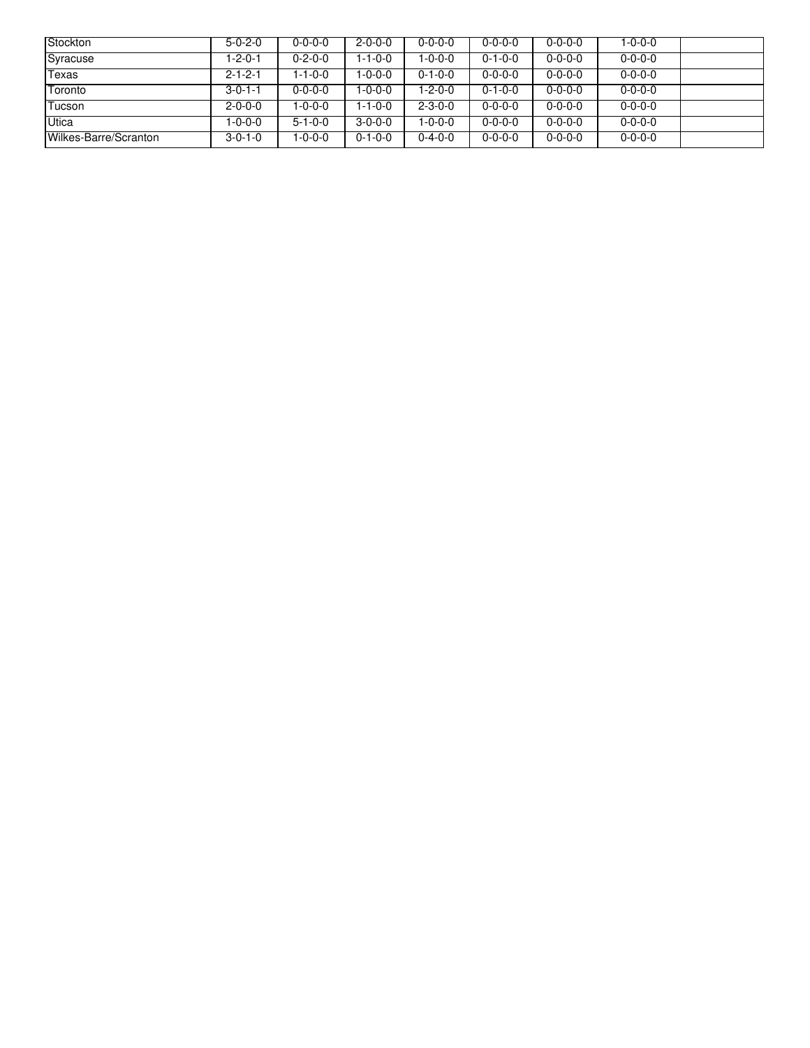| Stockton              | $5 - 0 - 2 - 0$ | $0 - 0 - 0 - 0$ | $2 - 0 - 0 - 0$ | $0 - 0 - 0 - 0$ | $0 - 0 - 0 - 0$ | $0 - 0 - 0 - 0$ | 1-0-0-0         |  |
|-----------------------|-----------------|-----------------|-----------------|-----------------|-----------------|-----------------|-----------------|--|
| Syracuse              | 1-2-0-1         | $0 - 2 - 0 - 0$ | $1 - 1 - 0 - 0$ | $1 - 0 - 0 - 0$ | $0 - 1 - 0 - 0$ | $0 - 0 - 0 - 0$ | $0 - 0 - 0 - 0$ |  |
| Texas                 | $2 - 1 - 2 - 1$ | l-1-0-0         | $1 - 0 - 0 - 0$ | $0 - 1 - 0 - 0$ | $0 - 0 - 0 - 0$ | $0 - 0 - 0 - 0$ | $0 - 0 - 0 - 0$ |  |
| Toronto               | $3 - 0 - 1 - 1$ | $0 - 0 - 0 - 0$ | $1 - 0 - 0 - 0$ | 1-2-0-0         | $0 - 1 - 0 - 0$ | $0 - 0 - 0 - 0$ | $0 - 0 - 0 - 0$ |  |
| Tucson                | $2 - 0 - 0 - 0$ | $-0-0-0$        | $1 - 1 - 0 - 0$ | $2 - 3 - 0 - 0$ | $0 - 0 - 0 - 0$ | $0 - 0 - 0 - 0$ | $0 - 0 - 0 - 0$ |  |
| Utica                 | 1-0-0-0         | $5 - 1 - 0 - 0$ | $3-0-0-0$       | $1 - 0 - 0 - 0$ | $0 - 0 - 0 - 0$ | $0 - 0 - 0 - 0$ | $0 - 0 - 0 - 0$ |  |
| Wilkes-Barre/Scranton | $3 - 0 - 1 - 0$ | $-0-0-0$        | $0 - 1 - 0 - 0$ | $0 - 4 - 0 - 0$ | $0 - 0 - 0 - 0$ | $0 - 0 - 0 - 0$ | $0 - 0 - 0 - 0$ |  |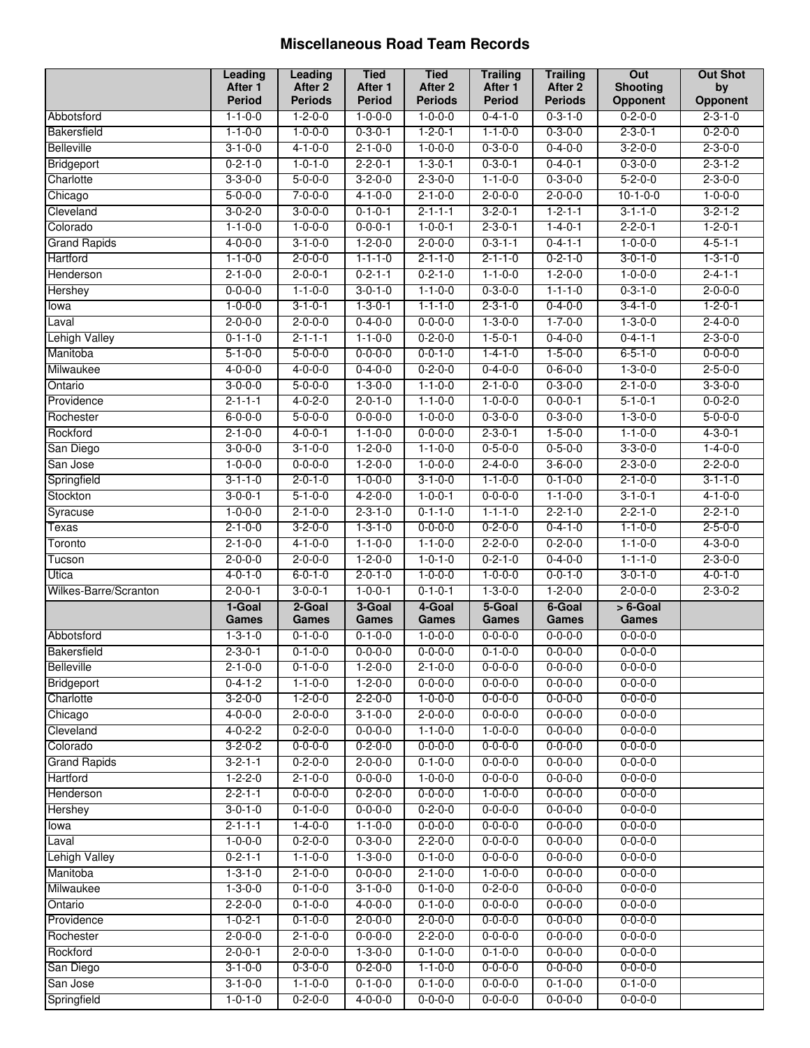#### **Miscellaneous Road Team Records**

|                       | Leading                            | <b>Leading</b>  | <b>Tied</b>     | <b>Tied</b>     | <b>Trailing</b>                    | <b>Trailing</b> | Out              | <b>Out Shot</b> |
|-----------------------|------------------------------------|-----------------|-----------------|-----------------|------------------------------------|-----------------|------------------|-----------------|
|                       | After 1                            | After 2         | After 1         | After 2         | After 1                            | After 2         | <b>Shooting</b>  | by              |
|                       | Period                             | <b>Periods</b>  | <b>Period</b>   | <b>Periods</b>  | <b>Period</b>                      | <b>Periods</b>  | Opponent         | Opponent        |
| Abbotsford            | $1 - 1 - 0 - 0$                    | $1 - 2 - 0 - 0$ | $1 - 0 - 0 - 0$ | $1 - 0 - 0 - 0$ | $0 - 4 - 1 - 0$                    | $0 - 3 - 1 - 0$ | $0 - 2 - 0 - 0$  | $2 - 3 - 1 - 0$ |
| <b>Bakersfield</b>    | $1 - 1 - 0 - 0$                    | $1 - 0 - 0 - 0$ | $0 - 3 - 0 - 1$ | $1 - 2 - 0 - 1$ | $1 - 1 - 0 - 0$                    | $0 - 3 - 0 - 0$ | $2 - 3 - 0 - 1$  | $0 - 2 - 0 - 0$ |
| <b>Belleville</b>     | $3 - 1 - 0 - 0$                    | $4 - 1 - 0 - 0$ | $2 - 1 - 0 - 0$ | $1 - 0 - 0 - 0$ | $0 - 3 - 0 - 0$                    | $0 - 4 - 0 - 0$ | $3 - 2 - 0 - 0$  | $2 - 3 - 0 - 0$ |
| Bridgeport            | $0 - 2 - 1 - 0$                    | $1 - 0 - 1 - 0$ | $2 - 2 - 0 - 1$ | $1 - 3 - 0 - 1$ | $0 - 3 - 0 - 1$                    | $0 - 4 - 0 - 1$ | $0 - 3 - 0 - 0$  | $2 - 3 - 1 - 2$ |
| Charlotte             | $3 - 3 - 0 - 0$                    | $5 - 0 - 0 - 0$ | $3 - 2 - 0 - 0$ | $2 - 3 - 0 - 0$ | $1 - 1 - 0 - 0$                    | $0 - 3 - 0 - 0$ | $5 - 2 - 0 - 0$  | $2 - 3 - 0 - 0$ |
| Chicago               | $5 - 0 - 0 - 0$                    | $7 - 0 - 0 - 0$ | $4 - 1 - 0 - 0$ | $2 - 1 - 0 - 0$ | $2 - 0 - 0 - 0$                    | $2 - 0 - 0 - 0$ | $10 - 1 - 0 - 0$ | $1 - 0 - 0 - 0$ |
| Cleveland             | $3 - 0 - 2 - 0$                    | $3 - 0 - 0 - 0$ | $0 - 1 - 0 - 1$ | $2 - 1 - 1 - 1$ | $3 - 2 - 0 - 1$<br>$2 - 3 - 0 - 1$ | $1 - 2 - 1 - 1$ | $3 - 1 - 1 - 0$  | $3 - 2 - 1 - 2$ |
| Colorado              | $1 - 1 - 0 - 0$<br>$4 - 0 - 0 - 0$ | $1 - 0 - 0 - 0$ | $0 - 0 - 0 - 1$ | $1 - 0 - 0 - 1$ |                                    | $1 - 4 - 0 - 1$ | $2 - 2 - 0 - 1$  | $1 - 2 - 0 - 1$ |
| <b>Grand Rapids</b>   |                                    | $3 - 1 - 0 - 0$ | $1 - 2 - 0 - 0$ | $2 - 0 - 0 - 0$ | $0 - 3 - 1 - 1$                    | $0 - 4 - 1 - 1$ | $1 - 0 - 0 - 0$  | $4 - 5 - 1 - 1$ |
| Hartford              | $1 - 1 - 0 - 0$                    | $2 - 0 - 0 - 0$ | $1 - 1 - 1 - 0$ | $2 - 1 - 1 - 0$ | $2 - 1 - 1 - 0$                    | $0 - 2 - 1 - 0$ | $3 - 0 - 1 - 0$  | $1 - 3 - 1 - 0$ |
| Henderson             | $2 - 1 - 0 - 0$                    | $2 - 0 - 0 - 1$ | $0 - 2 - 1 - 1$ | $0 - 2 - 1 - 0$ | $1 - 1 - 0 - 0$                    | $1 - 2 - 0 - 0$ | $1 - 0 - 0 - 0$  | $2 - 4 - 1 - 1$ |
| <b>Hershey</b>        | $0 - 0 - 0 - 0$                    | $1 - 1 - 0 - 0$ | $3 - 0 - 1 - 0$ | $1 - 1 - 0 - 0$ | $0 - 3 - 0 - 0$                    | $1 - 1 - 1 - 0$ | $0 - 3 - 1 - 0$  | $2 - 0 - 0 - 0$ |
| lowa                  | $1 - 0 - 0 - 0$                    | $3 - 1 - 0 - 1$ | $1 - 3 - 0 - 1$ | $1 - 1 - 1 - 0$ | $2 - 3 - 1 - 0$                    | $0 - 4 - 0 - 0$ | $3 - 4 - 1 - 0$  | $1 - 2 - 0 - 1$ |
| Laval                 | $2 - 0 - 0 - 0$                    | $2 - 0 - 0 - 0$ | $0 - 4 - 0 - 0$ | $0 - 0 - 0 - 0$ | $1 - 3 - 0 - 0$                    | $1 - 7 - 0 - 0$ | $1 - 3 - 0 - 0$  | $2 - 4 - 0 - 0$ |
| <b>Lehigh Valley</b>  | $0 - 1 - 1 - 0$                    | $2 - 1 - 1 - 1$ | $1 - 1 - 0 - 0$ | $0 - 2 - 0 - 0$ | $1 - 5 - 0 - 1$                    | $0 - 4 - 0 - 0$ | $0 - 4 - 1 - 1$  | $2 - 3 - 0 - 0$ |
| Manitoba              | $5 - 1 - 0 - 0$                    | $5 - 0 - 0 - 0$ | $0 - 0 - 0 - 0$ | $0 - 0 - 1 - 0$ | $1 - 4 - 1 - 0$                    | $1 - 5 - 0 - 0$ | $6 - 5 - 1 - 0$  | $0 - 0 - 0 - 0$ |
| Milwaukee             | $4 - 0 - 0 - 0$                    | $4 - 0 - 0 - 0$ | $0 - 4 - 0 - 0$ | $0 - 2 - 0 - 0$ | $0 - 4 - 0 - 0$                    | $0 - 6 - 0 - 0$ | $1 - 3 - 0 - 0$  | $2 - 5 - 0 - 0$ |
| Ontario               | $3 - 0 - 0 - 0$                    | $5 - 0 - 0 - 0$ | $1 - 3 - 0 - 0$ | $1 - 1 - 0 - 0$ | $2 - 1 - 0 - 0$                    | $0 - 3 - 0 - 0$ | $2 - 1 - 0 - 0$  | $3 - 3 - 0 - 0$ |
| Providence            | $2 - 1 - 1 - 1$                    | $4 - 0 - 2 - 0$ | $2 - 0 - 1 - 0$ | $1 - 1 - 0 - 0$ | $1 - 0 - 0 - 0$                    | $0 - 0 - 0 - 1$ | $5 - 1 - 0 - 1$  | $0 - 0 - 2 - 0$ |
| Rochester             | $6 - 0 - 0 - 0$                    | $5 - 0 - 0 - 0$ | $0 - 0 - 0 - 0$ | $1 - 0 - 0 - 0$ | $0 - 3 - 0 - 0$                    | $0 - 3 - 0 - 0$ | $1 - 3 - 0 - 0$  | $5 - 0 - 0 - 0$ |
| Rockford              | $2 - 1 - 0 - 0$                    | $4 - 0 - 0 - 1$ | $1 - 1 - 0 - 0$ | $0 - 0 - 0 - 0$ | $2 - 3 - 0 - 1$                    | $1 - 5 - 0 - 0$ | $1 - 1 - 0 - 0$  | $4 - 3 - 0 - 1$ |
| San Diego             | $3 - 0 - 0 - 0$                    | $3 - 1 - 0 - 0$ | $1 - 2 - 0 - 0$ | $1 - 1 - 0 - 0$ | $0 - 5 - 0 - 0$                    | $0 - 5 - 0 - 0$ | $3 - 3 - 0 - 0$  | $1 - 4 - 0 - 0$ |
| San Jose              | $1 - 0 - 0 - 0$                    | $0 - 0 - 0 - 0$ | $1 - 2 - 0 - 0$ | $1 - 0 - 0 - 0$ | $2 - 4 - 0 - 0$                    | $3 - 6 - 0 - 0$ | $2 - 3 - 0 - 0$  | $2 - 2 - 0 - 0$ |
| Springfield           | $3 - 1 - 1 - 0$                    | $2 - 0 - 1 - 0$ | $1 - 0 - 0 - 0$ | $3 - 1 - 0 - 0$ | $1 - 1 - 0 - 0$                    | $0 - 1 - 0 - 0$ | $2 - 1 - 0 - 0$  | $3 - 1 - 1 - 0$ |
| Stockton              | $3 - 0 - 0 - 1$                    | $5 - 1 - 0 - 0$ | $4 - 2 - 0 - 0$ | $1 - 0 - 0 - 1$ | $0 - 0 - 0 - 0$                    | $1 - 1 - 0 - 0$ | $3 - 1 - 0 - 1$  | $4 - 1 - 0 - 0$ |
| Syracuse              | $1 - 0 - 0 - 0$                    | $2 - 1 - 0 - 0$ | $2 - 3 - 1 - 0$ | $0 - 1 - 1 - 0$ | $1 - 1 - 1 - 0$                    | $2 - 2 - 1 - 0$ | $2 - 2 - 1 - 0$  | $2 - 2 - 1 - 0$ |
| Texas                 | $2 - 1 - 0 - 0$                    | $3 - 2 - 0 - 0$ | $1 - 3 - 1 - 0$ | $0 - 0 - 0 - 0$ | $0 - 2 - 0 - 0$                    | $0 - 4 - 1 - 0$ | $1 - 1 - 0 - 0$  | $2 - 5 - 0 - 0$ |
| Toronto               | $2 - 1 - 0 - 0$                    | $4 - 1 - 0 - 0$ | $1 - 1 - 0 - 0$ | $1 - 1 - 0 - 0$ | $2 - 2 - 0 - 0$                    | $0 - 2 - 0 - 0$ | $1 - 1 - 0 - 0$  | $4 - 3 - 0 - 0$ |
| Tucson                | $2 - 0 - 0 - 0$                    | $2 - 0 - 0 - 0$ | $1 - 2 - 0 - 0$ | $1 - 0 - 1 - 0$ | $0 - 2 - 1 - 0$                    | $0 - 4 - 0 - 0$ | $1 - 1 - 1 - 0$  | $2 - 3 - 0 - 0$ |
| Utica                 | $4 - 0 - 1 - 0$                    | $6 - 0 - 1 - 0$ | $2 - 0 - 1 - 0$ | $1 - 0 - 0 - 0$ | $1 - 0 - 0 - 0$                    | $0 - 0 - 1 - 0$ | $3 - 0 - 1 - 0$  | $4 - 0 - 1 - 0$ |
| Wilkes-Barre/Scranton | $2 - 0 - 0 - 1$                    | $3 - 0 - 0 - 1$ | $1 - 0 - 0 - 1$ | $0 - 1 - 0 - 1$ | $1 - 3 - 0 - 0$                    | $1 - 2 - 0 - 0$ | $2 - 0 - 0 - 0$  | $2 - 3 - 0 - 2$ |
|                       | 1-Goal                             | 2-Goal          | 3-Goal          | 4-Goal          | 5-Goal                             | 6-Goal          | $> 6$ -Goal      |                 |
|                       | <b>Games</b>                       | Games           | Games           | Games           | Games                              | <b>Games</b>    | Games            |                 |
| Abbotsford            | $1 - 3 - 1 - 0$                    | $0 - 1 - 0 - 0$ | $0 - 1 - 0 - 0$ | $1 - 0 - 0 - 0$ | $0 - 0 - 0 - 0$                    | $0 - 0 - 0 - 0$ | $0 - 0 - 0 - 0$  |                 |
| Bakersfield           | $2 - 3 - 0 - 1$                    | $0 - 1 - 0 - 0$ | $0 - 0 - 0 - 0$ | $0 - 0 - 0 - 0$ | $0 - 1 - 0 - 0$                    | $0 - 0 - 0 - 0$ | $0 - 0 - 0 - 0$  |                 |
| <b>Belleville</b>     | $2 - 1 - 0 - 0$                    | $0 - 1 - 0 - 0$ | $1 - 2 - 0 - 0$ | $2 - 1 - 0 - 0$ | $0 - 0 - 0 - 0$                    | $0 - 0 - 0 - 0$ | $0 - 0 - 0 - 0$  |                 |
| Bridgeport            | $0 - 4 - 1 - 2$                    | $1 - 1 - 0 - 0$ | $1 - 2 - 0 - 0$ | $0 - 0 - 0 - 0$ | $0 - 0 - 0 - 0$                    | $0 - 0 - 0 - 0$ | $0 - 0 - 0 - 0$  |                 |
| Charlotte             | $3 - 2 - 0 - 0$                    | $1 - 2 - 0 - 0$ | $2 - 2 - 0 - 0$ | $1 - 0 - 0 - 0$ | $0 - 0 - 0 - 0$                    | $0 - 0 - 0 - 0$ | $0 - 0 - 0 - 0$  |                 |
| Chicago               | $4 - 0 - 0 - 0$                    | $2 - 0 - 0 - 0$ | $3 - 1 - 0 - 0$ | $2 - 0 - 0 - 0$ | $0 - 0 - 0 - 0$                    | $0 - 0 - 0 - 0$ | $0 - 0 - 0 - 0$  |                 |
| Cleveland             | $4 - 0 - 2 - 2$                    | $0 - 2 - 0 - 0$ | $0 - 0 - 0 - 0$ | $1 - 1 - 0 - 0$ | $1 - 0 - 0 - 0$                    | $0 - 0 - 0 - 0$ | $0 - 0 - 0 - 0$  |                 |
| Colorado              | $3 - 2 - 0 - 2$                    | $0 - 0 - 0 - 0$ | $0 - 2 - 0 - 0$ | $0 - 0 - 0 - 0$ | $0 - 0 - 0 - 0$                    | $0 - 0 - 0 - 0$ | $0 - 0 - 0 - 0$  |                 |
| <b>Grand Rapids</b>   | $3 - 2 - 1 - 1$                    | $0 - 2 - 0 - 0$ | $2 - 0 - 0 - 0$ | $0 - 1 - 0 - 0$ | $0 - 0 - 0 - 0$                    | $0 - 0 - 0 - 0$ | $0 - 0 - 0 - 0$  |                 |
| Hartford              | $1 - 2 - 2 - 0$                    | $2 - 1 - 0 - 0$ | $0 - 0 - 0 - 0$ | $1 - 0 - 0 - 0$ | $0 - 0 - 0 - 0$                    | $0 - 0 - 0 - 0$ | $0 - 0 - 0 - 0$  |                 |
| Henderson             | $2 - 2 - 1 - 1$                    | $0 - 0 - 0 - 0$ | $0 - 2 - 0 - 0$ | $0 - 0 - 0 - 0$ | $1 - 0 - 0 - 0$                    | $0 - 0 - 0 - 0$ | $0 - 0 - 0 - 0$  |                 |
| Hershey               | $3 - 0 - 1 - 0$                    | $0 - 1 - 0 - 0$ | $0 - 0 - 0 - 0$ | $0 - 2 - 0 - 0$ | $0 - 0 - 0 - 0$                    | $0 - 0 - 0 - 0$ | $0 - 0 - 0 - 0$  |                 |
| lowa                  | $2 - 1 - 1 - 1$                    | $1 - 4 - 0 - 0$ | $1 - 1 - 0 - 0$ | $0 - 0 - 0 - 0$ | $0 - 0 - 0 - 0$                    | $0 - 0 - 0 - 0$ | $0 - 0 - 0 - 0$  |                 |
| Laval                 | $1 - 0 - 0 - 0$                    | $0 - 2 - 0 - 0$ | $0 - 3 - 0 - 0$ | $2 - 2 - 0 - 0$ | $0 - 0 - 0 - 0$                    | $0 - 0 - 0 - 0$ | $0 - 0 - 0 - 0$  |                 |
| <b>Lehigh Valley</b>  | $0 - 2 - 1 - 1$                    | $1 - 1 - 0 - 0$ | $1 - 3 - 0 - 0$ | $0 - 1 - 0 - 0$ | $0 - 0 - 0 - 0$                    | $0 - 0 - 0 - 0$ | $0 - 0 - 0 - 0$  |                 |
| Manitoba              | $1 - 3 - 1 - 0$                    | $2 - 1 - 0 - 0$ | $0 - 0 - 0 - 0$ | $2 - 1 - 0 - 0$ | $1 - 0 - 0 - 0$                    | $0 - 0 - 0 - 0$ | $0 - 0 - 0 - 0$  |                 |
| Milwaukee             | $1 - 3 - 0 - 0$                    | $0 - 1 - 0 - 0$ | $3 - 1 - 0 - 0$ | $0 - 1 - 0 - 0$ | $0 - 2 - 0 - 0$                    | $0 - 0 - 0 - 0$ | $0 - 0 - 0 - 0$  |                 |
| Ontario               | $2 - 2 - 0 - 0$                    | $0 - 1 - 0 - 0$ | $4 - 0 - 0 - 0$ | $0 - 1 - 0 - 0$ | $0 - 0 - 0 - 0$                    | $0 - 0 - 0 - 0$ | $0 - 0 - 0 - 0$  |                 |
| Providence            | $1 - 0 - 2 - 1$                    | $0 - 1 - 0 - 0$ | $2 - 0 - 0 - 0$ | $2 - 0 - 0 - 0$ | $0 - 0 - 0 - 0$                    | $0 - 0 - 0 - 0$ | $0 - 0 - 0 - 0$  |                 |
| Rochester             | $2 - 0 - 0 - 0$                    | $2 - 1 - 0 - 0$ | $0 - 0 - 0 - 0$ | $2 - 2 - 0 - 0$ | $0 - 0 - 0 - 0$                    | $0 - 0 - 0 - 0$ | $0 - 0 - 0 - 0$  |                 |
| Rockford              | $2 - 0 - 0 - 1$                    | $2 - 0 - 0 - 0$ | $1 - 3 - 0 - 0$ | $0 - 1 - 0 - 0$ | $0 - 1 - 0 - 0$                    | $0 - 0 - 0 - 0$ | $0 - 0 - 0 - 0$  |                 |
| San Diego             | $3 - 1 - 0 - 0$                    | $0 - 3 - 0 - 0$ | $0 - 2 - 0 - 0$ | $1 - 1 - 0 - 0$ | $0 - 0 - 0 - 0$                    | $0 - 0 - 0 - 0$ | $0 - 0 - 0 - 0$  |                 |
| San Jose              | $3 - 1 - 0 - 0$                    | $1 - 1 - 0 - 0$ | $0 - 1 - 0 - 0$ | $0 - 1 - 0 - 0$ | $0 - 0 - 0 - 0$                    | $0 - 1 - 0 - 0$ | $0 - 1 - 0 - 0$  |                 |
| Springfield           | $1 - 0 - 1 - 0$                    | $0 - 2 - 0 - 0$ | $4 - 0 - 0 - 0$ | $0 - 0 - 0 - 0$ | $0 - 0 - 0 - 0$                    | $0 - 0 - 0 - 0$ | $0 - 0 - 0 - 0$  |                 |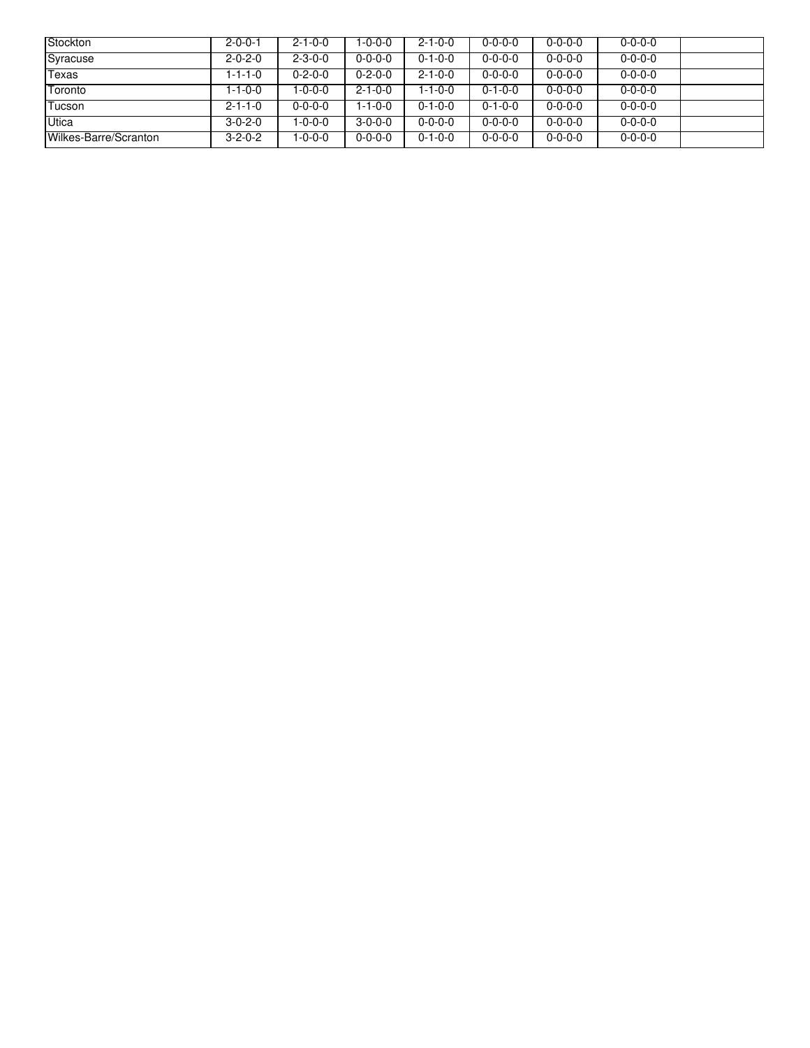| <b>Stockton</b>       | $2 - 0 - 0 - 1$ | $2 - 1 - 0 - 0$ | $1 - 0 - 0 - 0$ | $2 - 1 - 0 - 0$ | $0 - 0 - 0 - 0$ | $0 - 0 - 0 - 0$ | $0 - 0 - 0 - 0$ |  |
|-----------------------|-----------------|-----------------|-----------------|-----------------|-----------------|-----------------|-----------------|--|
| Syracuse              | $2 - 0 - 2 - 0$ | $2 - 3 - 0 - 0$ | $0 - 0 - 0 - 0$ | $0 - 1 - 0 - 0$ | $0 - 0 - 0 - 0$ | $0 - 0 - 0 - 0$ | $0 - 0 - 0 - 0$ |  |
| Texas                 | 1-1-1-0         | $0 - 2 - 0 - 0$ | $0 - 2 - 0 - 0$ | $2 - 1 - 0 - 0$ | $0 - 0 - 0 - 0$ | $0 - 0 - 0 - 0$ | $0 - 0 - 0 - 0$ |  |
| Toronto               | 1-1-0-0         | $-0-0-0$        | $2 - 1 - 0 - 0$ | 1-1-0-0         | $0 - 1 - 0 - 0$ | $0 - 0 - 0 - 0$ | $0 - 0 - 0 - 0$ |  |
| Tucson                | $2 - 1 - 1 - 0$ | $0 - 0 - 0 - 0$ | $1 - 1 - 0 - 0$ | $0 - 1 - 0 - 0$ | $0 - 1 - 0 - 0$ | $0 - 0 - 0 - 0$ | $0 - 0 - 0 - 0$ |  |
| <b>Utica</b>          | $3 - 0 - 2 - 0$ | $-0-0-0$        | $3-0-0-0$       | $0 - 0 - 0 - 0$ | $0 - 0 - 0 - 0$ | $0 - 0 - 0 - 0$ | $0 - 0 - 0 - 0$ |  |
| Wilkes-Barre/Scranton | $3 - 2 - 0 - 2$ | 0-0-0-1         | $0 - 0 - 0 - 0$ | $0 - 1 - 0 - 0$ | $0 - 0 - 0 - 0$ | $0 - 0 - 0 - 0$ | $0 - 0 - 0 - 0$ |  |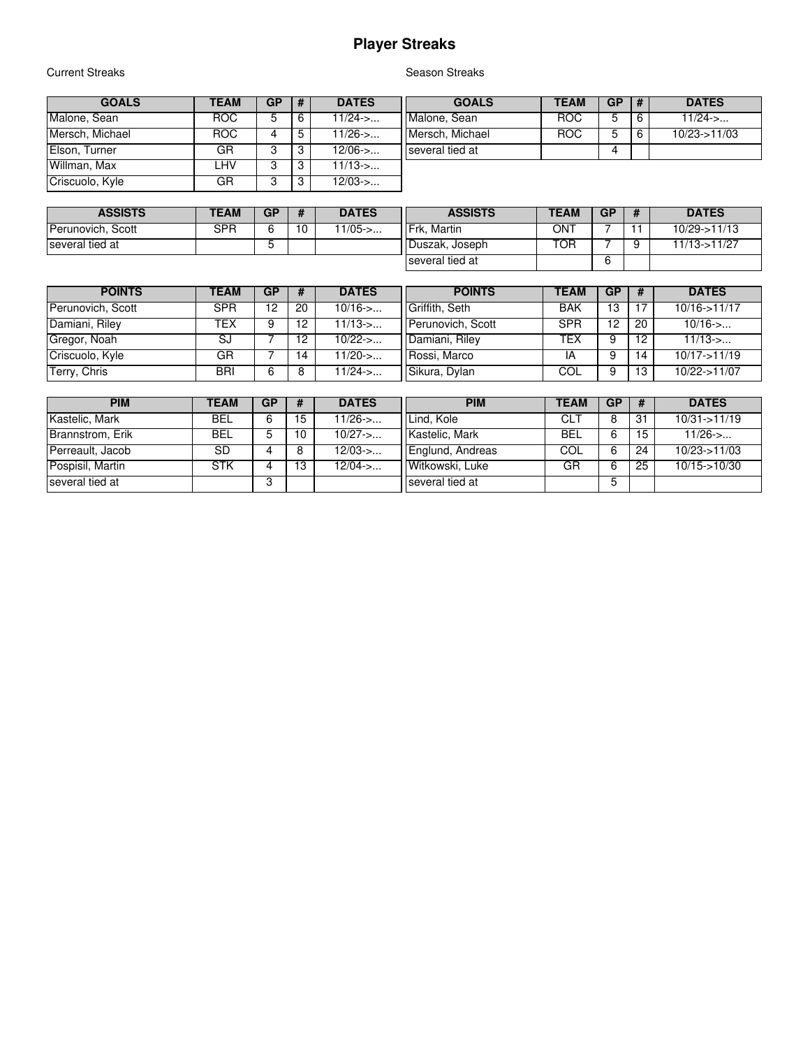# **Player Streaks**

#### **Current Streaks**

#### **GOALS TEAM GP # DATES** Malone, Sean ROC 5 6 11/24->...<br>Mersch, Michael ROC 4 5 11/26->... Mersch, Michael **ROC** 4 5 11/26->... Elson, Turner GR 3 3 12/06->... Willman, Max | LHV | 3 | 3 | 11/13->... Criscuolo, Kyle **GR** 3 3 12/03->...

| Season Streaks |  |
|----------------|--|
|                |  |

| GOALS           | TEAM | GP | # | <b>DATES</b>    |
|-----------------|------|----|---|-----------------|
| Malone, Sean    | ROG. | b  | 6 | $11/24$ ->      |
| Mersch, Michael | ROG. |    | ĥ | $10/23 - 11/03$ |
| several tied at |      |    |   |                 |
|                 |      |    |   |                 |

| <b>ASSISTS</b>    | <b>TEAM</b> | GР | <b>DATES</b> | <b>ASSISTS</b>    | <b>TEAM</b> | <b>GP</b> | <b>DATES</b> |
|-------------------|-------------|----|--------------|-------------------|-------------|-----------|--------------|
| Perunovich, Scott | SPR         |    | $1/05$ ->    | IFrk.<br>. Martin | ON٦         |           | 10/29->11/13 |
| several tied at   |             |    |              | Duszak, Joseph    | TOR.        |           | 11/13->11/27 |
|                   |             |    |              | several tied at   |             |           |              |

| <b>POINTS</b>     | <b>TEAM</b> | GP | -# | <b>DATES</b> | <b>POINTS</b>     | <b>TEAM</b> | <b>GP</b> | #  | <b>DATES</b>    |
|-------------------|-------------|----|----|--------------|-------------------|-------------|-----------|----|-----------------|
| Perunovich, Scott | SPR         | 12 | 20 | $10/16$ ->   | Griffith, Seth    | <b>BAK</b>  | 13        |    | $10/16 - 11/17$ |
| Damiani, Riley    | TEX         |    | 12 | $11/13$ ->   | Perunovich, Scott | <b>SPR</b>  | 12        | 20 | $10/16$ ->      |
| Gregor, Noah      | SJ          |    | 12 | $10/22$ ->   | Damiani, Riley    | TEX         |           | 12 | $11/13$ ->      |
| Criscuolo, Kyle   | GR          |    | 14 | $11/20 - 5$  | Rossi, Marco      | IΑ          |           | 14 | $10/17 - 11/19$ |
| Terry, Chris      | BRI         | 6  |    | $1/24$ ->    | Sikura, Dylan     | COL         |           | 13 | $10/22 - 11/07$ |

| <b>PIM</b>       | <b>TEAM</b> | GP | #  | <b>DATES</b> | <b>PIM</b>       | <b>TEAM</b> | GP |    | <b>DATES</b>  |
|------------------|-------------|----|----|--------------|------------------|-------------|----|----|---------------|
| Kastelic, Mark   | <b>BEL</b>  |    | 15 | $11/26$ ->   | Lind, Kole       | CL.         | 8  | 31 | 10/31 > 11/19 |
| Brannstrom, Erik | <b>BEL</b>  |    | 10 | $10/27$ ->   | I Kastelic. Mark | BEL         | 6  | 15 | $11/26$ ->    |
| Perreault, Jacob | SD          |    | 8  | $12/03$ ->   | Englund, Andreas | COL         | 6  | 24 | 10/23->11/03  |
| Pospisil, Martin | <b>STK</b>  |    | 13 | $12/04$ ->   | Witkowski, Luke  | GR          | 6  | 25 | 10/15->10/30  |
| several tied at  |             |    |    |              | several tied at  |             |    |    |               |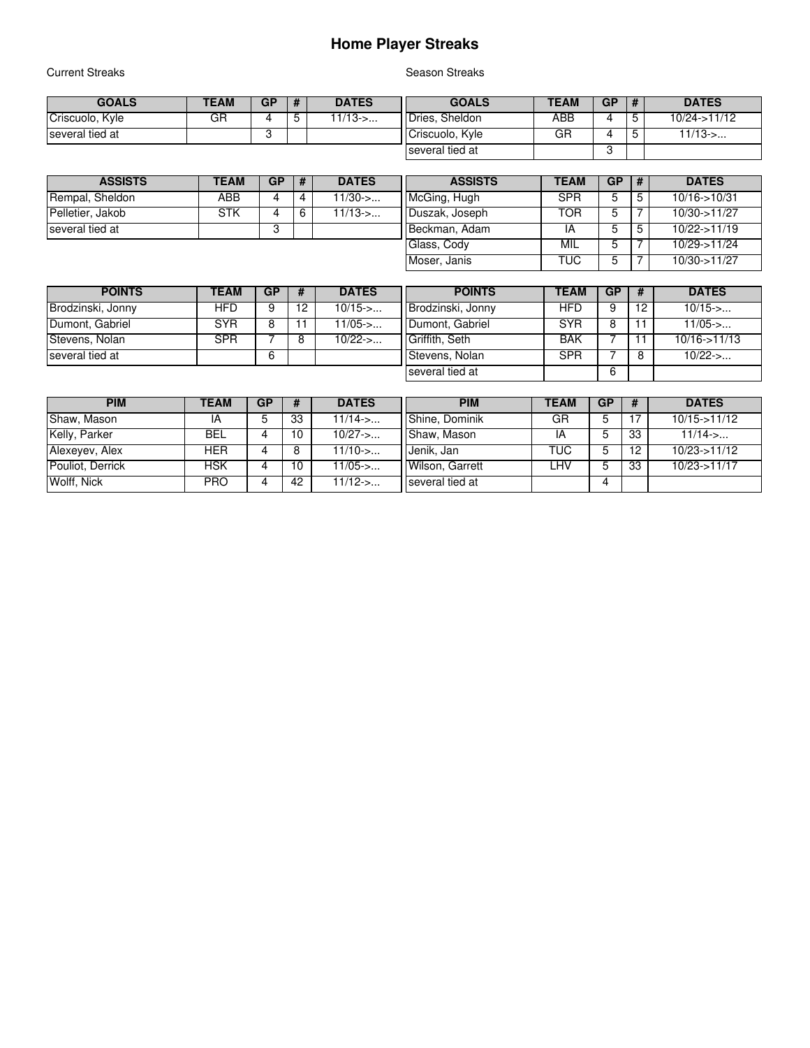### **Home Player Streaks**

Current Streaks **Season Streaks** Season Streaks

| <b>GOALS</b>    | <b>TEAM</b> | GP | #      | <b>DATES</b> | <b>GOALS</b>    | <b>TEAM</b> | <b>GP</b> | # | <b>DATES</b>  |
|-----------------|-------------|----|--------|--------------|-----------------|-------------|-----------|---|---------------|
| Criscuolo, Kyle | GR          |    | ∽<br>ັ | $11/13$ ->   | Dries. Sheldon  | ABB         |           |   | 10/24 > 11/12 |
| several tied at |             |    |        |              | Criscuolo, Kyle | GF          | 4         |   | $11/13$ ->    |
|                 |             |    |        |              | several tied at |             |           |   |               |

| <b>ASSISTS</b>   | TEAM | <b>GP</b> | Ħ | <b>DATES</b> | <b>ASSISTS</b> | <b>TEAM</b> | GP | #  | <b>DATES</b>      |
|------------------|------|-----------|---|--------------|----------------|-------------|----|----|-------------------|
| Rempal, Sheldon  | ABB  |           | 4 | 1/30->       | McGing, Hugh   | <b>SPR</b>  | 5  | 5  | $10/16 - > 10/31$ |
| Pelletier, Jakob | STK  |           |   | $1/13$ ->    | Duszak, Joseph | TOR         |    |    | 10/30->11/27      |
| several tied at  |      |           |   |              | Beckman, Adam  | ١A          | 5  | .5 | $10/22 - 11/19$   |
|                  |      |           |   |              | Glass, Cody    | MIL         |    |    | 10/29->11/24      |
|                  |      |           |   |              | Moser, Janis   | <b>TUC</b>  |    |    | 10/30->11/27      |

| <b>POINTS</b>     | TEAM       | <b>GP</b> | -# | <b>DATES</b> | <b>POINTS</b>     | <b>TEAM</b> | <b>GP</b> | -#  | <b>DATES</b>    |
|-------------------|------------|-----------|----|--------------|-------------------|-------------|-----------|-----|-----------------|
| Brodzinski, Jonny | HFD        |           | 12 | 10/15->      | Brodzinski, Jonny | <b>HFD</b>  |           | 12  | $10/15$ ->      |
| Dumont, Gabriel   | <b>SYR</b> |           |    | $1/05$ ->    | Dumont, Gabriel   | <b>SYR</b>  | 8         | 11  | $11/05$ ->      |
| Stevens, Nolan    | <b>SPR</b> |           | 8  | $10/22$ ->   | Griffith, Seth    | <b>BAK</b>  |           | -11 | $10/16 - 11/13$ |
| several tied at   |            |           |    |              | Stevens, Nolan    | <b>SPR</b>  |           | 8   | $10/22$ ->      |
|                   |            |           |    |              | several tied at   |             | 6         |     |                 |

| <b>PIM</b>       | TEAM       | <b>GP</b> | #  | <b>DATES</b> | <b>PIM</b>      | <b>TEAM</b> | <b>GP</b> | #  | <b>DATES</b>              |
|------------------|------------|-----------|----|--------------|-----------------|-------------|-----------|----|---------------------------|
| Shaw, Mason      | ΙA         |           | 33 | 11/14 >      | Shine, Dominik  | GR          | 5         |    | $10/15 - 11/12$           |
| Kelly, Parker    | BEL        |           | 10 | $10/27$ ->   | Shaw, Mason     | IA          | 5         | 33 | $11/14$ ->                |
| Alexevev, Alex   | <b>HER</b> |           | 8  | $11/10$ ->   | Jenik, Jan      | <b>TUC</b>  | 5         | 12 | $10/23 - 11/12$           |
| Pouliot, Derrick | HSK        |           | 10 | l 1/05->     | Wilson, Garrett | .HV         | 5         | 33 | $10/23 \rightarrow 11/17$ |
| Wolff, Nick      | <b>PRO</b> |           | 42 | $11/12$ ->   | several tied at |             | 4         |    |                           |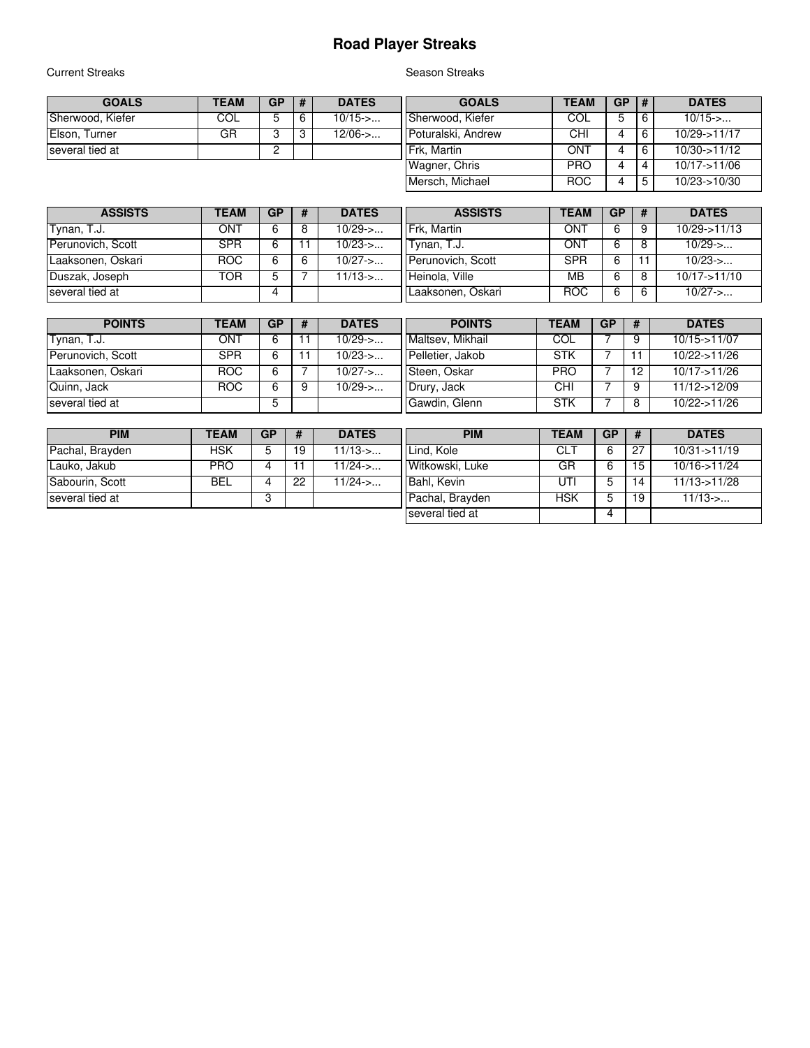## **Road Player Streaks**

Current Streaks **Season Streaks** Season Streaks

| <b>GOALS</b>     | TEAM | <b>GP</b> | # | <b>DATES</b> | <b>GOALS</b>       | <b>TEAM</b> | <b>GP</b> | <b>#</b> | <b>DATES</b>    |
|------------------|------|-----------|---|--------------|--------------------|-------------|-----------|----------|-----------------|
| Sherwood, Kiefer | COL  | 5         |   | $10/15$ ->   | Sherwood, Kiefer   | COL         | 5         |          | $10/15$ ->      |
| Elson, Turner    | GR   |           |   | 12/06->      | Poturalski, Andrew | CHI         | 4         |          | $10/29 - 11/17$ |
| several tied at  |      |           |   |              | IFrk. Martin       | ONT         |           |          | 10/30 > 11/12   |
|                  |      |           |   |              | Wagner, Chris      | <b>PRO</b>  |           | 4        | $10/17 - 11/06$ |
|                  |      |           |   |              | Mersch, Michael    | <b>ROC</b>  |           |          | $10/23 - 10/30$ |

| <b>ASSISTS</b>            | TEAM | <b>GP</b> | <b>DATES</b> | <b>ASSISTS</b>    | <b>TEAM</b> | <b>GP</b> | #  | <b>DATES</b>    |
|---------------------------|------|-----------|--------------|-------------------|-------------|-----------|----|-----------------|
| Tynan, $\overline{1.1}$ . | ONT  |           | $10/29 - 5$  | Frk. Martin       | ONT         |           | 9  | 10/29->11/13    |
| Perunovich, Scott         | SPR  |           | $10/23$ ->   | Tvnan. T.J.       | ONT         | 6         | 8  | $10/29$ ->      |
| Laaksonen, Oskari         | ROC  | 6         | $10/27$ ->   | Perunovich, Scott | <b>SPR</b>  |           |    | $10/23$ ->      |
| Duszak, Joseph            | TOR  |           | 11/13->      | Heinola, Ville    | MВ          | 6         | 8  | $10/17 - 11/10$ |
| several tied at           |      | Δ         |              | Laaksonen, Oskari | <b>ROC</b>  | 6         | -6 | $10/27 - 5$     |

| <b>POINTS</b>     | TEAM       | <b>GP</b> | <b>DATES</b> | <b>POINTS</b>    | <b>TEAM</b> | GP | -# | <b>DATES</b>    |
|-------------------|------------|-----------|--------------|------------------|-------------|----|----|-----------------|
| Tynan, T.J.       | ONT        | 6         | $10/29$ ->   | Maltsev, Mikhail | COL         |    |    | $10/15 - 11/07$ |
| Perunovich, Scott | <b>SPR</b> | 6         | $10/23$ ->   | Pelletier, Jakob | <b>STK</b>  |    |    | 10/22->11/26    |
| Laaksonen, Oskari | ROC        | 6         | $10/27$ ->   | Steen, Oskar     | <b>PRO</b>  |    | 12 | $10/17 - 11/26$ |
| Quinn, Jack       | ROC        | 6         | $10/29$ ->   | Drury, Jack      | CHI         |    | 9  | $11/12 - 12/09$ |
| several tied at   |            | 5         |              | Gawdin, Glenn    | STK         |    |    | 10/22->11/26    |

| <b>PIM</b>      | <b>TEAM</b> | GP | #  | <b>DATES</b> | <b>PIM</b>      | <b>TEAM</b> | <b>GP</b> | #  | <b>DATES</b>     |
|-----------------|-------------|----|----|--------------|-----------------|-------------|-----------|----|------------------|
| Pachal, Brayden | HSK         |    | 19 | $1/13$ ->    | Lind, Kole      | CL.         | 6         | 27 | $10/31 - 11/19$  |
| Lauko, Jakub    | <b>PRO</b>  |    |    | $1/24$ ->    | Witkowski, Luke | GR          |           | 15 | 10/16->11/24     |
| Sabourin, Scott | BEL         |    | 22 | $1/24$ ->    | Bahl, Kevin     | UT          |           | 14 | $11/13 - 511/28$ |
| several tied at |             |    |    |              | Pachal, Brayden | <b>HSK</b>  |           | 19 | $11/13$ ->       |
|                 |             |    |    |              | several tied at |             | 4         |    |                  |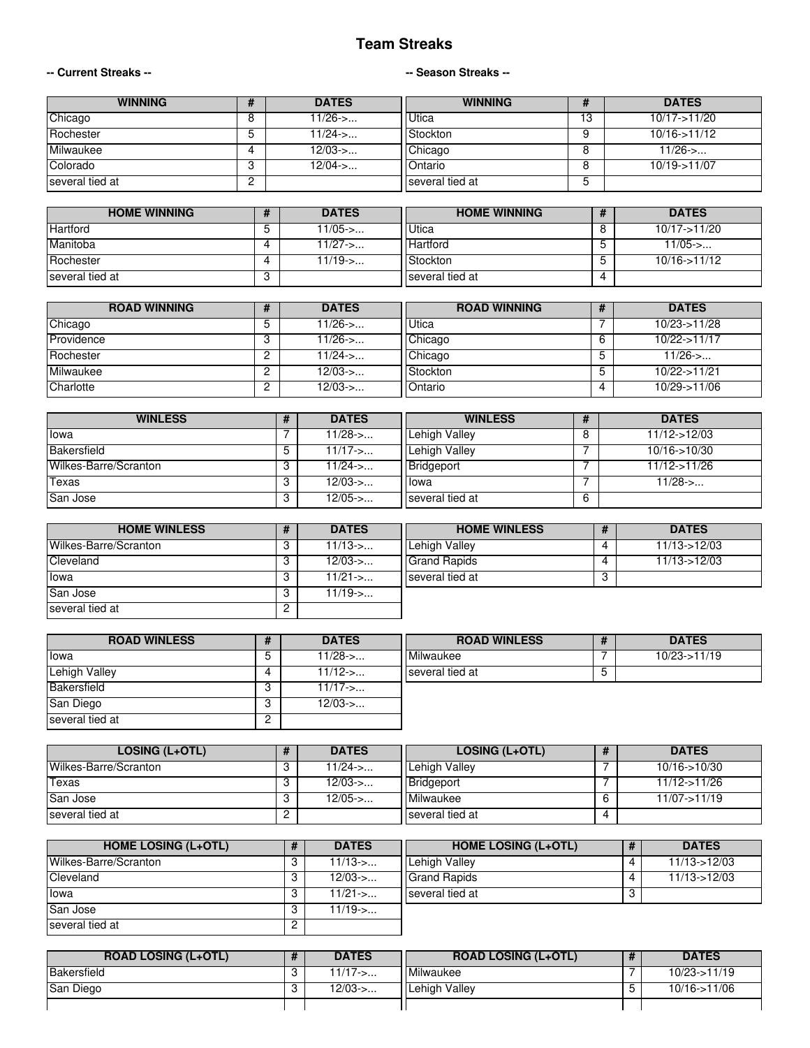#### **Team Streaks**

#### **-- Current Streaks -- -- Season Streaks --**

| <b>WINNING</b>  |   | <b>DATES</b> | <b>WINNING</b>  | Ŧ  | <b>DATES</b>      |
|-----------------|---|--------------|-----------------|----|-------------------|
| Chicago         |   | 11/26->      | <b>Utica</b>    | 13 | $10/17 - > 11/20$ |
| Rochester       |   | $11/24$ ->   | Stockton        |    | $10/16 - 11/12$   |
| Milwaukee       |   | 12/03->      | Chicago         |    | $11/26$ ->        |
| Colorado        |   | $12/04$ ->   | <b>Ontario</b>  |    | $10/19 - 11/07$   |
| several tied at | ▃ |              | several tied at | C  |                   |

| <b>HOME WINNING</b> | <b>DATES</b> | <b>HOME WINNING</b> |   | <b>DATES</b> |
|---------------------|--------------|---------------------|---|--------------|
| Hartford            | 1/05->       | Utica               |   | 10/17->11/20 |
| Manitoba            | l 1/27->…    | <b>Hartford</b>     |   | $11/05$ ->   |
| Rochester           | $11/19$ ->   | Stockton            |   | 10/16->11/12 |
| several tied at     |              | I I several tied at | 4 |              |

| <b>ROAD WINNING</b> | <b>DATES</b> | <b>ROAD WINNING</b> |   | <b>DATES</b>    |
|---------------------|--------------|---------------------|---|-----------------|
| Chicago             | $11/26$ ->   | Utica               |   | 10/23->11/28    |
| Providence          | $11/26$ ->   | Chicago             | 6 | $10/22 - 11/17$ |
| Rochester           | $11/24$ ->   | Chicago             | 5 | $11/26$ ->      |
| Milwaukee           | $12/03$ ->   | Stockton            | 5 | 10/22->11/21    |
| Charlotte           | $12/03$ ->   | Ontario             | 4 | $10/29 - 11/06$ |

| <b>WINLESS</b>        | <b>DATES</b> | <b>WINLESS</b>  |   | <b>DATES</b>      |
|-----------------------|--------------|-----------------|---|-------------------|
| Ilowa                 | $11/28$ ->   | Lehigh Valley   |   | $11/12 - 12/03$   |
| Bakersfield           | $11/17$ ->   | Lehigh Valley   |   | $10/16 - > 10/30$ |
| Wilkes-Barre/Scranton | l 1/24->     | Bridgeport      |   | 11/12->11/26      |
| Texas                 | $12/03$ ->   | <b>Ilowa</b>    |   | $11/28$ ->        |
| San Jose              | $12/05 - 5$  | several tied at | 6 |                   |

| <b>HOME WINLESS</b>   | <b>DATES</b> | <b>HOME WINLESS</b> |    | <b>DATES</b>    |
|-----------------------|--------------|---------------------|----|-----------------|
| Wilkes-Barre/Scranton | $11/13$ ->   | Lehigh Vallev       | 4  | $11/13 - 12/03$ |
| <b>Cleveland</b>      | $12/03$ ->   | <b>Grand Rapids</b> | 4  | $11/13 - 12/03$ |
| Ilowa                 | $11/21$ ->   | several tied at     | -3 |                 |
| San Jose              | $11/19$ ->   |                     |    |                 |
| several tied at       |              |                     |    |                 |

| <b>ROAD WINLESS</b> | <b>DATES</b> | <b>ROAD WINLESS</b> | <b>DATES</b>    |
|---------------------|--------------|---------------------|-----------------|
| Ilowa               | 11/28->      | Milwaukee           | $10/23 - 11/19$ |
| Lehigh Valley       | 11/12->      | several tied at     |                 |
| Bakersfield         | $11/17$ ->   |                     |                 |
| San Diego           | $12/03$ ->   |                     |                 |
| several tied at     |              |                     |                 |

| LOSING (L+OTL)        | <b>DATES</b> | <b>LOSING (L+OTL)</b> |                | <b>DATES</b>      |
|-----------------------|--------------|-----------------------|----------------|-------------------|
| Wilkes-Barre/Scranton | --11/24      | Lehigh Valley         |                | $10/16 - > 10/30$ |
| Texas                 | 12/03->      | Bridgeport            |                | $11/12 - 11/26$   |
| <b>San Jose</b>       | $12/05 - 5$  | Milwaukee             |                | $11/07 - 11/19$   |
| several tied at       |              | Iseveral tied at      | $\overline{ }$ |                   |

| <b>HOME LOSING (L+OTL)</b> | <b>DATES</b> | <b>HOME LOSING (L+OTL)</b> | <b>DATES</b>    |
|----------------------------|--------------|----------------------------|-----------------|
| Wilkes-Barre/Scranton      | $11/13$ ->   | Lehigh Valley              | $11/13 - 12/03$ |
| <b>Cleveland</b>           | $12/03$ ->   | I Grand Rapids             | $11/13 - 12/03$ |
| Ilowa                      | $11/21$ ->   | Iseveral tied at           |                 |
| San Jose                   | $11/19$ ->   |                            |                 |
| several tied at            |              |                            |                 |

| <b>ROAD LOSING (L+OTL)</b> | <b>DATES</b>      | <b>ROAD LOSING (L+OTL)</b> | <b>DATES</b>    |
|----------------------------|-------------------|----------------------------|-----------------|
| Bakersfield                | $11/17 - > \dots$ | I Milwaukee                | $10/23 - 11/19$ |
| San Diego                  | $12/03$ ->        | Lehigh Valley              | $10/16$ ->11/06 |
|                            |                   |                            |                 |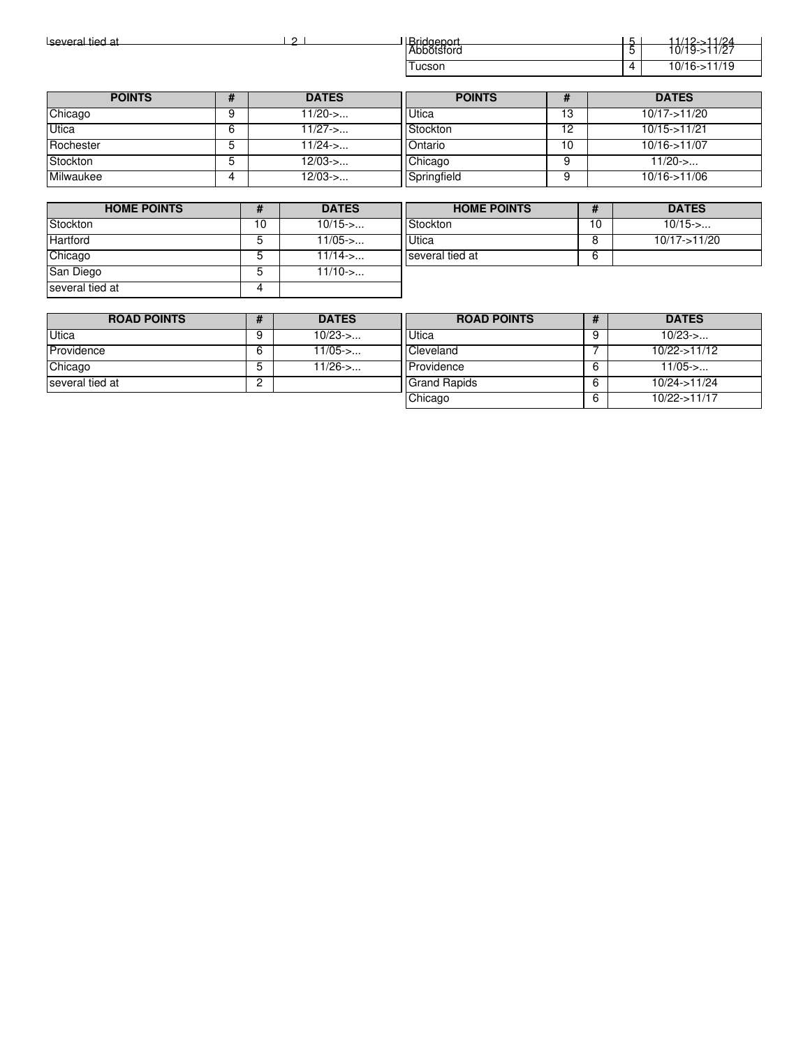| Bridgeport<br>Abbotsford<br>several tied at<br>ົ |   |               |                  |    |  | $11/12 - 11/24$<br>$10/19 - 511/27$ |
|--------------------------------------------------|---|---------------|------------------|----|--|-------------------------------------|
|                                                  |   |               | Tucson           |    |  | $10/16 - 11/19$                     |
|                                                  |   |               |                  |    |  |                                     |
| <b>POINTS</b>                                    |   | <b>DATES</b>  | <b>POINTS</b>    | Ħ  |  | <b>DATES</b>                        |
| Chicago                                          |   | $11/20$ ->    | Utica            | 13 |  | 10/17->11/20                        |
| Utica                                            | 6 | $11/27$ ->    | Stockton         | 12 |  | $10/15 - 11/21$                     |
| Rochester                                        |   | 11/24- $\sim$ | <b>I</b> Ontario | 10 |  | $10/16 - 11/07$                     |

| <b>HOME POINTS</b> |  | <b>DATES</b> | <b>HOME POINTS</b> |    | <b>DATES</b>      |  |
|--------------------|--|--------------|--------------------|----|-------------------|--|
|                    |  |              |                    |    |                   |  |
| Milwaukee          |  | $12/03$ ->   | Springfield        |    | 10/16->11/06      |  |
| Stockton           |  | 12/03->      | Chicago            |    | $11/20$ ->        |  |
| Rochester          |  | $11/24$ ->   | <b>I</b> IOntario  | 10 | $10/16 - > 11/07$ |  |

| Stockton        | 10 | $10/15$ -> | Stock |
|-----------------|----|------------|-------|
| Hartford        | 5  | $11/05$ -> | Utica |
| Chicago         | 5  | $11/14$ -> | sever |
| San Diego       | 5  | $11/10$ -> |       |
| several tied at |    |            |       |

| <b>HOME POINTS</b> | <b>DATES</b> |
|--------------------|--------------|
| Stockton           | $10/15$ ->   |
| Utica              | 10/17->11/20 |
| several tied at    |              |
|                    |              |

| <b>ROAD POINTS</b> | Н        | <b>DATES</b> | <b>ROAD POINTS</b>  | <b>DATES</b>    |
|--------------------|----------|--------------|---------------------|-----------------|
| <b>Utica</b>       |          | $10/23$ ->   | <b>Utica</b>        | $10/23$ ->      |
| Providence         |          | 11/05->      | Cleveland           | 10/22->11/12    |
| Chicago            | b        | 11/26->      | Providence          | $11/05$ ->      |
| several tied at    | <u>_</u> |              | <b>Grand Rapids</b> | $10/24 - 11/24$ |
|                    |          |              | Chicago             | 10/22->11/17    |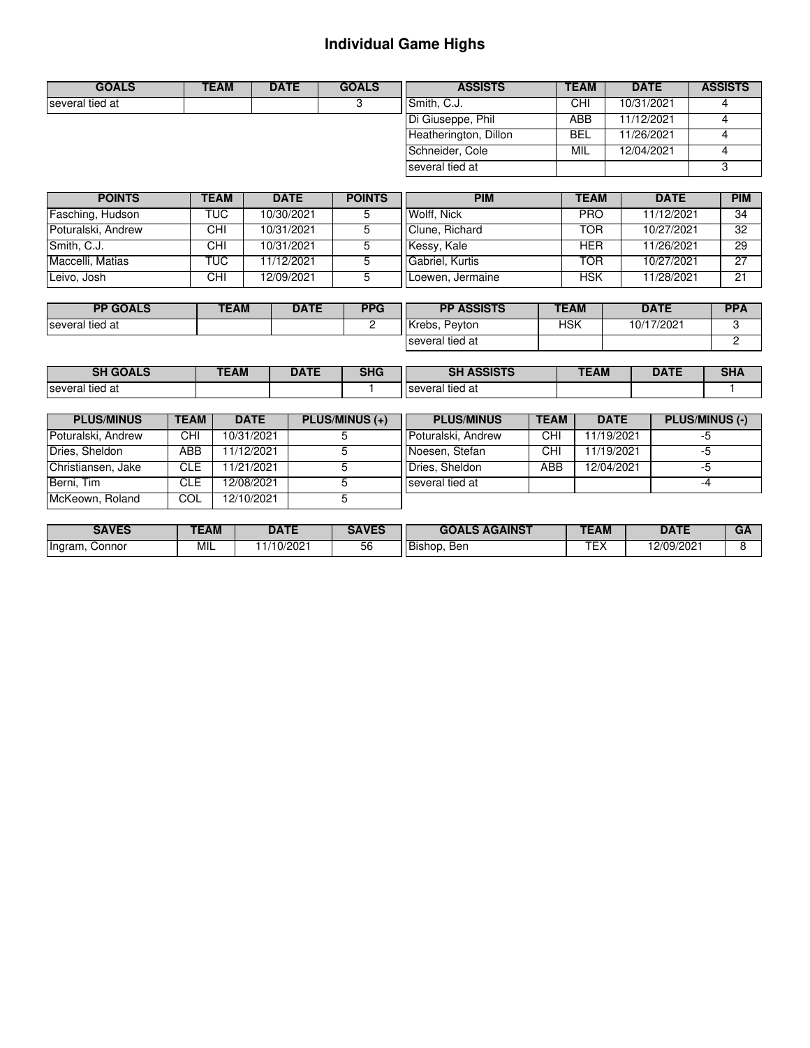# **Individual Game Highs**

| <b>GOALS</b>    | TEAM | <b>DATE</b> | <b>GOALS</b> | <b>ASSISTS</b>        | <b>TEAM</b> | <b>DATE</b> | <b>ASSISTS</b> |
|-----------------|------|-------------|--------------|-----------------------|-------------|-------------|----------------|
| several tied at |      |             |              | Smith, C.J.           | CHI         | 10/31/2021  |                |
|                 |      |             |              | Di Giuseppe, Phil     | ABB         | 11/12/2021  |                |
|                 |      |             |              | Heatherington, Dillon | <b>BEL</b>  | 11/26/2021  |                |
|                 |      |             |              | Schneider, Cole       | MIL         | 12/04/2021  |                |
|                 |      |             |              | several tied at       |             |             |                |

| <b>POINTS</b>      | <b>TEAM</b> | <b>DATE</b> | <b>POINTS</b> | <b>PIM</b>       | TEAM       | <b>DATE</b> | <b>PIM</b> |
|--------------------|-------------|-------------|---------------|------------------|------------|-------------|------------|
| Fasching, Hudson   | TUC.        | 10/30/2021  |               | Wolff, Nick      | <b>PRO</b> | 11/12/2021  | 34         |
| Poturalski, Andrew | CHI         | 10/31/2021  |               | Clune, Richard   | TOR        | 10/27/2021  | 32         |
| Smith, C.J.        | CHI         | 10/31/2021  |               | Kessy, Kale      | HER        | 11/26/2021  | 29         |
| Maccelli, Matias   | TUC         | 11/12/2021  |               | Gabriel, Kurtis  | TOR        | 10/27/2021  | 27         |
| Leivo, Josh        | <b>CHI</b>  | 12/09/2021  |               | Loewen, Jermaine | <b>HSK</b> | 11/28/2021  | 21         |

| <b>PP GOALS</b> | <b>TEAM</b> | <b>DATE</b> | <b>PPG</b> | <b>PP ASSISTS</b> | <b>TEAM</b> | <b>DATE</b> | <b>PPA</b> |
|-----------------|-------------|-------------|------------|-------------------|-------------|-------------|------------|
| several tied at |             |             | -          | Krebs.<br>Peyton  | ЧSК         | 10/17/2021  |            |
|                 |             |             |            | several tied at   |             |             |            |

| GUALS           | $\angle$ AM | ᇅᇧᆍ<br>UAIL | <b>CLIC</b><br>טחכ | $A$ $O$ $O$ $T$ $C$<br>еı<br>- 15<br>AJJIJ 197 | <b>TEAM</b><br>. <u>.</u> | $\sim$ | <br>∍า⊓⊷ |
|-----------------|-------------|-------------|--------------------|------------------------------------------------|---------------------------|--------|----------|
| several tied at |             |             |                    | several tied at                                |                           |        |          |

| <b>PLUS/MINUS</b>  | <b>TEAM</b> | <b>DATE</b> | <b>PLUS/MINUS (+)</b> | <b>PLUS/MINUS</b>  | <b>TEAM</b> | <b>DATE</b> | <b>PLUS/MINUS (-)</b> |
|--------------------|-------------|-------------|-----------------------|--------------------|-------------|-------------|-----------------------|
| Poturalski, Andrew | CHI         | 10/31/2021  |                       | Poturalski, Andrew | CHI         | 11/19/2021  |                       |
| Dries, Sheldon     | ABB         | 11/12/2021  |                       | Noesen, Stefan     | CHI         | 11/19/2021  |                       |
| Christiansen, Jake | <b>CLE</b>  | 11/21/2021  |                       | Dries, Sheldon     | ABB         | 12/04/2021  |                       |
| Berni, Tim         | CLE.        | 12/08/2021  |                       | several tied at    |             |             | -4                    |
| McKeown, Roland    | COL         | 12/10/2021  |                       |                    |             |             |                       |

| <b>SAVES</b>      | <b>TEAM</b> | <b>DATE</b> | <b>SAVES</b>  | <b>AGAINST</b><br><b>GOAL</b> | <b>TEAM</b> | <b>DATE</b> | <b>UA</b> |
|-------------------|-------------|-------------|---------------|-------------------------------|-------------|-------------|-----------|
| Ingram,<br>Connor | MIL         | /10/2021    | $ \sim$<br>ხხ | Ben<br>I Bishop.              | <b>Trv</b>  | 12/09/2021  |           |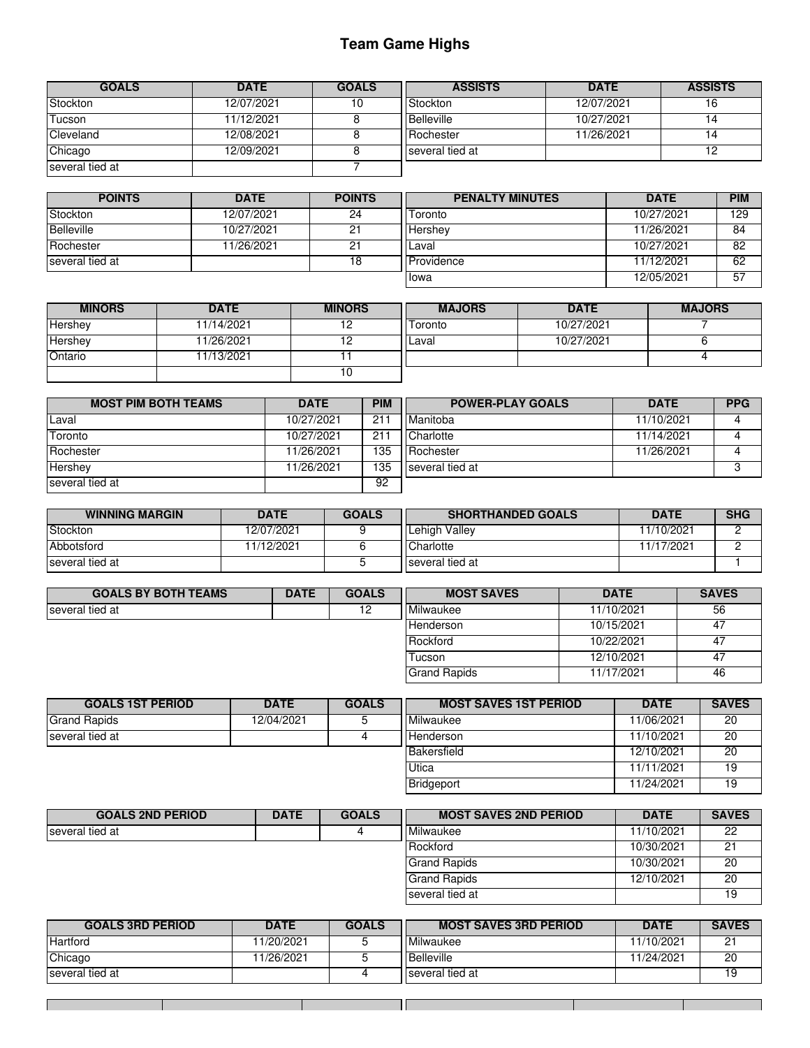## **Team Game Highs**

| <b>GOALS</b>    | <b>DATE</b> | <b>GOALS</b> | <b>ASSISTS</b>  | <b>DATE</b> | <b>ASSISTS</b> |
|-----------------|-------------|--------------|-----------------|-------------|----------------|
| Stockton        | 12/07/2021  | 10           | Stockton        | 12/07/2021  | 16             |
| Tucson          | 11/12/2021  |              | Belleville      | 10/27/2021  | 14             |
| Cleveland       | 12/08/2021  |              | Rochester       | 11/26/2021  | 14             |
| Chicago         | 12/09/2021  |              | several tied at |             | 12             |
| several tied at |             |              |                 |             |                |

| <b>POINTS</b>    | <b>DATE</b> | <b>POINTS</b> | <b>PENALTY MINUTES</b> | <b>DATE</b> | <b>PIM</b> |
|------------------|-------------|---------------|------------------------|-------------|------------|
| Stockton         | 12/07/2021  | 24            | Toronto                | 10/27/2021  | 129        |
| Belleville       | 10/27/2021  | 21            | <b>I</b> Hershev       | 11/26/2021  | 84         |
| Rochester        | 11/26/2021  | 21            | <b>ILaval</b>          | 10/27/2021  | 82         |
| Iseveral tied at |             | 18            | Providence             | 11/12/2021  | 62         |
|                  |             |               | Iowa                   | 12/05/2021  | 57         |

| <b>MINORS</b> | <b>DATE</b> | <b>MINORS</b> | <b>MAJORS</b> | <b>DATE</b> | <b>MAJORS</b> |
|---------------|-------------|---------------|---------------|-------------|---------------|
| Hershey       | 11/14/2021  |               | Toronto       | 10/27/2021  |               |
| Hershey       | 11/26/2021  | . .           | <b>ILaval</b> | 10/27/2021  |               |
| Ontario       | 11/13/2021  |               |               |             |               |
|               |             | ιu            |               |             |               |

| <b>MOST PIM BOTH TEAMS</b> | <b>DATE</b> | <b>PIM</b> | <b>POWER-PLAY GOALS</b> | <b>DATE</b> | <b>PPG</b> |
|----------------------------|-------------|------------|-------------------------|-------------|------------|
| Laval                      | 10/27/2021  | 211        | Manitoba                | 11/10/2021  |            |
| Toronto                    | 10/27/2021  | 211        | Charlotte               | 11/14/2021  |            |
| Rochester                  | 11/26/2021  | 135        | Rochester               | 11/26/2021  |            |
| Hershey                    | 11/26/2021  | 135        | several tied at         |             |            |
| several tied at            |             | 92         |                         |             |            |

| <b>WINNING MARGIN</b> | <b>DATE</b> | <b>GOALS</b> | <b>SHORTHANDED GOALS</b> | <b>DATE</b> | <b>SHG</b> |
|-----------------------|-------------|--------------|--------------------------|-------------|------------|
| <b>Stockton</b>       | 12/07/2021  |              | Lehigh Valley            | 11/10/2021  |            |
| Abbotsford            | 11/12/2021  |              | Charlotte                | 11/17/2021  |            |
| several tied at       |             |              | several tied at          |             |            |

| <b>GOALS BY BOTH TEAMS</b> | <b>DATE</b> | <b>GOALS</b> | <b>MOST SAVES</b>   | <b>DATE</b> | <b>SAVES</b> |
|----------------------------|-------------|--------------|---------------------|-------------|--------------|
| several tied at            |             |              | <b>Milwaukee</b>    | 11/10/2021  | 56           |
|                            |             |              | Henderson           | 10/15/2021  | 47           |
|                            |             |              | Rockford            | 10/22/2021  | 47           |
|                            |             |              | <b>Tucson</b>       | 12/10/2021  | 47           |
|                            |             |              | <b>Grand Rapids</b> | 11/17/2021  | 46           |

| <b>GOALS 1ST PERIOD</b> | <b>DATE</b> | <b>GOALS</b> | <b>MOST SAVES 1ST PERIOD</b> | <b>DATE</b> | <b>SAVES</b> |
|-------------------------|-------------|--------------|------------------------------|-------------|--------------|
| <b>Grand Rapids</b>     | 12/04/2021  |              | Milwaukee                    | 11/06/2021  | 20           |
| several tied at         |             |              | <b>IHenderson</b>            | 11/10/2021  | 20           |
|                         |             |              | Bakersfield                  | 12/10/2021  | 20           |
|                         |             |              | Utica                        | 11/11/2021  | 19           |
|                         |             |              | Bridgeport                   | 11/24/2021  | 19           |

| <b>GOALS 2ND PERIOD</b> | <b>DATE</b> | <b>GOALS</b> | <b>MOST SAVES 2ND PERIOD</b> | <b>DATE</b> | <b>SAVES</b> |
|-------------------------|-------------|--------------|------------------------------|-------------|--------------|
| several tied at         |             |              | Milwaukee                    | 11/10/2021  | 22           |
|                         |             |              | Rockford                     | 10/30/2021  | 21           |
|                         |             |              | <b>Grand Rapids</b>          | 10/30/2021  | 20           |
|                         |             |              | <b>Grand Rapids</b>          | 12/10/2021  | 20           |
|                         |             |              | several tied at              |             | 19           |

| <b>GOALS 3RD PERIOD</b> | <b>DATE</b> | <b>GOALS</b> | <b>MOST SAVES 3RD PERIOD</b> | <b>DATE</b> | <b>SAVES</b>  |
|-------------------------|-------------|--------------|------------------------------|-------------|---------------|
| <b>Hartford</b>         | 11/20/2021  |              | l Milwaukee                  | 1/10/2021   | ົ<br><u>_</u> |
| Chicago                 | 11/26/2021  |              | Belleville                   | 11/24/2021  | 20            |
| several tied at         |             |              | several tied at              |             | 19            |

⅂ℾ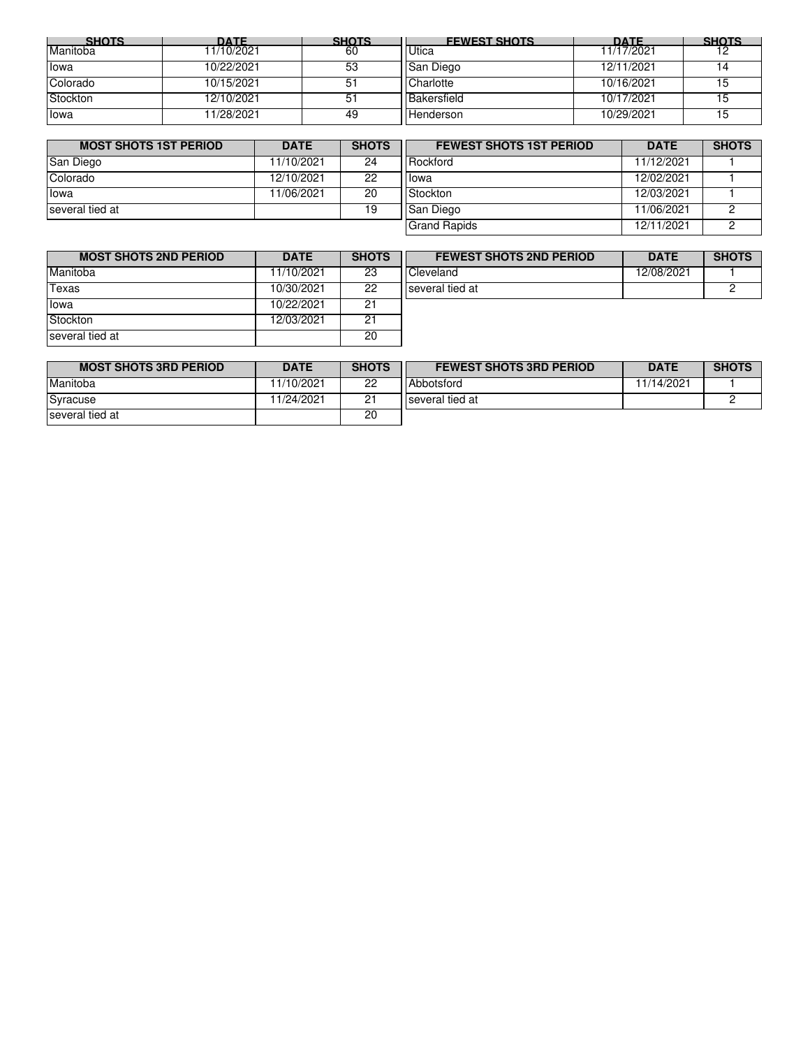| <b>SHOTS</b> | <b>DATF</b> | <b>SHOTS</b> | <b>FEWEST SHOTS</b> | <b>DATF</b> | <b>SHOTS</b> |
|--------------|-------------|--------------|---------------------|-------------|--------------|
| Manitoba     | 11/10/2021  | 60           | <b>Utica</b>        | 11/17/2021  |              |
| lowa         | 10/22/2021  | 53           | San Diego           | 12/11/2021  |              |
| Colorado     | 10/15/2021  | 51           | Charlotte           | 10/16/2021  |              |
| Stockton     | 12/10/2021  | 51           | Bakersfield         | 10/17/2021  |              |
| lowa         | 11/28/2021  | 49           | Henderson           | 10/29/2021  |              |

| <b>MOST SHOTS 1ST PERIOD</b> | <b>DATE</b> | <b>SHOTS</b> | <b>FEWEST SHOTS 1ST PERIOD</b> | <b>DATE</b> | <b>SHOTS</b> |
|------------------------------|-------------|--------------|--------------------------------|-------------|--------------|
| San Diego                    | 11/10/2021  | 24           | <b>Rockford</b>                | 11/12/2021  |              |
| Colorado                     | 12/10/2021  | 22           | <b>lowa</b>                    | 12/02/2021  |              |
| lowa                         | 11/06/2021  | 20           | Stockton                       | 12/03/2021  |              |
| Iseveral tied at             |             | 19           | <b>San Diego</b>               | 11/06/2021  |              |
|                              |             |              | <b>Grand Rapids</b>            | 12/11/2021  |              |

| <b>MOST SHOTS 2ND PERIOD</b> | <b>DATE</b> | <b>SHOTS</b> | <b>FEWEST SHOTS 2ND PERIOD</b> | <b>DATE</b> | <b>SHOTS</b> |
|------------------------------|-------------|--------------|--------------------------------|-------------|--------------|
| Manitoba                     | 11/10/2021  | 23           | Cleveland                      | 12/08/2021  |              |
| Texas                        | 10/30/2021  | 22           | several tied at                |             |              |
| lowa                         | 10/22/2021  | 21           |                                |             |              |
| Stockton                     | 12/03/2021  | 21           |                                |             |              |
| Iseveral tied at             |             | 20           |                                |             |              |

| <b>MOST SHOTS 3RD PERIOD</b> | <b>DATE</b> | <b>SHOTS</b> | <b>FEWEST SHOTS 3RD PERIOD</b> | <b>DATE</b> | <b>SHOTS</b> |
|------------------------------|-------------|--------------|--------------------------------|-------------|--------------|
| Manitoba                     | 1/10/2021   | 22           | Abbotsford                     | 11/14/2021  |              |
| Syracuse                     | 11/24/2021  | ົາ           | several tied at                |             |              |
| several tied at              |             | 20           |                                |             |              |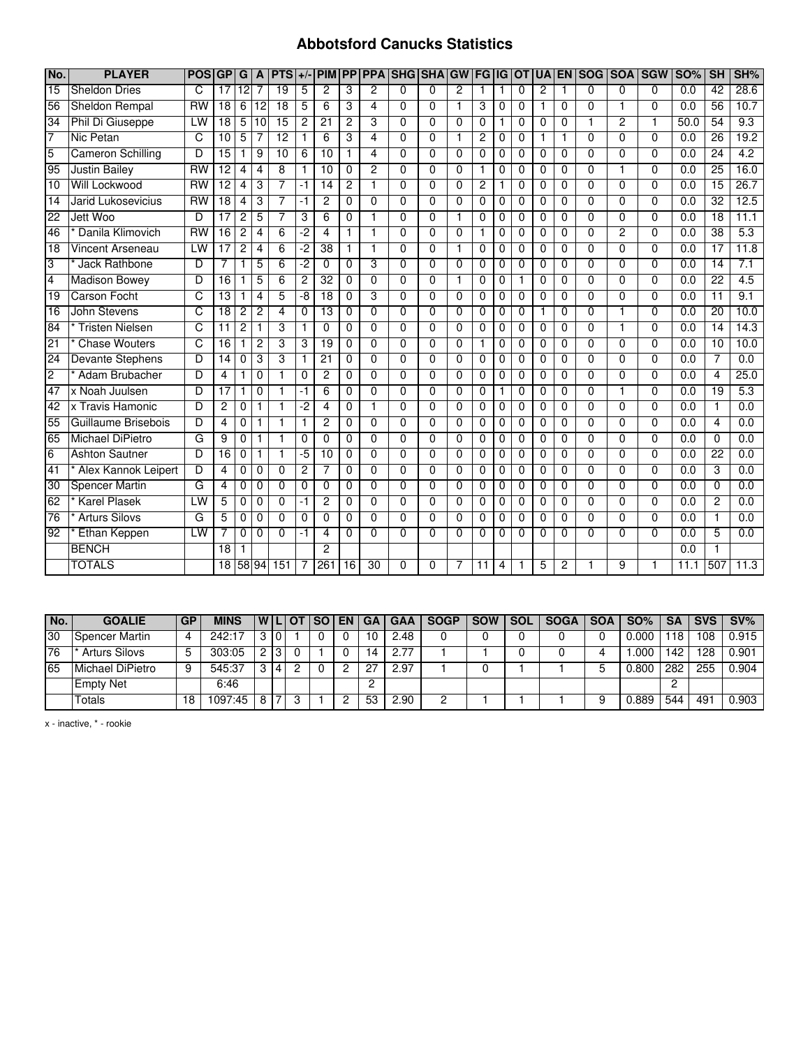#### **Abbotsford Canucks Statistics**

| No.             | <b>PLAYER</b>            | <b>POSIGP</b>  |                        | G              | A               | <b>PTS</b>      | $+/-$          | <b>PIM</b>      |                |                |                | <b>PP PPA SHG SHAGW</b> |                | <b>FG</b>       | <b>IG</b>      | <b>OT</b>      |                | <b>UA EN</b>   | SOG SOA        |                | <b>SGW</b>     | <b>SO%</b>       | <b>SH</b>       | SH%              |
|-----------------|--------------------------|----------------|------------------------|----------------|-----------------|-----------------|----------------|-----------------|----------------|----------------|----------------|-------------------------|----------------|-----------------|----------------|----------------|----------------|----------------|----------------|----------------|----------------|------------------|-----------------|------------------|
| $\overline{15}$ | <b>Sheldon Dries</b>     | C              | $\overline{17}$        | 12             |                 | 19              | 5              | $\overline{2}$  | 3              | $\overline{2}$ | $\overline{0}$ | $\Omega$                | $\overline{2}$ | $\mathbf{1}$    | 1              | $\Omega$       | $\overline{2}$ |                | $\Omega$       | 0              | $\Omega$       | $\overline{0.0}$ | 42              | 28.6             |
| 56              | Sheldon Rempal           | <b>RW</b>      | 18                     | 6              | 12              | 18              | 5              | 6               | 3              | 4              | $\Omega$       | $\Omega$                | 1              | 3               | 0              | $\Omega$       | 1              | 0              | $\Omega$       |                | $\Omega$       | 0.0              | 56              | 10.7             |
| $\overline{34}$ | Phil Di Giuseppe         | LW             | $\overline{18}$        | 5              | $\overline{10}$ | $\overline{15}$ | $\overline{2}$ | $\overline{21}$ | $\overline{c}$ | 3              | $\Omega$       | $\Omega$                | $\Omega$       | $\mathbf 0$     | 1              | $\Omega$       | $\Omega$       | $\Omega$       | 1              | $\overline{2}$ | 1              | 50.0             | 54              | 9.3              |
| 7               | Nic Petan                | $\overline{C}$ | 10                     | $\overline{5}$ | 7               | 12              | $\mathbf{1}$   | $6\overline{6}$ | 3              | $\overline{4}$ | $\Omega$       | $\overline{0}$          | $\overline{1}$ | $\overline{2}$  | 0              | $\Omega$       | 1              | 1              | $\overline{0}$ | $\Omega$       | $\Omega$       | 0.0              | 26              | 19.2             |
| $\overline{5}$  | <b>Cameron Schilling</b> | D              | $\overline{15}$        |                | 9               | 10              | 6              | 10              |                | 4              | $\Omega$       | $\Omega$                | $\Omega$       | $\Omega$        | $\Omega$       | $\Omega$       | $\Omega$       | $\Omega$       | $\Omega$       | $\Omega$       | $\Omega$       | 0.0              | 24              | 4.2              |
| 95              | <b>Justin Bailey</b>     | <b>RW</b>      | $\overline{12}$        | 4              | 4               | 8               | 1.             | 10              | 0              | $\overline{2}$ | 0              | $\Omega$                | 0              | $\mathbf 1$     | 0              | $\Omega$       | $\Omega$       | $\Omega$       | $\Omega$       |                | $\Omega$       | 0.0              | $\overline{25}$ | 16.0             |
| 10              | Will Lockwood            | <b>RW</b>      | $\overline{12}$        | 4              | 3               | 7               | $-1$           | $\overline{14}$ | $\overline{2}$ | 1              | $\overline{0}$ | $\overline{0}$          | $\overline{0}$ | $\overline{2}$  | 1              | $\Omega$       | 0              | $\overline{0}$ | $\overline{0}$ | $\overline{0}$ | $\Omega$       | 0.0              | 15              | 26.7             |
| $\overline{14}$ | Jarid Lukosevicius       | <b>RW</b>      | $\overline{18}$        | $\overline{4}$ | 3               | $\overline{7}$  | $-1$           | $\overline{c}$  | 0              | $\Omega$       | $\Omega$       | $\Omega$                | $\Omega$       | $\mathbf 0$     | $\mathbf 0$    | $\mathbf 0$    | $\Omega$       | 0              | $\Omega$       | 0              | $\Omega$       | 0.0              | $\overline{32}$ | 12.5             |
| 22              | Jett Woo                 | D              | $\overline{17}$        | $\overline{2}$ | 5               | $\overline{7}$  | 3              | 6               | $\Omega$       | 1              | $\Omega$       | $\mathbf 0$             | 1              | $\mathbf 0$     | $\mathbf 0$    | $\Omega$       | $\Omega$       | 0              | $\Omega$       | $\Omega$       | $\Omega$       | 0.0              | $\overline{18}$ | 11.1             |
| 46              | Danila Klimovich         | <b>RW</b>      | $\overline{16}$        | $\overline{2}$ | $\overline{4}$  | $\overline{6}$  | -2             | 4               | $\mathbf{1}$   | $\mathbf{1}$   | $\Omega$       | $\Omega$                | $\Omega$       | $\mathbf{1}$    | 0              | $\Omega$       | $\Omega$       | 0              | $\Omega$       | $\overline{2}$ | $\Omega$       | 0.0              | 38              | 5.3              |
| 18              | Vincent Arseneau         | LW             | $\overline{17}$        | $\overline{2}$ | 4               | 6               | $-2$           | $\overline{38}$ |                | 1              | $\Omega$       | $\Omega$                | 1              | $\Omega$        | $\mathbf 0$    | $\Omega$       | $\Omega$       | $\Omega$       | $\Omega$       | $\Omega$       | $\Omega$       | $\overline{0.0}$ | $\overline{17}$ | 11.8             |
| 3               | Jack Rathbone            | D              | 7                      |                | 5               | 6               | -2             | $\Omega$        | $\Omega$       | 3              | $\Omega$       | $\Omega$                | $\Omega$       | $\Omega$        | $\Omega$       | $\Omega$       | $\Omega$       | $\Omega$       | $\Omega$       | $\Omega$       | $\Omega$       | 0.0              | 14              | 7.1              |
| $\overline{4}$  | <b>Madison Bowey</b>     | D              | 16                     |                | 5               | 6               | $\overline{c}$ | $\overline{32}$ | 0              | $\Omega$       | $\Omega$       | $\Omega$                | 1              | $\mathbf 0$     | $\mathbf 0$    | $\mathbf{1}$   | $\Omega$       | 0              | $\Omega$       | $\Omega$       | $\Omega$       | 0.0              | $\overline{22}$ | $\overline{4.5}$ |
| 19              | <b>Carson Focht</b>      | C              | $\overline{13}$        |                | 4               | 5               | -8             | 18              | $\Omega$       | 3              | $\Omega$       | $\Omega$                | $\Omega$       | $\Omega$        | $\Omega$       | $\Omega$       | $\Omega$       | 0              | $\Omega$       | $\Omega$       | $\Omega$       | 0.0              | $\overline{11}$ | 9.1              |
| $\overline{16}$ | John Stevens             | C              | $\overline{18}$        | $\overline{2}$ | $\overline{2}$  | $\overline{4}$  | $\overline{0}$ | 13              | 0              | $\overline{0}$ | $\overline{0}$ | $\overline{0}$          | $\overline{0}$ | $\overline{0}$  | 0              | $\mathbf 0$    |                | $\overline{0}$ | $\overline{0}$ |                | $\overline{0}$ | 0.0              | $\overline{20}$ | 10.0             |
| $\overline{84}$ | <b>Tristen Nielsen</b>   | C              | 11                     | $\overline{2}$ | 1               | 3               | 1              | $\mathbf 0$     | 0              | $\mathbf{0}$   | $\Omega$       | $\mathbf{0}$            | 0              | $\mathbf 0$     | 0              | $\mathbf 0$    | $\Omega$       | 0              | $\mathbf{0}$   | 1              | 0              | $0.\overline{0}$ | $\overline{14}$ | 14.3             |
| 21              | <b>Chase Wouters</b>     | $\overline{C}$ | $\overline{16}$        | 1              | $\overline{c}$  | 3               | 3              | $\overline{19}$ | $\Omega$       | $\Omega$       | $\Omega$       | $\Omega$                | $\Omega$       | $\mathbf{1}$    | $\Omega$       | $\Omega$       | $\Omega$       | $\Omega$       | $\Omega$       | $\Omega$       | $\Omega$       | 0.0              | $\overline{10}$ | 10.0             |
| 24              | <b>Devante Stephens</b>  | D              | 14                     | $\Omega$       | 3               | 3               | 1              | $\overline{21}$ | $\Omega$       | $\Omega$       | $\Omega$       | $\Omega$                | $\Omega$       | $\Omega$        | $\Omega$       | $\Omega$       | $\Omega$       | $\Omega$       | $\Omega$       | $\Omega$       | $\Omega$       | 0.0              | 7               | 0.0              |
| $\overline{2}$  | Adam Brubacher           | D              | 4                      | 1              | $\mathbf 0$     |                 | 0              | $\overline{c}$  | 0              | $\Omega$       | $\Omega$       | $\Omega$                | $\Omega$       | $\mathbf 0$     | 0              | $\Omega$       | $\Omega$       | 0              | $\Omega$       | $\Omega$       | $\Omega$       | 0.0              | 4               | 25.0             |
| 47              | x Noah Juulsen           | D              | $\overline{17}$        | 1              | 0               | $\mathbf{1}$    | -1             | $\overline{6}$  | $\Omega$       | $\Omega$       | $\Omega$       | $\Omega$                | $\overline{0}$ | $\Omega$        | 1              | $\Omega$       | $\Omega$       | $\Omega$       | $\Omega$       | 1              | $\Omega$       | 0.0              | $\overline{19}$ | 5.3              |
| 42              | x Travis Hamonic         | D              | $\overline{c}$         | $\mathbf 0$    |                 |                 | -2             | 4               | 0              | $\mathbf{1}$   | $\Omega$       | $\Omega$                | $\Omega$       | $\mathbf 0$     | 0              | $\Omega$       | $\Omega$       | 0              | $\Omega$       | $\mathbf{0}$   | $\Omega$       | 0.0              | 1               | 0.0              |
| 55              | Guillaume Brisebois      | D              | 4                      | $\overline{0}$ | 1               | 1               | 1.             | $\overline{2}$  | 0              | $\overline{0}$ | $\Omega$       | $\overline{0}$          | 0              | 0               | 0              | $\Omega$       | $\Omega$       | 0              | $\overline{0}$ | 0              | $\Omega$       | 0.0              | 4               | 0.0              |
| 65              | Michael DiPietro         | G              | 9                      | $\overline{0}$ | 1               |                 | $\overline{0}$ | $\overline{0}$  | $\Omega$       | $\overline{0}$ | $\overline{0}$ | $\overline{0}$          | $\overline{0}$ | $\overline{0}$  | $\overline{0}$ | $\overline{0}$ | $\Omega$       | $\overline{0}$ | $\overline{0}$ | $\overline{0}$ | $\overline{0}$ | 0.0              | $\overline{0}$  | 0.0              |
| 6               | <b>Ashton Sautner</b>    | D              | $\overline{16}$        | 0              | 1               |                 | -5             | $\overline{10}$ | $\Omega$       | $\Omega$       | 0              | $\Omega$                | $\Omega$       | $\Omega$        | $\Omega$       | $\Omega$       | $\Omega$       | $\Omega$       | $\Omega$       | $\Omega$       | $\Omega$       | 0.0              | $\overline{22}$ | 0.0              |
| 41              | Alex Kannok Leipert      | D              | 4                      | $\Omega$       | $\Omega$        | $\Omega$        | $\mathbf{2}$   | 7               | $\Omega$       | $\Omega$       | $\Omega$       | $\Omega$                | 0              | $\Omega$        | $\Omega$       | $\Omega$       | $\Omega$       | $\Omega$       | $\Omega$       | $\Omega$       | $\Omega$       | 0.0              | 3               | 0.0              |
| 30              | <b>Spencer Martin</b>    | G              | $\boldsymbol{\Lambda}$ | $\mathbf{0}$   | $\mathbf 0$     | $\Omega$        | $\Omega$       | $\Omega$        | 0              | $\Omega$       | $\Omega$       | $\Omega$                | $\Omega$       | $\mathbf 0$     | 0              | $\Omega$       | $\Omega$       | 0              | $\Omega$       | $\Omega$       | $\Omega$       | 0.0              | 0               | 0.0              |
| 62              | <b>Karel Plasek</b>      | LW             | 5                      | 0              | 0               | $\Omega$        | $-1$           | $\overline{2}$  | 0              | $\Omega$       | $\Omega$       | $\Omega$                | $\Omega$       | $\mathbf 0$     | 0              | $\mathbf 0$    | $\Omega$       | 0              | $\Omega$       | 0              | $\Omega$       | 0.0              | 2               | 0.0              |
| 76              | <b>Arturs Silovs</b>     | G              | 5                      | $\mathbf 0$    | $\mathbf 0$     | $\Omega$        | $\mathbf 0$    | $\Omega$        | $\Omega$       | $\Omega$       | $\Omega$       | $\mathbf 0$             | 0              | $\mathbf 0$     | $\mathbf 0$    | $\Omega$       | $\Omega$       | 0              | $\Omega$       | $\Omega$       | $\Omega$       | 0.0              | 1               | 0.0              |
| 92              | Ethan Keppen             | LW             | 7                      | $\mathbf 0$    | $\mathbf 0$     | $\Omega$        | -1             | 4               | $\Omega$       | $\Omega$       | $\Omega$       | $\Omega$                | $\Omega$       | $\Omega$        | $\Omega$       | $\Omega$       | $\Omega$       | 0              | $\Omega$       | $\Omega$       | $\Omega$       | 0.0              | 5               | 0.0              |
|                 | <b>BENCH</b>             |                | 18                     |                |                 |                 |                | 2               |                |                |                |                         |                |                 |                |                |                |                |                |                |                | 0.0              | 1               |                  |
|                 | <b>TOTALS</b>            |                | $\overline{18}$        |                | 58 94           | 151             |                | 26 <sup>1</sup> | 16             | 30             | 0              | $\Omega$                |                | $\overline{11}$ | 4              |                | 5              | 2              |                | 9              | 1              | 11.1             | 507             | 11.3             |

| l No. | <b>GOALIE</b>        | <b>GP</b> | <b>MINS</b> |   |   | <b>WILIOT</b> | <b>SO</b> I | EN | GA | <b>GAA</b> | <b>SOGP</b> | <b>SOW</b> | <b>SOL</b> | <b>SOGA</b> | <b>SOA</b> | <b>SO%</b> | <b>SA</b>        | <b>SVS</b> | SV%   |
|-------|----------------------|-----------|-------------|---|---|---------------|-------------|----|----|------------|-------------|------------|------------|-------------|------------|------------|------------------|------------|-------|
| 30    | Spencer Martin       | 4         | 242:17      |   | 0 |               |             |    | 10 | 2.48       |             |            |            |             |            | 0.000      | 118 <sub>1</sub> | 08 ا       | 0.915 |
| 76    | <b>Arturs Silovs</b> |           | 303:05      |   | 3 |               |             |    | 14 |            |             |            |            |             |            | .000       | 142              | 128        | 0.901 |
| 65    | lMichael DiPietro    |           | 545:37      |   | 4 |               |             |    | n7 | 2.97       |             |            |            |             |            | 0.80C      | 282              | 255        | 0.904 |
|       | <b>Empty Net</b>     |           | 6:46        |   |   |               |             |    |    |            |             |            |            |             |            |            |                  |            |       |
|       | Totals               | 18        | 1097:45     | 8 |   |               |             |    | 53 | 2.90       |             |            |            |             |            | 0.889      | 544              | 491        | 0.903 |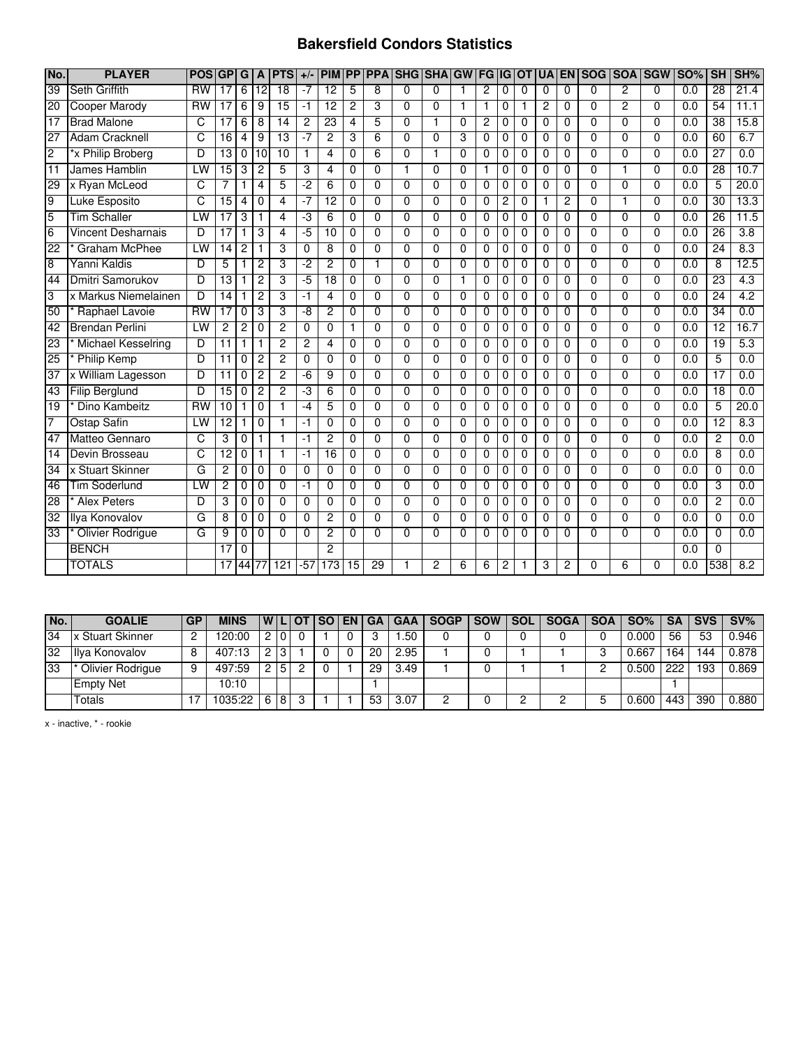## **Bakersfield Condors Statistics**

| No.             | <b>PLAYER</b>             | <b>POSIGP</b>  |                 | G              | A              | <b>PTS</b>      | $+/-$       | <b>PIM</b>      | <b>PP</b>       | <b>PPA</b>     | <b>SHG</b>     | <b>SHA</b>     | <b>GW</b>      |                |   | <b>FGIGIOT</b> | <b>UA</b>      |                | <b>EN SOG</b>  | <b>SOA SGW</b> |                | <b>SO%</b> | <b>SH</b>       | SH%  |
|-----------------|---------------------------|----------------|-----------------|----------------|----------------|-----------------|-------------|-----------------|-----------------|----------------|----------------|----------------|----------------|----------------|---|----------------|----------------|----------------|----------------|----------------|----------------|------------|-----------------|------|
| $\overline{39}$ | <b>Seth Griffith</b>      | <b>RW</b>      | 17              | 6              | 12             | 18              | $-7$        | $\overline{12}$ | 5               | 8              | $\Omega$       | $\Omega$       | $\overline{1}$ | $\overline{2}$ | 0 | $\Omega$       | $\Omega$       | $\Omega$       | $\Omega$       | $\overline{2}$ | $\mathbf{0}$   | 0.0        | $\overline{28}$ | 21.4 |
| 20              | Cooper Marody             | <b>RW</b>      | 17              | 6              | 9              | 15              | -1          | $\overline{12}$ | 2               | 3              | $\Omega$       | $\Omega$       | $\overline{1}$ | 1              | 0 | 1              | $\overline{c}$ | $\Omega$       | 0              | $\overline{c}$ | $\Omega$       | 0.0        | 54              | 11.1 |
| $\overline{17}$ | <b>Brad Malone</b>        | C              | 17              | 6              | 8              | 14              | 2           | $\overline{23}$ | 4               | 5              | 0              | 1              | $\Omega$       | 2              | 0 | 0              | 0              | $\Omega$       | $\Omega$       | $\mathbf{0}$   | 0              | 0.0        | $\overline{38}$ | 15.8 |
| 27              | <b>Adam Cracknell</b>     | $\overline{C}$ | $\overline{16}$ | 4              | 9              | $\overline{13}$ | $-7$        | $\overline{2}$  | 3               | 6              | $\Omega$       | $\Omega$       | 3              | 0              | 0 | $\Omega$       | $\mathbf 0$    | $\Omega$       | $\Omega$       | $\Omega$       | $\Omega$       | 0.0        | 60              | 6.7  |
| $\overline{2}$  | *x Philip Broberg         | D              | $\overline{13}$ | 0              | 10             | 10              | 1           | 4               | $\Omega$        | 6              | $\Omega$       |                | $\Omega$       | 0              | 0 | $\Omega$       | 0              | $\Omega$       | 0              | $\Omega$       | $\Omega$       | 0.0        | $\overline{27}$ | 0.0  |
| 11              | James Hamblin             | LW             | 15              | 3              | $\overline{2}$ | 5               | 3           | 4               | 0               | $\Omega$       |                | $\Omega$       | $\Omega$       |                | 0 | 0              | 0              | 0              | 0              | 1              | $\Omega$       | 0.0        | 28              | 10.7 |
| 29              | x Ryan McLeod             | c              |                 |                | $\overline{4}$ | 5               | -2          | 6               | $\overline{0}$  | $\overline{0}$ | $\overline{0}$ | $\overline{0}$ | $\Omega$       | 0              | 0 | $\Omega$       | $\overline{0}$ | $\overline{0}$ | $\overline{0}$ | $\overline{0}$ | $\overline{0}$ | 0.0        | 5               | 20.0 |
| $\overline{9}$  | <b>Luke Esposito</b>      | C              | $\overline{15}$ | 4              | $\mathbf 0$    | 4               | $-7$        | $\overline{12}$ | $\mathbf 0$     | $\mathbf{0}$   | $\Omega$       | $\Omega$       | $\Omega$       | $\mathbf 0$    | 2 | 0              | 1              | $\overline{2}$ | 0              | $\mathbf{1}$   | $\Omega$       | 0.0        | $\overline{30}$ | 13.3 |
| 5               | <b>Tim Schaller</b>       | LW             | 17              | 3              | $\mathbf{1}$   | 4               | د.          | 6               | $\mathbf 0$     | $\Omega$       | 0              | $\mathbf{0}$   | $\Omega$       | 0              | 0 | $\Omega$       | 0              | $\mathbf 0$    | $\Omega$       | $\mathbf 0$    | $\Omega$       | 0.0        | $\overline{26}$ | 11.5 |
| 6               | <b>Vincent Desharnais</b> | D              | $\overline{17}$ |                | 3              | 4               | $-5$        | $\overline{10}$ | $\Omega$        | $\Omega$       | 0              | $\Omega$       | $\Omega$       | 0              | 0 | $\Omega$       | 0              | $\Omega$       | $\Omega$       | $\Omega$       | $\Omega$       | 0.0        | 26              | 3.8  |
| 22              | <b>Graham McPhee</b>      | LW             | 14              | $\overline{c}$ | $\mathbf{1}$   | 3               | $\Omega$    | 8               | $\Omega$        | $\mathbf{0}$   | $\Omega$       | $\Omega$       | $\Omega$       | $\Omega$       | 0 | $\Omega$       | $\Omega$       | $\Omega$       | $\Omega$       | $\Omega$       | $\Omega$       | 0.0        | 24              | 8.3  |
| 8               | Yanni Kaldis              | D              | 5               | 1              | $\overline{c}$ | 3               | -2          | $\overline{c}$  | 0               | 1              | $\Omega$       | $\Omega$       | $\Omega$       | $\Omega$       | 0 | $\Omega$       | 0              | $\Omega$       | $\Omega$       | $\Omega$       | 0              | 0.0        | 8               | 12.5 |
| 44              | Dmitri Samorukov          | D              | 13              | 1              | $\overline{c}$ | 3               | $-5$        | 18              | $\mathbf 0$     | $\Omega$       | 0              | $\Omega$       | $\mathbf{1}$   | 0              | 0 | 0              | 0              | 0              | $\Omega$       | 0              | $\Omega$       | 0.0        | $\overline{23}$ | 4.3  |
| 3               | x Markus Niemelainen      | D              | $\overline{14}$ | 1              | $\overline{2}$ | 3               | -1          | $\overline{4}$  | $\Omega$        | $\overline{0}$ | $\overline{0}$ | $\overline{0}$ | $\Omega$       | $\overline{0}$ | 0 | 0              | $\Omega$       | $\Omega$       | $\overline{0}$ | $\overline{0}$ | $\overline{0}$ | 0.0        | 24              | 4.2  |
| 50              | Raphael Lavoie            | <b>RW</b>      | 17              | 0              | 3              | 3               | $-8$        | 2               | $\Omega$        | $\overline{0}$ | $\overline{0}$ | $\overline{0}$ | $\Omega$       | 0              | 0 | $\Omega$       | 0              | $\overline{0}$ | $\overline{0}$ | $\overline{0}$ | $\overline{0}$ | 0.0        | 34              | 0.0  |
| $\overline{42}$ | <b>Brendan Perlini</b>    | LW             | 2               | 2              | 0              | 2               | 0           | 0               | 1               | 0              | 0              | $\Omega$       | 0              | 0              | 0 | 0              | 0              | $\mathbf 0$    | 0              | 0              | $\Omega$       | 0.0        | 12              | 16.7 |
| 23              | <b>Michael Kesselring</b> | D              | 11              | 1              | $\overline{1}$ | 2               | 2           | $\overline{4}$  | $\Omega$        | $\mathbf{0}$   | $\Omega$       | $\Omega$       | $\Omega$       | 0              | 0 | $\Omega$       | $\Omega$       | $\Omega$       | $\Omega$       | $\Omega$       | $\Omega$       | 0.0        | 19              | 5.3  |
| $\overline{25}$ | <b>Philip Kemp</b>        | D              | 11              | $\Omega$       | $\overline{c}$ | $\overline{2}$  | $\Omega$    | $\Omega$        | $\Omega$        | $\Omega$       | $\Omega$       | $\Omega$       | $\Omega$       | 0              | 0 | $\Omega$       | 0              | $\Omega$       | $\Omega$       | $\Omega$       | $\Omega$       | 0.0        | 5               | 0.0  |
| 37              | x William Lagesson        | D              | 11              | $\Omega$       | $\overline{c}$ | 2               | $-6$        | 9               | $\mathbf 0$     | $\Omega$       | $\Omega$       | $\Omega$       | $\Omega$       | 0              | 0 | 0              | 0              | $\Omega$       | $\Omega$       | $\Omega$       | $\Omega$       | 0.0        | $\overline{17}$ | 0.0  |
| 43              | <b>Filip Berglund</b>     | D              | $\overline{15}$ | $\Omega$       | $\overline{c}$ | $\overline{2}$  | د.          | 6               | $\Omega$        | $\Omega$       | $\Omega$       | $\Omega$       | $\Omega$       | $\Omega$       | 0 | $\Omega$       | $\Omega$       | $\Omega$       | $\Omega$       | $\Omega$       | 0              | 0.0        | $\overline{18}$ | 0.0  |
| 19              | Dino Kambeitz             | $\n  RW\n$     | 10              | 1              | $\mathbf 0$    |                 | $-4$        | 5               | 0               | $\Omega$       | $\Omega$       | $\Omega$       | $\Omega$       | 0              | 0 | $\Omega$       | 0              | $\Omega$       | $\Omega$       | $\Omega$       | $\Omega$       | 0.0        | 5               | 20.0 |
| 7               | Ostap Safin               | LW             | 12              |                | 0              | 1               | -1          | $\Omega$        | 0               | 0              | $\Omega$       | $\Omega$       | $\Omega$       | 0              | 0 | 0              | 0              | 0              | $\Omega$       | $\Omega$       | $\Omega$       | 0.0        | 12              | 8.3  |
| 47              | Matteo Gennaro            | C              | 3               | 0              | $\mathbf{1}$   | 1               | -1          | $\overline{c}$  | $\overline{0}$  | $\Omega$       | $\Omega$       | $\Omega$       | $\Omega$       | $\Omega$       | 0 | $\Omega$       | $\Omega$       | $\Omega$       | $\overline{0}$ | $\overline{0}$ | $\overline{0}$ | 0.0        | $\overline{2}$  | 0.0  |
| $\overline{14}$ | Devin Brosseau            | С              | $\overline{12}$ | 0              | $\mathbf{1}$   |                 | $-1$        | $\overline{16}$ | $\mathbf 0$     | $\Omega$       | $\Omega$       | $\Omega$       | $\Omega$       | 0              | 0 | $\Omega$       | 0              | $\Omega$       | $\Omega$       | $\Omega$       | $\Omega$       | 0.0        | 8               | 0.0  |
| $\overline{34}$ | x Stuart Skinner          | G              | 2               | 0              | $\mathbf 0$    | $\Omega$        | 0           | $\Omega$        | $\mathbf 0$     | 0              | $\Omega$       | $\Omega$       | $\Omega$       | $\mathbf 0$    | 0 | 0              | 0              | 0              | 0              | $\mathbf 0$    | 0              | 0.0        | 0               | 0.0  |
| 46              | <b>Tim Soderlund</b>      | LW             | $\overline{2}$  | 0              | $\theta$       | $\Omega$        | -1          | $\Omega$        | $\overline{0}$  | $\overline{0}$ | $\Omega$       | $\Omega$       | $\Omega$       | $\Omega$       | 0 | $\Omega$       | $\Omega$       | $\Omega$       | $\overline{0}$ | $\overline{0}$ | $\Omega$       | 0.0        | 3               | 0.0  |
| 28              | <b>Alex Peters</b>        | D              | 3               | 0              | $\mathbf 0$    | $\Omega$        | $\Omega$    | $\Omega$        | 0               | $\Omega$       | $\Omega$       | $\Omega$       | $\Omega$       | 0              | 0 | 0              | 0              | $\Omega$       | $\Omega$       | $\Omega$       | $\Omega$       | 0.0        | $\overline{c}$  | 0.0  |
| 32              | Ilya Konovalov            | G              | 8               | 0              | $\mathbf 0$    | $\Omega$        | $\mathbf 0$ | $\overline{c}$  | 0               | $\mathbf 0$    | 0              | $\mathbf 0$    | 0              | $\mathbf 0$    | 0 | 0              | 0              | $\mathbf 0$    | 0              | $\mathbf 0$    | 0              | 0.0        | 0               | 0.0  |
| 33              | <b>Olivier Rodrigue</b>   | G              | 9               | 0              | $\Omega$       | $\Omega$        | $\Omega$    | $\overline{2}$  | $\overline{0}$  | $\Omega$       | $\Omega$       | $\Omega$       | $\Omega$       | $\Omega$       | 0 | $\Omega$       | $\Omega$       | $\Omega$       | $\Omega$       | $\Omega$       | $\Omega$       | 0.0        | $\Omega$        | 0.0  |
|                 | <b>BENCH</b>              |                | 17              | 0              |                |                 |             | $\overline{2}$  |                 |                |                |                |                |                |   |                |                |                |                |                |                | 0.0        | $\Omega$        |      |
|                 | <b>TOTALS</b>             |                | 17              | 44             |                | 121             | -57         | 173             | $\overline{15}$ | 29             |                | 2              | 6              | 6              | 2 |                | 3              | 2              | U              | 6              | N              | 0.0        | 538             | 8.2  |

| No. | <b>GOALIE</b>           | <b>GP</b> | <b>MINS</b> |            |                |   |  | <b>IWILIOTISO EN GA</b> | GAA I | <b>SOGP</b> | <b>SOW</b> | <b>SOL</b> | <b>SOGA</b> | <b>SOA</b> | $SO\%$ | <b>SA</b> | <b>SVS</b> | $SV\%$ |
|-----|-------------------------|-----------|-------------|------------|----------------|---|--|-------------------------|-------|-------------|------------|------------|-------------|------------|--------|-----------|------------|--------|
| 34  | <b>x Stuart Skinner</b> |           | 120:00      |            | $2\mid 0$      |   |  |                         | .50   |             |            |            |             |            | 0.000  | 56        | 53         | 0.946  |
| 32  | Ilya Konovalov          |           | 407:13      | $2 \mid 3$ |                |   |  | 20                      | 2.95  |             |            |            |             |            | 0.667  | 164.      | 144        | 0.878  |
| 33  | Olivier Rodrigue        |           | 497:59      | ົ          | $\overline{5}$ |   |  | 29                      | 3.49  |             |            |            |             |            | 0.500  | 222       | 193        | 0.869  |
|     | <b>Empty Net</b>        |           | 10:10       |            |                |   |  |                         |       |             |            |            |             |            |        |           |            |        |
|     | Totals                  |           | 1035:22     | 681        |                | 3 |  | 53                      | 3.07  |             |            |            |             |            | 0.600  | 443       | 390        | 0.880  |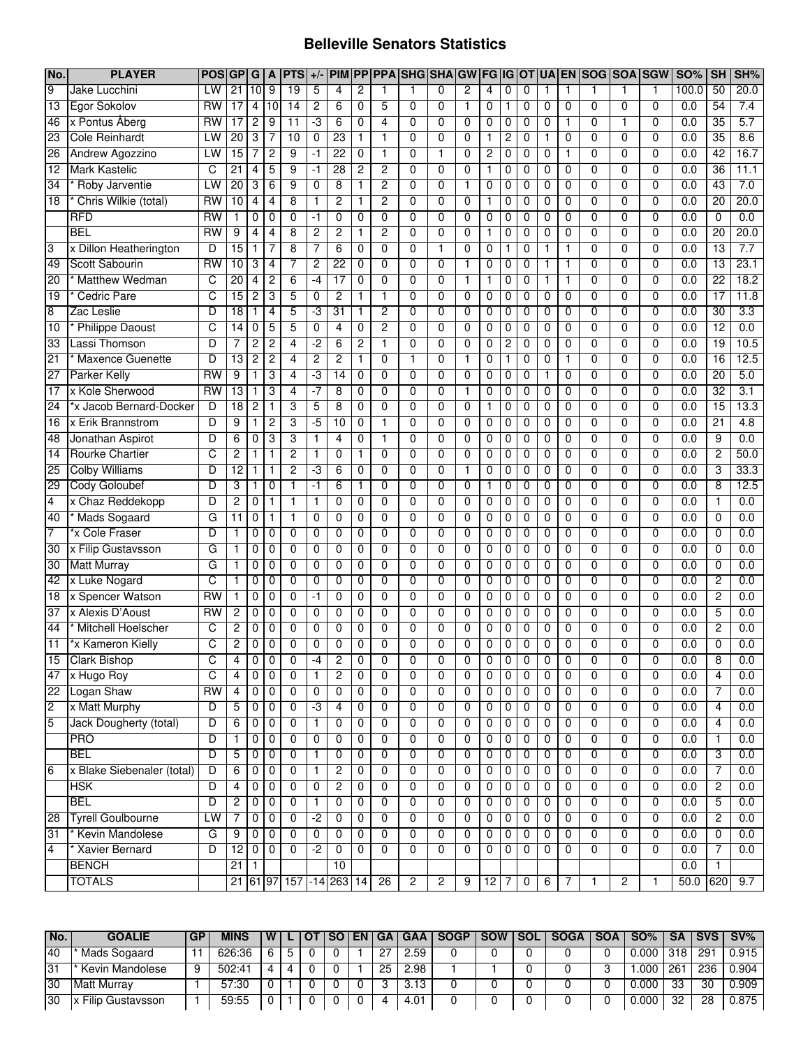### **Belleville Senators Statistics**

| No.             | <b>PLAYER</b>                 | <b>POSGPG</b>   |                 |                  | A              | <b>PTS</b>               | $+/-$          |                 |                |                 | <b>PIM PP PPA SHG SHA GW</b> |                |                | FG IG OT       |                |                |                |                | UA EN SOG SOA SGW |                |                | <b>SO%</b>       | <b>SH</b>       | SH%  |
|-----------------|-------------------------------|-----------------|-----------------|------------------|----------------|--------------------------|----------------|-----------------|----------------|-----------------|------------------------------|----------------|----------------|----------------|----------------|----------------|----------------|----------------|-------------------|----------------|----------------|------------------|-----------------|------|
| 9               | Jake Lucchini                 | LW              | $\overline{21}$ | 10 <sup>19</sup> |                | 19                       | 5              | 4               | 2              | 1               | 1                            | $\Omega$       | $\overline{c}$ | 4              | 0              | $\mathbf 0$    | 1              | 1              | 1                 | 1              | 1              | 100.0            | 50              | 20.0 |
| $\overline{13}$ | Egor Sokolov                  | RW              | $\overline{17}$ | 4                | 10             | 14                       | 2              | 6               | 0              | 5               | $\mathbf 0$                  | $\Omega$       | 1              | 0              | $\mathbf{1}$   | 0              | 0              | $\mathbf 0$    | $\mathbf 0$       | $\mathbf 0$    | $\mathbf 0$    | 0.0              | 54              | 7.4  |
| 46              | x Pontus Åberg                | RW              | $\overline{17}$ | 2                | 9              | 11                       | ٠3             | 6               | 0              | 4               | $\mathbf 0$                  | $\Omega$       | 0              | 0              | 0              | $\mathbf 0$    | 0              | 1              | $\mathbf 0$       | 1              | 0              | 0.0              | $\overline{35}$ | 5.7  |
| 23              | <b>Cole Reinhardt</b>         | LW              | 20              | 3                | 7              | 10                       | $\mathbf 0$    | 23              | 1              | 1               | $\mathbf 0$                  | $\Omega$       | 0              | 1              | 2              | 0              | 1              | 0              | $\mathbf 0$       | $\mathbf 0$    | $\mathbf 0$    | 0.0              | $\overline{35}$ | 8.6  |
| 26              | Andrew Agozzino               | LW              | 15              | 7                | $\overline{2}$ | 9                        | $-1$           | 22              | $\mathbf 0$    | 1               | $\overline{0}$               | 1              | $\overline{0}$ | $\overline{2}$ | $\overline{0}$ | $\overline{0}$ | 0              | 1              | $\overline{0}$    | $\overline{0}$ | $\overline{0}$ | 0.0              | 42              | 16.7 |
| $\overline{12}$ | <b>Mark Kastelic</b>          | C               | 21              | 4                | 5              | 9                        | -1             | 28              | 2              | 2               | $\overline{0}$               | $\overline{0}$ | $\overline{0}$ | 1              | $\overline{0}$ | $\overline{0}$ | 0              | $\overline{0}$ | $\overline{0}$    | $\overline{0}$ | $\overline{0}$ | 0.0              | 36              | 11.1 |
| 34              | Roby Jarventie                | LW              | 20              | 3                | 6              | 9                        | $\mathbf 0$    | 8               | 1              | 2               | $\overline{0}$               | $\overline{0}$ | 1              | $\overline{0}$ | $\overline{0}$ | $\overline{0}$ | 0              | 0              | $\overline{0}$    | $\overline{0}$ | $\overline{0}$ | 0.0              | 43              | 7.0  |
| $\overline{18}$ | Chris Wilkie (total)          | RW              | 10              | 4                | $\overline{4}$ | 8                        | $\mathbf{1}$   | $\overline{c}$  | 1              | $\overline{2}$  | $\overline{0}$               | $\Omega$       | 0              | 1              | 0              | $\mathbf 0$    | 0              | 0              | 0                 | $\mathbf 0$    | $\mathbf 0$    | 0.0              | $\overline{20}$ | 20.0 |
|                 | <b>RFD</b>                    | $\overline{RW}$ | 1               | 0                | 0              | 0                        | $-1$           | $\mathbf 0$     | $\mathbf{0}$   | $\overline{0}$  | $\overline{0}$               | $\Omega$       | 0              | 0              | 0              | 0              | 0              | 0              | 0                 | $\overline{0}$ | $\mathbf 0$    | 0.0              | 0               | 0.0  |
|                 | <b>BEL</b>                    | $\overline{RW}$ | 9               | 4                | $\overline{4}$ | 8                        | $\overline{c}$ | $\overline{c}$  | 1              | $\overline{2}$  | 0                            | $\Omega$       | 0              | 1              | 0              | $\mathbf 0$    | 0              | 0              | 0                 | $\mathbf 0$    | $\mathbf 0$    | 0.0              | $\overline{20}$ | 20.0 |
| 3               | x Dillon Heatherington        | D               | $\overline{15}$ | 1                | 7              | 8                        | 7              | 6               | 0              | $\mathbf 0$     | $\overline{0}$               | 1              | 0              | 0              | $\mathbf{1}$   | 0              | $\mathbf{1}$   | 1              | 0                 | $\mathbf 0$    | $\mathbf 0$    | 0.0              | $\overline{13}$ | 7.7  |
| 49              | Scott Sabourin                | RW              | 10              | 3                | 4              | 7                        | $\overline{2}$ | $\overline{22}$ | $\mathbf 0$    | $\mathbf 0$     | $\overline{0}$               | $\Omega$       | 1              | 0              | 0              | $\mathbf 0$    | 1              | $\mathbf{1}$   | 0                 | $\overline{0}$ | $\mathbf 0$    | 0.0              | $\overline{13}$ | 23.1 |
| 20              | <b>Matthew Wedman</b>         | C               | $\overline{20}$ | 4                | 2              | 6                        | $-4$           | $\overline{17}$ | $\mathbf 0$    | $\mathbf 0$     | 0                            | 0              | 1              | 1              | 0              | 0              | 1              | 1              | 0                 | $\mathbf 0$    | $\mathbf 0$    | 0.0              | $\overline{22}$ | 18.2 |
| 19              | <b>Cedric Pare</b>            | C               | 15              | 2                | 3              | 5                        | 0              | $\overline{2}$  | 1              | 1               | $\overline{0}$               | $\overline{0}$ | $\overline{0}$ | $\overline{0}$ | 0              | $\overline{0}$ | 0              | $\overline{0}$ | $\overline{0}$    | $\overline{0}$ | $\overline{0}$ | 0.0              | 17              | 11.8 |
| $\overline{8}$  | Zac Leslie                    | D               | 18              | 1                | $\overline{4}$ | 5                        | -3             | 31              | 1              | 2               | $\overline{0}$               | $\overline{0}$ | $\overline{0}$ | $\overline{0}$ | 0              | $\overline{0}$ | 0              | $\overline{0}$ | $\overline{0}$    | $\overline{0}$ | $\overline{0}$ | 0.0              | 30              | 3.3  |
| 10              | <b>Philippe Daoust</b>        | C               | 14              | 0                | 5              | 5                        | 0              | $\overline{4}$  | $\mathbf 0$    | $\overline{c}$  | 0                            | $\Omega$       | 0              | 0              | 0              | 0              | 0              | $\mathbf 0$    | $\mathbf 0$       | $\mathbf 0$    | $\mathbf 0$    | 0.0              | $\overline{12}$ | 0.0  |
| 33              | Lassi Thomson                 | D               | 7               | 2                | $\overline{c}$ | 4                        | $-2$           | 6               | $\overline{c}$ | 1               | 0                            | 0              | 0              | 0              | 2              | 0              | 0              | $\mathbf{0}$   | $\mathbf 0$       | $\mathbf 0$    | $\mathbf 0$    | $\overline{0.0}$ | 19              | 10.5 |
| 21              | <b>Maxence Guenette</b>       | D               | $\overline{13}$ | 2                | $\overline{c}$ | 4                        | $\overline{2}$ | $\overline{c}$  | 1              | $\mathbf 0$     | $\overline{1}$               | $\Omega$       | $\mathbf{1}$   | 0              | $\mathbf{1}$   | 0              | 0              | $\mathbf{1}$   | $\mathbf 0$       | $\overline{0}$ | $\mathbf 0$    | $\overline{0.0}$ | 16              | 12.5 |
| 27              | <b>Parker Kelly</b>           | $\overline{RW}$ | 9               | 1                | 3              | 4                        | ٠3             | $\overline{14}$ | 0              | $\mathbf 0$     | 0                            | $\Omega$       | 0              | 0              | 0              | 0              | $\mathbf{1}$   | $\mathbf 0$    | $\Omega$          | $\mathbf 0$    | $\mathbf 0$    | 0.0              | $\overline{20}$ | 5.0  |
| 17              | x Kole Sherwood               | $\overline{RW}$ | 13              | 1                | 3              | 4                        | -7             | 8               | 0              | $\mathbf 0$     | 0                            | $\Omega$       | $\mathbf{1}$   | 0              | 0              | 0              | 0              | $\mathbf{0}$   | $\mathbf 0$       | $\mathbf 0$    | $\mathbf 0$    | 0.0              | 32              | 3.1  |
| 24              | *x Jacob Bernard-Docker       | D               | $\overline{18}$ | $\overline{c}$   | 1              | 3                        | 5              | 8               | $\mathbf 0$    | $\mathbf 0$     | $\overline{0}$               | 0              | 0              | $\mathbf{1}$   | 0              | 0              | 0              | $\mathbf{0}$   | $\overline{0}$    | $\overline{0}$ | $\mathbf 0$    | $\overline{0.0}$ | 15              | 13.3 |
| 16              | x Erik Brannstrom             | D               | 9               | 1                | 2              | 3                        | -5             | 10              | $\mathbf 0$    | 1               | $\overline{0}$               | $\overline{0}$ | $\overline{0}$ | $\overline{0}$ | 0              | $\mathbf 0$    | $\overline{0}$ | $\Omega$       | $\overline{0}$    | $\overline{0}$ | $\overline{0}$ | 0.0              | 21              | 4.8  |
| 48              | Jonathan Aspirot              | D               | 6               | 0                | 3              | 3                        | 1              | $\overline{4}$  | $\mathbf 0$    | 1               | $\overline{0}$               | $\overline{0}$ | $\overline{0}$ | $\overline{0}$ | 0              | 0              | $\overline{0}$ | 0              | $\overline{0}$    | $\overline{0}$ | $\overline{0}$ | 0.0              | 9               | 0.0  |
| 14              | <b>Rourke Chartier</b>        | C               | 2               | 1                | 1              | 2                        | 1              | $\overline{0}$  | 1              | $\overline{0}$  | $\overline{0}$               | $\overline{0}$ | $\overline{0}$ | $\overline{0}$ | 0              | $\mathbf 0$    | $\overline{0}$ | $\Omega$       | $\overline{0}$    | $\overline{0}$ | $\overline{0}$ | 0.0              | $\overline{2}$  | 50.0 |
| 25              | <b>Colby Williams</b>         | D               | $\overline{12}$ | 1                | 1              | 2                        | ٠3             | 6               | $\mathbf 0$    | 0               | $\mathbf{0}$                 | $\mathbf{0}$   |                | 0              | 0              | $\mathbf 0$    | 0              | 0              | $\Omega$          | 0              | 0              | 0.0              | 3               | 33.3 |
| 29              | <b>Cody Goloubef</b>          | D               | 3               | 1                | 0              | 1                        | $-1$           | 6               | 1              | $\mathbf 0$     | $\mathbf{0}$                 | $\mathbf{0}$   | 0              | 1              | 0              | $\mathbf 0$    | 0              | 0              | 0                 | 0              | 0              | $\overline{0.0}$ | 8               | 12.5 |
| $\overline{4}$  | x Chaz Reddekopp              | D               | 2               | 0                | 1              |                          | 1              | 0               | $\mathbf 0$    | $\mathbf 0$     | $\mathbf{0}$                 | $\mathbf{0}$   | 0              | 0              | 0              | $\mathbf 0$    | 0              | $\Omega$       | $\Omega$          | 0              | 0              | 0.0              | 1               | 0.0  |
| 40              | * Mads Sogaard                | G               | 11              | 0                | 1              |                          | $\mathbf 0$    | 0               | $\mathbf 0$    | 0               | $\mathbf{0}$                 | $\mathbf{0}$   | 0              | 0              | 0              | $\mathbf 0$    | 0              | $\Omega$       | 0                 | 0              | 0              | 0.0              | 0               | 0.0  |
| $\overline{7}$  | *x Cole Fraser                | D               |                 | 0                | 0              | 0                        | $\mathbf 0$    | 0               | $\mathbf 0$    | 0               | $\mathbf{0}$                 | $\mathbf{0}$   | 0              | 0              | 0              | $\mathbf 0$    | 0              | 0              | 0                 | 0              | 0              | $\overline{0.0}$ | 0               | 0.0  |
| 30              | x Filip Gustavsson            | G               |                 | 0                | 0              | 0                        | $\mathbf 0$    | $\Omega$        | $\mathbf 0$    | $\Omega$        | $\overline{0}$               | $\overline{0}$ | $\overline{0}$ | 0              | 0              | 0              | 0              | $\Omega$       | $\overline{0}$    | $\overline{0}$ | $\overline{0}$ | 0.0              | 0               | 0.0  |
| 30              | <b>Matt Murray</b>            | G               |                 | 0                | 0              | 0                        | $\mathbf 0$    | $\Omega$        | $\mathbf 0$    | $\Omega$        | $\overline{0}$               | $\Omega$       | 0              | 0              | 0              | 0              | 0              | $\Omega$       | $\overline{0}$    | $\overline{0}$ | $\Omega$       | 0.0              | 0               | 0.0  |
| 42              | x Luke Nogard                 | C               |                 | 0                | 0              | 0                        | $\mathbf 0$    | 0               | $\mathbf 0$    | $\Omega$        | $\overline{0}$               | $\Omega$       | $\overline{0}$ | 0              | 0              | 0              | 0              | 0              | $\overline{0}$    | $\overline{0}$ | $\Omega$       | 0.0              | $\overline{2}$  | 0.0  |
| 18              | x Spencer Watson              | $\overline{RW}$ | 1               | 0                | 0              | 0                        | -1             | $\mathbf 0$     | $\mathbf 0$    | $\Omega$        | 0                            | $\Omega$       | 0              | 0              | 0              | $\mathbf 0$    | 0              | $\Omega$       | $\Omega$          | $\mathbf 0$    | $\Omega$       | 0.0              | $\overline{2}$  | 0.0  |
| 37              | x Alexis D'Aoust              | RW              | 2               | 0                | $\mathbf 0$    | $\Omega$                 | $\mathbf 0$    | $\mathbf 0$     | $\mathbf 0$    | $\mathbf 0$     | 0                            | $\Omega$       | 0              | 0              | 0              | $\mathbf 0$    | 0              | $\Omega$       | $\Omega$          | 0              | $\Omega$       | 0.0              | 5               | 0.0  |
| 44              | * Mitchell Hoelscher          | C               | $\overline{c}$  | 0                | $\mathbf 0$    | $\Omega$                 | $\mathbf 0$    | $\mathbf 0$     | $\mathbf 0$    | $\mathbf 0$     | 0                            | $\Omega$       | $\mathbf 0$    | 0              | 0              | $\mathbf 0$    | 0              | $\Omega$       | $\Omega$          | $\mathbf 0$    | $\Omega$       | 0.0              | $\overline{2}$  | 0.0  |
| 11              | *x Kameron Kielly             | C               | 2               | 0                | 0              | 0                        | $\mathbf 0$    | 0               | $\mathbf 0$    | 0               | $\mathbf{0}$                 | 0              | 0              | 0              | 0              | 0              | 0              | 0              | 0                 | 0              | 0              | 0.0              | 0               | 0.0  |
|                 | 15 Clark Bishop               | C               |                 | $\overline{0}$   | $\overline{0}$ | 0                        | -4             | $\overline{2}$  | 0              | 0               | $\overline{0}$               | $\overline{0}$ | 0              | 0              | $\overline{0}$ | $\overline{0}$ | $\overline{0}$ | 0              | $\overline{0}$    | 0              | $\overline{0}$ | 0.0              | 8               | 0.0  |
| 47              | x Hugo Roy                    | C               | 4               | 0                | $\mathbf 0$    | 0                        | $\mathbf{1}$   | $\overline{c}$  | 0              | $\mathbf 0$     | 0                            | 0              | 0              | 0              | 0              | 0              | 0              | 0              | $\mathbf 0$       | $\mathbf 0$    | 0              | 0.0              | 4               | 0.0  |
|                 | 22 Logan Shaw                 | RW              | $\overline{4}$  |                  | 0 <sub>0</sub> | 0                        | 0              | $\overline{0}$  | $\mathbf 0$    | 0               | $\overline{0}$               | 0              | $\overline{0}$ | $\overline{0}$ | 0              | $\overline{0}$ | 0              | 0              | $\overline{0}$    | $\overline{0}$ | 0              | 0.0              | 7               | 0.0  |
| $\overline{c}$  | x Matt Murphy                 | D               | 5               |                  | 0 <sub>0</sub> | 0                        | -3             | 4               | 0              | 0               | 0                            | 0              | 0              | 0              | 0              | 0              | 0              | 0              | $\overline{0}$    | 0              | 0              | 0.0              | 4               | 0.0  |
| $5\overline{)}$ | Jack Dougherty (total)        | D               | 6               |                  | 0 <sub>0</sub> | 0                        | 1              | 0               | $\mathbf 0$    | 0               | 0                            | $\mathbf 0$    | $\mathbf 0$    | 0              | 0              | $\mathbf 0$    | 0              | 0              | $\mathbf 0$       | $\mathbf 0$    | 0              | 0.0              | $\overline{4}$  | 0.0  |
|                 | <b>PRO</b>                    | D               | 1               | $\overline{0}$   | $\mathbf 0$    | 0                        | 0              | 0               | $\mathbf 0$    | 0               | 0                            | 0              | $\mathbf 0$    | 0              | 0              | 0              | 0              | 0              | $\mathbf 0$       | $\mathbf 0$    | 0              | 0.0              | 1               | 0.0  |
|                 | <b>BEL</b>                    | D               | 5               | $\overline{0}$   | $\mathbf 0$    | 0                        | 1              | 0               | 0              | 0               | 0                            | 0              | $\mathbf 0$    | 0              | 0              | $\mathbf 0$    | 0              | 0              | $\mathbf 0$       | $\mathbf 0$    | 0              | 0.0              | 3               | 0.0  |
| $6\overline{6}$ | x Blake Siebenaler (total)    | D               | 6               | 0                | $\mathbf 0$    | 0                        | $\mathbf{1}$   | $\overline{c}$  | 0              | 0               | 0                            | 0              | 0              | 0              | 0              | $\mathbf 0$    | 0              | 0              | $\mathbf 0$       | $\mathbf 0$    | 0              | 0.0              | 7               | 0.0  |
|                 | <b>HSK</b>                    | D               | $\overline{4}$  | $\mathbf 0$      | $\mathbf 0$    | 0                        | 0              | $\overline{2}$  | $\mathbf 0$    | 0               | 0                            | 0              | 0              | 0              | 0              | $\mathbf 0$    | 0              | 0              | $\mathbf 0$       | $\mathbf 0$    | 0              | 0.0              | $\overline{2}$  | 0.0  |
|                 | <b>BEL</b>                    | D               | $\overline{2}$  | $\overline{0}$   | $\mathbf 0$    | 0                        | $\mathbf{1}$   | 0               | 0              | 0               | $\mathbf 0$                  | 0              | 0              | 0              | 0              | $\mathbf 0$    | 0              | 0              | $\mathbf 0$       | $\mathbf 0$    | 0              | 0.0              | 5               | 0.0  |
| 28              | <b>Tyrell Goulbourne</b>      | LW              | $\overline{7}$  | $\overline{0}$   | $\overline{0}$ | 0                        | $-2$           | 0               | 0              | 0               | $\overline{0}$               | $\overline{0}$ | 0              | $\overline{0}$ | 0              | $\overline{0}$ | 0              | 0              | $\overline{0}$    | $\overline{0}$ | 0              | 0.0              | $\overline{2}$  | 0.0  |
| 31              | * Kevin Mandolese             | G               | 9               | $\overline{0}$   | $\mathbf 0$    | 0                        | 0              | 0               | 0              | $\mathbf 0$     | $\overline{0}$               | $\overline{0}$ | 0              | $\overline{0}$ | 0              | $\overline{0}$ | 0              | 0              | $\overline{0}$    | $\overline{0}$ | 0              | 0.0              | $\overline{0}$  | 0.0  |
| 4               | * Xavier Bernard              | D               | 12<br>21        |                  | $0$ 0          | 0                        | $-2$           | 0               | 0              | $\overline{0}$  | $\overline{0}$               | $\overline{0}$ | 0              | $\overline{0}$ | $\overline{0}$ | $\overline{0}$ | 0              | 0              | $\overline{0}$    | $\overline{0}$ | 0              | 0.0              | 7               | 0.0  |
|                 | <b>BENCH</b><br><b>TOTALS</b> |                 |                 | $\mathbf{1}$     |                |                          |                | 10              |                |                 |                              |                |                |                |                |                |                |                |                   | $\overline{2}$ |                | 0.0              | $\mathbf{1}$    | 9.7  |
|                 |                               |                 |                 |                  |                | 21 61 97 157 - 14 263 14 |                |                 |                | $\overline{26}$ | $\overline{c}$               | 2              | 9              | 12             | 7              | $\mathbf 0$    | 6              | 7              | 1                 |                | $\mathbf{1}$   | 50.0             | 620             |      |

| No. | <b>GOALIE</b>      | <b>GP</b> | <b>MINS</b> | W |   | I OT I SO I EN | GA | I GAA | <b>SOGP</b> | <b>SOW</b> | <b>ISOL</b> | <b>SOGA</b> | ∣SOA | SO%   | <b>SA</b> |     | <b>SVS SV%</b> |
|-----|--------------------|-----------|-------------|---|---|----------------|----|-------|-------------|------------|-------------|-------------|------|-------|-----------|-----|----------------|
| 40  | Mads Sogaard       |           | 626:36      | 6 | 5 |                |    | 2.59  |             |            |             |             |      | 0.000 | 318       | 291 | 0.915          |
| 31  | Kevin Mandolese    |           | 502:41      | 4 | Д |                | 25 | 2.98  |             |            |             |             |      | .000  | 261       | 236 | 0.904          |
| 30  | <b>Matt Murray</b> |           | 57:30       |   |   |                |    | 3.13  |             |            |             |             |      | 0.000 | 33        | 30  | 0.909          |
| 30  | x Filip Gustavsson |           | 59:55       |   |   |                |    | 4.01  |             |            |             |             |      | 0.000 | 32        | 28  | 0.875          |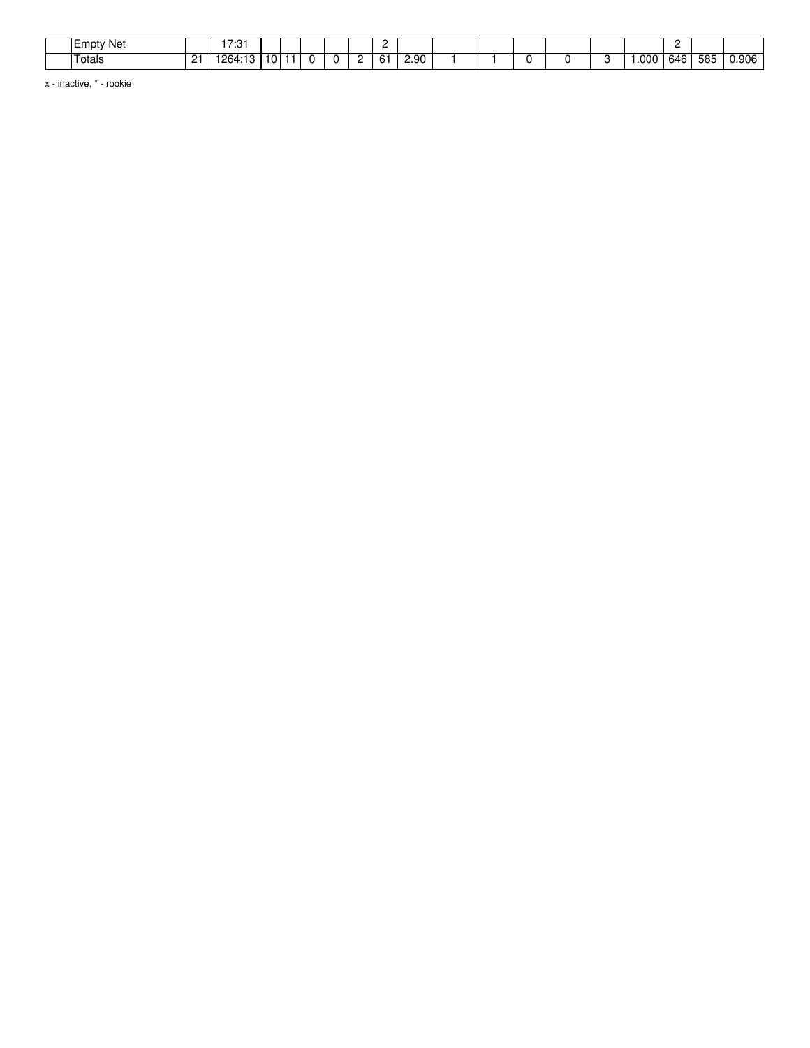| ⊺Empty Net    |                | 17.04<br>ن. |   |  |  | -  |                |  |  |      |     |     |       |
|---------------|----------------|-------------|---|--|--|----|----------------|--|--|------|-----|-----|-------|
| . .<br>⊺otals | 21<br><u>_</u> | 1264.13     | v |  |  | 61 | 2.90<br>$\sim$ |  |  | .000 | 646 | 585 | 0.906 |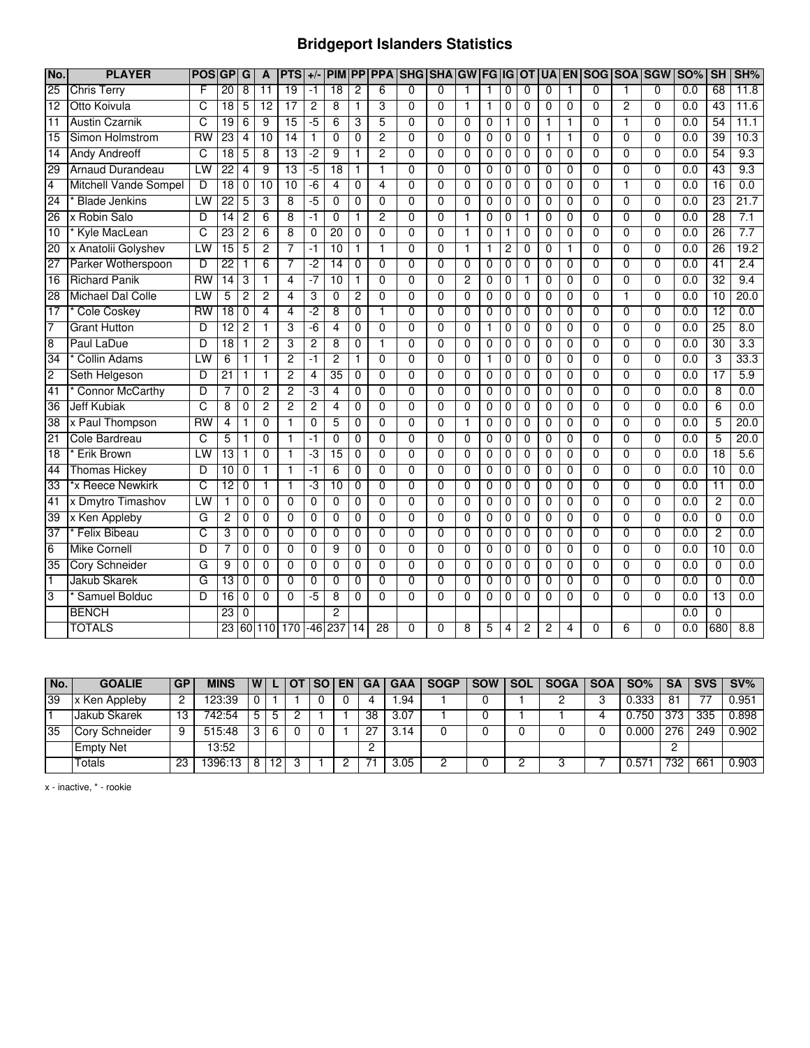## **Bridgeport Islanders Statistics**

| No.             | <b>PLAYER</b>                | <b>POS</b>      | GP              | G              | A               | <b>PTS</b>      | $+/-$          | <b>PIM</b>      | PP             | <b>PPA</b>     | <b>SHG SHA</b> |                | <b>GW FG IG</b> |                |                | <b>OT</b>      | <b>UA</b>      |                | <b>EN SOG SOA SGW</b> |                |                | <b>SO%</b>       | <b>SH</b>       | SH%              |
|-----------------|------------------------------|-----------------|-----------------|----------------|-----------------|-----------------|----------------|-----------------|----------------|----------------|----------------|----------------|-----------------|----------------|----------------|----------------|----------------|----------------|-----------------------|----------------|----------------|------------------|-----------------|------------------|
| $\overline{25}$ | <b>Chris Terry</b>           | E               | 20              | 8              | 11              | 19              | $-1$           | $\overline{18}$ | 2              | 6              | $\Omega$       | $\Omega$       |                 | 1              | 0              | 0              | $\Omega$       | 1              | $\Omega$              | 1              | $\Omega$       | 0.0              | 68              | 11.8             |
| $\overline{12}$ | Otto Koivula                 | C               | $\overline{18}$ | 5              | $\overline{12}$ | $\overline{17}$ | 2              | 8               | 1              | 3              | 0              | $\Omega$       | 1               | 1              | 0              | 0              | 0              | $\Omega$       | $\Omega$              | 2              | 0              | 0.0              | $\overline{43}$ | 11.6             |
| $\overline{11}$ | <b>Austin Czarnik</b>        | C               | $\overline{19}$ | 6              | 9               | $\overline{15}$ | $-5$           | 6               | 3              | 5              | 0              | $\Omega$       | 0               | 0              | 1              | 0              | 1              | 1              | $\Omega$              | 1              | 0              | 0.0              | 54              | 11.1             |
| $\overline{15}$ | Simon Holmstrom              | RW              | $\overline{23}$ | 4              | 10              | 14              | $\mathbf{1}$   | 0               | $\Omega$       | $\overline{2}$ | $\Omega$       | $\Omega$       | 0               | 0              | 0              | 0              | 1              | 1              | $\Omega$              | $\Omega$       | $\Omega$       | $\overline{0.0}$ | 39              | 10.3             |
| $\overline{14}$ | <b>Andy Andreoff</b>         | C               | 18              | 5              | 8               | 13              | -2             | 9               | 1              | 2              | $\overline{0}$ | $\Omega$       | $\overline{0}$  | $\overline{0}$ | 0              | 0              | $\overline{0}$ | 0              | $\Omega$              | $\overline{0}$ | $\Omega$       | 0.0              | 54              | 9.3              |
| 29              | Arnaud Durandeau             | LW              | 22              | 4              | 9               | 13              | -5             | 18              |                | 1              | 0              | $\overline{0}$ | $\overline{0}$  | $\overline{0}$ | 0              | 0              | $\overline{0}$ | 0              | $\overline{0}$        | $\overline{0}$ | $\overline{0}$ | 0.0              | 43              | 9.3              |
| 4               | <b>Mitchell Vande Sompel</b> | D               | 18              | $\overline{0}$ | 10              | 10              | $-6$           | 4               | $\overline{0}$ | 4              | $\overline{0}$ | $\overline{0}$ | $\overline{0}$  | $\overline{0}$ | $\overline{0}$ | $\overline{0}$ | $\overline{0}$ | $\overline{0}$ | $\overline{0}$        | 1              | $\overline{0}$ | 0.0              | 16              | 0.0              |
| 24              | <b>Blade Jenkins</b>         | LW              | 22              | 5              | 3               | $\overline{8}$  | $-5$           | $\overline{0}$  | $\overline{0}$ | $\overline{0}$ | $\overline{0}$ | $\overline{0}$ | $\overline{0}$  | $\overline{0}$ | $\overline{0}$ | $\overline{0}$ | $\overline{0}$ | $\overline{0}$ | $\overline{0}$        | $\overline{0}$ | $\overline{0}$ | 0.0              | 23              | 21.7             |
| 26              | x Robin Salo                 | $\overline{D}$  | 14              | $\overline{2}$ | 6               | 8               | $-1$           | $\Omega$        | 1              | $\overline{2}$ | $\overline{0}$ | $\mathbf{0}$   | 1               | 0              | $\mathbf 0$    | 1              | $\Omega$       | $\Omega$       | $\Omega$              | $\Omega$       | $\overline{0}$ | 0.0              | 28              | 7.1              |
| 10              | Kyle MacLean                 | C               | $\overline{23}$ | 2              | 6               | 8               | 0              | $\overline{20}$ | $\Omega$       | $\mathbf{0}$   | 0              | $\Omega$       | 1               | 0              | 1              | 0              | $\mathbf{0}$   | $\Omega$       | $\Omega$              | $\Omega$       | $\Omega$       | $\overline{0.0}$ | 26              | 7.7              |
| 20              | x Anatolii Golyshev          | LW              | $\overline{15}$ | 5              | 2               | 7               | $-1$           | $\overline{10}$ | $\mathbf{1}$   | 1              | 0              | $\mathbf{0}$   | $\mathbf{1}$    | $\mathbf{1}$   | 2              | 0              | $\mathbf{0}$   | $\mathbf{1}$   | $\mathbf{0}$          | 0              | $\Omega$       | $\overline{0.0}$ | 26              | 19.2             |
| 27              | Parker Wotherspoon           | D               | $\overline{22}$ |                | 6               | 7               | $-2$           | 14              | $\theta$       | $\Omega$       | $\overline{0}$ | $\Omega$       | $\Omega$        | 0              | 0              | 0              | $\mathbf{0}$   | $\Omega$       | $\mathbf{0}$          | $\mathbf{0}$   | $\Omega$       | 0.0              | 41              | 2.4              |
| 16              | <b>Richard Panik</b>         | $\overline{RN}$ | $\overline{14}$ | 3              | $\mathbf{1}$    | 4               | -7             | 10              | 1              | $\overline{0}$ | 0              | $\Omega$       | $\overline{2}$  | 0              | 0              | 1              | 0              | $\mathbf 0$    | $\Omega$              | $\mathbf 0$    | $\Omega$       | 0.0              | 32              | 9.4              |
| 28              | <b>Michael Dal Colle</b>     | LW              | 5               | 2              | 2               | 4               | 3              | $\overline{0}$  | 2              | $\overline{0}$ | $\overline{0}$ | $\overline{0}$ | $\overline{0}$  | $\overline{0}$ | 0              | 0              | $\overline{0}$ | $\overline{0}$ | $\overline{0}$        | 1              | $\overline{0}$ | 0.0              | 10              | 20.0             |
| 17              | <b>Cole Coskey</b>           | <b>RW</b>       | 18              | $\overline{0}$ | $\overline{4}$  | $\overline{4}$  | -2             | 8               | $\overline{0}$ | 1              | $\overline{0}$ | $\overline{0}$ | $\overline{0}$  | $\overline{0}$ | $\overline{0}$ | $\overline{0}$ | $\overline{0}$ | $\overline{0}$ | $\overline{0}$        | $\overline{0}$ | $\overline{0}$ | 0.0              | $\overline{12}$ | 0.0              |
| 7               | <b>Grant Hutton</b>          | D               | 12              | $\overline{2}$ | 1               | 3               | -6             | 4               | $\mathbf 0$    | $\overline{0}$ | $\overline{0}$ | $\Omega$       | 0               | 1              | 0              | 0              | $\mathbf{0}$   | $\Omega$       | $\Omega$              | 0              | $\Omega$       | $\overline{0.0}$ | $\overline{25}$ | 8.0              |
| 8               | Paul LaDue                   | D               | $\overline{18}$ | 1              | $\overline{c}$  | 3               | 2              | 8               | 0              | 1              | 0              | $\Omega$       | 0               | 0              | 0              | 0              | 0              | 0              | $\Omega$              | 0              | $\Omega$       | 0.0              | $\overline{30}$ | 3.3              |
| 34              | <b>Collin Adams</b>          | LW              | 6               |                | 1               | $\overline{2}$  | -1             | 2               |                | $\mathbf{0}$   | 0              | $\mathbf{0}$   | 0               | 1              | 0              | 0              | $\mathbf 0$    | $\mathbf 0$    | $\mathbf{0}$          | $\mathbf 0$    | $\Omega$       | $\overline{0.0}$ | 3               | 33.3             |
| $\overline{2}$  | Seth Helgeson                | D               | $\overline{21}$ | 1              | $\mathbf{1}$    | $\overline{2}$  | 4              | 35              | $\mathbf 0$    | $\overline{0}$ | $\overline{0}$ | $\mathbf{0}$   | 0               | 0              | 0              | 0              | $\mathbf 0$    | $\mathbf 0$    | $\mathbf{0}$          | 0              | $\Omega$       | $\overline{0.0}$ | 17              | 5.9              |
| 41              | <b>Connor McCarthy</b>       | D               | 7               | $\Omega$       | $\overline{2}$  | $\overline{2}$  | -3             | 4               | $\mathbf{0}$   | $\Omega$       | 0              | $\Omega$       | $\Omega$        | 0              | 0              | $\Omega$       | $\mathbf{0}$   | $\mathbf{0}$   | $\mathbf{0}$          | $\Omega$       | 0              | 0.0              | 8               | $\overline{0.0}$ |
| $\overline{36}$ | <b>Jeff Kubiak</b>           | C               | 8               | 0              | $\overline{2}$  | $\overline{2}$  | 2              | 4               | $\Omega$       | $\mathbf{0}$   | 0              | $\mathbf{0}$   | 0               | 0              | 0              | 0              | $\mathbf{0}$   | $\mathbf 0$    | $\mathbf{0}$          | $\Omega$       | $\Omega$       | 0.0              | 6               | $\overline{0.0}$ |
| 38              | x Paul Thompson              | <b>RW</b>       | 4               |                | $\overline{0}$  | 1               | 0              | 5               | $\overline{0}$ | $\overline{0}$ | $\overline{0}$ | $\overline{0}$ | 1               | $\overline{0}$ | 0              | 0              | $\overline{0}$ | $\overline{0}$ | $\overline{0}$        | $\overline{0}$ | $\overline{0}$ | 0.0              | 5               | 20.0             |
| 21              | Cole Bardreau                | C               | 5               | 1              | $\overline{0}$  | 1               | $-1$           | $\overline{0}$  | $\overline{0}$ | $\overline{0}$ | $\overline{0}$ | $\overline{0}$ | $\overline{0}$  | $\overline{0}$ | $\overline{0}$ | $\overline{0}$ | $\overline{0}$ | $\overline{0}$ | $\overline{0}$        | $\overline{0}$ | $\overline{0}$ | 0.0              | 5               | 20.0             |
| 18              | <b>Erik Brown</b>            | LW              | 13              |                | 0               | 1               | -3             | 15              | $\overline{0}$ | $\overline{0}$ | $\overline{0}$ | $\overline{0}$ | $\overline{0}$  | $\overline{0}$ | $\overline{0}$ | $\overline{0}$ | $\overline{0}$ | $\overline{0}$ | $\overline{0}$        | $\overline{0}$ | $\overline{0}$ | 0.0              | 18              | 5.6              |
| 44              | <b>Thomas Hickey</b>         | D               | $\overline{10}$ | 0              | 1               | $\mathbf{1}$    | $-1$           | $\overline{6}$  | $\mathbf 0$    | $\Omega$       | $\overline{0}$ | $\Omega$       | $\overline{0}$  | 0              | $\overline{0}$ | 0              | $\mathbf{0}$   | $\mathbf 0$    | $\Omega$              | 0              | $\overline{0}$ | 0.0              | 10              | 0.0              |
| 33              | *x Reece Newkirk             | C               | 12              | 0              | $\mathbf{1}$    | $\mathbf{1}$    | -3             | 10              | $\mathbf 0$    | $\mathbf{0}$   | 0              | $\mathbf{0}$   | 0               | 0              | 0              | 0              | $\mathbf 0$    | $\mathbf 0$    | $\mathbf 0$           | 0              | $\Omega$       | 0.0              | $\overline{11}$ | 0.0              |
| 41              | x Dmytro Timashov            | LW              | $\mathbf{1}$    | 0              | $\Omega$        | $\Omega$        | $\Omega$       | $\Omega$        | $\Omega$       | $\overline{0}$ | $\overline{0}$ | $\overline{0}$ | $\overline{0}$  | $\Omega$       | $\Omega$       | $\Omega$       | $\mathbf{0}$   | $\overline{0}$ | $\Omega$              | $\overline{0}$ | $\overline{0}$ | 0.0              | $\overline{2}$  | 0.0              |
| 39              | x Ken Appleby                | G               | $\overline{c}$  | 0              | $\Omega$        | $\Omega$        | $\Omega$       | $\Omega$        | $\Omega$       | $\Omega$       | $\Omega$       | $\Omega$       | $\Omega$        | 0              | 0              | 0              | $\Omega$       | $\Omega$       | $\Omega$              | $\Omega$       | 0              | 0.0              | 0               | 0.0              |
| 37              | <b>Felix Bibeau</b>          | C               | 3               | $\mathbf 0$    | 0               | $\Omega$        | 0              | $\mathbf 0$     | $\mathbf 0$    | $\mathbf{0}$   | 0              | $\mathbf{0}$   | 0               | 0              | 0              | 0              | 0              | 0              | $\Omega$              | $\mathbf 0$    | $\Omega$       | $\overline{0.0}$ | $\overline{2}$  | 0.0              |
| 6               | <b>Mike Cornell</b>          | D               |                 | 0              | 0               | 0               | 0              | 9               | 0              | $\overline{0}$ | $\overline{0}$ | $\overline{0}$ | $\overline{0}$  | $\overline{0}$ | 0              | 0              | 0              | 0              | $\overline{0}$        | $\overline{0}$ | $\overline{0}$ | 0.0              | 10              | 0.0              |
| 35              | <b>Cory Schneider</b>        | G               | 9               | $\overline{0}$ | $\overline{0}$  | $\overline{0}$  | 0              | $\overline{0}$  | $\overline{0}$ | $\overline{0}$ | $\overline{0}$ | $\overline{0}$ | $\overline{0}$  | $\overline{0}$ | $\overline{0}$ | $\overline{0}$ | $\overline{0}$ | $\overline{0}$ | $\overline{0}$        | $\overline{0}$ | $\overline{0}$ | 0.0              | $\overline{0}$  | 0.0              |
| ī               | Jakub Skarek                 | G               | 13              | 0              | 0               | 0               | $\overline{0}$ | $\overline{0}$  | 0              | $\overline{0}$ | $\overline{0}$ | $\overline{0}$ | $\overline{0}$  | 0              | $\overline{0}$ | 0              | 0              | 0              | $\overline{0}$        | $\overline{0}$ | $\overline{0}$ | 0.0              | $\overline{0}$  | 0.0              |
| 3               | Samuel Bolduc                | D               | $\overline{16}$ | 0              | $\Omega$        | $\Omega$        | $-5$           | 8               | $\Omega$       | $\Omega$       | $\Omega$       | $\Omega$       | $\Omega$        | $\Omega$       | $\Omega$       | $\Omega$       | $\Omega$       | $\Omega$       | $\Omega$              | $\Omega$       | $\Omega$       | 0.0              | $\overline{13}$ | 0.0              |
|                 | <b>BENCH</b>                 |                 | $\overline{23}$ | 0              |                 |                 |                | 2               |                |                |                |                |                 |                |                |                |                |                |                       |                |                | 0.0              | 0               |                  |
|                 | <b>TOTALS</b>                |                 | 23              |                | 60 110          | 170             | -46            | 237             | 14             | 28             | U              | <sup>0</sup>   | 8               | 5              | 4              | 2              | $\overline{c}$ | 4              | O                     | 6              | ŋ              | 0.0              | 680             | $\overline{8.8}$ |

| No.             | <b>GOALIE</b>    | <b>GP</b> | <b>MINS</b> |     |    | SO I | EN | GA | <b>GAA</b> | <b>SOGP</b> | <b>SOW</b> | <b>SOL</b> | <b>SOGA</b> | <b>SOA</b> | $SO\%$         | <b>SA</b> | <b>SVS</b> | $\mathsf{S}V\%$ |
|-----------------|------------------|-----------|-------------|-----|----|------|----|----|------------|-------------|------------|------------|-------------|------------|----------------|-----------|------------|-----------------|
| $\overline{39}$ | x Ken Appleby    | 2         | 123:39      |     |    |      |    |    | .94        |             |            |            |             |            | 0.333          | 81        |            | 0.951           |
|                 | Jakub Skarek     | 13        | 742:54      | 5   | 5  |      |    | 38 | 3.07       |             |            |            |             |            | 0.750          | 373       | 335        | 0.898           |
| 35              | Cory Schneider   | 9         | 515:48      | . 3 |    |      |    | 27 | 14         |             |            |            |             |            | 0.000          | 276       | 249        | 0.902           |
|                 | <b>Empty Net</b> |           | 13:52       |     |    |      |    |    |            |             |            |            |             |            |                |           |            |                 |
|                 | Totals           | 23        | 396:13      | 8   | 12 |      |    |    | 3.05       |             |            |            |             |            | $0.57^{\circ}$ | 732       | 661        | 0.903           |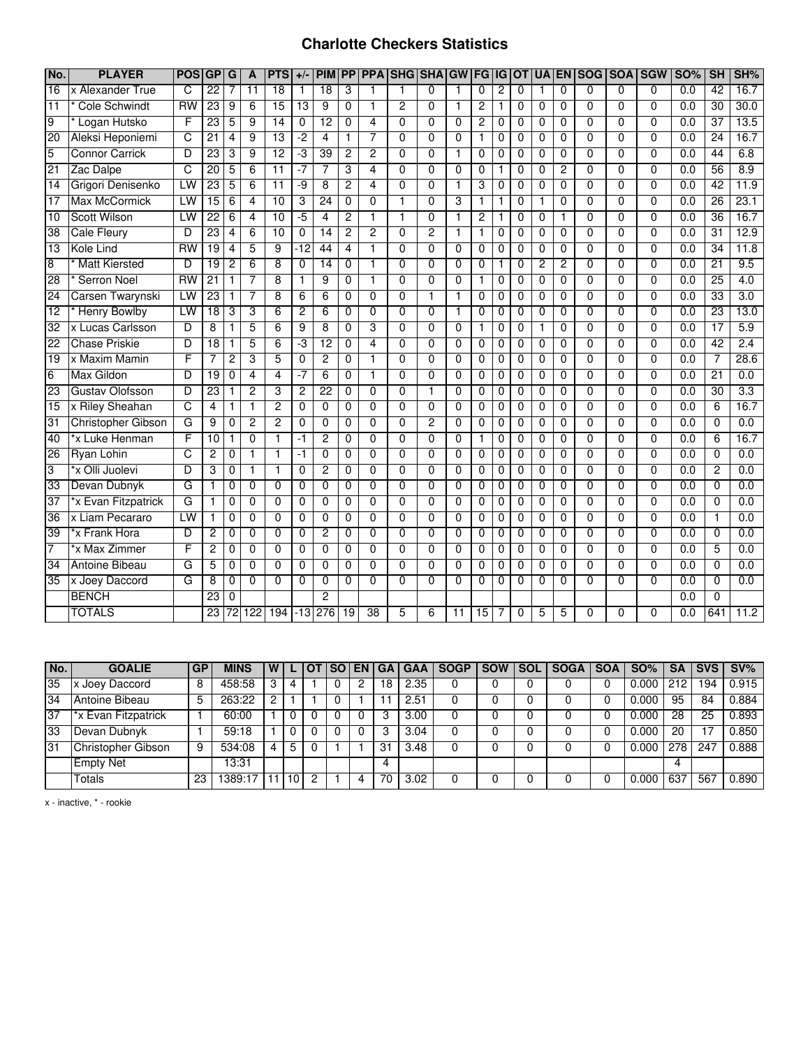#### **Charlotte Checkers Statistics**

| No.             | <b>PLAYER</b>          | <b>POS</b>      | GP G            |                 | A               | <b>PTS</b>      | $+/-$           | <b>PIM</b>      |                | <b>PPIPPA</b>   | <b>SHG SHA GW</b> |                |                | <b>FG IG</b>    |                | <b>OT</b>      |                | <b>UA EN</b>   |                |                | SOG SOA SGW    | <b>SO%</b>       | SH              | SH%  |
|-----------------|------------------------|-----------------|-----------------|-----------------|-----------------|-----------------|-----------------|-----------------|----------------|-----------------|-------------------|----------------|----------------|-----------------|----------------|----------------|----------------|----------------|----------------|----------------|----------------|------------------|-----------------|------|
| 16              | x Alexander True       | C               | $\overline{22}$ | 7               | $\overline{11}$ | 18              | 1               | $\overline{18}$ | 3              | 1               | 1                 | $\Omega$       | 1              | $\mathbf 0$     | $\overline{c}$ | $\Omega$       | 1              | $\Omega$       | $\Omega$       | 0              | $\Omega$       | 0.0              | 42              | 16.7 |
| 11              | <b>Cole Schwindt</b>   | $\overline{RW}$ | 23              | 9               | 6               | $\overline{15}$ | $\overline{13}$ | $\overline{9}$  | $\overline{0}$ | $\overline{1}$  | $\overline{2}$    | $\overline{0}$ | $\mathbf{1}$   | $\overline{2}$  | $\mathbf{1}$   | $\overline{0}$ | $\mathbf 0$    | $\Omega$       | $\overline{0}$ | $\overline{0}$ | $\Omega$       | $\overline{0.0}$ | $\overline{30}$ | 30.0 |
| $\overline{9}$  | Logan Hutsko           | F               | 23              | 5               | 9               | 14              | $\Omega$        | 12              | 0              | 4               | $\Omega$          | $\overline{0}$ | $\Omega$       | 2               | 0              | $\mathbf 0$    | 0              | 0              | $\Omega$       | $\Omega$       | $\Omega$       | 0.0              | 37              | 13.5 |
| 20              | Aleksi Heponiemi       | Շ               | $\overline{21}$ | 4               | 9               | 13              | $-2$            | $\overline{4}$  | 1              | 7               | $\Omega$          | $\overline{0}$ | $\overline{0}$ | $\mathbf{1}$    | 0              | $\Omega$       | $\Omega$       | 0              | $\Omega$       | 0              | $\mathbf{0}$   | 0.0              | $\overline{24}$ | 16.7 |
| 5               | <b>Connor Carrick</b>  | D               | 23              | 3               | 9               | 12              | -3              | 39              | 2              | $\overline{2}$  | $\Omega$          | $\overline{0}$ | 1              | 0               | 0              | 0              | 0              | 0              | $\overline{0}$ | $\overline{0}$ | $\Omega$       | 0.0              | 44              | 6.8  |
| 21              | Zac Dalpe              | C               | 20              | 5               | 6               | $\overline{11}$ | -7              | 7               | 3              | 4               | $\overline{0}$    | $\overline{0}$ | $\overline{0}$ | $\overline{0}$  | 1              | 0              | 0              | 2              | $\overline{0}$ | $\overline{0}$ | $\overline{0}$ | 0.0              | 56              | 8.9  |
| $\overline{14}$ | Grigori Denisenko      | LW              | 23              | 5               | 6               | $\overline{11}$ | -9              | 8               | 2              | 4               | $\Omega$          | $\overline{0}$ | 1              | 3               | 0              | 0              | 0              | 0              | 0              | 0              | 0              | 0.0              | 42              | 11.9 |
| $\overline{17}$ | <b>Max McCormick</b>   | LW              | 15              | 6               | 4               | 10              | 3               | 24              | 0              | 0               | $\mathbf{1}$      | 0              | 3              | 1               | 1              | $\Omega$       |                | $\Omega$       | $\Omega$       | 0              | $\Omega$       | 0.0              | 26              | 23.1 |
| $\overline{10}$ | <b>Scott Wilson</b>    | LW              | $\overline{22}$ | 6               | 4               | $\overline{10}$ | $-5$            | $\overline{4}$  | 2              | $\mathbf{1}$    | $\mathbf{1}$      | $\mathbf 0$    | $\mathbf{1}$   | 2               | 1              | 0              | 0              | 1              | $\mathbf{0}$   | 0              | $\Omega$       | 0.0              | 36              | 16.7 |
| 38              | <b>Cale Fleury</b>     | D               | 23              | $\overline{4}$  | 6               | 10              | $\overline{0}$  | $\overline{14}$ | 2              | $\overline{2}$  | $\overline{0}$    | $\overline{2}$ | $\mathbf{1}$   | $\mathbf{1}$    | 0              | 0              | 0              | $\overline{0}$ | $\overline{0}$ | $\overline{0}$ | $\overline{0}$ | 0.0              | 31              | 12.9 |
| 13              | Kole Lind              | <b>RW</b>       | 19              | 4               | 5               | $\overline{9}$  | $-12$           | 44              | 4              | 1               | $\Omega$          | $\mathbf 0$    | $\Omega$       | $\mathbf 0$     | 0              | 0              | 0              | 0              | $\mathbf 0$    | 0              | $\Omega$       | 0.0              | 34              | 11.8 |
| $\overline{8}$  | <b>Matt Kiersted</b>   | D               | 19              | $\overline{c}$  | 6               | $\overline{8}$  | $\Omega$        | $\overline{14}$ | $\mathbf 0$    | $\mathbf{1}$    | $\mathbf{0}$      | $\Omega$       | $\mathbf{0}$   | $\mathbf 0$     | 1              | 0              | $\overline{2}$ | $\overline{2}$ | $\Omega$       | $\Omega$       | $\Omega$       | 0.0              | $\overline{21}$ | 9.5  |
| 28              | Serron Noel            | RW              | $\overline{21}$ | 1               | 7               | 8               | 1               | 9               | 0              | 1               | 0                 | $\mathbf 0$    | 0              | $\mathbf{1}$    | 0              | 0              | 0              | 0              | $\mathbf 0$    | 0              | 0              | 0.0              | 25              | 4.0  |
| 24              | Carsen Twarynski       | LW              | 23              | 1               | 7               | 8               | 6               | 6               | 0              | $\overline{0}$  | $\overline{0}$    | 1              | 1              | 0               | 0              | $\Omega$       | $\mathbf 0$    | $\overline{0}$ | $\overline{0}$ | $\overline{0}$ | $\Omega$       | 0.0              | 33              | 3.0  |
| $\overline{12}$ | <b>Henry Bowlby</b>    | LW              | $\overline{18}$ | 3               | 3               | 6               | $\overline{2}$  | 6               | 0              | $\overline{0}$  | $\Omega$          | $\overline{0}$ | 1              | 0               | 0              | $\Omega$       | $\Omega$       | 0              | $\Omega$       | $\overline{0}$ | $\Omega$       | 0.0              | 23              | 13.0 |
| $\overline{32}$ | x Lucas Carlsson       | D               | 8               | 1               | 5               | 6               | 9               | 8               | 0              | 3               | $\mathbf{0}$      | $\Omega$       | $\Omega$       | 1               | 0              | $\Omega$       |                | $\Omega$       | $\Omega$       | 0              | $\mathbf{0}$   | 0.0              | $\overline{17}$ | 5.9  |
| $\overline{22}$ | <b>Chase Priskie</b>   | D               | 18              | 1               | 5               | 6               | د.              | $\overline{12}$ | 0              | 4               | $\Omega$          | $\mathbf 0$    | $\Omega$       | 0               | 0              | 0              | 0              | 0              | $\mathbf 0$    | $\Omega$       | $\Omega$       | $\overline{0.0}$ | 42              | 2.4  |
| 19              | x Maxim Mamin          | F               | $\overline{7}$  | $\overline{c}$  | 3               | $\overline{5}$  | $\mathbf 0$     | $\overline{2}$  | 0              | $\overline{1}$  | $\overline{0}$    | $\overline{0}$ | $\Omega$       | $\mathbf 0$     | $\mathbf 0$    | $\mathbf 0$    | $\mathbf 0$    | $\overline{0}$ | $\overline{0}$ | $\overline{0}$ | $\Omega$       | 0.0              | 7               | 28.6 |
| 6               | Max Gildon             | D               | 19              | $\mathbf 0$     | 4               | 4               | -7              | 6               | 0              | 1               | $\mathbf{0}$      | $\mathbf 0$    | $\Omega$       | $\mathbf 0$     | 0              | 0              | 0              | 0              | $\mathbf{0}$   | 0              | $\Omega$       | 0.0              | $\overline{21}$ | 0.0  |
| 23              | <b>Gustav Olofsson</b> | D               | 23              | 1               | $\overline{2}$  | 3               | $\overline{2}$  | $\overline{22}$ | $\Omega$       | $\Omega$        | $\mathbf{0}$      | $\mathbf{1}$   | $\Omega$       | $\Omega$        | 0              | $\Omega$       | $\Omega$       | 0              | $\Omega$       | $\Omega$       | $\Omega$       | 0.0              | $\overline{30}$ | 3.3  |
| $\overline{15}$ | x Riley Sheahan        | C               | 4               | 1               |                 | 2               | $\Omega$        | $\mathbf 0$     | $\mathbf 0$    | 0               | $\mathbf{0}$      | $\mathbf 0$    | $\Omega$       | $\mathbf 0$     | $\mathbf 0$    | $\mathbf{0}$   | 0              | 0              | $\Omega$       | 0              | $\mathbf{0}$   | 0.0              | 6               | 16.7 |
| 31              | Christopher Gibson     | G               | 9               | 0               | $\overline{2}$  | 2               | $\overline{0}$  | $\overline{0}$  | $\overline{0}$ | $\overline{0}$  | $\overline{0}$    | $\overline{2}$ | $\overline{0}$ | $\overline{0}$  | $\overline{0}$ | $\overline{0}$ | $\overline{0}$ | $\overline{0}$ | $\overline{0}$ | $\overline{0}$ | $\overline{0}$ | 0.0              | $\overline{0}$  | 0.0  |
| 40              | *x Luke Henman         | F               | $\overline{10}$ | 1               | 0               | 1               | -1              | 2               | 0              | 0               | $\Omega$          | $\overline{0}$ | 0              | 1               | 0              | 0              | 0              | 0              | $\Omega$       | $\overline{0}$ | $\Omega$       | 0.0              | 6               | 16.7 |
| 26              | <b>Ryan Lohin</b>      | C               | $\overline{2}$  | 0               |                 | 1               | -1              | 0               | 0              | 0               | $\Omega$          | $\overline{0}$ | $\Omega$       | $\mathbf 0$     | 0              | 0              | 0              | 0              | 0              | 0              | $\Omega$       | 0.0              | 0               | 0.0  |
| 3               | *x Olli Juolevi        | D               | 3               | 0               | 1               | 1               | 0               | 2               | 0              | 0               | $\mathbf 0$       | $\mathbf 0$    | 0              | 0               | 0              | 0              | 0              | 0              | 0              | 0              | 0              | 0.0              | 2               | 0.0  |
| 33              | Devan Dubnyk           | G               | 1               | 0               | $\mathbf 0$     | $\mathbf 0$     | $\mathbf 0$     | $\mathbf 0$     | 0              | $\overline{0}$  | $\Omega$          | $\mathbf 0$    | $\mathbf 0$    | $\mathbf 0$     | $\mathbf 0$    | $\mathbf 0$    | $\mathbf 0$    | 0              | $\overline{0}$ | 0              | $\mathbf 0$    | 0.0              | $\mathbf 0$     | 0.0  |
| 37              | *x Evan Fitzpatrick    | G               | $\mathbf{1}$    | 0               | 0               | $\Omega$        | $\Omega$        | $\Omega$        | 0              | $\Omega$        | $\Omega$          | $\Omega$       | $\Omega$       | $\mathbf 0$     | 0              | $\Omega$       | $\Omega$       | $\Omega$       | $\Omega$       | $\Omega$       | $\Omega$       | 0.0              | 0               | 0.0  |
| 36              | x Liam Pecararo        | $\overline{1W}$ | 1               | 0               | 0               | $\Omega$        | $\Omega$        | $\Omega$        | $\mathbf{0}$   | $\overline{0}$  | $\Omega$          | $\Omega$       | $\Omega$       | $\mathbf 0$     | 0              | $\mathbf{0}$   | 0              | $\Omega$       | $\Omega$       | $\Omega$       | $\Omega$       | 0.0              | 1               | 0.0  |
| 39              | *x Frank Hora          | D               | $\overline{c}$  | 0               | 0               | $\mathbf 0$     | $\mathbf 0$     | $\overline{2}$  | 0              | $\overline{0}$  | $\mathbf{0}$      | $\overline{0}$ | $\Omega$       | $\mathbf 0$     | 0              | $\mathbf 0$    | 0              | 0              | $\overline{0}$ | $\overline{0}$ | $\mathbf{0}$   | 0.0              | 0               | 0.0  |
| 7               | *x Max Zimmer          | F               | $\overline{2}$  | 0               | $\Omega$        | $\overline{0}$  | $\overline{0}$  | $\overline{0}$  | 0              | $\overline{0}$  | $\overline{0}$    | $\overline{0}$ | $\overline{0}$ | $\mathbf 0$     | 0              | $\Omega$       | $\mathbf 0$    | $\overline{0}$ | $\overline{0}$ | $\overline{0}$ | $\overline{0}$ | 0.0              | 5               | 0.0  |
| 34              | <b>Antoine Bibeau</b>  | G               | 5               | 0               | 0               | $\Omega$        | $\Omega$        | 0               | 0              | 0               | $\Omega$          | 0              | 0              | 0               | 0              | $\Omega$       | 0              | 0              | $\Omega$       | 0              | $\Omega$       | 0.0              | 0               | 0.0  |
| 35              | x Joey Daccord         | G               | 8               | 0               | 0               | 0               | 0               | 0               | 0              | $\overline{0}$  | $\Omega$          | $\overline{0}$ | $\Omega$       | 0               | $\Omega$       | $\Omega$       | 0              | 0              | $\Omega$       | 0              | $\Omega$       | 0.0              | 0               | 0.0  |
|                 | <b>BENCH</b>           |                 | 23              | $\Omega$        |                 |                 |                 | 2               |                |                 |                   |                |                |                 |                |                |                |                |                |                |                | 0.0              | $\mathbf 0$     |      |
|                 | <b>TOTALS</b>          |                 | $\overline{23}$ | $\overline{72}$ | 122             | 194             |                 | $-13$ 276       | 19             | $\overline{38}$ | 5                 | 6              | 11             | $\overline{15}$ |                | $\Omega$       | 5              | 5              | $\Omega$       | 0              | $\Omega$       | 0.0              | 641             | 11.2 |

| No.             | <b>GOALIE</b>       | <b>GP</b> | <b>MINS</b> |   |             | <b>SO</b> | EN I | GA | <b>GAA</b> | <b>SOGP</b> | <b>SOW</b> | <b>SOL</b> | <b>SOGA</b> | <b>SOA</b> | SO%   | <b>SA</b> | <b>SVS</b> | $SV\%$ |
|-----------------|---------------------|-----------|-------------|---|-------------|-----------|------|----|------------|-------------|------------|------------|-------------|------------|-------|-----------|------------|--------|
| 35              | x Joey Daccord      | 8         | 458:58      | 3 |             |           |      | '8 | 2.35       |             |            |            |             |            | 0.000 | 212       | ∣94        | 0.915  |
| $\overline{34}$ | Antoine Bibeau      | b         | 263:22      |   |             |           |      |    | 2.51       |             |            |            |             |            | 0.000 | 95        | 84         | 0.884  |
| 37              | *x Evan Fitzpatrick |           | 60:00       |   |             |           |      |    | 3.00       |             |            |            |             |            | 0.000 | 28        | 25         | 0.893  |
| 33              | Devan Dubnyk        |           | 59:18       |   |             |           |      |    | 3.04       |             |            |            |             |            | 0.000 | 20        |            | 0.850  |
| 31              | Christopher Gibson  | 9         | 534:08      |   | $\mathbf b$ |           |      | 31 | 3.48       |             |            |            |             |            | 0.000 | 278       | 247        | 0.888  |
|                 | <b>Empty Net</b>    |           | 13:31       |   |             |           |      |    |            |             |            |            |             |            |       |           |            |        |
|                 | Totals              | 23        | 389:17      |   |             |           |      | 70 | 3.02       |             |            |            |             |            | 0.000 | 637       | 567        | 0.890  |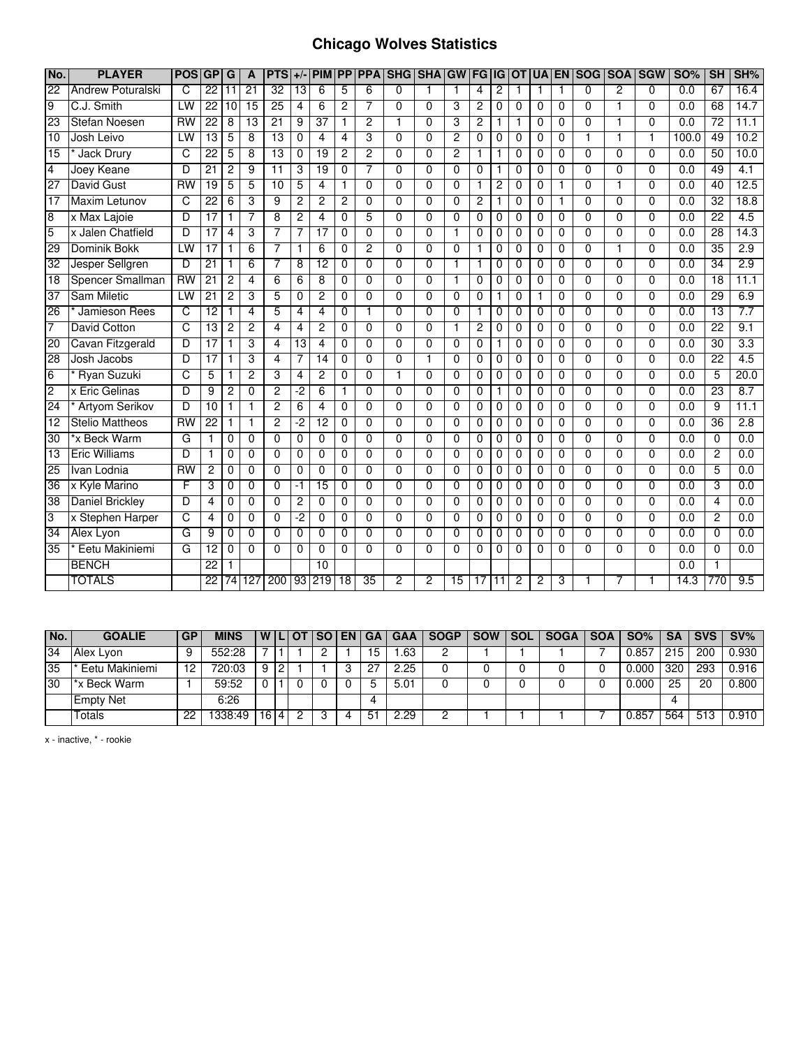## **Chicago Wolves Statistics**

| No.             | <b>PLAYER</b>            | <b>POS</b> | GP              | G               | A               | <b>PTS</b>      | $+/-$           | <b>PIM</b>      | <b>PP</b>      | <b>PPA</b>     | SHG SHA GW     |                |             | <b>FG</b>       | IG              | <b>OT</b>      | <b>UA</b>      |          | <b>EN SOG</b>  | <b>SOA</b>     | <b>SGW</b>     | <b>SO%</b> | <b>SH</b>       | SH%              |
|-----------------|--------------------------|------------|-----------------|-----------------|-----------------|-----------------|-----------------|-----------------|----------------|----------------|----------------|----------------|-------------|-----------------|-----------------|----------------|----------------|----------|----------------|----------------|----------------|------------|-----------------|------------------|
| $\overline{22}$ | <b>Andrew Poturalski</b> | ਟ          | $\overline{22}$ | $\overline{11}$ | 21              | 32              | 13              | 6               | 5              | 6              | $\Omega$       |                | $\mathbf 1$ | 4               | $\overline{2}$  | 1              | 1              | 1        | $\mathbf 0$    | $\overline{2}$ | $\Omega$       | 0.0        | 67              | 16.4             |
| $\overline{9}$  | C.J. Smith               | LW         | $\overline{22}$ | 10              | $\overline{15}$ | $\overline{25}$ | 4               | 6               | $\overline{2}$ | 7              | $\Omega$       | $\Omega$       | 3           | $\overline{c}$  | $\mathbf{0}$    | $\Omega$       | $\Omega$       | $\Omega$ | $\Omega$       | 1              | $\Omega$       | 0.0        | 68              | 14.7             |
| 23              | Stefan Noesen            | <b>RW</b>  | 22              | 8               | 13              | 21              | 9               | $\overline{37}$ | $\mathbf{1}$   | $\overline{c}$ | 1              | $\Omega$       | 3           | $\overline{c}$  | 1               | 1              | 0              | 0        | $\mathbf 0$    | 1              | $\Omega$       | 0.0        | 72              | 11.1             |
| 10              | Josh Leivo               | LW         | $\overline{13}$ | 5               | 8               | 13              | $\mathbf 0$     | 4               | 4              | 3              | $\Omega$       | 0              | 2           | 0               | 0               | $\mathbf 0$    | $\mathbf 0$    | 0        | 1              | 1              | 1              | 100.0      | 49              | 10.2             |
| 15              | <b>Jack Drury</b>        | c          | $\overline{22}$ | 5               | 8               | 13              | 0               | 19              | 2              | 2              | $\overline{0}$ | $\overline{0}$ | 2           | 1               | 1               | $\overline{0}$ | $\overline{0}$ | 0        | $\overline{0}$ | $\overline{0}$ | $\overline{0}$ | 0.0        | 50              | 10.0             |
| 4               | Joey Keane               | D          | $\overline{21}$ | 2               | 9               | $\overline{11}$ | 3               | 19              | $\Omega$       | 7              | $\Omega$       | $\Omega$       | $\Omega$    | 0               | 1               | $\Omega$       | $\Omega$       | $\Omega$ | $\overline{0}$ | $\Omega$       | $\Omega$       | 0.0        | 49              | 4.1              |
| 27              | <b>David Gust</b>        | <b>RW</b>  | $\overline{19}$ | 5               | 5               | 10              | 5               | 4               | $\mathbf{1}$   | $\overline{0}$ | $\overline{0}$ | $\overline{0}$ | $\Omega$    | 1               | $\overline{2}$  | $\Omega$       | $\Omega$       |          | $\overline{0}$ | 1              | $\overline{0}$ | 0.0        | 40              | 12.5             |
| 17              | <b>Maxim Letunov</b>     | C          | $\overline{22}$ | 6               | 3               | 9               | $\overline{c}$  | $\overline{c}$  | 2              | $\Omega$       | 0              | $\Omega$       | $\Omega$    | 2               | 1               | $\mathbf 0$    | $\mathbf 0$    | 1        | $\mathbf 0$    | 0              | $\Omega$       | 0.0        | $\overline{32}$ | 18.8             |
| 8               | x Max Lajoie             | D          | 17              | 1               | 7               | 8               | $\overline{c}$  | 4               | 0              | 5              | $\Omega$       | 0              | $\Omega$    | 0               | 0               | $\mathbf 0$    | $\mathbf 0$    | 0        | $\overline{0}$ | $\mathbf{0}$   | $\Omega$       | 0.0        | 22              | 4.5              |
| $\overline{5}$  | x Jalen Chatfield        | D          | 17              | 4               | 3               | 7               | 7               | $\overline{17}$ | $\mathbf 0$    | $\Omega$       | $\Omega$       | $\Omega$       | 1           | 0               | 0               | $\Omega$       | $\Omega$       | $\Omega$ | $\Omega$       | $\Omega$       | $\Omega$       | 0.0        | $\overline{28}$ | 14.3             |
| 29              | Dominik Bokk             | LW         | 17              | 1               | 6               | 7               | 1               | 6               | $\mathbf{0}$   | $\overline{2}$ | $\Omega$       | $\Omega$       | $\Omega$    | 1               | 0               | $\Omega$       | 0              | 0        | $\mathbf 0$    | 1              | $\Omega$       | 0.0        | 35              | 2.9              |
| 32              | Jesper Sellgren          | D          | $\overline{21}$ | 1               | 6               | 7               | 8               | 12              | 0              | $\mathbf 0$    | $\Omega$       | 0              | 1           | 1               | 0               | 0              | 0              | 0        | 0              | 0              | $\Omega$       | 0.0        | 34              | 2.9              |
| 18              | <b>Spencer Smallman</b>  | <b>RW</b>  | 21              | 2               | 4               | $\overline{6}$  | 6               | 8               | $\mathbf{0}$   | $\Omega$       | $\Omega$       | 0              | 1           | 0               | 0               | $\mathbf 0$    | 0              | 0        | $\overline{0}$ | $\Omega$       | $\Omega$       | 0.0        | $\overline{18}$ | 11.1             |
| 37              | Sam Miletic              | LW         | 21              | 2               | 3               | 5               | 0               | $\overline{2}$  | 0              | 0              | 0              | 0              | $\Omega$    | 0               | 1               | 0              |                | 0        | 0              | 0              | $\Omega$       | 0.0        | 29              | 6.9              |
| 26              | Jamieson Rees            | c          | $\overline{12}$ | 1               | 4               | 5               | 4               | 4               | 0              |                | $\Omega$       | $\Omega$       | $\Omega$    | 1               | 0               | $\Omega$       | $\Omega$       | $\Omega$ | $\Omega$       | $\Omega$       | $\Omega$       | 0.0        | $\overline{13}$ | 7.7              |
| 7               | <b>David Cotton</b>      | C          | $\overline{13}$ | 2               | $\overline{c}$  | 4               | 4               | 2               | 0              | $\Omega$       | $\Omega$       | $\Omega$       | 1           | $\overline{2}$  | 0               | $\mathbf 0$    | $\mathbf 0$    | 0        | $\mathbf 0$    | 0              | $\Omega$       | 0.0        | $\overline{22}$ | 9.1              |
| 20              | Cavan Fitzgerald         | D          | 17              | 1               | 3               | $\overline{4}$  | $\overline{13}$ | 4               | $\mathbf{0}$   | $\Omega$       | $\Omega$       | $\Omega$       | $\Omega$    | 0               | $\mathbf{1}$    | $\Omega$       | 0              | $\Omega$ | $\overline{0}$ | $\Omega$       | $\Omega$       | 0.0        | 30              | 3.3              |
| 28              | Josh Jacobs              | D          | 17              | 1               | 3               | 4               | 7               | $\overline{14}$ | $\Omega$       | $\Omega$       | $\Omega$       |                | $\Omega$    | 0               | $\Omega$        | 0              | 0              | 0        | $\Omega$       | $\Omega$       | $\Omega$       | 0.0        | 22              | $\overline{4.5}$ |
| 6               | <b>Ryan Suzuki</b>       | C          | 5               | 1               | $\overline{c}$  | 3               | 4               | $\overline{2}$  | $\mathbf{0}$   | $\Omega$       | 1              | $\Omega$       | $\Omega$    | 0               | 0               | $\Omega$       | $\Omega$       | $\Omega$ | $\mathbf 0$    | $\Omega$       | $\Omega$       | 0.0        | 5               | 20.0             |
| $\overline{2}$  | x Eric Gelinas           | D          | 9               | 2               | 0               | $\overline{2}$  | -2              | 6               | 1              | $\Omega$       | $\Omega$       | 0              | 0           | 0               | 1               | $\mathbf 0$    | 0              | 0        | $\mathbf 0$    | $\Omega$       | $\Omega$       | 0.0        | $\overline{23}$ | 8.7              |
| 24              | <b>Artyom Serikov</b>    | D          | 10              | 1               | $\mathbf{1}$    | $\overline{2}$  | 6               | 4               | $\Omega$       | $\Omega$       | $\Omega$       | $\Omega$       | $\Omega$    | 0               | 0               | $\mathbf 0$    | 0              | 0        | $\mathbf 0$    | $\Omega$       | $\Omega$       | 0.0        | 9               | 11.1             |
| 12              | <b>Stelio Mattheos</b>   | <b>RW</b>  | $\overline{22}$ | 1               | 1               | 2               | -2              | $\overline{12}$ | 0              | $\Omega$       | 0              | 0              | $\Omega$    | 0               | 0               | 0              | 0              | 0        | 0              | 0              | $\Omega$       | 0.0        | $\overline{36}$ | 2.8              |
| $\overline{30}$ | *x Beck Warm             | G          | 1               | 0               | $\Omega$        | $\Omega$        | 0               | $\Omega$        | $\Omega$       | $\Omega$       | $\Omega$       | $\Omega$       | $\Omega$    | 0               | 0               | $\Omega$       | $\Omega$       | $\Omega$ | 0              | 0              | $\Omega$       | 0.0        | $\Omega$        | 0.0              |
| 13              | <b>Eric Williams</b>     | D          | 1               | 0               | 0               | $\overline{0}$  | $\mathbf 0$     | $\Omega$        | $\Omega$       | $\Omega$       | $\Omega$       | $\overline{0}$ | $\Omega$    | 0               | 0               | 0              | 0              | 0        | $\overline{0}$ | 0              | $\overline{0}$ | 0.0        | 2               | 0.0              |
| 25              | Ivan Lodnia              | <b>RW</b>  | $\overline{c}$  | 0               | $\mathbf{0}$    | $\mathbf{0}$    | $\mathbf 0$     | $\Omega$        | $\mathbf{0}$   | $\Omega$       | $\Omega$       | $\Omega$       | $\Omega$    | $\Omega$        | $\mathbf 0$     | $\Omega$       | $\Omega$       | $\Omega$ | $\Omega$       | $\Omega$       | $\Omega$       | 0.0        | 5               | 0.0              |
| 36              | x Kyle Marino            | F          | 3               | 0               | $\mathbf 0$     | 0               | -1              | $\overline{15}$ | 0              | $\Omega$       | $\Omega$       | 0              | $\Omega$    | 0               | 0               | 0              | 0              | 0        | $\mathbf 0$    | $\Omega$       | $\Omega$       | 0.0        | 3               | 0.0              |
| 38              | <b>Daniel Brickley</b>   | D          | 4               | 0               | $\Omega$        | 0               | 2               | $\Omega$        | $\Omega$       | $\Omega$       | $\Omega$       | $\Omega$       | $\Omega$    | 0               | 0               | $\Omega$       | $\Omega$       | $\Omega$ | 0              | 0              | $\Omega$       | 0.0        | 4               | 0.0              |
| 3               | x Stephen Harper         | C          | 4               | 0               | $\mathbf 0$     | 0               | $-2$            | 0               | 0              | $\Omega$       | $\Omega$       | $\Omega$       | 0           | 0               | 0               | $\mathbf 0$    | $\mathbf 0$    | 0        | $\mathbf 0$    | $\mathbf{0}$   | $\Omega$       | 0.0        | $\overline{2}$  | 0.0              |
| 34              | Alex Lyon                | G          | 9               | $\Omega$        | $\mathbf{0}$    | 0               | $\mathbf 0$     | $\Omega$        | $\mathbf{0}$   | $\Omega$       | $\Omega$       | 0              | $\Omega$    | 0               | $\mathbf 0$     | 0              | 0              | 0        | $\mathbf 0$    | $\Omega$       | $\Omega$       | 0.0        | $\Omega$        | 0.0              |
| 35              | Eetu Makiniemi           | G          | $\overline{12}$ | 0               | $\Omega$        | $\overline{0}$  | 0               | $\Omega$        | $\Omega$       | $\overline{0}$ | $\Omega$       | $\overline{0}$ | $\Omega$    | 0               | 0               | 0              | $\Omega$       | 0        | $\overline{0}$ | 0              | $\overline{0}$ | 0.0        | 0               | 0.0              |
|                 | <b>BENCH</b>             |            | $\overline{22}$ |                 |                 |                 |                 | 10              |                |                |                |                |             |                 |                 |                |                |          |                |                |                | 0.0        |                 |                  |
|                 | <b>TOTALS</b>            |            | $\overline{22}$ | $\overline{74}$ | 127             | 200             |                 | 93 219          | 18             | 35             | 2              | 2              | 15          | $\overline{17}$ | $\overline{11}$ | 2              | $\overline{2}$ | 3        | 1              |                |                | 14.3       | 770             | 9.5              |

| No. | <b>GOALIE</b>    | <b>GP</b> | <b>MINS</b> | WIL |   | . I OT | I SO I | <b>EN</b> | l GA | <b>GAA</b> | <b>SOGP</b> | <b>SOW</b> | <b>SOL</b> | <b>SOGA</b> | <b>SOA</b> | <b>SO%</b> | <b>SA</b> | <b>SVS</b> | $SV\%$ |
|-----|------------------|-----------|-------------|-----|---|--------|--------|-----------|------|------------|-------------|------------|------------|-------------|------------|------------|-----------|------------|--------|
| 34  | Alex Lyon        |           | 552:28      |     |   |        |        |           | 15   | .63        |             |            |            |             |            | 0.857      | 215       | 200        | 0.930  |
| 35  | Eetu Makiniemi   | 2ا        | 720:03      |     |   |        |        |           | -27  | 2.25       |             |            |            |             |            | 0.000      | 320       | 293        | 0.916  |
| 30  | *x Beck Warm     |           | 59:52       |     |   |        |        |           | G    | 5.01       |             |            |            |             |            | 0.000      | 25        | 20         | 0.800  |
|     | <b>Empty Net</b> |           | 6:26        |     |   |        |        |           | 4    |            |             |            |            |             |            |            |           |            |        |
|     | Totals           | 22        | 338:49      | 16  | 4 |        |        |           | 51   | 2.29       |             |            |            |             |            | 0.857      | 564       | 513        | 0.910  |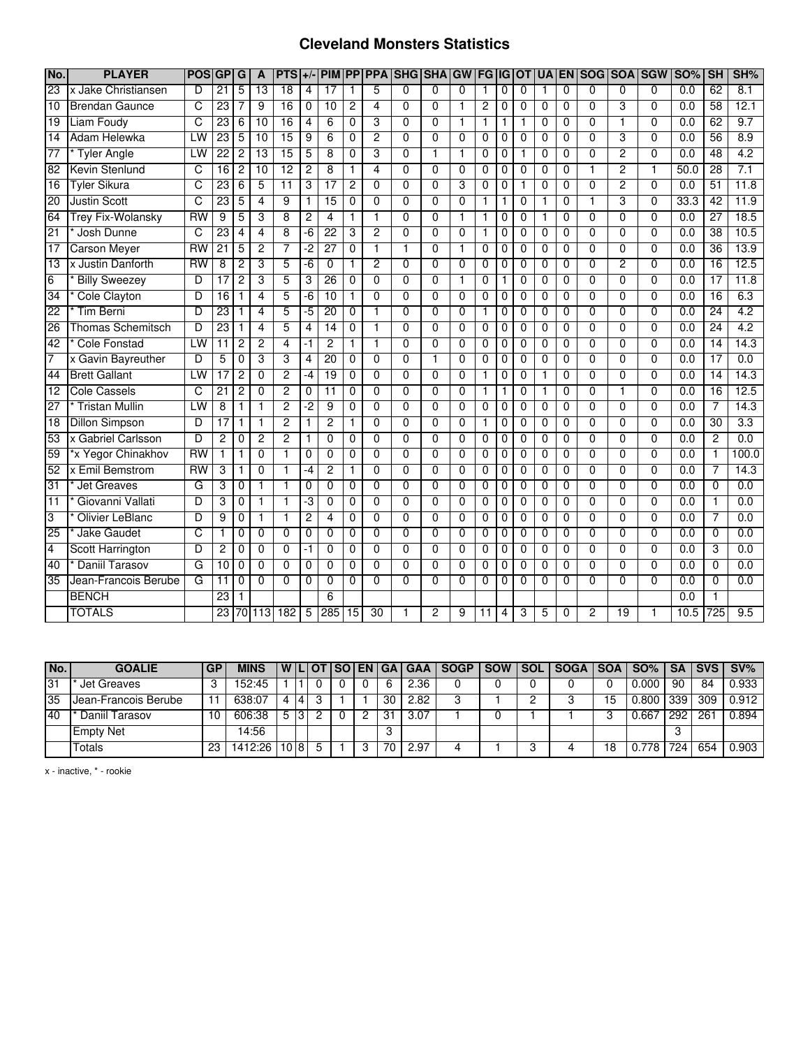## **Cleveland Monsters Statistics**

| No.             | <b>PLAYER</b>            | <b>POS</b>      | GP              | G              | $\mathbf{A}$    | <b>PTS</b>      | $+/-$          | <b>PIM</b>      | $\overline{PP}$ | <b>PPA</b>      | <b>SHG</b>     | <b>SHA</b>     | GW             | <b>FG IG OT</b> |              |                | <b>UA</b>      | <b>EN</b>      | SOG SOA        |                 | <b>SGW</b>     | <b>SO%</b> | SH              | SH%              |
|-----------------|--------------------------|-----------------|-----------------|----------------|-----------------|-----------------|----------------|-----------------|-----------------|-----------------|----------------|----------------|----------------|-----------------|--------------|----------------|----------------|----------------|----------------|-----------------|----------------|------------|-----------------|------------------|
| $\overline{23}$ | x Jake Christiansen      | D               | $\overline{21}$ | 5              | $\overline{13}$ | $\overline{18}$ | 4              | 17              | 1               | 5               | $\Omega$       | $\Omega$       | $\Omega$       | 1               | 0            | $\Omega$       |                | $\Omega$       | 0              | 0               | $\Omega$       | 0.0        | 62              | $\overline{8.1}$ |
| $\overline{10}$ | <b>Brendan Gaunce</b>    | C               | 23              |                | $\overline{9}$  | $\overline{16}$ | $\mathbf 0$    | $\overline{10}$ | $\overline{2}$  | 4               | $\Omega$       | $\mathbf{0}$   | $\mathbf{1}$   | $\overline{2}$  | $\mathbf 0$  | $\mathbf 0$    | 0              | 0              | 0              | 3               | $\mathbf{0}$   | 0.0        | $\overline{58}$ | 12.1             |
| 19              | <b>Liam Foudy</b>        | $\overline{C}$  | 23              | 6              | 10              | 16              | $\overline{4}$ | 6               | $\Omega$        | 3               | $\overline{0}$ | $\overline{0}$ | $\mathbf{1}$   | 1               | 1            | $\mathbf{1}$   | 0              | $\Omega$       | $\Omega$       | 1               | $\Omega$       | 0.0        | 62              | 9.7              |
| $\overline{14}$ | Adam Helewka             | LW              | 23              | 5              | $\overline{10}$ | 15              | 9              | 6               | $\mathbf 0$     | $\overline{c}$  | $\Omega$       | $\Omega$       | $\Omega$       | $\Omega$        | 0            | $\Omega$       | $\Omega$       | 0              | 0              | 3               | $\mathbf{0}$   | 0.0        | 56              | 8.9              |
| 77              | <b>Tyler Angle</b>       | LW              | $\overline{22}$ | 2              | 13              | 15              | 5              | 8               | 0               | 3               | $\overline{0}$ | 1              | 1              | $\Omega$        | 0            | 1              | $\Omega$       | $\Omega$       | $\Omega$       | 2               | $\Omega$       | 0.0        | 48              | 4.2              |
| 82              | Kevin Stenlund           | C               | 16              | 2              | 10              | $\overline{12}$ | 2              | 8               |                 | 4               | 0              | $\Omega$       | $\Omega$       | 0               | 0            | 0              | 0              | 0              |                | $\overline{2}$  | 1              | 50.0       | 28              | 7.1              |
| $\overline{16}$ | Tyler Sikura             | C               | 23              | 6              | 5               | $\overline{11}$ | 3              | $\overline{17}$ | 2               | $\overline{0}$  | $\overline{0}$ | $\overline{0}$ | 3              | $\Omega$        | $\mathbf 0$  | $\mathbf{1}$   | 0              | $\Omega$       | $\overline{0}$ | 2               | $\overline{0}$ | 0.0        | 51              | 11.8             |
| 20              | <b>Justin Scott</b>      | C               | 23              | 5              | 4               | 9               | $\mathbf{1}$   | $\overline{15}$ | 0               | $\Omega$        | $\Omega$       | $\Omega$       | $\mathbf{0}$   |                 | 1            | $\Omega$       | 1              | 0              |                | 3               | $\mathbf{0}$   | 33.3       | 42              | 11.9             |
| 64              | <b>Trey Fix-Wolansky</b> | $\overline{RW}$ | 9               | 5              | 3               | 8               | $\overline{c}$ | 4               | 1               | 1               | $\Omega$       | $\Omega$       | 1              | 1               | 0            | 0              | 1              | 0              | 0              | 0               | 0              | 0.0        | $\overline{27}$ | 18.5             |
| 21              | Josh Dunne               | C               | 23              | $\overline{4}$ | $\overline{4}$  | 8               | $-6$           | $\overline{22}$ | 3               | $\overline{2}$  | $\overline{0}$ | $\mathbf{0}$   | $\mathbf 0$    | 1               | $\mathbf 0$  | $\mathbf 0$    | 0              | $\mathbf 0$    | 0              | $\overline{0}$  | $\Omega$       | 0.0        | $\overline{38}$ | 10.5             |
| $\overline{17}$ | <b>Carson Meyer</b>      | <b>RW</b>       | $\overline{21}$ | 5              | $\overline{2}$  | 7               | $-2$           | $\overline{27}$ | 0               | $\mathbf{1}$    | 1              | 0              | 1              | 0               | 0            | $\mathbf 0$    | $\overline{0}$ | $\mathbf 0$    | 0              | 0               | $\Omega$       | 0.0        | 36              | 13.9             |
| $\overline{13}$ | x Justin Danforth        | $\overline{RW}$ | 8               | $\overline{c}$ | 3               | 5               | $-6$           | $\Omega$        | 1               | $\overline{c}$  | $\Omega$       | $\Omega$       | $\Omega$       | $\Omega$        | $\Omega$     | $\Omega$       | $\Omega$       | $\Omega$       | $\Omega$       | $\overline{c}$  | $\Omega$       | 0.0        | $\overline{16}$ | 12.5             |
| 6               | <b>Billy Sweezey</b>     | D               | 17              | $\overline{c}$ | 3               | 5               | 3              | 26              | 0               | $\mathbf 0$     | $\mathbf{0}$   | $\Omega$       | 1              | $\mathbf 0$     | 1            | $\mathbf 0$    | 0              | $\Omega$       | 0              | 0               | $\Omega$       | 0.0        | $\overline{17}$ | 11.8             |
| 34              | <b>Cole Clayton</b>      | D               | 16              | $\mathbf{1}$   | $\overline{4}$  | 5               | -6             | 10              | 1               | $\overline{0}$  | $\overline{0}$ | $\overline{0}$ | $\overline{0}$ | $\overline{0}$  | $\mathbf 0$  | $\overline{0}$ | $\overline{0}$ | $\overline{0}$ | $\overline{0}$ | $\overline{0}$  | $\overline{0}$ | 0.0        | 16              | 6.3              |
| $\overline{22}$ | <b>Tim Berni</b>         | D               | 23              | 1              | 4               | 5               | -5             | 20              | $\overline{0}$  | 1               | 0              | $\Omega$       | $\Omega$       | 1               | 0            | $\mathbf 0$    | 0              | 0              | 0              | $\overline{0}$  | $\Omega$       | 0.0        | 24              | 4.2              |
| $\overline{26}$ | <b>Thomas Schemitsch</b> | D               | $\overline{23}$ | 1              | 4               | 5               | 4              | 14              | 0               | 1               | $\Omega$       | $\Omega$       | $\Omega$       | 0               | 0            | $\Omega$       | 0              | 0              | 0              | 0               | $\Omega$       | 0.0        | $\overline{24}$ | 4.2              |
| $\overline{42}$ | <b>Cole Fonstad</b>      | LW              | 11              | 2              | 2               | $\overline{4}$  | -1             | 2               | 1               | 1               | $\Omega$       | 0              | $\Omega$       | $\Omega$        | 0            | $\Omega$       | 0              | $\Omega$       | 0              | 0               | $\Omega$       | 0.0        | 14              | 14.3             |
| $\overline{7}$  | x Gavin Bayreuther       | D               | 5               | $\mathbf{0}$   | 3               | 3               | $\overline{4}$ | 20              | 0               | $\Omega$        | $\Omega$       | $\mathbf{1}$   | $\Omega$       | $\Omega$        | $\mathbf{0}$ | $\Omega$       | 0              | $\Omega$       | $\Omega$       | $\Omega$        | $\Omega$       | 0.0        | $\overline{17}$ | 0.0              |
| 44              | <b>Brett Gallant</b>     | LW              | 17              | $\overline{c}$ | $\Omega$        | $\overline{2}$  | -4             | $\overline{19}$ | 0               | $\Omega$        | $\overline{0}$ | $\Omega$       | $\Omega$       | 1               | 0            | $\Omega$       | $\mathbf{1}$   | $\Omega$       | $\Omega$       | 0               | $\Omega$       | 0.0        | $\overline{14}$ | 14.3             |
| 12              | <b>Cole Cassels</b>      | C               | $\overline{21}$ | $\overline{2}$ | $\Omega$        | $\overline{2}$  | $\mathbf 0$    | 11              | $\Omega$        | $\overline{0}$  | $\overline{0}$ | $\Omega$       | $\Omega$       | 1               | 1            | $\Omega$       | 1              | $\Omega$       | $\Omega$       | 1               | $\Omega$       | 0.0        | $\overline{16}$ | 12.5             |
| 27              | <b>Tristan Mullin</b>    | LW              | 8               | 1              | $\mathbf{1}$    | $\overline{2}$  | -2             | 9               | 0               | $\mathbf 0$     | $\mathbf 0$    | $\mathbf 0$    | $\mathbf 0$    | 0               | 0            | 0              | 0              | $\mathbf 0$    | 0              | 0               | $\Omega$       | 0.0        | $\overline{7}$  | 14.3             |
| $\overline{18}$ | <b>Dillon Simpson</b>    | D               | 17              | 1              | $\mathbf{1}$    | $\overline{2}$  | 1              | 2               | 1               | $\overline{0}$  | $\overline{0}$ | $\overline{0}$ | $\overline{0}$ | 1               | 0            | $\overline{0}$ | 0              | $\overline{0}$ | $\overline{0}$ | $\overline{0}$  | $\overline{0}$ | 0.0        | 30              | 3.3              |
| 53              | x Gabriel Carlsson       | D               | 2               | 0              | 2               | $\overline{2}$  |                | $\Omega$        | 0               | $\Omega$        | 0              | $\Omega$       | $\Omega$       | 0               | $\Omega$     | $\Omega$       | 0              | 0              | 0              | 0               | $\Omega$       | 0.0        | 2               | 0.0              |
| 59              | *x Yegor Chinakhov       | <b>RW</b>       |                 | 1              | $\Omega$        | 1               | 0              | 0               | 0               | $\overline{0}$  | $\overline{0}$ | $\Omega$       | $\Omega$       | 0               | 0            | $\Omega$       | 0              | 0              | $\Omega$       | $\overline{0}$  | 0              | 0.0        |                 | 100.0            |
| 52              | x Emil Bemstrom          | RW              | 3               | $\mathbf{1}$   | 0               | 1               | $-4$           | 2               | 1               | $\mathbf 0$     | $\mathbf 0$    | $\Omega$       | $\mathbf 0$    | 0               | 0            | 0              | 0              | 0              | 0              | 0               | $\Omega$       | 0.0        | 7               | 14.3             |
| 31              | <b>Jet Greaves</b>       | G               | 3               | $\mathbf 0$    | $\mathbf{1}$    | $\mathbf{1}$    | 0              | $\mathbf 0$     | $\overline{0}$  | $\overline{0}$  | $\overline{0}$ | $\overline{0}$ | $\mathbf 0$    | $\mathbf 0$     | $\mathbf 0$  | $\mathbf 0$    | $\overline{0}$ | $\mathbf 0$    | $\overline{0}$ | $\overline{0}$  | $\Omega$       | 0.0        | $\mathbf 0$     | 0.0              |
| $\overline{11}$ | Giovanni Vallati         | D               | 3               | 0              | 1               | 1               | ٠3             | $\Omega$        | 0               | $\mathbf 0$     | $\mathbf{0}$   | $\mathbf{0}$   | $\mathbf 0$    | 0               | 0            | $\mathbf 0$    | 0              | $\mathbf 0$    | 0              | 0               | $\Omega$       | 0.0        | 1               | 0.0              |
| 3               | <b>Olivier LeBlanc</b>   | D               | 9               | $\Omega$       | 1               | 1               | $\overline{c}$ | 4               | $\Omega$        | $\Omega$        | $\Omega$       | $\Omega$       | $\Omega$       | $\Omega$        | $\Omega$     | $\Omega$       | $\Omega$       | $\Omega$       | $\Omega$       | 0               | $\Omega$       | 0.0        | 7               | 0.0              |
| 25              | Jake Gaudet              | C               |                 | $\mathbf 0$    | $\Omega$        | $\mathbf{0}$    | 0              | $\Omega$        | $\overline{0}$  | $\mathbf{0}$    | $\Omega$       | $\Omega$       | $\Omega$       | $\Omega$        | $\mathbf 0$  | $\mathbf 0$    | 0              | $\mathbf 0$    | 0              | $\overline{0}$  | $\mathbf{0}$   | 0.0        | $\mathbf 0$     | 0.0              |
| $\overline{4}$  | <b>Scott Harrington</b>  | D               | $\overline{c}$  | $\mathbf 0$    | $\Omega$        | $\Omega$        | -1             | $\Omega$        | 0               | $\Omega$        | $\mathbf{0}$   | $\mathbf{0}$   | $\Omega$       | $\Omega$        | $\mathbf 0$  | $\Omega$       | $\mathbf 0$    | $\mathbf 0$    | $\Omega$       | $\overline{0}$  | $\Omega$       | 0.0        | 3               | 0.0              |
| 40              | <b>Daniil Tarasov</b>    | G               | 10              | $\Omega$       | $\Omega$        | 0               | 0              | 0               | 0               | 0               | $\Omega$       | 0              | $\Omega$       | 0               | $\Omega$     | $\Omega$       | 0              | 0              | 0              | 0               | $\Omega$       | 0.0        | $\Omega$        | 0.0              |
| 35              | Jean-Francois Berube     | G               | 11              | 0              | $\Omega$        | $\Omega$        | 0              | 0               | 0               | $\Omega$        | 0              | $\Omega$       | $\Omega$       | 0               | 0            | $\Omega$       | 0              | $\Omega$       | 0              | 0               | 0              | 0.0        | 0               | 0.0              |
|                 | <b>BENCH</b>             |                 | 23              |                |                 |                 |                | 6               |                 |                 |                |                |                |                 |              |                |                |                |                |                 |                | 0.0        |                 |                  |
|                 | <b>TOTALS</b>            |                 | 23              |                | 70 113          | 182             | 5              | 285             | $\overline{15}$ | $\overline{30}$ |                | 2              | 9              | 11              | 4            | 3              | 5              | 0              | $\overline{c}$ | $\overline{19}$ | 1              | 10.5       | 725             | $\overline{9.5}$ |

| No.       | <b>GOALIE</b>        | <b>GP</b> | <b>MINS</b> |      |  |    |      | W LI OT I SO EN GA GAA I SOGP | SOW SOL | SOGA   SOA   SO% |    |       |     |     | SA SVS SV% |
|-----------|----------------------|-----------|-------------|------|--|----|------|-------------------------------|---------|------------------|----|-------|-----|-----|------------|
| 31        | Jet Greaves          |           | 152:45      |      |  | b  | 2.36 |                               |         |                  |    | 0.000 | 90  | 84  | 0.933      |
| 35        | Jean-Francois Berube |           | 638:07      | 14   |  | 30 | 2.82 |                               |         |                  | 15 | 0.800 | 339 | 309 | $0.912$ I  |
| <b>40</b> | Daniil Tarasov       |           | 606:38      |      |  | 3  | 3.07 |                               |         |                  |    | 0.667 | 292 | 261 | 0.894      |
|           | <b>Empty Net</b>     |           | 14:56       |      |  |    |      |                               |         |                  |    |       |     |     |            |
|           | Гotals               | 23        | 1412:26     | 1018 |  | 70 | 2.97 |                               |         |                  | 18 | 778   | 724 | 654 | 0.903      |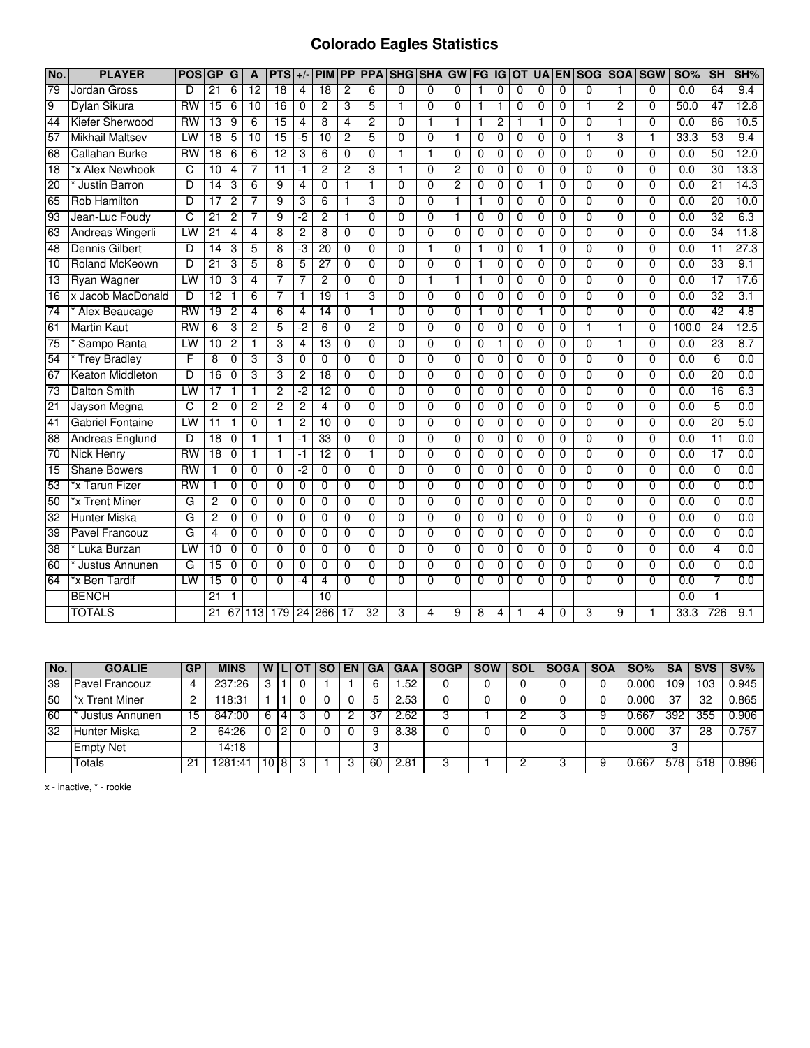## **Colorado Eagles Statistics**

| No.             | <b>PLAYER</b>           | <b>POS</b>      | GP              | G              | A               | $PTS$ +/        |                | <b>PIM</b>      | <b>PP</b>      | <b>PPA</b>     | <b>SHG</b>     | <b>SHA</b>     | GW             | <b>FG</b>      | liG      | OT             |                |                | <b>UA EN SOG</b> |                | <b>SOA SGW</b> | <b>SO%</b>       | <b>SH</b>       | SH%              |
|-----------------|-------------------------|-----------------|-----------------|----------------|-----------------|-----------------|----------------|-----------------|----------------|----------------|----------------|----------------|----------------|----------------|----------|----------------|----------------|----------------|------------------|----------------|----------------|------------------|-----------------|------------------|
| 79              | Jordan Gross            | D               | $\overline{21}$ | 6              | $\overline{12}$ | $\overline{18}$ | 4              | $\overline{18}$ | $\overline{c}$ | 6              | $\Omega$       | $\Omega$       | $\Omega$       | 1              | $\Omega$ | $\Omega$       | 0              | $\Omega$       | $\Omega$         |                | 0              | 0.0              | 64              | 9.4              |
| $\overline{9}$  | Dylan Sikura            | <b>RW</b>       | $\overline{15}$ | 6              | 10              | $\overline{16}$ | 0              | $\overline{2}$  | 3              | 5              | 1              | 0              | 0              | $\mathbf{1}$   | 1        | $\mathbf 0$    | 0              | 0              | $\mathbf{1}$     | $\overline{2}$ | 0              | 50.0             | 47              | 12.8             |
| 44              | Kiefer Sherwood         | RW              | 13              | 9              | $\overline{6}$  | 15              | $\overline{4}$ | 8               | $\overline{4}$ | $\overline{2}$ | $\Omega$       | $\overline{1}$ | $\mathbf{1}$   | $\overline{1}$ | 2        | 1              | 1              | 0              | $\overline{0}$   | $\mathbf{1}$   | $\overline{0}$ | 0.0              | 86              | 10.5             |
| 57              | <b>Mikhail Maltsev</b>  | LW              | $\overline{18}$ | 5              | 10              | 15              | -5             | 10              | $\overline{c}$ | 5              | $\mathbf{0}$   | $\Omega$       | $\mathbf{1}$   | $\mathbf{0}$   | 0        | $\mathbf 0$    | 0              | 0              | $\mathbf{1}$     | 3              | 1              | 33.3             | 53              | 9.4              |
| 68              | Callahan Burke          | <b>RW</b>       | $\overline{18}$ | 6              | 6               | $\overline{12}$ | 3              | 6               | $\Omega$       | $\overline{0}$ | 1              | 1              | $\overline{0}$ | 0              | 0        | $\Omega$       | 0              | 0              | $\Omega$         | 0              | 0              | 0.0              | 50              | 12.0             |
| $\overline{18}$ | *x Alex Newhook         | C               | 10              | 4              |                 | $\overline{11}$ | -1             | 2               | 2              | 3              | 1              | $\Omega$       | $\overline{2}$ | 0              | 0        | $\Omega$       | 0              | 0              | $\Omega$         | $\Omega$       | $\overline{0}$ | 0.0              | 30              | 13.3             |
| 20              | <b>Justin Barron</b>    | D               | 14              | 3              | 6               | 9               | 4              | $\overline{0}$  | 1              | 1              | $\overline{0}$ | $\overline{0}$ | $\overline{2}$ | 0              | 0        | 0              | 1              | 0              | $\overline{0}$   | $\overline{0}$ | $\overline{0}$ | 0.0              | 21              | 14.3             |
| 65              | <b>Rob Hamilton</b>     | D               | $\overline{17}$ | $\overline{2}$ | 7               | $\overline{9}$  | 3              | 6               | $\mathbf{1}$   | 3              | $\Omega$       | 0              | $\mathbf{1}$   | 1              | 0        | $\mathbf 0$    | $\Omega$       | 0              | $\Omega$         | 0              | 0              | 0.0              | $\overline{20}$ | 10.0             |
| 93              | Jean-Luc Foudy          | C               | $\overline{21}$ | $\overline{c}$ | 7               | $\overline{9}$  | -2             | 2               | 1              | 0              | 0              | 0              | 1              | 0              | 0        | 0              | 0              | 0              | $\mathbf 0$      | 0              | 0              | 0.0              | 32              | 6.3              |
| 63              | Andreas Wingerli        | LW              | $\overline{21}$ | 4              | 4               | $\overline{8}$  | 2              | 8               | $\mathbf 0$    | $\overline{0}$ | $\Omega$       | $\overline{0}$ | $\Omega$       | 0              | 0        | $\mathbf 0$    | $\mathbf 0$    | 0              | $\Omega$         | $\Omega$       | 0              | $\overline{0.0}$ | $\overline{34}$ | 11.8             |
| 48              | <b>Dennis Gilbert</b>   | $\overline{D}$  | $\overline{14}$ | 3              | 5               | 8               | ٠3             | 20              | $\mathbf 0$    | $\overline{0}$ | $\Omega$       | $\mathbf{1}$   | $\Omega$       | 1              | 0        | $\mathbf 0$    | 1              | $\overline{0}$ | $\overline{0}$   | $\Omega$       | $\overline{0}$ | 0.0              | $\overline{11}$ | 27.3             |
| 10              | <b>Roland McKeown</b>   | D               | $\overline{21}$ | 3              | 5               | 8               | 5              | $\overline{27}$ | $\Omega$       | $\overline{0}$ | $\Omega$       | $\overline{0}$ | $\overline{0}$ | $\mathbf{1}$   | 0        | $\Omega$       | $\Omega$       | $\Omega$       | $\overline{0}$   | $\Omega$       | $\overline{0}$ | 0.0              | 33              | 9.1              |
| 13              | <b>Ryan Wagner</b>      | LW              | 10              | 3              | 4               | $\overline{7}$  | 7              | $\overline{c}$  | 0              | $\mathbf 0$    | $\mathbf 0$    | $\mathbf{1}$   | 1              | 1              | 0        | 0              | 0              | 0              | $\mathbf 0$      | 0              | 0              | 0.0              | $\overline{17}$ | 17.6             |
| $\overline{16}$ | x Jacob MacDonald       | D               | $\overline{12}$ | 1              | 6               | 7               |                | 19              | $\mathbf 1$    | 3              | $\overline{0}$ | $\overline{0}$ | $\overline{0}$ | 0              | 0        | 0              | 0              | $\overline{0}$ | $\overline{0}$   | $\overline{0}$ | $\overline{0}$ | 0.0              | 32              | 3.1              |
| $\overline{74}$ | Alex Beaucage           | <b>RW</b>       | $\overline{19}$ | 2              | 4               | 6               | 4              | 14              | 0              | 1              | $\Omega$       | 0              | 0              | 1              | 0        | $\Omega$       |                | $\Omega$       | 0                | 0              | 0              | 0.0              | 42              | 4.8              |
| 61              | <b>Martin Kaut</b>      | $\overline{RW}$ | 6               | 3              | $\overline{2}$  | 5               | -2             | 6               | $\Omega$       | $\overline{2}$ | $\Omega$       | $\Omega$       | $\Omega$       | 0              | 0        | $\Omega$       | 0              | $\Omega$       | 1                | 1              | 0              | 100.0            | $\overline{24}$ | 12.5             |
| 75              | Sampo Ranta             | LW              | 10              | $\overline{c}$ | 1               | 3               | 4              | $\overline{13}$ | 0              | 0              | $\Omega$       | 0              | 0              | 0              | 1        | $\mathbf 0$    | 0              | 0              | $\mathbf 0$      | 1              | 0              | 0.0              | 23              | 8.7              |
| 54              | <b>Trey Bradley</b>     | F               | 8               | $\mathbf 0$    | 3               | 3               | 0              | $\overline{0}$  | $\mathbf 0$    | $\overline{0}$ | $\overline{0}$ | $\overline{0}$ | 0              | 0              | 0        | $\mathbf 0$    | $\mathbf 0$    | 0              | $\overline{0}$   | $\Omega$       | $\overline{0}$ | 0.0              | $6\overline{6}$ | 0.0              |
| 67              | Keaton Middleton        | D               | 16              | $\Omega$       | 3               | 3               | 2              | $\overline{18}$ | $\Omega$       | 0              | $\Omega$       | $\Omega$       | $\Omega$       | 0              | 0        | $\Omega$       | $\Omega$       | $\Omega$       | $\Omega$         | 0              | 0              | 0.0              | $\overline{20}$ | 0.0              |
| $\overline{73}$ | <b>Dalton Smith</b>     | IW              | 17              | $\mathbf{1}$   | $\mathbf 1$     | $\overline{2}$  | -2             | $\overline{12}$ | $\Omega$       | $\Omega$       | $\Omega$       | $\Omega$       | $\Omega$       | 0              | $\Omega$ | $\Omega$       | $\Omega$       | 0              | $\Omega$         | 0              | 0              | 0.0              | $\overline{16}$ | 6.3              |
| 21              | Jayson Megna            | C               | 2               | 0              | $\overline{2}$  | $\overline{2}$  | $\overline{2}$ | 4               | $\mathbf 0$    | $\overline{0}$ | $\overline{0}$ | $\overline{0}$ | $\Omega$       | 0              | 0        | $\mathbf 0$    | $\mathbf 0$    | 0              | $\overline{0}$   | 0              | $\overline{0}$ | 0.0              | 5               | 0.0              |
| 41              | <b>Gabriel Fontaine</b> | LW              | 11              | 1              | $\overline{0}$  | 1               | 2              | 10              | $\overline{0}$ | $\overline{0}$ | $\overline{0}$ | $\overline{0}$ | $\overline{0}$ | $\overline{0}$ | 0        | $\overline{0}$ | $\overline{0}$ | $\overline{0}$ | $\overline{0}$   | $\overline{0}$ | $\overline{0}$ | 0.0              | 20              | 5.0              |
| $\overline{88}$ | Andreas Englund         | D               | $\overline{18}$ | 0              |                 | $\mathbf{1}$    | -1             | 33              | 0              | $\overline{0}$ | 0              | 0              | 0              | 0              | 0        | $\mathbf 0$    | 0              | 0              | 0                | 0              | 0              | 0.0              | 11              | 0.0              |
| 70              | Nick Henry              | <b>RW</b>       | 18              | $\Omega$       | 1               | $\mathbf 1$     | -1             | $\overline{12}$ | $\Omega$       | 1              | $\Omega$       | 0              | $\Omega$       | 0              | 0        | 0              | 0              | 0              | $\Omega$         | 0              | 0              | 0.0              | 17              | 0.0              |
| $\overline{15}$ | <b>Shane Bowers</b>     | $\overline{RW}$ | 1               | $\mathbf 0$    | 0               | $\mathbf 0$     | -2             | 0               | $\mathbf 0$    | $\overline{0}$ | $\Omega$       | $\overline{0}$ | 0              | 0              | 0        | 0              | 0              | 0              | $\overline{0}$   | 0              | 0              | 0.0              | 0               | $\overline{0.0}$ |
| 53              | *x Tarun Fizer          | RW              | $\mathbf{1}$    | $\mathbf 0$    | $\overline{0}$  | $\overline{0}$  | 0              | $\overline{0}$  | $\mathbf 0$    | $\overline{0}$ | $\overline{0}$ | $\overline{0}$ | $\overline{0}$ | $\overline{0}$ | 0        | $\overline{0}$ | $\mathbf 0$    | $\overline{0}$ | $\overline{0}$   | $\overline{0}$ | $\overline{0}$ | 0.0              | $\overline{0}$  | 0.0              |
| 50              | *x Trent Miner          | G               | $\overline{c}$  | $\mathbf 0$    | $\Omega$        | $\Omega$        | $\mathbf{0}$   | 0               | $\mathbf 0$    | $\Omega$       | $\Omega$       | 0              | $\Omega$       | 0              | 0        | $\mathbf 0$    | 0              | 0              | $\Omega$         | 0              | 0              | 0.0              | 0               | 0.0              |
| 32              | <b>Hunter Miska</b>     | G               | 2               | 0              | 0               | $\mathbf 0$     | 0              | 0               | $\mathbf 0$    | 0              | $\Omega$       | 0              | $\Omega$       | 0              | 0        | 0              | 0              | 0              | 0                | $\Omega$       | 0              | 0.0              | 0               | 0.0              |
| 39              | <b>Pavel Francouz</b>   | G               | 4               | $\Omega$       | $\Omega$        | $\Omega$        | 0              | $\Omega$        | $\mathbf 0$    | $\Omega$       | $\Omega$       | 0              | $\Omega$       | 0              | 0        | 0              | 0              | 0              | $\Omega$         | $\Omega$       | $\Omega$       | 0.0              | 0               | 0.0              |
| $\overline{38}$ | Luka Burzan             | LW              | 10              | $\Omega$       | $\Omega$        | $\Omega$        | 0              | 0               | 0              | 0              | $\Omega$       | 0              | 0              | 0              | 0        | $\Omega$       | $\Omega$       | 0              | $\Omega$         | $\Omega$       | 0              | 0.0              | 4               | 0.0              |
| 60              | Justus Annunen          | G               | $\overline{15}$ | $\Omega$       | 0               | $\overline{0}$  | 0              | 0               | 0              | $\overline{0}$ | 0              | $\overline{0}$ | $\Omega$       | 0              | 0        | $\Omega$       | 0              | $\Omega$       | $\overline{0}$   | 0              | $\overline{0}$ | 0.0              | $\Omega$        | 0.0              |
| 64              | *x Ben Tardif           | LW              | $\overline{15}$ | 0              | $\Omega$        | $\Omega$        | -4             | 4               | 0              | $\overline{0}$ | $\Omega$       | $\overline{0}$ | $\Omega$       | $\Omega$       | 0        | $\Omega$       | 0              | $\Omega$       | 0                | 0              | 0              | 0.0              | 7               | 0.0              |
|                 | <b>BENCH</b>            |                 | $\overline{21}$ | 1              |                 |                 |                | 10              |                |                |                |                |                |                |          |                |                |                |                  |                |                | 0.0              |                 |                  |
|                 | <b>TOTALS</b>           |                 | $\overline{21}$ | 67             |                 | $113$ 179       | 24             | 266             | 17             | 32             | 3              | 4              | 9              | 8              | 4        |                | $\overline{4}$ | 0              | 3                | 9              | 1              | 33.3             | 726             | 9.1              |

| No.             | <b>GOALIE</b>         | GP | <b>MINS</b> |                 |    | <b>WILIOT</b> | <b>SO EN</b> | l GA | <b>GAA</b> | <b>SOGP</b> | <b>SOW</b> | <b>SOL</b> | <b>SOGA</b> | <b>SOA</b> | <b>SO%</b> | SΑ  | <b>SVS</b> | $SV\%$ |
|-----------------|-----------------------|----|-------------|-----------------|----|---------------|--------------|------|------------|-------------|------------|------------|-------------|------------|------------|-----|------------|--------|
| $\overline{39}$ | <b>Pavel Francouz</b> | 4  | 237:26      |                 |    |               |              | 6    | .52        |             |            |            |             |            | 0.000      | ۱09 | 103        | 0.945  |
| 50              | *x Trent Miner        |    | 118:31      |                 |    |               |              | 5    | 2.53       |             |            |            |             |            | 0.000      | 37  | 32         | 0.865  |
| 60              | Justus Annunen        | 15 | 847:00      | 6.              | 4  |               |              | 37   | 2.62       |             |            |            |             |            | 0.667      | 392 | 355        | 0.906  |
| 32              | Hunter Miska          |    | 64:26       |                 | '2 |               |              | a    | 8.38       |             |            |            |             |            | 0.000      | 37  | 28         | 0.757  |
|                 | <b>Empty Net</b>      |    | 14:18       |                 |    |               |              | - 0  |            |             |            |            |             |            |            |     |            |        |
|                 | Totals                | 21 | 281<br>∣:41 | $\overline{10}$ | 18 |               |              | 60   | 2.81       |             |            |            |             |            | 0.667      | 578 | 518        | 0.896  |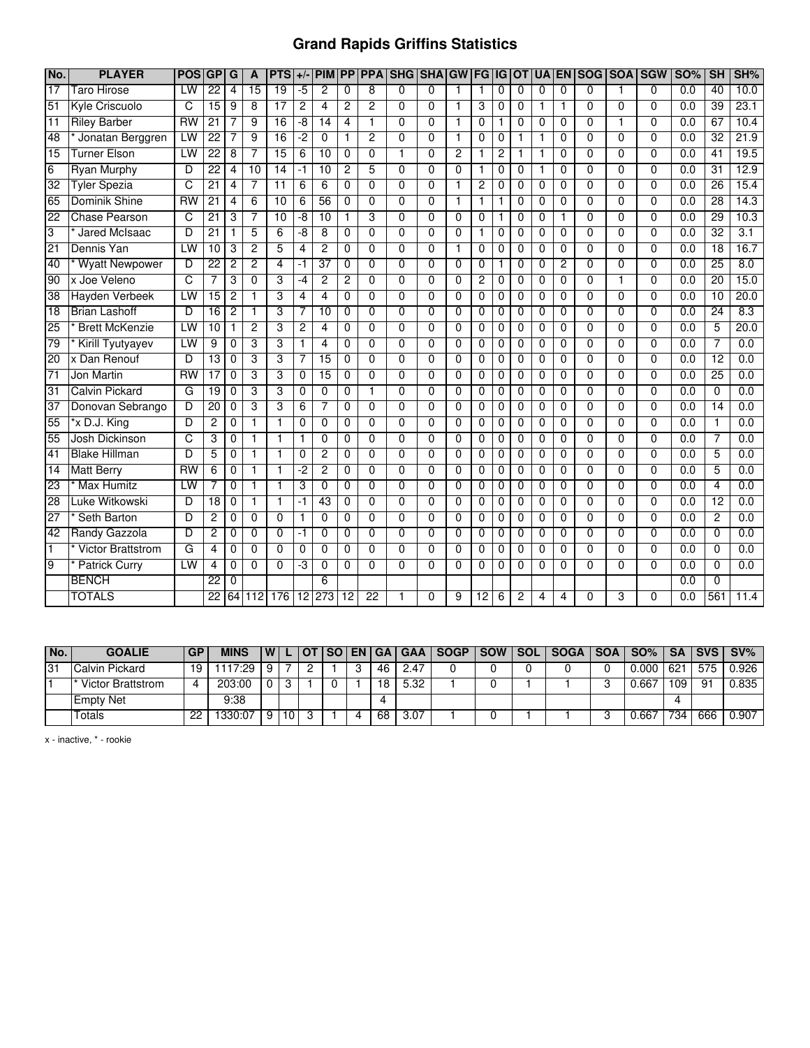## **Grand Rapids Griffins Statistics**

| No.             | <b>PLAYER</b>            | <b>POS</b>      | GP              | G              | A               | <b>PTS</b>              | $+$ /                   | <b>PIM</b>      |                 |                 | <b>PP PPA SHG SHAGW</b> |                |                | <b>FG</b>      | IG             | <b>OT</b>      | <b>UA</b> | <b>EN</b>      | <b>SOG</b>     |                | <b>SOA SGW</b> | <b>SO%</b> | SH              | SH%              |
|-----------------|--------------------------|-----------------|-----------------|----------------|-----------------|-------------------------|-------------------------|-----------------|-----------------|-----------------|-------------------------|----------------|----------------|----------------|----------------|----------------|-----------|----------------|----------------|----------------|----------------|------------|-----------------|------------------|
| $\overline{17}$ | Taro Hirose              | $\overline{1W}$ | $\overline{22}$ | $\overline{4}$ | $\overline{15}$ | 19                      | $-5$                    | $\overline{2}$  | $\Omega$        | 8               | $\overline{0}$          | $\overline{0}$ | $\overline{1}$ | $\overline{1}$ | $\overline{0}$ | $\overline{0}$ | $\Omega$  | $\overline{0}$ | $\overline{0}$ | 1              | $\overline{0}$ | 0.0        | 40              | 10.0             |
| 51              | Kyle Criscuolo           | C               | 15              | 9              | 8               | $\overline{17}$         | $\overline{c}$          | 4               | $\overline{c}$  | 2               | $\Omega$                | $\Omega$       | $\overline{1}$ | 3              | 0              | $\Omega$       | 1         | 1              | 0              | $\Omega$       | $\Omega$       | 0.0        | $\overline{39}$ | 23.1             |
| 11              | <b>Riley Barber</b>      | <b>RW</b>       | $\overline{21}$ |                | 9               | $\overline{16}$         | -8                      | 14              | 4               | 1               | $\Omega$                | 0              |                | 0              | 1              | $\mathbf 0$    | 0         | 0              | 0              |                | $\Omega$       | 0.0        | 67              | 10.4             |
| 48              | Jonatan Berggren         | LW              | $\overline{22}$ |                | 9               | 16                      | $-2$                    | 0               | $\mathbf{1}$    | $\overline{2}$  | $\Omega$                | 0              | $\mathbf{1}$   | 0              | 0              | 1              | 1         | 0              | 0              | $\Omega$       | $\Omega$       | 0.0        | 32              | 21.9             |
| 15              | Turner Elson             | LW              | 22              | 8              |                 | 15                      | 6                       | 10              | 0               | 0               | 1                       | 0              | 2              | 1              | 2              | 1              |           | 0              | 0              | 0              | 0              | 0.0        | 41              | 19.5             |
| 6               | <b>Ryan Murphy</b>       | D               | 22              | 4              | 10              | 14                      | -1                      | 10              | $\overline{2}$  | 5               | $\overline{0}$          | $\overline{0}$ | $\overline{0}$ | 1              | 0              | $\overline{0}$ | 1         | 0              | $\overline{0}$ | $\overline{0}$ | $\overline{0}$ | 0.0        | $\overline{31}$ | 12.9             |
| 32              | <b>Tyler Spezia</b>      | C               | $\overline{21}$ | 4              | 7               | $\overline{11}$         | 6                       | 6               | $\Omega$        | 0               | 0                       | $\Omega$       | -1             | 2              | 0              | $\mathbf 0$    | $\Omega$  | 0              | $\Omega$       | $\Omega$       | $\Omega$       | 0.0        | 26              | 15.4             |
| 65              | Dominik Shine            | <b>RW</b>       | 21              | 4              | 6               | 10                      | 6                       | $\overline{56}$ | 0               | 0               | 0                       | 0              | $\overline{1}$ | 1              |                | 0              | 0         | 0              | 0              | $\Omega$       | $\Omega$       | 0.0        | $\overline{28}$ | 14.3             |
| $\overline{22}$ | <b>Chase Pearson</b>     | C               | $\overline{21}$ | 3              |                 | $\overline{10}$         | -8                      | 10              | $\mathbf{1}$    | 3               | $\Omega$                | 0              | $\Omega$       | $\mathbf 0$    |                | 0              | 0         | 1              | $\mathbf{0}$   | $\mathbf{0}$   | $\Omega$       | 0.0        | 29              | 10.3             |
| 3               | Jared McIsaac            | D               | $\overline{21}$ |                | 5               | 6                       | -8                      | 8               | 0               | $\Omega$        | $\Omega$                | $\Omega$       | $\Omega$       | 1              | 0              | $\Omega$       | 0         | $\Omega$       | $\Omega$       | $\Omega$       | $\Omega$       | 0.0        | 32              | 3.1              |
| 21              | Dennis Yan               | LW              | 10              | 3              | 2               | 5                       | $\overline{\mathbf{4}}$ | $\overline{2}$  | $\mathbf 0$     | 0               | $\Omega$                | $\Omega$       | $\overline{1}$ | $\mathbf 0$    | 0              | $\mathbf 0$    | 0         | 0              | $\Omega$       | $\Omega$       | $\Omega$       | 0.0        | $\overline{18}$ | 16.7             |
| 40              | <b>Wyatt Newpower</b>    | D               | $\overline{22}$ | $\overline{c}$ | $\overline{2}$  | $\overline{4}$          | -1                      | $\overline{37}$ | 0               | 0               | $\Omega$                | $\Omega$       | $\Omega$       | 0              | 1              | $\Omega$       | 0         | 2              | $\Omega$       | $\Omega$       | $\Omega$       | 0.0        | 25              | $\overline{8.0}$ |
| 90              | x Joe Veleno             | C               | 7               | 3              | 0               | 3                       | $-4$                    | $\overline{c}$  | $\overline{c}$  | 0               | 0                       | $\mathbf 0$    | $\Omega$       | 2              | 0              | $\mathbf 0$    | 0         | 0              | 0              | 1              | $\Omega$       | 0.0        | 20              | 15.0             |
| 38              | <b>Hayden Verbeek</b>    | LW              | 15              | $\overline{2}$ |                 | 3                       | 4                       | 4               | $\overline{0}$  | $\overline{0}$  | $\overline{0}$          | $\overline{0}$ | $\overline{0}$ | $\overline{0}$ | 0              | $\overline{0}$ | 0         | $\overline{0}$ | $\overline{0}$ | $\overline{0}$ | $\overline{0}$ | 0.0        | 10              | 20.0             |
| 18              | <b>Brian Lashoff</b>     | D               | 16              | $\overline{2}$ | 1               | 3                       |                         | 10              | 0               | 0               | $\Omega$                | 0              | $\Omega$       | 0              | 0              | $\mathbf 0$    | 0         | 0              | 0              | $\Omega$       | $\Omega$       | 0.0        | 24              | 8.3              |
| 25              | <b>Brett McKenzie</b>    | LW              | 10              |                | 2               | 3                       | 2                       | 4               | 0               | 0               | $\Omega$                | $\mathbf{0}$   | $\mathbf 0$    | 0              | 0              | 0              | 0         | 0              | 0              | $\Omega$       | $\Omega$       | 0.0        | 5               | 20.0             |
| 79              | <b>Kirill Tyutyayev</b>  | LW              | 9               | 0              | 3               | 3                       | 1                       | 4               | 0               | 0               | $\Omega$                | $\Omega$       | $\Omega$       | 0              | 0              | $\mathbf 0$    | 0         | 0              | $\Omega$       | $\Omega$       | $\Omega$       | 0.0        | $\overline{7}$  | 0.0              |
| 20              | x Dan Renouf             | D               | 13              | 0              | 3               | 3                       | 7                       | $\overline{15}$ | 0               | 0               | $\mathbf{0}$            | 0              | $\Omega$       | $\mathbf{0}$   | 0              | $\mathbf 0$    | 0         | 0              | $\mathbf 0$    | $\mathbf{0}$   | $\Omega$       | 0.0        | $\overline{12}$ | 0.0              |
| $\overline{71}$ | Jon Martin               | $\n  RW\n$      | $\overline{17}$ | 0              | 3               | 3                       | 0                       | $\overline{15}$ | 0               | $\Omega$        | $\Omega$                | $\Omega$       | $\Omega$       | 0              | 0              | $\Omega$       | 0         | $\Omega$       | $\mathbf{0}$   | $\mathbf{0}$   | $\Omega$       | 0.0        | $\overline{25}$ | 0.0              |
| 31              | <b>Calvin Pickard</b>    | G               | 19              | 0              | 3               | 3                       | 0                       | 0               | 0               | 1               | $\Omega$                | 0              | $\Omega$       | 0              | 0              | $\Omega$       | 0         | 0              | $\Omega$       | $\Omega$       | $\Omega$       | 0.0        | $\Omega$        | $\overline{0.0}$ |
| 37              | Donovan Sebrango         | D               | 20              | 0              | 3               | 3                       | 6                       | 7               | 0               | 0               | $\Omega$                | $\mathbf{0}$   | $\Omega$       | 0              | 0              | $\mathbf 0$    | 0         | 0              | 0              | $\Omega$       | $\Omega$       | 0.0        | 14              | $\overline{0.0}$ |
| 55              | *x D.J. King             | D               | 2               | 0              | 1               | $\overline{\mathbf{1}}$ | 0                       | $\overline{0}$  | 0               | $\overline{0}$  | $\overline{0}$          | $\overline{0}$ | $\overline{0}$ | 0              | 0              | $\mathbf 0$    | 0         | 0              | $\overline{0}$ | $\Omega$       | $\overline{0}$ | 0.0        | $\mathbf{1}$    | 0.0              |
| 55              | Josh Dickinson           | C               | 3               | 0              |                 | $\overline{1}$          | 1                       | $\overline{0}$  | $\Omega$        | $\overline{0}$  | $\Omega$                | $\overline{0}$ | $\overline{0}$ | $\overline{0}$ | 0              | 0              | 0         | 0              | $\overline{0}$ | $\Omega$       | $\Omega$       | 0.0        | 7               | 0.0              |
| 41              | <b>Blake Hillman</b>     | D               | 5               | 0              | 1               | $\overline{1}$          | 0                       | 2               | $\Omega$        | $\overline{0}$  | $\overline{0}$          | $\overline{0}$ | $\overline{0}$ | $\overline{0}$ | 0              | $\mathbf 0$    | 0         | $\overline{0}$ | $\overline{0}$ | $\overline{0}$ | $\overline{0}$ | 0.0        | 5               | 0.0              |
| $\overline{14}$ | <b>Matt Berry</b>        | <b>RW</b>       | 6               | 0              | 1               | $\overline{\mathbf{1}}$ | $-2$                    | $\overline{c}$  | 0               | $\Omega$        | $\Omega$                | $\Omega$       | $\Omega$       | 0              | 0              | $\mathbf 0$    | 0         | 0              | $\Omega$       | $\Omega$       | $\Omega$       | 0.0        | 5               | 0.0              |
| $\overline{23}$ | <b>Max Humitz</b>        | LW              |                 | 0              | 1               | -1                      | 3                       | 0               | 0               | 0               | 0                       | 0              | $\mathbf 0$    | 0              | 0              | 0              | 0         | 0              | 0              | 0              | $\Omega$       | 0.0        | 4               | 0.0              |
| 28              | Luke Witkowski           | D               | 18              | $\mathbf 0$    | 1               | $\mathbf{1}$            | $-1$                    | 43              | 0               | 0               | $\Omega$                | $\Omega$       | $\Omega$       | 0              | 0              | $\mathbf 0$    | 0         | $\mathbf 0$    | 0              | 0              | $\Omega$       | 0.0        | $\overline{12}$ | 0.0              |
| 27              | Seth Barton              | D               | $\overline{c}$  | 0              | $\Omega$        | $\Omega$                | $\mathbf{1}$            | $\Omega$        | $\Omega$        | $\Omega$        | $\Omega$                | $\Omega$       | $\Omega$       | $\Omega$       | 0              | $\Omega$       | $\Omega$  | $\Omega$       | $\mathbf{0}$   | $\mathbf{0}$   | $\Omega$       | 0.0        | $\overline{2}$  | 0.0              |
| $\overline{42}$ | Randy Gazzola            | D               | 2               | 0              | $\Omega$        | $\Omega$                | $-1$                    | $\Omega$        | $\mathbf{0}$    | 0               | $\Omega$                | $\overline{0}$ | $\Omega$       | $\mathbf{0}$   | 0              | $\mathbf 0$    | 0         | 0              | $\mathbf{0}$   | $\mathbf{0}$   | $\Omega$       | 0.0        | 0               | 0.0              |
| $\mathbf{1}$    | <b>Victor Brattstrom</b> | G               | 4               | 0              | 0               | $\Omega$                | 0                       | 0               | 0               | 0               | $\Omega$                | 0              | 0              | 0              | 0              | 0              | 0         | 0              | $\Omega$       | 0              | $\Omega$       | 0.0        | $\Omega$        | 0.0              |
| 9               | <b>Patrick Curry</b>     | LW              | 4               | 0              | $\Omega$        | $\mathbf 0$             | -3                      | 0               | $\Omega$        | $\Omega$        | $\Omega$                | $\Omega$       | $\Omega$       | 0              | 0              | $\Omega$       | 0         | 0              | $\Omega$       | $\Omega$       | $\Omega$       | 0.0        | 0               | 0.0              |
|                 | <b>BENCH</b>             |                 | 22              | $\overline{0}$ |                 |                         |                         | $\overline{6}$  |                 |                 |                         |                |                |                |                |                |           |                |                |                |                | 0.0        | $\overline{0}$  |                  |
|                 | <b>TOTALS</b>            |                 | $\overline{22}$ | 64             | 112             | 176                     | 12                      | 273             | $\overline{12}$ | $\overline{22}$ |                         | $\mathbf{0}$   | 9              | 12             | 6              | $\overline{c}$ | 4         | 4              | 0              | 3              | $\Omega$       | 0.0        | 561             | 11.4             |

| No. | <b>GOALIE</b>     | <b>GP</b> | <b>MINS</b> | W I |    | <b>OT</b> | ISO. |    | EN   GA   GAA | l SOGP. | <b>SOW</b> | $\mathsf{N}\mathsf{SOL}_{\mathbb{C}}$ | <b>SOGA</b> | <b>SOA</b> | SO%   |     | <b>SA ISVS</b> | SV%       |
|-----|-------------------|-----------|-------------|-----|----|-----------|------|----|---------------|---------|------------|---------------------------------------|-------------|------------|-------|-----|----------------|-----------|
| 31  | Calvin Pickard    | 19        | 1117:29     |     |    |           |      | 46 | 2.47          |         |            |                                       |             |            | 0.000 | 621 | 575            | $0.926$ I |
|     | Victor Brattstrom |           | 203:00      |     |    |           |      | 18 | 5.32          |         |            |                                       |             |            | 0.667 | 109 | 91             | 0.835     |
|     | <b>Empty Net</b>  |           | 9:38        |     |    |           |      |    |               |         |            |                                       |             |            |       |     |                |           |
|     | Гotals            | ממ        | 1330:07     |     | 10 |           |      | 68 | 3.07          |         |            |                                       |             |            | 0.667 | 734 | 666            | 0.907     |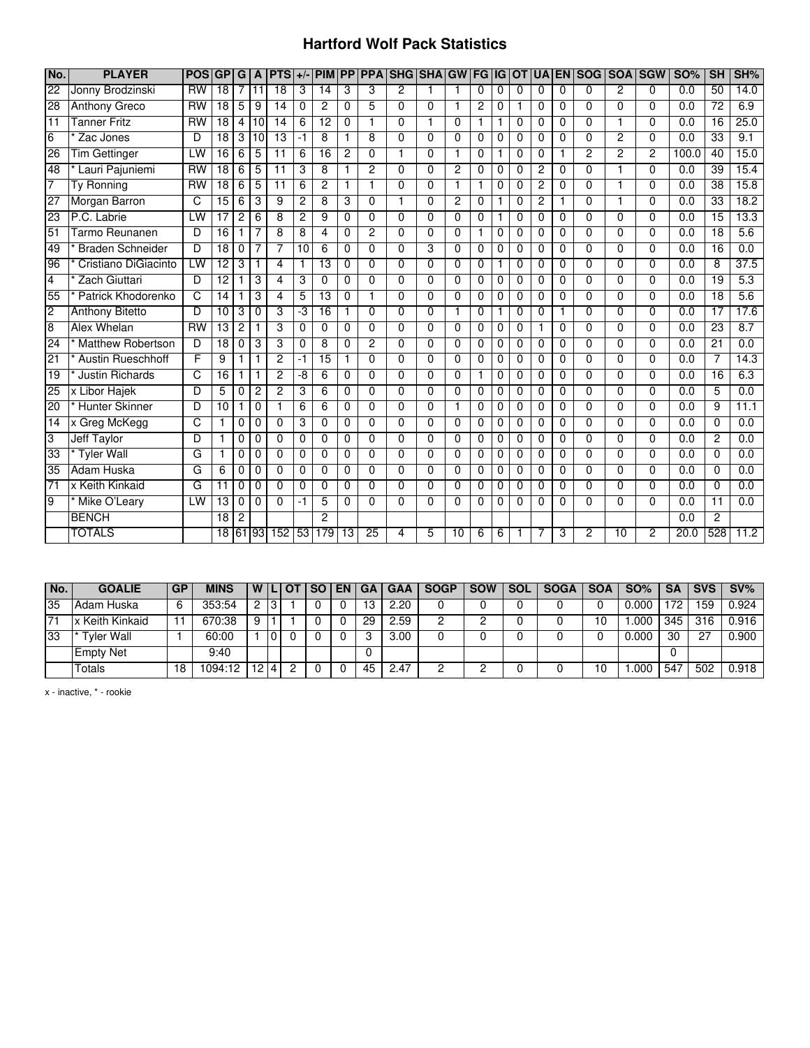#### **Hartford Wolf Pack Statistics**

| No.             | <b>PLAYER</b>            | <b>POSIGP</b>   |                 | G              |                | $A$   PTS $+/-$   PIM |                 |                         |                |                         | <b>PP PPA SHG SHAGW</b> |                |          | <b>FG</b>      | l IG     | <b>OT</b> | <b>UA</b>      |          | <b>EN SOG SOA SGW</b> |                |                | <b>SO%</b> | SH              | SH%  |
|-----------------|--------------------------|-----------------|-----------------|----------------|----------------|-----------------------|-----------------|-------------------------|----------------|-------------------------|-------------------------|----------------|----------|----------------|----------|-----------|----------------|----------|-----------------------|----------------|----------------|------------|-----------------|------|
| 22              | Jonny Brodzinski         | $\overline{RW}$ | $\overline{18}$ | 7              | 11             | 18                    | 3               | $\overline{14}$         | 3              | 3                       | $\overline{2}$          |                |          | 0              | 0        | $\Omega$  | $\Omega$       | $\Omega$ | $\Omega$              | $\overline{2}$ | $\Omega$       | 0.0        | 50              | 14.0 |
| $\overline{28}$ | <b>Anthony Greco</b>     | $\overline{RW}$ | $\overline{18}$ | 5              | $\overline{9}$ | 14                    | $\mathbf 0$     | $\overline{2}$          | 0              | 5                       | 0                       | 0              | 1        | $\overline{2}$ | 0        | 1         | $\mathbf 0$    | 0        | $\Omega$              | $\Omega$       | $\Omega$       | 0.0        | $\overline{72}$ | 6.9  |
| $\overline{11}$ | <b>Tanner Fritz</b>      | <b>RW</b>       | $\overline{18}$ | 4              | 10             | 14                    | 6               | 12                      | $\Omega$       | $\overline{\mathbf{1}}$ | $\Omega$                | 1              | $\Omega$ | $\mathbf{1}$   | 1        | $\Omega$  | $\Omega$       | $\Omega$ | $\Omega$              | 1              | $\Omega$       | 0.0        | $\overline{16}$ | 25.0 |
| 6               | Zac Jones                | D               | $\overline{18}$ | 3              | 10             | $\overline{13}$       | -1              | 8                       | 1              | 8                       | 0                       | 0              | $\Omega$ | 0              | 0        | 0         | 0              | 0        | $\mathbf 0$           | 2              | $\Omega$       | 0.0        | 33              | 9.1  |
| 26              | <b>Tim Gettinger</b>     | LW              | 16              | 6              | 5              | $\overline{11}$       | 6               | 16                      | $\overline{2}$ | $\Omega$                | 1                       | 0              |          | $\Omega$       | 1        | $\Omega$  | $\Omega$       | 1        | $\overline{2}$        | $\overline{2}$ | $\overline{2}$ | 100.0      | 40              | 15.0 |
| 48              | Lauri Pajuniemi          | RW              | $\overline{18}$ | 6              | 5              | $\overline{11}$       | 3               | 8                       | 1              | $\overline{2}$          | 0                       | 0              | 2        | 0              | 0        | 0         | $\overline{c}$ | 0        | 0                     | 1              | $\Omega$       | 0.0        | 39              | 15.4 |
| 7               | Ty Ronning               | RW              | 18              | 6              | 5              | $\overline{11}$       | 6               | $\overline{2}$          | $\mathbf{1}$   | 1                       | 0                       | $\Omega$       |          | 1              | $\Omega$ | $\Omega$  | $\overline{c}$ | $\Omega$ | $\Omega$              | $\mathbf{1}$   | $\Omega$       | 0.0        | 38              | 15.8 |
| $\overline{27}$ | Morgan Barron            | C               | 15              | 6              | 3              | 9                     | $\overline{c}$  | 8                       | 3              | 0                       | 1                       | 0              | 2        | 0              | 1        | 0         | $\overline{c}$ | 1        | 0                     | $\mathbf{1}$   | $\Omega$       | 0.0        | 33              | 18.2 |
| 23              | P.C. Labrie              | LW              | $\overline{17}$ | 2              | 6              | 8                     | $\overline{c}$  | 9                       | $\Omega$       | $\Omega$                | $\Omega$                | $\Omega$       | 0        | $\Omega$       | 1        | $\Omega$  | $\Omega$       | $\Omega$ | $\Omega$              | $\Omega$       | 0              | 0.0        | 15              | 13.3 |
| 51              | Tarmo Reunanen           | D               | $\overline{16}$ | 1              | 7              | 8                     | 8               | $\overline{\mathbf{4}}$ | $\Omega$       | 2                       | $\Omega$                | 0              | 0        | 1              | 0        | $\Omega$  | $\Omega$       | $\Omega$ | $\Omega$              | $\Omega$       | $\Omega$       | 0.0        | $\overline{18}$ | 5.6  |
| 49              | <b>Braden Schneider</b>  | D               | $\overline{18}$ | $\Omega$       | 7              | 7                     | 10              | 6                       | $\Omega$       | $\Omega$                | 0                       | 3              | 0        | $\Omega$       | $\Omega$ | 0         | $\Omega$       | $\Omega$ | $\Omega$              | $\Omega$       | 0              | 0.0        | $\overline{16}$ | 0.0  |
| 96              | Cristiano DiGiacinto     | LW              | 12              | 3              |                | $\overline{4}$        | 1               | 13                      | $\Omega$       | $\Omega$                | 0                       | $\Omega$       | 0        | $\Omega$       | 1        | 0         | $\Omega$       | $\Omega$ | $\Omega$              | $\Omega$       | $\Omega$       | 0.0        | 8               | 37.5 |
| $\overline{4}$  | Zach Giuttari            | D               | 12              |                | 3              | $\overline{4}$        | 3               | $\overline{0}$          | $\Omega$       | $\overline{0}$          | 0                       | $\overline{0}$ | 0        | $\Omega$       | 0        | $\Omega$  | $\Omega$       | $\Omega$ | $\overline{0}$        | $\Omega$       | 0              | 0.0        | 19              | 5.3  |
| 55              | Patrick Khodorenko       | C               | 14              |                | 3              | $\overline{4}$        | 5               | 13                      | 0              |                         | 0                       | $\Omega$       | 0        | 0              | 0        | 0         | $\Omega$       | 0        | $\Omega$              | $\Omega$       | 0              | 0.0        | 18              | 5.6  |
| $\overline{2}$  | <b>Anthony Bitetto</b>   | D               | $\overline{10}$ | 3              | $\overline{0}$ | 3                     | -3              | 16                      | $\mathbf{1}$   | $\overline{0}$          | 0                       | $\overline{0}$ | 1        | $\Omega$       | 1        | $\Omega$  | $\Omega$       | 1        | $\overline{0}$        | $\overline{0}$ | $\overline{0}$ | 0.0        | $\overline{17}$ | 17.6 |
| $\overline{8}$  | Alex Whelan              | <b>RW</b>       | 13              | $\overline{c}$ |                | 3                     | $\Omega$        | $\Omega$                | $\Omega$       | $\Omega$                | 0                       | $\Omega$       | $\Omega$ | $\Omega$       | $\Omega$ | $\Omega$  |                | $\Omega$ | $\Omega$              | $\Omega$       | 0              | 0.0        | 23              | 8.7  |
| 24              | <b>Matthew Robertson</b> | D               | $\overline{18}$ | 0              | 3              | 3                     | $\Omega$        | 8                       | 0              | 2                       | 0                       | $\Omega$       | 0        | 0              | 0        | 0         | $\Omega$       | $\Omega$ | $\Omega$              | $\Omega$       | 0              | 0.0        | 21              | 0.0  |
| $\overline{21}$ | <b>Austin Rueschhoff</b> | F               | 9               |                |                | $\overline{c}$        | -1              | $\overline{15}$         | 1              | $\Omega$                | 0                       | $\Omega$       | 0        | 0              | 0        | $\Omega$  | $\Omega$       | $\Omega$ | $\Omega$              | $\Omega$       | 0              | 0.0        | 7               | 14.3 |
| $\overline{19}$ | <b>Justin Richards</b>   | C               | 16              | 1              |                | $\overline{2}$        | -8              | 6                       | 0              | $\Omega$                | 0                       | $\Omega$       | 0        | 1              | 0        | 0         | $\Omega$       | $\Omega$ | $\Omega$              | $\Omega$       | 0              | 0.0        | $\overline{16}$ | 6.3  |
| 25              | x Libor Hajek            | D               | 5               | $\Omega$       | $\overline{c}$ | $\overline{c}$        | 3               | 6                       | $\Omega$       | $\Omega$                | 0                       | $\Omega$       | 0        | $\Omega$       | $\Omega$ | $\Omega$  | $\Omega$       | $\Omega$ | $\Omega$              | $\Omega$       | $\Omega$       | 0.0        | 5               | 0.0  |
| $\overline{20}$ | <b>Hunter Skinner</b>    | D               | 10              | 1              | 0              | $\mathbf{1}$          | 6               | 6                       | 0              | $\Omega$                | 0                       | 0              | 1        | 0              | 0        | 0         | $\mathbf 0$    | 0        | $\mathbf 0$           | $\Omega$       | $\Omega$       | 0.0        | 9               | 11.1 |
| $\overline{14}$ | x Greg McKegg            | C               |                 | 0              | 0              | $\Omega$              | 3               | $\Omega$                | $\Omega$       | $\Omega$                | 0                       | $\Omega$       | 0        | 0              | 0        | 0         | $\Omega$       | 0        | $\Omega$              | $\Omega$       | 0              | 0.0        | 0               | 0.0  |
| 3               | <b>Jeff Taylor</b>       | D               | 1               | 0              | 0              | 0                     | $\Omega$        | $\Omega$                | 0              | $\Omega$                | $\Omega$                | $\Omega$       | 0        | 0              | 0        | 0         | 0              | 0        | $\mathbf 0$           | $\Omega$       | 0              | 0.0        | 2               | 0.0  |
| 33              | <b>Tyler Wall</b>        | G               | 1               | $\mathbf 0$    | $\Omega$       | $\Omega$              | $\Omega$        | $\Omega$                | $\Omega$       | $\Omega$                | $\Omega$                | $\Omega$       | $\Omega$ | $\Omega$       | $\Omega$ | $\Omega$  | $\Omega$       | $\Omega$ | $\Omega$              | $\Omega$       | $\Omega$       | 0.0        | $\Omega$        | 0.0  |
| $\overline{35}$ | Adam Huska               | G               | 6               | $\mathbf 0$    | $\mathbf 0$    | 0                     | $\mathbf 0$     | 0                       | 0              | $\Omega$                | $\Omega$                | 0              | $\Omega$ | 0              | 0        | 0         | 0              | 0        | $\mathbf 0$           | $\Omega$       | $\Omega$       | 0.0        | 0               | 0.0  |
| $\overline{71}$ | x Keith Kinkaid          | G               | $\overline{11}$ | $\mathbf 0$    | $\mathbf 0$    | $\Omega$              | $\Omega$        | $\Omega$                | $\mathbf 0$    | $\Omega$                | $\Omega$                | $\Omega$       | 0        | 0              | 0        | 0         | $\Omega$       | 0        | $\Omega$              | $\Omega$       | $\Omega$       | 0.0        | $\mathbf 0$     | 0.0  |
| 9               | Mike O'Leary             | LW              | $\overline{13}$ | 0              | 0              | $\Omega$              | -1              | 5                       | 0              | $\Omega$                | 0                       | $\Omega$       | 0        | 0              | 0        | 0         | $\Omega$       | 0        | $\Omega$              | $\Omega$       | 0              | 0.0        | 11              | 0.0  |
|                 | <b>BENCH</b>             |                 | 18              | $\overline{c}$ |                |                       |                 | $\mathfrak{p}$          |                |                         |                         |                |          |                |          |           |                |          |                       |                |                | 0.0        | $\overline{c}$  |      |
|                 | <b>TOTALS</b>            |                 | 18              |                | 61 93          | 152                   | 53 <sub>l</sub> | 179                     | 13             | 25                      | 4                       | 5              | 10       | 6              | 6        | 1         |                | 3        | 2                     | 10             | $\mathcal{P}$  | 20.0       | 528             | 11.2 |

| No. | <b>GOALIE</b>    | <b>GP</b> | <b>MINS</b> | WIL             |  | <b>SO</b> | <b>EN</b> | GА | <b>GAA</b> | <b>SOGP</b> | <b>SOW</b> | <b>SOL</b> | <b>SOGA</b> | <b>SOA</b> | <b>SO%</b> | <b>SA</b> | <b>SVS</b> | $SV\%$ |
|-----|------------------|-----------|-------------|-----------------|--|-----------|-----------|----|------------|-------------|------------|------------|-------------|------------|------------|-----------|------------|--------|
| 35  | Adam Huska       | 6         | 353:54      | ົ               |  |           |           |    | 2.20       |             |            |            |             |            | 0.000      | 70        | 159        | 0.924  |
| 71  | x Keith Kinkaid  |           | 670:38      | 9               |  |           |           | 29 | 2.59       |             |            |            |             | 10         | .000       | 345       | 316        | 0.916  |
| 33  | Tyler Wall       |           | 60:00       |                 |  |           |           |    | 3.00       |             |            |            |             |            | 0.000      | 30        | -27        | 0.900  |
|     | <b>Empty Net</b> |           | 9:40        |                 |  |           |           |    |            |             |            |            |             |            |            |           |            |        |
|     | Totals           | 18        | 1094:12     | 12 <sub>1</sub> |  |           |           | 45 | 2.47       |             |            |            |             |            | .000       | 547       | 502        | 0.918  |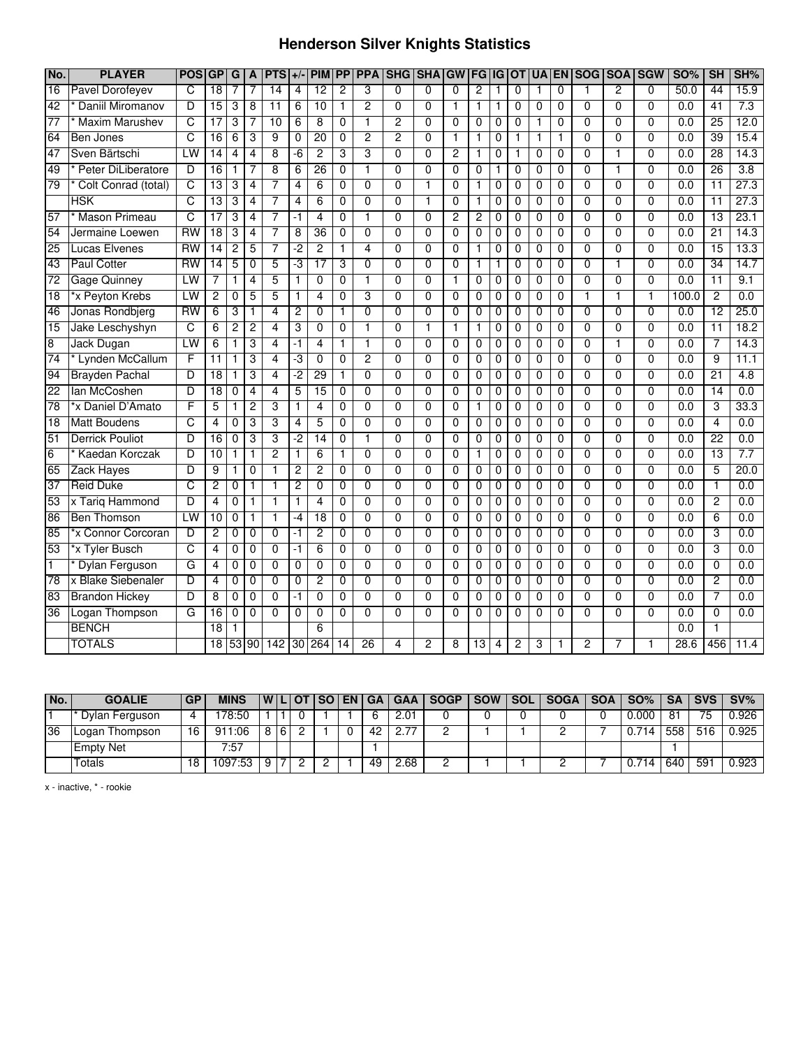## **Henderson Silver Knights Statistics**

| No.             | <b>PLAYER</b>          | <b>POS GP</b>           |                 | G              | A              | <b>PTS</b>      | $+/-$          | <b>PIM</b>      | $\overline{PP}$ | <b>PPA</b>      |                | <b>SHG SHA</b> | <b>GW</b>      | FG              | $\overline{G}$ | <b>OT</b>      | <b>UA</b>      |          | <b>EN SOG</b>  | <b>SOA</b>     | <b>SGW</b>     | <b>SO%</b>       | SH              | SH%  |
|-----------------|------------------------|-------------------------|-----------------|----------------|----------------|-----------------|----------------|-----------------|-----------------|-----------------|----------------|----------------|----------------|-----------------|----------------|----------------|----------------|----------|----------------|----------------|----------------|------------------|-----------------|------|
| 16              | Pavel Dorofeyev        | C                       | $\overline{18}$ | 7              | 7              | 14              | $\overline{4}$ | $\overline{12}$ | $\mathbf{2}$    | 3               | 0              | 0              | 0              | 2               | 1              | 0              | 1              | 0        | 1              | 2              | $\Omega$       | 50.0             | 44              | 15.9 |
| 42              | Daniil Miromanov       | D                       | 15              | 3              | 8              | $\overline{11}$ | 6              | 10              | 1               | 2               | $\Omega$       | 0              |                | 1               | 1              | 0              | 0              | 0        | $\mathbf{0}$   | $\Omega$       | $\Omega$       | 0.0              | $\overline{41}$ | 7.3  |
| $\overline{77}$ | <b>Maxim Marushev</b>  | C                       | 17              | 3              | 7              | 10              | 6              | 8               | 0               |                 | $\overline{c}$ | 0              | $\Omega$       | 0               | 0              | 0              | 1              | 0        | $\mathbf 0$    | 0              | $\Omega$       | $\overline{0.0}$ | $\overline{25}$ | 12.0 |
| 64              | Ben Jones              | C                       | 16              | 6              | 3              | 9               | 0              | $\overline{20}$ | $\mathbf 0$     | 2               | $\overline{c}$ | $\Omega$       | 1              | 1               | 0              | 1              | 1              | 1        | $\Omega$       | $\Omega$       | 0              | 0.0              | $\overline{39}$ | 15.4 |
| 47              | Sven Bärtschi          | LW                      | 14              | 4              | 4              | $\overline{8}$  | -6             | 2               | 3               | 3               | $\overline{0}$ | $\overline{0}$ | 2              | 1               | 0              | 1              | 0              | $\Omega$ | $\overline{0}$ | 1              | $\overline{0}$ | 0.0              | 28              | 14.3 |
| 49              | Peter DiLiberatore     | D                       | 16              | 1              | 7              | 8               | 6              | 26              | $\Omega$        |                 | $\Omega$       | 0              | 0              | 0               | 1              | $\Omega$       | 0              | 0        | $\overline{0}$ | 1              | 0              | 0.0              | 26              | 3.8  |
| 79              | Colt Conrad (total)    | C                       | 13              | 3              | 4              | 7               | 4              | 6               | 0               | $\Omega$        | $\Omega$       |                | 0              | 1               | 0              | 0              | 0              | 0        | $\overline{0}$ | $\Omega$       | $\overline{0}$ | 0.0              | $\overline{11}$ | 27.3 |
|                 | <b>HSK</b>             | C                       | $\overline{13}$ | 3              | 4              | 7               | 4              | 6               | $\Omega$        | $\Omega$        | $\Omega$       | 1              | 0              | 1               | 0              | $\Omega$       | $\Omega$       | 0        | $\mathbf{0}$   | $\Omega$       | $\Omega$       | 0.0              | $\overline{11}$ | 27.3 |
| 57              | <b>Mason Primeau</b>   | C                       | 17              | 3              | 4              | 7               | -1             | $\overline{4}$  | $\Omega$        |                 | $\Omega$       | 0              | 2              | $\overline{2}$  | 0              | 0              | $\Omega$       | $\Omega$ | 0              | $\Omega$       | $\Omega$       | 0.0              | $\overline{13}$ | 23.1 |
| 54              | Jermaine Loewen        | RW                      | 18              | 3              | 4              | 7               | 8              | 36              | 0               | $\Omega$        | $\Omega$       | 0              | 0              | 0               | 0              | 0              | 0              | 0        | 0              | $\Omega$       | $\Omega$       | 0.0              | $\overline{21}$ | 14.3 |
| 25              | <b>Lucas Elvenes</b>   | $\overline{RW}$         | 14              | 2              | 5              | 7               | -2             | $\overline{2}$  | 1               | 4               | $\mathbf{0}$   | 0              | $\Omega$       | 1               | $\mathbf 0$    | $\mathbf 0$    | 0              | 0        | $\overline{0}$ | $\mathbf{0}$   | $\Omega$       | 0.0              | $\overline{15}$ | 13.3 |
| 43              | <b>Paul Cotter</b>     | $\overline{RW}$         | $\overline{14}$ | 5              | $\mathbf 0$    | 5               | $-3$           | $\overline{17}$ | 3               | 0               | $\mathbf 0$    | 0              | 0              | 1               | 1              | $\mathbf 0$    | 0              | 0        | $\overline{0}$ | $\mathbf{1}$   | $\Omega$       | 0.0              | 34              | 14.7 |
| $\overline{72}$ | <b>Gage Quinney</b>    | LW                      | 7               |                | $\overline{4}$ | $\overline{5}$  | $\mathbf{1}$   | $\overline{0}$  | $\mathbf{0}$    |                 | $\mathbf{0}$   | $\overline{0}$ | 1              | 0               | 0              | $\mathbf 0$    | 0              | 0        | $\overline{0}$ | $\overline{0}$ | $\overline{0}$ | 0.0              | $\overline{11}$ | 9.1  |
| 18              | *x Peyton Krebs        | LW                      | 2               | 0              | 5              | 5               | 1              | $\overline{4}$  | $\overline{0}$  | 3               | $\overline{0}$ | $\overline{0}$ | 0              | $\overline{0}$  | $\overline{0}$ | $\overline{0}$ | $\overline{0}$ | 0        | 1              | 1              | 1              | 100.0            | $\overline{2}$  | 0.0  |
| 46              | Jonas Rondbjerg        | RW                      | 6               | 3              | 1              | 4               | 2              | $\overline{0}$  | 1               | $\overline{0}$  | $\overline{0}$ | $\overline{0}$ | $\overline{0}$ | $\overline{0}$  | $\overline{0}$ | $\overline{0}$ | $\overline{0}$ | 0        | $\overline{0}$ | $\overline{0}$ | $\overline{0}$ | 0.0              | $\overline{12}$ | 25.0 |
| 15              | Jake Leschyshyn        | C                       | 6               | $\overline{2}$ | $\overline{c}$ | $\overline{4}$  | 3              | $\mathbf 0$     | 0               | 1               | $\Omega$       | 1              | $\mathbf{1}$   | $\mathbf{1}$    | 0              | $\mathbf 0$    | $\mathbf{0}$   | 0        | $\overline{0}$ | $\overline{0}$ | $\overline{0}$ | 0.0              | $\overline{11}$ | 18.2 |
| 8               | Jack Dugan             | LW                      | 6               | 1              | 3              | $\overline{4}$  | $-1$           | $\overline{4}$  | 1               | $\mathbf{1}$    | $\Omega$       | 0              | $\Omega$       | 0               | 0              | $\mathbf 0$    | $\mathbf{0}$   | 0        | 0              | $\mathbf{1}$   | $\Omega$       | 0.0              | $\overline{7}$  | 14.3 |
| 74              | * Lynden McCallum      | F                       | $\overline{11}$ | 1              | 3              | $\overline{4}$  | $-3$           | $\overline{0}$  | $\overline{0}$  | $\overline{2}$  | $\overline{0}$ | $\overline{0}$ | $\mathbf 0$    | $\overline{0}$  | $\overline{0}$ | $\overline{0}$ | $\mathbf{0}$   | 0        | $\overline{0}$ | $\overline{0}$ | $\overline{0}$ | 0.0              | $\overline{9}$  | 11.1 |
| 94              | <b>Brayden Pachal</b>  | D                       | $\overline{18}$ | 1              | 3              | $\overline{4}$  | $-2$           | 29              | 1               | $\overline{0}$  | $\Omega$       | 0              | $\Omega$       | $\overline{0}$  | 0              | $\mathbf{0}$   | 0              | 0        | $\overline{0}$ | $\overline{0}$ | $\Omega$       | 0.0              | 21              | 4.8  |
| $\overline{22}$ | lan McCoshen           | $\overline{D}$          | 18              | 0              | $\overline{4}$ | $\overline{4}$  | 5              | 15              | $\overline{0}$  | $\overline{0}$  | $\overline{0}$ | $\overline{0}$ | $\overline{0}$ | $\overline{0}$  | $\overline{0}$ | $\overline{0}$ | 0              | 0        | $\overline{0}$ | $\overline{0}$ | $\overline{0}$ | 0.0              | 14              | 0.0  |
| $\overline{78}$ | *x Daniel D'Amato      | F                       | 5               |                | $\overline{2}$ | 3               | 1              | $\overline{4}$  | $\Omega$        | $\Omega$        | $\Omega$       | 0              | $\Omega$       | $\mathbf{1}$    | 0              | $\Omega$       | 0              | 0        | 0              | $\Omega$       | $\Omega$       | 0.0              | 3               | 33.3 |
| 18              | <b>Matt Boudens</b>    | $\overline{\mathsf{C}}$ | 4               | $\overline{0}$ | 3              | 3               | 4              | 5               | $\overline{0}$  | $\overline{0}$  | $\overline{0}$ | $\overline{0}$ | $\overline{0}$ | $\overline{0}$  | $\overline{0}$ | $\overline{0}$ | $\overline{0}$ | 0        | $\overline{0}$ | $\overline{0}$ | $\overline{0}$ | 0.0              | 4               | 0.0  |
| 51              | <b>Derrick Pouliot</b> | D                       | 16              | 0              | 3              | 3               | -2             | 14              | 0               | 1               | $\overline{0}$ | 0              | 0              | $\overline{0}$  | 0              | 0              | 0              | 0        | $\overline{0}$ | $\overline{0}$ | $\overline{0}$ | 0.0              | 22              | 0.0  |
| 6               | * Kaedan Korczak       | D                       | 10              |                | 1              | 2               | $\mathbf{1}$   | 6               | 1               | $\overline{0}$  | $\overline{0}$ | $\overline{0}$ | 0              | 1               | $\overline{0}$ | $\overline{0}$ | $\overline{0}$ | 0        | $\overline{0}$ | $\overline{0}$ | $\overline{0}$ | 0.0              | 13              | 7.7  |
| 65              | <b>Zack Hayes</b>      | D                       | 9               | 1              | $\mathbf 0$    | 1               | $\overline{c}$ | $\overline{c}$  | $\mathbf 0$     | $\mathbf 0$     | $\mathbf 0$    | 0              | 0              | 0               | 0              | $\mathbf 0$    | 0              | 0        | 0              | $\mathbf 0$    | $\Omega$       | 0.0              | 5               | 20.0 |
| 37              | <b>Reid Duke</b>       | C                       | $\overline{2}$  | 0              | $\mathbf{1}$   | 1               | $\overline{2}$ | $\mathbf{0}$    | $\overline{0}$  | $\Omega$        | $\Omega$       | 0              | $\mathbf{0}$   | $\overline{0}$  | $\mathbf 0$    | $\mathbf{0}$   | 0              | 0        | $\overline{0}$ | $\mathbf{0}$   | $\Omega$       | 0.0              | $\mathbf{1}$    | 0.0  |
| 53              | x Tariq Hammond        | D                       | 4               | 0              | $\mathbf{1}$   | 1               | 1              | $\overline{4}$  | $\mathbf 0$     | $\Omega$        | $\Omega$       | 0              | $\Omega$       | 0               | $\mathbf 0$    | $\mathbf 0$    | 0              | 0        | 0              | $\mathbf{0}$   | $\mathbf{0}$   | 0.0              | $\overline{2}$  | 0.0  |
| 86              | <b>Ben Thomson</b>     | LW                      | 10              | 0              | $\mathbf{1}$   | 1               | $-4$           | $\overline{18}$ | $\mathbf 0$     | $\mathbf{0}$    | $\Omega$       | 0              | $\Omega$       | $\mathbf{0}$    | $\mathbf 0$    | $\mathbf{0}$   | 0              | $\Omega$ | 0              | $\mathbf{0}$   | $\Omega$       | $\overline{0.0}$ | 6               | 0.0  |
| 85              | *x Connor Corcoran     | D                       | $\overline{2}$  | 0              | $\mathbf 0$    | $\overline{0}$  | $-1$           | $\overline{2}$  | $\mathbf 0$     | $\Omega$        | $\mathbf{0}$   | 0              | $\Omega$       | $\mathbf 0$     | $\mathbf 0$    | $\mathbf 0$    | $\mathbf 0$    | 0        | $\overline{0}$ | $\overline{0}$ | $\mathbf{0}$   | 0.0              | 3               | 0.0  |
| 53              | *x Tyler Busch         | C                       | 4               | 0              | $\mathbf 0$    | $\overline{0}$  | -1             | 6               | $\overline{0}$  | $\Omega$        | $\Omega$       | 0              | 0              | $\mathbf 0$     | 0              | $\Omega$       | $\Omega$       | $\Omega$ | $\overline{0}$ | $\overline{0}$ | $\overline{0}$ | 0.0              | 3               | 0.0  |
| $\overline{1}$  | <b>Dylan Ferguson</b>  | G                       | 4               | 0              | 0              | $\overline{0}$  | $\mathbf 0$    | $\overline{0}$  | $\overline{0}$  | $\Omega$        | $\Omega$       | $\overline{0}$ | $\Omega$       | $\overline{0}$  | $\overline{0}$ | $\overline{0}$ | 0              | $\Omega$ | $\overline{0}$ | $\overline{0}$ | $\overline{0}$ | 0.0              | $\overline{0}$  | 0.0  |
| 78              | x Blake Siebenaler     | D                       | 4               | 0              | 0              | 0               | 0              | $\overline{2}$  | $\Omega$        | $\Omega$        | $\Omega$       | 0              | $\Omega$       | 0               | 0              | 0              | 0              | 0        | $\overline{0}$ | $\Omega$       | $\Omega$       | 0.0              | $\overline{2}$  | 0.0  |
| 83              | <b>Brandon Hickey</b>  | D                       | 8               | 0              | 0              | $\mathbf 0$     | $-1$           | $\overline{0}$  | $\Omega$        | $\Omega$        | $\mathbf{0}$   | 0              | $\mathbf{0}$   | 0               | $\mathbf 0$    | $\mathbf{0}$   | 0              | 0        | $\mathbf 0$    | $\Omega$       | $\overline{0}$ | 0.0              | 7               | 0.0  |
| 36              | Logan Thompson         | G                       | 16              | 0              | 0              | $\Omega$        | 0              | 0               | $\Omega$        | $\Omega$        | $\Omega$       | 0              | $\Omega$       | $\mathbf 0$     | 0              | 0              | 0              | 0        | 0              | $\Omega$       | $\Omega$       | 0.0              | $\mathbf 0$     | 0.0  |
|                 | <b>BENCH</b>           |                         | 18              |                |                |                 |                | 6               |                 |                 |                |                |                |                 |                |                |                |          |                |                |                | $\overline{0.0}$ |                 |      |
|                 | <b>TOTALS</b>          |                         | $\overline{18}$ |                | 53 90          | 142             | 30             | 264             | 14              | $\overline{26}$ | 4              | 2              | 8              | $\overline{13}$ | 4              | $\overline{c}$ | 3              |          | 2              |                |                | 28.6             | 456             | 11.4 |

| No. | <b>GOALIE</b>    | <b>GP</b> | <b>MINS</b> |   |    | IWILIOTISO I EN I GA |    |      | I GAA I SOGP | SOW SOL | SOGA | $SOA$ $\mid$ $SO\%$ $\mid$ $SA$ $\mid$ $SVS$ $\mid$ $SV\%$ |     |                 |       |
|-----|------------------|-----------|-------------|---|----|----------------------|----|------|--------------|---------|------|------------------------------------------------------------|-----|-----------------|-------|
|     | * Dylan Ferguson |           | 78:50       |   |    |                      | -6 | 2.01 |              |         |      | 0.000                                                      | 81  | 75              | 0.926 |
| 36  | Logan Thompson   | 16        | 911:06      |   | 86 |                      | 42 | 2.77 |              |         |      | ن 714 $\,$                                                 | 558 | 516             | 0.925 |
|     | <b>Empty Net</b> |           | 7:57        |   |    |                      |    |      |              |         |      |                                                            |     |                 |       |
|     | Totals           | '8        | 1097:53     | 9 | 7  |                      | 49 | 2.68 |              |         |      | 0.714                                                      | 640 | 59 <sup>4</sup> | 0.923 |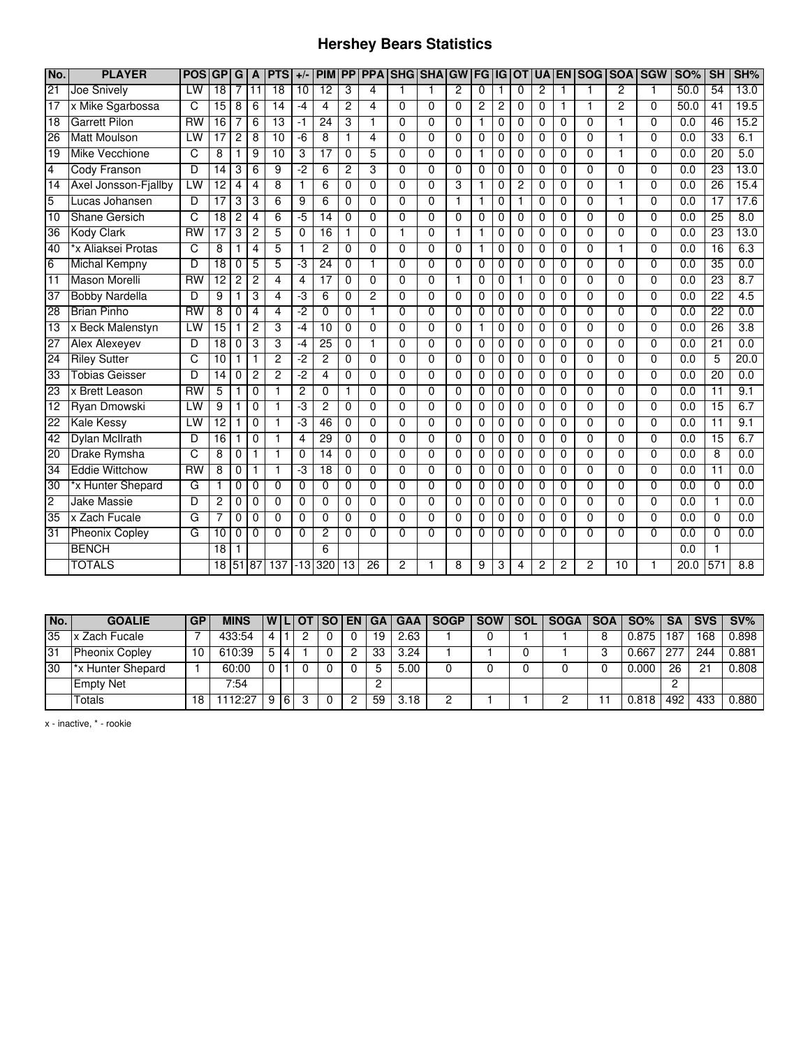## **Hershey Bears Statistics**

| No.             | <b>PLAYER</b>         | <b>POS</b>      | <b>GP</b>       | G              | A        | <b>PTS</b>      | $+/-$          | <b>PIM</b>      | PP              | <b>PPA</b>      | <b>SHG SHAGW</b> |                |                | FG       | IG       | <b>OT</b>      | <b>IUA</b>     |          | <b> EN SOG SOA SGW</b> |                |                | <b>SO%</b> | <b>SH</b>       | SH%              |
|-----------------|-----------------------|-----------------|-----------------|----------------|----------|-----------------|----------------|-----------------|-----------------|-----------------|------------------|----------------|----------------|----------|----------|----------------|----------------|----------|------------------------|----------------|----------------|------------|-----------------|------------------|
| $\overline{21}$ | Joe Snively           | LW              | $\overline{18}$ | 7              | 11       | $\overline{18}$ | 10             | 12              | 3               | 4               | 1                | 1              | $\overline{2}$ | 0        |          | $\Omega$       | $\overline{c}$ | 1        | 1                      | 2              | $\mathbf{1}$   | 50.0       | 54              | 13.0             |
| 17              | x Mike Sgarbossa      | C               | $\overline{15}$ | 8              | 6        | $\overline{14}$ | $-4$           | 4               | $\overline{c}$  | 4               | $\Omega$         | $\Omega$       | $\Omega$       | 2        | 2        | 0              | 0              | 1        | 1                      | $\overline{2}$ | $\Omega$       | 50.0       | $\overline{41}$ | 19.5             |
| 18              | <b>Garrett Pilon</b>  | $\overline{RW}$ | 16              | 7              | 6        | 13              | -1             | 24              | 3               | 1               | 0                | $\mathbf 0$    | 0              | 1        | 0        | 0              | 0              | 0        | 0                      | 1              | $\Omega$       | 0.0        | 46              | 15.2             |
| 26              | <b>Matt Moulson</b>   | LW              | $\overline{17}$ | 2              | 8        | 10              | $-6$           | 8               | $\mathbf{1}$    | 4               | $\Omega$         | $\Omega$       | $\Omega$       | 0        | 0        | $\mathbf 0$    | 0              | 0        | $\mathbf{0}$           | 1              | $\Omega$       | 0.0        | $\overline{33}$ | 6.1              |
| 19              | Mike Vecchione        | C               | 8               | 1              | 9        | $\overline{10}$ | 3              | 17              | $\Omega$        | 5               | 0                | $\Omega$       | $\Omega$       | 1        | $\Omega$ | $\Omega$       | 0              | $\Omega$ | 0                      |                | $\Omega$       | 0.0        | 20              | 5.0              |
| 4               | <b>Cody Franson</b>   | D               | $\overline{14}$ | 3              | 6        | 9               | -2             | 6               | $\overline{c}$  | 3               | 0                | $\Omega$       | $\Omega$       | 0        | 0        | $\Omega$       | 0              | 0        | 0                      | 0              | $\Omega$       | 0.0        | 23              | 13.0             |
| 14              | Axel Jonsson-Fjallby  | LW              | 12              | 4              | 4        | 8               | 1              | $\overline{6}$  | $\mathbf 0$     | $\overline{0}$  | $\overline{0}$   | $\overline{0}$ | 3              | 1        | 0        | $\overline{2}$ | 0              | 0        | $\overline{0}$         | 1              | $\overline{0}$ | 0.0        | 26              | 15.4             |
| $\overline{5}$  | Lucas Johansen        | D               | 17              | 3              | 3        | 6               | 9              | 6               | $\Omega$        | $\Omega$        | $\Omega$         | $\Omega$       |                | 1        | 0        | 1              | 0              | $\Omega$ | $\Omega$               | $\mathbf 1$    | $\Omega$       | 0.0        | 17              | 17.6             |
| $\overline{10}$ | <b>Shane Gersich</b>  | C               | $\overline{18}$ | $\overline{2}$ | 4        | 6               | -5             | 14              | 0               | 0               | 0                | 0              | $\Omega$       | 0        | 0        | 0              | 0              | 0        | 0                      | $\Omega$       | $\Omega$       | 0.0        | $\overline{25}$ | $\overline{8.0}$ |
| 36              | <b>Kody Clark</b>     | $\overline{RW}$ | 17              | 3              | 2        | 5               | $\Omega$       | $\overline{16}$ | $\mathbf{1}$    | $\Omega$        | 1                | 0              | $\mathbf{1}$   | 1        | 0        | $\mathbf 0$    | 0              | 0        | $\Omega$               | $\Omega$       | $\Omega$       | 0.0        | 23              | 13.0             |
| 40              | *x Aliaksei Protas    | C               | 8               | 1              | 4        | 5               | 1              | $\overline{c}$  | $\Omega$        | 0               | $\Omega$         | $\mathbf 0$    | $\Omega$       | 1        | 0        | $\mathbf 0$    | 0              | 0        | $\Omega$               |                | $\Omega$       | 0.0        | 16              | 6.3              |
| $\overline{6}$  | <b>Michal Kempny</b>  | D               | $\overline{18}$ | $\Omega$       | 5        | 5               | ٠J             | $\overline{24}$ | $\Omega$        | 1               | 0                | $\Omega$       | $\Omega$       | 0        | 0        | $\Omega$       | 0              | $\Omega$ | 0                      | $\Omega$       | $\Omega$       | 0.0        | $\overline{35}$ | 0.0              |
| 11              | <b>Mason Morelli</b>  | <b>RW</b>       | 12              | 2              | 2        | 4               | 4              | $\overline{17}$ | $\mathbf 0$     | $\Omega$        | 0                | $\Omega$       | $\mathbf{1}$   | 0        | 0        | 1              | 0              | 0        | $\Omega$               | $\Omega$       | $\Omega$       | 0.0        | $\overline{23}$ | 8.7              |
| 37              | <b>Bobby Nardella</b> | D               | 9               | 1              | 3        | 4               | -3             | 6               | $\mathbf 0$     | 2               | $\Omega$         | $\mathbf 0$    | $\Omega$       | $\Omega$ | 0        | $\mathbf 0$    | 0              | $\Omega$ | $\Omega$               | $\Omega$       | $\Omega$       | 0.0        | 22              | 4.5              |
| 28              | <b>Brian Pinho</b>    | <b>RW</b>       | 8               | 0              | 4        | 4               | -2             | $\Omega$        | $\Omega$        | 1               | 0                | $\Omega$       | $\Omega$       | 0        | 0        | $\Omega$       | 0              | 0        | 0                      | $\Omega$       | $\Omega$       | 0.0        | $\overline{22}$ | 0.0              |
| $\overline{13}$ | x Beck Malenstyn      | LW              | $\overline{15}$ | 1              | 2        | 3               | $-4$           | 10              | $\mathbf 0$     | $\Omega$        | 0                | $\mathbf{0}$   | $\Omega$       | 1        | 0        | 0              | 0              | 0        | $\Omega$               | $\Omega$       | $\Omega$       | 0.0        | 26              | $\overline{3.8}$ |
| 27              | <b>Alex Alexeyev</b>  | D               | 18              | $\mathbf 0$    | 3        | 3               | -4             | $\overline{25}$ | $\mathbf 0$     | 1               | $\Omega$         | $\mathbf 0$    | $\Omega$       | 0        | 0        | 0              | 0              | 0        | $\Omega$               | $\Omega$       | $\Omega$       | 0.0        | $\overline{21}$ | 0.0              |
| 24              | <b>Rilev Sutter</b>   | C               | 10              | 1              |          | $\overline{2}$  | -2             | $\overline{c}$  | $\Omega$        | $\Omega$        | $\Omega$         | $\Omega$       | $\Omega$       | $\Omega$ | 0        | $\Omega$       | 0              | 0        | 0                      | $\Omega$       | $\Omega$       | 0.0        | 5               | 20.0             |
| 33              | <b>Tobias Geisser</b> | D               | $\overline{14}$ | 0              | 2        | $\overline{2}$  | -2             | $\overline{4}$  | 0               | $\Omega$        | 0                | $\mathbf{0}$   | $\Omega$       | 0        | 0        | 0              | 0              | $\Omega$ | $\mathbf{0}$           | $\mathbf{0}$   | $\Omega$       | 0.0        | $\overline{20}$ | 0.0              |
| 23              | x Brett Leason        | $\overline{RW}$ | 5               | 1              | 0        | 1               | $\overline{2}$ | 0               | $\overline{1}$  | 0               | $\Omega$         | $\mathbf 0$    | $\Omega$       | 0        | 0        | 0              | 0              | 0        | $\mathbf 0$            | $\Omega$       | $\Omega$       | 0.0        | 11              | 9.1              |
| $\overline{12}$ | Ryan Dmowski          | LW              | 9               | 1              | 0        | 1               | د.             | $\overline{c}$  | 0               | 0               | $\Omega$         | $\mathbf 0$    | 0              | 0        | 0        | $\mathbf 0$    | 0              | 0        | $\Omega$               | $\Omega$       | $\Omega$       | 0.0        | $\overline{15}$ | 6.7              |
| 22              | <b>Kale Kessy</b>     | LW              | 12              | 1              | 0        | 1               | -3             | 46              | 0               | $\overline{0}$  | $\overline{0}$   | $\overline{0}$ | $\Omega$       | 0        | 0        | 0              | 0              | 0        | $\overline{0}$         | $\overline{0}$ | $\overline{0}$ | 0.0        | $\overline{11}$ | 9.1              |
| 42              | Dylan McIlrath        | D               | $\overline{16}$ | 1              | 0        | $\mathbf{1}$    | 4              | 29              | $\Omega$        | $\overline{0}$  | $\Omega$         | $\Omega$       | $\Omega$       | 0        | 0        | 0              | 0              | $\Omega$ | $\Omega$               | $\Omega$       | $\Omega$       | 0.0        | 15              | 6.7              |
| 20              | Drake Rymsha          | C               | 8               | 0              | 1        | $\mathbf{1}$    | $\Omega$       | 14              | $\mathbf 0$     | $\Omega$        | $\Omega$         | $\Omega$       | $\Omega$       | 0        | 0        | $\Omega$       | 0              | 0        | $\Omega$               | $\Omega$       | $\Omega$       | 0.0        | 8               | 0.0              |
| 34              | <b>Eddie Wittchow</b> | $\overline{RW}$ | 8               | 0              |          | 1               | -3             | 18              | $\Omega$        | $\Omega$        | $\Omega$         | $\Omega$       | $\Omega$       | 0        | 0        | $\Omega$       | 0              | 0        | $\Omega$               | $\Omega$       | $\Omega$       | 0.0        | 11              | 0.0              |
| 30              | *x Hunter Shepard     | G               | 1               | 0              | 0        | $\Omega$        | $\Omega$       | $\mathbf{0}$    | $\Omega$        | $\Omega$        | 0                | $\Omega$       | $\Omega$       | $\Omega$ | 0        | $\Omega$       | 0              | $\Omega$ | $\mathbf{0}$           | $\mathbf{0}$   | $\Omega$       | 0.0        | $\Omega$        | 0.0              |
| $\overline{2}$  | <b>Jake Massie</b>    | D               | 2               | 0              | 0        | $\mathbf 0$     | $\Omega$       | $\mathbf 0$     | $\mathbf 0$     | 0               | $\Omega$         | $\Omega$       | $\Omega$       | 0        | 0        | $\mathbf 0$    | $\Omega$       | 0        | $\mathbf{0}$           | $\mathbf{0}$   | $\Omega$       | 0.0        | 1               | 0.0              |
| 35              | x Zach Fucale         | G               | 7               | 0              | 0        | 0               | $\Omega$       | $\Omega$        | 0               | $\Omega$        | 0                | $\mathbf 0$    | 0              | 0        | 0        | 0              | 0              | 0        | $\Omega$               | $\Omega$       | $\Omega$       | 0.0        | 0               | 0.0              |
| 31              | <b>Pheonix Copley</b> | G               | 10              | $\mathbf 0$    | $\Omega$ | $\Omega$        | $\Omega$       | $\overline{2}$  | $\Omega$        | $\Omega$        | $\Omega$         | $\Omega$       | $\Omega$       | $\Omega$ | $\Omega$ | $\Omega$       | $\Omega$       | $\Omega$ | $\Omega$               | $\Omega$       | $\Omega$       | 0.0        | $\Omega$        | 0.0              |
|                 | <b>BENCH</b>          |                 | $\overline{18}$ | 1              |          |                 |                | 6               |                 |                 |                  |                |                |          |          |                |                |          |                        |                |                | 0.0        |                 |                  |
|                 | <b>TOTALS</b>         |                 | $\overline{18}$ |                | 51 87    | 137             | $-13$          | 320             | $\overline{13}$ | $\overline{26}$ | 2                |                | 8              | 9        | 3        | 4              | 2              | 2        | 2                      | 10             |                | 20.0       | 571             | 8.8              |

| No. | <b>GOALIE</b>                 | <b>GP</b> | <b>MINS</b> |          |   | <b>IWILIOTI</b> | I SO I EN I | l GA I | <b>GAA</b> | <b>SOGP</b> | <b>SOW</b> | <b>SOL</b> | <b>SOGA</b> | $SOA$ $SO\%$ $\parallel$ | <b>SA</b> | <b>SVS</b> | SV%   |
|-----|-------------------------------|-----------|-------------|----------|---|-----------------|-------------|--------|------------|-------------|------------|------------|-------------|--------------------------|-----------|------------|-------|
| 35  | x Zach Fucale                 |           | 433:54      | 4        |   |                 |             | 19     | 2.63       |             |            |            |             | 0.875                    | 187       | 168        | 0.898 |
| 31  | <b>Pheonix Copley</b>         | 10        | 610:39      | 5        |   |                 |             | 33     | 3.24       |             |            |            |             | 0.667                    |           | 244        | 0.881 |
| 30  | <sup>*</sup> x Hunter Shepard |           | 60:00       | $\Omega$ |   |                 |             |        | 5.00       |             |            |            |             | 0.000                    | 26        | 21         | 0.808 |
|     | <b>Empty Net</b>              |           | 7:54        |          |   |                 |             |        |            |             |            |            |             |                          |           |            |       |
|     | Totals                        | 18        | 112:27      | 9        | 6 |                 |             | 59     | 3.18       |             |            |            |             | 0.818                    | 492       | 433        | 0.880 |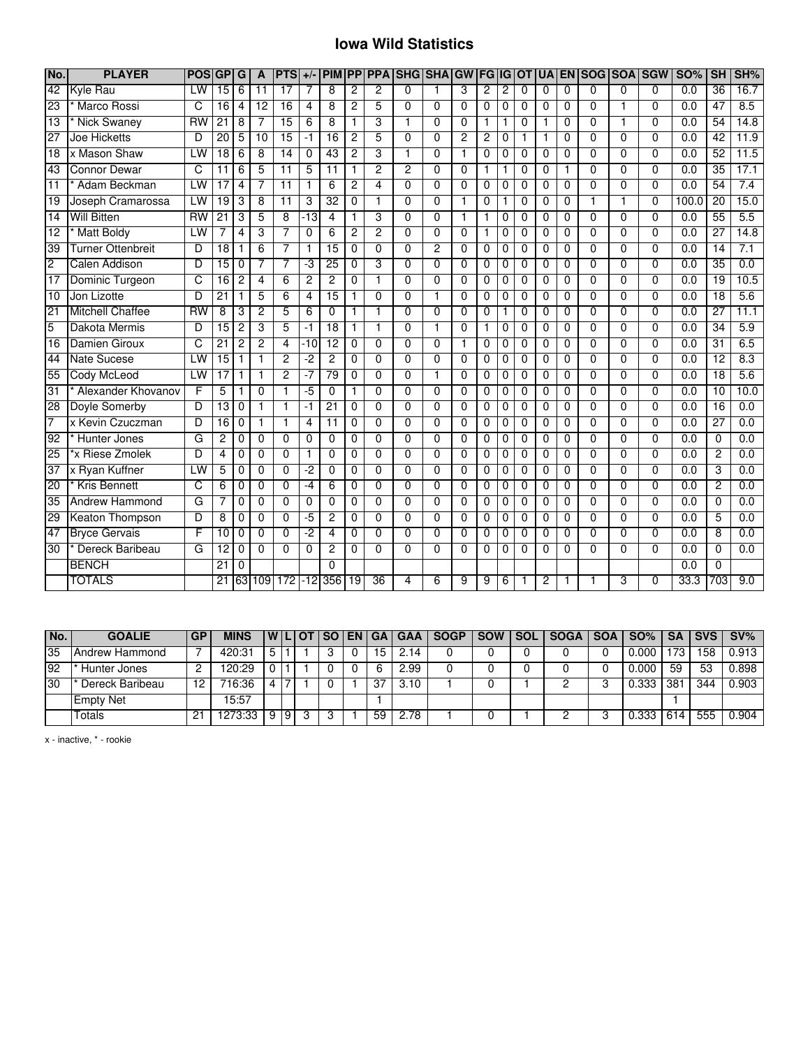#### **Iowa Wild Statistics**

| No.             | <b>PLAYER</b>           | <b>POS</b>      | GP G            |                | A               | <b>PTS</b>              | $+/-$ | <b>PIM</b>      | $\overline{PP}$ | <b>PPA</b>     | <b>SHG SHA</b>          |                | <b>GW</b>      | <b>IFG</b>     | G              | <b>OT</b>      | <b>UA</b>      |                | <b>EN SOG</b>  |                | <b>SOA SGW</b> | <b>SO%</b>       | SH              | SH%  |
|-----------------|-------------------------|-----------------|-----------------|----------------|-----------------|-------------------------|-------|-----------------|-----------------|----------------|-------------------------|----------------|----------------|----------------|----------------|----------------|----------------|----------------|----------------|----------------|----------------|------------------|-----------------|------|
| $\overline{42}$ | Kyle Rau                | LW              | $\overline{15}$ | 6              | $\overline{11}$ | 17                      |       | 8               | $\overline{2}$  | 2              | $\mathbf{0}$            |                | 3              | 2              | 2              | $\mathbf 0$    | 0              | $\mathbf 0$    | 0              | 0              | $\Omega$       | $\overline{0.0}$ | $\overline{36}$ | 16.7 |
| $\overline{23}$ | Marco Rossi             | C               | $\overline{16}$ | $\overline{4}$ | $\overline{12}$ | $\overline{16}$         | 4     | 8               | $\overline{2}$  | 5              | $\Omega$                | 0              | $\Omega$       | $\Omega$       | 0              | $\Omega$       | $\Omega$       | $\Omega$       | $\Omega$       | 1              | $\Omega$       | 0.0              | 47              | 8.5  |
| $\overline{13}$ | <b>Nick Swaney</b>      | $\overline{RW}$ | $\overline{21}$ | 8              | 7               | $\overline{15}$         | 6     | 8               | 1               | 3              | 1                       | $\Omega$       | $\Omega$       | 1              |                | $\mathbf 0$    | 1              | $\Omega$       | $\Omega$       | 1              | $\Omega$       | 0.0              | 54              | 14.8 |
| $\overline{27}$ | <b>Joe Hicketts</b>     | D               | 20              | 5              | 10              | $\overline{15}$         | -1    | $\overline{16}$ | 2               | 5              | 0                       | 0              | $\overline{c}$ | 2              | 0              | 1              | 1              | 0              | $\mathbf{0}$   | 0              | $\Omega$       | 0.0              | 42              | 11.9 |
| 18              | x Mason Shaw            | LW              | 18              | $-6$           | $\overline{8}$  | 14                      | 0     | 43              | 2               | 3              | 1                       | 0              | $\mathbf{1}$   | $\overline{0}$ | 0              | $\overline{0}$ | $\overline{0}$ | $\overline{0}$ | $\overline{0}$ | $\overline{0}$ | $\overline{0}$ | 0.0              | 52              | 11.5 |
| 43              | <b>Connor Dewar</b>     | C               | 11              | 6              | 5               | $\overline{11}$         | 5     | $\overline{11}$ | 1               | $\overline{2}$ | $\overline{2}$          | 0              | $\Omega$       | $\mathbf{1}$   | 1              | $\Omega$       | $\Omega$       | 1              | $\Omega$       | $\overline{0}$ | $\Omega$       | 0.0              | 35              | 17.1 |
| $\overline{11}$ | Adam Beckman            | LW              | 17              | $\overline{4}$ |                 | $\overline{11}$         |       | $6\overline{6}$ | 2               | 4              | $\overline{0}$          | $\overline{0}$ | $\Omega$       | $\overline{0}$ | 0              | $\overline{0}$ | $\overline{0}$ | $\overline{0}$ | $\overline{0}$ | $\overline{0}$ | $\overline{0}$ | 0.0              | 54              | 7.4  |
| 19              | Joseph Cramarossa       | LW              | 19              | 3              | 8               | 11                      | 3     | $\overline{32}$ | 0               | 1              | $\Omega$                | $\Omega$       | 1              | 0              |                | $\mathbf 0$    | 0              | 0              | 1              | 1              | $\mathbf 0$    | 100.0            | $\overline{20}$ | 15.0 |
| 14              | <b>Will Bitten</b>      | <b>RW</b>       | $\overline{21}$ | 3              | 5               | $\overline{8}$          | $-13$ | $\overline{4}$  | 1               | 3              | $\Omega$                | $\Omega$       | $\mathbf{1}$   | $\overline{1}$ | 0              | $\Omega$       | $\Omega$       | $\Omega$       | $\Omega$       | $\overline{0}$ | $\Omega$       | $\overline{0.0}$ | 55              | 5.5  |
| $\overline{12}$ | <b>Matt Boldy</b>       | LW              | 7               | $\overline{4}$ | 3               | 7                       | 0     | 6               | $\overline{c}$  | $\overline{2}$ | $\Omega$                | $\Omega$       | $\Omega$       | 1              | 0              | $\mathbf 0$    | 0              | $\Omega$       | $\Omega$       | $\overline{0}$ | $\Omega$       | 0.0              | $\overline{27}$ | 14.8 |
| 39              | Turner Ottenbreit       | D               | $\overline{18}$ | 1              | 6               | $\overline{7}$          | 1     | $\overline{15}$ | 0               | $\Omega$       | $\Omega$                | $\overline{2}$ | $\Omega$       | $\mathbf 0$    | 0              | $\mathbf 0$    | 0              | $\mathbf 0$    | $\overline{0}$ | $\overline{0}$ | $\Omega$       | 0.0              | 14              | 7.1  |
| $\overline{2}$  | <b>Calen Addison</b>    | D               | 15              | $\Omega$       |                 | 7                       | -3    | $\overline{25}$ | 0               | 3              | $\Omega$                | $\Omega$       | $\Omega$       | 0              | 0              | $\mathbf 0$    | 0              | 0              | $\Omega$       | $\Omega$       | $\Omega$       | 0.0              | $\overline{35}$ | 0.0  |
| 17              | Dominic Turgeon         | C               | $\overline{16}$ | $\overline{c}$ | $\overline{4}$  | 6                       | 2     | $\overline{2}$  | 0               | $\mathbf{1}$   | $\Omega$                | $\Omega$       | $\Omega$       | $\Omega$       | 0              | $\Omega$       | $\Omega$       | $\Omega$       | $\Omega$       | $\Omega$       | $\Omega$       | 0.0              | 19              | 10.5 |
| 10              | Jon Lizotte             | D               | $\overline{21}$ |                | 5               | 6                       | 4     | $\overline{15}$ | 1               | $\Omega$       | $\Omega$                | 1              | $\Omega$       | $\overline{0}$ | 0              | 0              | 0              | $\Omega$       | $\Omega$       | $\overline{0}$ | $\Omega$       | 0.0              | $\overline{18}$ | 5.6  |
| $\overline{21}$ | <b>Mitchell Chaffee</b> | <b>RW</b>       | 8               | 3              | $\overline{2}$  | 5                       | 6     | 0               | 1               | 1              | $\Omega$                | 0              | $\Omega$       | $\overline{0}$ | 1              | $\mathbf 0$    | 0              | $\Omega$       | $\overline{0}$ | $\Omega$       | $\Omega$       | 0.0              | 27              | 11.1 |
| 5               | Dakota Mermis           | D               | 15              | $\overline{c}$ | 3               | 5                       | -1    | 18              | 1               | 1              | $\Omega$                | 1              | $\Omega$       | 1              | 0              | $\Omega$       | 0              | $\Omega$       | 0              | 0              | $\Omega$       | 0.0              | $\overline{34}$ | 5.9  |
| 16              | Damien Giroux           | C               | $\overline{21}$ | $\overline{c}$ | 2               | $\overline{\mathbf{4}}$ | -10   | $\overline{12}$ | $\Omega$        | $\Omega$       | $\Omega$                | $\Omega$       | $\mathbf{1}$   | $\Omega$       | 0              | $\Omega$       | 0              | $\Omega$       | $\Omega$       | 0              | $\Omega$       | 0.0              | 31              | 6.5  |
| 44              | <b>Nate Sucese</b>      | LW              | 15              | 1              |                 | $\overline{c}$          | $-2$  | 2               | 0               | $\Omega$       | $\Omega$                | $\Omega$       | $\Omega$       | 0              | 0              | $\mathbf 0$    | 0              | $\Omega$       | $\Omega$       | $\mathbf{0}$   | $\Omega$       | 0.0              | $\overline{12}$ | 8.3  |
| 55              | Cody McLeod             | LW              | 17              | 1              |                 | $\overline{c}$          | -7    | 79              | 0               | $\Omega$       | $\Omega$                | 1              | $\Omega$       | 0              | 0              | $\mathbf 0$    | 0              | 0              | 0              | 0              | $\Omega$       | 0.0              | $\overline{18}$ | 5.6  |
| $\overline{31}$ | Alexander Khovanov      | F               | 5               | 1              | 0               | 1                       | -5    | 0               | 1               | 0              | $\Omega$                | $\Omega$       | $\mathbf 0$    | 0              | 0              | $\mathbf 0$    | 0              | 0              | $\Omega$       | 0              | $\Omega$       | 0.0              | 10              | 10.0 |
| 28              | Doyle Somerby           | D               | 13              | $\mathbf 0$    | 1               | $\mathbf{1}$            | $-1$  | $\overline{21}$ | $\mathbf{0}$    | $\Omega$       | $\Omega$                | $\Omega$       | $\Omega$       | $\overline{0}$ | 0              | $\Omega$       | $\Omega$       | $\Omega$       | $\Omega$       | 0              | $\Omega$       | 0.0              | 16              | 0.0  |
| 7               | x Kevin Czuczman        | D               | 16              | 0              |                 | 1                       | 4     | $\overline{11}$ | 0               | $\Omega$       | $\overline{0}$          | $\Omega$       | $\Omega$       | 0              | 0              | $\Omega$       | 0              | $\overline{0}$ | $\overline{0}$ | $\overline{0}$ | $\overline{0}$ | 0.0              | 27              | 0.0  |
| 92              | Hunter Jones            | G               | 2               | 0              | $\Omega$        | $\Omega$                | 0     | 0               | 0               | 0              | 0                       | 0              | $\Omega$       | $\Omega$       | 0              | $\Omega$       | 0              | $\Omega$       | 0              | 0              | 0              | 0.0              | $\Omega$        | 0.0  |
| $\overline{25}$ | *x Riese Zmolek         | D               | 4               | $\overline{0}$ | $\overline{0}$  | $\overline{0}$          | 1     | $\overline{0}$  | $\overline{0}$  | $\overline{0}$ | $\overline{0}$          | $\overline{0}$ | $\overline{0}$ | $\overline{0}$ | $\overline{0}$ | $\overline{0}$ | 0              | $\overline{0}$ | $\overline{0}$ | $\overline{0}$ | $\overline{0}$ | 0.0              | 2               | 0.0  |
| $\overline{37}$ | x Ryan Kuffner          | LW              | 5               | $\Omega$       | $\Omega$        | $\Omega$                | -2    | $\Omega$        | $\Omega$        | $\Omega$       | $\mathbf{0}$            | $\Omega$       | $\Omega$       | $\Omega$       | 0              | $\Omega$       | $\Omega$       | $\mathbf{0}$   | $\Omega$       | 0              | $\Omega$       | 0.0              | 3               | 0.0  |
| $\overline{20}$ | <b>Kris Bennett</b>     | c               | 6               | $\mathbf 0$    | 0               | $\Omega$                | $-4$  | 6               | 0               | $\Omega$       | $\Omega$                | $\Omega$       | $\Omega$       | 0              | 0              | $\mathbf 0$    | 0              | $\mathbf 0$    | $\Omega$       | 0              | $\mathbf{0}$   | 0.0              | $\overline{2}$  | 0.0  |
| 35              | <b>Andrew Hammond</b>   | G               |                 | $\Omega$       | $\Omega$        | $\Omega$                | 0     | $\Omega$        | $\Omega$        | $\Omega$       | $\Omega$                | 0              | $\Omega$       | 0              | 0              | $\Omega$       | 0              | $\Omega$       | $\Omega$       | 0              | $\Omega$       | 0.0              | 0               | 0.0  |
| 29              | Keaton Thompson         | D               | 8               | $\mathbf 0$    | $\overline{0}$  | $\overline{0}$          | $-5$  | $\overline{2}$  | $\Omega$        | $\overline{0}$ | $\overline{0}$          | $\Omega$       | $\Omega$       | $\overline{0}$ | 0              | $\mathbf 0$    | $\overline{0}$ | $\overline{0}$ | $\overline{0}$ | $\overline{0}$ | $\overline{0}$ | 0.0              | 5               | 0.0  |
| 47              | <b>Bryce Gervais</b>    | F               | 10              | $\mathbf 0$    | $\Omega$        | $\Omega$                | -2    | 4               | $\Omega$        | $\Omega$       | $\mathbf 0$             | $\Omega$       | $\mathbf 0$    | $\mathbf 0$    | 0              | $\mathbf 0$    | 0              | $\mathbf 0$    | $\Omega$       | $\mathbf 0$    | $\Omega$       | 0.0              | 8               | 0.0  |
| 30              | Dereck Baribeau         | G               | 12              | $\Omega$       | $\Omega$        | $\Omega$                | 0     | $\overline{2}$  | 0               | $\mathbf{0}$   | $\Omega$                | 0              | $\Omega$       | $\Omega$       | $\Omega$       | $\Omega$       | $\Omega$       | $\Omega$       | $\Omega$       | $\overline{0}$ | $\Omega$       | 0.0              | $\mathbf 0$     | 0.0  |
|                 | <b>BENCH</b>            |                 | 21              | $\Omega$       |                 |                         |       | 0               |                 |                |                         |                |                |                |                |                |                |                |                |                |                | 0.0              | $\Omega$        |      |
|                 | <b>TOTALS</b>           |                 | $\overline{21}$ |                | 63 109          | 172                     |       | $-12$ 356       | 19              | 36             | $\overline{\mathbf{4}}$ | 6              | 9              | 9              | 6              |                | 2              | 1              |                | 3              | $\overline{0}$ | 33.3             | 703             | 9.0  |

| No. | <b>GOALIE</b>    | <b>GP</b> | <b>MINS</b> |   |   | I WILLOT | <b>SO</b> I | <b>EN GA</b> |     | <b>GAA</b> | <b>SOGP</b> | <b>SOW</b> | <b>SOL</b> | <b>SOGA</b> | <b>SOA</b> | SO%                | <b>SA</b>       | <b>SVS</b> | SV%   |
|-----|------------------|-----------|-------------|---|---|----------|-------------|--------------|-----|------------|-------------|------------|------------|-------------|------------|--------------------|-----------------|------------|-------|
| 35  | IAndrew Hammond  |           | 420:31      | ა |   |          |             |              | 5   | 2.14       |             |            |            |             |            | 0.000              | 173             | 158        | 0.913 |
| 92  | Hunter Jones     |           | 120:29      |   |   |          |             |              |     | 2.99       |             |            |            |             |            | 0.000              | 59              | 53         | 0.898 |
| 30  | Dereck Baribeau  | '2        | 16:36       |   |   |          |             |              | -37 | 3.10       |             |            |            |             |            | $0.\overline{333}$ | 38 <sup>°</sup> | 344        | 0.903 |
|     | <b>Empty Net</b> |           | 15:57       |   |   |          |             |              |     |            |             |            |            |             |            |                    |                 |            |       |
|     | Totals           | 21        | 273:33      | 9 | 9 | ິ        |             |              | 59  | 2.78       |             |            |            |             |            | 0.333              | -61             | 555        | 0.904 |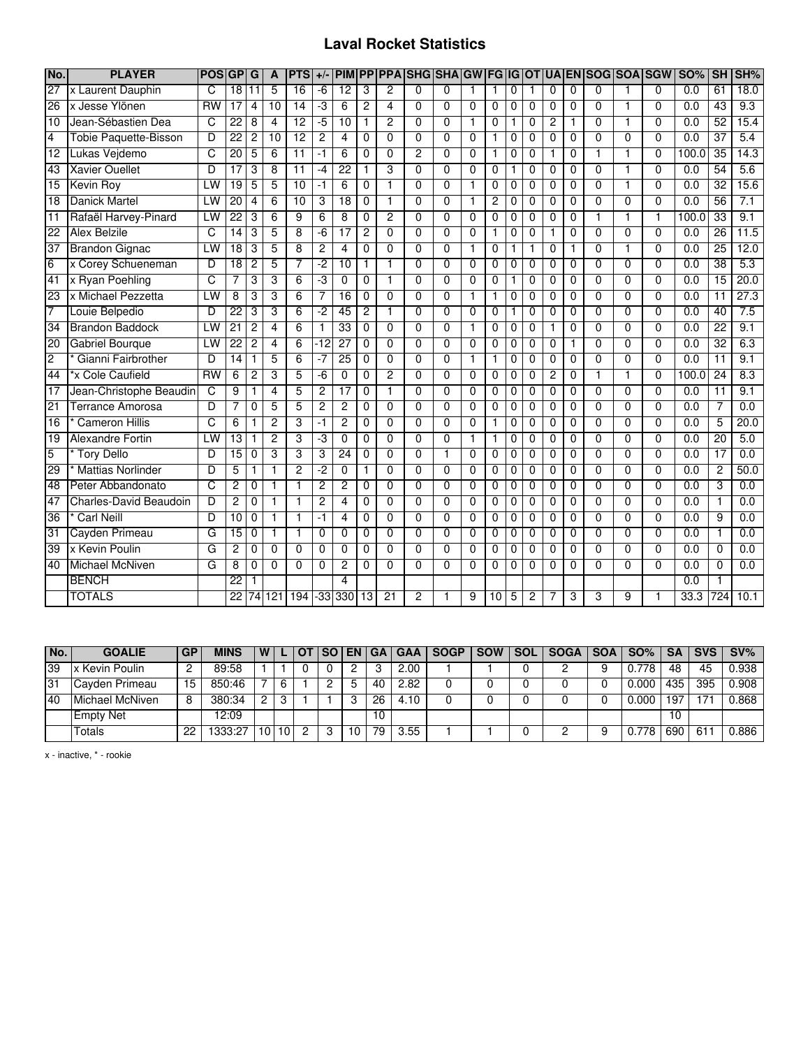## **Laval Rocket Statistics**

| No.             | <b>PLAYER</b>                 | <b>POSIGP</b>   |                 | G              | A              | <b>PTS</b>      | $+/-$          | <b>PIM</b>      | <b>PP</b>       |                 | <b>PPAISHGISHA</b> |                | <b>GW FG IG</b> |                 |                |                |                |                | <b>OTIUA EN SOGISOA SGW</b> |                |                | <b>SO%</b>       | <b>SH</b>       | SH%  |
|-----------------|-------------------------------|-----------------|-----------------|----------------|----------------|-----------------|----------------|-----------------|-----------------|-----------------|--------------------|----------------|-----------------|-----------------|----------------|----------------|----------------|----------------|-----------------------------|----------------|----------------|------------------|-----------------|------|
| $\overline{27}$ | x Laurent Dauphin             | C               | $\overline{18}$ | 11             | 5              | $\overline{16}$ | $-6$           | $\overline{12}$ | 3               | $\overline{2}$  | $\Omega$           | 0              | $\mathbf{1}$    | 1               | $\mathbf{0}$   |                | $\Omega$       | $\Omega$       | $\mathbf{0}$                | 1              | $\Omega$       | $\overline{0.0}$ | 61              | 18.0 |
| 26              | x Jesse Ylönen                | <b>RW</b>       | $\overline{17}$ | 4              | 10             | 14              | $-3$           | 6               | 2               | 4               | 0                  | $\Omega$       | $\Omega$        | $\Omega$        | $\Omega$       | $\Omega$       | $\Omega$       | $\Omega$       | $\Omega$                    | $\mathbf{1}$   | $\Omega$       | 0.0              | $\overline{43}$ | 9.3  |
| 10              | Jean-Sébastien Dea            | C               | 22              | 8              | 4              | $\overline{12}$ | $-5$           | $\overline{10}$ | $\mathbf 1$     | $\overline{2}$  | $\Omega$           | 0              | $\mathbf{1}$    | $\Omega$        | 1              | $\Omega$       | $\overline{c}$ | 1              | $\Omega$                    | $\mathbf{1}$   | $\Omega$       | 0.0              | 52              | 15.4 |
| 4               | <b>Tobie Paquette-Bisson</b>  | D               | $\overline{22}$ | $\overline{c}$ | 10             | $\overline{12}$ | 2              | 4               | 0               | 0               | $\mathbf{0}$       | $\mathbf 0$    | $\Omega$        | 1               | $\mathbf 0$    | $\mathbf 0$    | $\Omega$       | 0              | $\Omega$                    | $\mathbf 0$    | 0              | 0.0              | 37              | 5.4  |
| 12              | Lukas Vejdemo                 | C               | 20              | 5              | 6              | $\overline{11}$ | $-1$           | 6               | 0               | 0               | 2                  | 0              | 0               | 1               | 0              | $\Omega$       | 1              | 0              | 1                           | 1              | $\Omega$       | 100.0            | 35              | 14.3 |
| 43              | <b>Xavier Ouellet</b>         | D               | $\overline{17}$ | 3              | 8              | $\overline{11}$ | $-4$           | 22              | 1               | 3               | $\Omega$           | 0              | $\Omega$        | 0               | 1              | 0              | 0              | 0              | $\Omega$                    | $\mathbf{1}$   | $\Omega$       | 0.0              | 54              | 5.6  |
| 15              | Kevin Roy                     | LW              | 19              | 5              | $\overline{5}$ | 10              | $-1$           | $\overline{6}$  | $\overline{0}$  | 1               | $\overline{0}$     | $\overline{0}$ | $\mathbf{1}$    | $\overline{0}$  | $\overline{0}$ | $\overline{0}$ | $\overline{0}$ | 0              | $\overline{0}$              | 1              | $\overline{0}$ | 0.0              | 32              | 15.6 |
| 18              | <b>Danick Martel</b>          | LW              | $\overline{20}$ | 4              | 6              | 10              | 3              | $\overline{18}$ | 0               | 1               | $\Omega$           | $\mathbf{0}$   | $\mathbf{1}$    | $\overline{c}$  | $\mathbf 0$    | $\Omega$       | $\Omega$       | $\Omega$       | $\Omega$                    | $\Omega$       | $\Omega$       | 0.0              | 56              | 7.1  |
| $\overline{11}$ | Rafaël Harvey-Pinard          | LW              | $\overline{22}$ | 3              | 6              | 9               | 6              | 8               | 0               | $\overline{2}$  | $\mathbf{0}$       | $\Omega$       | $\mathbf{0}$    | $\mathbf{0}$    | $\mathbf{0}$   | $\mathbf{0}$   | $\Omega$       | $\Omega$       | $\overline{1}$              | $\mathbf{1}$   | $\overline{1}$ | 100.0            | $\overline{33}$ | 9.1  |
| 22              | <b>Alex Belzile</b>           | C               | 14              | 3              | 5              | 8               | $-6$           | 17              | 2               | $\Omega$        | $\Omega$           | 0              | $\Omega$        | 1               | $\Omega$       | $\Omega$       | 1              | 0              | $\Omega$                    | $\Omega$       | $\Omega$       | 0.0              | 26              | 11.5 |
| 37              | <b>Brandon Gignac</b>         | LW              | 18              | 3              | 5              | 8               | 2              | 4               | 0               | 0               | 0                  | 0              | $\mathbf 1$     | 0               | 1              | 1              | $\Omega$       | 1              | $\Omega$                    | $\mathbf{1}$   | $\Omega$       | 0.0              | 25              | 12.0 |
| 6               | x Corey Schueneman            | D               | $\overline{18}$ | $\overline{c}$ | 5              | 7               | -2             | $\overline{10}$ | $\mathbf{1}$    | $\mathbf{1}$    | $\mathbf{0}$       | $\Omega$       | $\Omega$        | 0               | $\mathbf 0$    | $\Omega$       | $\Omega$       | 0              | $\Omega$                    | $\overline{0}$ | 0              | $\overline{0.0}$ | 38              | 5.3  |
| 41              | x Ryan Poehling               | C               | 7               | 3              | 3              | 6               | -3             | $\Omega$        | $\Omega$        | 1               | $\Omega$           | $\mathbf{0}$   | $\Omega$        | $\Omega$        | $\mathbf{1}$   | $\mathbf{0}$   | $\Omega$       | $\Omega$       | $\Omega$                    | $\overline{0}$ | $\overline{0}$ | 0.0              | $\overline{15}$ | 20.0 |
| 23              | x Michael Pezzetta            | LW              | 8               | 3              | 3              | 6               |                | 16              | 0               | $\overline{0}$  | $\overline{0}$     | $\overline{0}$ | 1               | 1               | 0              | $\Omega$       | $\Omega$       | $\overline{0}$ | $\overline{0}$              | $\overline{0}$ | $\overline{0}$ | 0.0              | $\overline{11}$ | 27.3 |
| 7               | Louie Belpedio                | D               | $\overline{22}$ | 3              | 3              | 6               | $-2$           | 45              | 2               |                 | $\Omega$           | 0              | $\Omega$        | 0               | 1              | 0              | $\Omega$       | 0              | $\Omega$                    | $\Omega$       | $\Omega$       | 0.0              | 40              | 7.5  |
| 34              | <b>Brandon Baddock</b>        | LW              | $\overline{21}$ | 2              | 4              | 6               | 1              | $\overline{33}$ | 0               | 0               | $\Omega$           | 0              | $\mathbf{1}$    | 0               | $\mathbf 0$    | $\mathbf 0$    | 1              | 0              | $\Omega$                    | $\Omega$       | $\Omega$       | 0.0              | 22              | 9.1  |
| 20              | <b>Gabriel Bourque</b>        | LW              | $\overline{22}$ | $\overline{c}$ | 4              | 6               | $-12$          | $\overline{27}$ | 0               | $\overline{0}$  | $\Omega$           | $\mathbf 0$    | $\mathbf{0}$    | $\mathbf{0}$    | $\overline{0}$ | $\mathbf 0$    | $\mathbf 0$    | $\mathbf{1}$   | $\overline{0}$              | $\overline{0}$ | $\overline{0}$ | $\overline{0.0}$ | 32              | 6.3  |
| $\overline{2}$  | Gianni Fairbrother            | D               | $\overline{14}$ | 1              | 5              | 6               | $-7$           | 25              | $\mathbf{0}$    | $\Omega$        | $\Omega$           | $\Omega$       | $\mathbf{1}$    | 1               | $\mathbf{0}$   | $\Omega$       | $\Omega$       | $\Omega$       | $\Omega$                    | $\Omega$       | $\Omega$       | 0.0              | $\overline{11}$ | 9.1  |
| 44              | *x Cole Caufield              | $\overline{RW}$ | 6               | 2              | 3              | 5               | $-6$           | 0               | 0               | $\overline{2}$  | $\Omega$           | $\Omega$       | $\Omega$        | $\Omega$        | 0              | 0              | $\overline{c}$ | 0              | $\mathbf 1$                 | $\mathbf{1}$   | $\Omega$       | 100.0            | 24              | 8.3  |
| 17              | Jean-Christophe Beaudin       | C               | 9               | 1              | 4              | 5               | 2              | 17              | 0               | 1               | $\Omega$           | $\mathbf{0}$   | $\Omega$        | $\Omega$        | $\mathbf 0$    | $\Omega$       | $\Omega$       | 0              | $\Omega$                    | $\Omega$       | $\Omega$       | 0.0              | 11              | 9.1  |
| 21              | Terrance Amorosa              | D               | 7               | $\Omega$       | 5              | 5               | 2              | 2               | $\Omega$        | 0               | $\Omega$           | 0              | $\Omega$        | 0               | $\mathbf{0}$   | $\Omega$       | $\Omega$       | $\Omega$       | $\Omega$                    | $\Omega$       | $\Omega$       | 0.0              | $\overline{7}$  | 0.0  |
| 16              | <b>Cameron Hillis</b>         | C               | 6               | 1              | 2              | 3               | $-1$           | 2               | $\overline{0}$  | $\overline{0}$  | $\overline{0}$     | $\overline{0}$ | $\overline{0}$  | 1               | $\overline{0}$ | $\overline{0}$ | $\overline{0}$ | $\overline{0}$ | $\overline{0}$              | $\overline{0}$ | $\overline{0}$ | 0.0              | 5               | 20.0 |
| $\overline{19}$ | <b>Alexandre Fortin</b>       | LW              | $\overline{13}$ | 1              | 2              | 3               | -3             | $\overline{0}$  | $\Omega$        | $\Omega$        | $\Omega$           | 0              | $\mathbf 1$     | 1               | $\Omega$       | $\Omega$       | $\Omega$       | $\Omega$       | $\Omega$                    | $\overline{0}$ | $\overline{0}$ | 0.0              | 20              | 5.0  |
| 5               | <b>Tory Dello</b>             | D               | 15              | 0              | 3              | 3               | 3              | 24              | 0               | 0               | $\Omega$           | 1              | 0               | 0               | 0              | 0              | 0              | 0              | 0                           | $\mathbf 0$    | 0              | 0.0              | 17              | 0.0  |
| 29              | <b>Mattias Norlinder</b>      | D               | 5               |                | 1              | $\overline{2}$  | $-2$           | 0               | 1               | 0               | $\Omega$           | $\mathbf 0$    | $\overline{0}$  | $\Omega$        | $\mathbf 0$    | $\mathbf 0$    | $\mathbf 0$    | 0              | $\overline{0}$              | $\overline{0}$ | $\overline{0}$ | 0.0              | $\overline{c}$  | 50.0 |
| 48              | Peter Abbandonato             | C               | $\overline{c}$  | $\Omega$       | 1              | 1               | 2              | $\overline{c}$  | $\Omega$        | 0               | $\Omega$           | 0              | $\Omega$        | 0               | $\mathbf 0$    | $\Omega$       | $\Omega$       | $\Omega$       | $\mathbf{0}$                | $\Omega$       | $\Omega$       | 0.0              | 3               | 0.0  |
| 47              | <b>Charles-David Beaudoin</b> | D               | $\overline{c}$  | 0              | 1              | $\mathbf{1}$    | $\overline{c}$ | 4               | 0               | 0               | $\mathbf{0}$       | 0              | $\Omega$        | 0               | $\mathbf 0$    | $\mathbf 0$    | $\Omega$       | 0              | $\mathbf 0$                 | $\Omega$       | 0              | 0.0              | 1               | 0.0  |
| $\overline{36}$ | <b>Carl Neill</b>             | D               | 10              | $\Omega$       | $\mathbf{1}$   | $\mathbf{1}$    | $-1$           | 4               | 0               | 0               | $\Omega$           | $\Omega$       | $\mathbf{0}$    | $\Omega$        | $\mathbf 0$    | $\Omega$       | $\Omega$       | 0              | $\Omega$                    | $\Omega$       | $\Omega$       | 0.0              | 9               | 0.0  |
| 31              | Cayden Primeau                | G               | 15              | 0              |                | $\mathbf{1}$    | 0              | 0               | 0               | 0               | $\Omega$           | $\Omega$       | $\Omega$        | $\Omega$        | 0              | $\Omega$       | $\Omega$       | 0              | $\Omega$                    | $\Omega$       | $\Omega$       | 0.0              | 1               | 0.0  |
| 39              | x Kevin Poulin                | G               | 2               | $\Omega$       | $\overline{0}$ | $\overline{0}$  | 0              | $\Omega$        | $\Omega$        | $\overline{0}$  | $\Omega$           | $\overline{0}$ | $\overline{0}$  | $\Omega$        | $\overline{0}$ | $\Omega$       | $\Omega$       | $\Omega$       | $\Omega$                    | $\overline{0}$ | $\overline{0}$ | 0.0              | $\overline{0}$  | 0.0  |
| 40              | Michael McNiven               | G               | 8               | 0              | $\Omega$       | $\Omega$        | 0              | 2               | $\Omega$        | $\Omega$        | U                  | 0              | $\Omega$        | <sup>0</sup>    | $\Omega$       | $\Omega$       | <sup>0</sup>   | 0              | $\Omega$                    | $\Omega$       | $\Omega$       | 0.0              | $\mathbf 0$     | 0.0  |
|                 | <b>BENCH</b>                  |                 | $\overline{22}$ |                |                |                 |                | 4               |                 |                 |                    |                |                 |                 |                |                |                |                |                             |                |                | 0.0              |                 |      |
|                 | <b>TOTALS</b>                 |                 | $\overline{22}$ |                | 74 121         | 194             | $-33$          | 330             | $\overline{13}$ | $\overline{21}$ | 2                  |                | 9               | $\overline{10}$ | 5              | $\overline{c}$ |                | 3              | 3                           | 9              |                | 33.3             | 724             | 10.1 |

| No. | <b>GOALIE</b>    | <b>GP</b> | <b>MINS</b> | W |  | <b>SO</b> | EN. | -GA I | <b>GAA</b> | <b>SOGP</b> | <b>SOW</b> | <b>SOL</b> | SOGA I | $SOA$ $SO\%$ $\parallel$ | <b>SA</b> | <b>SVS</b> | $SV\%$ |
|-----|------------------|-----------|-------------|---|--|-----------|-----|-------|------------|-------------|------------|------------|--------|--------------------------|-----------|------------|--------|
| 39  | x Kevin Poulin   |           | 89:58       |   |  |           |     |       | 2.00       |             |            |            |        | 778                      | 48        | 45         | 0.938  |
| 31  | Cayden Primeau   | 15        | 850:46      |   |  |           |     | 40    | 2.82       |             |            |            |        | 0.000                    | 435       | 395        | 0.908  |
| 40  | Michael McNiven  |           | 380:34      |   |  |           |     | 26    | 4.10       |             |            |            |        | 0.000                    | $19^-$    |            | 0.868  |
|     | <b>Empty Net</b> |           | 12:09       |   |  |           |     | 10    |            |             |            |            |        |                          | 10        |            |        |
|     | Totals           | つつ        | 333.27      |   |  |           | 10  | 79    | 3.55       |             |            |            |        | 778                      | 690       | -61        | 0.886  |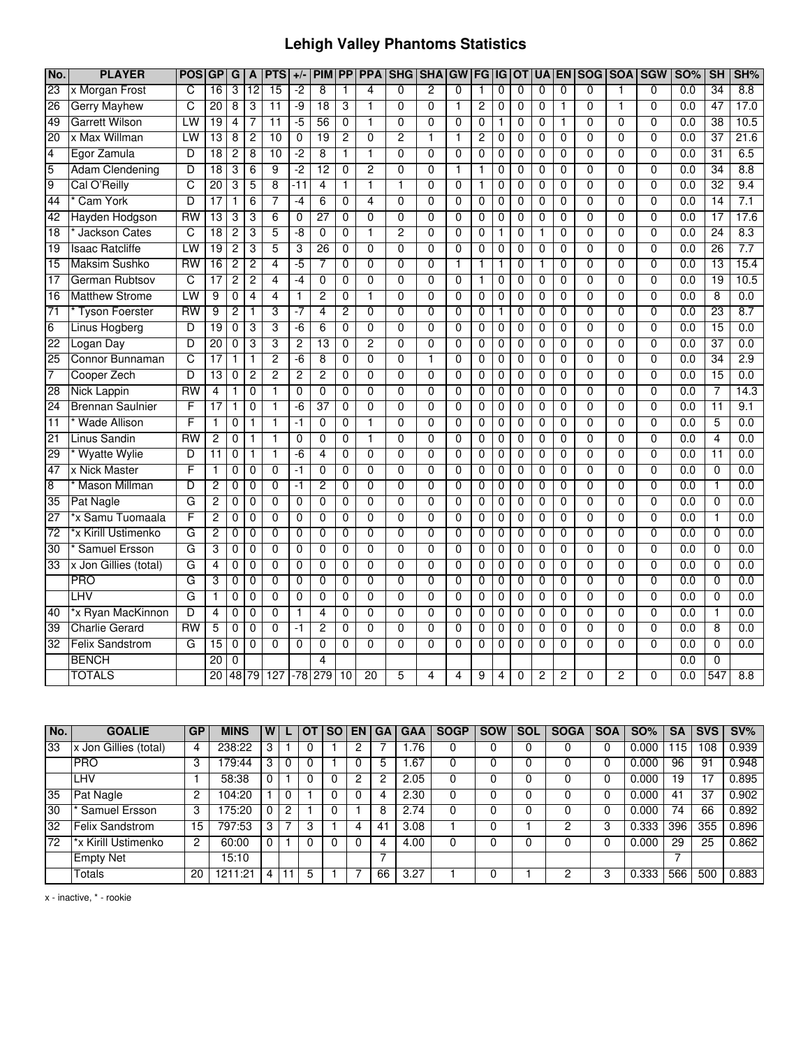## **Lehigh Valley Phantoms Statistics**

| No.             | <b>PLAYER</b>           | <b>POS</b>      | G               | G              | A               | <b>PTS</b>      | $+/-$          | <b>PIM</b>      | $\overline{PP}$ | <b>PPA</b>     | <b>SHG</b>     | <b>SHA</b>     | <b>GW</b>      | FG             | IG             | <b>OT</b>      |                | <b>UA EN</b>   |                | SOG SOA        | <b>SGW</b>     | <b>SO%</b>       | SH              | SH%              |
|-----------------|-------------------------|-----------------|-----------------|----------------|-----------------|-----------------|----------------|-----------------|-----------------|----------------|----------------|----------------|----------------|----------------|----------------|----------------|----------------|----------------|----------------|----------------|----------------|------------------|-----------------|------------------|
| 23              | x Morgan Frost          | C               | 16              | 3              | $\overline{12}$ | 15              | $-2$           | 8               | 1               | 4              | $\Omega$       | $\overline{2}$ | $\Omega$       | 1              | 0              | 0              | 0              | $\mathbf{0}$   | $\Omega$       |                | $\Omega$       | 0.0              | 34              | 8.8              |
| 26              | <b>Gerry Mayhew</b>     | C               | $\overline{20}$ | 8              | 3               | 11              | -9             | $\overline{18}$ | 3               |                | $\Omega$       | $\mathbf 0$    | 1              | 2              | 0              | $\mathbf 0$    | 0              | 1              | $\Omega$       |                | $\Omega$       | 0.0              | 47              | 17.0             |
| 49              | <b>Garrett Wilson</b>   | LW              | 19              | 4              |                 | 11              | $-5$           | 56              | $\mathbf 0$     | 1              | $\Omega$       | 0              | $\mathbf{0}$   | 0              | 1              | 0              | 0              | 1              | $\mathbf 0$    | $\mathbf{0}$   | $\Omega$       | 0.0              | 38              | 10.5             |
| 20              | x Max Willman           | LW              | 13              | 8              | $\overline{2}$  | 10              | $\mathbf 0$    | 19              | $\overline{2}$  | 0              | $\overline{2}$ | $\mathbf{1}$   | $\mathbf{1}$   | 2              | 0              | 0              | 0              | $\mathbf{0}$   | $\Omega$       | $\mathbf{0}$   | $\Omega$       | 0.0              | 37              | 21.6             |
| $\overline{4}$  | Egor Zamula             | D               | 18              | 2              | 8               | 10              | -2             | 8               | 1               | 1              | $\overline{0}$ | $\overline{0}$ | $\overline{0}$ | $\overline{0}$ | 0              | 0              | 0              | $\overline{0}$ | $\overline{0}$ | $\overline{0}$ | $\overline{0}$ | 0.0              | 31              | 6.5              |
| 5               | <b>Adam Clendening</b>  | D               | 18              | 3              | 6               | 9               | -2             | $\overline{12}$ | $\overline{0}$  | $\overline{2}$ | 0              | $\overline{0}$ | 1              | 1              | 0              | 0              | 0              | 0              | $\overline{0}$ | $\overline{0}$ | $\overline{0}$ | 0.0              | 34              | 8.8              |
| 9               | Cal O'Reilly            | ਟ               | $\overline{20}$ | 3              | 5               | $\overline{8}$  | $-11$          | $\overline{4}$  | 1               | $\overline{1}$ | 1              | $\overline{0}$ | $\overline{0}$ | 1              | $\overline{0}$ | $\overline{0}$ | $\overline{0}$ | $\overline{0}$ | $\overline{0}$ | $\overline{0}$ | $\overline{0}$ | 0.0              | 32              | 9.4              |
| 44              | Cam York                | D               | 17              |                | 6               | 7               | -4             | 6               | 0               | 4              | 0              | 0              | $\Omega$       | 0              | 0              | 0              | 0              | 0              | 0              | 0              | $\Omega$       | 0.0              | 14              | 7.1              |
| 42              | Hayden Hodgson          | <b>RW</b>       | 13              | 3              | 3               | $6\overline{6}$ | 0              | $\overline{27}$ | 0               | 0              | 0              | $\mathbf 0$    | 0              | 0              | 0              | 0              | 0              | 0              | 0              | 0              | $\mathbf 0$    | 0.0              | 17              | 17.6             |
| $\overline{18}$ | Jackson Cates           | C               | 18              | $\overline{2}$ | 3               | 5               | $-8$           | $\overline{0}$  | 0               | $\mathbf{1}$   | $\overline{2}$ | $\overline{0}$ | $\mathbf 0$    | 0              | 1              | $\mathbf 0$    | 1              | $\overline{0}$ | $\overline{0}$ | 0              | $\overline{0}$ | 0.0              | 24              | 8.3              |
| 19              | <b>Isaac Ratcliffe</b>  | LW              | 19              | $\overline{2}$ | 3               | 5               | 3              | 26              | 0               | $\overline{0}$ | 0              | $\overline{0}$ | $\Omega$       | 0              | 0              | 0              | 0              | 0              | $\overline{0}$ | 0              | $\overline{0}$ | 0.0              | 26              | 7.7              |
| 15              | <b>Maksim Sushko</b>    | <b>RW</b>       | 16              | $\overline{c}$ | 2               | $\overline{4}$  | $-5$           | 7               | 0               | 0              | $\overline{0}$ | 0              | $\mathbf{1}$   | 1              | $\mathbf{1}$   | 0              | 1              | 0              | $\overline{0}$ | 0              | $\overline{0}$ | 0.0              | 13              | 15.4             |
| $\overline{17}$ | German Rubtsov          | C               | 17              | $\overline{2}$ | $\overline{2}$  | $\overline{4}$  | $-4$           | $\overline{0}$  | $\overline{0}$  | $\overline{0}$ | $\overline{0}$ | $\overline{0}$ | $\overline{0}$ | $\mathbf{1}$   | $\mathbf 0$    | $\mathbf 0$    | $\mathbf 0$    | $\overline{0}$ | $\overline{0}$ | $\overline{0}$ | $\overline{0}$ | 0.0              | 19              | 10.5             |
| $\overline{16}$ | <b>Matthew Strome</b>   | LW              | 9               | $\overline{0}$ | 4               | 4               | 1              | $\overline{2}$  | $\overline{0}$  | 1              | $\overline{0}$ | $\overline{0}$ | $\overline{0}$ | $\overline{0}$ | 0              | $\overline{0}$ | 0              | $\overline{0}$ | $\overline{0}$ | $\overline{0}$ | $\overline{0}$ | 0.0              | $\overline{8}$  | 0.0              |
| $\overline{71}$ | <b>Tyson Foerster</b>   | RW              | 9               | 2              | 1               | 3               | $-7$           | 4               | 2               | 0              | $\overline{0}$ | $\overline{0}$ | 0              | 0              | 1              | 0              | 0              | 0              | $\overline{0}$ | 0              | $\Omega$       | 0.0              | 23              | 8.7              |
| $6\overline{6}$ | Linus Hogberg           | D               | 19              | 0              | 3               | 3               | -6             | 6               | $\mathbf 0$     | $\overline{0}$ | $\overline{0}$ | $\overline{0}$ | 0              | 0              | 0              | 0              | 0              | 0              | 0              | 0              | $\mathbf 0$    | 0.0              | 15              | 0.0              |
| 22              | Logan Day               | $\overline{D}$  | 20              | 0              | 3               | 3               | $\overline{2}$ | 13              | 0               | $\overline{2}$ | $\overline{0}$ | $\overline{0}$ | $\overline{0}$ | 0              | 0              | $\mathbf 0$    | $\mathbf 0$    | 0              | $\overline{0}$ | $\overline{0}$ | $\overline{0}$ | 0.0              | 37              | 0.0              |
| 25              | <b>Connor Bunnaman</b>  | C               | 17              | 1              | 1               | $\overline{2}$  | $-6$           | 8               | 0               | 0              | 0              | $\overline{1}$ | 0              | 0              | 0              | 0              | 0              | 0              | 0              | 0              | 0              | 0.0              | 34              | 2.9              |
| $\overline{7}$  | Cooper Zech             | D               | 13              | 0              | $\overline{c}$  | $\overline{2}$  | $\overline{2}$ | $\overline{2}$  | $\mathbf 0$     | $\overline{0}$ | $\overline{0}$ | $\overline{0}$ | $\mathbf 0$    | 0              | 0              | $\mathbf 0$    | $\mathbf 0$    | $\overline{0}$ | $\overline{0}$ | 0              | $\overline{0}$ | 0.0              | 15              | 0.0              |
| 28              | <b>Nick Lappin</b>      | <b>RW</b>       | 4               | 1              | $\mathbf 0$     | $\mathbf{1}$    | $\Omega$       | 0               | $\Omega$        | 0              | 0              | $\overline{0}$ | $\Omega$       | $\mathbf{0}$   | 0              | $\mathbf 0$    | 0              | 0              | $\mathbf{0}$   | $\Omega$       | $\Omega$       | 0.0              | 7               | 14.3             |
| 24              | <b>Brennan Saulnier</b> | F               | 17              | 1              | $\Omega$        | $\mathbf{1}$    | $-6$           | 37              | $\Omega$        | 0              | 0              | 0              | $\Omega$       | 0              | 0              | 0              | $\Omega$       | 0              | 0              | 0              | $\Omega$       | 0.0              | 11              | 9.1              |
| 11              | <b>Wade Allison</b>     | F               |                 | 0              | 1               | 1               | $-1$           | $\overline{0}$  | 0               | 1              | $\overline{0}$ | $\overline{0}$ | $\overline{0}$ | 0              | 0              | 0              | 0              | $\overline{0}$ | $\overline{0}$ | $\overline{0}$ | $\overline{0}$ | 0.0              | 5               | 0.0              |
| 21              | <b>Linus Sandin</b>     | <b>RW</b>       | $\overline{2}$  | 0              | $\mathbf{1}$    | 1               | $\overline{0}$ | $\overline{0}$  | $\overline{0}$  | 1              | $\overline{0}$ | $\overline{0}$ | $\overline{0}$ | $\overline{0}$ | 0              | $\overline{0}$ | 0              | $\overline{0}$ | $\overline{0}$ | $\overline{0}$ | $\overline{0}$ | 0.0              | 4               | 0.0              |
| 29              | <b>Wyatte Wylie</b>     | D               | $\overline{11}$ | 0              | $\mathbf{1}$    | $\mathbf{1}$    | $-6$           | $\overline{4}$  | $\Omega$        | $\overline{0}$ | $\overline{0}$ | $\overline{0}$ | $\Omega$       | 0              | 0              | 0              | $\mathbf 0$    | $\overline{0}$ | $\overline{0}$ | $\overline{0}$ | $\overline{0}$ | 0.0              | $\overline{11}$ | 0.0              |
| 47              | x Nick Master           | F               |                 | 0              | 0               | $\mathbf 0$     | $-1$           | 0               | $\mathbf 0$     | 0              | $\Omega$       | 0              | $\mathbf 0$    | 0              | 0              | 0              | 0              | 0              | 0              | $\Omega$       | $\Omega$       | 0.0              | $\mathbf 0$     | 0.0              |
| $\overline{8}$  | * Mason Millman         | D               | 2               | 0              | $\mathbf 0$     | $\overline{0}$  | $-1$           | $\overline{2}$  | $\mathbf{0}$    | $\overline{0}$ | $\overline{0}$ | $\overline{0}$ | $\overline{0}$ | $\mathbf{0}$   | 0              | $\mathbf 0$    | $\Omega$       | $\mathbf{0}$   | $\overline{0}$ | $\overline{0}$ | $\Omega$       | 0.0              | $\mathbf{1}$    | 0.0              |
| 35              | Pat Nagle               | G               | 2               | 0              | $\mathbf 0$     | $\Omega$        | $\Omega$       | $\Omega$        | $\mathbf{0}$    | 0              | 0              | $\Omega$       | $\Omega$       | 0              | 0              | $\mathbf 0$    | $\Omega$       | 0              | $\mathbf{0}$   | $\Omega$       | $\Omega$       | 0.0              | $\Omega$        | 0.0              |
| $\overline{27}$ | *x Samu Tuomaala        | F               | 2               | 0              | $\mathbf 0$     | $\mathbf 0$     | $\mathbf 0$    | 0               | 0               | 0              | 0              | 0              | 0              | 0              | 0              | 0              | 0              | 0              | 0              | 0              | $\mathbf{0}$   | 0.0              | 1               | 0.0              |
| 72              | *x Kirill Ustimenko     | G               | $\overline{2}$  | 0              | $\overline{0}$  | $\overline{0}$  | $\overline{0}$ | $\overline{0}$  | $\overline{0}$  | $\overline{0}$ | $\overline{0}$ | $\overline{0}$ | $\overline{0}$ | $\overline{0}$ | $\overline{0}$ | $\overline{0}$ | $\mathbf 0$    | $\overline{0}$ | $\overline{0}$ | $\overline{0}$ | $\overline{0}$ | 0.0              | $\overline{0}$  | 0.0              |
| $\overline{30}$ | Samuel Ersson           | G               | 3               | $\Omega$       | $\mathbf 0$     | $\Omega$        | $\Omega$       | $\Omega$        | $\Omega$        | 0              | 0              | 0              | $\Omega$       | 0              | 0              | $\mathbf 0$    | $\mathbf 0$    | 0              | $\mathbf{0}$   | $\Omega$       | $\Omega$       | 0.0              | $\Omega$        | $\overline{0.0}$ |
| 33              | x Jon Gillies (total)   | G               | 4               | 0              | $\mathbf 0$     | $\overline{0}$  | $\overline{0}$ | $\overline{0}$  | 0               | $\overline{0}$ | $\overline{0}$ | $\overline{0}$ | $\overline{0}$ | 0              | 0              | 0              | 0              | $\overline{0}$ | 0              | $\overline{0}$ | $\overline{0}$ | 0.0              | 0               | 0.0              |
|                 | <b>PRO</b>              | G               | 3               | 0              | $\mathbf 0$     | $\overline{0}$  | $\overline{0}$ | $\overline{0}$  | $\overline{0}$  | $\overline{0}$ | 0              | $\overline{0}$ | $\overline{0}$ | 0              | 0              | 0              | 0              | $\overline{0}$ | 0              | $\overline{0}$ | $\overline{0}$ | 0.0              | 0               | 0.0              |
|                 | LHV                     | G               | 1               | 0              | $\mathbf 0$     | $\mathbf 0$     | 0              | 0               | 0               | 0              | 0              | 0              | $\Omega$       | 0              | 0              | 0              | 0              | 0              | 0              | $\Omega$       | $\Omega$       | 0.0              | 0               | 0.0              |
| 40              | *x Ryan MacKinnon       | D               | $\overline{4}$  | 0              | 0               | $\mathbf 0$     | 1              | 4               | 0               | 0              | $\mathbf 0$    | $\overline{0}$ | $\mathbf 0$    | 0              | 0              | 0              | 0              | 0              | $\overline{0}$ | $\overline{0}$ | $\overline{0}$ | 0.0              | $\mathbf{1}$    | 0.0              |
| 39              | <b>Charlie Gerard</b>   | $\overline{RN}$ | 5               | 0              | $\mathbf 0$     | $\overline{0}$  | $-1$           | $\overline{2}$  | 0               | $\overline{0}$ | $\overline{0}$ | $\overline{0}$ | $\overline{0}$ | $\mathbf 0$    | 0              | $\mathbf 0$    | $\mathbf 0$    | $\overline{0}$ | $\overline{0}$ | $\overline{0}$ | $\overline{0}$ | 0.0              | 8               | 0.0              |
| 32              | <b>Felix Sandstrom</b>  | G               | $\overline{15}$ | 0              | $\Omega$        | $\Omega$        | $\Omega$       | $\Omega$        | $\Omega$        | 0              | $\Omega$       | $\Omega$       | $\Omega$       | 0              | $\Omega$       | $\Omega$       | $\Omega$       | 0              | 0              | $\Omega$       | $\Omega$       | $\overline{0.0}$ | $\Omega$        | $\overline{0.0}$ |
|                 | <b>BENCH</b>            |                 | 20              | 0              |                 |                 |                | 4               |                 |                |                |                |                |                |                |                |                |                |                |                |                | 0.0              | 0               |                  |
|                 | <b>TOTALS</b>           |                 | 20              |                | 48 79           | 127             | $-78$          | 279             | 10              | 20             | 5              | 4              | 4              | 9              | 4              | 0              | 2              | 2              | 0              | 2              | $\Omega$       | 0.0              | 547             | 8.8              |

| No.             | <b>GOALIE</b>              | GP | <b>MINS</b> |   |   |   | SO. | <b>EN</b> | <b>GA</b> | <b>GAA</b> | <b>SOGP</b> | <b>SOW</b> | SOL | <b>SOGA</b> | <b>SOA</b> | <b>SO%</b> | <b>SA</b>       | <b>SVS</b> | $SV\%$ |
|-----------------|----------------------------|----|-------------|---|---|---|-----|-----------|-----------|------------|-------------|------------|-----|-------------|------------|------------|-----------------|------------|--------|
| 33              | Jon Gillies (total)        | 4  | 238:22      | 3 |   |   |     | c         |           | .76        |             |            |     |             |            | 0.000      | 15              | 108        | 0.939  |
|                 | <b>PRO</b>                 | 3  | 79:44       | 3 |   |   |     |           | 5         | .67        |             |            |     |             |            | 0.000      | 96              | 91         | 0.948  |
|                 | LHV                        |    | 58:38       |   |   |   |     | ာ         | 2         | 2.05       |             |            |     |             |            | 0.000      | 19              | ⇁          | 0.895  |
| 35              | Pat Nagle                  |    | 104:20      |   |   |   |     |           |           | 2.30       |             |            |     |             |            | 0.000      | 41              | 37         | 0.902  |
| 30              | Samuel Ersson              |    | 75:20       |   | 0 |   |     |           | 8         | 2.74       |             |            |     |             |            | 0.000      | $7\overline{4}$ | 66         | 0.892  |
| 32              | <b>Felix Sandstrom</b>     | 15 | 797:53      | 3 |   | c |     | 4         | 41        | 3.08       |             |            |     | 0           | 3          | 0.333      | 396             | 355        | 0.896  |
| $\overline{72}$ | <b>*x Kirill Ustimenko</b> | 2  | 60:00       |   |   |   |     |           | 4         | 4.00       |             |            |     |             | 0          | 0.000      | 29              | 25         | 0.862  |
|                 | <b>Empty Net</b>           |    | 15:10       |   |   |   |     |           |           |            |             |            |     |             |            |            |                 |            |        |
|                 | <b>Totals</b>              | 20 | 1211:21     |   |   | 5 |     |           | 66        | 3.27       |             |            |     |             | 3          | 0.333      | 566             | 500        | 0.883  |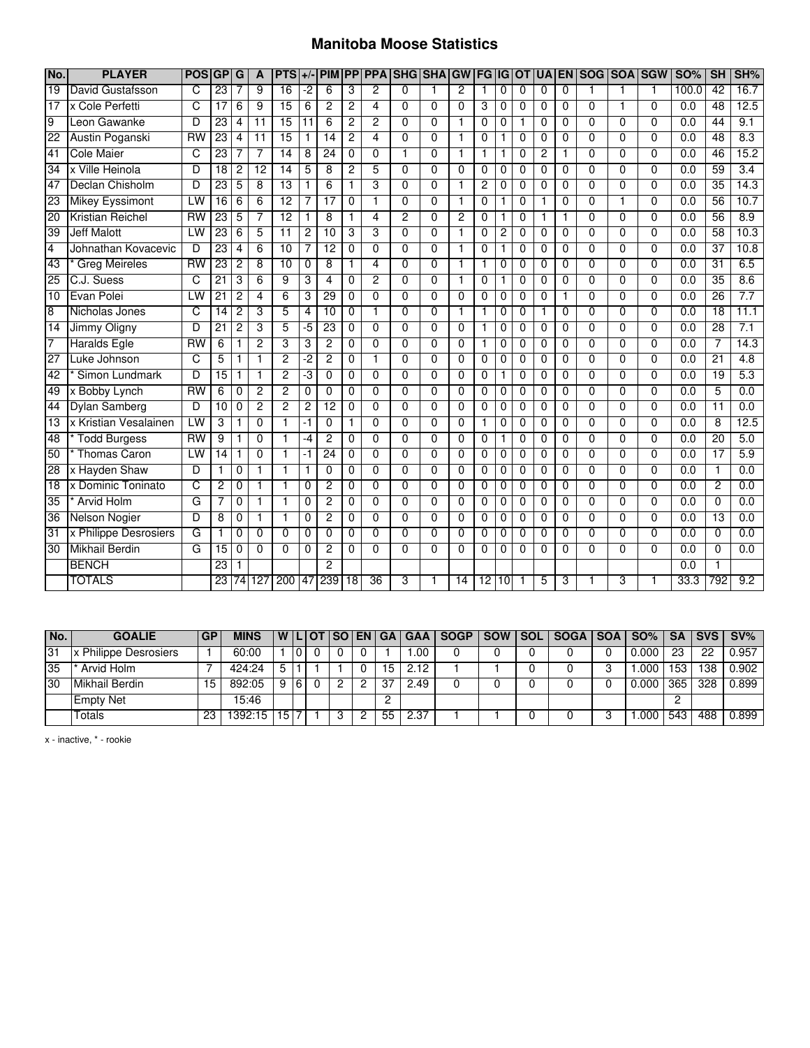## **Manitoba Moose Statistics**

| No.             | <b>PLAYER</b>           | <b>POS</b>      | GP              | G               | $\mathbf{A}$    | <b>PTS</b>      | $+/-$          | <b>PIM</b>      |                 |                 |                | <b>PP PPA SHG SHA</b> | GW              | <b>FG IG</b>    |                |              | <b>OT UA</b>   | <b>EN</b>      | <b>SOG SOA</b> |                | <b>SGW</b>     | <b>SO%</b>       | SH              | SH%              |
|-----------------|-------------------------|-----------------|-----------------|-----------------|-----------------|-----------------|----------------|-----------------|-----------------|-----------------|----------------|-----------------------|-----------------|-----------------|----------------|--------------|----------------|----------------|----------------|----------------|----------------|------------------|-----------------|------------------|
| $\overline{19}$ | David Gustafsson        | C               | $\overline{23}$ | 7               | 9               | $\overline{16}$ | -2             | 6               | 3               | $\overline{2}$  | $\Omega$       | $\mathbf{1}$          | $\overline{2}$  |                 | 0              | $\Omega$     | 0              | 0              |                | 1              | 1              | 100.0            | $\overline{42}$ | 16.7             |
| 17              | x Cole Perfetti         | C               | $\overline{17}$ | 6               | 9               | $\overline{15}$ | 6              | $\overline{2}$  | 2               | 4               | $\Omega$       | $\Omega$              | $\Omega$        | 3               | $\Omega$       | $\Omega$     | 0              | 0              | 0              | 1              | $\Omega$       | 0.0              | 48              | 12.5             |
| 9               | Leon Gawanke            | D               | 23              | 4               | $\overline{11}$ | $\overline{15}$ | 11             | 6               | 2               | 2               | $\Omega$       | $\Omega$              | 1               | 0               | $\mathbf 0$    | $\mathbf{1}$ | 0              | 0              | 0              | 0              | $\Omega$       | 0.0              | 44              | 9.1              |
| 22              | Austin Poganski         | $\overline{RW}$ | 23              | 4               | $\overline{11}$ | $\overline{15}$ | $\mathbf{1}$   | 14              | 2               | 4               | 0              | $\mathbf{0}$          | 1               | $\Omega$        |                | 0            | 0              | 0              | 0              | 0              | $\Omega$       | $\overline{0.0}$ | 48              | 8.3              |
| 41              | <b>Cole Maier</b>       | C               | 23              | 7               | 7               | 14              | 8              | 24              | 0               | $\overline{0}$  | $\mathbf 1$    | $\overline{0}$        | 1               | 1               |                | 0            | 2              | 1              | 0              | $\overline{0}$ | $\Omega$       | 0.0              | 46              | 15.2             |
| 34              | x Ville Heinola         | D               | $\overline{18}$ | $\overline{2}$  | $\overline{12}$ | $\overline{14}$ | 5              | 8               | 2               | 5               | $\Omega$       | $\overline{0}$        | $\Omega$        | $\Omega$        | $\Omega$       | $\Omega$     | 0              | 0              | 0              | 0              | $\Omega$       | 0.0              | 59              | 3.4              |
| 47              | Declan Chisholm         | D               | 23              | 5               | 8               | 13              | $\mathbf{1}$   | 6               |                 | 3               | $\overline{0}$ | $\overline{0}$        | 1               | $\overline{2}$  | 0              | $\Omega$     | 0              | $\overline{0}$ | $\Omega$       | $\overline{0}$ | $\Omega$       | 0.0              | 35              | 14.3             |
| 23              | <b>Mikey Eyssimont</b>  | LW              | $\overline{16}$ | 6               | 6               | $\overline{12}$ | 7              | $\overline{17}$ | 0               | 1               | 0              | $\Omega$              | 1               | $\Omega$        |                | $\Omega$     | 1              | 0              | $\Omega$       | 1              | $\Omega$       | $\overline{0.0}$ | 56              | 10.7             |
| 20              | <b>Kristian Reichel</b> | $\overline{RW}$ | 23              | 5               | 7               | 12              | $\mathbf{1}$   | 8               |                 | 4               | $\overline{2}$ | $\Omega$              | $\overline{2}$  | $\Omega$        |                | $\Omega$     | 1              | 1              | 0              | 0              | $\Omega$       | 0.0              | 56              | 8.9              |
| 39              | <b>Jeff Malott</b>      | LW              | 23              | 6               | 5               | 11              | $\overline{c}$ | 10              | 3               | 3               | $\Omega$       | $\Omega$              | 1               | $\Omega$        | $\overline{c}$ | $\Omega$     | $\Omega$       | 0              | $\Omega$       | 0              | $\Omega$       | 0.0              | $\overline{58}$ | 10.3             |
| $\overline{4}$  | Johnathan Kovacevic     | D               | 23              | 4               | 6               | $\overline{10}$ | 7              | $\overline{12}$ | 0               | 0               | $\Omega$       | $\Omega$              | 1               | 0               | 1              | 0            | 0              | 0              | 0              | $\overline{0}$ | $\Omega$       | $\overline{0.0}$ | $\overline{37}$ | 10.8             |
| $\overline{43}$ | <b>Greg Meireles</b>    | $\overline{RW}$ | 23              | $\overline{2}$  | 8               | 10              | $\mathbf 0$    | 8               | 1               | 4               | $\mathbf 0$    | 0                     | 1               |                 | 0              | 0            | 0              | 0              | 0              | 0              | $\mathbf 0$    | 0.0              | $\overline{31}$ | 6.5              |
| 25              | C.J. Suess              | C               | 21              | 3               | 6               | 9               | 3              | $\overline{4}$  | 0               | $\overline{2}$  | $\Omega$       | $\overline{0}$        | 1               | $\Omega$        | $\mathbf{1}$   | $\Omega$     | 0              | 0              | $\Omega$       | $\overline{0}$ | $\Omega$       | $\overline{0.0}$ | 35              | 8.6              |
| 10              | Evan Polei              | LW              | $\overline{21}$ | $\overline{2}$  | $\overline{4}$  | 6               | 3              | 29              | 0               | $\overline{0}$  | $\overline{0}$ | $\Omega$              | $\overline{0}$  | $\Omega$        | $\Omega$       | $\Omega$     | $\overline{0}$ | 1              | $\Omega$       | $\overline{0}$ | $\Omega$       | 0.0              | 26              | 7.7              |
| $\overline{8}$  | Nicholas Jones          | C               | 14              | 2               | 3               | 5               | 4              | 10              | $\overline{0}$  |                 | $\overline{0}$ | $\overline{0}$        | 1               |                 | 0              | $\Omega$     |                | 0              | $\Omega$       | $\overline{0}$ | $\overline{0}$ | 0.0              | 18              | 11.1             |
| 14              | Jimmy Oligny            | D               | $\overline{21}$ | $\overline{2}$  | 3               | 5               | -5             | $\overline{23}$ | 0               | 0               | $\mathbf 0$    | 0                     | $\mathbf 0$     |                 | 0              | 0            | 0              | 0              | 0              | 0              | $\mathbf 0$    | 0.0              | 28              | 7.1              |
| 7               | <b>Haralds Egle</b>     | $\overline{RW}$ | 6               | $\mathbf{1}$    | $\overline{2}$  | $\overline{3}$  | 3              | $\overline{2}$  | 0               | $\Omega$        | $\Omega$       | $\overline{0}$        | $\Omega$        | 1               | 0              | $\Omega$     | 0              | 0              | $\Omega$       | 0              | $\Omega$       | 0.0              | 7               | 14.3             |
| 27              | Luke Johnson            | C               | 5               | 1               | $\mathbf{1}$    | $\overline{2}$  | -2             | $\overline{2}$  | 0               | 1               | $\Omega$       | $\Omega$              | $\Omega$        | 0               | 0              | 0            | 0              | 0              | 0              | 0              | $\Omega$       | $\overline{0.0}$ | $\overline{21}$ | $\overline{4.8}$ |
| 42              | Simon Lundmark          | D               | $\overline{15}$ | $\mathbf{1}$    | 1               | $\overline{2}$  | -3             | $\mathbf{0}$    | 0               | 0               | $\Omega$       | $\Omega$              | $\Omega$        | 0               |                | $\Omega$     | 0              | 0              | 0              | $\overline{0}$ | $\Omega$       | $\overline{0.0}$ | 19              | 5.3              |
| 49              | x Bobby Lynch           | <b>RW</b>       | 6               | 0               | $\overline{c}$  | $\overline{2}$  | $\mathbf 0$    | 0               | 0               | 0               | $\Omega$       | $\Omega$              | $\Omega$        | $\Omega$        | 0              | 0            | 0              | 0              | 0              | 0              | $\Omega$       | 0.0              | 5               | 0.0              |
| 44              | <b>Dylan Samberg</b>    | D               | 10              | $\Omega$        | $\overline{2}$  | $\overline{2}$  | $\overline{c}$ | 12              | 0               | $\Omega$        | $\Omega$       | $\Omega$              | $\Omega$        | $\Omega$        | $\mathbf{0}$   | $\Omega$     | 0              | 0              | $\Omega$       | $\Omega$       | $\Omega$       | 0.0              | $\overline{11}$ | 0.0              |
| 13              | x Kristian Vesalainen   | LW              | 3               | 1               | $\overline{0}$  | $\mathbf{1}$    | -1             | $\Omega$        |                 | 0               | $\Omega$       | $\Omega$              | $\Omega$        | 1               | 0              | 0            | 0              | 0              | $\Omega$       | $\overline{0}$ | $\Omega$       | 0.0              | $\overline{8}$  | 12.5             |
| 48              | <b>Todd Burgess</b>     | <b>RW</b>       | 9               | 1               | $\Omega$        | 1               | -4             | 2               | 0               | 0               | $\Omega$       | $\Omega$              | 0               | $\Omega$        |                | $\Omega$     | 0              | 0              | $\Omega$       | $\overline{0}$ | 0              | 0.0              | 20              | 5.0              |
| 50              | <b>Thomas Caron</b>     | LW              | $\overline{14}$ | 1               | 0               | 1               | -1             | $\overline{24}$ | 0               | 0               | $\Omega$       | $\Omega$              | $\Omega$        | $\Omega$        | 0              | $\Omega$     | 0              | 0              | $\Omega$       | 0              | $\Omega$       | 0.0              | $\overline{17}$ | 5.9              |
| 28              | x Hayden Shaw           | D               | $\mathbf{1}$    | $\Omega$        | $\mathbf{1}$    | $\overline{1}$  | $\mathbf{1}$   | $\Omega$        | 0               | 0               | $\Omega$       | $\Omega$              | $\Omega$        | $\Omega$        | $\mathbf{0}$   | $\Omega$     | 0              | 0              | $\Omega$       | 0              | $\Omega$       | 0.0              | $\mathbf{1}$    | 0.0              |
| $\overline{18}$ | x Dominic Toninato      | C               | $\overline{c}$  | 0               | $\mathbf{1}$    | 1               | $\mathbf 0$    | 2               | 0               | 0               | $\Omega$       | $\Omega$              | $\Omega$        | 0               | 0              | 0            | 0              | 0              | $\Omega$       | $\mathbf{0}$   | $\Omega$       | 0.0              | 2               | 0.0              |
| $\overline{35}$ | <b>Arvid Holm</b>       | G               | 7               | $\Omega$        | 1               | 1               | 0              | 2               | 0               | 0               | $\Omega$       | $\Omega$              | $\Omega$        | $\Omega$        | $\Omega$       | $\Omega$     | 0              | 0              | 0              | 0              | 0              | 0.0              | 0               | 0.0              |
| $\overline{36}$ | <b>Nelson Nogier</b>    | D               | 8               | $\mathbf 0$     | $\mathbf{1}$    | $\mathbf{1}$    | $\mathbf{0}$   | 2               | 0               | 0               | $\Omega$       | $\Omega$              | $\Omega$        | 0               | $\mathbf 0$    | 0            | 0              | 0              | 0              | 0              | $\Omega$       | 0.0              | $\overline{13}$ | 0.0              |
| 31              | x Philippe Desrosiers   | G               | $\mathbf{1}$    | $\Omega$        | $\Omega$        | $\Omega$        | $\mathbf{0}$   | 0               | 0               | 0               | $\Omega$       | $\Omega$              | $\mathbf{0}$    | $\Omega$        | $\mathbf{0}$   | $\Omega$     | 0              | 0              | 0              | 0              | $\Omega$       | 0.0              | $\mathbf{0}$    | 0.0              |
| 30              | <b>Mikhail Berdin</b>   | G               | 15              | 0               | $\overline{0}$  | $\overline{0}$  | 0              | 2               | 0               | $\overline{0}$  | $\Omega$       | $\Omega$              | $\Omega$        | 0               | $\Omega$       | $\Omega$     | 0              | 0              | 0              | $\overline{0}$ | $\Omega$       | 0.0              | $\overline{0}$  | 0.0              |
|                 | <b>BENCH</b>            |                 | 23              |                 |                 |                 |                | 2               |                 |                 |                |                       |                 |                 |                |              |                |                |                |                |                | 0.0              |                 |                  |
|                 | <b>TOTALS</b>           |                 | 23              | $\overline{74}$ | 127             | 200             | 47             | 239             | $\overline{18}$ | $\overline{36}$ | 3              |                       | $\overline{14}$ | $\overline{12}$ | 10             |              | 5              | 3              |                | 3              |                | 33.3             | 792             | 9.2              |

| No. | <b>GOALIE</b>         | <b>GP</b> | <b>MINS</b> |                     |    |  |   |    |      | W   L   OT   SO   EN   GA   GAA   SOGP | SOW SOL | SOGA SOA SO% |       |     |     | SA SVS SV% |
|-----|-----------------------|-----------|-------------|---------------------|----|--|---|----|------|----------------------------------------|---------|--------------|-------|-----|-----|------------|
| 31  | x Philippe Desrosiers |           | 60:00       |                     | ١O |  |   |    | .00  |                                        |         |              | 0.000 | 23  | つつ  | 0.957      |
| 35  | Arvid Holm            |           | 424:24      |                     |    |  |   | 15 | 2.12 |                                        |         |              | .000  | 153 | 138 | 0.902      |
| 30  | Mikhail Berdin        |           | 892:05      | ч                   | 16 |  |   | з  | 2.49 |                                        |         |              | 0.000 | 365 | 328 | 0.899      |
|     | <b>Empty Net</b>      |           | 15:46       |                     |    |  |   |    |      |                                        |         |              |       |     |     |            |
|     | Totals                | 23        | 1392:15 I   | $115$ <sup>-7</sup> |    |  | റ | 55 | 2.37 |                                        |         |              | .000  | 543 | 488 | 0.899      |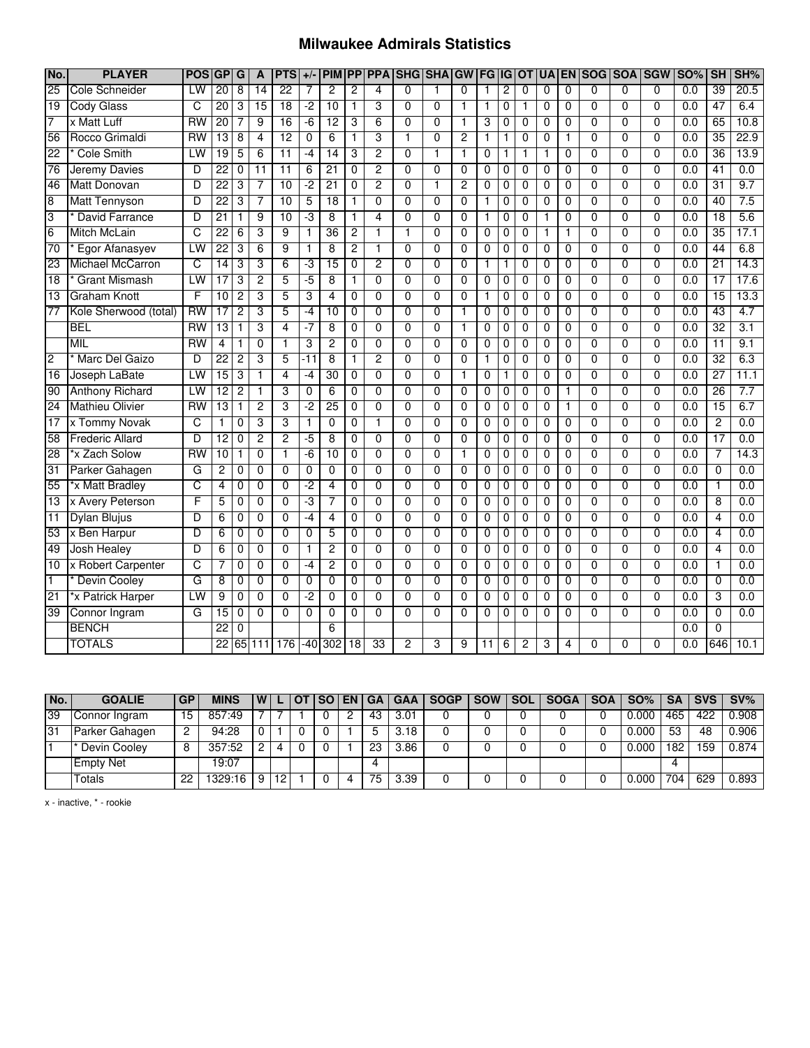#### **Milwaukee Admirals Statistics**

| No.             | <b>PLAYER</b>           | <b>POS</b>      | <b>GP</b>       | G              | A               | <b>PTS</b>      | $+/-$          | <b>PIM</b>      |                |                 | PP PPA SHG SHA GW FG IG OT |                |                |                |                |                | <b>UA</b>      |                | <b>EN SOG SOA SGW</b> |                |                | <b>SO%</b>       | SH              | SH%  |
|-----------------|-------------------------|-----------------|-----------------|----------------|-----------------|-----------------|----------------|-----------------|----------------|-----------------|----------------------------|----------------|----------------|----------------|----------------|----------------|----------------|----------------|-----------------------|----------------|----------------|------------------|-----------------|------|
| $\overline{25}$ | <b>Cole Schneider</b>   | LW              | $\overline{20}$ | 8              | 14              | $\overline{22}$ | 7              | 2               | 2              | 4               | 0                          |                | 0              | 1              | 2              | 0              | 0              | 0              | 0                     | 0              | 0              | $\overline{0.0}$ | 39              | 20.5 |
| $\overline{19}$ | <b>Cody Glass</b>       | C               | 20              | 3              | $\overline{15}$ | $\overline{18}$ | $-2$           | $\overline{10}$ | 1              | 3               | $\mathbf{0}$               | 0              | 1              | $\mathbf{1}$   | $\mathbf 0$    | $\mathbf{1}$   | 0              | 0              | 0                     | $\mathbf{0}$   | $\Omega$       | 0.0              | 47              | 6.4  |
| 7               | x Matt Luff             | $\overline{RW}$ | $\overline{20}$ | 7              | 9               | $\overline{16}$ | $-6$           | $\overline{12}$ | 3              | 6               | $\Omega$                   | 0              | 1              | 3              | 0              | 0              | 0              | 0              | 0                     | $\mathbf 0$    | $\Omega$       | 0.0              | 65              | 10.8 |
| 56              | Rocco Grimaldi          | <b>RW</b>       | 13              | 8              | $\overline{4}$  | $\overline{12}$ | $\mathbf 0$    | 6               | 1              | 3               | 1                          | 0              | $\overline{c}$ | $\mathbf{1}$   | 1              | 0              | 0              | 1              | 0                     | $\mathbf{0}$   | 0              | 0.0              | $\overline{35}$ | 22.9 |
| 22              | <b>Cole Smith</b>       | LW              | 19              | 5              | 6               | $\overline{11}$ | $-4$           | 14              | 3              | 2               | $\overline{0}$             |                | 1              | $\overline{0}$ | 1              | 1              | 1              | $\overline{0}$ | $\overline{0}$        | $\overline{0}$ | $\overline{0}$ | 0.0              | 36              | 13.9 |
| 76              | Jeremy Davies           | D               | 22              | 0              | $\overline{11}$ | $\overline{11}$ | 6              | $\overline{21}$ | $\Omega$       | 2               | 0                          | 0              | 0              | $\Omega$       | 0              | $\Omega$       | 0              | $\Omega$       | 0                     | $\Omega$       | $\Omega$       | 0.0              | 41              | 0.0  |
| 46              | Matt Donovan            | D               | 22              | 3              | 7               | 10              | $-2$           | $\overline{21}$ | 0              | $\overline{2}$  | $\Omega$                   |                | 2              | 0              | 0              | 0              | 0              | 0              | $\overline{0}$        | $\overline{0}$ | $\overline{0}$ | 0.0              | 31              | 9.7  |
| 8               | <b>Matt Tennyson</b>    | D               | $\overline{22}$ | 3              | $\overline{7}$  | $\overline{10}$ | 5              | $\overline{18}$ | 1              | $\mathbf{0}$    | $\Omega$                   | 0              | $\Omega$       | 1              | 0              | $\Omega$       | $\Omega$       | $\Omega$       | $\Omega$              | $\mathbf{0}$   | $\Omega$       | 0.0              | 40              | 7.5  |
| 3               | David Farrance          | D               | $\overline{21}$ | 1              | $\overline{9}$  | $\overline{10}$ | -3             | 8               | 1              | 4               | $\Omega$                   | 0              | $\Omega$       | 1              | 0              | 0              | 1              | 0              | 0                     | $\mathbf 0$    | $\Omega$       | $\overline{0.0}$ | $\overline{18}$ | 5.6  |
| 6               | Mitch McLain            | C               | $\overline{22}$ | 6              | 3               | $\overline{9}$  | 1              | $\overline{36}$ | $\overline{c}$ | $\mathbf 1$     | $\mathbf{1}$               | 0              | 0              | 0              | 0              | 0              | 1              | 1              | 0                     | 0              | 0              | 0.0              | 35              | 17.1 |
| 70              | Egor Afanasyev          | LW              | $\overline{22}$ | 3              | 6               | $\overline{9}$  | $\mathbf{1}$   | 8               | $\overline{c}$ | $\mathbf{1}$    | $\Omega$                   | 0              | $\mathbf 0$    | $\overline{0}$ | $\mathbf 0$    | $\mathbf 0$    | 0              | 0              | 0                     | 0              | $\Omega$       | $\overline{0.0}$ | 44              | 6.8  |
| 23              | <b>Michael McCarron</b> | C               | 14              | 3              | 3               | 6               | -3             | $\overline{15}$ | $\mathbf 0$    | $\overline{2}$  | $\mathbf{0}$               | 0              | $\mathbf 0$    | 1              | $\mathbf{1}$   | $\mathbf 0$    | 0              | 0              | $\overline{0}$        | $\mathbf 0$    | $\mathbf 0$    | $\overline{0.0}$ | $\overline{21}$ | 14.3 |
| 18              | <b>Grant Mismash</b>    | LW              | $\overline{17}$ | 3              | $\overline{2}$  | 5               | $-5$           | 8               | 1              | $\Omega$        | $\mathbf{0}$               | 0              | $\Omega$       | $\mathbf 0$    | $\mathbf 0$    | $\mathbf 0$    | 0              | 0              | $\overline{0}$        | $\overline{0}$ | $\overline{0}$ | $\overline{0.0}$ | 17              | 17.6 |
| 13              | <b>Graham Knott</b>     | F               | 10              | $\overline{2}$ | 3               | 5               | 3              | 4               | $\overline{0}$ | $\overline{0}$  | $\overline{0}$             | $\overline{0}$ | $\overline{0}$ | 1              | 0              | $\overline{0}$ | $\overline{0}$ | $\overline{0}$ | $\overline{0}$        | $\overline{0}$ | $\overline{0}$ | 0.0              | 15              | 13.3 |
| 77              | Kole Sherwood (total)   | <b>RW</b>       | $\overline{17}$ | 2              | 3               | 5               | $-4$           | 10              | $\overline{0}$ | $\overline{0}$  | $\overline{0}$             | $\overline{0}$ | $\overline{1}$ | $\overline{0}$ | $\overline{0}$ | $\overline{0}$ | $\overline{0}$ | $\overline{0}$ | $\overline{0}$        | $\overline{0}$ | $\overline{0}$ | 0.0              | 43              | 4.7  |
|                 | <b>BEL</b>              | $\overline{RW}$ | $\overline{13}$ | $\mathbf{1}$   | 3               | $\overline{4}$  | $-7$           | 8               | 0              | $\mathbf 0$     | $\Omega$                   | 0              | $\mathbf{1}$   | $\mathbf 0$    | $\mathbf 0$    | $\mathbf 0$    | 0              | 0              | $\overline{0}$        | $\overline{0}$ | $\overline{0}$ | $\overline{0.0}$ | 32              | 3.1  |
|                 | <b>MIL</b>              | $\overline{RW}$ | 4               | 1              | $\mathbf 0$     | $\mathbf{1}$    | 3              | $\overline{c}$  | $\mathbf 0$    | $\mathbf 0$     | $\Omega$                   | $\Omega$       | $\mathbf 0$    | $\mathbf 0$    | 0              | $\mathbf 0$    | 0              | 0              | $\overline{0}$        | 0              | $\Omega$       | 0.0              | 11              | 9.1  |
| $\overline{2}$  | Marc Del Gaizo          | D               | $\overline{22}$ | $\overline{2}$ | 3               | 5               | $-11$          | 8               | $\mathbf{1}$   | $\overline{2}$  | $\mathbf 0$                | $\overline{0}$ | $\overline{0}$ | $\mathbf{1}$   | 0              | $\overline{0}$ | $\overline{0}$ | $\overline{0}$ | $\overline{0}$        | $\overline{0}$ | $\overline{0}$ | $\overline{0.0}$ | 32              | 6.3  |
| 16              | Joseph LaBate           | LW              | 15              | 3              | $\overline{1}$  | $\overline{4}$  | $-4$           | 30              | $\Omega$       | $\mathbf 0$     | $\Omega$                   | $\Omega$       | $\mathbf{1}$   | $\overline{0}$ | $\mathbf{1}$   | $\mathbf 0$    | 0              | 0              | $\overline{0}$        | $\mathbf 0$    | $\Omega$       | 0.0              | $\overline{27}$ | 11.1 |
| 90              | <b>Anthony Richard</b>  | LW              | 12              | $\overline{2}$ | $\overline{1}$  | 3               | $\mathbf 0$    | $\overline{6}$  | $\overline{0}$ | $\overline{0}$  | $\overline{0}$             | $\overline{0}$ | $\overline{0}$ | $\overline{0}$ | 0              | $\overline{0}$ | 0              | $\overline{1}$ | $\overline{0}$        | $\overline{0}$ | $\overline{0}$ | $\overline{0.0}$ | 26              | 7.7  |
| 24              | <b>Mathieu Olivier</b>  | $\overline{RW}$ | $\overline{13}$ | $\mathbf{1}$   | $\overline{2}$  | 3               | -2             | $\overline{25}$ | $\Omega$       | $\mathbf 0$     | $\Omega$                   | $\Omega$       | $\Omega$       | $\overline{0}$ | $\Omega$       | $\mathbf 0$    | $\Omega$       | $\mathbf{1}$   | $\Omega$              | $\Omega$       | $\Omega$       | 0.0              | $\overline{15}$ | 6.7  |
| 17              | x Tommy Novak           | C               | $\mathbf{1}$    | $\overline{0}$ | 3               | 3               | 1              | $\overline{0}$  | $\overline{0}$ | 1               | $\overline{0}$             | $\overline{0}$ | $\overline{0}$ | $\overline{0}$ | $\overline{0}$ | $\overline{0}$ | $\overline{0}$ | $\overline{0}$ | $\overline{0}$        | $\overline{0}$ | $\overline{0}$ | 0.0              | $\overline{2}$  | 0.0  |
| 58              | <b>Frederic Allard</b>  | D               | $\overline{12}$ | 0              | 2               | 2               | -5             | 8               | $\overline{0}$ | $\overline{0}$  | $\overline{0}$             | $\overline{0}$ | $\mathbf 0$    | $\overline{0}$ | 0              | 0              | 0              | $\overline{0}$ | $\overline{0}$        | $\overline{0}$ | $\overline{0}$ | 0.0              | 17              | 0.0  |
| 28              | *x Zach Solow           | $\overline{RW}$ | 10              | 1              | $\overline{0}$  | 1               | $-6$           | 10              | $\overline{0}$ | $\overline{0}$  | $\overline{0}$             | $\overline{0}$ | 1              | $\overline{0}$ | $\overline{0}$ | $\overline{0}$ | $\overline{0}$ | $\overline{0}$ | $\overline{0}$        | $\overline{0}$ | $\overline{0}$ | 0.0              | 7               | 14.3 |
| 31              | Parker Gahagen          | G               | $\overline{c}$  | 0              | $\mathbf 0$     | $\Omega$        | $\mathbf 0$    | 0               | $\mathbf{0}$   | $\mathbf 0$     | $\mathbf 0$                | $\Omega$       | $\mathbf 0$    | $\mathbf 0$    | 0              | $\mathbf{0}$   | 0              | 0              | 0                     | 0              | $\mathbf 0$    | $\overline{0.0}$ | $\mathbf 0$     | 0.0  |
| 55              | *x Matt Bradley         | C               | $\overline{4}$  | 0              | $\overline{0}$  | $\overline{0}$  | $-2$           | 4               | $\Omega$       | $\Omega$        | $\mathbf{0}$               | 0              | $\Omega$       | $\overline{0}$ | 0              | $\Omega$       | $\mathbf{0}$   | 0              | $\overline{0}$        | $\overline{0}$ | $\overline{0}$ | 0.0              | $\mathbf{1}$    | 0.0  |
| 13              | x Avery Peterson        | F               | 5               | 0              | $\mathbf 0$     | $\mathbf{0}$    | -3             | 7               | $\mathbf{0}$   | $\Omega$        | $\mathbf{0}$               | 0              | $\mathbf 0$    | 0              | $\mathbf 0$    | $\mathbf{0}$   | 0              | 0              | 0                     | $\mathbf 0$    | $\Omega$       | $\overline{0.0}$ | 8               | 0.0  |
| 11              | <b>Dylan Blujus</b>     | D               | 6               | $\Omega$       | $\Omega$        | $\mathbf{0}$    | $-4$           | 4               | $\Omega$       | $\mathbf{0}$    | $\Omega$                   | $\Omega$       | $\Omega$       | 0              | 0              | $\Omega$       | 0              | $\mathbf 0$    | 0                     | $\mathbf{0}$   | $\Omega$       | $\overline{0.0}$ | 4               | 0.0  |
| 53              | x Ben Harpur            | D               | 6               | 0              | $\overline{0}$  | $\overline{0}$  | $\overline{0}$ | 5               | $\mathbf 0$    | $\overline{0}$  | $\mathbf{0}$               | $\mathbf{0}$   | $\Omega$       | 0              | 0              | $\mathbf 0$    | 0              | $\overline{0}$ | $\overline{0}$        | $\overline{0}$ | $\overline{0}$ | $\overline{0.0}$ | $\overline{4}$  | 0.0  |
| 49              | <b>Josh Healey</b>      | D               | 6               | $\Omega$       | $\Omega$        | $\Omega$        | 1              | $\overline{2}$  | $\Omega$       | $\mathbf{0}$    | $\Omega$                   | $\Omega$       | $\Omega$       | $\Omega$       | 0              | $\Omega$       | $\mathbf{0}$   | $\Omega$       | $\Omega$              | $\mathbf{0}$   | $\Omega$       | $\overline{0.0}$ | 4               | 0.0  |
| 10              | x Robert Carpenter      | C               | 7               | 0              | $\overline{0}$  | $\overline{0}$  | $-4$           | 2               | $\overline{0}$ | $\overline{0}$  | $\overline{0}$             | $\Omega$       | $\overline{0}$ | $\overline{0}$ | 0              | $\overline{0}$ | $\overline{0}$ | $\overline{0}$ | $\overline{0}$        | $\overline{0}$ | $\overline{0}$ | 0.0              | $\mathbf{1}$    | 0.0  |
| T               | <b>Devin Cooley</b>     | G               | 8               | 0              | $\overline{0}$  | $\Omega$        | $\Omega$       | 0               | $\Omega$       | $\Omega$        | $\Omega$                   | $\Omega$       | $\Omega$       | 0              | 0              | 0              | 0              | $\Omega$       | $\overline{0}$        | $\Omega$       | $\overline{0}$ | 0.0              | 0               | 0.0  |
| 21              | *x Patrick Harper       | LW              | 9               | $\Omega$       | $\overline{0}$  | $\overline{0}$  | $-2$           | 0               | $\mathbf 0$    | $\Omega$        | $\mathbf{0}$               | $\Omega$       | $\Omega$       | 0              | 0              | $\mathbf 0$    | 0              | 0              | 0                     | $\mathbf{0}$   | $\overline{0}$ | $\overline{0.0}$ | 3               | 0.0  |
| 39              | Connor Ingram           | G               | 15              | 0              | $\mathbf{0}$    | $\Omega$        | 0              | 0               | 0              | $\Omega$        | $\Omega$                   | $\Omega$       | $\Omega$       | 0              | $\Omega$       | 0              | 0              | 0              | 0                     | 0              | $\Omega$       | 0.0              | $\mathbf 0$     | 0.0  |
|                 | <b>BENCH</b>            |                 | $\overline{22}$ | $\mathbf 0$    |                 |                 |                | 6               |                |                 |                            |                |                |                |                |                |                |                |                       |                |                | $\overline{0.0}$ | 0               |      |
|                 | <b>TOTALS</b>           |                 | $\overline{22}$ |                | 65 111          | 176             |                | $-40$ 302       | 18             | $\overline{33}$ | $\overline{2}$             | 3              | 9              | 11             | 6              | 2              | 3              | 4              | 0                     | $\Omega$       | $\Omega$       | $\overline{0.0}$ | 646             | 10.1 |

| No. | <b>GOALIE</b>    | <b>GP</b> | <b>MINS</b> | W |    | <b>SO</b> T | <b>I EN I GA</b> |    | GAA I     | <b>SOGP</b> | <b>SOW</b> | <b>SOL</b> | <b>SOGA</b> | <b>SOA</b> | SO%   | <b>SA</b> | <b>SVS</b> | SV%   |
|-----|------------------|-----------|-------------|---|----|-------------|------------------|----|-----------|-------------|------------|------------|-------------|------------|-------|-----------|------------|-------|
| 39  | Connor Ingram    | 15.       | 857:49      |   |    |             |                  | 43 | 3.01      |             |            |            |             |            | 0.000 | 465       | 422        | 0.908 |
| 31  | Parker Gahagen   | ົດ        | 94:28       |   |    |             |                  | 5  | .18<br>3. |             |            |            |             |            | 0.000 | -53       | 48         | 0.906 |
|     | Devin Cooley     | 8         | 357:52      |   |    |             |                  | 23 | 3.86      |             |            |            |             |            | 0.000 | 182       | 159        | 0.874 |
|     | <b>Empty Net</b> |           | 19:07       |   |    |             |                  | 4  |           |             |            |            |             |            |       |           |            |       |
|     | Totals           | 22        | 329:16      | 9 | 12 |             |                  | 75 | 3.39      |             |            |            |             |            | 0.000 | 704.      | 629        | 0.893 |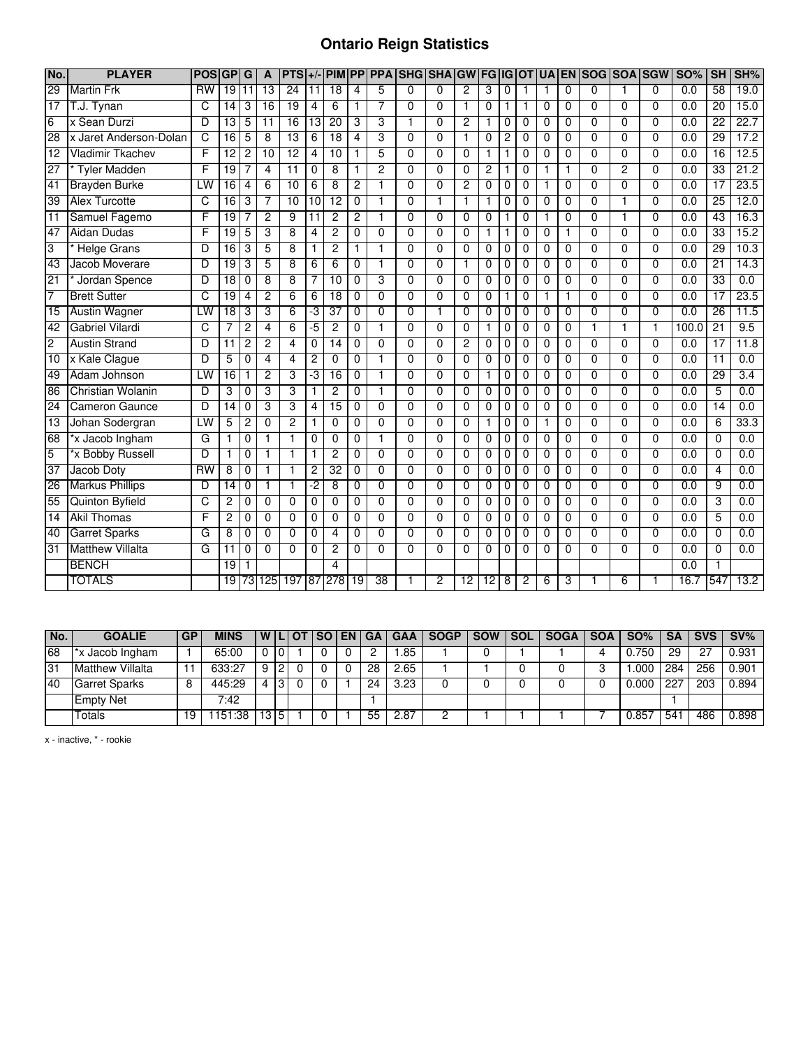## **Ontario Reign Statistics**

| No.             | <b>PLAYER</b>            | <b>POS</b>      | GP              | G               | A               | <b>PTS</b>      |                 | $+/-$ PIM       |                | <b>PP PPA</b>  | <b>SHG SHA</b> |                | <b>GW FG</b>   |                |                | <b>IGOT</b>    | <b>UA</b>      |                | EN SOG SOA SGW |                |                | <b>SO%</b>       | <b>SH</b>       | SH%              |
|-----------------|--------------------------|-----------------|-----------------|-----------------|-----------------|-----------------|-----------------|-----------------|----------------|----------------|----------------|----------------|----------------|----------------|----------------|----------------|----------------|----------------|----------------|----------------|----------------|------------------|-----------------|------------------|
| $\overline{29}$ | <b>Martin Frk</b>        | $\overline{RW}$ | 19              | $\overline{11}$ | 13              | $\overline{24}$ | $\overline{11}$ | $\overline{18}$ | $\overline{4}$ | 5              | 0              | $\mathbf{0}$   | 2              | 3              | 0              |                | 1              | 0              | $\Omega$       | $\mathbf{1}$   | $\Omega$       | $\overline{0.0}$ | $\overline{58}$ | 19.0             |
| 17              | T.J. Tynan               | C               | $\overline{14}$ | 3               | $\overline{16}$ | $\overline{19}$ | 4               | 6               | $\mathbf{1}$   | 7              | $\Omega$       | $\Omega$       | 1              | $\Omega$       | 1              |                | $\Omega$       | $\Omega$       | $\Omega$       | $\Omega$       | $\Omega$       | 0.0              | 20              | 15.0             |
| 6               | x Sean Durzi             | D               | 13              | 5               | $\overline{11}$ | 16              | $\overline{13}$ | $\overline{20}$ | 3              | 3              | 1              | $\Omega$       | 2              | 1              | 0              | 0              | 0              | 0              | $\Omega$       | $\mathbf 0$    | $\Omega$       | 0.0              | $\overline{22}$ | 22.7             |
| $\overline{28}$ | x Jaret Anderson-Dolan   | C               | 16              | 5               | 8               | $\overline{13}$ | 6               | $\overline{18}$ | $\overline{4}$ | 3              | 0              | 0              | 1              | 0              | $\overline{c}$ | 0              | 0              | 0              | 0              | 0              | 0              | 0.0              | 29              | 17.2             |
| $\overline{12}$ | Vladimir Tkachev         | F               | $\overline{12}$ | 2               | 10              | 12              | 4               | 10              | $\mathbf{1}$   | 5              | $\overline{0}$ | $\overline{0}$ | $\mathbf 0$    | 1              | 1              | 0              | $\overline{0}$ | $\overline{0}$ | $\overline{0}$ | $\overline{0}$ | $\overline{0}$ | 0.0              | 16              | 12.5             |
| 27              | <b>Tyler Madden</b>      | F               | 19              | 7               | 4               | $\overline{11}$ | 0               | 8               | $\mathbf{1}$   | $\overline{2}$ | $\Omega$       | $\Omega$       | $\Omega$       | 2              | 1              | 0              | 1              | 1              | $\Omega$       | $\overline{2}$ | $\Omega$       | 0.0              | 33              | 21.2             |
| 41              | <b>Brayden Burke</b>     | LW              | 16              | 4               | 6               | 10              | 6               | 8               | $\overline{2}$ |                | $\overline{0}$ | $\overline{0}$ | 2              | $\overline{0}$ | $\mathbf 0$    | $\overline{0}$ | 1              | $\overline{0}$ | $\overline{0}$ | $\overline{0}$ | $\overline{0}$ | 0.0              | 17              | 23.5             |
| $\overline{39}$ | <b>Alex Turcotte</b>     | С               | 16              | 3               | 7               | 10              | 10              | $\overline{12}$ | 0              | 1              | 0              | 1              | 1              | 1              | 0              | 0              | 0              | 0              | $\Omega$       | 1              | $\Omega$       | 0.0              | $\overline{25}$ | 12.0             |
| 11              | Samuel Fagemo            | F               | 19              | 7               | $\overline{2}$  | 9               | $\overline{11}$ | $\overline{2}$  | $\overline{c}$ | $\mathbf{1}$   | 0              | $\Omega$       | $\Omega$       | $\Omega$       | 1              | $\Omega$       | 1              | $\Omega$       | $\Omega$       | $\mathbf{1}$   | $\Omega$       | 0.0              | 43              | 16.3             |
| 47              | Aidan Dudas              | F               | 19              | 5               | 3               | 8               | 4               | $\overline{2}$  | $\mathbf 0$    | $\overline{0}$ | 0              | $\Omega$       | $\mathbf 0$    | 1              | 1              | 0              | 0              | 1              | $\mathbf{0}$   | $\overline{0}$ | $\Omega$       | $\overline{0.0}$ | $\overline{33}$ | 15.2             |
| 3               | <b>Helge Grans</b>       | D               | 16              | 3               | 5               | 8               | 1               | $\overline{2}$  | $\mathbf{1}$   | $\mathbf{1}$   | 0              | $\Omega$       | $\mathbf 0$    | 0              | 0              | 0              | 0              | 0              | $\Omega$       | $\overline{0}$ | $\Omega$       | $\overline{0.0}$ | 29              | 10.3             |
| 43              | Jacob Moverare           | D               | 19              | 3               | 5               | 8               | 6               | 6               | 0              | 1              | 0              | $\Omega$       | 1              | 0              | 0              | 0              | 0              | 0              | $\Omega$       | 0              | $\Omega$       | 0.0              | 21              | 14.3             |
| 21              | Jordan Spence            | D               | $\overline{18}$ | 0               | 8               | 8               | 7               | 10              | $\Omega$       | 3              | $\Omega$       | $\Omega$       | $\Omega$       | $\Omega$       | 0              | $\Omega$       | 0              | $\Omega$       | $\Omega$       | $\Omega$       | $\Omega$       | 0.0              | 33              | 0.0              |
| 7               | <b>Brett Sutter</b>      | C               | 19              | 4               | $\overline{2}$  | 6               | 6               | 18              | 0              | $\Omega$       | $\overline{0}$ | $\Omega$       | $\mathbf 0$    | 0              | 1              | 0              | 1              | 1              | $\Omega$       | $\overline{0}$ | $\Omega$       | 0.0              | $\overline{17}$ | 23.5             |
| 15              | <b>Austin Wagner</b>     | LW              | $\overline{18}$ | 3               | 3               | 6               | -3              | 37              | $\mathbf 0$    | $\Omega$       | $\overline{0}$ | 1              | $\mathbf 0$    | 0              | 0              | 0              | 0              | 0              | $\Omega$       | 0              | 0              | 0.0              | 26              | 11.5             |
| 42              | <b>Gabriel Vilardi</b>   | C               | 7               | $\overline{c}$  | 4               | 6               | -5              | 2               | $\Omega$       | 1              | $\Omega$       | 0              | 0              | 1              | 0              | 0              | 0              | 0              | 1              | 1              | 1              | 100.0            | $\overline{21}$ | 9.5              |
| $\overline{2}$  | <b>Austin Strand</b>     | D               | 11              | $\overline{c}$  | $\overline{2}$  | 4               | $\Omega$        | 14              | $\Omega$       | $\Omega$       | $\Omega$       | $\Omega$       | $\overline{c}$ | $\Omega$       | $\Omega$       | $\Omega$       | 0              | $\Omega$       | $\Omega$       | $\Omega$       | $\Omega$       | 0.0              | $\overline{17}$ | 11.8             |
| 10              | x Kale Clague            | D               | 5               | 0               | 4               | 4               | 2               | 0               | 0              | $\mathbf{1}$   | 0              | $\Omega$       | $\mathbf 0$    | 0              | 0              | 0              | 0              | 0              | $\Omega$       | $\mathbf 0$    | $\Omega$       | 0.0              | 11              | 0.0              |
| 49              | Adam Johnson             | LW              | 16              | 1               | $\overline{c}$  | 3               | -3              | 16              | 0              | 1              | 0              | $\Omega$       | 0              | 1              | 0              | 0              | 0              | 0              | $\Omega$       | 0              | $\Omega$       | 0.0              | 29              | $\overline{3.4}$ |
| 86              | <b>Christian Wolanin</b> | D               | 3               | 0               | 3               | 3               | 1               | $\overline{2}$  | 0              | 1              | 0              | $\Omega$       | $\mathbf 0$    | 0              | 0              | 0              | 0              | 0              | $\Omega$       | $\mathbf 0$    | $\Omega$       | $\overline{0.0}$ | 5               | 0.0              |
| $\overline{24}$ | Cameron Gaunce           | D               | $\overline{14}$ | 0               | 3               | 3               | 4               | $\overline{15}$ | $\mathbf 0$    | $\Omega$       | $\Omega$       | $\Omega$       | $\Omega$       | 0              | 0              | 0              | 0              | $\Omega$       | $\Omega$       | $\Omega$       | $\Omega$       | $\overline{0.0}$ | $\overline{14}$ | 0.0              |
| 13              | Johan Sodergran          | LW              | 5               | 2               | $\Omega$        | 2               |                 | 0               | $\mathbf 0$    | $\overline{0}$ | $\overline{0}$ | $\overline{0}$ | $\overline{0}$ |                | 0              | 0              |                | $\overline{0}$ | $\overline{0}$ | $\overline{0}$ | $\overline{0}$ | 0.0              | 6               | 33.3             |
| 68              | *x Jacob Ingham          | G               | 1               | 0               | 1               |                 | 0               | $\Omega$        | $\Omega$       | 1              | 0              | 0              | 0              | $\Omega$       | 0              | 0              | 0              | 0              | 0              | $\Omega$       | 0              | 0.0              | 0               | 0.0              |
| 5               | *x Bobby Russell         | D               | $\overline{1}$  | $\overline{0}$  | 1               | 1               | 1               | 2               | $\overline{0}$ | $\overline{0}$ | $\overline{0}$ | $\overline{0}$ | $\overline{0}$ | $\overline{0}$ | 0              | $\overline{0}$ | 0              | $\overline{0}$ | $\overline{0}$ | $\overline{0}$ | $\overline{0}$ | 0.0              | $\overline{0}$  | 0.0              |
| 37              | <b>Jacob Doty</b>        | $\overline{RW}$ | $\overline{8}$  | 0               | 1               | 1               | $\overline{2}$  | 32              | $\Omega$       | $\Omega$       | $\Omega$       | $\Omega$       | $\Omega$       | 0              | 0              | 0              | 0              | $\mathbf{0}$   | $\Omega$       | $\mathbf{0}$   | $\Omega$       | $\overline{0.0}$ | 4               | 0.0              |
| 26              | <b>Markus Phillips</b>   | D               | 14              | 0               | 1               | 1               | -2              | 8               | $\mathbf 0$    | $\Omega$       | $\mathbf 0$    | $\Omega$       | $\mathbf 0$    | 0              | 0              | 0              | 0              | 0              | $\Omega$       | $\mathbf 0$    | $\Omega$       | $\overline{0.0}$ | 9               | 0.0              |
| 55              | <b>Quinton Byfield</b>   | C               | 2               | 0               | $\Omega$        | 0               | 0               | 0               | $\Omega$       | 0              | $\Omega$       | 0              | $\Omega$       | 0              | 0              | 0              | 0              | $\Omega$       | $\Omega$       | 0              | $\Omega$       | 0.0              | 3               | 0.0              |
| 14              | <b>Akil Thomas</b>       | F               | $\overline{2}$  | 0               | $\mathbf 0$     | 0               | 0               | $\overline{0}$  | $\mathbf 0$    | $\overline{0}$ | $\overline{0}$ | $\overline{0}$ | $\mathbf 0$    | 0              | 0              | 0              | 0              | 0              | $\overline{0}$ | $\overline{0}$ | $\overline{0}$ | $\overline{0.0}$ | 5               | 0.0              |
| 40              | <b>Garret Sparks</b>     | G               | 8               | 0               | $\mathbf 0$     | $\mathbf{0}$    | 0               | 4               | $\mathbf 0$    | $\Omega$       | 0              | $\Omega$       | $\mathbf 0$    | 0              | 0              | 0              | 0              | $\mathbf 0$    | $\Omega$       | $\mathbf 0$    | $\Omega$       | $\overline{0.0}$ | 0               | 0.0              |
| 31              | <b>Matthew Villalta</b>  | G               | 11              | $\overline{0}$  | $\Omega$        | $\Omega$        | $\overline{0}$  | 2               | $\Omega$       | $\overline{0}$ | $\overline{0}$ | $\overline{0}$ | $\overline{0}$ | $\overline{0}$ | $\overline{0}$ | $\overline{0}$ | $\overline{0}$ | $\overline{0}$ | $\overline{0}$ | $\overline{0}$ | $\Omega$       | 0.0              | 0               | 0.0              |
|                 | <b>BENCH</b>             |                 | 19              |                 |                 |                 |                 | $\overline{4}$  |                |                |                |                |                |                |                |                |                |                |                |                |                | 0.0              |                 |                  |
|                 | <b>TOTALS</b>            |                 | 19              |                 | 73 125          | 197             | 187             | 278             | 19             | 38             |                | 2              | 12             | 12             | 8              | 2              | 6              | 3              |                | $\overline{6}$ |                | 16.7             | 547             | 13.2             |

| No. | <b>GOALIE</b>           | <b>GP</b> | <b>MINS</b> | WIL |   | I OT | l SO I | <b>EN</b> | ∣ GA | <b>GAA</b> | <b>SOGP</b> | <b>SOW</b> | <b>SOL</b> | <b>SOGA</b> | <b>SOA</b> | <b>SO%</b> | <b>SA</b>       | <b>SVS</b> | $SV\%$ |
|-----|-------------------------|-----------|-------------|-----|---|------|--------|-----------|------|------------|-------------|------------|------------|-------------|------------|------------|-----------------|------------|--------|
| 68  | *x Jacob Ingham         |           | 65:00       |     |   |      |        |           |      | .85        |             |            |            |             |            | 750        | 29              | -27        | 0.931  |
| 31  | <b>Matthew Villalta</b> |           | 633:27      |     |   |      |        |           | 28   | 2.65       |             |            |            |             |            | .000       | 284             | 256        | 0.901  |
| 40  | <b>Garret Sparks</b>    | ັບ        | 445:29      |     |   |      |        |           | 24   | 3.23       |             |            |            |             |            | 0.000      | $22^{-}$        | 203        | 0.894  |
|     | <b>Empty Net</b>        |           | 7:42        |     |   |      |        |           |      |            |             |            |            |             |            |            |                 |            |        |
|     | Totals                  | ۱9        | 151<br>:38  | 13. | Б |      |        |           | 55   | 2.87       |             |            |            |             |            | 0.857      | 54 <sup>°</sup> | 486        | 0.898  |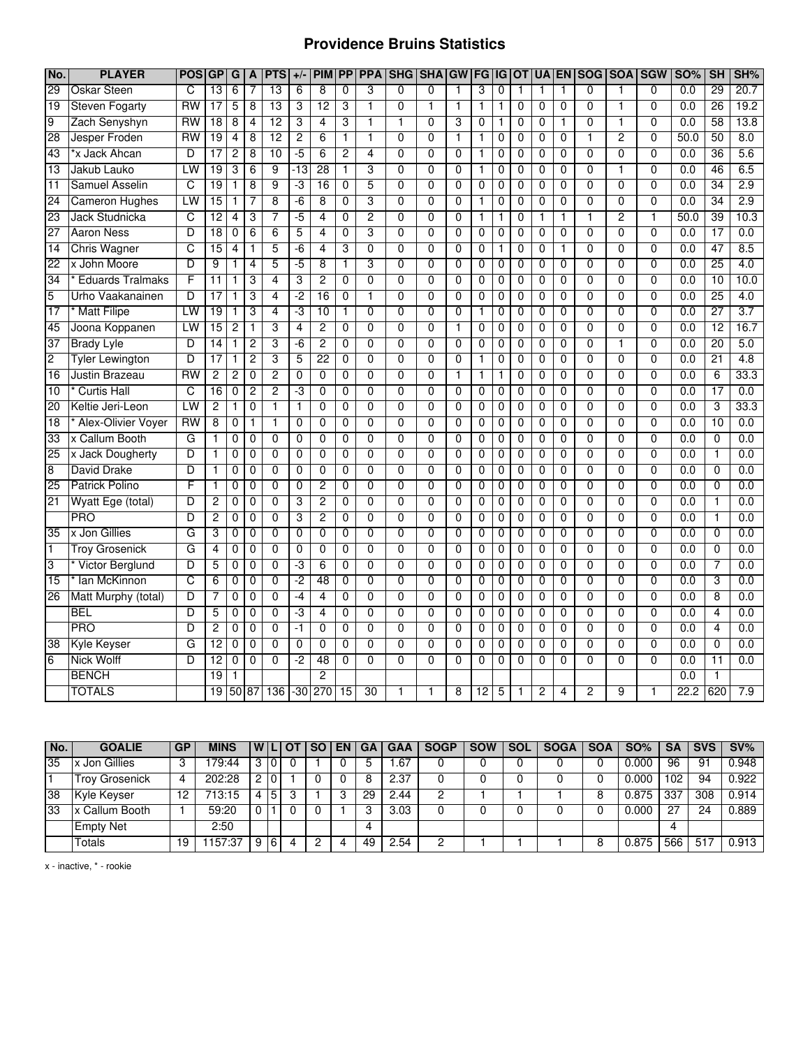## **Providence Bruins Statistics**

| No.             | <b>PLAYER</b>           | <b>POS</b> | <b>GP</b>       | G | A              | <b>PTS</b>     | $+/-$          | <b>PIM</b>      | <b>PP</b>      | <b>PPA</b>      | <b>SHG</b>     | <b>SHA</b>     | <b>GW</b>      | <b>FG</b>      | IG           | <b>OT</b>      | <b>UA EN</b> |                | <b>SOG</b>     | <b>SOA</b>     | <b>SGW</b>     | <b>SO%</b> | <b>SH</b>       | SH%  |
|-----------------|-------------------------|------------|-----------------|---|----------------|----------------|----------------|-----------------|----------------|-----------------|----------------|----------------|----------------|----------------|--------------|----------------|--------------|----------------|----------------|----------------|----------------|------------|-----------------|------|
| 29              | <b>Oskar Steen</b>      | C          | 13              | 6 | 7              | 13             | 6              | 8               | 0              | 3               | 0              | 0              | 1              | 3              | 0            | 1              | 1            | 1              | 0              | 1              | $\Omega$       | 0.0        | 29              | 20.7 |
| 19              | Steven Fogarty          | <b>RW</b>  | 17              | 5 | 8              | 13             | 3              | 12              | 3              |                 | $\overline{0}$ | $\mathbf{1}$   | $\mathbf{1}$   | $\mathbf{1}$   | 1            | $\mathbf 0$    | 0            | 0              | $\mathbf{0}$   |                | $\mathbf{0}$   | 0.0        | 26              | 19.2 |
| 9               | Zach Senyshyn           | <b>RW</b>  | 18              | 8 | 4              | 12             | 3              | 4               | 3              | 1               | 1              | $\overline{0}$ | 3              | $\mathbf{0}$   | 1            | $\mathbf 0$    | 0            | 1              | 0              | 1              | $\overline{0}$ | 0.0        | 58              | 13.8 |
| 28              | Jesper Froden           | RW         | 19              | 4 | 8              | 12             | $\overline{2}$ | 6               | 1              | $\mathbf{1}$    | 0              | $\overline{0}$ | $\mathbf{1}$   | $\mathbf{1}$   | 0            | $\mathbf 0$    | 0            | 0              | 1              | $\overline{2}$ | $\mathbf{0}$   | 50.0       | 50              | 8.0  |
| 43              | *x Jack Ahcan           | D          | 17              | 2 | 8              | 10             | -5             | 6               | 2              | 4               | $\overline{0}$ | $\overline{0}$ | $\overline{0}$ | 1              | 0            | 0              | 0            | 0              | $\overline{0}$ | $\overline{0}$ | $\overline{0}$ | 0.0        | 36              | 5.6  |
| $\overline{13}$ | Jakub Lauko             | LW         | 19              | 3 | 6              | 9              | -13            | 28              | 1              | 3               | 0              | 0              | $\overline{0}$ | 1              | 0            | 0              | 0            | 0              | $\overline{0}$ |                | $\overline{0}$ | 0.0        | 46              | 6.5  |
| $\overline{11}$ | <b>Samuel Asselin</b>   | C          | 19              | 1 | 8              | 9              | -3             | $\overline{16}$ | $\overline{0}$ | 5               | $\overline{0}$ | $\overline{0}$ | $\overline{0}$ | $\overline{0}$ | 0            | $\overline{0}$ | 0            | 0              | $\overline{0}$ | $\overline{0}$ | $\overline{0}$ | 0.0        | 34              | 2.9  |
| 24              | <b>Cameron Hughes</b>   | LW         | 15              | 1 | 7              | 8              | -6             | 8               | 0              | 3               | 0              | $\overline{0}$ | 0              | 1              | 0            | 0              | 0            | 0              | 0              | $\mathbf{0}$   | $\mathbf{0}$   | 0.0        | 34              | 2.9  |
| 23              | Jack Studnicka          | C          | 12              | 4 | 3              | 7              | $-5$           | 4               | $\Omega$       | $\overline{2}$  | 0              | $\overline{0}$ | $\Omega$       | 1              | 1            | $\mathbf 0$    | 1            | 1              | 1              | $\overline{2}$ | 1              | 50.0       | 39              | 10.3 |
| 27              | <b>Aaron Ness</b>       | D          | 18              | 0 | 6              | 6              | 5              | 4               | 0              | 3               | 0              | 0              | $\mathbf 0$    | 0              | 0            | 0              | 0            | 0              | 0              | 0              | $\mathbf{0}$   | 0.0        | $\overline{17}$ | 0.0  |
| 14              | <b>Chris Wagner</b>     | C          | 15              | 4 | $\mathbf{1}$   | 5              | $-6$           | 4               | 3              | 0               | 0              | $\overline{0}$ | $\mathbf 0$    | 0              | 1            | $\mathbf 0$    | 0            | 1              | 0              | 0              | $\mathbf{0}$   | 0.0        | 47              | 8.5  |
| 22              | x John Moore            | D          | 9               |   | 4              | 5              | $-5$           | 8               | 1              | 3               | 0              | 0              | 0              | 0              | 0            | 0              | 0            | 0              | $\mathbf 0$    | 0              | $\mathbf{0}$   | 0.0        | $\overline{25}$ | 4.0  |
| 34              | <b>Eduards Tralmaks</b> | F          | 11              | 1 | 3              | 4              | 3              | $\overline{2}$  | $\mathbf 0$    | 0               | 0              | $\overline{0}$ | $\mathbf 0$    | 0              | 0            | $\mathbf 0$    | 0            | 0              | $\mathbf 0$    | 0              | $\mathbf{0}$   | 0.0        | 10              | 10.0 |
| 5               | Urho Vaakanainen        | D          | 17              |   | 3              | $\overline{4}$ | $-2$           | 16              | 0              | 1               | $\overline{0}$ | 0              | $\overline{0}$ | 0              | 0            | 0              | 0            | 0              | $\overline{0}$ | 0              | $\overline{0}$ | 0.0        | 25              | 4.0  |
| 17              | <b>Matt Filipe</b>      | LW         | $\overline{19}$ |   | 3              | 4              | -3             | 10              | 1              | $\overline{0}$  | $\overline{0}$ | $\overline{0}$ | $\overline{0}$ | 1              | 0            | $\overline{0}$ | 0            | $\overline{0}$ | $\overline{0}$ | $\overline{0}$ | $\overline{0}$ | 0.0        | 27              | 3.7  |
| 45              | Joona Koppanen          | LW         | 15              | 2 | 1              | 3              | 4              | 2               | $\Omega$       | 0               | $\mathbf{0}$   | $\overline{0}$ | $\mathbf{1}$   | 0              | 0            | $\mathbf 0$    | 0            | 0              | $\mathbf{0}$   | $\mathbf{0}$   | $\Omega$       | 0.0        | 12              | 16.7 |
| 37              | <b>Brady Lyle</b>       | D          | 14              | 1 | $\overline{c}$ | 3              | -6             | 2               | 0              | 0               | $\overline{0}$ | $\overline{0}$ | $\overline{0}$ | 0              | 0            | $\mathbf 0$    | 0            | 0              | $\overline{0}$ | 1              | $\mathbf{0}$   | 0.0        | 20              | 5.0  |
| $\overline{2}$  | <b>Tyler Lewington</b>  | D          | 17              | 1 | $\overline{2}$ | 3              | 5              | $\overline{22}$ | $\mathbf 0$    | $\overline{0}$  | $\overline{0}$ | $\overline{0}$ | $\overline{0}$ | 1              | 0            | 0              | 0            | $\overline{0}$ | $\overline{0}$ | $\overline{0}$ | $\overline{0}$ | 0.0        | $\overline{21}$ | 4.8  |
| 16              | Justin Brazeau          | RW         | 2               | 2 | $\mathbf 0$    | $\overline{2}$ | $\mathbf{0}$   | 0               | 0              | 0               | 0              | $\overline{0}$ | $\mathbf{1}$   | $\mathbf{1}$   | $\mathbf{1}$ | $\mathbf 0$    | 0            | 0              | 0              | 0              | $\mathbf{0}$   | 0.0        | 6               | 33.3 |
| 10              | <b>Curtis Hall</b>      | C          | 16              | 0 | $\overline{2}$ | $\overline{2}$ | ٠J             | 0               | 0              | 0               | 0              | $\overline{0}$ | $\mathbf 0$    | 0              | 0            | 0              | 0            | 0              | 0              | $\Omega$       | $\mathbf{0}$   | 0.0        | $\overline{17}$ | 0.0  |
| 20              | Keltie Jeri-Leon        | LW         | $\overline{c}$  |   | $\mathbf 0$    | $\mathbf{1}$   | $\mathbf{1}$   | 0               | 0              | 0               | 0              | $\overline{0}$ | $\mathbf 0$    | 0              | 0            | 0              | 0            | 0              | 0              | $\Omega$       | $\mathbf{0}$   | 0.0        | 3               | 33.3 |
| 18              | Alex-Olivier Voyer      | <b>RW</b>  | $\overline{8}$  | 0 | $\mathbf 1$    | $\mathbf{1}$   | 0              | $\overline{0}$  | 0              | 0               | $\overline{0}$ | $\overline{0}$ | $\overline{0}$ | $\overline{0}$ | 0            | $\overline{0}$ | 0            | $\overline{0}$ | $\overline{0}$ | $\overline{0}$ | $\overline{0}$ | 0.0        | 10              | 0.0  |
| 33              | x Callum Booth          | G          | 1               | 0 | $\mathbf 0$    | $\overline{0}$ | 0              | 0               | $\Omega$       | 0               | $\overline{0}$ | 0              | $\overline{0}$ | $\overline{0}$ | 0            | 0              | 0            | 0              | $\overline{0}$ | $\overline{0}$ | $\overline{0}$ | 0.0        | $\overline{0}$  | 0.0  |
| 25              | x Jack Dougherty        | D          | 1               | 0 | 0              | 0              | 0              | 0               | 0              | 0               | 0              | $\overline{0}$ | $\overline{0}$ | 0              | 0            | 0              | 0            | 0              | $\overline{0}$ | $\Omega$       | $\Omega$       | 0.0        | 1               | 0.0  |
| 8               | <b>David Drake</b>      | D          | 1               | 0 | 0              | 0              | $\mathbf 0$    | 0               | 0              | 0               | 0              | 0              | $\mathbf 0$    | 0              | 0            | 0              | 0            | 0              | 0              | 0              | 0              | 0.0        | 0               | 0.0  |
| 25              | <b>Patrick Polino</b>   | F          | 1               | 0 | $\mathbf 0$    | 0              | $\mathbf 0$    | 2               | 0              | 0               | 0              | $\overline{0}$ | $\mathbf 0$    | 0              | 0            | $\mathbf 0$    | 0            | 0              | 0              | 0              | $\mathbf{0}$   | 0.0        | 0               | 0.0  |
| 21              | Wyatt Ege (total)       | D          | 2               | 0 | 0              | 0              | 3              | 2               | 0              | 0               | 0              | 0              | 0              | 0              | 0            | 0              | 0            | 0              | 0              | 0              | $\mathbf{0}$   | 0.0        | 1               | 0.0  |
|                 | <b>PRO</b>              | D          | 2               | 0 | 0              | 0              | 3              | 2               | 0              | 0               | 0              | 0              | 0              | 0              | 0            | 0              | 0            | 0              | 0              | 0              | 0              | 0.0        | 1               | 0.0  |
| 35              | x Jon Gillies           | G          | 3               | 0 | 0              | 0              | 0              | 0               | 0              | 0               | 0              | 0              | $\mathbf 0$    | 0              | 0            | 0              | 0            | 0              | 0              | $\Omega$       | 0              | 0.0        | 0               | 0.0  |
| T               | <b>Troy Grosenick</b>   | G          | 4               | 0 | $\mathbf 0$    | $\overline{0}$ | 0              | $\overline{0}$  | 0              | $\overline{0}$  | $\overline{0}$ | $\overline{0}$ | $\overline{0}$ | $\overline{0}$ | 0            | $\mathbf 0$    | 0            | $\overline{0}$ | $\overline{0}$ | $\overline{0}$ | $\overline{0}$ | 0.0        | 0               | 0.0  |
| 3               | Victor Berglund         | D          | 5               | 0 | 0              | $\overline{0}$ | -3             | 6               | 0              | $\overline{0}$  | $\overline{0}$ | $\overline{0}$ | 0              | 0              | 0            | 0              | 0            | 0              | $\overline{0}$ | $\overline{0}$ | $\Omega$       | 0.0        | 7               | 0.0  |
| 15              | lan McKinnon            | C          | 6               | 0 | $\mathbf 0$    | $\overline{0}$ | -2             | 48              | 0              | $\overline{0}$  | $\overline{0}$ | $\overline{0}$ | $\overline{0}$ | $\overline{0}$ | 0            | $\overline{0}$ | 0            | $\overline{0}$ | $\overline{0}$ | $\overline{0}$ | $\overline{0}$ | 0.0        | 3               | 0.0  |
| 26              | Matt Murphy (total)     | D          | 7               | 0 | $\mathbf 0$    | $\overline{0}$ | $-4$           | 4               | 0              | 0               | $\overline{0}$ | $\overline{0}$ | $\overline{0}$ | 0              | 0            | $\mathbf 0$    | 0            | 0              | $\overline{0}$ | 0              | $\mathbf 0$    | 0.0        | $\overline{8}$  | 0.0  |
|                 | <b>BEL</b>              | D          | 5               | 0 | $\mathbf 0$    | $\overline{0}$ | ٠J             | 4               | 0              | 0               | $\overline{0}$ | $\overline{0}$ | 0              | 0              | 0            | 0              | 0            | 0              | 0              | 0              | $\mathbf{0}$   | 0.0        | 4               | 0.0  |
|                 | <b>PRO</b>              | D          | 2               | 0 | $\mathbf 0$    | 0              | $-1$           | 0               | 0              | 0               | 0              | 0              | $\mathbf 0$    | 0              | 0            | 0              | 0            | 0              | 0              | $\Omega$       | $\mathbf{0}$   | 0.0        | 4               | 0.0  |
| 38              | Kyle Keyser             | G          | 12              | 0 | $\mathbf 0$    | 0              | 0              | 0               | 0              | 0               | 0              | 0              | $\mathbf 0$    | 0              | 0            | 0              | 0            | 0              | 0              | 0              | $\mathbf{0}$   | 0.0        | 0               | 0.0  |
| 6               | <b>Nick Wolff</b>       | D          | 12              | 0 | 0              | 0              | $-2$           | 48              | 0              | 0               | $\overline{0}$ | $\overline{0}$ | $\mathbf 0$    | 0              | 0            | 0              | 0            | $\mathbf 0$    | 0              | 0              | $\mathbf{0}$   | 0.0        | 11              | 0.0  |
|                 | <b>BENCH</b>            |            | $\overline{19}$ |   |                |                |                | $\overline{2}$  |                |                 |                |                |                |                |              |                |              |                |                |                |                | 0.0        | $\mathbf{1}$    |      |
|                 | <b>TOTALS</b>           |            | 19              |   | 50 87          | 136            |                | $-30$ 270       | 15             | $\overline{30}$ |                | 1              | 8              | 12             | 5            |                | 2            | 4              | 2              | 9              | 1              | 22.2       | 620             | 7.9  |

| No. | <b>GOALIE</b>         | GP | <b>MINS</b> |   |    | SO | EN | <b>GA</b> | <b>GAA</b> | <b>SOGP</b> | <b>SOW</b> | SOL | <b>SOGA</b> | <b>SOA</b> | SO%   | SA             | <b>SVS</b> | SV%   |
|-----|-----------------------|----|-------------|---|----|----|----|-----------|------------|-------------|------------|-----|-------------|------------|-------|----------------|------------|-------|
| 35  | x Jon Gillies         | 3  | 179:44      | 3 |    |    |    |           | .67        |             |            |     |             |            | 0.000 | 96             | 91         | 0.948 |
|     | <b>Troy Grosenick</b> | 4  | 202:28      | c |    |    |    |           | 2.37       |             |            |     |             |            | 0.000 | $^{\circ}02$   | 94         | 0.922 |
| 38  | Kyle Keyser           | 12 | 713:15      |   | ა  |    |    | 29        | .44        |             |            |     |             |            | 0.875 | 337            | 308        | 0.914 |
| 33  | Callum Booth<br>x (   |    | 59:20       |   |    |    |    |           | 3.03       |             |            |     |             |            | 0.000 |                | 24         | 0.889 |
|     | <b>Empty Net</b>      |    | 2:50        |   |    |    |    |           |            |             |            |     |             |            |       | $\overline{ }$ |            |       |
|     | Totals                | 19 | .157:37     | 9 | -6 |    |    | 49        | $-54$      |             |            |     |             |            | 0.875 | 566            | $-51$      | 0.913 |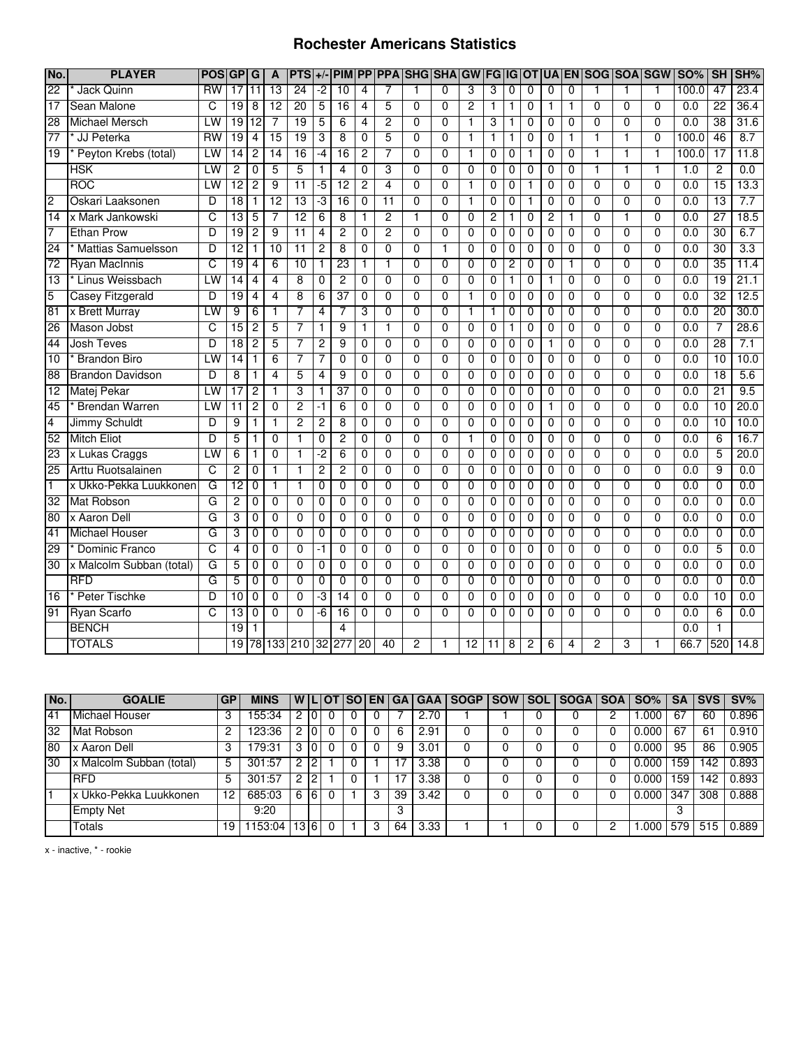#### **Rochester Americans Statistics**

| No.             | <b>PLAYER</b>             | <b>POS</b>     | <b>GP</b>       | G               | A                       | $PTS$ +/-       |                | <b>PIM</b>      |                 |                 | <b>PP PPA SHG SHA</b> |                | GW              | <b>FG IG</b>   |                | <b>TO</b>      |                |                | UA EN SOG SOA SGW |                |                | <b>SO%</b>       | SH              | SH%  |
|-----------------|---------------------------|----------------|-----------------|-----------------|-------------------------|-----------------|----------------|-----------------|-----------------|-----------------|-----------------------|----------------|-----------------|----------------|----------------|----------------|----------------|----------------|-------------------|----------------|----------------|------------------|-----------------|------|
| $\overline{22}$ | Jack Quinn                | <b>RW</b>      | $\overline{17}$ | 11              | $\overline{13}$         | 24              | $-2$           | $\overline{10}$ | $\overline{4}$  |                 |                       | $\mathbf 0$    | 3               | 3              | $\mathbf 0$    | 0              | 0              | $\mathbf 0$    | 1                 | 1              | 1              | 100.0            | 47              | 23.4 |
| $\overline{17}$ | Sean Malone               | C              | 19              | 8               | 12                      | 20              | 5              | 16              | 4               | 5               | $\overline{0}$        | $\overline{0}$ | $\overline{2}$  | $\mathbf{1}$   | 1              | $\mathbf 0$    | 1              | $\mathbf{1}$   | $\overline{0}$    | $\overline{0}$ | $\overline{0}$ | $\overline{0.0}$ | 22              | 36.4 |
| 28              | <b>Michael Mersch</b>     | LW             | 19              | $\overline{12}$ | $\overline{7}$          | 19              | 5              | 6               | 4               | $\overline{2}$  | 0                     | 0              | $\mathbf{1}$    | 3              | 1              | 0              | 0              | $\mathbf 0$    | 0                 | $\mathbf{0}$   | $\mathbf{0}$   | 0.0              | $\overline{38}$ | 31.6 |
| $\overline{77}$ | * JJ Peterka              | <b>RW</b>      | 19              | 4               | $\overline{15}$         | 19              | 3              | 8               | $\mathbf 0$     | 5               | 0                     | 0              | $\mathbf{1}$    | $\mathbf{1}$   | 1              | $\mathbf 0$    | $\mathbf 0$    | 1              | 1                 | $\mathbf{1}$   | $\mathbf 0$    | 100.0            | 46              | 8.7  |
| 19              | Peyton Krebs (total)      | LW             | 14              | 2               | 14                      | 16              | $-4$           | 16              | 2               | 7               | 0                     | 0              | 1               | 0              | 0              | 1              | 0              | $\mathbf 0$    | 1                 | 1              | 1              | 100.0            | $\overline{17}$ | 11.8 |
|                 | HSK                       | LW             | $\overline{2}$  | 0               | 5                       | 5               | 1              | $\overline{4}$  | 0               | 3               | $\overline{0}$        | $\overline{0}$ | $\overline{0}$  | 0              | 0              | $\overline{0}$ | 0              | 0              | 1                 | $\mathbf{1}$   | 1              | 1.0              | $\overline{2}$  | 0.0  |
|                 | <b>ROC</b>                | LW             | $\overline{12}$ | 2               | 9                       | $\overline{11}$ | -5             | $\overline{12}$ | 2               | 4               | 0                     | 0              | 1               | 0              | 0              | 1              | 0              | 0              | 0                 | $\overline{0}$ | $\overline{0}$ | 0.0              | $\overline{15}$ | 13.3 |
| $\overline{2}$  | Oskari Laaksonen          | D              | 18              | 1               | 12                      | 13              | د.             | 16              | $\mathbf 0$     | $\overline{11}$ | $\mathbf{0}$          | $\Omega$       | $\mathbf{1}$    | 0              | $\mathbf 0$    | $\mathbf{1}$   | 0              | $\mathbf{0}$   | 0                 | $\mathbf 0$    | $\mathbf 0$    | $\overline{0.0}$ | $\overline{13}$ | 7.7  |
| 14              | x Mark Jankowski          | C              | $\overline{13}$ | 5               | 7                       | 12              | 6              | 8               | 1               | $\overline{c}$  | $\mathbf{1}$          | 0              | $\Omega$        | 2              | 1              | $\mathbf 0$    | $\overline{c}$ | 1              | 0                 | $\mathbf{1}$   | $\Omega$       | 0.0              | $\overline{27}$ | 18.5 |
| $\overline{7}$  | <b>Ethan Prow</b>         | D              | 19              | $\overline{2}$  | $\overline{9}$          | 11              | 4              | $\overline{2}$  | $\mathbf 0$     | $\overline{2}$  | $\overline{0}$        | $\Omega$       | $\overline{0}$  | $\mathbf 0$    | $\mathbf 0$    | $\mathbf 0$    | $\Omega$       | $\mathbf 0$    | 0                 | $\overline{0}$ | $\overline{0}$ | 0.0              | 30              | 6.7  |
| 24              | <b>Mattias Samuelsson</b> | D              | $\overline{12}$ | 1               | $\overline{10}$         | $\overline{11}$ | $\overline{2}$ | $\overline{8}$  | $\Omega$        | $\Omega$        | $\mathbf{0}$          | 1              | $\Omega$        | $\Omega$       | $\Omega$       | $\Omega$       | $\Omega$       | $\Omega$       | 0                 | $\Omega$       | $\Omega$       | 0.0              | 30              | 3.3  |
| 72              | <b>Ryan MacInnis</b>      | C              | $\overline{19}$ | 4               | 6                       | 10              | $\mathbf{1}$   | 23              | 1               | 1               | $\mathbf{0}$          | $\Omega$       | $\mathbf 0$     | $\mathbf 0$    | $\overline{2}$ | $\mathbf 0$    | $\mathbf 0$    | $\mathbf{1}$   | 0                 | $\mathbf 0$    | $\mathbf 0$    | 0.0              | 35              | 11.4 |
| $\overline{13}$ | * Linus Weissbach         | LW             | 14              | 4               | 4                       | 8               | $\Omega$       | $\overline{2}$  | $\Omega$        | $\Omega$        | $\Omega$              | $\Omega$       | 0               | $\Omega$       | 1              | 0              | $\mathbf{1}$   | $\Omega$       | $\Omega$          | $\Omega$       | $\Omega$       | $\overline{0.0}$ | 19              | 21.1 |
| 5               | <b>Casey Fitzgerald</b>   | D              | 19              | 4               | 4                       | 8               | 6              | 37              | 0               | $\overline{0}$  | $\overline{0}$        | $\overline{0}$ | $\overline{1}$  | 0              | 0              | $\overline{0}$ | 0              | $\mathbf 0$    | $\overline{0}$    | $\overline{0}$ | $\overline{0}$ | 0.0              | 32              | 12.5 |
| 81              | x Brett Murray            | LW             | 9               | 6               | 1                       | 7               | 4              | 7               | 3               | $\Omega$        | $\Omega$              | 0              | 1               | 1              | $\Omega$       | 0              | $\Omega$       | $\Omega$       | $\overline{0}$    | $\overline{0}$ | $\overline{0}$ | 0.0              | $\overline{20}$ | 30.0 |
| 26              | Mason Jobst               | C              | $\overline{15}$ | $\overline{c}$  | 5                       | 7               | 1              | $\overline{9}$  | 1               | $\mathbf{1}$    | $\mathbf 0$           | $\mathbf 0$    | $\mathbf 0$     | $\mathbf 0$    | 1              | $\mathbf 0$    | $\mathbf 0$    | $\mathbf 0$    | 0                 | $\overline{0}$ | $\overline{0}$ | 0.0              | $\overline{7}$  | 28.6 |
| 44              | <b>Josh Teves</b>         | D              | $\overline{18}$ | 2               | 5                       | 7               | 2              | 9               | 0               | $\Omega$        | $\Omega$              | $\Omega$       | $\Omega$        | $\mathbf 0$    | $\mathbf 0$    | $\mathbf 0$    | 1              | $\mathbf{0}$   | 0                 | $\Omega$       | $\Omega$       | 0.0              | 28              | 7.1  |
| 10              | <b>Brandon Biro</b>       | LW             | $\overline{14}$ | 1               | 6                       | 7               | 7              | $\overline{0}$  | $\mathbf 0$     | $\Omega$        | $\overline{0}$        | $\overline{0}$ | $\overline{0}$  | $\overline{0}$ | $\mathbf 0$    | $\overline{0}$ | $\mathbf 0$    | $\mathbf 0$    | $\overline{0}$    | $\overline{0}$ | $\overline{0}$ | 0.0              | $\overline{10}$ | 10.0 |
| 88              | <b>Brandon Davidson</b>   | D              | 8               | 1               | $\overline{\mathbf{4}}$ | 5               | 4              | 9               | $\mathbf 0$     | $\mathbf 0$     | 0                     | $\mathbf 0$    | $\mathbf 0$     | $\mathbf 0$    | $\mathbf 0$    | $\mathbf 0$    | $\mathbf 0$    | $\Omega$       | 0                 | $\overline{0}$ | $\Omega$       | $\overline{0.0}$ | $\overline{18}$ | 5.6  |
| $\overline{12}$ | <b>Matej Pekar</b>        | LW             | 17              | $\overline{2}$  | $\mathbf{1}$            | 3               | $\mathbf{1}$   | $\overline{37}$ | $\mathbf 0$     | $\overline{0}$  | $\overline{0}$        | $\overline{0}$ | $\overline{0}$  | $\overline{0}$ | $\overline{0}$ | $\overline{0}$ | $\overline{0}$ | $\overline{0}$ | $\overline{0}$    | $\overline{0}$ | $\overline{0}$ | 0.0              | $\overline{21}$ | 9.5  |
| 45              | <b>Brendan Warren</b>     | LW             | $\overline{11}$ | 2               | $\overline{0}$          | $\overline{2}$  | $-1$           | 6               | $\Omega$        | $\mathbf 0$     | $\overline{0}$        | $\overline{0}$ | $\overline{0}$  | 0              | $\mathbf 0$    | $\mathbf 0$    | 1              | $\mathbf 0$    | $\overline{0}$    | $\overline{0}$ | $\overline{0}$ | $\overline{0.0}$ | $\overline{10}$ | 20.0 |
| 4               | <b>Jimmy Schuldt</b>      | D              | 9               | 1               | 1                       | 2               | $\overline{2}$ | $\overline{8}$  | $\overline{0}$  | $\overline{0}$  | $\overline{0}$        | $\overline{0}$ | $\overline{0}$  | $\overline{0}$ | $\overline{0}$ | $\overline{0}$ | $\overline{0}$ | $\overline{0}$ | $\overline{0}$    | $\overline{0}$ | $\overline{0}$ | 0.0              | 10              | 10.0 |
| 52              | <b>Mitch Eliot</b>        | D              | 5               | 1               | $\overline{0}$          | $\overline{1}$  | $\overline{0}$ | 2               | $\Omega$        | $\overline{0}$  | $\overline{0}$        | $\overline{0}$ | $\overline{1}$  | $\overline{0}$ | $\overline{0}$ | $\overline{0}$ | $\overline{0}$ | $\overline{0}$ | $\overline{0}$    | $\overline{0}$ | $\overline{0}$ | 0.0              | 6               | 16.7 |
| 23              | x Lukas Craggs            | LW             | 6               |                 | $\overline{0}$          | 1               | -2             | $\overline{6}$  | 0               | $\overline{0}$  | $\overline{0}$        | $\overline{0}$ | $\overline{0}$  | $\overline{0}$ | $\overline{0}$ | $\overline{0}$ | $\overline{0}$ | $\overline{0}$ | $\overline{0}$    | $\overline{0}$ | $\overline{0}$ | 0.0              | 5               | 20.0 |
| 25              | Arttu Ruotsalainen        | $\overline{c}$ | 2               | 0               | 1                       | 1               | $\overline{c}$ | $\overline{c}$  | $\Omega$        | $\mathbf 0$     | $\Omega$              | $\Omega$       | $\Omega$        | 0              | $\mathbf 0$    | $\mathbf 0$    | $\mathbf 0$    | $\mathbf 0$    | $\Omega$          | $\Omega$       | $\overline{0}$ | 0.0              | 9               | 0.0  |
| $\mathbf{1}$    | x Ukko-Pekka Luukkonen    | G              | $\overline{12}$ | 0               | 1                       | $\mathbf{1}$    | 0              | 0               | $\mathbf 0$     | 0               | 0                     | $\mathbf 0$    | $\mathbf 0$     | 0              | $\mathbf 0$    | $\mathbf 0$    | $\mathbf 0$    | $\mathbf 0$    | 0                 | $\overline{0}$ | $\overline{0}$ | 0.0              | $\mathbf 0$     | 0.0  |
| 32              | Mat Robson                | G              | $\overline{c}$  | 0               | $\Omega$                | $\mathbf{0}$    | 0              | $\mathbf{0}$    | $\Omega$        | $\Omega$        | $\Omega$              | $\mathbf{0}$   | $\Omega$        | 0              | $\mathbf 0$    | $\mathbf 0$    | 0              | $\Omega$       | 0                 | $\Omega$       | $\Omega$       | 0.0              | $\Omega$        | 0.0  |
| 80              | x Aaron Dell              | G              | 3               | 0               | $\mathbf 0$             | 0               | 0              | $\mathbf 0$     | $\mathbf 0$     | $\mathbf{0}$    | $\Omega$              | 0              | $\overline{0}$  | 0              | 0              | $\mathbf 0$    | $\mathbf 0$    | $\Omega$       | 0                 | $\overline{0}$ | $\overline{0}$ | 0.0              | $\mathbf 0$     | 0.0  |
| 41              | <b>Michael Houser</b>     | G              | 3               | 0               | $\mathbf{0}$            | $\mathbf{0}$    | 0              | $\mathbf{0}$    | $\mathbf{0}$    | $\mathbf{0}$    | $\mathbf{0}$          | $\mathbf{0}$   | $\Omega$        | $\mathbf 0$    | $\mathbf 0$    | $\mathbf 0$    | $\Omega$       | $\Omega$       | 0                 | $\Omega$       | $\Omega$       | 0.0              | $\mathbf 0$     | 0.0  |
| 29              | <b>Dominic Franco</b>     | C              | 4               | 0               | $\overline{0}$          | $\overline{0}$  | $-1$           | $\overline{0}$  | $\overline{0}$  | $\overline{0}$  | $\overline{0}$        | $\overline{0}$ | $\overline{0}$  | $\overline{0}$ | $\overline{0}$ | $\overline{0}$ | $\overline{0}$ | $\overline{0}$ | $\overline{0}$    | $\overline{0}$ | $\overline{0}$ | 0.0              | $\overline{5}$  | 0.0  |
| 30              | x Malcolm Subban (total)  | G              | 5               | $\Omega$        | $\overline{0}$          | $\overline{0}$  | $\overline{0}$ | $\overline{0}$  | $\Omega$        | $\Omega$        | $\overline{0}$        | $\overline{0}$ | $\overline{0}$  | $\overline{0}$ | $\overline{0}$ | $\overline{0}$ | $\overline{0}$ | $\overline{0}$ | $\overline{0}$    | $\overline{0}$ | $\overline{0}$ | 0.0              | $\overline{0}$  | 0.0  |
|                 | <b>RFD</b>                | G              | 5               | 0               | $\overline{0}$          | $\overline{0}$  | 0              | 0               | 0               | $\Omega$        | $\overline{0}$        | $\Omega$       | $\overline{0}$  | 0              | 0              | $\mathbf 0$    | $\Omega$       | 0              | 0                 | $\overline{0}$ | $\overline{0}$ | 0.0              | $\overline{0}$  | 0.0  |
| 16              | <b>Peter Tischke</b>      | $\overline{D}$ | 10              | 0               | $\mathbf{0}$            | $\overline{0}$  | -3             | 14              | $\Omega$        | $\mathbf{0}$    | $\overline{0}$        | $\Omega$       | $\Omega$        | $\overline{0}$ | $\overline{0}$ | $\overline{0}$ | $\mathbf{0}$   | $\Omega$       | $\mathbf{0}$      | $\overline{0}$ | $\overline{0}$ | 0.0              | 10              | 0.0  |
| 91              | <b>Ryan Scarfo</b>        | C              | 13              | 0               | 0                       | $\mathbf 0$     | $-6$           | $\overline{16}$ | 0               | $\Omega$        | $\mathbf{0}$          | $\Omega$       | 0               | 0              | 0              | $\mathbf 0$    | $\Omega$       | $\Omega$       | 0                 | $\Omega$       | $\Omega$       | 0.0              | 6               | 0.0  |
|                 | <b>BENCH</b>              |                | 19              |                 |                         |                 |                | 4               |                 |                 |                       |                |                 |                |                |                |                |                |                   |                |                | $\overline{0.0}$ |                 |      |
|                 | <b>TOTALS</b>             |                | 19              |                 |                         | 78 133 210      |                | 32 277          | $\overline{20}$ | 40              | $\overline{c}$        | 1              | $\overline{12}$ | 11             | 8              | 2              | 6              | 4              | 2                 | 3              |                | 66.7             | 520             | 14.8 |

| No. | <b>GOALIE</b>            | <b>GP</b> | MINS   |   |                  | <b>WILIOT</b> | <b>ISO</b> |   |    |      |  | EN   GA   GAA   SOGP   SOW   SOL   SOGA   SOA   SO% |   |       | <b>SA</b> |     | <b>ISVS SV%</b> |
|-----|--------------------------|-----------|--------|---|------------------|---------------|------------|---|----|------|--|-----------------------------------------------------|---|-------|-----------|-----|-----------------|
| 41  | Michael Houser           | 3         | 55:34  |   |                  |               |            |   |    | 2.70 |  |                                                     | C | .000  | 67        | 60  | 0.896           |
| 32  | Mat Robson               | っ         | 123:36 |   |                  |               |            |   |    | 2.91 |  |                                                     |   | 0.000 | 67        | 61  | 0.910           |
| 80  | x Aaron Dell             | 3         | 79:31  | 3 |                  |               |            |   |    | 3.01 |  |                                                     |   | 0.000 | 95        | 86  | 0.905           |
| 30  | x Malcolm Subban (total) | 5         | 301:57 | 2 | ົ                |               |            |   |    | 3.38 |  |                                                     |   | 0.000 | 159       | 42ء | 0.893           |
|     | <b>RFD</b>               | 5         | 301:57 | 2 | റ                |               |            |   |    | 3.38 |  |                                                     |   | 0.000 | 59ا       | 142 | 0.893           |
|     | Ix Ukko-Pekka Luukkonen  | 12        | 685:03 | 6 | 6                |               |            | 3 | 39 | 3.42 |  |                                                     |   | 0.000 | 347       | 308 | 0.888           |
|     | <b>Empty Net</b>         |           | 9:20   |   |                  |               |            |   | 3  |      |  |                                                     |   |       | 3         |     |                 |
|     | Totals                   | 19        | 153:04 |   | $13\overline{6}$ |               |            |   | 64 | 3.33 |  |                                                     |   | .000  | 579       | 515 | 0.889           |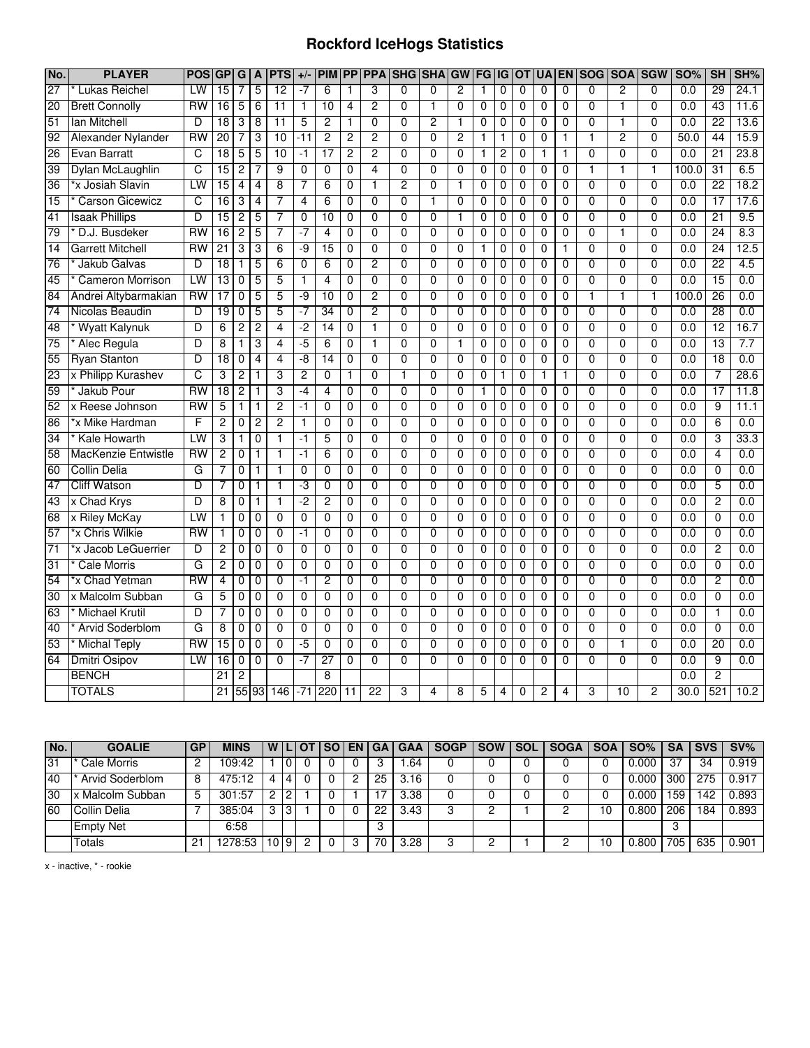## **Rockford IceHogs Statistics**

| No.             | <b>PLAYER</b>           | <b>POS</b> | <b>GP</b>       | G              | A              | <b>PTS</b>      | $+/-$          | <b>PIM</b>      | <b>PP</b>      |                |                | <b>PPA SHG SHA</b> | GW             | <b>FG</b>    | IG          | <b>OT</b>   | <b>UA EN</b>   |                | <b>SOG</b>     | <b>SOA</b>     | <b>SGW</b>     | <b>SO%</b> | <b>SH</b>       | SH%  |
|-----------------|-------------------------|------------|-----------------|----------------|----------------|-----------------|----------------|-----------------|----------------|----------------|----------------|--------------------|----------------|--------------|-------------|-------------|----------------|----------------|----------------|----------------|----------------|------------|-----------------|------|
| 27              | Lukas Reichel           | LW         | 15              | 7              | 5              | 12              | $-7$           | 6               | 1              | 3              | $\Omega$       | $\Omega$           | $\overline{2}$ | 1            | 0           | 0           | 0              | $\Omega$       | $\Omega$       | 2              | $\mathbf{0}$   | 0.0        | 29              | 24.1 |
| 20              | <b>Brett Connolly</b>   | <b>RW</b>  | 16              | 5              | 6              | 11              | $\mathbf{1}$   | 10              | 4              | $\overline{2}$ | $\mathbf{0}$   | 1                  | $\overline{0}$ | $\mathbf 0$  | 0           | 0           | 0              | $\mathbf 0$    | $\Omega$       | 1              | $\mathbf 0$    | 0.0        | 43              | 11.6 |
| 51              | lan Mitchell            | D          | 18              | 3              | 8              | $\overline{11}$ | 5              | $\overline{2}$  | 1              | $\mathbf 0$    | $\Omega$       | $\overline{2}$     | $\mathbf{1}$   | $\mathbf 0$  | 0           | 0           | 0              | $\mathbf 0$    | $\mathbf 0$    | 1              | $\Omega$       | 0.0        | $\overline{22}$ | 13.6 |
| 92              | Alexander Nylander      | <b>RW</b>  | 20              | 7              | 3              | 10              | -11            | $\overline{2}$  | $\overline{c}$ | $\overline{2}$ | 0              | 0                  | $\overline{2}$ | $\mathbf{1}$ | 1           | 0           | 0              | $\mathbf{1}$   | 1              | 2              | $\mathbf 0$    | 50.0       | 44              | 15.9 |
| 26              | Evan Barratt            | C          | 18              | 5              | 5              | 10              | $-1$           | 17              | 2              | 2              | $\overline{0}$ | $\overline{0}$     | $\overline{0}$ | 1            | 2           | 0           | 1              | 1              | $\overline{0}$ | $\overline{0}$ | $\overline{0}$ | 0.0        | $\overline{21}$ | 23.8 |
| 39              | Dylan McLaughlin        | C          | 15              | 2              | 7              | 9               | $\overline{0}$ | 0               | 0              | 4              | $\overline{0}$ | $\overline{0}$     | $\overline{0}$ | 0            | 0           | 0           | 0              | $\overline{0}$ | 1              | 1              | 1              | 100.0      | 31              | 6.5  |
| 36              | *x Josiah Slavin        | LW         | 15              | 4              | $\overline{4}$ | $\overline{8}$  | 7              | $\overline{6}$  | 0              | 1              | 2              | $\overline{0}$     | 1              | 0            | 0           | 0           | $\overline{0}$ | $\overline{0}$ | $\overline{0}$ | $\overline{0}$ | $\overline{0}$ | 0.0        | $\overline{22}$ | 18.2 |
| 15              | <b>Carson Gicewicz</b>  | C          | 16              | 3              | 4              | 7               | $\overline{4}$ | 6               | 0              | 0              | $\Omega$       | 1                  | $\mathbf 0$    | 0            | 0           | 0           | 0              | $\mathbf 0$    | $\mathbf 0$    | 0              | $\mathbf{0}$   | 0.0        | $\overline{17}$ | 17.6 |
| 41              | <b>Isaak Phillips</b>   | D          | 15              | $\overline{2}$ | 5              | 7               | $\mathbf 0$    | 10              | $\mathbf 0$    | 0              | $\Omega$       | 0                  | 1              | $\mathbf 0$  | 0           | 0           | 0              | $\mathbf 0$    | $\mathbf 0$    | 0              | $\mathbf{0}$   | 0.0        | 21              | 9.5  |
| 79              | D.J. Busdeker           | RW         | 16              | $\overline{c}$ | 5              | 7               | $-7$           | 4               | 0              | 0              | 0              | 0                  | $\mathbf 0$    | 0            | 0           | 0           | 0              | $\mathbf 0$    | $\mathbf 0$    | 1              | $\mathbf 0$    | 0.0        | 24              | 8.3  |
| 14              | <b>Garrett Mitchell</b> | <b>RW</b>  | $\overline{21}$ | 3              | 3              | $\overline{6}$  | -9             | 15              | 0              | $\overline{0}$ | 0              | 0                  | $\mathbf 0$    | 1            | 0           | 0           | 0              | 1              | $\mathbf 0$    | 0              | $\mathbf 0$    | 0.0        | 24              | 12.5 |
| $\overline{76}$ | Jakub Galvas            | D          | $\overline{18}$ | $\mathbf{1}$   | 5              | 6               | 0              | 6               | 0              | 2              | 0              | 0                  | $\mathbf 0$    | 0            | 0           | 0           | 0              | $\mathbf 0$    | 0              | 0              | 0              | 0.0        | $\overline{22}$ | 4.5  |
| 45              | <b>Cameron Morrison</b> | LW         | 13              | $\mathbf 0$    | 5              | 5               | 1              | 4               | 0              | 0              | $\mathbf{0}$   | 0                  | $\mathbf 0$    | $\mathbf 0$  | 0           | 0           | 0              | $\mathbf 0$    | 0              | 0              | $\mathbf 0$    | 0.0        | 15              | 0.0  |
| 84              | Andrei Altybarmakian    | RW         | 17              | 0              | 5              | 5               | -9             | 10              | 0              | 2              | 0              | 0                  | $\mathbf 0$    | 0            | 0           | 0           | 0              | 0              | 1              | 1              | 1              | 100.0      | 26              | 0.0  |
| $\overline{74}$ | Nicolas Beaudin         | D          | 19              | 0              | 5              | 5               | -7             | 34              | 0              | $\overline{2}$ | $\overline{0}$ | $\overline{0}$     | $\overline{0}$ | 0            | 0           | $\mathbf 0$ | 0              | $\overline{0}$ | $\overline{0}$ | $\overline{0}$ | $\overline{0}$ | 0.0        | 28              | 0.0  |
| 48              | <b>Wyatt Kalynuk</b>    | D          | 6               | $\overline{c}$ | $\overline{2}$ | 4               | $-2$           | 14              | 0              | 1              | $\Omega$       | $\Omega$           | $\Omega$       | 0            | 0           | 0           | 0              | 0              | $\Omega$       | 0              | $\Omega$       | 0.0        | 12              | 16.7 |
| 75              | Alec Regula             | D          | 8               | 1              | 3              | 4               | $-5$           | 6               | $\mathbf 0$    | 1              | $\Omega$       | 0                  | $\mathbf{1}$   | $\mathbf 0$  | 0           | 0           | 0              | $\mathbf 0$    | $\mathbf 0$    | 0              | $\mathbf 0$    | 0.0        | 13              | 7.7  |
| 55              | <b>Ryan Stanton</b>     | D          | 18              | $\mathbf 0$    | $\overline{4}$ | $\overline{4}$  | -8             | 14              | 0              | $\overline{0}$ | $\overline{0}$ | $\overline{0}$     | $\mathbf 0$    | 0            | 0           | 0           | 0              | $\mathbf 0$    | $\mathbf 0$    | $\overline{0}$ | $\mathbf 0$    | 0.0        | 18              | 0.0  |
| 23              | x Philipp Kurashev      | C          | 3               | $\overline{c}$ | $\mathbf{1}$   | 3               | $\overline{c}$ | 0               | 1              | $\mathbf 0$    | 1              | 0                  | $\mathbf 0$    | $\mathbf 0$  | 1           | $\mathbf 0$ | 1              | $\mathbf{1}$   | $\mathbf 0$    | 0              | 0              | 0.0        | 7               | 28.6 |
| 59              | Jakub Pour              | <b>RW</b>  | $\overline{18}$ | $\overline{c}$ | $\mathbf{1}$   | 3               | -4             | 4               | 0              | 0              | $\Omega$       | 0                  | $\mathbf 0$    | 1            | 0           | 0           | 0              | 0              | $\Omega$       | 0              | $\mathbf 0$    | 0.0        | 17              | 11.8 |
| 52              | x Reese Johnson         | <b>RW</b>  | 5               | 1              | $\mathbf{1}$   | $\overline{2}$  | $-1$           | 0               | $\mathbf 0$    | 0              | $\mathbf{0}$   | 0                  | $\mathbf 0$    | $\mathbf 0$  | 0           | 0           | 0              | 0              | $\mathbf 0$    | 0              | $\mathbf 0$    | 0.0        | 9               | 11.1 |
| 86              | *x Mike Hardman         | F          | $\overline{2}$  | 0              | $\overline{2}$ | $\overline{2}$  | 1              | $\overline{0}$  | 0              | $\overline{0}$ | $\overline{0}$ | $\overline{0}$     | $\overline{0}$ | 0            | 0           | 0           | $\overline{0}$ | $\overline{0}$ | $\overline{0}$ | $\overline{0}$ | $\overline{0}$ | 0.0        | 6               | 0.0  |
| $\overline{34}$ | <b>Kale Howarth</b>     | LW         | 3               | $\mathbf 1$    | $\overline{0}$ | $\overline{1}$  | $-1$           | 5               | 0              | $\overline{0}$ | $\overline{0}$ | $\overline{0}$     | $\overline{0}$ | 0            | 0           | 0           | 0              | $\overline{0}$ | $\overline{0}$ | $\overline{0}$ | $\Omega$       | 0.0        | 3               | 33.3 |
| 58              | MacKenzie Entwistle     | RW         | $\overline{2}$  | 0              | 1              | $\mathbf{1}$    | $-1$           | 6               | 0              | 0              | $\mathbf 0$    | 0                  | $\Omega$       | $\mathbf 0$  | 0           | 0           | 0              | 0              | $\mathbf 0$    | $\overline{0}$ | $\Omega$       | 0.0        | 4               | 0.0  |
| 60              | <b>Collin Delia</b>     | G          | 7               | 0              | $\mathbf{1}$   | $\mathbf{1}$    | 0              | 0               | 0              | 0              | 0              | 0                  | 0              | 0            | 0           | 0           | 0              | $\mathbf 0$    | $\mathbf 0$    | 0              | $\mathbf 0$    | 0.0        | 0               | 0.0  |
| 47              | <b>Cliff Watson</b>     | D          | $\overline{7}$  | $\mathbf 0$    | $\mathbf{1}$   | $\mathbf{1}$    | ٠J             | $\mathbf 0$     | 0              | $\mathbf 0$    | 0              | 0                  | $\mathbf 0$    | $\mathbf 0$  | 0           | 0           | 0              | $\mathbf 0$    | $\mathbf 0$    | 0              | $\mathbf 0$    | 0.0        | 5               | 0.0  |
| 43              | x Chad Krys             | D          | 8               | 0              | 1              | $\mathbf{1}$    | $-2$           | 2               | 0              | 0              | 0              | 0                  | $\mathbf 0$    | 0            | 0           | 0           | 0              | 0              | 0              | 0              | 0              | 0.0        | 2               | 0.0  |
| 68              | x Riley McKay           | LW         |                 | 0              | $\mathbf 0$    | $\mathbf 0$     | 0              | 0               | 0              | 0              | 0              | 0                  | $\mathbf 0$    | 0            | 0           | 0           | 0              | 0              | 0              | 0              | 0              | 0.0        | 0               | 0.0  |
| 57              | *x Chris Wilkie         | RW         | 1               | 0              | $\mathbf{0}$   | $\mathbf 0$     | -1             | 0               | 0              | 0              | 0              | 0                  | $\mathbf 0$    | 0            | 0           | 0           | 0              | 0              | $\mathbf 0$    | 0              | $\mathbf 0$    | 0.0        | 0               | 0.0  |
| $\overline{71}$ | *x Jacob LeGuerrier     | D          | $\overline{c}$  | 0              | $\mathbf 0$    | $\mathbf 0$     | $\mathbf 0$    | 0               | 0              | $\overline{0}$ | $\mathbf 0$    | 0                  | $\mathbf 0$    | 0            | 0           | 0           | 0              | $\mathbf 0$    | $\mathbf 0$    | 0              | $\mathbf 0$    | 0.0        | $\overline{2}$  | 0.0  |
| $\overline{31}$ | <b>Cale Morris</b>      | G          | 2               | 0              | 0              | $\overline{0}$  | 0              | 0               | 0              | $\overline{0}$ | $\Omega$       | 0                  | 0              | 0            | 0           | 0           | 0              | 0              | $\overline{0}$ | $\overline{0}$ | $\Omega$       | 0.0        | $\overline{0}$  | 0.0  |
| 54              | *x Chad Yetman          | RW         | 4               | $\mathbf 0$    | $\overline{0}$ | $\overline{0}$  | $-1$           | 2               | 0              | $\overline{0}$ | 0              | 0                  | $\overline{0}$ | $\mathbf 0$  | 0           | 0           | 0              | $\overline{0}$ | $\mathbf 0$    | $\overline{0}$ | $\Omega$       | 0.0        | 2               | 0.0  |
| 30              | x Malcolm Subban        | G          | 5               | $\mathbf 0$    | $\overline{0}$ | $\overline{0}$  | $\mathbf 0$    | 0               | 0              | 0              | 0              | 0                  | 0              | 0            | 0           | 0           | 0              | $\mathbf 0$    | $\mathbf 0$    | $\overline{0}$ | $\mathbf 0$    | 0.0        | $\overline{0}$  | 0.0  |
| 63              | <b>Michael Krutil</b>   | D          | 7               | $\mathbf 0$    | $\mathbf 0$    | $\overline{0}$  | 0              | 0               | $\mathbf 0$    | $\mathbf 0$    | 0              | 0                  | $\mathbf 0$    | $\mathbf 0$  | $\mathbf 0$ | $\mathbf 0$ | 0              | 0              | $\mathbf 0$    | $\overline{0}$ | $\mathbf 0$    | 0.0        | 1               | 0.0  |
| 40              | Arvid Soderblom         | G          | 8               | $\mathbf 0$    | 0              | $\mathbf 0$     | 0              | 0               | 0              | 0              | $\Omega$       | 0                  | 0              | 0            | 0           | 0           | 0              | 0              | $\mathbf 0$    | 0              | $\mathbf 0$    | 0.0        | 0               | 0.0  |
| 53              | <b>Michal Teply</b>     | <b>RW</b>  | 15              | $\mathbf 0$    | $\mathbf 0$    | $\mathbf 0$     | $-5$           | 0               | $\mathbf 0$    | 0              | 0              | 0                  | $\mathbf 0$    | $\mathbf 0$  | 0           | 0           | 0              | $\mathbf 0$    | $\mathbf 0$    | 1              | $\mathbf 0$    | 0.0        | $\overline{20}$ | 0.0  |
| 64              | <b>Dmitri Osipov</b>    | LW         | 16              | 0              | $\mathbf{0}$   | $\mathbf 0$     | $-7$           | $\overline{27}$ | 0              | $\mathbf 0$    | $\Omega$       | 0                  | $\Omega$       | 0            | 0           | 0           | $\mathbf 0$    | 0              | $\mathbf 0$    | $\mathbf 0$    | $\mathbf 0$    | 0.0        | 9               | 0.0  |
|                 | <b>BENCH</b>            |            | $\overline{21}$ | $\overline{c}$ |                |                 |                | 8               |                |                |                |                    |                |              |             |             |                |                |                |                |                | 0.0        | $\overline{2}$  |      |
|                 | <b>TOTALS</b>           |            | 21              |                | 55 93          | 146             | $-71$          | 220             | 11             | 22             | 3              | 4                  | 8              | 5            | 4           | 0           | 2              | 4              | 3              | 10             | $\overline{2}$ | 30.0       | 521             | 10.2 |

| No. | <b>GOALIE</b>    | <b>GP</b>   | <b>MINS</b> | W |                | <b>ILIOT</b> | <b>ISOIEN</b> |   | ∣GA | <b>GAA</b> | <b>SOGP</b> | <b>SOW</b> | <b>SOL</b> | <b>SOGA</b> | <b>SOA</b> | SO%   | <b>SA</b> | <b>SVS</b> | $SV\%$ |
|-----|------------------|-------------|-------------|---|----------------|--------------|---------------|---|-----|------------|-------------|------------|------------|-------------|------------|-------|-----------|------------|--------|
| 31  | Cale Morris      |             | 09:42       |   | $\mathbf 0$    |              |               |   |     | .64        |             |            |            |             | ι.         | 0.000 | 37        | 34         | 0.919  |
| 40  | Arvid Soderblom  |             | 475:12      | 4 | 4              |              |               | 2 | 25  | 3.16       |             |            |            |             |            | 0.000 | 300       | 275        | 0.917  |
| 30  | x Malcolm Subban |             | 301:57      | 2 | $\overline{2}$ |              |               |   | ⇁   | 3.38       |             |            |            |             | ι.         | 0.000 | 159       | 142        | 0.893  |
| 60  | Collin Delia     |             | 385:04      | 3 | 3              |              |               | 0 | 22  | 3.43       |             |            |            |             | 10         | 0.800 | 206       | 184        | 0.893  |
|     | <b>Empty Net</b> |             | 6:58        |   |                |              |               |   |     |            |             |            |            |             |            |       |           |            |        |
|     | Totals           | $2^{\circ}$ | 278:53      |   | 9              |              |               |   |     | 3.28       |             |            |            |             | 10         | 0.800 | 705       | 635        | 0.901  |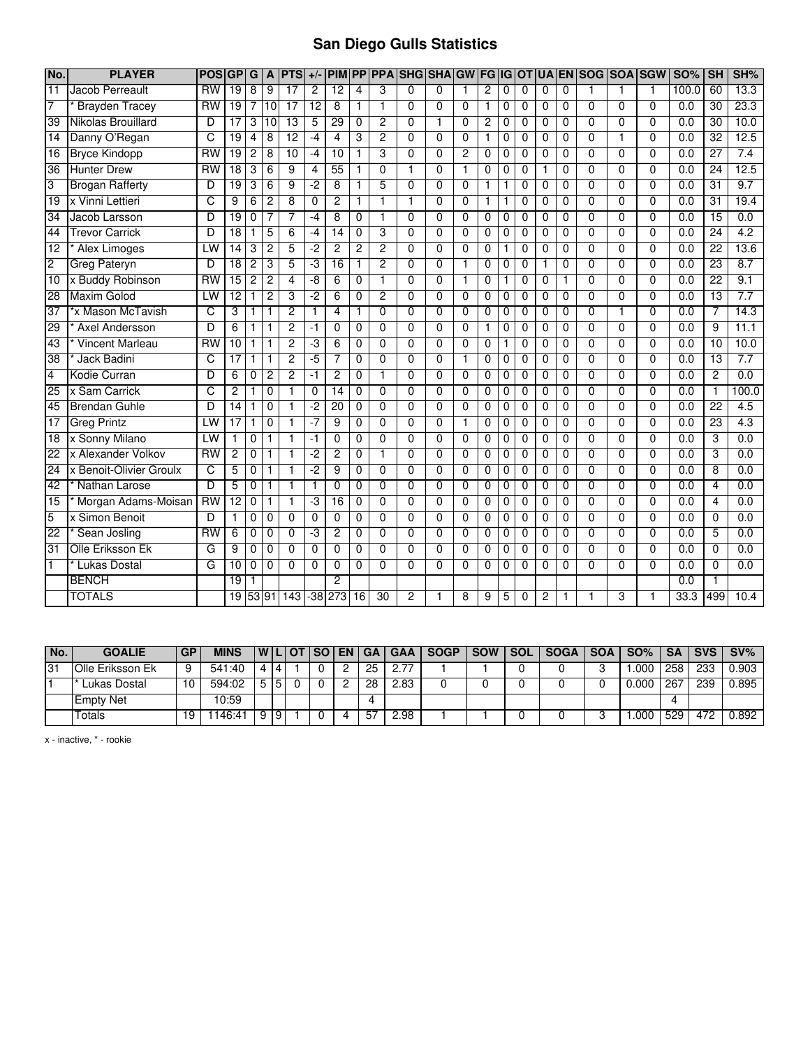## **San Diego Gulls Statistics**

| No.             | <b>PLAYER</b>           | <b>POSIGP</b>   |                 | G              | A              | <b>PTS</b>      | $+/-$          | <b>PIM</b>      |                 | <b>PP PPA</b>   | SHG SHA GW FG IG OT UA |                |                |                |                |                |                | <b>IEN</b>     | <b>SOG SOA SGW</b> |                |                | <b>SO%</b>       | SH              | SH%              |
|-----------------|-------------------------|-----------------|-----------------|----------------|----------------|-----------------|----------------|-----------------|-----------------|-----------------|------------------------|----------------|----------------|----------------|----------------|----------------|----------------|----------------|--------------------|----------------|----------------|------------------|-----------------|------------------|
| 11              | Jacob Perreault         | $\overline{RW}$ | $\overline{19}$ | 8              | 9              | $\overline{17}$ | $\overline{2}$ | $\overline{12}$ | 4               | 3               | 0                      | 0              |                | $\overline{2}$ | 0              | 0              | 0              | 0              |                    |                | 1              | 100.0            | 60              | 13.3             |
| 7               | <b>Brayden Tracey</b>   | <b>RW</b>       | 19              | 7              | 10             | $\overline{17}$ | 12             | 8               | $\mathbf{1}$    | 1               | $\overline{0}$         | $\Omega$       | 0              | 1              | 0              | 0              | 0              | $\Omega$       | $\Omega$           | $\Omega$       | 0              | 0.0              | $\overline{30}$ | 23.3             |
| 39              | Nikolas Brouillard      | $\overline{D}$  | $\overline{17}$ | 3              | 10             | $\overline{13}$ | 5              | 29              | $\Omega$        | $\overline{2}$  | $\Omega$               | 1              | $\Omega$       | $\overline{2}$ | 0              | 0              | 0              | $\Omega$       | $\Omega$           | $\Omega$       | $\Omega$       | 0.0              | 30              | 10.0             |
| 14              | Danny O'Regan           | C               | 19              | 4              | 8              | $\overline{12}$ | -4             | 4               | 3               | $\overline{2}$  | 0                      | $\Omega$       | $\Omega$       |                | 0              | 0              | 0              | 0              | $\Omega$           |                | 0              | 0.0              | 32              | 12.5             |
| 16              | <b>Bryce Kindopp</b>    | RW              | 19              | 2              | 8              | 10              | $-4$           | 10              | 1               | 3               | $\overline{0}$         | $\overline{0}$ | 2              | $\overline{0}$ | $\overline{0}$ | $\overline{0}$ | $\overline{0}$ | $\overline{0}$ | $\overline{0}$     | $\overline{0}$ | $\overline{0}$ | 0.0              | 27              | 7.4              |
| 36              | <b>Hunter Drew</b>      | RW              | 18              | 3              | 6              | 9               | 4              | 55              | 1               | $\overline{0}$  | 1                      | 0              | 1              | 0              | 0              | 0              | 1              | $\Omega$       | 0                  | 0              | $\overline{0}$ | 0.0              | 24              | 12.5             |
| 3               | <b>Brogan Rafferty</b>  | D               | 19              | 3              | 6              | 9               | -2             | 8               | 1               | 5               | $\overline{0}$         | $\overline{0}$ | 0              | 1              | 1              | 0              | 0              | 0              | $\Omega$           | $\overline{0}$ | $\overline{0}$ | 0.0              | 31              | 9.7              |
| 19              | x Vinni Lettieri        | C               | 9               | 6              | $\overline{c}$ | 8               | 0              | $\overline{c}$  | $\mathbf{1}$    | $\mathbf{1}$    | 1                      | $\Omega$       | $\Omega$       | 1              | 1              | 0              | 0              | $\Omega$       | $\Omega$           | $\mathbf 0$    | $\Omega$       | 0.0              | 31              | 19.4             |
| 34              | Jacob Larsson           | D               | $\overline{19}$ | 0              | 7              | 7               | $-4$           | 8               | $\Omega$        | 1               | $\Omega$               | $\Omega$       | $\Omega$       | $\mathbf 0$    | 0              | 0              | $\Omega$       | $\Omega$       | $\Omega$           | $\overline{0}$ | 0              | 0.0              | 15              | 0.0              |
| 44              | <b>Trevor Carrick</b>   | D               | $\overline{18}$ | 1              | 5              | 6               | $-4$           | 14              | $\mathbf{0}$    | 3               | $\overline{0}$         | $\Omega$       | $\Omega$       | $\mathbf 0$    | 0              | 0              | $\mathbf 0$    | $\Omega$       | $\Omega$           | $\overline{0}$ | $\Omega$       | 0.0              | 24              | 4.2              |
| $\overline{12}$ | <b>Alex Limoges</b>     | LW              | 14              | 3              | $\overline{c}$ | 5               | -2             | $\overline{c}$  | $\overline{c}$  | $\overline{c}$  | $\Omega$               | $\Omega$       | $\Omega$       | $\mathbf 0$    | $\mathbf{1}$   | 0              | 0              | $\Omega$       | 0                  | 0              | 0              | 0.0              | $\overline{22}$ | 13.6             |
| $\overline{2}$  | <b>Greg Pateryn</b>     | D               | 18              | 2              | 3              | 5               | ٠J             | 16              | $\mathbf{1}$    | $\overline{2}$  | $\overline{0}$         | $\overline{0}$ | 1              | $\overline{0}$ | 0              | 0              |                | 0              | $\Omega$           | $\overline{0}$ | $\overline{0}$ | 0.0              | 23              | 8.7              |
| $\overline{10}$ | x Buddy Robinson        | <b>RW</b>       | $\overline{15}$ | $\overline{c}$ | $\overline{c}$ | 4               | -8             | 6               | $\Omega$        | 1               | $\Omega$               | $\Omega$       | 1              | $\Omega$       | 1              | $\Omega$       | 0              | 1              | $\Omega$           | $\Omega$       | $\Omega$       | 0.0              | 22              | 9.1              |
| 28              | <b>Maxim Golod</b>      | LW              | $\overline{12}$ |                | $\overline{2}$ | 3               | -2             | 6               | $\Omega$        | $\overline{2}$  | $\overline{0}$         | $\Omega$       | $\Omega$       | $\Omega$       | 0              | 0              | 0              | 0              | 0                  | $\overline{0}$ | $\overline{0}$ | 0.0              | 13              | 7.7              |
| 37              | *x Mason McTavish       | C               | 3               |                | 1              | 2               | 1              | $\overline{4}$  | $\mathbf{1}$    | $\overline{0}$  | $\overline{0}$         | $\overline{0}$ | $\overline{0}$ | $\overline{0}$ | $\overline{0}$ | 0              | 0              | $\overline{0}$ | $\overline{0}$     |                | $\overline{0}$ | 0.0              | 7               | 14.3             |
| 29              | Axel Andersson          | D               | 6               | 1              | 1              | $\overline{2}$  | $-1$           | $\Omega$        | $\mathbf{0}$    | 0               | $\Omega$               | 0              | $\Omega$       | 1              | 0              | $\Omega$       | 0              | $\Omega$       | 0                  | $\mathbf{0}$   | 0              | 0.0              | 9               | 11.1             |
| $\overline{43}$ | <b>Vincent Marleau</b>  | <b>RW</b>       | $\overline{10}$ | 1              | $\mathbf{1}$   | $\overline{2}$  | -3             | 6               | $\mathbf 0$     | $\Omega$        | $\Omega$               | $\Omega$       | 0              | 0              | 1              | 0              | 0              | 0              | $\Omega$           | 0              | $\Omega$       | 0.0              | $\overline{10}$ | 10.0             |
| $\overline{38}$ | Jack Badini             | C               | $\overline{17}$ | 1              | $\mathbf{1}$   | $\overline{2}$  | $-5$           | 7               | $\mathbf 0$     | $\Omega$        | $\overline{0}$         | $\Omega$       | 1              | 0              | 0              | 0              | 0              | $\Omega$       | $\Omega$           | $\mathbf 0$    | $\Omega$       | 0.0              | 13              | 7.7              |
| $\overline{4}$  | Kodie Curran            | D               | 6               | 0              | $\overline{2}$ | $\overline{2}$  | $-1$           | $\overline{2}$  | $\mathbf 0$     | 1               | $\overline{0}$         | $\overline{0}$ | $\mathbf 0$    | $\overline{0}$ | 0              | 0              | 0              | 0              | $\Omega$           | $\overline{0}$ | 0              | $\overline{0.0}$ | $\overline{2}$  | 0.0              |
| 25              | x Sam Carrick           | C               | 2               |                | $\Omega$       |                 | 0              | $\overline{14}$ | $\Omega$        | $\Omega$        | $\overline{0}$         | $\Omega$       | $\Omega$       | $\overline{0}$ | 0              | 0              | $\mathbf 0$    | $\Omega$       | $\Omega$           | $\overline{0}$ | $\Omega$       | 0.0              | 1               | 100.0            |
| 45              | <b>Brendan Guhle</b>    | D               | 14              | 1              | $\Omega$       |                 | $-2$           | $\overline{20}$ | $\Omega$        | 0               | $\Omega$               | $\Omega$       | $\Omega$       | 0              | 0              | 0              | 0              | $\Omega$       | 0                  | $\Omega$       | 0              | 0.0              | $\overline{22}$ | $\overline{4.5}$ |
| $\overline{17}$ | <b>Greg Printz</b>      | LW              | $\overline{17}$ |                | $\mathbf 0$    |                 | -7             | 9               | 0               | $\overline{0}$  | $\overline{0}$         | $\Omega$       | 1              | 0              | 0              | 0              | 0              | 0              | $\Omega$           | 0              | 0              | 0.0              | 23              | 4.3              |
| 18              | x Sonny Milano          | LW              |                 | 0              | $\mathbf{1}$   | 1               | -1             | $\overline{0}$  | $\overline{0}$  | $\overline{0}$  | $\overline{0}$         | $\overline{0}$ | $\overline{0}$ | $\overline{0}$ | $\overline{0}$ | $\overline{0}$ | $\overline{0}$ | $\overline{0}$ | $\overline{0}$     | $\overline{0}$ | $\overline{0}$ | 0.0              | 3               | 0.0              |
| $\overline{22}$ | x Alexander Volkov      | <b>RW</b>       | 2               | 0              | 1              |                 | -2             | $\overline{2}$  | $\Omega$        | 1               | $\overline{0}$         | $\overline{0}$ | $\Omega$       | $\Omega$       | 0              | 0              | 0              | $\Omega$       | 0                  | $\overline{0}$ | $\overline{0}$ | 0.0              | 3               | 0.0              |
| $\overline{24}$ | x Benoit-Olivier Groulx | C               | 5               | 0              | 1              |                 | $-2$           | 9               | $\Omega$        | $\Omega$        | $\overline{0}$         | $\Omega$       | 0              | $\mathbf 0$    | 0              | 0              | 0              | 0              | $\Omega$           | 0              | 0              | 0.0              | 8               | 0.0              |
| $\overline{42}$ | Nathan Larose           | D               | 5               | 0              | 1              |                 | 1              | $\mathbf 0$     | $\mathbf 0$     | 0               | 0                      | 0              | $\mathbf 0$    | 0              | 0              | 0              | 0              | 0              | 0                  | 0              | 0              | 0.0              | $\overline{4}$  | 0.0              |
| $\overline{15}$ | Morgan Adams-Moisan     | $\overline{RW}$ | $\overline{12}$ | 0              | $\mathbf{1}$   | 1               | -3             | 16              | $\mathbf 0$     | $\Omega$        | $\Omega$               | $\Omega$       | 0              | 0              | 0              | 0              | 0              | 0              | $\Omega$           | 0              | $\Omega$       | 0.0              | 4               | 0.0              |
| 5               | x Simon Benoit          | D               | 1               | 0              | $\mathbf 0$    | $\overline{0}$  | 0              | $\overline{0}$  | $\overline{0}$  | $\overline{0}$  | $\overline{0}$         | $\overline{0}$ | $\Omega$       | $\mathbf 0$    | 0              | 0              | 0              | 0              | $\overline{0}$     | $\overline{0}$ | $\overline{0}$ | 0.0              | $\mathbf 0$     | 0.0              |
| 22              | Sean Josling            | $\overline{RW}$ | 6               | 0              | $\mathbf 0$    | $\Omega$        | -3             | $\overline{2}$  | $\mathbf{0}$    | 0               | $\overline{0}$         | $\Omega$       | $\mathbf 0$    | $\mathbf 0$    | 0              | 0              | 0              | 0              | $\Omega$           | 0              | 0              | $\overline{0.0}$ | 5               | 0.0              |
| 31              | Olle Eriksson Ek        | G               | 9               | 0              | $\mathbf 0$    | $\overline{0}$  | $\overline{0}$ | $\overline{0}$  | $\overline{0}$  | $\overline{0}$  | $\overline{0}$         | $\overline{0}$ | $\overline{0}$ | $\overline{0}$ | $\overline{0}$ | $\overline{0}$ | $\overline{0}$ | $\overline{0}$ | $\overline{0}$     | $\overline{0}$ | $\overline{0}$ | 0.0              | $\overline{0}$  | 0.0              |
|                 | <b>Lukas Dostal</b>     | G               | 10              | 0              | $\Omega$       | 0               | $\Omega$       | $\Omega$        | $\Omega$        | $\Omega$        | $\overline{0}$         | 0              | 0              | $\Omega$       | 0              | $\Omega$       | $\Omega$       | $\Omega$       | 0                  | 0              | $\Omega$       | 0.0              | $\Omega$        | 0.0              |
|                 | <b>BENCH</b>            |                 | 19              |                |                |                 |                | $\overline{2}$  |                 |                 |                        |                |                |                |                |                |                |                |                    |                |                | 0.0              |                 |                  |
|                 | <b>TOTALS</b>           |                 | $\overline{19}$ |                |                | 53 91 143       | -38            | 273             | $\overline{16}$ | $\overline{30}$ | $\overline{2}$         |                | 8              | 9              | 5              | 0              | 2              |                |                    | 3              | 1              | 33.3             | 499             | 10.4             |

| $N$ o. | <b>GOALIE</b>           | <b>GP</b> | <b>MINS</b> |    | I WILI OT I SO I | <b>EN GA</b> |          | GAA I | <b>SOGP</b> | <b>SOW</b> | <b>SOL</b> | <b>SOGA</b> | <b>SOA</b> | SO%   | <b>SA</b> | <b>SVS</b> | $SV\%$ |
|--------|-------------------------|-----------|-------------|----|------------------|--------------|----------|-------|-------------|------------|------------|-------------|------------|-------|-----------|------------|--------|
| 31     | <b>Olle Eriksson Ek</b> |           | 541:40      | 4  |                  |              | 25       |       |             |            |            |             |            | .000  | 258       | 233        | 0.903  |
|        | ' Lukas Dostal          | 10        | 594:02      | 5  |                  |              | 28       | 2.83  |             |            |            |             |            | 0.000 | 267       | 239        | 0.895  |
|        | <b>Empty Net</b>        |           | 10:59       |    |                  |              | $\Delta$ |       |             |            |            |             |            |       |           |            |        |
|        | Totals                  | 19        | 146:41      | 19 |                  | 4            | 57       | 2.98  |             |            |            |             |            | .000  | 529       | 472        | 0.892  |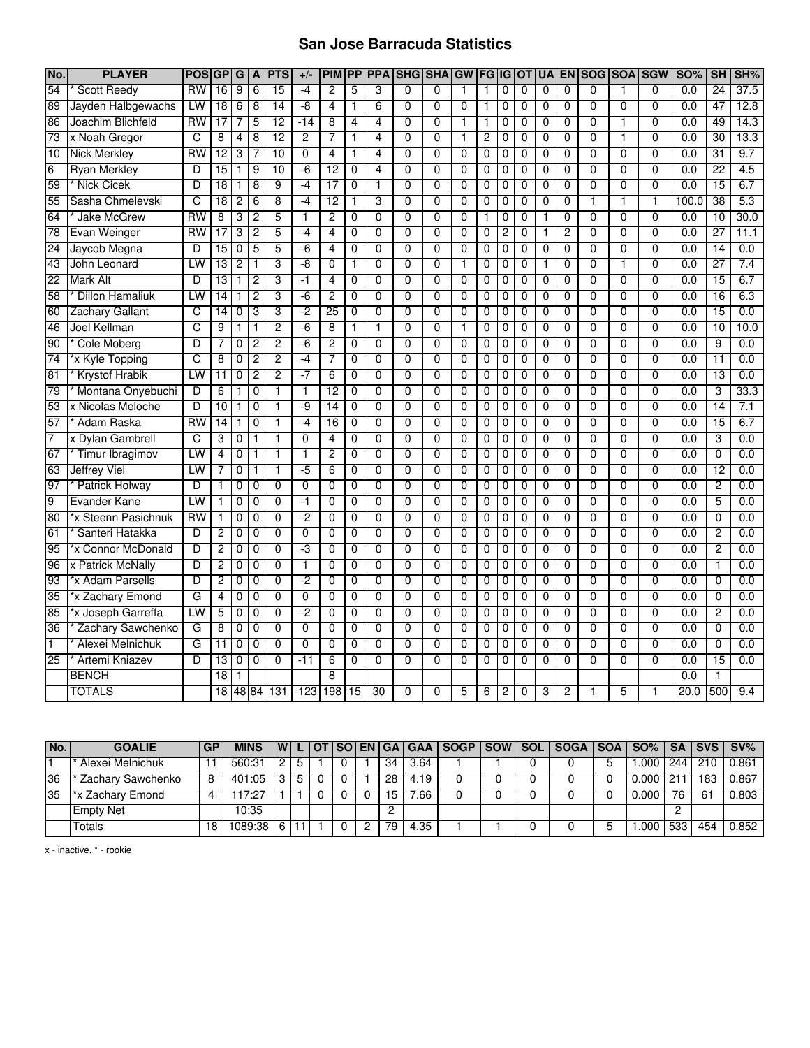## **San Jose Barracuda Statistics**

| No.             | <b>PLAYER</b>          | <b>POS</b>             | <b>GP</b>       | G              | A              | <b>PTS</b>     | $+/-$          | <b>PIM</b>     | PP             | <b>PPA</b>     |                | <b>SHG SHA</b> | <b>GW</b>      | <b>FGIGIOT</b> |   |                | <b>UA</b>      | <b>EN</b>      | <b>SOGISOA</b> |                | <b>SGW</b>     | <b>SO%</b> | <b>SH</b>       | SH%  |
|-----------------|------------------------|------------------------|-----------------|----------------|----------------|----------------|----------------|----------------|----------------|----------------|----------------|----------------|----------------|----------------|---|----------------|----------------|----------------|----------------|----------------|----------------|------------|-----------------|------|
| 54              | <b>Scott Reedy</b>     | <b>RW</b>              | 16              | 9              | 6              | 15             | $-4$           | $\overline{2}$ | 5              | 3              | $\mathbf{0}$   | 0              | $\mathbf{1}$   | $\mathbf{1}$   | 0 | $\Omega$       | $\Omega$       | $\Omega$       | 0              | 1              | $\mathbf{0}$   | 0.0        | 24              | 37.5 |
| 89              | Jayden Halbgewachs     | LW                     | 18              | 6              | 8              | 14             | -8             | 4              | 1              | 6              | $\mathbf{0}$   | $\Omega$       | $\Omega$       | $\mathbf{1}$   | 0 | $\Omega$       | 0              | $\Omega$       | 0              | $\overline{0}$ | $\mathbf{0}$   | 0.0        | 47              | 12.8 |
| 86              | Joachim Blichfeld      | <b>RW</b>              | $\overline{17}$ |                | 5              | 12             | $-14$          | 8              | 4              | $\overline{4}$ | $\mathbf{0}$   | $\Omega$       | 1              | $\mathbf{1}$   | 0 | $\mathbf{0}$   | $\mathbf{0}$   | $\Omega$       | 0              | 1              | $\mathbf{0}$   | 0.0        | 49              | 14.3 |
| 73              | x Noah Gregor          | C                      | 8               | $\overline{4}$ | $\overline{8}$ | 12             | $\overline{2}$ | 7              | 1              | $\overline{4}$ | $\Omega$       | $\Omega$       | $\mathbf{1}$   | $\overline{2}$ | 0 | $\Omega$       | 0              | $\mathbf 0$    | $\overline{0}$ | $\overline{1}$ | $\Omega$       | 0.0        | 30              | 13.3 |
| $\overline{10}$ | <b>Nick Merkley</b>    | $\overline{\text{RW}}$ | 12              | 3              | 7              | 10             | $\overline{0}$ | 4              | 1              | 4              | $\overline{0}$ | $\overline{0}$ | $\overline{0}$ | 0              | 0 | $\Omega$       | $\overline{0}$ | $\overline{0}$ | $\overline{0}$ | $\overline{0}$ | $\overline{0}$ | 0.0        | 31              | 9.7  |
| 6               | <b>Ryan Merkley</b>    | D                      | 15              | 1              | 9              | 10             | $-6$           | 12             | 0              | 4              | $\Omega$       | 0              | $\overline{0}$ | 0              | 0 | $\Omega$       | 0              | 0              | $\overline{0}$ | $\overline{0}$ | $\Omega$       | 0.0        | $\overline{22}$ | 4.5  |
| 59              | * Nick Cicek           | D                      | 18              | 1              | 8              | 9              | $-4$           | 17             | $\overline{0}$ | 1              | 0              | 0              | 0              | 0              | 0 | 0              | 0              | 0              | $\overline{0}$ | 0              | $\overline{0}$ | 0.0        | 15              | 6.7  |
| 55              | Sasha Chmelevski       | C                      | 18              | $\overline{c}$ | $\overline{6}$ | 8              | $-4$           | 12             | 1              | 3              | $\mathbf{0}$   | $\mathbf 0$    | $\Omega$       | 0              | 0 | $\mathbf 0$    | 0              | $\mathbf 0$    | 1              | $\overline{1}$ | $\mathbf{1}$   | 100.0      | 38              | 5.3  |
| 64              | * Jake McGrew          | <b>RW</b>              | 8               | 3              | $\overline{2}$ | 5              | $\mathbf{1}$   | $\overline{2}$ | $\mathbf{0}$   | $\Omega$       | $\mathbf{0}$   | $\mathbf{0}$   | $\Omega$       | 1              | 0 | $\mathbf{0}$   | 1              | $\mathbf 0$    | 0              | $\overline{0}$ | $\mathbf{0}$   | 0.0        | 10              | 30.0 |
| 78              | Evan Weinger           | <b>RW</b>              | 17              | 3              | $\overline{2}$ | 5              | $-4$           | 4              | $\mathbf{0}$   | $\Omega$       | $\mathbf{0}$   | $\Omega$       | $\Omega$       | 0              | 2 | $\mathbf{0}$   | 1              | $\overline{2}$ | 0              | $\overline{0}$ | $\mathbf{0}$   | 0.0        | $\overline{27}$ | 11.1 |
| 24              | Jaycob Megna           | D                      | 15              | $\mathbf 0$    | 5              | 5              | -6             | 4              | $\mathbf{0}$   | $\mathbf 0$    | $\mathbf 0$    | $\mathbf 0$    | $\mathbf 0$    | 0              | 0 | $\mathbf{0}$   | 0              | $\mathbf 0$    | 0              | 0              | $\Omega$       | 0.0        | 14              | 0.0  |
| 43              | John Leonard           | LW                     | 13              | $\overline{2}$ | 1              | 3              | -8             | 0              | 1              | $\mathbf 0$    | $\Omega$       | $\mathbf 0$    | $\mathbf{1}$   | 0              | 0 | $\mathbf 0$    | 1              | $\mathbf 0$    | 0              | $\overline{1}$ | $\Omega$       | 0.0        | $\overline{27}$ | 7.4  |
| 22              | <b>Mark Alt</b>        | D                      | 13              | 1              | $\overline{2}$ | 3              | $-1$           | 4              | $\mathbf{0}$   | $\mathbf 0$    | $\Omega$       | 0              | $\mathbf 0$    | 0              | 0 | $\Omega$       | 0              | $\mathbf 0$    | 0              | 0              | $\mathbf{0}$   | 0.0        | $\overline{15}$ | 6.7  |
| 58              | <b>Dillon Hamaliuk</b> | LW                     | $\overline{14}$ | 1              | $\overline{2}$ | 3              | $-6$           | 2              | 0              | $\overline{0}$ | $\Omega$       | 0              | 0              | 0              | 0 | 0              | $\mathbf 0$    | $\overline{0}$ | $\overline{0}$ | $\overline{0}$ | $\overline{0}$ | 0.0        | 16              | 6.3  |
| 60              | <b>Zachary Gallant</b> | C                      | 14              | 0              | 3              | 3              | -2             | 25             | 0              | 0              | $\Omega$       | $\Omega$       | $\Omega$       | 0              | 0 | $\Omega$       | 0              | 0              | $\overline{0}$ | $\overline{0}$ | $\Omega$       | 0.0        | 15              | 0.0  |
| 46              | Joel Kellman           | C                      | 9               | 1              | 1              | $\overline{2}$ | $-6$           | 8              | 1              | $\mathbf{1}$   | $\Omega$       | $\Omega$       | $\mathbf{1}$   | 0              | 0 | $\mathbf{0}$   | $\mathbf{0}$   | $\Omega$       | 0              | $\overline{0}$ | $\mathbf{0}$   | 0.0        | 10              | 10.0 |
| 90              | Cole Moberg            | D                      | 7               | 0              | 2              | 2              | -6             | $\overline{c}$ | 0              | $\Omega$       | $\Omega$       | $\Omega$       | $\Omega$       | 0              | 0 | $\Omega$       | 0              | $\Omega$       | $\Omega$       | $\overline{0}$ | $\Omega$       | 0.0        | 9               | 0.0  |
| 74              | *x Kyle Topping        | C                      | 8               | 0              | $\overline{c}$ | 2              | $-4$           | 7              | $\mathbf{0}$   | $\mathbf 0$    | $\mathbf 0$    | $\Omega$       | $\mathbf 0$    | $\mathbf 0$    | 0 | $\mathbf{0}$   | 0              | $\Omega$       | 0              | $\overline{0}$ | $\mathbf{0}$   | 0.0        | 11              | 0.0  |
| 81              | Krystof Hrabik         | LW                     | 11              | $\mathbf 0$    | $\overline{2}$ | $\overline{2}$ | $-7$           | $\overline{6}$ | $\mathbf{0}$   | $\overline{0}$ | $\Omega$       | $\Omega$       | $\overline{0}$ | $\mathbf 0$    | 0 | 0              | 0              | $\mathbf 0$    | $\overline{0}$ | $\overline{0}$ | $\Omega$       | 0.0        | 13              | 0.0  |
| 79              | Montana Onyebuchi      | D                      | 6               | 1              | 0              | 1              | $\mathbf{1}$   | 12             | $\mathbf{0}$   | $\mathbf 0$    | $\mathbf{0}$   | 0              | $\Omega$       | 0              | 0 | $\Omega$       | 0              | $\mathbf 0$    | $\overline{0}$ | $\overline{0}$ | 0              | 0.0        | 3               | 33.3 |
| 53              | x Nicolas Meloche      | D                      | 10              | 1              | 0              | 1              | -9             | 14             | 0              | $\Omega$       | $\Omega$       | 0              | $\Omega$       | 0              | 0 | $\mathbf 0$    | 0              | 0              | 0              | $\overline{0}$ | $\Omega$       | 0.0        | 14              | 7.1  |
| 57              | Adam Raska             | RW                     | $\overline{14}$ | 1              | 0              | 1              | $-4$           | 16             | 0              | $\overline{0}$ | 0              | $\mathbf 0$    | 0              | 0              | 0 | 0              | 0              | 0              | $\overline{0}$ | $\overline{0}$ | $\overline{0}$ | 0.0        | 15              | 6.7  |
| 7               | x Dylan Gambrell       | C                      | 3               | 0              | 1              | $\overline{1}$ | $\overline{0}$ | 4              | $\overline{0}$ | $\overline{0}$ | $\overline{0}$ | $\overline{0}$ | $\overline{0}$ | $\overline{0}$ | 0 | $\overline{0}$ | $\overline{0}$ | $\overline{0}$ | $\overline{0}$ | $\overline{0}$ | $\overline{0}$ | 0.0        | 3               | 0.0  |
| 67              | Timur Ibragimov        | LW                     | 4               | 0              | 1              | 1              | 1              | 2              | 0              | $\overline{0}$ | $\overline{0}$ | $\overline{0}$ | $\overline{0}$ | 0              | 0 | 0              | $\mathbf 0$    | 0              | $\overline{0}$ | $\overline{0}$ | $\overline{0}$ | 0.0        | $\overline{0}$  | 0.0  |
| 63              | <b>Jeffrey Viel</b>    | LW                     | 7               | 0              | 1              | 1              | $-5$           | 6              | 0              | $\mathbf 0$    | $\mathbf{0}$   | $\Omega$       | $\Omega$       | 0              | 0 | $\mathbf 0$    | $\mathbf{0}$   | $\Omega$       | 0              | $\overline{0}$ | $\mathbf{0}$   | 0.0        | 12              | 0.0  |
| 97              | <b>Patrick Holway</b>  | D                      | 1               | 0              | $\mathbf 0$    | 0              | 0              | 0              | $\mathbf{0}$   | $\mathbf 0$    | $\mathbf 0$    | $\mathbf 0$    | $\mathbf 0$    | 0              | 0 | 0              | $\mathbf 0$    | 0              | 0              | 0              | 0              | 0.0        | 2               | 0.0  |
| $\overline{9}$  | <b>Evander Kane</b>    | LW                     | 1               | 0              | $\mathbf 0$    | 0              | $-1$           | 0              | $\mathbf{0}$   | $\mathbf 0$    | $\Omega$       | $\mathbf 0$    | $\mathbf 0$    | $\mathbf 0$    | 0 | 0              | 0              | $\mathbf 0$    | 0              | $\overline{0}$ | $\mathbf 0$    | 0.0        | 5               | 0.0  |
| 80              | *x Steenn Pasichnuk    | <b>RW</b>              | 1               | 0              | 0              | $\mathbf 0$    | $-2$           | 0              | 0              | $\Omega$       | $\Omega$       | 0              | 0              | 0              | 0 | 0              | 0              | 0              | 0              | 0              | $\Omega$       | 0.0        | 0               | 0.0  |
| 61              | Santeri Hatakka        | D                      | 2               | $\mathbf 0$    | 0              | 0              | $\mathbf 0$    | 0              | 0              | $\Omega$       | $\Omega$       | $\Omega$       | $\mathbf 0$    | 0              | 0 | $\mathbf 0$    | 0              | $\mathbf 0$    | 0              | $\overline{0}$ | $\Omega$       | 0.0        | 2               | 0.0  |
| 95              | *x Connor McDonald     | D                      | 2               | 0              | 0              | 0              | -3             | 0              | 0              | 0              | 0              | 0              | 0              | 0              | 0 | $\mathbf 0$    | 0              | 0              | 0              | 0              | 0              | 0.0        | $\overline{2}$  | 0.0  |
| 96              | x Patrick McNally      | D                      | 2               | 0              | $\mathbf 0$    | $\overline{0}$ | $\overline{1}$ | $\overline{0}$ | 0              | $\overline{0}$ | $\overline{0}$ | $\overline{0}$ | $\overline{0}$ | $\overline{0}$ | 0 | $\mathbf 0$    | $\overline{0}$ | $\overline{0}$ | $\overline{0}$ | $\overline{0}$ | $\overline{0}$ | 0.0        | $\overline{1}$  | 0.0  |
| 93              | *x Adam Parsells       | D                      | 2               | 0              | 0              | $\Omega$       | -2             | 0              | 0              | $\Omega$       | $\Omega$       | $\Omega$       | $\Omega$       | 0              | 0 | $\Omega$       | 0              | $\Omega$       | $\overline{0}$ | $\overline{0}$ | $\Omega$       | 0.0        | $\overline{0}$  | 0.0  |
| 35              | *x Zachary Emond       | G                      | 4               | 0              | $\mathbf 0$    | $\Omega$       | $\mathbf 0$    | 0              | $\mathbf 0$    | $\mathbf 0$    | $\mathbf 0$    | $\Omega$       | $\mathbf 0$    | 0              | 0 | $\mathbf 0$    | $\mathbf 0$    | $\mathbf 0$    | 0              | $\overline{0}$ | $\mathbf{0}$   | 0.0        | 0               | 0.0  |
| 85              | *x Joseph Garreffa     | LW                     | 5               | $\mathbf 0$    | $\mathbf 0$    | 0              | $-2$           | 0              | $\mathbf 0$    | $\mathbf 0$    | $\mathbf 0$    | $\Omega$       | $\mathbf 0$    | $\mathbf 0$    | 0 | $\mathbf 0$    | $\mathbf 0$    | $\mathbf 0$    | $\overline{0}$ | $\overline{0}$ | $\Omega$       | 0.0        | $\overline{2}$  | 0.0  |
| $\overline{36}$ | Zachary Sawchenko      | G                      | 8               | 0              | $\mathbf 0$    | 0              | $\Omega$       | 0              | $\mathbf{0}$   | $\mathbf 0$    | $\mathbf{0}$   | $\Omega$       | $\Omega$       | 0              | 0 | 0              | 0              | $\mathbf 0$    | 0              | $\overline{0}$ | $\mathbf{0}$   | 0.0        | 0               | 0.0  |
| $\mathbf{1}$    | Alexei Melnichuk       | G                      | 11              | 0              | 0              | 0              | $\mathbf{0}$   | 0              | 0              | 0              | $\Omega$       | $\Omega$       | $\Omega$       | 0              | 0 | 0              | 0              | 0              | 0              | 0              | $\Omega$       | 0.0        | 0               | 0.0  |
| 25              | Artemi Kniazev         | D                      | 13              | 0              | $\mathbf 0$    | $\mathbf 0$    | $-11$          | 6              | 0              | $\mathbf 0$    | $\mathbf{0}$   | 0              | $\Omega$       | $\mathbf 0$    | 0 | $\mathbf{0}$   | $\mathbf{0}$   | $\Omega$       | 0              | $\overline{0}$ | $\mathbf{0}$   | 0.0        | 15              | 0.0  |
|                 | <b>BENCH</b>           |                        | $\overline{18}$ | 1              |                |                |                | 8              |                |                |                |                |                |                |   |                |                |                |                |                |                | 0.0        | 1               |      |
|                 | <b>TOTALS</b>          |                        | 18              |                | 48 84          | 131            | $-123$         | 198            | 15             | 30             | 0              | 0              | 5              | 6              | 2 |                | 3              | 2              |                | 5              |                | 20.0       | 500             | 9.4  |

| No. | <b>GOALIE</b>     | GP | <b>MINS</b> |  |  |    |      |  | W  L  OT  SO   EN  GA   GAA   SOGP   SOW   SOL   SOGA   SOA   SO%   SA   SVS   SV% |            |     |     |       |
|-----|-------------------|----|-------------|--|--|----|------|--|------------------------------------------------------------------------------------|------------|-----|-----|-------|
|     | Alexei Melnichuk  |    | 560:31      |  |  | 34 | 3.64 |  |                                                                                    | $.000$ 244 |     | 210 | 0.861 |
| 36  | Zachary Sawchenko |    | 401:05      |  |  | 28 | 4.19 |  |                                                                                    | 0.000      | 211 | 183 | 0.867 |
| 35  | *x Zachary Emond  |    | 17:27       |  |  | 15 | .66  |  |                                                                                    | 0.000      | 76  | 61  | 0.803 |
|     | <b>Empty Net</b>  |    | 10:35       |  |  |    |      |  |                                                                                    |            |     |     |       |
|     | Totals            | 18 | 1089:38 6   |  |  | 79 | 4.35 |  |                                                                                    | $.000$ 533 |     | 454 | 0.852 |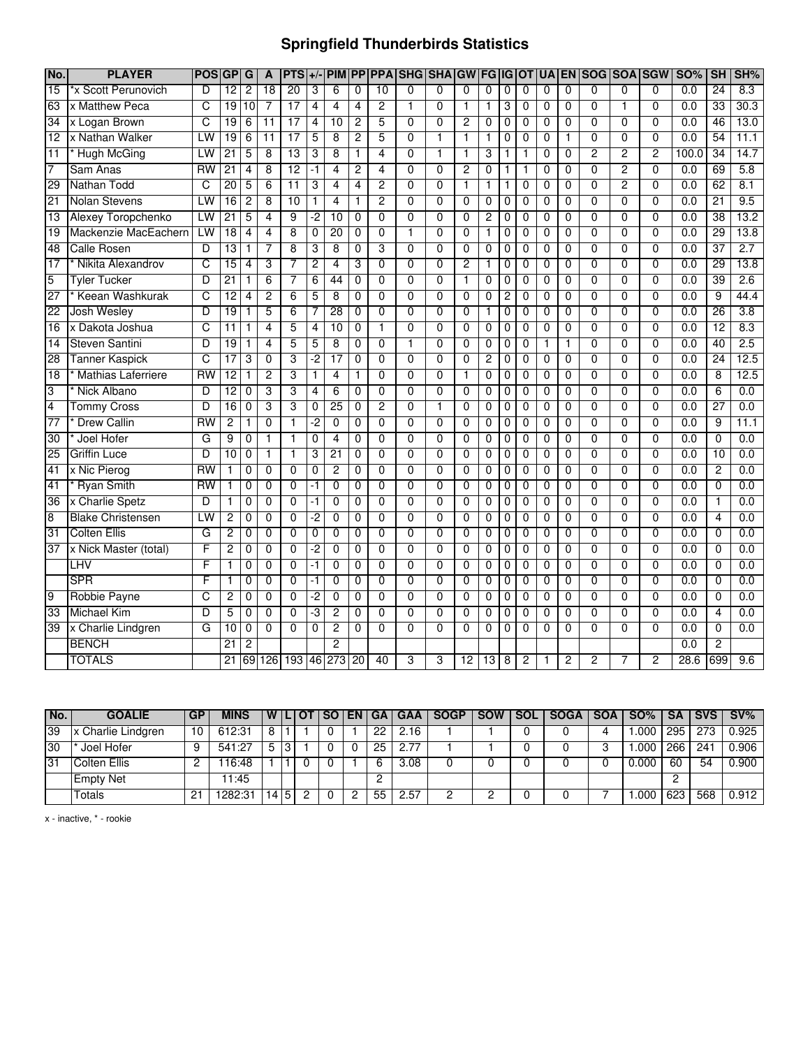## **Springfield Thunderbirds Statistics**

| No.             | <b>PLAYER</b>             | <b>POSI</b>     | GP              | G              | $\mathbf{A}$    | $PTS +/$        |                |                 |                 |                | PIM PP PPA SHG SHA GW |                |                 | FG              | IG             | <b>OT</b>      | <b>UA</b>      |                | EN SOG SOA SGW |                |                | <b>SO%</b>       | <b>SH</b>       | SH%  |
|-----------------|---------------------------|-----------------|-----------------|----------------|-----------------|-----------------|----------------|-----------------|-----------------|----------------|-----------------------|----------------|-----------------|-----------------|----------------|----------------|----------------|----------------|----------------|----------------|----------------|------------------|-----------------|------|
| $\overline{15}$ | *x Scott Perunovich       | D               | 12              | $\overline{2}$ | 18              | 20              | 3              | 6               | $\mathbf 0$     | 10             | $\Omega$              | 0              | 0               | $\mathbf{0}$    | 0              | $\mathbf 0$    | $\mathbf 0$    | $\Omega$       | $\Omega$       | $\Omega$       | $\Omega$       | 0.0              | 24              | 8.3  |
| 63              | x Matthew Peca            | C               | 19              | 10             | 7               | $\overline{17}$ | 4              | 4               | 4               | 2              | 1                     | 0              | 1               | 1               | 3              | 0              | 0              | 0              | 0              | 1              | $\mathbf 0$    | 0.0              | $\overline{33}$ | 30.3 |
| 34              | x Logan Brown             | C               | 19              | 6              | 11              | 17              | 4              | 10              | $\overline{2}$  | $\overline{5}$ | $\overline{0}$        | $\overline{0}$ | $\overline{2}$  | $\overline{0}$  | $\overline{0}$ | $\mathbf 0$    | $\mathbf{0}$   | 0              | $\overline{0}$ | $\overline{0}$ | $\Omega$       | 0.0              | 46              | 13.0 |
| $\overline{12}$ | x Nathan Walker           | LW              | 19              | 6              | $\overline{11}$ | $\overline{17}$ | 5              | 8               | $\overline{c}$  | 5              | $\overline{0}$        | 1              | 1               | $\mathbf{1}$    | 0              | $\mathbf 0$    | $\mathbf 0$    | 1              | $\mathbf 0$    | 0              | $\mathbf 0$    | 0.0              | 54              | 11.1 |
| 11              | <b>Hugh McGing</b>        | LW              | 21              | 5              | 8               | 13              | 3              | 8               | 1               | 4              | $\overline{0}$        | 1              | 1               | 3               | 1              |                | $\overline{0}$ | $\overline{0}$ | $\overline{2}$ | 2              | 2              | 100.0            | 34              | 14.7 |
| 7               | Sam Anas                  | RW              | 21              | 4              | 8               | $\overline{12}$ | -1             | 4               | $\overline{2}$  | 4              | $\overline{0}$        | $\overline{0}$ | $\overline{2}$  | 0               | 1              | 1              | 0              | 0              | $\overline{0}$ | $\overline{c}$ | $\overline{0}$ | 0.0              | 69              | 5.8  |
| 29              | Nathan Todd               | C               | 20              | 5              | 6               | $\overline{11}$ | 3              | 4               | 4               | $\overline{2}$ | $\overline{0}$        | $\overline{0}$ | 1               | $\mathbf{1}$    | 1              | $\mathbf 0$    | 0              | $\overline{0}$ | $\overline{0}$ | 2              | $\overline{0}$ | 0.0              | 62              | 8.1  |
| 21              | <b>Nolan Stevens</b>      | LW              | $\overline{16}$ | $\overline{2}$ | 8               | $\overline{10}$ | 1              | 4               | 1               | $\overline{2}$ | 0                     | $\mathbf{0}$   | $\mathbf 0$     | 0               | 0              | 0              | 0              | 0              | $\mathbf{0}$   | $\overline{0}$ | $\Omega$       | $\overline{0.0}$ | $\overline{21}$ | 9.5  |
| $\overline{13}$ | Alexey Toropchenko        | LW              | 21              | 5              | 4               | 9               | -2             | 10              | $\Omega$        | $\overline{0}$ | $\overline{0}$        | $\overline{0}$ | $\overline{0}$  | $\overline{2}$  | $\overline{0}$ | $\mathbf 0$    | $\Omega$       | $\overline{0}$ | $\overline{0}$ | $\overline{0}$ | $\overline{0}$ | 0.0              | 38              | 13.2 |
| 19              | Mackenzie MacEachern      | LW              | $\overline{18}$ | 4              | 4               | 8               | 0              | $\overline{20}$ | $\mathbf 0$     | $\overline{0}$ | $\mathbf{1}$          | 0              | $\mathbf{0}$    | 1               | 0              | 0              | 0              | 0              | $\overline{0}$ | $\overline{0}$ | $\mathbf{0}$   | $\overline{0.0}$ | 29              | 13.8 |
| 48              | <b>Calle Rosen</b>        | D               | 13              | $\mathbf{1}$   | 7               | 8               | 3              | 8               | $\Omega$        | 3              | $\overline{0}$        | $\overline{0}$ | $\mathbf{0}$    | 0               | $\mathbf 0$    | 0              | 0              | 0              | $\overline{0}$ | $\overline{0}$ | $\mathbf{0}$   | 0.0              | $\overline{37}$ | 2.7  |
| 17              | Nikita Alexandrov         | C               | $\overline{15}$ | 4              | 3               | 7               | 2              | 4               | 3               | $\Omega$       | 0                     | 0              | $\overline{c}$  | 1               | 0              | 0              | 0              | 0              | 0              | $\mathbf 0$    | 0              | $\overline{0.0}$ | 29              | 13.8 |
| $\overline{5}$  | <b>Tyler Tucker</b>       | D               | $\overline{21}$ | $\mathbf{1}$   | 6               | 7               | 6              | 44              | $\mathbf 0$     | $\overline{0}$ | $\overline{0}$        | 0              | 1               | $\mathbf 0$     | 0              | 0              | 0              | 0              | $\overline{0}$ | $\overline{0}$ | $\Omega$       | 0.0              | 39              | 2.6  |
| 27              | Keean Washkurak           | c               | 12              | $\overline{4}$ | 2               | $\overline{6}$  | 5              | 8               | $\overline{0}$  | $\overline{0}$ | $\overline{0}$        | $\overline{0}$ | $\overline{0}$  | $\overline{0}$  | 2              | 0              | $\overline{0}$ | 0              | $\overline{0}$ | $\overline{0}$ | $\overline{0}$ | 0.0              | 9               | 44.4 |
| 22              | Josh Wesley               | D               | 19              | 1              | 5               | $\overline{6}$  | 7              | 28              | $\overline{0}$  | $\overline{0}$ | $\overline{0}$        | $\overline{0}$ | $\overline{0}$  | $\overline{1}$  | $\overline{0}$ | $\overline{0}$ | $\overline{0}$ | $\overline{0}$ | $\overline{0}$ | $\overline{0}$ | $\overline{0}$ | 0.0              | 26              | 3.8  |
| 16              | x Dakota Joshua           | C               | $\overline{11}$ | $\mathbf{1}$   | 4               | 5               | 4              | 10              | $\mathbf 0$     | $\mathbf{1}$   | $\overline{0}$        | 0              | 0               | 0               | 0              | 0              | 0              | 0              | $\overline{0}$ | $\overline{0}$ | $\mathbf 0$    | 0.0              | 12              | 8.3  |
| 14              | <b>Steven Santini</b>     | D               | 19              | $\mathbf{1}$   | 4               | 5               | 5              | $\overline{8}$  | $\Omega$        | $\overline{0}$ | $\overline{1}$        | $\overline{0}$ | $\Omega$        | 0               | 0              | 0              | $\mathbf{1}$   | 1              | $\overline{0}$ | $\overline{0}$ | $\overline{0}$ | 0.0              | 40              | 2.5  |
| 28              | <b>Tanner Kaspick</b>     | C               | 17              | 3              | 0               | 3               | -2             | $\overline{17}$ | 0               | 0              | 0                     | 0              | 0               | 2               | 0              | 0              | 0              | 0              | $\mathbf 0$    | $\mathbf 0$    | $\mathbf 0$    | $\overline{0.0}$ | $\overline{24}$ | 12.5 |
| $\overline{18}$ | <b>Mathias Laferriere</b> | RW              | 12              | $\mathbf{1}$   | $\overline{2}$  | 3               | 1              | 4               | 1               | $\overline{0}$ | $\overline{0}$        | $\overline{0}$ | 1               | $\mathbf{0}$    | 0              | 0              | 0              | 0              | $\overline{0}$ | $\mathbf 0$    | $\mathbf{0}$   | 0.0              | 8               | 12.5 |
| 3               | Nick Albano               | D               | $\overline{12}$ | $\mathbf 0$    | 3               | 3               | 4              | 6               | $\mathbf 0$     | $\Omega$       | 0                     | 0              | 0               | 0               | 0              | 0              | 0              | 0              | $\Omega$       | 0              | $\mathbf 0$    | 0.0              | 6               | 0.0  |
| $\overline{4}$  | <b>Tommy Cross</b>        | D               | $\overline{16}$ | $\mathbf 0$    | 3               | 3               | 0              | 25              | $\Omega$        | $\overline{2}$ | $\overline{0}$        | 1              | 0               | 0               | 0              | 0              | 0              | 0              | $\overline{0}$ | 0              | $\mathbf{0}$   | $\overline{0.0}$ | $\overline{27}$ | 0.0  |
| 77              | <b>Drew Callin</b>        | RW              | $\overline{2}$  | 1              | 0               | 1               | -2             | $\overline{0}$  | $\mathbf 0$     | $\overline{0}$ | $\overline{0}$        | 0              | 0               | 0               | 0              | 0              | 0              | 0              | $\overline{0}$ | $\overline{0}$ | 0              | 0.0              | 9               | 11.1 |
| 30              | Joel Hofer                | G               | 9               | $\overline{0}$ | 1               | 1               | $\overline{0}$ | 4               | $\overline{0}$  | $\overline{0}$ | $\overline{0}$        | $\overline{0}$ | $\overline{0}$  | $\overline{0}$  | $\overline{0}$ | $\mathbf 0$    | $\overline{0}$ | $\overline{0}$ | $\overline{0}$ | $\overline{0}$ | $\overline{0}$ | 0.0              | $\overline{0}$  | 0.0  |
| 25              | <b>Griffin Luce</b>       | D               | 10              | $\mathbf 0$    | 1               | 1               | 3              | 21              | $\mathbf 0$     | $\overline{0}$ | $\overline{0}$        | 0              | 0               | 0               | 0              | 0              | 0              | 0              | $\overline{0}$ | $\overline{0}$ | $\overline{0}$ | 0.0              | 10              | 0.0  |
| 41              | x Nic Pierog              | RW              | 1               | 0              | $\Omega$        | 0               | 0              | $\overline{2}$  | 0               | $\overline{0}$ | $\overline{0}$        | 0              | $\mathbf{0}$    | $\mathbf 0$     | 0              | 0              | 0              | 0              | $\overline{0}$ | 0              | $\Omega$       | 0.0              | $\overline{c}$  | 0.0  |
| 41              | <b>Ryan Smith</b>         | $\overline{RW}$ | 1               | 0              | 0               | 0               | -1             | $\mathbf{0}$    | 0               | $\Omega$       | $\mathbf 0$           | $\Omega$       | 0               | 0               | 0              | 0              | 0              | 0              | $\Omega$       | 0              | $\Omega$       | 0.0              | 0               | 0.0  |
| 36              | x Charlie Spetz           | D               | 1               | 0              | $\Omega$        | 0               | $-1$           | $\mathbf{0}$    | $\mathbf 0$     | $\overline{0}$ | $\overline{0}$        | $\Omega$       | $\mathbf 0$     | 0               | 0              | $\mathbf 0$    | 0              | 0              | $\overline{0}$ | $\overline{0}$ | $\overline{0}$ | 0.0              | 1               | 0.0  |
| 8               | <b>Blake Christensen</b>  | LW              | 2               | 0              | 0               | 0               | -2             | $\mathbf 0$     | 0               | $\Omega$       | 0                     | 0              | 0               | 0               | 0              | 0              | 0              | 0              | $\mathbf 0$    | $\overline{0}$ | $\mathbf 0$    | 0.0              | $\overline{4}$  | 0.0  |
| 31              | <b>Colten Ellis</b>       | G               | $\overline{2}$  | $\mathbf 0$    | $\mathbf{0}$    | $\overline{0}$  | $\overline{0}$ | $\mathbf 0$     | $\mathbf 0$     | $\overline{0}$ | $\overline{0}$        | $\overline{0}$ | $\overline{0}$  | $\overline{0}$  | $\overline{0}$ | $\mathbf 0$    | 0              | 0              | $\overline{0}$ | $\overline{0}$ | $\overline{0}$ | 0.0              | 0               | 0.0  |
| 37              | x Nick Master (total)     | F               | $\overline{2}$  | 0              | 0               | 0               | $\overline{2}$ | $\mathbf 0$     | $\mathbf 0$     | $\overline{0}$ | $\overline{0}$        | 0              | $\mathbf 0$     | 0               | 0              | 0              | 0              | 0              | 0              | $\overline{0}$ | $\mathbf 0$    | $\overline{0.0}$ | 0               | 0.0  |
|                 | LHV                       | F               | 1               | 0              | $\overline{0}$  | $\overline{0}$  | -1             | $\overline{0}$  | $\Omega$        | $\overline{0}$ | $\overline{0}$        | $\overline{0}$ | $\overline{0}$  | $\overline{0}$  | 0              | $\Omega$       | $\overline{0}$ | $\overline{0}$ | $\overline{0}$ | $\overline{0}$ | $\overline{0}$ | 0.0              | $\overline{0}$  | 0.0  |
|                 | <b>SPR</b>                | F               | 1               | 0              | 0               | 0               | -1             | 0               | $\mathbf 0$     | $\overline{0}$ | $\overline{0}$        | $\overline{0}$ | 0               | 0               | 0              | 0              | 0              | 0              | $\overline{0}$ | $\overline{0}$ | $\Omega$       | 0.0              | 0               | 0.0  |
| $\overline{9}$  | Robbie Payne              | С               | $\overline{c}$  | $\Omega$       | $\Omega$        | 0               | -2             | $\Omega$        | $\mathbf 0$     | $\Omega$       | $\mathbf{0}$          | $\Omega$       | 0               | 0               | 0              | 0              | 0              | 0              | $\mathbf{0}$   | $\overline{0}$ | $\mathbf{0}$   | $\overline{0.0}$ | 0               | 0.0  |
| 33              | <b>Michael Kim</b>        | D               | 5               | 0              | 0               | 0               | -3             | 2               | $\mathbf{0}$    | $\mathbf{0}$   | 0                     | 0              | 0               | 0               | 0              | 0              | 0              | 0              | $\mathbf{0}$   | $\mathbf 0$    | $\Omega$       | 0.0              | 4               | 0.0  |
| 39              | x Charlie Lindgren        | G               | 10              | $\mathbf 0$    | $\Omega$        | $\overline{0}$  | $\mathbf{0}$   | $\overline{2}$  | $\Omega$        | $\overline{0}$ | $\overline{0}$        | $\overline{0}$ | $\overline{0}$  | $\Omega$        | $\mathbf 0$    | $\Omega$       | $\Omega$       | $\mathbf{0}$   | $\overline{0}$ | $\overline{0}$ | $\mathbf{0}$   | 0.0              | 0               | 0.0  |
|                 | <b>BENCH</b>              |                 | $\overline{21}$ | 2              |                 |                 |                | 2               |                 |                |                       |                |                 |                 |                |                |                |                |                |                |                | 0.0              | $\overline{c}$  |      |
|                 | <b>TOTALS</b>             |                 | $\overline{21}$ | 69             |                 | 126 193 46      |                | 273             | $\overline{20}$ | 40             | 3                     | 3              | $\overline{12}$ | $\overline{13}$ | 8              | 2              | 1              | 2              | 2              | 7              | $\overline{2}$ | 28.6             | 699             | 9.6  |

| No. | <b>GOALIE</b>      | <b>GP</b> | <b>MINS</b> |     |   | <b>WILIOTI</b> |  | SO EN GA | <b>GAA</b> | <b>SOGP</b> | <b>SOW</b> | <b>SOL</b> | SOGA   SOA ' | $SO\%$ |     | SA SVS | $\mathsf{S}$ SV% |
|-----|--------------------|-----------|-------------|-----|---|----------------|--|----------|------------|-------------|------------|------------|--------------|--------|-----|--------|------------------|
| 39  | x Charlie Lindgren | 10        | 612:31      | 8   |   |                |  | 22       | 2.16       |             |            |            |              | .000   | 295 | 273    | 0.925            |
| 30  | Joel Hofer         | 9         | 541:27      | 5   | 3 |                |  | 25       | 2.77       |             |            |            |              | .000   | 266 | 241    | 0.906            |
| 31  | Colten Ellis       |           | 16:48       |     |   |                |  |          | 3.08       |             |            |            |              | 0.000  | 60  | -54    | 0.900            |
|     | <b>Empty Net</b>   |           | 11:45       |     |   |                |  |          |            |             |            |            |              |        |     |        |                  |
|     | Totals             | 21        | 1282:31     | 145 |   |                |  | 55       | 2.57       |             |            |            |              | .000   | 623 | 568    | 0.912            |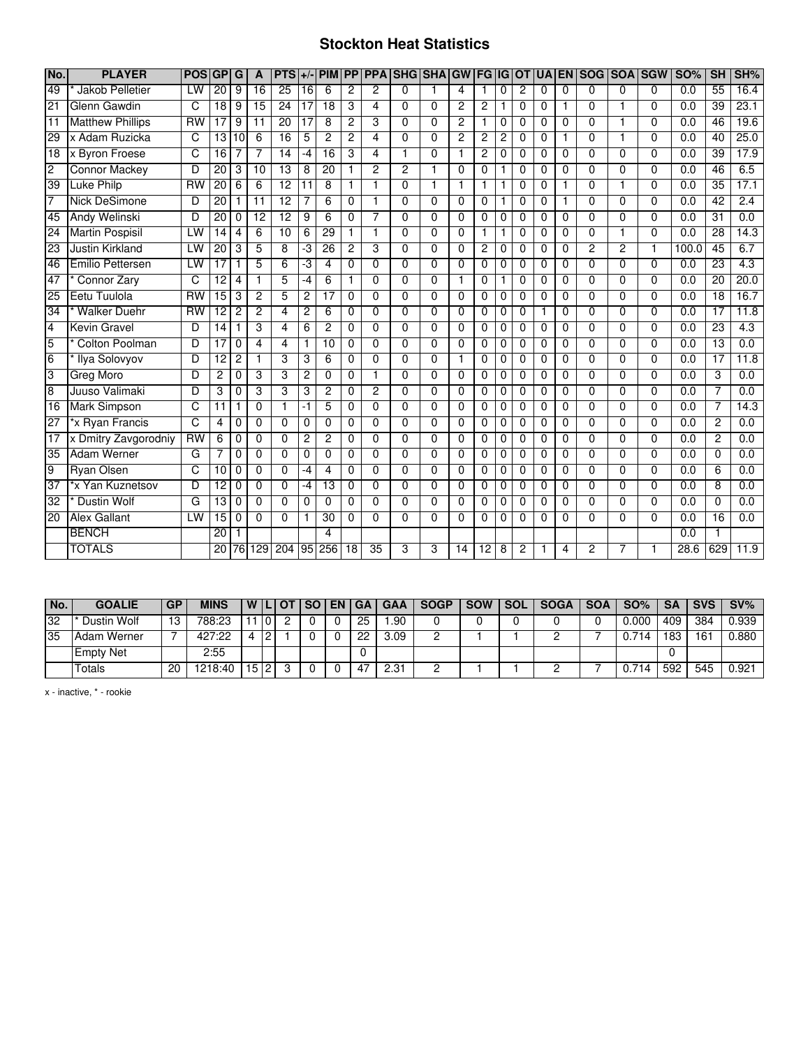#### **Stockton Heat Statistics**

| No.            | <b>PLAYER</b>           | <b>POS</b> | GP              | G                       | A               | <b>PTS</b>      | $+/-$           |                         |          |                 | <b>PIM PP PPA SHG SHAGU</b> |                |                | <b>FG IG</b>   |          | IOT      |          |             | UA EN SOG SOA SGW |                |              | <b>SO%</b> | SH              | SH%              |
|----------------|-------------------------|------------|-----------------|-------------------------|-----------------|-----------------|-----------------|-------------------------|----------|-----------------|-----------------------------|----------------|----------------|----------------|----------|----------|----------|-------------|-------------------|----------------|--------------|------------|-----------------|------------------|
| 49             | Jakob Pelletier         | LW         | 20              | 9                       | 16              | 25              | 16              | 6                       | 2        | 2               | $\Omega$                    |                | 4              |                | 0        | 2        | 0        | 0           | $\Omega$          | $\Omega$       | $\Omega$     | 0.0        | 55              | 16.4             |
| 21             | Glenn Gawdin            | C          | $\overline{18}$ | 9                       | 15              | 24              | $\overline{17}$ | $\overline{18}$         | 3        | 4               | $\Omega$                    | $\Omega$       | $\overline{c}$ | $\overline{c}$ | 1        | 0        | 0        | 1.          | $\Omega$          | 1              | $\Omega$     | 0.0        | $\overline{39}$ | 23.1             |
| 11             | <b>Matthew Phillips</b> | <b>RW</b>  | $\overline{17}$ | 9                       | $\overline{11}$ | $\overline{20}$ | $\overline{17}$ | 8                       | 2        | 3               | $\Omega$                    | $\Omega$       | $\overline{c}$ | $\mathbf{1}$   | $\Omega$ | $\Omega$ | 0        | $\Omega$    | $\Omega$          | 1              | $\Omega$     | 0.0        | 46              | 19.6             |
| 29             | x Adam Ruzicka          | C          | 13              | 10                      | 6               | 16              | 5               | $\overline{c}$          | 2        | 4               | $\Omega$                    | $\Omega$       | 2              | 2              | 2        | 0        | 0        |             | $\Omega$          |                | $\Omega$     | 0.0        | 40              | 25.0             |
| 18             | x Byron Froese          | C          | $\overline{16}$ | 7                       | 7               | $\overline{14}$ | -4              | $\overline{16}$         | 3        | 4               | 1                           | $\Omega$       | 1              | 2              | 0        | 0        | 0        | 0           | 0                 | $\Omega$       | $\Omega$     | 0.0        | $\overline{39}$ | 17.9             |
| $\overline{2}$ | <b>Connor Mackey</b>    | D          | $\overline{20}$ | 3                       | $\overline{10}$ | 13              | 8               | 20                      | 1        | 2               | $\overline{2}$              | $\mathbf 1$    | $\Omega$       | $\Omega$       |          | 0        | 0        | $\Omega$    | $\Omega$          | $\Omega$       | $\Omega$     | 0.0        | 46              | 6.5              |
| 39             | <b>Luke Philp</b>       | RW         | $\overline{20}$ | 6                       | 6               | $\overline{12}$ | $\overline{11}$ | 8                       | 1        |                 | $\Omega$                    | 1              | 1              |                |          | 0        | 0        |             | $\Omega$          |                | $\Omega$     | 0.0        | 35              | 17.1             |
| 7              | <b>Nick DeSimone</b>    | D          | 20              | $\mathbf{1}$            | $\overline{11}$ | $\overline{12}$ | 7               | 6                       | $\Omega$ | 1               | $\Omega$                    | $\Omega$       | $\Omega$       | $\Omega$       | 1        | $\Omega$ | 0        | 1           | $\Omega$          | $\Omega$       | $\Omega$     | 0.0        | $\overline{42}$ | 2.4              |
| 45             | Andy Welinski           | D          | 20              | $\Omega$                | 12              | $\overline{12}$ | 9               | 6                       | $\Omega$ | 7               | $\Omega$                    | $\Omega$       | $\Omega$       | $\Omega$       | 0        | 0        | 0        | $\Omega$    | $\Omega$          | $\Omega$       | $\Omega$     | 0.0        | 31              | 0.0              |
| 24             | <b>Martin Pospisil</b>  | LW         | 14              | 4                       | 6               | 10              | 6               | 29                      | 1        | 1               | $\Omega$                    | $\Omega$       | $\Omega$       |                |          | 0        | 0        | 0           | $\Omega$          | 1              | $\Omega$     | 0.0        | $\overline{28}$ | 14.3             |
| 23             | <b>Justin Kirkland</b>  | LW         | $\overline{20}$ | 3                       | 5               | 8               | ٠J              | 26                      | 2        | 3               | $\Omega$                    | $\Omega$       | $\Omega$       | $\overline{2}$ | 0        | $\Omega$ | $\Omega$ | $\mathbf 0$ | $\overline{c}$    | $\overline{c}$ | $\mathbf{1}$ | 100.0      | 45              | 6.7              |
| 46             | Emilio Pettersen        | LW         | $\overline{17}$ | 1                       | 5               | 6               | ٠J              | 4                       | 0        | 0               | $\Omega$                    | $\Omega$       | $\Omega$       | $\Omega$       | 0        | 0        | 0        | 0           | $\Omega$          | 0              | $\Omega$     | 0.0        | $\overline{23}$ | $\overline{4.3}$ |
| 47             | Connor Zarv             | C          | $\overline{12}$ | $\overline{\mathbf{4}}$ | 1               | 5               | -4              | 6                       | 1        | $\Omega$        | $\Omega$                    | $\Omega$       | $\mathbf{1}$   | $\Omega$       | 1        | $\Omega$ | 0        | $\Omega$    | $\Omega$          | $\Omega$       | $\Omega$     | 0.0        | $\overline{20}$ | 20.0             |
| 25             | Eetu Tuulola            | RW         | 15              | 3                       | 2               | 5               | $\overline{2}$  | $\overline{17}$         | 0        | $\Omega$        | 0                           | $\Omega$       | $\Omega$       | $\Omega$       | 0        | 0        | 0        | $\Omega$    | $\Omega$          | 0              | $\Omega$     | 0.0        | $\overline{18}$ | 16.7             |
| 34             | <b>Walker Duehr</b>     | RW         | 12              | 2                       | 2               | 4               | 2               | 6                       | 0        | $\overline{0}$  | $\Omega$                    | $\Omega$       | $\Omega$       | 0              | 0        | 0        |          | 0           | $\Omega$          | 0              | $\Omega$     | 0.0        | $\overline{17}$ | 11.8             |
| $\overline{4}$ | <b>Kevin Gravel</b>     | D          | 14              | 1                       | 3               | 4               | 6               | $\overline{c}$          | $\Omega$ | $\Omega$        | $\Omega$                    | $\Omega$       | $\Omega$       | $\mathbf 0$    | 0        | $\Omega$ | $\Omega$ | 0           | $\Omega$          | $\Omega$       | $\Omega$     | 0.0        | $\overline{23}$ | $\overline{4.3}$ |
| 5              | <b>Colton Poolman</b>   | D          | $\overline{17}$ | 0                       | 4               | 4               | 1               | 10                      | $\Omega$ | $\Omega$        | $\Omega$                    | $\Omega$       | $\Omega$       | $\Omega$       | 0        | 0        | 0        | 0           | $\Omega$          | $\Omega$       | $\Omega$     | 0.0        | $\overline{13}$ | 0.0              |
| $\overline{6}$ | Ilya Solovyov           | D          | $\overline{12}$ | $\overline{2}$          | 1               | 3               | 3               | 6                       | 0        | $\Omega$        | $\Omega$                    | $\Omega$       | $\mathbf{1}$   | $\Omega$       | 0        | 0        | 0        | $\Omega$    | $\Omega$          | $\Omega$       | $\Omega$     | 0.0        | 17              | 11.8             |
| 3              | Greg Moro               | D          | 2               | $\Omega$                | 3               | 3               | 2               | $\Omega$                | $\Omega$ | 1               | $\Omega$                    | $\Omega$       | $\Omega$       | $\Omega$       | $\Omega$ | 0        | 0        | $\Omega$    | $\Omega$          | $\Omega$       | $\Omega$     | 0.0        | 3               | 0.0              |
| $\overline{8}$ | Juuso Valimaki          | D          | 3               | $\Omega$                | 3               | 3               | 3               | $\overline{c}$          | $\Omega$ | $\overline{2}$  | $\mathbf{0}$                | $\Omega$       | $\Omega$       | $\Omega$       | $\Omega$ | 0        | 0        | $\Omega$    | $\Omega$          | $\Omega$       | $\Omega$     | 0.0        | 7               | 0.0              |
| 16             | <b>Mark Simpson</b>     | C          | 11              | 1                       | 0               |                 | -1              | 5                       | $\Omega$ | $\Omega$        | $\Omega$                    | $\Omega$       | $\Omega$       | 0              | 0        | 0        | 0        | 0           | $\Omega$          | $\Omega$       | $\Omega$     | 0.0        | 7               | 14.3             |
| 27             | *x Ryan Francis         | C          | 4               | 0                       | 0               | 0               | $\mathbf 0$     | $\Omega$                | $\Omega$ | $\Omega$        | $\Omega$                    | $\Omega$       | $\Omega$       | 0              | 0        | 0        | 0        | 0           | 0                 | 0              | $\Omega$     | 0.0        | 2               | 0.0              |
| 17             | x Dmitry Zavgorodniy    | <b>RW</b>  | 6               | $\overline{0}$          | 0               | 0               | 2               | $\overline{2}$          | 0        | $\overline{0}$  | $\overline{0}$              | $\overline{0}$ | $\Omega$       | $\Omega$       | 0        | 0        | 0        | $\Omega$    | $\Omega$          | $\Omega$       | $\Omega$     | 0.0        | 2               | 0.0              |
| 35             | <b>Adam Werner</b>      | G          | 7               | $\Omega$                | $\Omega$        | 0               | $\mathbf 0$     | $\Omega$                | $\Omega$ | $\Omega$        | $\Omega$                    | $\Omega$       | $\Omega$       | $\Omega$       | 0        | 0        | 0        | $\Omega$    | $\Omega$          | 0              | $\Omega$     | 0.0        | $\Omega$        | 0.0              |
| 9              | <b>Ryan Olsen</b>       | C          | 10              | $\mathbf 0$             | 0               | $\Omega$        | -4              | 4                       | 0        | 0               | $\mathbf{0}$                | $\Omega$       | $\Omega$       | 0              | 0        | 0        | 0        | 0           | $\Omega$          | 0              | $\Omega$     | 0.0        | 6               | 0.0              |
| 37             | *x Yan Kuznetsov        | D          | 12              | 0                       | $\Omega$        | $\Omega$        | -4              | 13                      | $\Omega$ | $\Omega$        | $\Omega$                    | $\Omega$       | $\Omega$       | 0              | 0        | 0        | 0        | 0           | $\Omega$          | $\Omega$       | $\Omega$     | 0.0        | 8               | 0.0              |
| 32             | <b>Dustin Wolf</b>      | G          | 13              | 0                       | 0               | $\Omega$        | $\mathbf 0$     | 0                       | 0        | 0               | $\Omega$                    | $\Omega$       | $\Omega$       | 0              | 0        | 0        | 0        | 0           | 0                 | 0              | $\Omega$     | 0.0        | 0               | 0.0              |
| 20             | <b>Alex Gallant</b>     | LW         | $\overline{15}$ | $\mathbf 0$             | $\Omega$        | $\Omega$        | $\mathbf{1}$    | 30                      | $\Omega$ | $\Omega$        | $\Omega$                    | $\Omega$       | $\Omega$       | $\Omega$       | $\Omega$ | $\Omega$ | 0        | $\Omega$    | $\Omega$          | $\Omega$       | $\Omega$     | 0.0        | $\overline{16}$ | 0.0              |
|                | <b>BENCH</b>            |            | 20              | 1                       |                 |                 |                 | $\overline{\mathbf{A}}$ |          |                 |                             |                |                |                |          |          |          |             |                   |                |              | 0.0        |                 |                  |
|                | <b>TOTALS</b>           |            | $\overline{20}$ | 76                      | 129             | 204             | $\overline{95}$ | 256                     | 18       | $\overline{35}$ | 3                           | 3              | 14             | 12             | 8        | 2        |          | 4           | $\overline{c}$    | 7              |              | 28.6       | 629             | 11.9             |

| l No. | <b>GOALIE</b>    | GP | MINS    |      |   | <b>WILIOT</b> | <b>SO</b> | EN | l GA | <b>GAA</b> | <b>SOGP</b> | <b>SOW</b> | <b>SOL</b> | <b>SOGA</b> | <b>SOA</b> | SO%   | SA  | <b>SVS</b> | $SV\%$ |
|-------|------------------|----|---------|------|---|---------------|-----------|----|------|------------|-------------|------------|------------|-------------|------------|-------|-----|------------|--------|
| 32    | Dustin Wolf      | 13 | 788:23  |      | 0 |               |           |    | 25   | .90        |             |            |            |             |            | 0.000 | 409 | 384        | 0.939  |
| 35    | Adam Werner      |    | 427:22  | 4    | 0 |               |           |    | 22   | 3.09       | -           |            |            |             |            | 714 - | 183 | 161        | 0.880  |
|       | <b>Empty Net</b> |    | 2:55    |      |   |               |           |    |      |            |             |            |            |             |            |       |     |            |        |
|       | Totals           | 20 | 1218:40 | 15 2 |   |               |           |    | 47   | 2.31       | -           |            |            |             |            | '14   | 592 | 545        | 0.921  |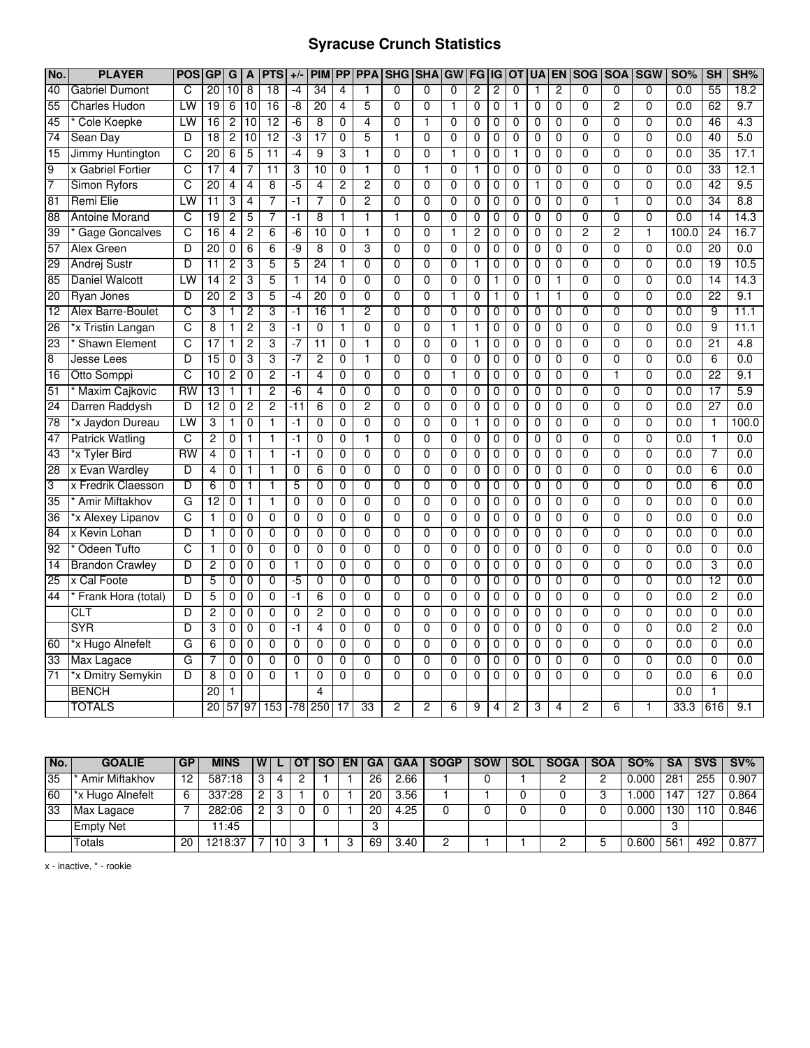## **Syracuse Crunch Statistics**

| No.             | <b>PLAYER</b>          | <b>POS</b>            | <b>GP</b>       | $\overline{G}$ | A              | <b>PTS</b>      | $+/-$          | <b>PIM</b>      | <b>PP</b>      | <b>PPA</b>     | <b>SHG</b>     | <b>SHA</b>     | GW             | FG             | IG             | <b>OT</b>      | UA             | <b>EN</b>      | <b>SOG</b>     | <b>SOA</b>     | <b>SGW</b>     | <b>SO%</b> | <b>SH</b>       | SH%   |
|-----------------|------------------------|-----------------------|-----------------|----------------|----------------|-----------------|----------------|-----------------|----------------|----------------|----------------|----------------|----------------|----------------|----------------|----------------|----------------|----------------|----------------|----------------|----------------|------------|-----------------|-------|
| 40              | <b>Gabriel Dumont</b>  | C                     | 20              | 10             | $\overline{8}$ | 18              | -4             | 34              | 4              | 1              | $\Omega$       | 0              | $\Omega$       | 2              | 2              | $\mathbf 0$    | 1              | 2              | $\Omega$       | $\mathbf{0}$   | $\Omega$       | 0.0        | 55              | 18.2  |
| 55              | <b>Charles Hudon</b>   | LW                    | 19              | $\overline{6}$ | 10             | $\overline{16}$ | -8             | 20              | $\overline{4}$ | 5              | $\overline{0}$ | $\overline{0}$ | $\mathbf{1}$   | 0              | 0              | 1              | 0              | $\overline{0}$ | $\overline{0}$ | $\overline{2}$ | $\overline{0}$ | 0.0        | 62              | 9.7   |
| 45              | <b>Cole Koepke</b>     | LW                    | 16              | $\overline{2}$ | 10             | 12              | $-6$           | $\overline{8}$  | 0              | 4              | 0              | 1              | $\overline{0}$ | 0              | 0              | 0              | 0              | 0              | $\overline{0}$ | 0              | 0              | 0.0        | 46              | 4.3   |
| 74              | Sean Day               | D                     | $\overline{18}$ | $\overline{2}$ | 10             | 12              | ٠3             | 17              | $\mathbf 0$    | 5              | 1              | $\mathbf 0$    | $\mathbf 0$    | $\mathbf 0$    | 0              | 0              | $\mathbf{0}$   | 0              | $\mathbf{0}$   | 0              | $\Omega$       | 0.0        | 40              | 5.0   |
| 15              | Jimmy Huntington       | C                     | 20              | $\overline{6}$ | 5              | $\overline{11}$ | -4             | 9               | 3              | 1              | $\overline{0}$ | $\overline{0}$ | 1              | $\overline{0}$ | $\overline{0}$ | 1              | $\overline{0}$ | $\overline{0}$ | $\overline{0}$ | $\overline{0}$ | $\overline{0}$ | 0.0        | 35              | 17.1  |
| 9               | x Gabriel Fortier      | C                     | $\overline{17}$ | 4              | 7              | $\overline{11}$ | 3              | 10              | $\overline{0}$ | 1              | $\overline{0}$ | 1              | $\overline{0}$ |                | 0              | 0              | $\overline{0}$ | $\overline{0}$ | $\overline{0}$ | $\overline{0}$ | $\overline{0}$ | 0.0        | 33              | 12.1  |
| 7               | <b>Simon Ryfors</b>    | C                     | 20              | 4              | 4              | 8               | -5             | 4               | 2              | 2              | 0              | 0              | $\overline{0}$ | 0              | 0              | 0              | 1              | 0              | $\overline{0}$ | 0              | $\overline{0}$ | 0.0        | 42              | 9.5   |
| 81              | <b>Remi Elie</b>       | LW                    | $\overline{11}$ | 3              | $\overline{4}$ | 7               | -1             | 7               | $\overline{0}$ | $\overline{c}$ | $\overline{0}$ | $\overline{0}$ | $\overline{0}$ | $\overline{0}$ | 0              | $\mathbf 0$    | $\overline{0}$ | $\overline{0}$ | $\overline{0}$ | $\mathbf{1}$   | $\overline{0}$ | 0.0        | $\overline{34}$ | 8.8   |
| 88              | <b>Antoine Morand</b>  | C                     | 19              | $\overline{2}$ | 5              | 7               | $-1$           | 8               | 1              | 1              | $\mathbf{1}$   | $\Omega$       | 0              | 0              | 0              | 0              | 0              | 0              | 0              | $\mathbf{0}$   | $\mathbf{0}$   | 0.0        | 14              | 14.3  |
| 39              | <b>Gage Goncalves</b>  | С                     | 16              | 4              | $\overline{c}$ | 6               | $-6$           | 10              | 0              | 1              | 0              | $\mathbf 0$    | 1              | $\overline{c}$ | 0              | 0              | $\mathbf 0$    | 0              | $\overline{2}$ | $\overline{c}$ | 1              | 100.0      | 24              | 16.7  |
| 57              | <b>Alex Green</b>      | D                     | $\overline{20}$ | $\mathbf 0$    | $\overline{6}$ | $\overline{6}$  | $-9$           | $\overline{8}$  | $\overline{0}$ | 3              | $\overline{0}$ | $\overline{0}$ | $\overline{0}$ | $\overline{0}$ | 0              | $\mathbf 0$    | $\mathbf 0$    | $\overline{0}$ | $\overline{0}$ | $\overline{0}$ | $\overline{0}$ | 0.0        | 20              | 0.0   |
| 29              | <b>Andrej Sustr</b>    | D                     | 11              | 2              | 3              | 5               | 5              | 24              | $\mathbf{1}$   | $\Omega$       | $\mathbf{0}$   | $\Omega$       | $\mathbf{0}$   | 1              | 0              | 0              | $\Omega$       | $\mathbf 0$    | $\overline{0}$ | $\mathbf{0}$   | $\overline{0}$ | 0.0        | 19              | 10.5  |
| 85              | <b>Daniel Walcott</b>  | LW                    | 14              | 2              | 3              | 5               | $\mathbf{1}$   | 14              | $\mathbf 0$    | $\mathbf 0$    | 0              | $\mathbf 0$    | $\overline{0}$ | $\mathbf 0$    | 1              | $\mathbf 0$    | $\mathbf{0}$   | $\mathbf{1}$   | $\overline{0}$ | $\mathbf 0$    | $\overline{0}$ | 0.0        | 14              | 14.3  |
| 20              | <b>Ryan Jones</b>      | D                     | 20              | 2              | 3              | 5               | -4             | 20              | $\overline{0}$ | $\overline{0}$ | $\overline{0}$ | $\overline{0}$ | ī              | $\overline{0}$ | 1              | $\overline{0}$ | 1              | 1              | $\overline{0}$ | $\overline{0}$ | $\overline{0}$ | 0.0        | $\overline{22}$ | 9.1   |
| $\overline{12}$ | Alex Barre-Boulet      | c                     | 3               | 1              | $\overline{2}$ | 3               | -1             | 16              | 1              | 2              | $\overline{0}$ | $\Omega$       | $\overline{0}$ | 0              | 0              | 0              | $\mathbf 0$    | 0              | $\overline{0}$ | $\overline{0}$ | $\overline{0}$ | 0.0        | 9               | 11.1  |
| 26              | *x Tristin Langan      | С                     | 8               | 1              | 2              | 3               | -1             | 0               | 1              | 0              | 0              | 0              | 1              | $\mathbf{1}$   | 0              | 0              | $\mathbf 0$    | 0              | 0              | 0              | 0              | 0.0        | 9               | 11.1  |
| 23              | <b>Shawn Element</b>   | C                     | 17              | 1              | $\overline{2}$ | 3               | -7             | $\overline{11}$ | $\overline{0}$ | 1              | $\overline{0}$ | $\overline{0}$ | $\overline{0}$ | $\mathbf{1}$   | 0              | $\overline{0}$ | $\mathbf{0}$   | $\overline{0}$ | $\overline{0}$ | $\overline{0}$ | $\overline{0}$ | 0.0        | $\overline{21}$ | 4.8   |
| $\overline{8}$  | Jesse Lees             | D                     | 15              | 0              | 3              | 3               | $-7$           | $\overline{2}$  | 0              | 1              | $\mathbf{0}$   | $\Omega$       | $\mathbf 0$    | 0              | 0              | 0              | $\Omega$       | 0              | $\mathbf 0$    | $\Omega$       | $\Omega$       | 0.0        | 6               | 0.0   |
| 16              | Otto Somppi            | $\overline{\text{c}}$ | 10              | 2              | 0              | $\overline{c}$  | -1             | $\overline{4}$  | 0              | 0              | 0              | 0              | 1              | 0              | 0              | 0              | $\mathbf 0$    | 0              | 0              | 1              | 0              | 0.0        | 22              | 9.1   |
| 51              | Maxim Cajkovic         | $\overline{RW}$       | $\overline{13}$ | $\mathbf{1}$   | $\mathbf{1}$   | $\overline{2}$  | $-6$           | $\overline{4}$  | $\mathbf 0$    | $\overline{0}$ | 0              | $\mathbf 0$    | $\overline{0}$ | 0              | 0              | 0              | 0              | $\overline{0}$ | $\overline{0}$ | $\overline{0}$ | $\overline{0}$ | 0.0        | 17              | 5.9   |
| 24              | Darren Raddysh         | D                     | 12              | 0              | 2              | $\overline{c}$  | -11            | 6               | 0              | 2              | $\Omega$       | $\Omega$       | $\mathbf 0$    | 0              | 0              | 0              | $\mathbf 0$    | 0              | $\mathbf{0}$   | $\Omega$       | $\Omega$       | 0.0        | 27              | 0.0   |
| 78              | *x Jaydon Dureau       | LW                    | 3               | 1              | 0              | 1               | -1             | 0               | 0              | 0              | 0              | 0              | 0              | 1              | 0              | 0              | 0              | 0              | $\overline{0}$ | 0              | $\overline{0}$ | 0.0        | 1               | 100.0 |
| 47              | <b>Patrick Watling</b> | C                     | $\overline{2}$  | 0              | 1              | 1               | -1             | $\overline{0}$  | $\overline{0}$ | 1              | $\overline{0}$ | $\overline{0}$ | $\overline{0}$ | $\overline{0}$ | $\overline{0}$ | $\overline{0}$ | $\overline{0}$ | $\overline{0}$ | $\overline{0}$ | $\overline{0}$ | $\overline{0}$ | 0.0        | 1               | 0.0   |
| 43              | *x Tyler Bird          | RW                    | 4               | 0              | 1              | 1               | -1             | $\overline{0}$  | 0              | $\overline{0}$ | $\overline{0}$ | $\overline{0}$ | $\overline{0}$ | 0              | 0              | $\mathbf 0$    | $\mathbf 0$    | 0              | $\overline{0}$ | $\overline{0}$ | $\overline{0}$ | 0.0        | 7               | 0.0   |
| 28              | x Evan Wardley         | D                     | $\overline{4}$  | 0              | 1              | 1               | $\overline{0}$ | $\overline{6}$  | 0              | $\overline{0}$ | 0              | $\overline{0}$ | $\overline{0}$ | 0              | 0              | 0              | $\mathbf 0$    | 0              | $\overline{0}$ | $\overline{0}$ | $\overline{0}$ | 0.0        | $\overline{6}$  | 0.0   |
| 3               | x Fredrik Claesson     | D                     | 6               | 0              | 1              | 1               | 5              | 0               | $\overline{0}$ | $\overline{0}$ | $\overline{0}$ | $\overline{0}$ | $\overline{0}$ | 0              | $\mathbf 0$    | $\mathbf 0$    | 0              | $\overline{0}$ | $\overline{0}$ | $\overline{0}$ | $\overline{0}$ | 0.0        | $\overline{6}$  | 0.0   |
| $\overline{35}$ | <b>Amir Miftakhov</b>  | G                     | 12              | $\mathbf 0$    | 1              | 1               | $\mathbf 0$    | $\mathbf 0$     | $\mathbf 0$    | $\mathbf 0$    | 0              | 0              | $\mathbf 0$    | 0              | 0              | 0              | $\mathbf{0}$   | $\mathbf 0$    | $\overline{0}$ | $\mathbf{0}$   | $\Omega$       | 0.0        | $\mathbf 0$     | 0.0   |
| 36              | *x Alexey Lipanov      | C                     | 1               | 0              | 0              | $\mathbf 0$     | 0              | 0               | 0              | 0              | 0              | 0              | 0              | 0              | 0              | 0              | $\mathbf 0$    | 0              | $\overline{0}$ | 0              | $\overline{0}$ | 0.0        | $\overline{0}$  | 0.0   |
| $\overline{84}$ | x Kevin Lohan          | D                     | $\mathbf{1}$    | 0              | $\mathbf 0$    | $\mathbf 0$     | $\mathbf 0$    | 0               | $\mathbf 0$    | $\overline{0}$ | $\overline{0}$ | $\mathbf 0$    | $\overline{0}$ | $\mathbf 0$    | $\mathbf 0$    | 0              | 0              | $\mathbf 0$    | $\overline{0}$ | $\overline{0}$ | $\overline{0}$ | 0.0        | $\overline{0}$  | 0.0   |
| 92              | Odeen Tufto            | C                     | 1               | $\mathbf 0$    | 0              | $\mathbf{0}$    | $\mathbf 0$    | $\mathbf 0$     | $\mathbf 0$    | $\Omega$       | 0              | $\Omega$       | $\overline{0}$ | 0              | 0              | 0              | $\mathbf{0}$   | $\mathbf 0$    | $\overline{0}$ | $\mathbf{0}$   | $\mathbf{0}$   | 0.0        | $\overline{0}$  | 0.0   |
| $\overline{14}$ | <b>Brandon Crawley</b> | D                     | $\overline{2}$  | $\overline{0}$ | $\overline{0}$ | $\overline{0}$  | $\overline{1}$ | $\overline{0}$  | $\overline{0}$ | $\overline{0}$ | $\overline{0}$ | $\overline{0}$ | $\overline{0}$ | $\overline{0}$ | 0              | 0              | $\overline{0}$ | $\overline{0}$ | $\overline{0}$ | $\overline{0}$ | $\overline{0}$ | 0.0        | 3               | 0.0   |
| $\overline{25}$ | x Cal Foote            | D                     | 5               | 0              | 0              | $\overline{0}$  | $-5$           | $\overline{0}$  | 0              | $\overline{0}$ | $\overline{0}$ | $\overline{0}$ | $\overline{0}$ | 0              | 0              | 0              | $\overline{0}$ | $\overline{0}$ | $\overline{0}$ | $\overline{0}$ | $\overline{0}$ | 0.0        | 12              | 0.0   |
| 44              | Frank Hora (total)     | D                     | 5               | 0              | 0              | $\mathbf 0$     | -1             | 6               | 0              | 0              | 0              | $\mathbf 0$    | $\mathbf 0$    | 0              | 0              | 0              | $\mathbf 0$    | 0              | $\mathbf{0}$   | $\mathbf 0$    | 0              | 0.0        | $\overline{2}$  | 0.0   |
|                 | <b>CLT</b>             | D                     | $\overline{2}$  | 0              | $\mathbf 0$    | $\overline{0}$  | $\mathbf 0$    | $\overline{2}$  | $\overline{0}$ | $\overline{0}$ | $\overline{0}$ | $\overline{0}$ | $\overline{0}$ | $\overline{0}$ | 0              | $\mathbf 0$    | $\mathbf{0}$   | $\overline{0}$ | $\overline{0}$ | $\overline{0}$ | $\overline{0}$ | 0.0        | $\overline{0}$  | 0.0   |
|                 | <b>SYR</b>             | D                     | 3               | 0              | 0              | $\mathbf 0$     | $-1$           | $\overline{4}$  | $\mathbf 0$    | $\mathbf 0$    | 0              | $\mathbf 0$    | $\mathbf 0$    | 0              | 0              | 0              | 0              | $\mathbf 0$    | $\overline{0}$ | $\mathbf 0$    | $\overline{0}$ | 0.0        | $\overline{c}$  | 0.0   |
| 60              | *x Hugo Alnefelt       | G                     | 6               | 0              | $\mathbf 0$    | $\mathbf 0$     | $\mathbf 0$    | $\mathbf 0$     | $\mathbf 0$    | $\mathbf 0$    | 0              | $\mathbf 0$    | $\mathbf 0$    | $\mathbf 0$    | 0              | 0              | $\mathbf{0}$   | $\mathbf 0$    | $\overline{0}$ | $\mathbf 0$    | $\overline{0}$ | 0.0        | $\overline{0}$  | 0.0   |
| 33              | Max Lagace             | G                     | 7               | $\mathbf 0$    | $\overline{0}$ | $\overline{0}$  | $\overline{0}$ | $\overline{0}$  | $\mathbf 0$    | $\overline{0}$ | $\overline{0}$ | $\overline{0}$ | $\overline{0}$ | $\overline{0}$ | 0              | 0              | $\overline{0}$ | $\overline{0}$ | $\overline{0}$ | $\overline{0}$ | $\overline{0}$ | 0.0        | $\overline{0}$  | 0.0   |
| $\overline{71}$ | *x Dmitry Semykin      | D                     | 8               | 0              | 0              | $\mathbf 0$     | $\mathbf{1}$   | 0               | $\mathbf 0$    | $\mathbf 0$    | 0              | $\mathbf 0$    | $\mathbf 0$    | 0              | 0              | 0              | 0              | 0              | 0              | $\mathbf 0$    | 0              | 0.0        | 6               | 0.0   |
|                 | <b>BENCH</b>           |                       | 20              | 1              |                |                 |                | 4               |                |                |                |                |                |                |                |                |                |                |                |                |                | 0.0        |                 |       |
|                 | <b>TOTALS</b>          |                       | 20              |                | 57 97          | 153             |                | $-78$ 250       | 17             | 33             | 2              | 2              | 6              | 9              | 4              | 2              | 3              | 4              | 2              | 6              |                | 33.3       | 616             | 9.1   |

| No.             | <b>GOALIE</b>    | <b>GP</b>         | <b>MINS</b> | W |   | <b>SOLENIGA</b> |    | <b>GAA</b> I      | <b>SOGP</b> | SOW SOL | <b>SOGA</b> | <b>SOA</b> | $SO\%$ | <b>SA</b> | <b>SVS</b> | $\blacksquare$ SV% |
|-----------------|------------------|-------------------|-------------|---|---|-----------------|----|-------------------|-------------|---------|-------------|------------|--------|-----------|------------|--------------------|
| 35              | Amir Miftakhov   | $12 \overline{ }$ | 587:18      | 3 | 4 |                 | 26 | 2.66              |             |         |             |            | 0.000  | 281       | 255        | 0.907              |
| 60              | *x Hugo Alnefelt | - 6               | 337:28      | 2 |   |                 | 20 | 3.56              |             |         |             |            | .000   | 147       | 127        | 0.864              |
| $\overline{33}$ | Max Lagace       |                   | 282:06      |   |   |                 | 20 | $\overline{4.25}$ |             |         |             |            | 0.000  | 130       |            | 0.846              |
|                 | <b>Empty Net</b> |                   | 1:45        |   |   |                 |    |                   |             |         |             |            |        |           |            |                    |
|                 | Totals           | 20                | 1218:37     |   |   |                 | 69 | 3.40              |             |         |             |            | 0.600  | 56'       | 492        | 0.877              |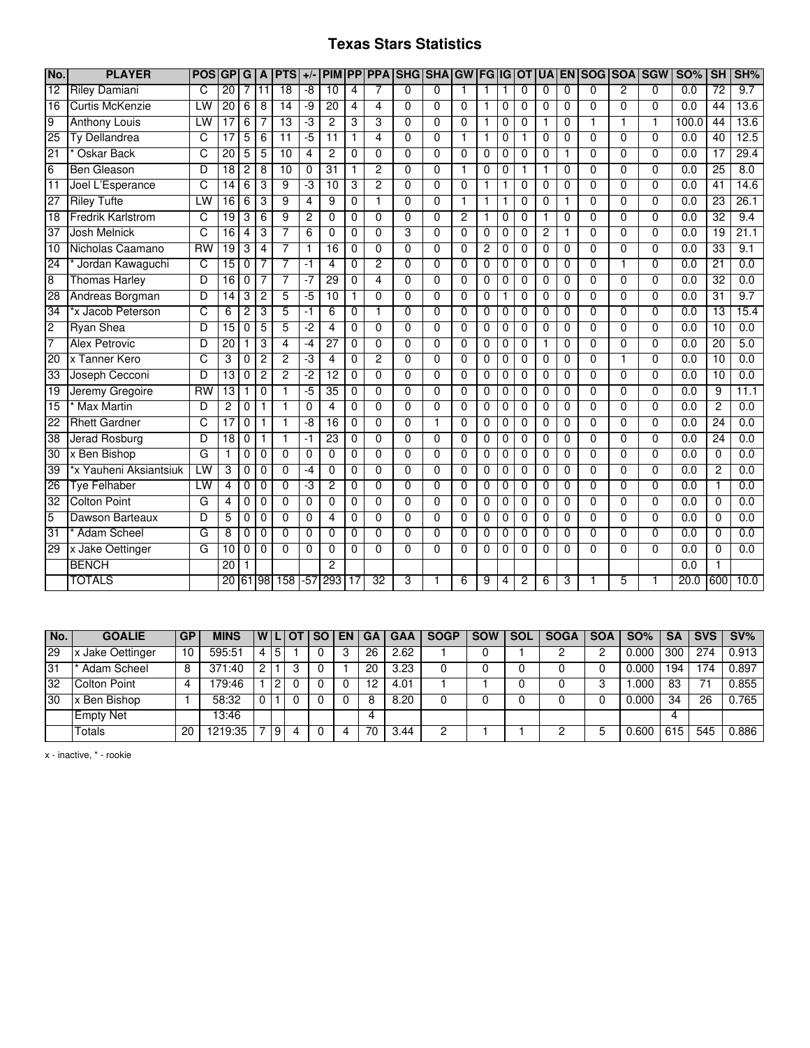### **Texas Stars Statistics**

| No.             | <b>PLAYER</b>            | <b>POS</b>      | <b>GP</b>       | G               | A              | <b>PTS</b>      | $+/-$          | <b>PIM</b>      | <b>PP</b>               | <b>PPA</b>              | SHG SHA GW FG IG OT |                |                |                |              |                | <b>UA</b>      | <b>EN</b>      | <b>ISOG</b>    | <b>SOA</b>     | <b>SGW</b>     | <b>SO%</b>       | <b>SH</b>       | SH%              |
|-----------------|--------------------------|-----------------|-----------------|-----------------|----------------|-----------------|----------------|-----------------|-------------------------|-------------------------|---------------------|----------------|----------------|----------------|--------------|----------------|----------------|----------------|----------------|----------------|----------------|------------------|-----------------|------------------|
| 12              | <b>Riley Damiani</b>     | C               | 20              | $\overline{7}$  | 11             | 18              | $-8$           | 10              | $\overline{\mathbf{4}}$ | 7                       | $\Omega$            | $\overline{0}$ | $\mathbf{1}$   | 1              | 1            | $\Omega$       | $\Omega$       | $\Omega$       | $\overline{0}$ | $\overline{2}$ | $\Omega$       | 0.0              | $\overline{72}$ | 9.7              |
| $\overline{16}$ | <b>Curtis McKenzie</b>   | LW              | 20              | 6               | 8              | $\overline{14}$ | -9             | $\overline{20}$ | $\overline{4}$          | $\overline{\mathbf{A}}$ | $\mathbf{0}$        | $\Omega$       | $\Omega$       | 1              | $\mathbf 0$  | $\Omega$       | $\mathbf{0}$   | $\Omega$       | $\Omega$       | 0              | $\mathbf{0}$   | 0.0              | 44              | 13.6             |
| 9               | <b>Anthony Louis</b>     | LW              | 17              | $6\overline{6}$ | 7              | 13              | -3             | $\overline{2}$  | 3                       | 3                       | $\Omega$            | $\Omega$       | $\theta$       | 1              | 0            | $\Omega$       | 1              | $\mathbf 0$    | 1              | 1              | 1              | 100.0            | 44              | 13.6             |
| 25              | Ty Dellandrea            | C               | $\overline{17}$ | 5               | 6              | 11              | -5             | 11              | 1                       | 4                       | 0                   | 0              | 1              |                | 0            |                | 0              | 0              | $\Omega$       | 0              | $\Omega$       | 0.0              | 40              | 12.5             |
| 21              | Oskar Back               | C               | 20              | 5               | 5              | 10              | $\overline{4}$ | $\overline{2}$  | $\Omega$                | $\overline{0}$          | $\overline{0}$      | $\overline{0}$ | $\overline{0}$ | 0              | $\Omega$     | $\Omega$       | $\Omega$       | 1              | $\overline{0}$ | $\overline{0}$ | $\overline{0}$ | 0.0              | 17              | 29.4             |
| 6               | Ben Gleason              | D               | $\overline{18}$ | $\overline{2}$  | 8              | 10              | 0              | 31              | 1                       | $\overline{2}$          | $\Omega$            | $\Omega$       | 1              | 0              | 0            | 1              | 1              | $\Omega$       | $\Omega$       | $\overline{0}$ | $\Omega$       | 0.0              | 25              | 8.0              |
| 11              | Joel L'Esperance         | C               | 14              | 6               | 3              | 9               | -3             | 10              | 3                       | $\overline{2}$          | $\Omega$            | $\Omega$       | $\Omega$       |                | 1            | $\Omega$       | $\mathbf 0$    | $\Omega$       | $\Omega$       | $\overline{0}$ | $\Omega$       | 0.0              | 41              | 14.6             |
| 27              | <b>Riley Tufte</b>       | LW              | $\overline{16}$ | 6               | 3              | 9               | 4              | 9               | 0                       | 1                       | $\Omega$            | $\Omega$       | 1              |                | 1            | 0              | 0              | 1              | $\Omega$       | 0              | 0              | 0.0              | $\overline{23}$ | 26.1             |
| 18              | <b>Fredrik Karlstrom</b> | $\overline{C}$  | 19              | $\overline{3}$  | 6              | $\overline{9}$  | $\overline{c}$ | 0               | $\Omega$                | $\Omega$                | $\Omega$            | $\Omega$       | $\overline{c}$ | $\mathbf{1}$   | 0            | $\Omega$       | 1              | 0              | $\Omega$       | $\Omega$       | $\Omega$       | 0.0              | 32              | 9.4              |
| $\overline{37}$ | <b>Josh Melnick</b>      | C               | $\overline{16}$ | 4               | 3              | 7               | 6              | $\Omega$        | 0                       | $\mathbf{0}$            | 3                   | $\Omega$       | $\mathbf 0$    | 0              | 0            | $\Omega$       | 2              | 1              | $\Omega$       | 0              | $\Omega$       | 0.0              | 19              | 21.1             |
| $\overline{10}$ | Nicholas Caamano         | $\overline{RW}$ | 19              | 3               | 4              | 7               | 1              | 16              | 0                       | 0                       | $\Omega$            | $\Omega$       | $\Omega$       | $\overline{c}$ | 0            | $\Omega$       | 0              | 0              | $\Omega$       | 0              | $\Omega$       | 0.0              | $\overline{33}$ | 9.1              |
| 24              | Jordan Kawaguchi         | c               | 15              | 0               | 7              | 7               | $-1$           | 4               | 0                       | $\overline{c}$          | $\Omega$            | $\Omega$       | $\Omega$       | 0              | 0            | $\Omega$       | 0              | 0              | 0              | 1              | $\Omega$       | $\overline{0.0}$ | $\overline{21}$ | 0.0              |
| 8               | <b>Thomas Harley</b>     | D               | $\overline{16}$ | 0               | 7              | 7               | $-7$           | 29              | $\overline{0}$          | $\overline{\mathbf{4}}$ | $\Omega$            | $\Omega$       | $\theta$       | 0              | $\Omega$     | $\Omega$       | $\Omega$       | $\Omega$       | $\Omega$       | 0              | $\Omega$       | 0.0              | $\overline{32}$ | $\overline{0.0}$ |
| 28              | Andreas Borgman          | D               | $\overline{14}$ | 3               | $\overline{c}$ | 5               | -5             | 10              | 1                       | $\overline{0}$          | $\Omega$            | $\Omega$       | $\overline{0}$ | 0              |              | $\Omega$       | $\mathbf 0$    | $\Omega$       | $\overline{0}$ | $\overline{0}$ | $\overline{0}$ | 0.0              | 31              | 9.7              |
| 34              | *x Jacob Peterson        | C               | 6               | 2               | 3              | 5               | -1             | 6               | 0                       |                         | $\Omega$            | $\Omega$       | $\Omega$       | 0              | $\Omega$     | $\Omega$       | 0              | $\Omega$       | 0              | 0              | 0              | 0.0              | $\overline{13}$ | 15.4             |
| $\overline{2}$  | <b>Ryan Shea</b>         | D               | $\overline{15}$ | 0               | 5              | 5               | $-2$           | 4               | $\Omega$                | $\Omega$                | $\Omega$            | $\Omega$       | $\Omega$       | 0              | 0            | $\Omega$       | 0              | $\Omega$       | $\Omega$       | 0              | $\Omega$       | 0.0              | 10              | 0.0              |
| 7               | <b>Alex Petrovic</b>     | D               | $\overline{20}$ | $\mathbf{1}$    | 3              | $\overline{4}$  | $-4$           | $\overline{27}$ | $\mathbf{0}$            | $\Omega$                | $\Omega$            | $\Omega$       | $\theta$       | 0              | $\mathbf{0}$ | $\Omega$       | 1              | $\Omega$       | $\Omega$       | 0              | $\Omega$       | 0.0              | 20              | 5.0              |
| 20              | x Tanner Kero            | C               | 3               | 0               | $\overline{c}$ | $\overline{2}$  | ٠J             | 4               | $\mathbf 0$             | $\overline{2}$          | $\Omega$            | $\mathbf{0}$   | $\theta$       | 0              | 0            | $\mathbf{0}$   | 0              | $\mathbf 0$    | 0              | 1              | $\mathbf{0}$   | $\overline{0.0}$ | 10              | 0.0              |
| $\overline{33}$ | Joseph Cecconi           | D               | $\overline{13}$ | 0               | $\overline{c}$ | 2               | -2             | 12              | $\Omega$                | $\Omega$                | $\Omega$            | $\Omega$       | $\Omega$       | 0              | $\Omega$     | $\Omega$       | 0              | $\Omega$       | $\Omega$       | 0              | 0              | 0.0              | 10              | $\overline{0.0}$ |
| $\overline{19}$ | Jeremy Gregoire          | $\overline{RW}$ | $\overline{13}$ | 1               | $\mathbf 0$    | 1               | -5             | $\overline{35}$ | $\mathbf{0}$            | 0                       | $\Omega$            | $\Omega$       | $\theta$       | 0              | $\Omega$     | $\Omega$       | 0              | $\Omega$       | $\Omega$       | 0              | $\Omega$       | 0.0              | 9               | 11.1             |
| 15              | <b>Max Martin</b>        | D               | $\overline{2}$  | $\overline{0}$  | $\mathbf{1}$   | 1               | $\mathbf 0$    | 4               | $\Omega$                | $\mathbf{0}$            | $\Omega$            | $\Omega$       | $\mathbf 0$    | 0              | 0            | $\Omega$       | $\mathbf{0}$   | $\Omega$       | $\Omega$       | $\overline{0}$ | $\Omega$       | $\overline{0.0}$ | $\overline{2}$  | 0.0              |
| 22              | <b>Rhett Gardner</b>     | C               | 17              | $\overline{0}$  |                | 1               | -8             | 16              | $\overline{0}$          | $\overline{0}$          | $\overline{0}$      | $\mathbf 1$    | $\overline{0}$ | $\overline{0}$ | 0            | $\overline{0}$ | $\mathbf 0$    | $\overline{0}$ | $\overline{0}$ | $\overline{0}$ | $\overline{0}$ | 0.0              | 24              | 0.0              |
| 38              | <b>Jerad Rosburg</b>     | D               | $\overline{18}$ | $\Omega$        | 1              | 1               | -1             | 23              | $\Omega$                | $\Omega$                | $\Omega$            | $\Omega$       | $\Omega$       | 0              | $\Omega$     | $\Omega$       | $\Omega$       | $\Omega$       | $\Omega$       | 0              | 0              | 0.0              | 24              | 0.0              |
| 30              | x Ben Bishop             | G               | $\mathbf{1}$    | $\overline{0}$  | $\Omega$       | $\overline{0}$  | $\mathbf 0$    | $\Omega$        | $\Omega$                | $\overline{0}$          | $\Omega$            | $\Omega$       | $\theta$       | 0              | $\Omega$     | $\Omega$       | 0              | $\Omega$       | $\Omega$       | $\overline{0}$ | $\Omega$       | 0.0              | 0               | 0.0              |
| 39              | *x Yauheni Aksiantsiuk   | LW              | 3               | $\overline{0}$  | $\mathbf 0$    | $\overline{0}$  | -4             | 0               | $\mathbf{0}$            | $\mathbf{0}$            | $\Omega$            | $\Omega$       | $\mathbf 0$    | 0              | $\mathbf 0$  | $\Omega$       | $\mathbf 0$    | $\Omega$       | $\Omega$       | $\overline{0}$ | $\Omega$       | 0.0              | $\overline{2}$  | 0.0              |
| 26              | <b>Tye Felhaber</b>      | LW              | $\overline{4}$  | 0               | $\mathbf 0$    | $\Omega$        | ٠J             | 2               | 0                       | $\Omega$                | $\Omega$            | $\Omega$       | $\Omega$       | 0              | $\Omega$     | $\Omega$       | 0              | $\Omega$       | $\Omega$       | $\overline{0}$ | $\Omega$       | 0.0              | 1               | 0.0              |
| 32              | <b>Colton Point</b>      | G               | 4               | 0               | $\mathbf 0$    | $\mathbf 0$     | 0              | 0               | $\mathbf 0$             | $\mathbf 0$             | $\Omega$            | $\Omega$       | $\Omega$       | 0              | 0            | $\mathbf 0$    | 0              | $\mathbf 0$    | $\Omega$       | 0              | $\Omega$       | 0.0              | 0               | 0.0              |
| $\overline{5}$  | Dawson Barteaux          | D               | 5               | $\overline{0}$  | $\mathbf 0$    | $\overline{0}$  | $\mathbf 0$    | $\overline{4}$  | $\Omega$                | $\overline{0}$          | $\overline{0}$      | $\Omega$       | $\Omega$       | $\overline{0}$ | $\mathbf 0$  | $\Omega$       | $\overline{0}$ | $\Omega$       | $\overline{0}$ | $\overline{0}$ | $\overline{0}$ | 0.0              | 0               | 0.0              |
| 31              | <b>Adam Scheel</b>       | G               | 8               | 0               | $\mathbf 0$    | $\mathbf 0$     | $\mathbf 0$    | 0               | 0                       | $\Omega$                | $\Omega$            | $\Omega$       | $\mathbf 0$    | 0              | 0            | $\mathbf 0$    | $\mathbf 0$    | 0              | $\Omega$       | 0              | $\Omega$       | 0.0              | 0               | 0.0              |
| 29              | x Jake Oettinger         | G               | 10              | $\overline{0}$  | $\Omega$       | $\overline{0}$  | 0              | 0               | $\overline{0}$          | $\overline{0}$          | $\overline{0}$      | $\overline{0}$ | $\Omega$       | 0              | $\Omega$     | $\Omega$       | $\Omega$       | $\Omega$       | $\overline{0}$ | $\overline{0}$ | $\Omega$       | 0.0              | $\Omega$        | 0.0              |
|                 | <b>BENCH</b>             |                 | $\overline{20}$ |                 |                |                 |                | 2               |                         |                         |                     |                |                |                |              |                |                |                |                |                |                | 0.0              |                 |                  |
|                 | <b>TOTALS</b>            |                 | 20              |                 |                | 61 98 158       | $-57$          | 293             | 17                      | 32                      | 3                   |                | 6              | 9              | 4            | 2              | 6              | 3              |                | 5              |                | 20.0             | 600             | 10.0             |

| No. | <b>GOALIE</b>    | <b>GP</b> | <b>MINS</b> |   | WILIOT SO EN | <b>GA</b> | <b>GAA</b> | <b>SOGP</b> | <b>SOW</b> | <b>SOL</b> | <b>SOGA</b> | <b>SOA</b> | SO%   | SΑ  | <b>SVS</b> | $SV\%$ |
|-----|------------------|-----------|-------------|---|--------------|-----------|------------|-------------|------------|------------|-------------|------------|-------|-----|------------|--------|
| 29  | x Jake Oettinger | 10        | 595:51      | 5 |              | 26        | 2.62       |             |            |            |             |            | 0.000 | 300 | 274        | 0.913  |
| 31  | Adam Scheel      | 8         | 371:40      |   |              | 20        | 3.23       |             |            |            |             |            | 0.000 | 194 | 174        | 0.897  |
| 32  | Colton Point     |           | 79:46       | 2 |              | 12        | 4.01       |             |            |            |             |            | .000  | 83  |            | 0.855  |
| 30  | x Ben Bishop     |           | 58:32       |   |              |           | 8.20       |             |            |            |             |            | 0.000 | 34  | 26         | 0.765  |
|     | <b>Empty Net</b> |           | 13:46       |   |              | ≖         |            |             |            |            |             |            |       |     |            |        |
|     | Totals           | 20        | 1219:35     | 9 |              | 70        | ۔ 44.ر     |             |            |            |             |            | 0.600 | 615 | 545        | 0.886  |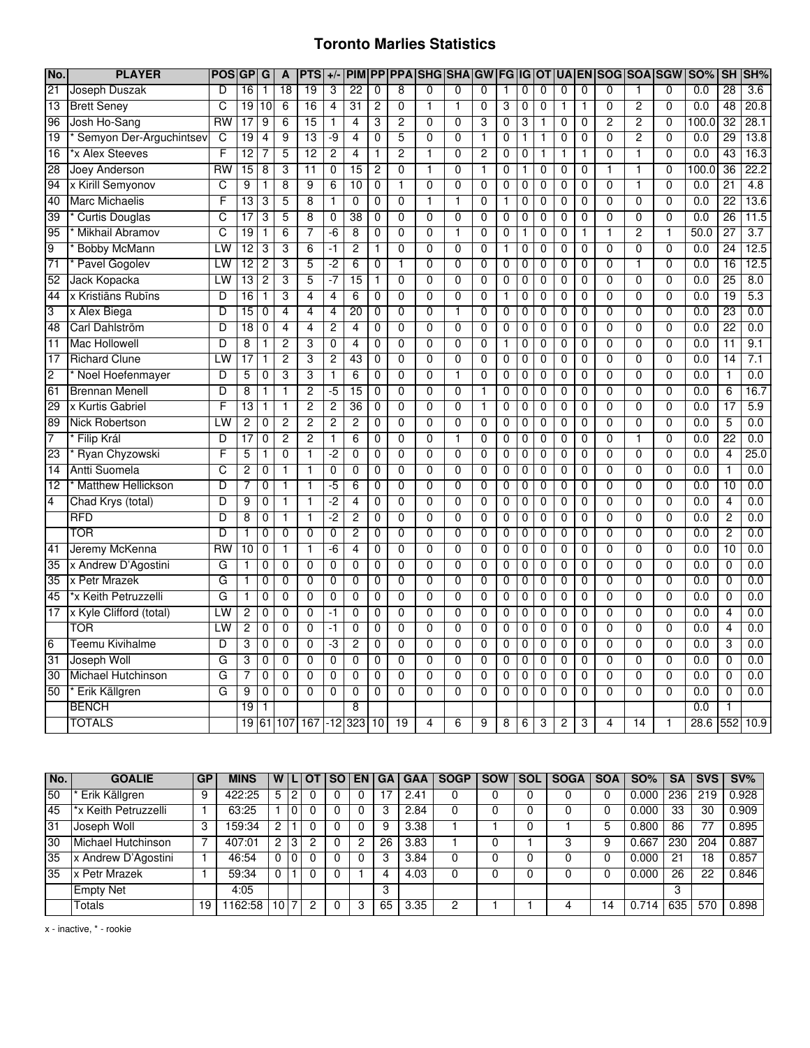## **Toronto Marlies Statistics**

| No.             | <b>PLAYER</b>             | <b>POSI</b> | GP              | G              | A              | <b>PTS</b>      | $+/-$          | <b>PIM</b>      |                |                | <b>PP PPA SHG SHA</b> |                | GW             | <b>FG IG</b>   |                | <b>OT</b>      |                | <b>UA EN</b>   | SOG SOA        |                | <b>SGW</b>     | <b>SO%</b>       | <b>SH</b>       | SH%              |
|-----------------|---------------------------|-------------|-----------------|----------------|----------------|-----------------|----------------|-----------------|----------------|----------------|-----------------------|----------------|----------------|----------------|----------------|----------------|----------------|----------------|----------------|----------------|----------------|------------------|-----------------|------------------|
| $\overline{21}$ | Joseph Duszak             | D           | 16              | 1              | 18             | 19              | 3              | $\overline{22}$ | 0              | 8              | $\Omega$              | $\mathbf{0}$   | $\Omega$       | $\mathbf{1}$   | 0              | 0              | 0              | $\mathbf 0$    | 0              | 1              | $\mathbf 0$    | 0.0              | $\overline{28}$ | $\overline{3.6}$ |
| $\overline{13}$ | <b>Brett Seney</b>        | C           | 19              | 10             | 6              | 16              | $\overline{4}$ | 31              | 2              | 0              | 1                     | $\mathbf{1}$   | 0              | 3              | 0              | $\mathbf 0$    | 1              | $\mathbf{1}$   | $\overline{0}$ | $\overline{2}$ | $\overline{0}$ | 0.0              | 48              | 20.8             |
| 96              | Josh Ho-Sang              | <b>RW</b>   | 17              | 9              | 6              | 15              | 1              | 4               | 3              | $\overline{2}$ | 0                     | $\mathbf 0$    | 3              | 0              | 3              | 1              | 0              | 0              | 2              | $\overline{2}$ | 0              | 100.0            | 32              | 28.1             |
| $\overline{19}$ | Semyon Der-Arguchintsev   | C           | 19              | $\overline{4}$ | 9              | 13              | -9             | 4               | $\mathbf 0$    | 5              | $\overline{0}$        | $\overline{0}$ | $\mathbf{1}$   | 0              | 1              | 1              | 0              | $\mathbf 0$    | $\overline{0}$ | $\overline{2}$ | $\overline{0}$ | 0.0              | 29              | 13.8             |
| $\overline{16}$ | *x Alex Steeves           | F           | $\overline{12}$ | 7              | 5              | 12              | 2              | $\overline{4}$  | 1              | $\overline{c}$ | 1                     | $\overline{0}$ | $\overline{c}$ | $\overline{0}$ | 0              | 1              | 1              | 1              | $\overline{0}$ | 1              | 0              | 0.0              | 43              | 16.3             |
| 28              | Joey Anderson             | RW          | 15              | $\overline{8}$ | 3              | $\overline{11}$ | $\overline{0}$ | 15              | 2              | $\overline{0}$ | 1                     | $\overline{0}$ | 1              | $\overline{0}$ | 1              | $\overline{0}$ | $\overline{0}$ | $\overline{0}$ | 1              | 1              | $\overline{0}$ | 100.0            | 36              | 22.2             |
| 94              | x Kirill Semyonov         | C           | 9               | $\overline{1}$ | $\overline{8}$ | 9               | $\overline{6}$ | 10              | $\overline{0}$ | 1              | $\overline{0}$        | $\overline{0}$ | $\overline{0}$ | $\overline{0}$ | $\overline{0}$ | $\overline{0}$ | 0              | $\overline{0}$ | $\overline{0}$ | T              | $\overline{0}$ | 0.0              | $\overline{21}$ | 4.8              |
| 40              | <b>Marc Michaelis</b>     | F           | 13              | 3              | 5              | 8               | $\mathbf{1}$   | 0               | 0              | 0              | 1                     | $\mathbf{1}$   | 0              | $\mathbf 1$    | 0              | $\mathbf 0$    | 0              | 0              | $\overline{0}$ | 0              | $\overline{0}$ | 0.0              | $\overline{22}$ | 13.6             |
| 39              | <b>Curtis Douglas</b>     | C           | $\overline{17}$ | 3              | $\overline{5}$ | 8               | $\mathbf 0$    | $\overline{38}$ | $\mathbf{0}$   | $\overline{0}$ | $\overline{0}$        | $\overline{0}$ | $\overline{0}$ | $\mathbf 0$    | 0              | $\overline{0}$ | 0              | $\mathbf 0$    | $\overline{0}$ | $\overline{0}$ | $\overline{0}$ | 0.0              | 26              | 11.5             |
| 95              | Mikhail Abramov           | С           | 19              | 1              | 6              | 7               | -6             | $\overline{8}$  | 0              | $\mathbf 0$    | $\mathbf{0}$          | $\mathbf{1}$   | $\mathbf 0$    | 0              | 1              | 0              | 0              | $\mathbf{1}$   | $\overline{1}$ | $\overline{2}$ | $\overline{1}$ | 50.0             | 27              | 3.7              |
| $\overline{9}$  | <b>Bobby McMann</b>       | LW          | 12              | 3              | 3              | 6               | -1             | $\overline{2}$  | 1              | 0              | $\overline{0}$        | $\overline{0}$ | $\mathbf 0$    | $\mathbf{1}$   | 0              | $\mathbf 0$    | 0              | $\mathbf 0$    | $\overline{0}$ | $\overline{0}$ | $\overline{0}$ | $\overline{0.0}$ | 24              | 12.5             |
| $\overline{71}$ | Pavel Gogolev             | LW          | 12              | $\overline{c}$ | 3              | 5               | $-2$           | 6               | 0              | $\mathbf{1}$   | $\Omega$              | $\mathbf{0}$   | 0              | 0              | 0              | 0              | 0              | 0              | 0              | $\mathbf{1}$   | 0              | 0.0              | 16              | 12.5             |
| 52              | Jack Kopacka              | LW          | 13              | $\overline{2}$ | 3              | 5               | $-7$           | 15              | 1              | $\overline{0}$ | $\overline{0}$        | $\overline{0}$ | $\overline{0}$ | 0              | 0              | $\mathbf 0$    | 0              | $\mathbf 0$    | $\overline{0}$ | $\overline{0}$ | $\overline{0}$ | 0.0              | $\overline{25}$ | 8.0              |
| 44              | x Kristiāns Rubīns        | D           | 16              | $\overline{1}$ | 3              | 4               | $\overline{4}$ | $\overline{6}$  | $\overline{0}$ | $\overline{0}$ | $\overline{0}$        | $\overline{0}$ | $\overline{0}$ | 1              | $\overline{0}$ | $\overline{0}$ | $\overline{0}$ | $\overline{0}$ | 0              | $\overline{0}$ | $\overline{0}$ | 0.0              | 19              | 5.3              |
| 3               | x Alex Biega              | D           | 15              | 0              | 4              | 4               | 4              | $\overline{20}$ | $\overline{0}$ | $\overline{0}$ | $\overline{0}$        | 1              | $\overline{0}$ | 0              | $\overline{0}$ | $\overline{0}$ | $\overline{0}$ | $\overline{0}$ | 0              | $\overline{0}$ | $\overline{0}$ | 0.0              | 23              | 0.0              |
| 48              | Carl Dahlström            | D           | 18              | $\mathbf 0$    | $\overline{4}$ | 4               | $\overline{2}$ | $\overline{4}$  | 0              | 0              | $\overline{0}$        | $\overline{0}$ | $\overline{0}$ | 0              | 0              | $\mathbf 0$    | $\overline{0}$ | $\mathbf 0$    | $\overline{0}$ | $\overline{0}$ | $\overline{0}$ | 0.0              | 22              | 0.0              |
| $\overline{11}$ | <b>Mac Hollowell</b>      | D           | 8               | 1              | 2              | 3               | 0              | 4               | 0              | 0              | $\Omega$              | $\overline{0}$ | 0              | $\mathbf 1$    | 0              | $\mathbf 0$    | 0              | 0              | 0              | 0              | $\overline{0}$ | 0.0              | 11              | 9.1              |
| 17              | <b>Richard Clune</b>      | LW          | 17              | 1              | $\overline{2}$ | 3               | $\overline{2}$ | 43              | $\mathbf{0}$   | $\overline{0}$ | $\overline{0}$        | $\overline{0}$ | 0              | 0              | 0              | $\mathbf 0$    | 0              | $\mathbf 0$    | $\overline{0}$ | $\overline{0}$ | $\overline{0}$ | 0.0              | $\overline{14}$ | 7.1              |
| $\overline{c}$  | Noel Hoefenmayer          | D           | 5               | 0              | 3              | 3               | 1              | $\overline{6}$  | 0              | $\overline{0}$ | $\overline{0}$        | $\mathbf{1}$   | $\overline{0}$ | 0              | 0              | 0              | 0              | $\mathbf 0$    | $\overline{0}$ | $\overline{0}$ | $\overline{0}$ | $\overline{0.0}$ | $\overline{1}$  | 0.0              |
| 61              | <b>Brennan Menell</b>     | D           | 8               | 1              | 1              | 2               | $-5$           | 15              | 0              | 0              | $\mathbf{0}$          | $\mathbf 0$    | 1              | 0              | 0              | 0              | 0              | $\mathbf 0$    | $\overline{0}$ | 0              | 0              | 0.0              | $\overline{6}$  | 16.7             |
| 29              | x Kurtis Gabriel          | F           | $\overline{13}$ | 1              | 1              | 2               | $\overline{2}$ | 36              | 0              | $\overline{0}$ | $\overline{0}$        | $\overline{0}$ | $\mathbf{1}$   | $\mathbf 0$    | 0              | $\overline{0}$ | $\overline{0}$ | $\overline{0}$ | $\overline{0}$ | $\overline{0}$ | $\overline{0}$ | 0.0              | $\overline{17}$ | 5.9              |
| 89              | Nick Robertson            | LW          | 2               | 0              | $\overline{c}$ | 2               | 2              | $\overline{c}$  | 0              | $\overline{0}$ | $\overline{0}$        | $\overline{0}$ | $\overline{0}$ | $\overline{0}$ | $\overline{0}$ | $\overline{0}$ | $\overline{0}$ | $\overline{0}$ | 0              | 0              | 0              | 0.0              | 5               | 0.0              |
| 7               | Filip Král                | D           | $\overline{17}$ | $\overline{0}$ | 2              | 2               | 1              | 6               | $\overline{0}$ | $\overline{0}$ | $\overline{0}$        | 1              | $\overline{0}$ | $\overline{0}$ | $\overline{0}$ | $\overline{0}$ | $\overline{0}$ | $\overline{0}$ | 0              | T              | $\overline{0}$ | 0.0              | 22              | 0.0              |
| 23              | Ryan Chyzowski            | F           | 5               | 1              | $\overline{0}$ | 1               | $-2$           | $\mathbf 0$     | 0              | $\overline{0}$ | 0                     | $\overline{0}$ | 0              | $\mathbf 0$    | 0              | 0              | 0              | $\mathbf 0$    | $\overline{0}$ | $\overline{0}$ | $\overline{0}$ | 0.0              | $\overline{4}$  | 25.0             |
| 14              | <b>Antti Suomela</b>      | C           | 2               | 0              | $\mathbf{1}$   | $\mathbf{1}$    | $\mathbf 0$    | 0               | 0              | 0              | $\mathbf{0}$          | $\overline{0}$ | 0              | $\mathbf 0$    | 0              | $\mathbf 0$    | 0              | $\mathbf 0$    | $\overline{0}$ | $\overline{0}$ | $\overline{0}$ | 0.0              | $\overline{1}$  | 0.0              |
| $\overline{12}$ | <b>Matthew Hellickson</b> | D           | 7               | $\mathbf 0$    | 1              | 1               | -5             | 6               | 0              | $\overline{0}$ | $\overline{0}$        | $\overline{0}$ | $\mathbf 0$    | $\mathbf 0$    | 0              | $\mathbf 0$    | 0              | $\mathbf 0$    | $\overline{0}$ | $\overline{0}$ | $\overline{0}$ | 0.0              | 10              | 0.0              |
| 4               | Chad Krys (total)         | D           | 9               | 0              | $\mathbf{1}$   | 1               | $-2$           | $\overline{4}$  | 0              | $\overline{0}$ | $\overline{0}$        | $\overline{0}$ | 0              | 0              | 0              | $\mathbf 0$    | 0              | $\mathbf 0$    | 0              | $\overline{0}$ | $\overline{0}$ | 0.0              | $\overline{4}$  | 0.0              |
|                 | <b>RFD</b>                | D           | 8               | $\mathbf 0$    | $\mathbf{1}$   | $\mathbf{1}$    | $-2$           | $\overline{2}$  | 0              | $\overline{0}$ | $\overline{0}$        | $\overline{0}$ | $\mathbf 0$    | $\mathbf 0$    | 0              | $\mathbf 0$    | 0              | $\mathbf 0$    | $\overline{0}$ | $\overline{0}$ | $\overline{0}$ | 0.0              | $\overline{c}$  | 0.0              |
|                 | TOR                       | D           | 1               | $\mathbf 0$    | 0              | 0               | $\mathbf 0$    | $\overline{c}$  | 0              | 0              | 0                     | $\mathbf 0$    | 0              | $\mathbf 0$    | 0              | 0              | 0              | $\mathbf 0$    | 0              | 0              | 0              | 0.0              | $\overline{c}$  | 0.0              |
| 41              | Jeremy McKenna            | RW          | 10              | $\overline{0}$ | 1              | 1               | -6             | 4               | $\overline{0}$ | $\overline{0}$ | $\overline{0}$        | $\overline{0}$ | $\overline{0}$ | $\overline{0}$ | 0              | $\overline{0}$ | $\overline{0}$ | $\overline{0}$ | 0              | $\overline{0}$ | $\overline{0}$ | 0.0              | 10              | 0.0              |
| 35              | x Andrew D'Agostini       | G           |                 | $\overline{0}$ | $\overline{0}$ | $\overline{0}$  | $\overline{0}$ | 0               | $\overline{0}$ | $\overline{0}$ | $\overline{0}$        | $\overline{0}$ | $\overline{0}$ | $\overline{0}$ | $\overline{0}$ | $\overline{0}$ | $\overline{0}$ | $\overline{0}$ | 0              | $\overline{0}$ | 0              | 0.0              | $\overline{0}$  | 0.0              |
| $\overline{35}$ | x Petr Mrazek             | G           | 1               | 0              | $\overline{0}$ | $\overline{0}$  | $\overline{0}$ | $\overline{0}$  | $\overline{0}$ | $\overline{0}$ | $\overline{0}$        | $\overline{0}$ | $\overline{0}$ | 0              | 0              | $\overline{0}$ | $\overline{0}$ | $\mathbf 0$    | $\overline{0}$ | $\overline{0}$ | $\overline{0}$ | 0.0              | $\overline{0}$  | 0.0              |
| 45              | *x Keith Petruzzelli      | G           | 1               | $\mathbf 0$    | $\overline{0}$ | $\overline{0}$  | $\overline{0}$ | $\overline{0}$  | 0              | $\overline{0}$ | $\overline{0}$        | $\overline{0}$ | $\overline{0}$ | $\mathbf 0$    | 0              | $\overline{0}$ | $\overline{0}$ | $\overline{0}$ | $\overline{0}$ | $\overline{0}$ | $\overline{0}$ | 0.0              | $\overline{0}$  | 0.0              |
| 17              | x Kyle Clifford (total)   | LW          | 2               | 0              | 0              | 0               | -1             | 0               | 0              | 0              | $\mathbf{0}$          | $\overline{0}$ | 0              | $\mathbf 0$    | 0              | $\mathbf 0$    | 0              | $\mathbf 0$    | $\overline{0}$ | 0              | $\overline{0}$ | 0.0              | $\overline{4}$  | 0.0              |
|                 | TOR                       | LW          | 2               | 0              | 0              | 0               | $-1$           | 0               | 0              | $\mathbf 0$    | $\mathbf 0$           | $\overline{0}$ | $\mathbf 0$    | 0              | 0              | 0              | 0              | $\mathbf 0$    | $\overline{0}$ | $\overline{0}$ | $\overline{0}$ | 0.0              | $\overline{4}$  | 0.0              |
| $6\overline{6}$ | Teemu Kivihalme           | D           | 3               | 0              | $\overline{0}$ | $\overline{0}$  | -3             | $\overline{2}$  | 0              | $\overline{0}$ | $\overline{0}$        | $\overline{0}$ | $\overline{0}$ | 0              | 0              | 0              | 0              | $\overline{0}$ | 0              | $\overline{0}$ | $\overline{0}$ | 0.0              | 3               | 0.0              |
| 31              | Joseph Woll               | G           | 3               | $\mathbf 0$    | $\mathbf 0$    | 0               | $\mathbf 0$    | 0               | 0              | $\mathbf 0$    | $\overline{0}$        | $\mathbf 0$    | $\mathbf 0$    | 0              | 0              | $\mathbf 0$    | 0              | $\mathbf 0$    | $\overline{0}$ | $\overline{0}$ | $\overline{0}$ | 0.0              | $\mathbf 0$     | 0.0              |
| 30              | <b>Michael Hutchinson</b> | G           |                 | $\mathbf 0$    | $\overline{0}$ | $\overline{0}$  | $\mathbf 0$    | $\overline{0}$  | 0              | $\overline{0}$ | $\overline{0}$        | $\overline{0}$ | $\overline{0}$ | $\overline{0}$ | 0              | $\overline{0}$ | $\overline{0}$ | $\overline{0}$ | $\overline{0}$ | $\overline{0}$ | $\overline{0}$ | 0.0              | $\overline{0}$  | 0.0              |
| 50              | Erik Källgren             | G           | 9               | 0              | $\overline{0}$ | $\overline{0}$  | $\overline{0}$ | 0               | 0              | $\overline{0}$ | 0                     | $\overline{0}$ | $\overline{0}$ | $\overline{0}$ | 0              | $\overline{0}$ | $\overline{0}$ | $\overline{0}$ | 0              | $\overline{0}$ | $\overline{0}$ | 0.0              | $\overline{0}$  | 0.0              |
|                 | <b>BENCH</b>              |             | $\overline{19}$ | 1              |                |                 |                | 8               |                |                |                       |                |                |                |                |                |                |                |                |                |                | 0.0              | 1               |                  |
|                 | <b>TOTALS</b>             |             |                 |                | 19 61 107      |                 |                | $167 - 12$ 323  | 10             | 19             | 4                     | 6              | 9              | 8              | 6              | 3              | 2              | 3              | 4              | 14             | $\mathbf{1}$   | 28.6             | 552             | 10.9             |

| No.             | <b>GOALIE</b>        | <b>GP</b> | <b>MINS</b> | W |   | OТ | <b>SO</b> | <b>EN</b> | <b>GA</b> | <b>GAA</b> | <b>SOGP</b> | <b>SOW</b> | <b>SOL</b> | <b>SOGA</b> | <b>SOA</b> | SO%   | <b>SA</b> | <b>SVS</b> | $SV\%$ |
|-----------------|----------------------|-----------|-------------|---|---|----|-----------|-----------|-----------|------------|-------------|------------|------------|-------------|------------|-------|-----------|------------|--------|
| 50              | Erik Källgren        | 9         | 422:25      | 5 | റ |    |           |           |           | 2.41       |             |            |            |             |            | 0.000 | 236       | 219        | 0.928  |
| 45              | *x Keith Petruzzelli |           | 63:25       |   |   |    |           |           |           | 2.84       |             |            |            |             |            | 0.000 | 33        | 30         | 0.909  |
| 31              | Joseph Woll          | 3         | 159:34      | っ |   |    |           |           | 9         | 3.38       |             |            |            |             | 5          | 0.800 | 86        |            | 0.895  |
| $\overline{30}$ | Michael Hutchinson   |           | 407:01      |   | 3 |    |           |           | 26        | 3.83       |             |            |            |             | 9          | 0.667 | 230       | 204        | 0.887  |
| 35              | x Andrew D'Agostini  |           | 46:54       |   |   |    |           |           | 3         | 3.84       |             |            |            |             |            | 0.000 | 21        | 8.         | 0.857  |
| 35              | x Petr Mrazek        |           | 59:34       |   |   |    |           |           |           | 4.03       |             |            |            |             |            | 0.000 | 26        | 22         | 0.846  |
|                 | <b>Empty Net</b>     |           | 4:05        |   |   |    |           |           | 3         |            |             |            |            |             |            |       | 3         |            |        |
|                 | <b>Totals</b>        | 19        | 1162:58     |   |   |    |           |           | 65        | 3.35       | o           |            |            |             | 14         | 0.714 | 635       | 570        | 0.898  |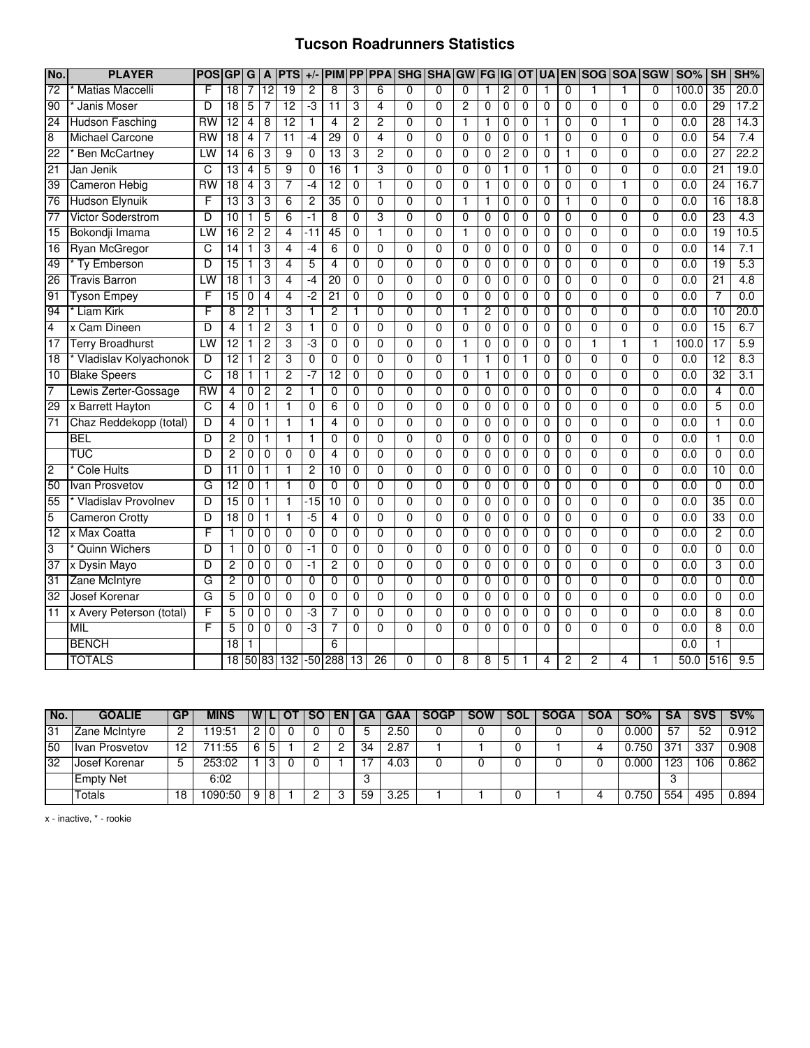#### **Tucson Roadrunners Statistics**

| No.             | <b>PLAYER</b>              | <b>POS</b>      | <b>GP</b>               | G              | A              | <b>PTS</b>      | $+/-$          | <b>PIM</b>     |                |                | <b>PP PPA SHG SHA GW FG IG OT</b> |                |                |                |                |                | <b>UA</b>      |                | EN SOG SOA SGW |                |                | <b>SO%</b>       | <b>SH</b>       | SH%              |
|-----------------|----------------------------|-----------------|-------------------------|----------------|----------------|-----------------|----------------|----------------|----------------|----------------|-----------------------------------|----------------|----------------|----------------|----------------|----------------|----------------|----------------|----------------|----------------|----------------|------------------|-----------------|------------------|
| $\overline{72}$ | <b>Matias Maccelli</b>     | F               | 18                      | 7              | 12             | $\overline{19}$ | $\overline{c}$ | 8              | 3              | 6              | $\Omega$                          | $\Omega$       | 0              | 1              | $\overline{c}$ | 0              | 1              | 0              | 1              | 1              | $\Omega$       | 100.0            | 35              | 20.0             |
| 90              | Janis Moser                | D               | $\overline{18}$         | 5              | 7              | 12              | ٠J             | 11             | 3              | 4              | 0                                 | 0              | $\overline{c}$ | 0              | 0              | 0              | 0              | 0              | 0              | 0              | $\mathbf 0$    | 0.0              | 29              | 17.2             |
| 24              | <b>Hudson Fasching</b>     | $\overline{RW}$ | 12                      | 4              | $\overline{8}$ | 12              | $\mathbf{1}$   | $\overline{4}$ | $\overline{2}$ | $\overline{2}$ | $\overline{0}$                    | $\Omega$       | $\mathbf{1}$   | 1              | 0              | $\mathbf{0}$   | $\mathbf{1}$   | 0              | $\Omega$       | $\mathbf{1}$   | $\Omega$       | 0.0              | 28              | 14.3             |
| 8               | <b>Michael Carcone</b>     | <b>RW</b>       | 18                      | $\overline{4}$ | 7              | $\overline{11}$ | $-4$           | 29             | 0              | $\overline{4}$ | $\overline{0}$                    | $\overline{0}$ | $\mathbf 0$    | $\overline{0}$ | 0              | $\mathbf{0}$   | $\mathbf{1}$   | 0              | $\overline{0}$ | $\overline{0}$ | $\overline{0}$ | 0.0              | 54              | 7.4              |
| 22              | <b>Ben McCartney</b>       | LW              | 14                      | 6              | 3              | 9               | $\Omega$       | 13             | 3              | $\overline{2}$ | $\overline{0}$                    | $\overline{0}$ | $\Omega$       | $\overline{0}$ | $\overline{2}$ | 0              | $\overline{0}$ | 1              | $\overline{0}$ | $\overline{0}$ | $\overline{0}$ | 0.0              | 27              | 22.2             |
| 21              | Jan Jenik                  | C               | 13                      | 4              | 5              | 9               | 0              | 16             | $\mathbf 1$    | 3              | $\overline{0}$                    | $\overline{0}$ | $\mathbf 0$    | 0              | 1              | 0              | 1              | $\overline{0}$ | $\overline{0}$ | $\overline{0}$ | $\overline{0}$ | 0.0              | 21              | 19.0             |
| 39              | Cameron Hebig              | RW              | 18                      | 4              | 3              | 7               | -4             | 12             | 0              | 1              | $\overline{0}$                    | $\overline{0}$ | $\mathbf 0$    | 1              | 0              | 0              | 0              | 0              | $\overline{0}$ | $\mathbf{1}$   | $\overline{0}$ | 0.0              | 24              | 16.7             |
| $\overline{76}$ | <b>Hudson Elynuik</b>      | F               | 13                      | 3              | 3              | 6               | $\overline{c}$ | 35             | 0              | $\overline{0}$ | $\overline{0}$                    | $\overline{0}$ | 1              | 1              | 0              | 0              | $\mathbf{0}$   | 1              | $\overline{0}$ | $\overline{0}$ | $\mathbf{0}$   | 0.0              | 16              | 18.8             |
| 77              | Victor Soderstrom          | D               | 10                      | 1              | 5              | 6               | -1             | 8              | 0              | 3              | $\mathbf 0$                       | $\mathbf{0}$   | $\mathbf 0$    | $\mathbf 0$    | 0              | 0              | 0              | 0              | $\mathbf{0}$   | $\mathbf 0$    | $\mathbf{0}$   | 0.0              | 23              | 4.3              |
| 15              | Bokondji Imama             | LW              | 16                      | $\overline{2}$ | $\overline{2}$ | $\overline{4}$  | $-11$          | 45             | $\mathbf 0$    | $\mathbf{1}$   | $\overline{0}$                    | $\overline{0}$ | $\mathbf{1}$   | $\mathbf 0$    | 0              | $\mathbf 0$    | $\overline{0}$ | $\overline{0}$ | $\overline{0}$ | $\overline{0}$ | $\overline{0}$ | 0.0              | 19              | 10.5             |
| 16              | Ryan McGregor              | C               | 14                      | 1              | 3              | 4               | -4             | 6              | 0              | $\Omega$       | $\mathbf 0$                       | $\mathbf{0}$   | $\mathbf 0$    | $\mathbf 0$    | 0              | $\mathbf 0$    | 0              | 0              | $\overline{0}$ | $\mathbf 0$    | $\mathbf{0}$   | 0.0              | $\overline{14}$ | 7.1              |
| 49              | Ty Emberson                | D               | $\overline{15}$         | 1              | 3              | 4               | 5              | $\overline{4}$ | $\mathbf 0$    | $\overline{0}$ | $\mathbf{0}$                      | $\Omega$       | $\Omega$       | 0              | 0              | $\mathbf 0$    | 0              | 0              | $\overline{0}$ | $\mathbf{0}$   | $\mathbf{0}$   | 0.0              | 19              | 5.3              |
| $\overline{26}$ | <b>Travis Barron</b>       | LW              | 18                      | 1              | 3              | 4               | -4             | 20             | $\mathbf 0$    | $\overline{0}$ | $\overline{0}$                    | $\overline{0}$ | $\mathbf 0$    | 0              | 0              | $\mathbf 0$    | 0              | 0              | $\overline{0}$ | $\overline{0}$ | $\mathbf 0$    | 0.0              | 21              | 4.8              |
| 91              | <b>Tyson Empey</b>         | F               | 15                      | $\overline{0}$ | 4              | 4               | -2             | 21             | 0              | $\overline{0}$ | $\overline{0}$                    | $\overline{0}$ | $\mathbf 0$    | $\overline{0}$ | 0              | 0              | $\overline{0}$ | $\overline{0}$ | $\overline{0}$ | $\overline{0}$ | $\overline{0}$ | 0.0              | 7               | 0.0              |
| 94              | Liam Kirk                  | F               | $\overline{\mathbf{8}}$ | 2              | 1              | 3               | 1              | $\overline{c}$ | 1              | $\overline{0}$ | $\overline{0}$                    | $\overline{0}$ | 1              | 2              | $\overline{0}$ | $\overline{0}$ | 0              | $\overline{0}$ | $\overline{0}$ | $\overline{0}$ | $\overline{0}$ | 0.0              | 10              | 20.0             |
| 4               | x Cam Dineen               | D               | $\overline{4}$          | 1              | $\overline{2}$ | 3               | 1              | 0              | 0              | $\Omega$       | $\mathbf 0$                       | $\Omega$       | $\mathbf 0$    | 0              | 0              | $\mathbf{0}$   | 0              | 0              | $\overline{0}$ | $\overline{0}$ | $\Omega$       | 0.0              | 15              | 6.7              |
| 17              | <b>Terry Broadhurst</b>    | LW              | 12                      | 1              | $\overline{2}$ | 3               | -3             | $\overline{0}$ | $\overline{0}$ | $\overline{0}$ | $\overline{0}$                    | $\overline{0}$ | $\mathbf{1}$   | $\overline{0}$ | 0              | $\overline{0}$ | $\overline{0}$ | $\overline{0}$ | $\overline{1}$ | $\overline{1}$ | $\mathbf{1}$   | 100.0            | 17              | 5.9              |
| $\overline{18}$ | Vladislav Kolyachonok      | D               | $\overline{12}$         | 1              | $\overline{c}$ | 3               | 0              | 0              | 0              | $\Omega$       | 0                                 | $\Omega$       | $\mathbf{1}$   | 1              | 0              | $\mathbf{1}$   | 0              | 0              | $\overline{0}$ | 0              | $\mathbf 0$    | $\overline{0.0}$ | $\overline{12}$ | 8.3              |
| 10              | <b>Blake Speers</b>        | c               | 18                      | 1              | $\mathbf{1}$   | $\overline{2}$  | $-7$           | 12             | $\mathbf 0$    | $\overline{0}$ | $\overline{0}$                    | $\overline{0}$ | $\Omega$       | 1              | $\mathbf 0$    | $\Omega$       | 0              | 0              | $\overline{0}$ | $\overline{0}$ | $\overline{0}$ | 0.0              | 32              | 3.1              |
| 7               | Lewis Zerter-Gossage       | $\overline{RW}$ | 4                       | 0              | $\overline{c}$ | $\overline{2}$  | 1              | 0              | 0              | $\Omega$       | $\mathbf 0$                       | 0              | 0              | 0              | 0              | 0              | 0              | 0              | 0              | $\mathbf 0$    | $\mathbf 0$    | $\overline{0.0}$ | 4               | $\overline{0.0}$ |
| 29              | x Barrett Hayton           | $\overline{C}$  | 4                       | 0              | $\mathbf{1}$   | $\mathbf{1}$    | 0              | 6              | 0              | 0              | $\mathbf 0$                       | 0              | $\mathbf{0}$   | 0              | 0              | $\Omega$       | 0              | 0              | $\overline{0}$ | $\mathbf 0$    | $\mathbf{0}$   | 0.0              | 5               | 0.0              |
| $\overline{71}$ | Chaz Reddekopp (total)     | D               | 4                       | 0              | 1              | $\mathbf{1}$    | 1              | 4              | 0              | $\overline{0}$ | $\overline{0}$                    | $\overline{0}$ | $\overline{0}$ | 0              | 0              | 0              | 0              | $\overline{0}$ | $\overline{0}$ | $\overline{0}$ | $\overline{0}$ | 0.0              | $\mathbf{1}$    | 0.0              |
|                 | <b>BEL</b>                 | D               | 2                       | 0              | 1              | $\mathbf 1$     | 1              | 0              | 0              | $\overline{0}$ | $\overline{0}$                    | $\overline{0}$ | 0              | 0              | 0              | 0              | 0              | 0              | $\overline{0}$ | $\overline{0}$ | $\overline{0}$ | 0.0              | 1               | 0.0              |
|                 | TUC                        | D               | 2                       | 0              | $\overline{0}$ | $\overline{0}$  | 0              | 4              | 0              | $\overline{0}$ | $\overline{0}$                    | 0              | $\overline{0}$ | 0              | 0              | 0              | 0              | 0              | $\overline{0}$ | $\overline{0}$ | $\overline{0}$ | 0.0              | 0               | 0.0              |
| 2               | <b>Cole Hults</b>          | D               | 11                      | 0              | 1              | $\mathbf{1}$    | 2              | 10             | 0              | $\Omega$       | 0                                 | $\Omega$       | 0              | 0              | 0              | 0              | 0              | 0              | 0              | 0              | $\mathbf{0}$   | $\overline{0.0}$ | 10              | 0.0              |
| 50              | <b>Ivan Prosvetov</b>      | G               | 12                      | $\mathbf 0$    | $\mathbf{1}$   | $\overline{1}$  | $\mathbf 0$    | $\mathbf 0$    | $\Omega$       | 0              | $\mathbf{0}$                      | 0              | $\mathbf{0}$   | 0              | $\mathbf 0$    | $\mathbf{0}$   | 0              | 0              | $\overline{0}$ | 0              | $\mathbf{0}$   | $\overline{0.0}$ | 0               | 0.0              |
| 55              | <b>Vladislav Provolnev</b> | D               | 15                      | $\mathbf 0$    | 1              | $\mathbf{1}$    | -15            | 10             | 0              | 0              | 0                                 | 0              | 0              | 0              | 0              | 0              | 0              | 0              | 0              | 0              | $\Omega$       | 0.0              | $\overline{35}$ | 0.0              |
| 5               | <b>Cameron Crotty</b>      | D               | $\overline{18}$         | $\mathbf 0$    | $\mathbf{1}$   | $\mathbf{1}$    | $-5$           | 4              | 0              | $\Omega$       | 0                                 | $\Omega$       | 0              | 0              | 0              | $\mathbf 0$    | 0              | 0              | $\Omega$       | 0              | $\mathbf{0}$   | 0.0              | 33              | 0.0              |
| $\overline{12}$ | x Max Coatta               | F               | 1                       | 0              | $\mathbf 0$    | 0               | 0              | 0              | 0              | 0              | 0                                 | $\Omega$       | 0              | 0              | 0              | 0              | 0              | 0              | $\Omega$       | 0              | $\Omega$       | 0.0              | $\overline{c}$  | 0.0              |
| 3               | <b>Quinn Wichers</b>       | D               | 1                       | 0              | $\overline{0}$ | $\overline{0}$  | $-1$           | $\overline{0}$ | 0              | $\overline{0}$ | $\overline{0}$                    | $\overline{0}$ | $\overline{0}$ | $\overline{0}$ | $\overline{0}$ | $\overline{0}$ | 0              | $\overline{0}$ | $\overline{0}$ | $\overline{0}$ | $\overline{0}$ | 0.0              | $\overline{0}$  | 0.0              |
| 37              | x Dysin Mayo               | D               | 2                       | 0              | $\overline{0}$ | $\overline{0}$  | $-1$           | 2              | $\overline{0}$ | $\overline{0}$ | $\overline{0}$                    | $\overline{0}$ | $\overline{0}$ | 0              | $\overline{0}$ | $\overline{0}$ | $\overline{0}$ | 0              | $\overline{0}$ | $\overline{0}$ | $\overline{0}$ | 0.0              | 3               | 0.0              |
| 31              | Zane McIntyre              | G               | 2                       | 0              | $\overline{0}$ | $\overline{0}$  | $\overline{0}$ | $\overline{0}$ | 0              | $\overline{0}$ | $\overline{0}$                    | $\overline{0}$ | $\overline{0}$ | $\overline{0}$ | 0              | $\overline{0}$ | $\overline{0}$ | $\overline{0}$ | $\overline{0}$ | $\overline{0}$ | $\overline{0}$ | 0.0              | $\overline{0}$  | 0.0              |
| 32              | <b>Josef Korenar</b>       | G               | 5                       | $\mathbf 0$    | $\mathbf 0$    | $\mathbf 0$     | 0              | 0              | 0              | $\overline{0}$ | $\overline{0}$                    | $\overline{0}$ | $\mathbf{0}$   | 0              | 0              | $\mathbf 0$    | 0              | 0              | $\overline{0}$ | $\overline{0}$ | $\overline{0}$ | 0.0              | $\mathbf 0$     | 0.0              |
| $\overline{11}$ | x Avery Peterson (total)   | F               | 5                       | 0              | 0              | $\Omega$        | -3             | 7              | 0              | $\Omega$       | $\mathbf 0$                       | 0              | $\mathbf{0}$   | 0              | 0              | $\mathbf 0$    | 0              | 0              | $\overline{0}$ | $\mathbf 0$    | $\mathbf{0}$   | $\overline{0.0}$ | 8               | $\overline{0.0}$ |
|                 | <b>MIL</b>                 | F               | 5                       | 0              | $\mathbf{0}$   | $\Omega$        | -3             | 7              | $\Omega$       | $\overline{0}$ | $\overline{0}$                    | $\Omega$       | $\Omega$       | $\Omega$       | $\Omega$       | $\mathbf{0}$   | $\mathbf{0}$   | $\Omega$       | $\overline{0}$ | $\mathbf{0}$   | $\Omega$       | 0.0              | 8               | 0.0              |
|                 | <b>BENCH</b>               |                 | 18                      | 1              |                |                 |                | 6              |                |                |                                   |                |                |                |                |                |                |                |                |                |                | 0.0              |                 |                  |
|                 | <b>TOTALS</b>              |                 | 18                      | 50             | 83             | 132             |                | $-50$ 288      | 13             | 26             | 0                                 | 0              | 8              | 8              | 5              |                | 4              | 2              | $\overline{2}$ | 4              |                | 50.0             | 516             | 9.5              |

| No. | <b>GOALIE</b>    | <b>GP</b> | <b>MINS</b> |    |   | <b>OT</b> | ISO | EN | GΑ | <b>GAA</b> | <b>SOGP</b> | <b>SOW</b> | <b>SOL</b> | <b>SOGA</b> | SOA | $SO\%$ | SΑ  | <b>SVS</b> | $SV\%$ |
|-----|------------------|-----------|-------------|----|---|-----------|-----|----|----|------------|-------------|------------|------------|-------------|-----|--------|-----|------------|--------|
| 31  | Zane McIntyre    |           | 19:51       | っ  |   |           |     |    |    | 2.50       |             |            |            |             |     | 0.000  | 57  | -52        | 0.912  |
| 50  | Ivan Prosvetov   | 12        | 11:55       | 6. | 5 |           |     |    | 34 | 2.87       |             |            |            |             |     | 0.750  |     | 337        | 0.908  |
| 32  | Josef Korenar    | 5         | 253:02      |    |   |           |     |    |    | 4.03       |             |            |            |             |     | 0.000  | 123 | 106        | 0.862  |
|     | <b>Empty Net</b> |           | 6:02        |    |   |           |     |    |    |            |             |            |            |             |     |        |     |            |        |
|     | Totals           | 18        | '090:50     | 9  | 8 |           |     |    | 59 | 3.25       |             |            |            |             |     | 750    | 554 | 495        | 0.894  |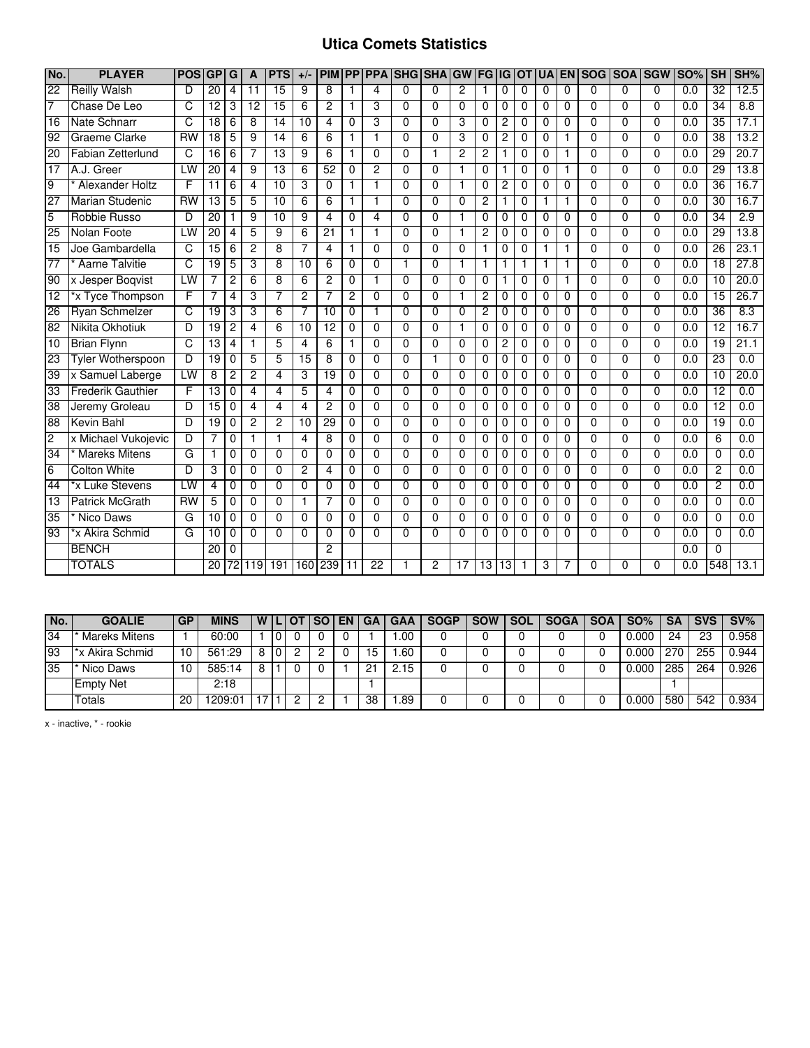## **Utica Comets Statistics**

| No.             | <b>PLAYER</b>            | <b>POS</b>            | GP              | G              | A              | <b>PTS</b>      | $+/-$          | <b>PIM</b>              | <b>PP</b>      |                 | <b>PPA SHG</b> | <b>SHA</b>     | GW             | <b>FG IG</b>   |                | <b>OT</b>   | <b>UA</b>    | <b>EN</b>    | <b>SOG</b>     |                | <b>SOA SGW</b> | <b>SO%</b>       | SH              | SH%  |
|-----------------|--------------------------|-----------------------|-----------------|----------------|----------------|-----------------|----------------|-------------------------|----------------|-----------------|----------------|----------------|----------------|----------------|----------------|-------------|--------------|--------------|----------------|----------------|----------------|------------------|-----------------|------|
| $\overline{22}$ | <b>Reilly Walsh</b>      | D                     | $\overline{20}$ | $\overline{4}$ | 11             | $\overline{15}$ | 9              | 8                       | 1              | 4               | $\mathbf{0}$   | $\Omega$       | $\overline{2}$ | 1              | $\Omega$       | $\Omega$    | 0            | $\Omega$     | $\Omega$       | $\Omega$       | $\Omega$       | $\overline{0.0}$ | $\overline{32}$ | 12.5 |
| 7               | Chase De Leo             | C                     | 12              | 3              | 12             | 15              | 6              | $\overline{c}$          | 1              | 3               | $\Omega$       | $\Omega$       | $\Omega$       | $\Omega$       | 0              | $\mathbf 0$ | $\mathbf 0$  | 0            | $\Omega$       | $\mathbf 0$    | 0              | 0.0              | $\overline{34}$ | 8.8  |
| 16              | <b>Nate Schnarr</b>      | C                     | 18              | 6              | 8              | 14              | 10             | 4                       | 0              | 3               | $\Omega$       | $\Omega$       | 3              | $\Omega$       | 2              | $\Omega$    | 0            | $\Omega$     | $\Omega$       | $\Omega$       | $\Omega$       | 0.0              | $\overline{35}$ | 17.1 |
| 92              | <b>Graeme Clarke</b>     | $\overline{RW}$       | $\overline{18}$ | 5              | 9              | $\overline{14}$ | 6              | 6                       | $\mathbf{1}$   | $\mathbf{1}$    | $\Omega$       | $\Omega$       | 3              | 0              | $\overline{c}$ | $\Omega$    | 0            | $\mathbf{1}$ | $\Omega$       | $\mathbf 0$    | $\Omega$       | 0.0              | $\overline{38}$ | 13.2 |
| 20              | <b>Fabian Zetterlund</b> | C                     | $\overline{16}$ | 6              |                | 13              | 9              | 6                       | $\mathbf{1}$   | $\overline{0}$  | $\overline{0}$ | $\mathbf{1}$   | $\overline{2}$ | 2              | 1              | $\Omega$    | $\mathbf 0$  | 1            | $\overline{0}$ | $\overline{0}$ | $\Omega$       | 0.0              | 29              | 20.7 |
| 17              | A.J. Greer               | LW                    | 20              | 4              | 9              | 13              | 6              | 52                      | $\Omega$       | 2               | $\Omega$       | $\overline{0}$ |                | $\Omega$       |                | $\Omega$    | 0            | 1            | $\Omega$       | $\overline{0}$ | $\Omega$       | 0.0              | 29              | 13.8 |
| 9               | Alexander Holtz          | F                     | $\overline{11}$ | 6              | 4              | 10              | 3              | 0                       | 1              | $\mathbf 1$     | $\Omega$       | $\Omega$       | $\mathbf{1}$   | $\Omega$       | 2              | $\Omega$    | 0            | $\Omega$     | $\Omega$       | 0              | $\Omega$       | 0.0              | 36              | 16.7 |
| 27              | <b>Marian Studenic</b>   | $\overline{RW}$       | $\overline{13}$ | 5              | 5              | $\overline{10}$ | 6              | 6                       | 1              | $\overline{1}$  | $\Omega$       | $\Omega$       | $\Omega$       | $\overline{c}$ | 1              | $\Omega$    | $\mathbf{1}$ | 1            | $\Omega$       | $\Omega$       | $\Omega$       | $\overline{0.0}$ | $\overline{30}$ | 16.7 |
| $\overline{5}$  | Robbie Russo             | D                     | 20              | 1              | 9              | $\overline{10}$ | 9              | 4                       | 0              | 4               | $\Omega$       | $\Omega$       | 1              | $\Omega$       | 0              | $\Omega$    | 0            | $\Omega$     | $\Omega$       | $\mathbf 0$    | $\Omega$       | 0.0              | $\overline{34}$ | 2.9  |
| 25              | Nolan Foote              | LW                    | 20              | 4              | 5              | 9               | 6              | 21                      | 1              | $\mathbf{1}$    | $\Omega$       | $\mathbf 0$    | $\mathbf{1}$   | 2              | 0              | $\mathbf 0$ | 0            | 0            | $\Omega$       | $\mathbf 0$    | $\Omega$       | 0.0              | 29              | 13.8 |
| $\overline{15}$ | Joe Gambardella          | $\overline{\text{c}}$ | 15              | 6              | $\overline{2}$ | 8               | 7              | 4                       | $\mathbf{1}$   | $\Omega$        | $\Omega$       | $\Omega$       | $\Omega$       | $\mathbf{1}$   | $\Omega$       | $\Omega$    | $\mathbf{1}$ | 1            | $\Omega$       | $\Omega$       | $\Omega$       | $\overline{0.0}$ | 26              | 23.1 |
| 77              | <b>Aarne Talvitie</b>    | C                     | $\overline{19}$ | 5              | 3              | 8               | 10             | 6                       | 0              | $\Omega$        | 1              | $\Omega$       | 1              | $\mathbf 1$    | 1              | 1           | 1            | 1            | $\Omega$       | $\Omega$       | $\Omega$       | 0.0              | 18              | 27.8 |
| 90              | x Jesper Boqvist         | LW                    | 7               | 2              | 6              | 8               | 6              | 2                       | 0              | $\mathbf{1}$    | $\Omega$       | $\Omega$       | $\Omega$       | $\Omega$       | 1              | $\Omega$    | 0            | 1            | $\Omega$       | $\Omega$       | $\Omega$       | 0.0              | 10              | 20.0 |
| 12              | *x Tyce Thompson         | F                     |                 | 4              | 3              | 7               | $\overline{2}$ |                         | $\overline{2}$ | $\Omega$        | $\overline{0}$ | $\Omega$       |                | 2              | $\Omega$       | $\Omega$    | $\Omega$     | $\Omega$     | 0              | $\Omega$       | $\Omega$       | 0.0              | 15              | 26.7 |
| 26              | <b>Ryan Schmelzer</b>    | C                     | 19              | 3              | 3              | 6               | 7              | 10                      | 0              | $\mathbf 1$     | $\Omega$       | $\overline{0}$ | $\Omega$       | 2              | 0              | $\Omega$    | 0            | 0            | $\Omega$       | $\overline{0}$ | $\Omega$       | 0.0              | $\overline{36}$ | 8.3  |
| 82              | Nikita Okhotiuk          | D                     | $\overline{19}$ | $\overline{c}$ | 4              | 6               | 10             | $\overline{12}$         | 0              | $\Omega$        | $\mathbf{0}$   | $\Omega$       | 1              | $\Omega$       | $\Omega$       | $\Omega$    | 0            | $\Omega$     | $\Omega$       | $\Omega$       | $\Omega$       | $\overline{0.0}$ | $\overline{12}$ | 16.7 |
| 10              | <b>Brian Flynn</b>       | C                     | 13              | 4              |                | 5               | 4              | 6                       | $\mathbf{1}$   | $\Omega$        | $\Omega$       | $\Omega$       | $\Omega$       | $\Omega$       | $\overline{c}$ | 0           | $\Omega$     | $\Omega$     | $\Omega$       | $\Omega$       | $\Omega$       | $\overline{0.0}$ | 19              | 21.1 |
| 23              | <b>Tyler Wotherspoon</b> | D                     | 19              | 0              | 5              | 5               | 15             | 8                       | 0              | $\Omega$        | $\Omega$       | $\mathbf{1}$   | $\Omega$       | $\Omega$       | $\Omega$       | $\Omega$    | 0            | $\Omega$     | $\Omega$       | $\Omega$       | $\Omega$       | 0.0              | 23              | 0.0  |
| 39              | x Samuel Laberge         | LW                    | 8               | 2              | $\overline{2}$ | 4               | 3              | 19                      | 0              | $\Omega$        | $\Omega$       | $\Omega$       | $\Omega$       | $\Omega$       | 0              | $\Omega$    | 0            | $\Omega$     | $\Omega$       | $\Omega$       | $\Omega$       | 0.0              | 10              | 20.0 |
| 33              | <b>Frederik Gauthier</b> | F                     | 13              | $\Omega$       | 4              | 4               | 5              | $\overline{\mathbf{4}}$ | $\Omega$       | $\Omega$        | $\Omega$       | $\Omega$       | $\Omega$       | $\Omega$       | $\Omega$       | 0           | $\Omega$     | $\Omega$     | $\Omega$       | $\Omega$       | $\Omega$       | $\overline{0.0}$ | $\overline{12}$ | 0.0  |
| 38              | Jeremy Groleau           | D                     | $\overline{15}$ | $\Omega$       | 4              | 4               | 4              | $\overline{2}$          | $\Omega$       | $\Omega$        | $\Omega$       | $\Omega$       | $\Omega$       | $\Omega$       | 0              | $\Omega$    | 0            | $\Omega$     | $\Omega$       | $\Omega$       | $\Omega$       | 0.0              | $\overline{12}$ | 0.0  |
| 88              | <b>Kevin Bahl</b>        | D                     | 19              | 0              | 2              | $\overline{2}$  | 10             | 29                      | 0              | 0               | $\Omega$       | $\Omega$       | 0              | 0              | 0              | $\Omega$    | 0            | $\mathbf 0$  | $\Omega$       | 0              | $\Omega$       | 0.0              | $\overline{19}$ | 0.0  |
| $\overline{c}$  | x Michael Vukojevic      | D                     |                 | 0              |                | 1               | 4              | 8                       | 0              | $\Omega$        | $\Omega$       | $\Omega$       | $\Omega$       | 0              | 0              | 0           | $\mathbf 0$  | $\Omega$     | $\Omega$       | $\Omega$       | $\Omega$       | 0.0              | 6               | 0.0  |
| 34              | <b>Mareks Mitens</b>     | G                     | 1               | 0              | $\Omega$       | $\Omega$        | $\Omega$       | $\Omega$                | $\Omega$       | $\overline{0}$  | $\Omega$       | $\Omega$       | $\Omega$       | $\Omega$       | 0              | $\Omega$    | $\mathbf 0$  | $\Omega$     | $\Omega$       | $\overline{0}$ | $\Omega$       | 0.0              | 0               | 0.0  |
| 6               | <b>Colton White</b>      | D                     | 3               | 0              | 0              | 0               | $\overline{c}$ | 4                       | 0              | $\Omega$        | $\Omega$       | $\Omega$       | $\Omega$       | $\Omega$       | 0              | $\Omega$    | 0            | $\Omega$     | $\Omega$       | 0              | $\Omega$       | 0.0              | $\overline{c}$  | 0.0  |
| 44              | *x Luke Stevens          | LW                    | $\overline{4}$  | $\Omega$       | 0              | $\Omega$        | $\Omega$       | $\Omega$                | 0              | $\Omega$        | $\Omega$       | $\Omega$       | $\Omega$       | $\Omega$       | $\Omega$       | $\Omega$    | $\Omega$     | $\Omega$     | $\Omega$       | $\Omega$       | $\Omega$       | 0.0              | 2               | 0.0  |
| $\overline{13}$ | <b>Patrick McGrath</b>   | $\overline{RW}$       | 5               | $\Omega$       | $\Omega$       | 0               | $\mathbf{1}$   | 7                       | 0              | $\Omega$        | $\Omega$       | $\Omega$       | $\Omega$       | $\Omega$       | $\Omega$       | $\Omega$    | $\mathbf 0$  | $\Omega$     | $\Omega$       | $\Omega$       | $\Omega$       | $\overline{0.0}$ | 0               | 0.0  |
| 35              | Nico Daws                | G                     | 10              | 0              | 0              | 0               | 0              | 0                       | 0              | 0               | $\mathbf 0$    | $\mathbf 0$    | 0              | 0              | 0              | 0           | 0            | 0            | $\Omega$       | 0              | $\Omega$       | 0.0              | 0               | 0.0  |
| 93              | *x Akira Schmid          | G                     | 10              | 0              | $\Omega$       | $\Omega$        | $\Omega$       | $\Omega$                | $\Omega$       | $\Omega$        | $\Omega$       | $\Omega$       | $\Omega$       | $\Omega$       | $\Omega$       | $\Omega$    | $\Omega$     | $\Omega$     | $\Omega$       | $\Omega$       | $\Omega$       | 0.0              | $\Omega$        | 0.0  |
|                 | <b>BENCH</b>             |                       | $\overline{20}$ | $\Omega$       |                |                 |                | 2                       |                |                 |                |                |                |                |                |             |              |              |                |                |                | 0.0              | $\Omega$        |      |
|                 | <b>TOTALS</b>            |                       | 20              |                | 119            | 191             | 160            | 239                     | 11             | $\overline{22}$ |                | 2              | 17             | 13             | 13             |             | 3            |              | n              | <sup>0</sup>   | U              | 0.0              | 548             | 13.1 |

| No. | <b>GOALIE</b>    | <b>GP</b> | <b>MINS</b> | W |   | <b>SO</b> I | EN | GA | GAA         | <b>SOGP</b> | <b>SOW</b> | <b>SOL</b> | <b>SOGA</b> | <b>SOA</b> | $SO\%$ | <b>SA</b> | <b>SVS</b> | $SV\%$ |
|-----|------------------|-----------|-------------|---|---|-------------|----|----|-------------|-------------|------------|------------|-------------|------------|--------|-----------|------------|--------|
| 34  | Mareks Mitens    |           | 60:00       |   | 0 |             |    |    | .00         |             |            |            |             |            | .000   | 24        | 23         | 0.958  |
| 93  | *x Akira Schmid  | 10        | 561:29      | 8 | 0 |             |    | 15 | .60         |             |            |            |             |            | .000   | 270       | 255        | 0.944  |
| 35  | Nico Daws        |           | 585:14      | 8 |   |             |    | 21 | $\angle 15$ |             |            |            |             |            | .000   | 285       | 264        | 0.926  |
|     | <b>Empty Net</b> |           | 2:18        |   |   |             |    |    |             |             |            |            |             |            |        |           |            |        |
|     | Totals           | 20        | 209:01      |   |   |             |    | 38 | .89         |             |            |            |             |            | 0.000  | 580       | 542        | 0.934  |

x - inactive, \* - rookie